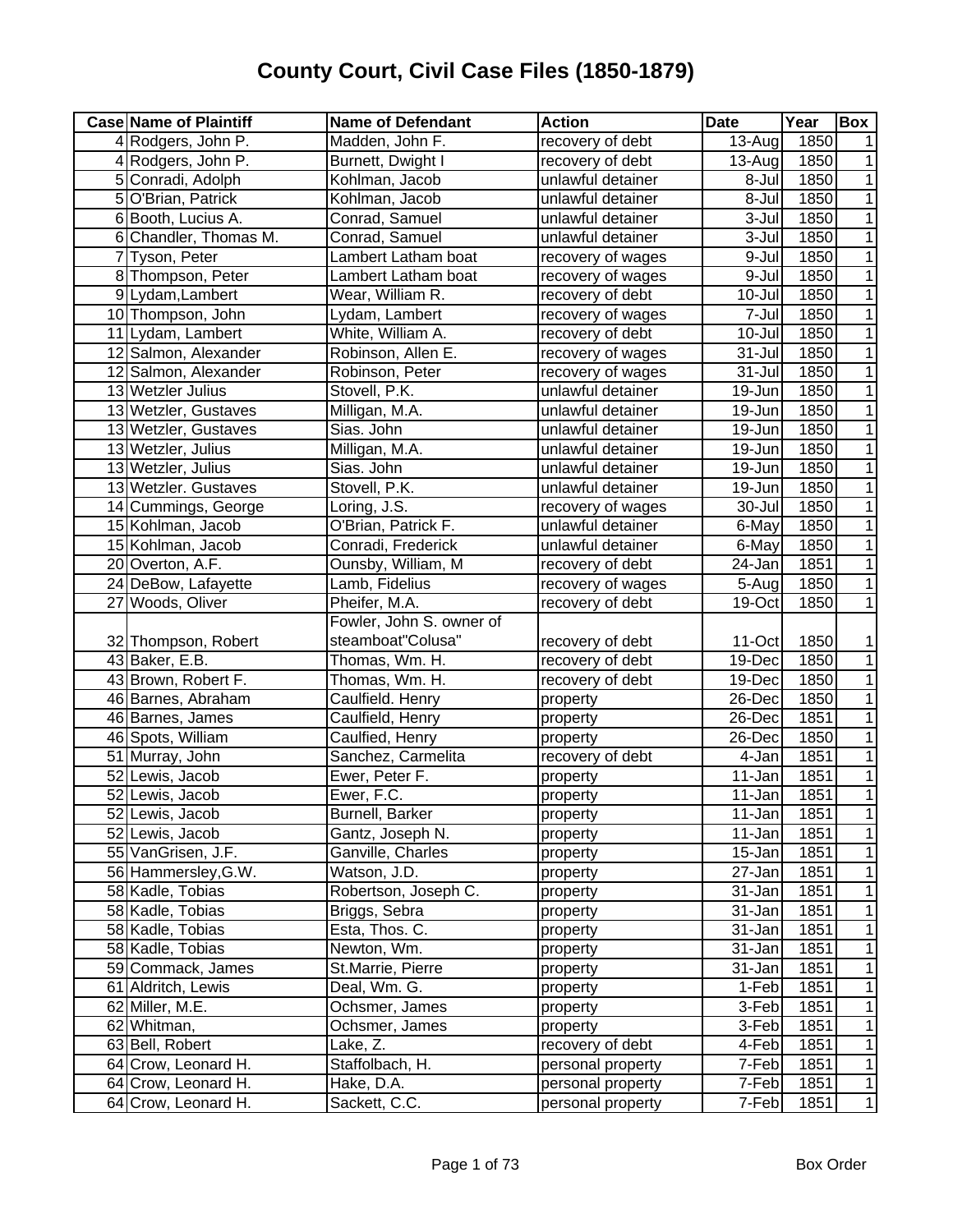| <b>Case Name of Plaintiff</b> | <b>Name of Defendant</b> | <b>Action</b>     | <b>Date</b>          | Year | Box            |
|-------------------------------|--------------------------|-------------------|----------------------|------|----------------|
| 4 Rodgers, John P.            | Madden, John F.          | recovery of debt  | $13-Auq$             | 1850 |                |
| 4 Rodgers, John P.            | Burnett, Dwight I        | recovery of debt  | 13-Aug               | 1850 | 1              |
| 5 Conradi, Adolph             | Kohlman, Jacob           | unlawful detainer | $8 -$ Jul            | 1850 | 1              |
| 5 O'Brian, Patrick            | Kohlman, Jacob           | unlawful detainer | $8 -$ Jul            | 1850 | 1              |
| 6 Booth, Lucius A.            | Conrad, Samuel           | unlawful detainer | 3-Jul                | 1850 | $\mathbf{1}$   |
| 6 Chandler, Thomas M.         | Conrad, Samuel           | unlawful detainer | 3-Jul                | 1850 | $\mathbf{1}$   |
| 7 Tyson, Peter                | Lambert Latham boat      | recovery of wages | 9-Jul                | 1850 | 1              |
| 8 Thompson, Peter             | Lambert Latham boat      | recovery of wages | 9-Jul                | 1850 | 1              |
| 9 Lydam, Lambert              | Wear, William R.         | recovery of debt  | 10-Jul               | 1850 | 1              |
| 10 Thompson, John             | Lydam, Lambert           | recovery of wages | 7-Jul                | 1850 | 1              |
| 11 Lydam, Lambert             | White, William A.        | recovery of debt  | 10-Jul               | 1850 | 1              |
| 12 Salmon, Alexander          | Robinson, Allen E.       | recovery of wages | $31 -$ Jul           | 1850 | 1              |
| 12 Salmon, Alexander          | Robinson, Peter          | recovery of wages | $31 -$ Jul           | 1850 | 1              |
| 13 Wetzler Julius             | Stovell, P.K.            | unlawful detainer | 19-Jun               | 1850 | 1              |
| 13 Wetzler, Gustaves          | Milligan, M.A.           | unlawful detainer | 19-Jun               | 1850 | 1              |
| 13 Wetzler, Gustaves          | Sias. John               | unlawful detainer | 19-Jun               | 1850 | 1              |
| 13 Wetzler, Julius            | Milligan, M.A.           | unlawful detainer | 19-Jun               | 1850 | 1              |
| 13 Wetzler, Julius            | Sias. John               | unlawful detainer | 19-Jun               | 1850 | 1              |
| 13 Wetzler. Gustaves          | Stovell, P.K.            | unlawful detainer | 19-Jun               | 1850 | 1              |
| 14 Cummings, George           | Loring, J.S.             | recovery of wages | 30-Jul               | 1850 | 1              |
| 15 Kohlman, Jacob             | O'Brian, Patrick F.      | unlawful detainer | 6-May                | 1850 | 1              |
| 15 Kohlman, Jacob             | Conradi, Frederick       | unlawful detainer | 6-May                | 1850 | 1              |
| 20 Overton, A.F.              | Ounsby, William, M       | recovery of debt  | 24-Jan               | 1851 | 1              |
| 24 DeBow, Lafayette           | Lamb, Fidelius           | recovery of wages | 5-Aug                | 1850 | 1              |
| 27 Woods, Oliver              | Pheifer, M.A.            | recovery of debt  | 19-Oct               | 1850 | 1              |
|                               | Fowler, John S. owner of |                   |                      |      |                |
| 32 Thompson, Robert           | steamboat"Colusa"        | recovery of debt  | $11$ -Oct            | 1850 | 1              |
| 43 Baker, E.B.                | Thomas, Wm. H.           | recovery of debt  | 19-Dec               | 1850 | $\overline{1}$ |
| 43 Brown, Robert F.           | Thomas, Wm. H.           | recovery of debt  | 19-Dec               | 1850 | 1              |
| 46 Barnes, Abraham            | Caulfield. Henry         | property          | 26-Dec               | 1850 | $\mathbf{1}$   |
| 46 Barnes, James              | Caulfield, Henry         | property          | 26-Dec               | 1851 | $\mathbf{1}$   |
| 46 Spots, William             | Caulfied, Henry          | property          | 26-Dec               | 1850 | $\mathbf 1$    |
| 51 Murray, John               | Sanchez, Carmelita       | recovery of debt  | 4-Jan                | 1851 | $\mathbf{1}$   |
| 52 Lewis, Jacob               | Ewer, Peter F.           | property          | 11-Jan               | 1851 | $\mathbf 1$    |
| 52 Lewis, Jacob               | Ewer, F.C.               | property          | 11-Jan               | 1851 | $\mathbf{1}$   |
| 52 Lewis, Jacob               | Burnell, Barker          | property          | 11-Jan               | 1851 | 1              |
| 52 Lewis, Jacob               | Gantz, Joseph N.         | property          | $\overline{1}$ 1-Jan | 1851 | $\mathbf{1}$   |
| 55 VanGrisen, J.F.            | Ganville, Charles        | property          | 15-Jan               | 1851 | 1              |
| 56 Hammersley, G.W.           | Watson, J.D.             | property          | 27-Jan               | 1851 | 1              |
| 58 Kadle, Tobias              | Robertson, Joseph C.     | property          | 31-Jan               | 1851 | 1              |
| 58 Kadle, Tobias              | Briggs, Sebra            | property          | 31-Jan               | 1851 | 1              |
| 58 Kadle, Tobias              | Esta, Thos. C.           | property          | $31 - Jan$           | 1851 | 1              |
| 58 Kadle, Tobias              | Newton, Wm.              | property          | 31-Jan               | 1851 | 1              |
| 59 Commack, James             | St.Marrie, Pierre        | property          | 31-Jan               | 1851 | 1              |
| 61 Aldritch, Lewis            | Deal, Wm. G.             | property          | 1-Feb                | 1851 | 1              |
| 62 Miller, M.E.               | Ochsmer, James           | property          | 3-Feb                | 1851 | $\mathbf 1$    |
| 62 Whitman,                   | Ochsmer, James           | property          | 3-Feb                | 1851 | $\mathbf{1}$   |
| 63 Bell, Robert               | Lake, Z.                 | recovery of debt  | 4-Feb                | 1851 | 1              |
| 64 Crow, Leonard H.           | Staffolbach, H.          | personal property | 7-Feb                | 1851 | $\mathbf{1}$   |
| 64 Crow, Leonard H.           | Hake, D.A.               | personal property | 7-Feb                | 1851 | $\mathbf 1$    |
| 64 Crow, Leonard H.           | Sackett, C.C.            | personal property | 7-Feb                | 1851 | $\mathbf 1$    |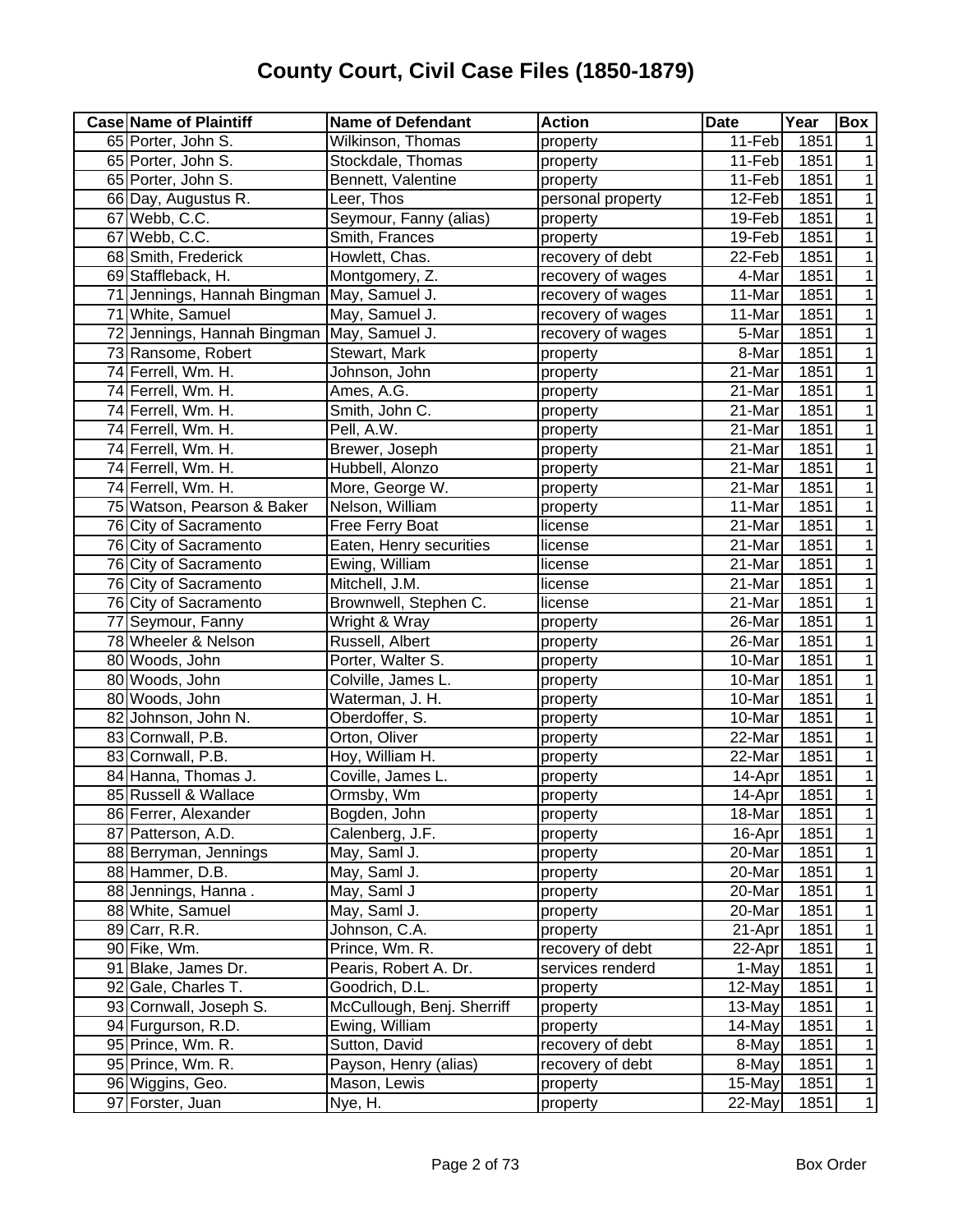| <b>Case Name of Plaintiff</b> | <b>Name of Defendant</b>   | <b>Action</b>     | <b>Date</b> | Year | <b>Box</b>     |
|-------------------------------|----------------------------|-------------------|-------------|------|----------------|
| 65 Porter, John S.            | Wilkinson, Thomas          | property          | 11-Feb      | 1851 |                |
| 65 Porter, John S.            | Stockdale, Thomas          | property          | $11-Feb$    | 1851 | 1              |
| 65 Porter, John S.            | Bennett, Valentine         | property          | 11-Feb      | 1851 | 1              |
| 66 Day, Augustus R.           | Leer, Thos                 | personal property | 12-Feb      | 1851 | 1              |
| 67 Webb, C.C.                 | Seymour, Fanny (alias)     | property          | 19-Feb      | 1851 | 1              |
| 67 Webb, C.C.                 | Smith, Frances             | property          | 19-Feb      | 1851 | 1              |
| 68 Smith, Frederick           | Howlett, Chas.             | recovery of debt  | 22-Feb      | 1851 | 1              |
| 69 Staffleback, H.            | Montgomery, Z.             | recovery of wages | 4-Mar       | 1851 |                |
| 71 Jennings, Hannah Bingman   | May, Samuel J.             | recovery of wages | 11-Mar      | 1851 |                |
| 71 White, Samuel              | May, Samuel J.             | recovery of wages | 11-Mar      | 1851 | 1              |
| 72 Jennings, Hannah Bingman   | May, Samuel J.             | recovery of wages | 5-Mar       | 1851 | 1              |
| 73 Ransome, Robert            | Stewart, Mark              | property          | 8-Mar       | 1851 |                |
| 74 Ferrell, Wm. H.            | Johnson, John              | property          | 21-Mar      | 1851 |                |
| 74 Ferrell, Wm. H.            | Ames, A.G.                 | property          | 21-Mar      | 1851 |                |
| 74 Ferrell, Wm. H.            | Smith, John C.             | property          | 21-Mar      | 1851 |                |
| 74 Ferrell, Wm. H.            | Pell, A.W.                 | property          | 21-Mar      | 1851 |                |
| 74 Ferrell, Wm. H.            | Brewer, Joseph             | property          | 21-Mar      | 1851 |                |
| 74 Ferrell, Wm. H.            | Hubbell, Alonzo            | property          | 21-Mar      | 1851 |                |
| 74 Ferrell, Wm. H.            | More, George W.            | property          | 21-Mar      | 1851 | 1              |
| 75 Watson, Pearson & Baker    | Nelson, William            | property          | 11-Mar      | 1851 | 1              |
| 76 City of Sacramento         | Free Ferry Boat            | license           | 21-Mar      | 1851 | 1              |
| 76 City of Sacramento         | Eaten, Henry securities    | license           | 21-Mar      | 1851 | 1              |
| 76 City of Sacramento         | Ewing, William             | license           | 21-Mar      | 1851 | 1              |
| 76 City of Sacramento         | Mitchell, J.M.             | license           | 21-Mar      | 1851 | 1              |
| 76 City of Sacramento         | Brownwell, Stephen C.      | license           | 21-Mar      | 1851 | 1              |
| 77 Seymour, Fanny             | Wright & Wray              | property          | 26-Mar      | 1851 | 1              |
| 78 Wheeler & Nelson           | Russell, Albert            | property          | 26-Mar      | 1851 | 1              |
| 80 Woods, John                | Porter, Walter S.          | property          | 10-Mar      | 1851 | 1              |
| 80 Woods, John                | Colville, James L.         | property          | 10-Mar      | 1851 | 1              |
| 80 Woods, John                | Waterman, J. H.            | property          | 10-Mar      | 1851 | 1              |
| 82 Johnson, John N.           | Oberdoffer, S.             | property          | 10-Mar      | 1851 | 1              |
| 83 Cornwall, P.B.             | Orton, Oliver              | property          | 22-Mar      | 1851 | 1              |
| 83 Cornwall, P.B.             | Hoy, William H.            | property          | 22-Mar      | 1851 | 1              |
| 84 Hanna, Thomas J.           | Coville, James L.          | property          | 14-Apr      | 1851 | 1              |
| 85 Russell & Wallace          | Ormsby, Wm                 | property          | 14-Apr      | 1851 | $\overline{1}$ |
| 86 Ferrer, Alexander          | Bogden, John               | property          | 18-Mar      | 1851 | 1              |
| 87 Patterson, A.D.            | Calenberg, J.F.            | property          | 16-Apr      | 1851 | $\mathbf{1}$   |
| 88 Berryman, Jennings         | May, Saml J.               | property          | 20-Mar      | 1851 | $\mathbf 1$    |
| 88 Hammer, D.B.               | May, Saml J.               | property          | 20-Mar      | 1851 | 1              |
| 88 Jennings, Hanna.           | May, Saml J                | property          | 20-Mar      | 1851 | $\mathbf{1}$   |
| 88 White, Samuel              | May, Saml J.               | property          | 20-Mar      | 1851 | 1              |
| 89 Carr, R.R.                 | Johnson, C.A.              | property          | 21-Apr      | 1851 | 1              |
| 90 Fike, Wm.                  | Prince, Wm. R.             | recovery of debt  | 22-Apr      | 1851 | 1              |
| 91 Blake, James Dr.           | Pearis, Robert A. Dr.      | services renderd  | 1-May       | 1851 | 1              |
| 92 Gale, Charles T.           | Goodrich, D.L.             | property          | 12-May      | 1851 | 1              |
| 93 Cornwall, Joseph S.        | McCullough, Benj. Sherriff | property          | 13-May      | 1851 | $\mathbf{1}$   |
| 94 Furgurson, R.D.            | Ewing, William             | property          | 14-May      | 1851 | $\mathbf{1}$   |
| 95 Prince, Wm. R.             | Sutton, David              | recovery of debt  | 8-May       | 1851 | $\mathbf{1}$   |
| 95 Prince, Wm. R.             | Payson, Henry (alias)      | recovery of debt  | 8-May       | 1851 | $\mathbf{1}$   |
| 96 Wiggins, Geo.              | Mason, Lewis               | property          | 15-May      | 1851 | $\mathbf{1}$   |
| 97 Forster, Juan              | Nye, H.                    | property          | 22-May      | 1851 | 1              |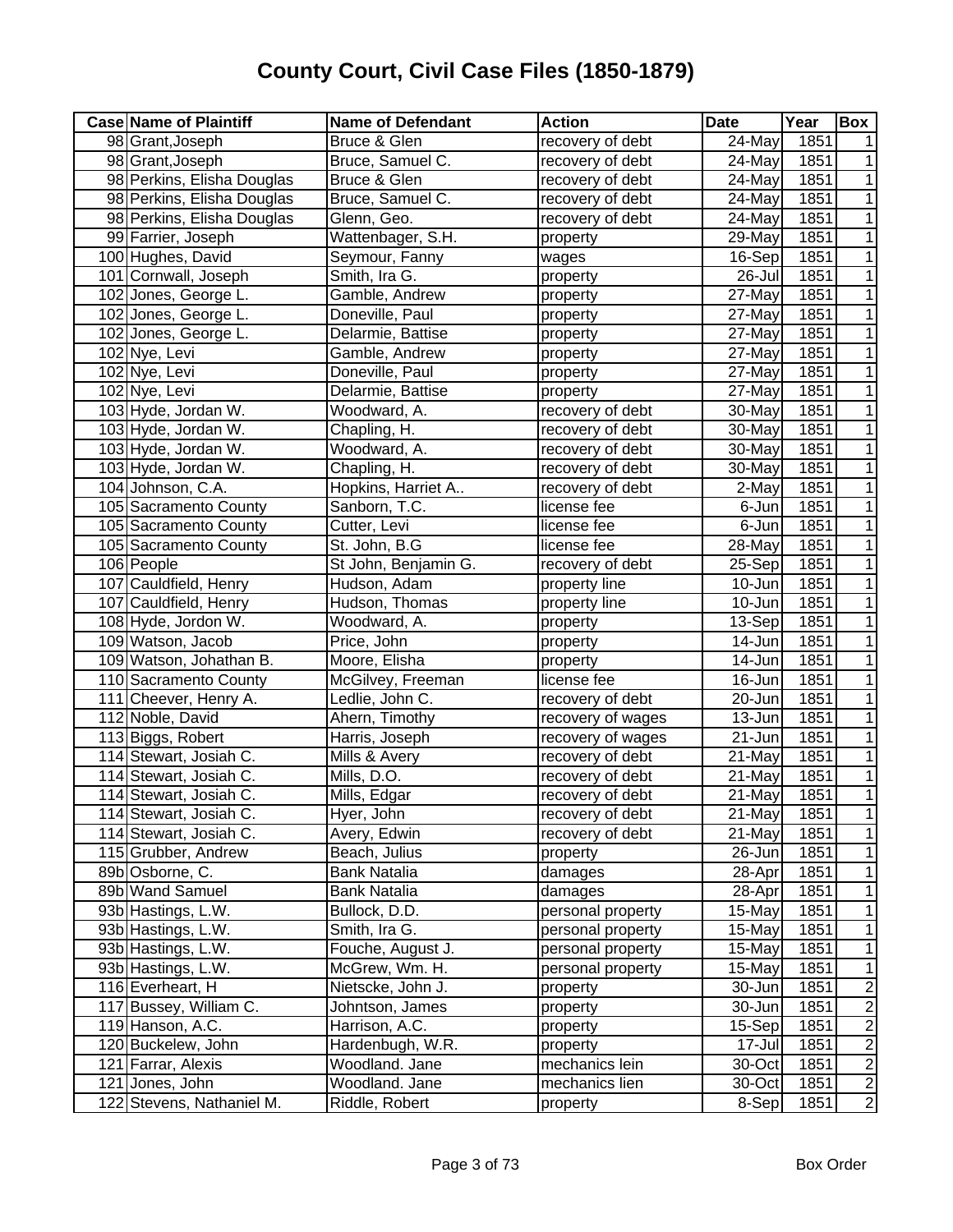| <b>Case Name of Plaintiff</b> | <b>Name of Defendant</b> | <b>Action</b>     | <b>Date</b> | Year | <b>Box</b>     |
|-------------------------------|--------------------------|-------------------|-------------|------|----------------|
| 98 Grant, Joseph              | Bruce & Glen             | recovery of debt  | 24-May      | 1851 |                |
| 98 Grant, Joseph              | Bruce, Samuel C.         | recovery of debt  | $24$ -May   | 1851 | 1              |
| 98 Perkins, Elisha Douglas    | Bruce & Glen             | recovery of debt  | 24-May      | 1851 | 1              |
| 98 Perkins, Elisha Douglas    | Bruce, Samuel C.         | recovery of debt  | 24-May      | 1851 | 1              |
| 98 Perkins, Elisha Douglas    | Glenn, Geo.              | recovery of debt  | $24$ -May   | 1851 | 1              |
| 99 Farrier, Joseph            | Wattenbager, S.H.        | property          | 29-May      | 1851 | 1              |
| 100 Hughes, David             | Seymour, Fanny           | wages             | 16-Sep      | 1851 | 1              |
| 101 Cornwall, Joseph          | Smith, Ira G.            | property          | 26-Jul      | 1851 | 1              |
| 102 Jones, George L.          | Gamble, Andrew           | property          | 27-May      | 1851 | 1              |
| 102 Jones, George L.          | Doneville, Paul          | property          | 27-May      | 1851 |                |
| 102 Jones, George L.          | Delarmie, Battise        | property          | 27-May      | 1851 |                |
| 102 Nye, Levi                 | Gamble, Andrew           | property          | 27-May      | 1851 | 1              |
| 102 Nye, Levi                 | Doneville, Paul          | property          | 27-May      | 1851 | 1              |
| 102 Nye, Levi                 | Delarmie, Battise        | property          | 27-May      | 1851 | 1              |
| 103 Hyde, Jordan W.           | Woodward, A.             | recovery of debt  | 30-May      | 1851 | 1              |
| 103 Hyde, Jordan W.           | Chapling, H.             | recovery of debt  | 30-May      | 1851 | 1              |
| 103 Hyde, Jordan W.           | Woodward, A.             | recovery of debt  | 30-May      | 1851 | 1              |
| 103 Hyde, Jordan W.           | Chapling, H.             | recovery of debt  | 30-May      | 1851 | 1              |
| 104 Johnson, C.A.             | Hopkins, Harriet A       | recovery of debt  | 2-May       | 1851 | 1              |
| 105 Sacramento County         | Sanborn, T.C.            | license fee       | 6-Jun       | 1851 | 1              |
| 105 Sacramento County         | Cutter, Levi             | license fee       | 6-Jun       | 1851 | 1              |
| 105 Sacramento County         | St. John, B.G            | license fee       | 28-May      | 1851 | 1              |
| 106 People                    | St John, Benjamin G.     | recovery of debt  | 25-Sep      | 1851 | 1              |
| 107 Cauldfield, Henry         | Hudson, Adam             | property line     | 10-Jun      | 1851 | 1              |
| 107 Cauldfield, Henry         | Hudson, Thomas           | property line     | 10-Jun      | 1851 | 1              |
| 108 Hyde, Jordon W.           | Woodward, A.             | property          | 13-Sep      | 1851 | 1              |
| 109 Watson, Jacob             | Price, John              | property          | 14-Jun      | 1851 | 1              |
| 109 Watson, Johathan B.       | Moore, Elisha            | property          | 14-Jun      | 1851 | 1              |
| 110 Sacramento County         | McGilvey, Freeman        | license fee       | $16 - Jun$  | 1851 | 1              |
| 111 Cheever, Henry A.         | Ledlie, John C.          | recovery of debt  | 20-Jun      | 1851 | 1              |
| 112 Noble, David              | Ahern, Timothy           | recovery of wages | 13-Jun      | 1851 | 1              |
| 113 Biggs, Robert             | Harris, Joseph           | recovery of wages | 21-Jun      | 1851 | 1              |
| 114 Stewart, Josiah C.        | Mills & Avery            | recovery of debt  | 21-May      | 1851 | 1              |
| 114 Stewart, Josiah C.        | Mills, D.O.              | recovery of debt  | 21-May      | 1851 | 1              |
| 114 Stewart, Josiah C.        | Mills, Edgar             | recovery of debt  | 21-May      | 1851 | 1              |
| 114 Stewart, Josiah C.        | Hyer, John               | recovery of debt  | 21-May      | 1851 | 1 <sup>1</sup> |
| 114 Stewart, Josiah C.        | Avery, Edwin             | recovery of debt  | 21-May      | 1851 | 1              |
| 115 Grubber, Andrew           | Beach, Julius            | property          | 26-Jun      | 1851 | 1              |
| 89b Osborne, C.               | <b>Bank Natalia</b>      | damages           | 28-Apr      | 1851 | 1              |
| 89b Wand Samuel               | <b>Bank Natalia</b>      | damages           | 28-Apr      | 1851 | 1              |
| 93b Hastings, L.W.            | Bullock, D.D.            | personal property | 15-May      | 1851 | 1              |
| 93b Hastings, L.W.            | Smith, Ira G.            | personal property | 15-May      | 1851 | 1              |
| 93b Hastings, L.W.            | Fouche, August J.        | personal property | 15-May      | 1851 | 1              |
| 93b Hastings, L.W.            | McGrew, Wm. H.           | personal property | 15-May      | 1851 | 1              |
| 116 Everheart, H              | Nietscke, John J.        | property          | 30-Jun      | 1851 | $\mathbf 2$    |
| 117 Bussey, William C.        | Johntson, James          | property          | 30-Jun      | 1851 | $\overline{2}$ |
| 119 Hanson, A.C.              | Harrison, A.C.           | property          | 15-Sep      | 1851 | $\overline{2}$ |
| 120 Buckelew, John            | Hardenbugh, W.R.         | property          | 17-Jul      | 1851 | $\overline{2}$ |
| 121 Farrar, Alexis            | Woodland. Jane           | mechanics lein    | 30-Oct      | 1851 | $\overline{2}$ |
| 121 Jones, John               | Woodland. Jane           | mechanics lien    | 30-Oct      | 1851 | $\overline{2}$ |
| 122 Stevens, Nathaniel M.     | Riddle, Robert           | property          | 8-Sep       | 1851 | $\overline{2}$ |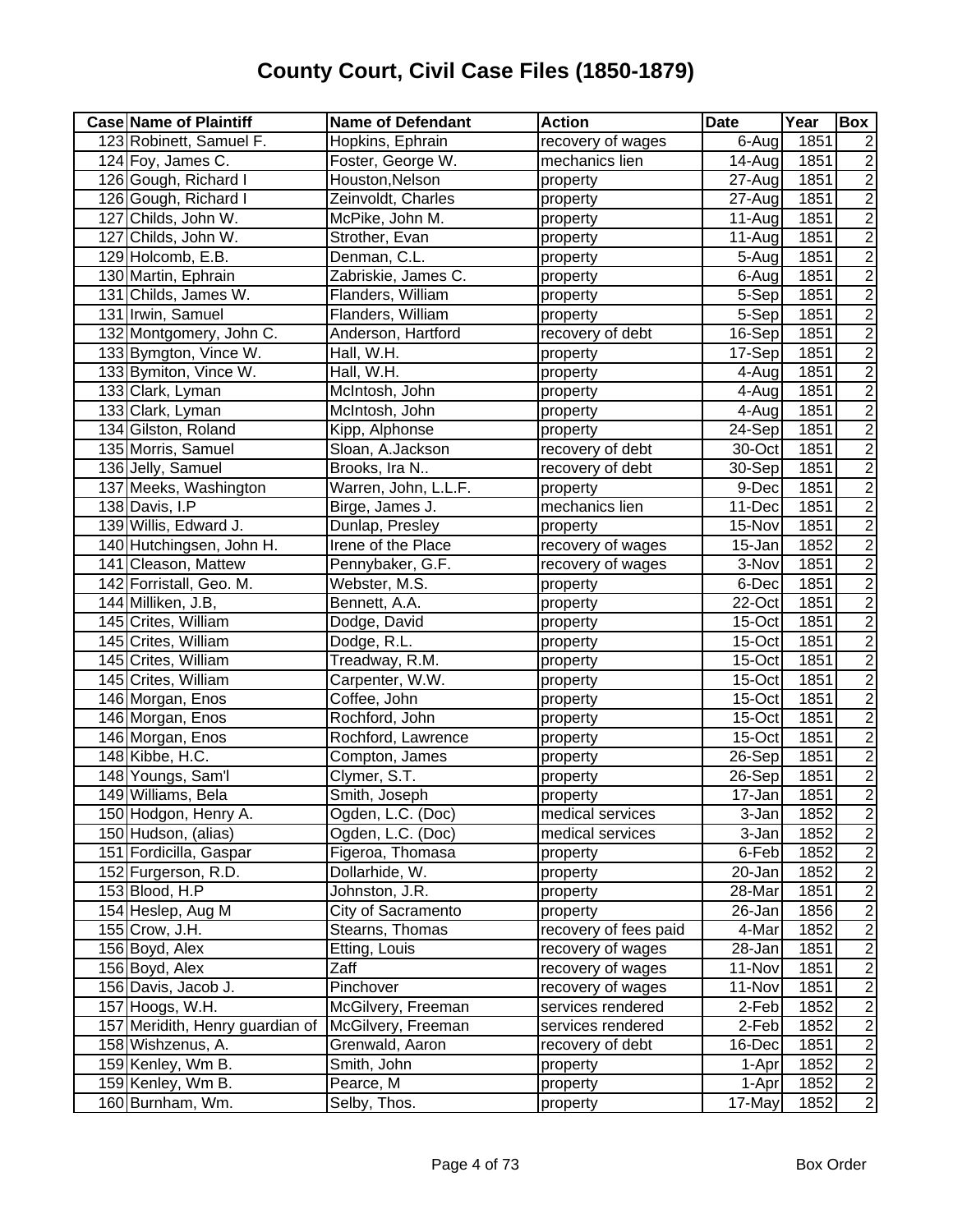| 123 Robinett, Samuel F.<br>Hopkins, Ephrain<br>recovery of wages<br>$6-Aug$<br>1851<br>2<br>$\overline{2}$<br>Foster, George W.<br>124 Foy, James C.<br>mechanics lien<br>14-Aug<br>1851<br>$\overline{2}$<br>126 Gough, Richard I<br>Houston, Nelson<br>1851<br>$\overline{2}$ 7-Aug<br>property<br>$\overline{2}$<br>126 Gough, Richard I<br>Zeinvoldt, Charles<br>27-Aug<br>1851<br>property<br>$\overline{2}$<br>127 Childs, John W.<br>McPike, John M.<br>1851<br>$11-Auq$<br>property<br>$\overline{2}$<br>127 Childs, John W.<br>1851<br>Strother, Evan<br>$11-Aug$<br>property<br>$\overline{c}$<br>129 Holcomb, E.B.<br>Denman, C.L.<br>1851<br>5-Aug<br>property<br>$\overline{2}$<br>130 Martin, Ephrain<br>Zabriskie, James C.<br>1851<br>6-Aug<br>property<br>$\overline{2}$<br>131 Childs, James W.<br>1851<br>Flanders, William<br>5-Sep<br>property<br>$\overline{2}$<br>131 Irwin, Samuel<br>1851<br>Flanders, William<br>5-Sep<br>property<br>$\overline{2}$<br>1851<br>132 Montgomery, John C.<br>Anderson, Hartford<br>recovery of debt<br>16-Sep<br>$\overline{2}$<br>133 Bymgton, Vince W.<br>1851<br>Hall, W.H.<br>17-Sep<br>property<br>$\overline{2}$<br>133 Bymiton, Vince W.<br>1851<br>Hall, W.H.<br>4-Aug<br>property<br>$\overline{2}$<br>1851<br>133 Clark, Lyman<br>McIntosh, John<br>4-Aug<br>property<br>$\overline{2}$<br>1851<br>133 Clark, Lyman<br>McIntosh, John<br>4-Aug<br>property<br>$\overline{c}$<br>134 Gilston, Roland<br>Kipp, Alphonse<br>24-Sep<br>1851<br>property<br>$\overline{2}$<br>1851<br>135 Morris, Samuel<br>Sloan, A.Jackson<br>recovery of debt<br>30-Oct<br>$\overline{2}$<br>136 Jelly, Samuel<br>1851<br>Brooks, Ira N<br>recovery of debt<br>30-Sep<br>$\overline{2}$<br>137 Meeks, Washington<br>Warren, John, L.L.F.<br>1851<br>9-Dec<br>property<br>$\overline{2}$<br>138 Davis, I.P<br>Birge, James J.<br>mechanics lien<br>1851<br>11-Dec<br>$\overline{2}$<br>139 Willis, Edward J.<br>Dunlap, Presley<br>1851<br>15-Nov<br>property<br>$\overline{2}$<br>140 Hutchingsen, John H.<br>Irene of the Place<br>recovery of wages<br>1852<br>15-Jan<br>$\overline{2}$<br>141 Cleason, Mattew<br>1851<br>Pennybaker, G.F.<br>recovery of wages<br>3-Nov<br>$\overline{2}$<br>142 Forristall, Geo. M.<br>Webster, M.S.<br>6-Dec<br>1851<br>property<br>$\overline{2}$<br>144 Milliken, J.B,<br>22-Oct<br>1851<br>Bennett, A.A.<br>property<br>$\overline{2}$<br>145 Crites, William<br>Dodge, David<br>15-Oct<br>1851<br>property<br>$\overline{2}$<br>Dodge, R.L.<br>1851<br>145 Crites, William<br>15-Oct<br>property<br>$\overline{2}$<br>Treadway, R.M.<br>15-Oct<br>1851<br>145 Crites, William<br>property<br>$\frac{2}{2}$<br>15-Oct<br>1851<br>145 Crites, William<br>Carpenter, W.W.<br>property<br>Coffee, John<br>1851<br>146 Morgan, Enos<br>$15$ -Oct<br>property<br>$\overline{c}$<br>1851<br>146 Morgan, Enos<br>Rochford, John<br>$15$ -Oct<br>property<br>$\overline{c}$<br>146 Morgan, Enos<br>Rochford, Lawrence<br>15-Oct<br>1851<br>property<br>$\overline{2}$<br>148 Kibbe, H.C.<br>Compton, James<br>26-Sep<br>1851<br>property<br>$\overline{2}$<br>Clymer, S.T.<br>1851<br>148 Youngs, Sam'l<br>26-Sep<br>property<br>$\overline{2}$<br>149 Williams, Bela<br>Smith, Joseph<br>17-Jan<br>1851<br>property<br>150 Hodgon, Henry A.<br>Ogden, L.C. (Doc)<br>1852<br>$\sqrt{2}$<br>medical services<br>3-Jan<br>$\overline{2}$<br>150 Hudson, (alias)<br>Ogden, L.C. (Doc)<br>medical services<br>3-Jan<br>1852<br>151 Fordicilla, Gaspar<br>1852<br>$\overline{c}$<br>Figeroa, Thomasa<br>6-Feb<br>property<br>$\overline{2}$<br>152 Furgerson, R.D.<br>Dollarhide, W.<br>1852<br>20-Jan<br>property<br>$\overline{\mathbf{c}}$<br>153 Blood, H.P<br>Johnston, J.R.<br>1851<br>28-Mar<br>property<br>$\overline{2}$<br>154 Heslep, Aug M<br>City of Sacramento<br>1856<br>26-Jan<br>property<br>155 Crow, J.H.<br>1852<br>$\overline{c}$<br>Stearns, Thomas<br>recovery of fees paid<br>4-Mar<br>$\overline{2}$<br>156 Boyd, Alex<br>Etting, Louis<br>$\overline{2}8 -$ Jan<br>1851<br>recovery of wages<br>$\overline{2}$<br>156 Boyd, Alex<br>Zaff<br>1851<br>recovery of wages<br>11-Nov<br>$\overline{c}$<br>Pinchover<br>156 Davis, Jacob J.<br>1851<br>recovery of wages<br>11-Nov<br>$\overline{2}$<br>1852<br>157 Hoogs, W.H.<br>McGilvery, Freeman<br>services rendered<br>2-Feb<br>$\overline{2}$<br>157 Meridith, Henry guardian of<br>1852<br>McGilvery, Freeman<br>2-Feb<br>services rendered<br>$\overline{2}$<br>158 Wishzenus, A.<br>Grenwald, Aaron<br>recovery of debt<br>1851<br>16-Dec<br>$\overline{2}$<br>159 Kenley, Wm B.<br>Smith, John<br>1852<br>1-Apr<br>property<br>$\overline{2}$<br>Pearce, M<br>1852<br>159 Kenley, Wm B.<br>property<br>1-Apr<br>160 Burnham, Wm.<br>Selby, Thos.<br>17-May<br>1852<br>property | <b>Case Name of Plaintiff</b> | <b>Name of Defendant</b> | <b>Action</b> | <b>Date</b> | Year | Box |
|-------------------------------------------------------------------------------------------------------------------------------------------------------------------------------------------------------------------------------------------------------------------------------------------------------------------------------------------------------------------------------------------------------------------------------------------------------------------------------------------------------------------------------------------------------------------------------------------------------------------------------------------------------------------------------------------------------------------------------------------------------------------------------------------------------------------------------------------------------------------------------------------------------------------------------------------------------------------------------------------------------------------------------------------------------------------------------------------------------------------------------------------------------------------------------------------------------------------------------------------------------------------------------------------------------------------------------------------------------------------------------------------------------------------------------------------------------------------------------------------------------------------------------------------------------------------------------------------------------------------------------------------------------------------------------------------------------------------------------------------------------------------------------------------------------------------------------------------------------------------------------------------------------------------------------------------------------------------------------------------------------------------------------------------------------------------------------------------------------------------------------------------------------------------------------------------------------------------------------------------------------------------------------------------------------------------------------------------------------------------------------------------------------------------------------------------------------------------------------------------------------------------------------------------------------------------------------------------------------------------------------------------------------------------------------------------------------------------------------------------------------------------------------------------------------------------------------------------------------------------------------------------------------------------------------------------------------------------------------------------------------------------------------------------------------------------------------------------------------------------------------------------------------------------------------------------------------------------------------------------------------------------------------------------------------------------------------------------------------------------------------------------------------------------------------------------------------------------------------------------------------------------------------------------------------------------------------------------------------------------------------------------------------------------------------------------------------------------------------------------------------------------------------------------------------------------------------------------------------------------------------------------------------------------------------------------------------------------------------------------------------------------------------------------------------------------------------------------------------------------------------------------------------------------------------------------------------------------------------------------------------------------------------------------------------------------------------------------------------------------------------------------------------------------------------------------------------------------------------------------------------------------------------------------------------------------------------------------------------------------------------------------------------------------------------------------------------------------------------------------------------------------------------------------------------------------------------------------|-------------------------------|--------------------------|---------------|-------------|------|-----|
| $\overline{c}$                                                                                                                                                                                                                                                                                                                                                                                                                                                                                                                                                                                                                                                                                                                                                                                                                                                                                                                                                                                                                                                                                                                                                                                                                                                                                                                                                                                                                                                                                                                                                                                                                                                                                                                                                                                                                                                                                                                                                                                                                                                                                                                                                                                                                                                                                                                                                                                                                                                                                                                                                                                                                                                                                                                                                                                                                                                                                                                                                                                                                                                                                                                                                                                                                                                                                                                                                                                                                                                                                                                                                                                                                                                                                                                                                                                                                                                                                                                                                                                                                                                                                                                                                                                                                                                                                                                                                                                                                                                                                                                                                                                                                                                                                                                                                                                                                            |                               |                          |               |             |      |     |
|                                                                                                                                                                                                                                                                                                                                                                                                                                                                                                                                                                                                                                                                                                                                                                                                                                                                                                                                                                                                                                                                                                                                                                                                                                                                                                                                                                                                                                                                                                                                                                                                                                                                                                                                                                                                                                                                                                                                                                                                                                                                                                                                                                                                                                                                                                                                                                                                                                                                                                                                                                                                                                                                                                                                                                                                                                                                                                                                                                                                                                                                                                                                                                                                                                                                                                                                                                                                                                                                                                                                                                                                                                                                                                                                                                                                                                                                                                                                                                                                                                                                                                                                                                                                                                                                                                                                                                                                                                                                                                                                                                                                                                                                                                                                                                                                                                           |                               |                          |               |             |      |     |
|                                                                                                                                                                                                                                                                                                                                                                                                                                                                                                                                                                                                                                                                                                                                                                                                                                                                                                                                                                                                                                                                                                                                                                                                                                                                                                                                                                                                                                                                                                                                                                                                                                                                                                                                                                                                                                                                                                                                                                                                                                                                                                                                                                                                                                                                                                                                                                                                                                                                                                                                                                                                                                                                                                                                                                                                                                                                                                                                                                                                                                                                                                                                                                                                                                                                                                                                                                                                                                                                                                                                                                                                                                                                                                                                                                                                                                                                                                                                                                                                                                                                                                                                                                                                                                                                                                                                                                                                                                                                                                                                                                                                                                                                                                                                                                                                                                           |                               |                          |               |             |      |     |
|                                                                                                                                                                                                                                                                                                                                                                                                                                                                                                                                                                                                                                                                                                                                                                                                                                                                                                                                                                                                                                                                                                                                                                                                                                                                                                                                                                                                                                                                                                                                                                                                                                                                                                                                                                                                                                                                                                                                                                                                                                                                                                                                                                                                                                                                                                                                                                                                                                                                                                                                                                                                                                                                                                                                                                                                                                                                                                                                                                                                                                                                                                                                                                                                                                                                                                                                                                                                                                                                                                                                                                                                                                                                                                                                                                                                                                                                                                                                                                                                                                                                                                                                                                                                                                                                                                                                                                                                                                                                                                                                                                                                                                                                                                                                                                                                                                           |                               |                          |               |             |      |     |
|                                                                                                                                                                                                                                                                                                                                                                                                                                                                                                                                                                                                                                                                                                                                                                                                                                                                                                                                                                                                                                                                                                                                                                                                                                                                                                                                                                                                                                                                                                                                                                                                                                                                                                                                                                                                                                                                                                                                                                                                                                                                                                                                                                                                                                                                                                                                                                                                                                                                                                                                                                                                                                                                                                                                                                                                                                                                                                                                                                                                                                                                                                                                                                                                                                                                                                                                                                                                                                                                                                                                                                                                                                                                                                                                                                                                                                                                                                                                                                                                                                                                                                                                                                                                                                                                                                                                                                                                                                                                                                                                                                                                                                                                                                                                                                                                                                           |                               |                          |               |             |      |     |
|                                                                                                                                                                                                                                                                                                                                                                                                                                                                                                                                                                                                                                                                                                                                                                                                                                                                                                                                                                                                                                                                                                                                                                                                                                                                                                                                                                                                                                                                                                                                                                                                                                                                                                                                                                                                                                                                                                                                                                                                                                                                                                                                                                                                                                                                                                                                                                                                                                                                                                                                                                                                                                                                                                                                                                                                                                                                                                                                                                                                                                                                                                                                                                                                                                                                                                                                                                                                                                                                                                                                                                                                                                                                                                                                                                                                                                                                                                                                                                                                                                                                                                                                                                                                                                                                                                                                                                                                                                                                                                                                                                                                                                                                                                                                                                                                                                           |                               |                          |               |             |      |     |
|                                                                                                                                                                                                                                                                                                                                                                                                                                                                                                                                                                                                                                                                                                                                                                                                                                                                                                                                                                                                                                                                                                                                                                                                                                                                                                                                                                                                                                                                                                                                                                                                                                                                                                                                                                                                                                                                                                                                                                                                                                                                                                                                                                                                                                                                                                                                                                                                                                                                                                                                                                                                                                                                                                                                                                                                                                                                                                                                                                                                                                                                                                                                                                                                                                                                                                                                                                                                                                                                                                                                                                                                                                                                                                                                                                                                                                                                                                                                                                                                                                                                                                                                                                                                                                                                                                                                                                                                                                                                                                                                                                                                                                                                                                                                                                                                                                           |                               |                          |               |             |      |     |
|                                                                                                                                                                                                                                                                                                                                                                                                                                                                                                                                                                                                                                                                                                                                                                                                                                                                                                                                                                                                                                                                                                                                                                                                                                                                                                                                                                                                                                                                                                                                                                                                                                                                                                                                                                                                                                                                                                                                                                                                                                                                                                                                                                                                                                                                                                                                                                                                                                                                                                                                                                                                                                                                                                                                                                                                                                                                                                                                                                                                                                                                                                                                                                                                                                                                                                                                                                                                                                                                                                                                                                                                                                                                                                                                                                                                                                                                                                                                                                                                                                                                                                                                                                                                                                                                                                                                                                                                                                                                                                                                                                                                                                                                                                                                                                                                                                           |                               |                          |               |             |      |     |
|                                                                                                                                                                                                                                                                                                                                                                                                                                                                                                                                                                                                                                                                                                                                                                                                                                                                                                                                                                                                                                                                                                                                                                                                                                                                                                                                                                                                                                                                                                                                                                                                                                                                                                                                                                                                                                                                                                                                                                                                                                                                                                                                                                                                                                                                                                                                                                                                                                                                                                                                                                                                                                                                                                                                                                                                                                                                                                                                                                                                                                                                                                                                                                                                                                                                                                                                                                                                                                                                                                                                                                                                                                                                                                                                                                                                                                                                                                                                                                                                                                                                                                                                                                                                                                                                                                                                                                                                                                                                                                                                                                                                                                                                                                                                                                                                                                           |                               |                          |               |             |      |     |
|                                                                                                                                                                                                                                                                                                                                                                                                                                                                                                                                                                                                                                                                                                                                                                                                                                                                                                                                                                                                                                                                                                                                                                                                                                                                                                                                                                                                                                                                                                                                                                                                                                                                                                                                                                                                                                                                                                                                                                                                                                                                                                                                                                                                                                                                                                                                                                                                                                                                                                                                                                                                                                                                                                                                                                                                                                                                                                                                                                                                                                                                                                                                                                                                                                                                                                                                                                                                                                                                                                                                                                                                                                                                                                                                                                                                                                                                                                                                                                                                                                                                                                                                                                                                                                                                                                                                                                                                                                                                                                                                                                                                                                                                                                                                                                                                                                           |                               |                          |               |             |      |     |
|                                                                                                                                                                                                                                                                                                                                                                                                                                                                                                                                                                                                                                                                                                                                                                                                                                                                                                                                                                                                                                                                                                                                                                                                                                                                                                                                                                                                                                                                                                                                                                                                                                                                                                                                                                                                                                                                                                                                                                                                                                                                                                                                                                                                                                                                                                                                                                                                                                                                                                                                                                                                                                                                                                                                                                                                                                                                                                                                                                                                                                                                                                                                                                                                                                                                                                                                                                                                                                                                                                                                                                                                                                                                                                                                                                                                                                                                                                                                                                                                                                                                                                                                                                                                                                                                                                                                                                                                                                                                                                                                                                                                                                                                                                                                                                                                                                           |                               |                          |               |             |      |     |
|                                                                                                                                                                                                                                                                                                                                                                                                                                                                                                                                                                                                                                                                                                                                                                                                                                                                                                                                                                                                                                                                                                                                                                                                                                                                                                                                                                                                                                                                                                                                                                                                                                                                                                                                                                                                                                                                                                                                                                                                                                                                                                                                                                                                                                                                                                                                                                                                                                                                                                                                                                                                                                                                                                                                                                                                                                                                                                                                                                                                                                                                                                                                                                                                                                                                                                                                                                                                                                                                                                                                                                                                                                                                                                                                                                                                                                                                                                                                                                                                                                                                                                                                                                                                                                                                                                                                                                                                                                                                                                                                                                                                                                                                                                                                                                                                                                           |                               |                          |               |             |      |     |
|                                                                                                                                                                                                                                                                                                                                                                                                                                                                                                                                                                                                                                                                                                                                                                                                                                                                                                                                                                                                                                                                                                                                                                                                                                                                                                                                                                                                                                                                                                                                                                                                                                                                                                                                                                                                                                                                                                                                                                                                                                                                                                                                                                                                                                                                                                                                                                                                                                                                                                                                                                                                                                                                                                                                                                                                                                                                                                                                                                                                                                                                                                                                                                                                                                                                                                                                                                                                                                                                                                                                                                                                                                                                                                                                                                                                                                                                                                                                                                                                                                                                                                                                                                                                                                                                                                                                                                                                                                                                                                                                                                                                                                                                                                                                                                                                                                           |                               |                          |               |             |      |     |
|                                                                                                                                                                                                                                                                                                                                                                                                                                                                                                                                                                                                                                                                                                                                                                                                                                                                                                                                                                                                                                                                                                                                                                                                                                                                                                                                                                                                                                                                                                                                                                                                                                                                                                                                                                                                                                                                                                                                                                                                                                                                                                                                                                                                                                                                                                                                                                                                                                                                                                                                                                                                                                                                                                                                                                                                                                                                                                                                                                                                                                                                                                                                                                                                                                                                                                                                                                                                                                                                                                                                                                                                                                                                                                                                                                                                                                                                                                                                                                                                                                                                                                                                                                                                                                                                                                                                                                                                                                                                                                                                                                                                                                                                                                                                                                                                                                           |                               |                          |               |             |      |     |
|                                                                                                                                                                                                                                                                                                                                                                                                                                                                                                                                                                                                                                                                                                                                                                                                                                                                                                                                                                                                                                                                                                                                                                                                                                                                                                                                                                                                                                                                                                                                                                                                                                                                                                                                                                                                                                                                                                                                                                                                                                                                                                                                                                                                                                                                                                                                                                                                                                                                                                                                                                                                                                                                                                                                                                                                                                                                                                                                                                                                                                                                                                                                                                                                                                                                                                                                                                                                                                                                                                                                                                                                                                                                                                                                                                                                                                                                                                                                                                                                                                                                                                                                                                                                                                                                                                                                                                                                                                                                                                                                                                                                                                                                                                                                                                                                                                           |                               |                          |               |             |      |     |
|                                                                                                                                                                                                                                                                                                                                                                                                                                                                                                                                                                                                                                                                                                                                                                                                                                                                                                                                                                                                                                                                                                                                                                                                                                                                                                                                                                                                                                                                                                                                                                                                                                                                                                                                                                                                                                                                                                                                                                                                                                                                                                                                                                                                                                                                                                                                                                                                                                                                                                                                                                                                                                                                                                                                                                                                                                                                                                                                                                                                                                                                                                                                                                                                                                                                                                                                                                                                                                                                                                                                                                                                                                                                                                                                                                                                                                                                                                                                                                                                                                                                                                                                                                                                                                                                                                                                                                                                                                                                                                                                                                                                                                                                                                                                                                                                                                           |                               |                          |               |             |      |     |
|                                                                                                                                                                                                                                                                                                                                                                                                                                                                                                                                                                                                                                                                                                                                                                                                                                                                                                                                                                                                                                                                                                                                                                                                                                                                                                                                                                                                                                                                                                                                                                                                                                                                                                                                                                                                                                                                                                                                                                                                                                                                                                                                                                                                                                                                                                                                                                                                                                                                                                                                                                                                                                                                                                                                                                                                                                                                                                                                                                                                                                                                                                                                                                                                                                                                                                                                                                                                                                                                                                                                                                                                                                                                                                                                                                                                                                                                                                                                                                                                                                                                                                                                                                                                                                                                                                                                                                                                                                                                                                                                                                                                                                                                                                                                                                                                                                           |                               |                          |               |             |      |     |
|                                                                                                                                                                                                                                                                                                                                                                                                                                                                                                                                                                                                                                                                                                                                                                                                                                                                                                                                                                                                                                                                                                                                                                                                                                                                                                                                                                                                                                                                                                                                                                                                                                                                                                                                                                                                                                                                                                                                                                                                                                                                                                                                                                                                                                                                                                                                                                                                                                                                                                                                                                                                                                                                                                                                                                                                                                                                                                                                                                                                                                                                                                                                                                                                                                                                                                                                                                                                                                                                                                                                                                                                                                                                                                                                                                                                                                                                                                                                                                                                                                                                                                                                                                                                                                                                                                                                                                                                                                                                                                                                                                                                                                                                                                                                                                                                                                           |                               |                          |               |             |      |     |
|                                                                                                                                                                                                                                                                                                                                                                                                                                                                                                                                                                                                                                                                                                                                                                                                                                                                                                                                                                                                                                                                                                                                                                                                                                                                                                                                                                                                                                                                                                                                                                                                                                                                                                                                                                                                                                                                                                                                                                                                                                                                                                                                                                                                                                                                                                                                                                                                                                                                                                                                                                                                                                                                                                                                                                                                                                                                                                                                                                                                                                                                                                                                                                                                                                                                                                                                                                                                                                                                                                                                                                                                                                                                                                                                                                                                                                                                                                                                                                                                                                                                                                                                                                                                                                                                                                                                                                                                                                                                                                                                                                                                                                                                                                                                                                                                                                           |                               |                          |               |             |      |     |
|                                                                                                                                                                                                                                                                                                                                                                                                                                                                                                                                                                                                                                                                                                                                                                                                                                                                                                                                                                                                                                                                                                                                                                                                                                                                                                                                                                                                                                                                                                                                                                                                                                                                                                                                                                                                                                                                                                                                                                                                                                                                                                                                                                                                                                                                                                                                                                                                                                                                                                                                                                                                                                                                                                                                                                                                                                                                                                                                                                                                                                                                                                                                                                                                                                                                                                                                                                                                                                                                                                                                                                                                                                                                                                                                                                                                                                                                                                                                                                                                                                                                                                                                                                                                                                                                                                                                                                                                                                                                                                                                                                                                                                                                                                                                                                                                                                           |                               |                          |               |             |      |     |
|                                                                                                                                                                                                                                                                                                                                                                                                                                                                                                                                                                                                                                                                                                                                                                                                                                                                                                                                                                                                                                                                                                                                                                                                                                                                                                                                                                                                                                                                                                                                                                                                                                                                                                                                                                                                                                                                                                                                                                                                                                                                                                                                                                                                                                                                                                                                                                                                                                                                                                                                                                                                                                                                                                                                                                                                                                                                                                                                                                                                                                                                                                                                                                                                                                                                                                                                                                                                                                                                                                                                                                                                                                                                                                                                                                                                                                                                                                                                                                                                                                                                                                                                                                                                                                                                                                                                                                                                                                                                                                                                                                                                                                                                                                                                                                                                                                           |                               |                          |               |             |      |     |
|                                                                                                                                                                                                                                                                                                                                                                                                                                                                                                                                                                                                                                                                                                                                                                                                                                                                                                                                                                                                                                                                                                                                                                                                                                                                                                                                                                                                                                                                                                                                                                                                                                                                                                                                                                                                                                                                                                                                                                                                                                                                                                                                                                                                                                                                                                                                                                                                                                                                                                                                                                                                                                                                                                                                                                                                                                                                                                                                                                                                                                                                                                                                                                                                                                                                                                                                                                                                                                                                                                                                                                                                                                                                                                                                                                                                                                                                                                                                                                                                                                                                                                                                                                                                                                                                                                                                                                                                                                                                                                                                                                                                                                                                                                                                                                                                                                           |                               |                          |               |             |      |     |
|                                                                                                                                                                                                                                                                                                                                                                                                                                                                                                                                                                                                                                                                                                                                                                                                                                                                                                                                                                                                                                                                                                                                                                                                                                                                                                                                                                                                                                                                                                                                                                                                                                                                                                                                                                                                                                                                                                                                                                                                                                                                                                                                                                                                                                                                                                                                                                                                                                                                                                                                                                                                                                                                                                                                                                                                                                                                                                                                                                                                                                                                                                                                                                                                                                                                                                                                                                                                                                                                                                                                                                                                                                                                                                                                                                                                                                                                                                                                                                                                                                                                                                                                                                                                                                                                                                                                                                                                                                                                                                                                                                                                                                                                                                                                                                                                                                           |                               |                          |               |             |      |     |
|                                                                                                                                                                                                                                                                                                                                                                                                                                                                                                                                                                                                                                                                                                                                                                                                                                                                                                                                                                                                                                                                                                                                                                                                                                                                                                                                                                                                                                                                                                                                                                                                                                                                                                                                                                                                                                                                                                                                                                                                                                                                                                                                                                                                                                                                                                                                                                                                                                                                                                                                                                                                                                                                                                                                                                                                                                                                                                                                                                                                                                                                                                                                                                                                                                                                                                                                                                                                                                                                                                                                                                                                                                                                                                                                                                                                                                                                                                                                                                                                                                                                                                                                                                                                                                                                                                                                                                                                                                                                                                                                                                                                                                                                                                                                                                                                                                           |                               |                          |               |             |      |     |
|                                                                                                                                                                                                                                                                                                                                                                                                                                                                                                                                                                                                                                                                                                                                                                                                                                                                                                                                                                                                                                                                                                                                                                                                                                                                                                                                                                                                                                                                                                                                                                                                                                                                                                                                                                                                                                                                                                                                                                                                                                                                                                                                                                                                                                                                                                                                                                                                                                                                                                                                                                                                                                                                                                                                                                                                                                                                                                                                                                                                                                                                                                                                                                                                                                                                                                                                                                                                                                                                                                                                                                                                                                                                                                                                                                                                                                                                                                                                                                                                                                                                                                                                                                                                                                                                                                                                                                                                                                                                                                                                                                                                                                                                                                                                                                                                                                           |                               |                          |               |             |      |     |
|                                                                                                                                                                                                                                                                                                                                                                                                                                                                                                                                                                                                                                                                                                                                                                                                                                                                                                                                                                                                                                                                                                                                                                                                                                                                                                                                                                                                                                                                                                                                                                                                                                                                                                                                                                                                                                                                                                                                                                                                                                                                                                                                                                                                                                                                                                                                                                                                                                                                                                                                                                                                                                                                                                                                                                                                                                                                                                                                                                                                                                                                                                                                                                                                                                                                                                                                                                                                                                                                                                                                                                                                                                                                                                                                                                                                                                                                                                                                                                                                                                                                                                                                                                                                                                                                                                                                                                                                                                                                                                                                                                                                                                                                                                                                                                                                                                           |                               |                          |               |             |      |     |
|                                                                                                                                                                                                                                                                                                                                                                                                                                                                                                                                                                                                                                                                                                                                                                                                                                                                                                                                                                                                                                                                                                                                                                                                                                                                                                                                                                                                                                                                                                                                                                                                                                                                                                                                                                                                                                                                                                                                                                                                                                                                                                                                                                                                                                                                                                                                                                                                                                                                                                                                                                                                                                                                                                                                                                                                                                                                                                                                                                                                                                                                                                                                                                                                                                                                                                                                                                                                                                                                                                                                                                                                                                                                                                                                                                                                                                                                                                                                                                                                                                                                                                                                                                                                                                                                                                                                                                                                                                                                                                                                                                                                                                                                                                                                                                                                                                           |                               |                          |               |             |      |     |
|                                                                                                                                                                                                                                                                                                                                                                                                                                                                                                                                                                                                                                                                                                                                                                                                                                                                                                                                                                                                                                                                                                                                                                                                                                                                                                                                                                                                                                                                                                                                                                                                                                                                                                                                                                                                                                                                                                                                                                                                                                                                                                                                                                                                                                                                                                                                                                                                                                                                                                                                                                                                                                                                                                                                                                                                                                                                                                                                                                                                                                                                                                                                                                                                                                                                                                                                                                                                                                                                                                                                                                                                                                                                                                                                                                                                                                                                                                                                                                                                                                                                                                                                                                                                                                                                                                                                                                                                                                                                                                                                                                                                                                                                                                                                                                                                                                           |                               |                          |               |             |      |     |
|                                                                                                                                                                                                                                                                                                                                                                                                                                                                                                                                                                                                                                                                                                                                                                                                                                                                                                                                                                                                                                                                                                                                                                                                                                                                                                                                                                                                                                                                                                                                                                                                                                                                                                                                                                                                                                                                                                                                                                                                                                                                                                                                                                                                                                                                                                                                                                                                                                                                                                                                                                                                                                                                                                                                                                                                                                                                                                                                                                                                                                                                                                                                                                                                                                                                                                                                                                                                                                                                                                                                                                                                                                                                                                                                                                                                                                                                                                                                                                                                                                                                                                                                                                                                                                                                                                                                                                                                                                                                                                                                                                                                                                                                                                                                                                                                                                           |                               |                          |               |             |      |     |
|                                                                                                                                                                                                                                                                                                                                                                                                                                                                                                                                                                                                                                                                                                                                                                                                                                                                                                                                                                                                                                                                                                                                                                                                                                                                                                                                                                                                                                                                                                                                                                                                                                                                                                                                                                                                                                                                                                                                                                                                                                                                                                                                                                                                                                                                                                                                                                                                                                                                                                                                                                                                                                                                                                                                                                                                                                                                                                                                                                                                                                                                                                                                                                                                                                                                                                                                                                                                                                                                                                                                                                                                                                                                                                                                                                                                                                                                                                                                                                                                                                                                                                                                                                                                                                                                                                                                                                                                                                                                                                                                                                                                                                                                                                                                                                                                                                           |                               |                          |               |             |      |     |
|                                                                                                                                                                                                                                                                                                                                                                                                                                                                                                                                                                                                                                                                                                                                                                                                                                                                                                                                                                                                                                                                                                                                                                                                                                                                                                                                                                                                                                                                                                                                                                                                                                                                                                                                                                                                                                                                                                                                                                                                                                                                                                                                                                                                                                                                                                                                                                                                                                                                                                                                                                                                                                                                                                                                                                                                                                                                                                                                                                                                                                                                                                                                                                                                                                                                                                                                                                                                                                                                                                                                                                                                                                                                                                                                                                                                                                                                                                                                                                                                                                                                                                                                                                                                                                                                                                                                                                                                                                                                                                                                                                                                                                                                                                                                                                                                                                           |                               |                          |               |             |      |     |
|                                                                                                                                                                                                                                                                                                                                                                                                                                                                                                                                                                                                                                                                                                                                                                                                                                                                                                                                                                                                                                                                                                                                                                                                                                                                                                                                                                                                                                                                                                                                                                                                                                                                                                                                                                                                                                                                                                                                                                                                                                                                                                                                                                                                                                                                                                                                                                                                                                                                                                                                                                                                                                                                                                                                                                                                                                                                                                                                                                                                                                                                                                                                                                                                                                                                                                                                                                                                                                                                                                                                                                                                                                                                                                                                                                                                                                                                                                                                                                                                                                                                                                                                                                                                                                                                                                                                                                                                                                                                                                                                                                                                                                                                                                                                                                                                                                           |                               |                          |               |             |      |     |
|                                                                                                                                                                                                                                                                                                                                                                                                                                                                                                                                                                                                                                                                                                                                                                                                                                                                                                                                                                                                                                                                                                                                                                                                                                                                                                                                                                                                                                                                                                                                                                                                                                                                                                                                                                                                                                                                                                                                                                                                                                                                                                                                                                                                                                                                                                                                                                                                                                                                                                                                                                                                                                                                                                                                                                                                                                                                                                                                                                                                                                                                                                                                                                                                                                                                                                                                                                                                                                                                                                                                                                                                                                                                                                                                                                                                                                                                                                                                                                                                                                                                                                                                                                                                                                                                                                                                                                                                                                                                                                                                                                                                                                                                                                                                                                                                                                           |                               |                          |               |             |      |     |
|                                                                                                                                                                                                                                                                                                                                                                                                                                                                                                                                                                                                                                                                                                                                                                                                                                                                                                                                                                                                                                                                                                                                                                                                                                                                                                                                                                                                                                                                                                                                                                                                                                                                                                                                                                                                                                                                                                                                                                                                                                                                                                                                                                                                                                                                                                                                                                                                                                                                                                                                                                                                                                                                                                                                                                                                                                                                                                                                                                                                                                                                                                                                                                                                                                                                                                                                                                                                                                                                                                                                                                                                                                                                                                                                                                                                                                                                                                                                                                                                                                                                                                                                                                                                                                                                                                                                                                                                                                                                                                                                                                                                                                                                                                                                                                                                                                           |                               |                          |               |             |      |     |
|                                                                                                                                                                                                                                                                                                                                                                                                                                                                                                                                                                                                                                                                                                                                                                                                                                                                                                                                                                                                                                                                                                                                                                                                                                                                                                                                                                                                                                                                                                                                                                                                                                                                                                                                                                                                                                                                                                                                                                                                                                                                                                                                                                                                                                                                                                                                                                                                                                                                                                                                                                                                                                                                                                                                                                                                                                                                                                                                                                                                                                                                                                                                                                                                                                                                                                                                                                                                                                                                                                                                                                                                                                                                                                                                                                                                                                                                                                                                                                                                                                                                                                                                                                                                                                                                                                                                                                                                                                                                                                                                                                                                                                                                                                                                                                                                                                           |                               |                          |               |             |      |     |
|                                                                                                                                                                                                                                                                                                                                                                                                                                                                                                                                                                                                                                                                                                                                                                                                                                                                                                                                                                                                                                                                                                                                                                                                                                                                                                                                                                                                                                                                                                                                                                                                                                                                                                                                                                                                                                                                                                                                                                                                                                                                                                                                                                                                                                                                                                                                                                                                                                                                                                                                                                                                                                                                                                                                                                                                                                                                                                                                                                                                                                                                                                                                                                                                                                                                                                                                                                                                                                                                                                                                                                                                                                                                                                                                                                                                                                                                                                                                                                                                                                                                                                                                                                                                                                                                                                                                                                                                                                                                                                                                                                                                                                                                                                                                                                                                                                           |                               |                          |               |             |      |     |
|                                                                                                                                                                                                                                                                                                                                                                                                                                                                                                                                                                                                                                                                                                                                                                                                                                                                                                                                                                                                                                                                                                                                                                                                                                                                                                                                                                                                                                                                                                                                                                                                                                                                                                                                                                                                                                                                                                                                                                                                                                                                                                                                                                                                                                                                                                                                                                                                                                                                                                                                                                                                                                                                                                                                                                                                                                                                                                                                                                                                                                                                                                                                                                                                                                                                                                                                                                                                                                                                                                                                                                                                                                                                                                                                                                                                                                                                                                                                                                                                                                                                                                                                                                                                                                                                                                                                                                                                                                                                                                                                                                                                                                                                                                                                                                                                                                           |                               |                          |               |             |      |     |
|                                                                                                                                                                                                                                                                                                                                                                                                                                                                                                                                                                                                                                                                                                                                                                                                                                                                                                                                                                                                                                                                                                                                                                                                                                                                                                                                                                                                                                                                                                                                                                                                                                                                                                                                                                                                                                                                                                                                                                                                                                                                                                                                                                                                                                                                                                                                                                                                                                                                                                                                                                                                                                                                                                                                                                                                                                                                                                                                                                                                                                                                                                                                                                                                                                                                                                                                                                                                                                                                                                                                                                                                                                                                                                                                                                                                                                                                                                                                                                                                                                                                                                                                                                                                                                                                                                                                                                                                                                                                                                                                                                                                                                                                                                                                                                                                                                           |                               |                          |               |             |      |     |
|                                                                                                                                                                                                                                                                                                                                                                                                                                                                                                                                                                                                                                                                                                                                                                                                                                                                                                                                                                                                                                                                                                                                                                                                                                                                                                                                                                                                                                                                                                                                                                                                                                                                                                                                                                                                                                                                                                                                                                                                                                                                                                                                                                                                                                                                                                                                                                                                                                                                                                                                                                                                                                                                                                                                                                                                                                                                                                                                                                                                                                                                                                                                                                                                                                                                                                                                                                                                                                                                                                                                                                                                                                                                                                                                                                                                                                                                                                                                                                                                                                                                                                                                                                                                                                                                                                                                                                                                                                                                                                                                                                                                                                                                                                                                                                                                                                           |                               |                          |               |             |      |     |
|                                                                                                                                                                                                                                                                                                                                                                                                                                                                                                                                                                                                                                                                                                                                                                                                                                                                                                                                                                                                                                                                                                                                                                                                                                                                                                                                                                                                                                                                                                                                                                                                                                                                                                                                                                                                                                                                                                                                                                                                                                                                                                                                                                                                                                                                                                                                                                                                                                                                                                                                                                                                                                                                                                                                                                                                                                                                                                                                                                                                                                                                                                                                                                                                                                                                                                                                                                                                                                                                                                                                                                                                                                                                                                                                                                                                                                                                                                                                                                                                                                                                                                                                                                                                                                                                                                                                                                                                                                                                                                                                                                                                                                                                                                                                                                                                                                           |                               |                          |               |             |      |     |
|                                                                                                                                                                                                                                                                                                                                                                                                                                                                                                                                                                                                                                                                                                                                                                                                                                                                                                                                                                                                                                                                                                                                                                                                                                                                                                                                                                                                                                                                                                                                                                                                                                                                                                                                                                                                                                                                                                                                                                                                                                                                                                                                                                                                                                                                                                                                                                                                                                                                                                                                                                                                                                                                                                                                                                                                                                                                                                                                                                                                                                                                                                                                                                                                                                                                                                                                                                                                                                                                                                                                                                                                                                                                                                                                                                                                                                                                                                                                                                                                                                                                                                                                                                                                                                                                                                                                                                                                                                                                                                                                                                                                                                                                                                                                                                                                                                           |                               |                          |               |             |      |     |
|                                                                                                                                                                                                                                                                                                                                                                                                                                                                                                                                                                                                                                                                                                                                                                                                                                                                                                                                                                                                                                                                                                                                                                                                                                                                                                                                                                                                                                                                                                                                                                                                                                                                                                                                                                                                                                                                                                                                                                                                                                                                                                                                                                                                                                                                                                                                                                                                                                                                                                                                                                                                                                                                                                                                                                                                                                                                                                                                                                                                                                                                                                                                                                                                                                                                                                                                                                                                                                                                                                                                                                                                                                                                                                                                                                                                                                                                                                                                                                                                                                                                                                                                                                                                                                                                                                                                                                                                                                                                                                                                                                                                                                                                                                                                                                                                                                           |                               |                          |               |             |      |     |
|                                                                                                                                                                                                                                                                                                                                                                                                                                                                                                                                                                                                                                                                                                                                                                                                                                                                                                                                                                                                                                                                                                                                                                                                                                                                                                                                                                                                                                                                                                                                                                                                                                                                                                                                                                                                                                                                                                                                                                                                                                                                                                                                                                                                                                                                                                                                                                                                                                                                                                                                                                                                                                                                                                                                                                                                                                                                                                                                                                                                                                                                                                                                                                                                                                                                                                                                                                                                                                                                                                                                                                                                                                                                                                                                                                                                                                                                                                                                                                                                                                                                                                                                                                                                                                                                                                                                                                                                                                                                                                                                                                                                                                                                                                                                                                                                                                           |                               |                          |               |             |      |     |
|                                                                                                                                                                                                                                                                                                                                                                                                                                                                                                                                                                                                                                                                                                                                                                                                                                                                                                                                                                                                                                                                                                                                                                                                                                                                                                                                                                                                                                                                                                                                                                                                                                                                                                                                                                                                                                                                                                                                                                                                                                                                                                                                                                                                                                                                                                                                                                                                                                                                                                                                                                                                                                                                                                                                                                                                                                                                                                                                                                                                                                                                                                                                                                                                                                                                                                                                                                                                                                                                                                                                                                                                                                                                                                                                                                                                                                                                                                                                                                                                                                                                                                                                                                                                                                                                                                                                                                                                                                                                                                                                                                                                                                                                                                                                                                                                                                           |                               |                          |               |             |      |     |
|                                                                                                                                                                                                                                                                                                                                                                                                                                                                                                                                                                                                                                                                                                                                                                                                                                                                                                                                                                                                                                                                                                                                                                                                                                                                                                                                                                                                                                                                                                                                                                                                                                                                                                                                                                                                                                                                                                                                                                                                                                                                                                                                                                                                                                                                                                                                                                                                                                                                                                                                                                                                                                                                                                                                                                                                                                                                                                                                                                                                                                                                                                                                                                                                                                                                                                                                                                                                                                                                                                                                                                                                                                                                                                                                                                                                                                                                                                                                                                                                                                                                                                                                                                                                                                                                                                                                                                                                                                                                                                                                                                                                                                                                                                                                                                                                                                           |                               |                          |               |             |      |     |
|                                                                                                                                                                                                                                                                                                                                                                                                                                                                                                                                                                                                                                                                                                                                                                                                                                                                                                                                                                                                                                                                                                                                                                                                                                                                                                                                                                                                                                                                                                                                                                                                                                                                                                                                                                                                                                                                                                                                                                                                                                                                                                                                                                                                                                                                                                                                                                                                                                                                                                                                                                                                                                                                                                                                                                                                                                                                                                                                                                                                                                                                                                                                                                                                                                                                                                                                                                                                                                                                                                                                                                                                                                                                                                                                                                                                                                                                                                                                                                                                                                                                                                                                                                                                                                                                                                                                                                                                                                                                                                                                                                                                                                                                                                                                                                                                                                           |                               |                          |               |             |      |     |
|                                                                                                                                                                                                                                                                                                                                                                                                                                                                                                                                                                                                                                                                                                                                                                                                                                                                                                                                                                                                                                                                                                                                                                                                                                                                                                                                                                                                                                                                                                                                                                                                                                                                                                                                                                                                                                                                                                                                                                                                                                                                                                                                                                                                                                                                                                                                                                                                                                                                                                                                                                                                                                                                                                                                                                                                                                                                                                                                                                                                                                                                                                                                                                                                                                                                                                                                                                                                                                                                                                                                                                                                                                                                                                                                                                                                                                                                                                                                                                                                                                                                                                                                                                                                                                                                                                                                                                                                                                                                                                                                                                                                                                                                                                                                                                                                                                           |                               |                          |               |             |      |     |
|                                                                                                                                                                                                                                                                                                                                                                                                                                                                                                                                                                                                                                                                                                                                                                                                                                                                                                                                                                                                                                                                                                                                                                                                                                                                                                                                                                                                                                                                                                                                                                                                                                                                                                                                                                                                                                                                                                                                                                                                                                                                                                                                                                                                                                                                                                                                                                                                                                                                                                                                                                                                                                                                                                                                                                                                                                                                                                                                                                                                                                                                                                                                                                                                                                                                                                                                                                                                                                                                                                                                                                                                                                                                                                                                                                                                                                                                                                                                                                                                                                                                                                                                                                                                                                                                                                                                                                                                                                                                                                                                                                                                                                                                                                                                                                                                                                           |                               |                          |               |             |      |     |
|                                                                                                                                                                                                                                                                                                                                                                                                                                                                                                                                                                                                                                                                                                                                                                                                                                                                                                                                                                                                                                                                                                                                                                                                                                                                                                                                                                                                                                                                                                                                                                                                                                                                                                                                                                                                                                                                                                                                                                                                                                                                                                                                                                                                                                                                                                                                                                                                                                                                                                                                                                                                                                                                                                                                                                                                                                                                                                                                                                                                                                                                                                                                                                                                                                                                                                                                                                                                                                                                                                                                                                                                                                                                                                                                                                                                                                                                                                                                                                                                                                                                                                                                                                                                                                                                                                                                                                                                                                                                                                                                                                                                                                                                                                                                                                                                                                           |                               |                          |               |             |      |     |
|                                                                                                                                                                                                                                                                                                                                                                                                                                                                                                                                                                                                                                                                                                                                                                                                                                                                                                                                                                                                                                                                                                                                                                                                                                                                                                                                                                                                                                                                                                                                                                                                                                                                                                                                                                                                                                                                                                                                                                                                                                                                                                                                                                                                                                                                                                                                                                                                                                                                                                                                                                                                                                                                                                                                                                                                                                                                                                                                                                                                                                                                                                                                                                                                                                                                                                                                                                                                                                                                                                                                                                                                                                                                                                                                                                                                                                                                                                                                                                                                                                                                                                                                                                                                                                                                                                                                                                                                                                                                                                                                                                                                                                                                                                                                                                                                                                           |                               |                          |               |             |      |     |
|                                                                                                                                                                                                                                                                                                                                                                                                                                                                                                                                                                                                                                                                                                                                                                                                                                                                                                                                                                                                                                                                                                                                                                                                                                                                                                                                                                                                                                                                                                                                                                                                                                                                                                                                                                                                                                                                                                                                                                                                                                                                                                                                                                                                                                                                                                                                                                                                                                                                                                                                                                                                                                                                                                                                                                                                                                                                                                                                                                                                                                                                                                                                                                                                                                                                                                                                                                                                                                                                                                                                                                                                                                                                                                                                                                                                                                                                                                                                                                                                                                                                                                                                                                                                                                                                                                                                                                                                                                                                                                                                                                                                                                                                                                                                                                                                                                           |                               |                          |               |             |      |     |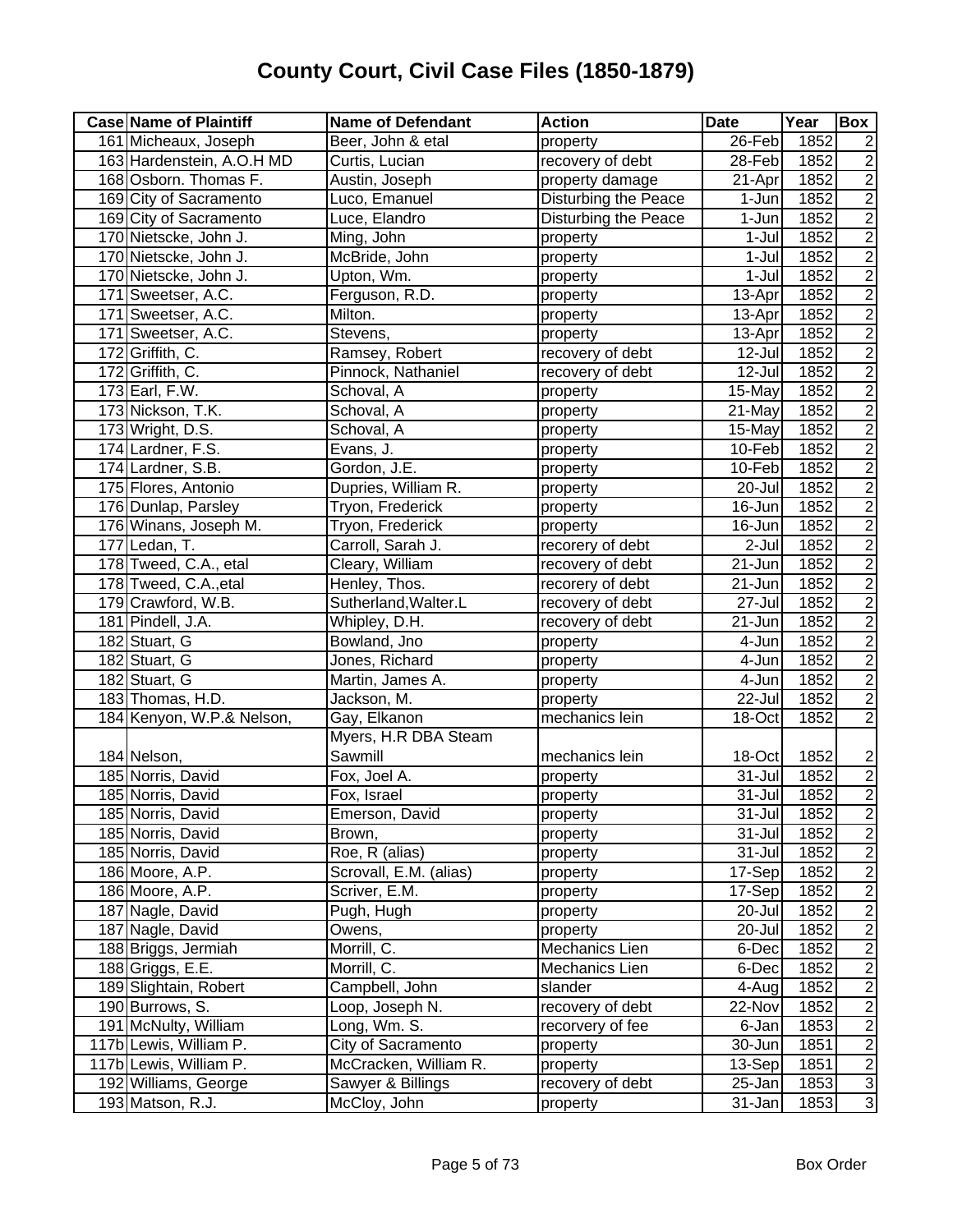| 1852<br>161 Micheaux, Joseph<br>Beer, John & etal<br>26-Feb<br>$\overline{2}$<br>property<br>$\overline{2}$<br>163 Hardenstein, A.O.H MD<br>recovery of debt<br>1852<br>Curtis, Lucian<br>$28-Feb$<br>$\overline{c}$<br>1852<br>168 Osborn. Thomas F.<br>Austin, Joseph<br>$\overline{2}$ 1-Apr<br>property damage<br>$\overline{2}$<br>169 City of Sacramento<br>Disturbing the Peace<br>Luco, Emanuel<br>1-Jun<br>1852<br>$\frac{2}{2}$<br><b>Disturbing the Peace</b><br>169 City of Sacramento<br>Luce, Elandro<br>1-Jun<br>1852<br>170 Nietscke, John J.<br>1852<br>Ming, John<br>$1-Jul$<br>property<br>$\overline{2}$<br>1852<br>170 Nietscke, John J.<br>McBride, John<br>$1-Jul$<br>property<br>$\overline{2}$<br>$1-Jul$<br>1852<br>170 Nietscke, John J.<br>Upton, Wm.<br>property<br>$\frac{2}{2}$<br>171 Sweetser, A.C.<br>Ferguson, R.D.<br>1852<br>13-Apr<br>property<br>1852<br>171 Sweetser, A.C.<br>Milton.<br>13-Apr<br>property<br>$\overline{2}$<br>171 Sweetser, A.C.<br>1852<br>13-Apr<br>Stevens,<br>property<br>$\overline{c}$<br>172 Griffith, C.<br>Ramsey, Robert<br>recovery of debt<br>1852<br>12-Jul<br>$\overline{2}$<br>Pinnock, Nathaniel<br>172 Griffith, C.<br>recovery of debt<br>12-Jul<br>1852<br>$\overline{2}$<br>1852<br>173 Earl, F.W.<br>Schoval, A<br>15-May<br>property<br>$\overline{2}$<br>1852<br>173 Nickson, T.K.<br>Schoval, A<br>property<br>21-May<br>$\overline{2}$<br>1852<br>173 Wright, D.S.<br>Schoval, A<br>15-May<br>property<br>$\overline{2}$<br>Evans, J.<br>174 Lardner, F.S.<br>1852<br>10-Feb<br>property<br>$\overline{2}$<br>Gordon, J.E.<br>1852<br>174 Lardner, S.B.<br>10-Feb<br>property<br>$\overline{2}$<br>Dupries, William R.<br>$20 -$ Jul<br>1852<br>175 Flores, Antonio<br>property<br>$\overline{2}$<br>176 Dunlap, Parsley<br>Tryon, Frederick<br>16-Jun<br>1852<br>property<br>$\overline{2}$<br>176 Winans, Joseph M.<br>Tryon, Frederick<br>1852<br>16-Jun<br>property<br>$\overline{2}$<br>177 Ledan, T.<br>Carroll, Sarah J.<br>recorery of debt<br>$2-Jul$<br>1852<br>$\overline{2}$<br>178 Tweed, C.A., etal<br>21-Jun<br>1852<br>Cleary, William<br>recovery of debt<br>$\overline{2}$<br>1852<br>178 Tweed, C.A., etal<br>Henley, Thos.<br>21-Jun<br>recorery of debt<br>$\overline{2}$<br>179 Crawford, W.B.<br>Sutherland, Walter.L<br>1852<br>recovery of debt<br>27-Jul<br>$\overline{2}$<br>1852<br>181 Pindell, J.A.<br>recovery of debt<br>21-Jun<br>Whipley, D.H.<br>$\overline{c}$<br>1852<br>182 Stuart, G<br>Bowland, Jno<br>4-Jun<br>property<br>$\overline{c}$<br>1852<br>182 Stuart, G<br>Jones, Richard<br>4-Jun<br>property<br>$\overline{c}$<br>182 Stuart, G<br>Martin, James A.<br>1852<br>4-Jun<br>property<br>$\overline{2}$<br>1852<br>183 Thomas, H.D.<br>Jackson, M.<br>22-Jul<br>property<br>$\overline{2}$<br>184 Kenyon, W.P.& Nelson,<br>Gay, Elkanon<br>mechanics lein<br>18-Oct<br>1852<br>Myers, H.R DBA Steam<br>Sawmill<br>1852<br>$\overline{2}$<br>184 Nelson,<br>mechanics lein<br>18-Oct<br>$\frac{2}{2}$<br>185 Norris, David<br>Fox, Joel A.<br>$31 -$ Jul<br>1852<br>property<br>1852<br>185 Norris, David<br>Fox, Israel<br>31-Jul<br>property<br>185 Norris, David<br>Emerson, David<br>$31 -$ Jul<br>1852<br>$\overline{c}$<br>property<br>$\overline{2}$<br>185 Norris, David<br>31-Jul<br>1852<br>Brown,<br>property<br>$\overline{2}$<br>Roe, R (alias)<br>185 Norris, David<br>31-Jul<br>1852<br>property<br>$\overline{2}$<br>Scrovall, E.M. (alias)<br>1852<br>186 Moore, A.P.<br>17-Sep<br>property<br>$\overline{2}$<br>186 Moore, A.P.<br>Scriver, E.M.<br>1852<br>17-Sep<br>property<br>$\overline{2}$<br>Pugh, Hugh<br>20-Jul<br>1852<br>187 Nagle, David<br>property<br>$\overline{2}$<br>187 Nagle, David<br>1852<br>Owens,<br>20-Jul<br>property<br>188 Briggs, Jermiah<br>Morrill, C.<br>Mechanics Lien<br>1852<br>$\overline{2}$<br>6-Dec<br>$\overline{2}$<br>1852<br>188 Griggs, E.E.<br>Morrill, C.<br>Mechanics Lien<br>6-Dec<br>$\overline{2}$<br>189 Slightain, Robert<br>Campbell, John<br>slander<br>1852<br>4-Aug<br>$\overline{2}$<br>190 Burrows, S.<br>Loop, Joseph N.<br>recovery of debt<br>1852<br>22-Nov<br>$\frac{2}{2}$<br>191 McNulty, William<br>Long, Wm. S.<br>1853<br>recorvery of fee<br>6-Jan<br>117b Lewis, William P.<br>City of Sacramento<br>1851<br>30-Jun<br>property<br>117b Lewis, William P.<br>McCracken, William R.<br>13-Sep<br>1851<br>property | <b>Case Name of Plaintiff</b> | <b>Name of Defendant</b> | <b>Action</b>    | <b>Date</b> | Year | Box |
|---------------------------------------------------------------------------------------------------------------------------------------------------------------------------------------------------------------------------------------------------------------------------------------------------------------------------------------------------------------------------------------------------------------------------------------------------------------------------------------------------------------------------------------------------------------------------------------------------------------------------------------------------------------------------------------------------------------------------------------------------------------------------------------------------------------------------------------------------------------------------------------------------------------------------------------------------------------------------------------------------------------------------------------------------------------------------------------------------------------------------------------------------------------------------------------------------------------------------------------------------------------------------------------------------------------------------------------------------------------------------------------------------------------------------------------------------------------------------------------------------------------------------------------------------------------------------------------------------------------------------------------------------------------------------------------------------------------------------------------------------------------------------------------------------------------------------------------------------------------------------------------------------------------------------------------------------------------------------------------------------------------------------------------------------------------------------------------------------------------------------------------------------------------------------------------------------------------------------------------------------------------------------------------------------------------------------------------------------------------------------------------------------------------------------------------------------------------------------------------------------------------------------------------------------------------------------------------------------------------------------------------------------------------------------------------------------------------------------------------------------------------------------------------------------------------------------------------------------------------------------------------------------------------------------------------------------------------------------------------------------------------------------------------------------------------------------------------------------------------------------------------------------------------------------------------------------------------------------------------------------------------------------------------------------------------------------------------------------------------------------------------------------------------------------------------------------------------------------------------------------------------------------------------------------------------------------------------------------------------------------------------------------------------------------------------------------------------------------------------------------------------------------------------------------------------------------------------------------------------------------------------------------------------------------------------------------------------------------------------------------------------------------------------------------------------------------------------------------------------------------------------------------------------------------------------------------------------------------------------------------------------------------------------------------------------------------------------------------------------------------------------------------------------------------------------------|-------------------------------|--------------------------|------------------|-------------|------|-----|
| $\frac{2}{3}$                                                                                                                                                                                                                                                                                                                                                                                                                                                                                                                                                                                                                                                                                                                                                                                                                                                                                                                                                                                                                                                                                                                                                                                                                                                                                                                                                                                                                                                                                                                                                                                                                                                                                                                                                                                                                                                                                                                                                                                                                                                                                                                                                                                                                                                                                                                                                                                                                                                                                                                                                                                                                                                                                                                                                                                                                                                                                                                                                                                                                                                                                                                                                                                                                                                                                                                                                                                                                                                                                                                                                                                                                                                                                                                                                                                                                                                                                                                                                                                                                                                                                                                                                                                                                                                                                                                                                                                                                               |                               |                          |                  |             |      |     |
|                                                                                                                                                                                                                                                                                                                                                                                                                                                                                                                                                                                                                                                                                                                                                                                                                                                                                                                                                                                                                                                                                                                                                                                                                                                                                                                                                                                                                                                                                                                                                                                                                                                                                                                                                                                                                                                                                                                                                                                                                                                                                                                                                                                                                                                                                                                                                                                                                                                                                                                                                                                                                                                                                                                                                                                                                                                                                                                                                                                                                                                                                                                                                                                                                                                                                                                                                                                                                                                                                                                                                                                                                                                                                                                                                                                                                                                                                                                                                                                                                                                                                                                                                                                                                                                                                                                                                                                                                                             |                               |                          |                  |             |      |     |
|                                                                                                                                                                                                                                                                                                                                                                                                                                                                                                                                                                                                                                                                                                                                                                                                                                                                                                                                                                                                                                                                                                                                                                                                                                                                                                                                                                                                                                                                                                                                                                                                                                                                                                                                                                                                                                                                                                                                                                                                                                                                                                                                                                                                                                                                                                                                                                                                                                                                                                                                                                                                                                                                                                                                                                                                                                                                                                                                                                                                                                                                                                                                                                                                                                                                                                                                                                                                                                                                                                                                                                                                                                                                                                                                                                                                                                                                                                                                                                                                                                                                                                                                                                                                                                                                                                                                                                                                                                             |                               |                          |                  |             |      |     |
|                                                                                                                                                                                                                                                                                                                                                                                                                                                                                                                                                                                                                                                                                                                                                                                                                                                                                                                                                                                                                                                                                                                                                                                                                                                                                                                                                                                                                                                                                                                                                                                                                                                                                                                                                                                                                                                                                                                                                                                                                                                                                                                                                                                                                                                                                                                                                                                                                                                                                                                                                                                                                                                                                                                                                                                                                                                                                                                                                                                                                                                                                                                                                                                                                                                                                                                                                                                                                                                                                                                                                                                                                                                                                                                                                                                                                                                                                                                                                                                                                                                                                                                                                                                                                                                                                                                                                                                                                                             |                               |                          |                  |             |      |     |
|                                                                                                                                                                                                                                                                                                                                                                                                                                                                                                                                                                                                                                                                                                                                                                                                                                                                                                                                                                                                                                                                                                                                                                                                                                                                                                                                                                                                                                                                                                                                                                                                                                                                                                                                                                                                                                                                                                                                                                                                                                                                                                                                                                                                                                                                                                                                                                                                                                                                                                                                                                                                                                                                                                                                                                                                                                                                                                                                                                                                                                                                                                                                                                                                                                                                                                                                                                                                                                                                                                                                                                                                                                                                                                                                                                                                                                                                                                                                                                                                                                                                                                                                                                                                                                                                                                                                                                                                                                             |                               |                          |                  |             |      |     |
|                                                                                                                                                                                                                                                                                                                                                                                                                                                                                                                                                                                                                                                                                                                                                                                                                                                                                                                                                                                                                                                                                                                                                                                                                                                                                                                                                                                                                                                                                                                                                                                                                                                                                                                                                                                                                                                                                                                                                                                                                                                                                                                                                                                                                                                                                                                                                                                                                                                                                                                                                                                                                                                                                                                                                                                                                                                                                                                                                                                                                                                                                                                                                                                                                                                                                                                                                                                                                                                                                                                                                                                                                                                                                                                                                                                                                                                                                                                                                                                                                                                                                                                                                                                                                                                                                                                                                                                                                                             |                               |                          |                  |             |      |     |
|                                                                                                                                                                                                                                                                                                                                                                                                                                                                                                                                                                                                                                                                                                                                                                                                                                                                                                                                                                                                                                                                                                                                                                                                                                                                                                                                                                                                                                                                                                                                                                                                                                                                                                                                                                                                                                                                                                                                                                                                                                                                                                                                                                                                                                                                                                                                                                                                                                                                                                                                                                                                                                                                                                                                                                                                                                                                                                                                                                                                                                                                                                                                                                                                                                                                                                                                                                                                                                                                                                                                                                                                                                                                                                                                                                                                                                                                                                                                                                                                                                                                                                                                                                                                                                                                                                                                                                                                                                             |                               |                          |                  |             |      |     |
|                                                                                                                                                                                                                                                                                                                                                                                                                                                                                                                                                                                                                                                                                                                                                                                                                                                                                                                                                                                                                                                                                                                                                                                                                                                                                                                                                                                                                                                                                                                                                                                                                                                                                                                                                                                                                                                                                                                                                                                                                                                                                                                                                                                                                                                                                                                                                                                                                                                                                                                                                                                                                                                                                                                                                                                                                                                                                                                                                                                                                                                                                                                                                                                                                                                                                                                                                                                                                                                                                                                                                                                                                                                                                                                                                                                                                                                                                                                                                                                                                                                                                                                                                                                                                                                                                                                                                                                                                                             |                               |                          |                  |             |      |     |
|                                                                                                                                                                                                                                                                                                                                                                                                                                                                                                                                                                                                                                                                                                                                                                                                                                                                                                                                                                                                                                                                                                                                                                                                                                                                                                                                                                                                                                                                                                                                                                                                                                                                                                                                                                                                                                                                                                                                                                                                                                                                                                                                                                                                                                                                                                                                                                                                                                                                                                                                                                                                                                                                                                                                                                                                                                                                                                                                                                                                                                                                                                                                                                                                                                                                                                                                                                                                                                                                                                                                                                                                                                                                                                                                                                                                                                                                                                                                                                                                                                                                                                                                                                                                                                                                                                                                                                                                                                             |                               |                          |                  |             |      |     |
|                                                                                                                                                                                                                                                                                                                                                                                                                                                                                                                                                                                                                                                                                                                                                                                                                                                                                                                                                                                                                                                                                                                                                                                                                                                                                                                                                                                                                                                                                                                                                                                                                                                                                                                                                                                                                                                                                                                                                                                                                                                                                                                                                                                                                                                                                                                                                                                                                                                                                                                                                                                                                                                                                                                                                                                                                                                                                                                                                                                                                                                                                                                                                                                                                                                                                                                                                                                                                                                                                                                                                                                                                                                                                                                                                                                                                                                                                                                                                                                                                                                                                                                                                                                                                                                                                                                                                                                                                                             |                               |                          |                  |             |      |     |
|                                                                                                                                                                                                                                                                                                                                                                                                                                                                                                                                                                                                                                                                                                                                                                                                                                                                                                                                                                                                                                                                                                                                                                                                                                                                                                                                                                                                                                                                                                                                                                                                                                                                                                                                                                                                                                                                                                                                                                                                                                                                                                                                                                                                                                                                                                                                                                                                                                                                                                                                                                                                                                                                                                                                                                                                                                                                                                                                                                                                                                                                                                                                                                                                                                                                                                                                                                                                                                                                                                                                                                                                                                                                                                                                                                                                                                                                                                                                                                                                                                                                                                                                                                                                                                                                                                                                                                                                                                             |                               |                          |                  |             |      |     |
|                                                                                                                                                                                                                                                                                                                                                                                                                                                                                                                                                                                                                                                                                                                                                                                                                                                                                                                                                                                                                                                                                                                                                                                                                                                                                                                                                                                                                                                                                                                                                                                                                                                                                                                                                                                                                                                                                                                                                                                                                                                                                                                                                                                                                                                                                                                                                                                                                                                                                                                                                                                                                                                                                                                                                                                                                                                                                                                                                                                                                                                                                                                                                                                                                                                                                                                                                                                                                                                                                                                                                                                                                                                                                                                                                                                                                                                                                                                                                                                                                                                                                                                                                                                                                                                                                                                                                                                                                                             |                               |                          |                  |             |      |     |
|                                                                                                                                                                                                                                                                                                                                                                                                                                                                                                                                                                                                                                                                                                                                                                                                                                                                                                                                                                                                                                                                                                                                                                                                                                                                                                                                                                                                                                                                                                                                                                                                                                                                                                                                                                                                                                                                                                                                                                                                                                                                                                                                                                                                                                                                                                                                                                                                                                                                                                                                                                                                                                                                                                                                                                                                                                                                                                                                                                                                                                                                                                                                                                                                                                                                                                                                                                                                                                                                                                                                                                                                                                                                                                                                                                                                                                                                                                                                                                                                                                                                                                                                                                                                                                                                                                                                                                                                                                             |                               |                          |                  |             |      |     |
|                                                                                                                                                                                                                                                                                                                                                                                                                                                                                                                                                                                                                                                                                                                                                                                                                                                                                                                                                                                                                                                                                                                                                                                                                                                                                                                                                                                                                                                                                                                                                                                                                                                                                                                                                                                                                                                                                                                                                                                                                                                                                                                                                                                                                                                                                                                                                                                                                                                                                                                                                                                                                                                                                                                                                                                                                                                                                                                                                                                                                                                                                                                                                                                                                                                                                                                                                                                                                                                                                                                                                                                                                                                                                                                                                                                                                                                                                                                                                                                                                                                                                                                                                                                                                                                                                                                                                                                                                                             |                               |                          |                  |             |      |     |
|                                                                                                                                                                                                                                                                                                                                                                                                                                                                                                                                                                                                                                                                                                                                                                                                                                                                                                                                                                                                                                                                                                                                                                                                                                                                                                                                                                                                                                                                                                                                                                                                                                                                                                                                                                                                                                                                                                                                                                                                                                                                                                                                                                                                                                                                                                                                                                                                                                                                                                                                                                                                                                                                                                                                                                                                                                                                                                                                                                                                                                                                                                                                                                                                                                                                                                                                                                                                                                                                                                                                                                                                                                                                                                                                                                                                                                                                                                                                                                                                                                                                                                                                                                                                                                                                                                                                                                                                                                             |                               |                          |                  |             |      |     |
|                                                                                                                                                                                                                                                                                                                                                                                                                                                                                                                                                                                                                                                                                                                                                                                                                                                                                                                                                                                                                                                                                                                                                                                                                                                                                                                                                                                                                                                                                                                                                                                                                                                                                                                                                                                                                                                                                                                                                                                                                                                                                                                                                                                                                                                                                                                                                                                                                                                                                                                                                                                                                                                                                                                                                                                                                                                                                                                                                                                                                                                                                                                                                                                                                                                                                                                                                                                                                                                                                                                                                                                                                                                                                                                                                                                                                                                                                                                                                                                                                                                                                                                                                                                                                                                                                                                                                                                                                                             |                               |                          |                  |             |      |     |
|                                                                                                                                                                                                                                                                                                                                                                                                                                                                                                                                                                                                                                                                                                                                                                                                                                                                                                                                                                                                                                                                                                                                                                                                                                                                                                                                                                                                                                                                                                                                                                                                                                                                                                                                                                                                                                                                                                                                                                                                                                                                                                                                                                                                                                                                                                                                                                                                                                                                                                                                                                                                                                                                                                                                                                                                                                                                                                                                                                                                                                                                                                                                                                                                                                                                                                                                                                                                                                                                                                                                                                                                                                                                                                                                                                                                                                                                                                                                                                                                                                                                                                                                                                                                                                                                                                                                                                                                                                             |                               |                          |                  |             |      |     |
|                                                                                                                                                                                                                                                                                                                                                                                                                                                                                                                                                                                                                                                                                                                                                                                                                                                                                                                                                                                                                                                                                                                                                                                                                                                                                                                                                                                                                                                                                                                                                                                                                                                                                                                                                                                                                                                                                                                                                                                                                                                                                                                                                                                                                                                                                                                                                                                                                                                                                                                                                                                                                                                                                                                                                                                                                                                                                                                                                                                                                                                                                                                                                                                                                                                                                                                                                                                                                                                                                                                                                                                                                                                                                                                                                                                                                                                                                                                                                                                                                                                                                                                                                                                                                                                                                                                                                                                                                                             |                               |                          |                  |             |      |     |
|                                                                                                                                                                                                                                                                                                                                                                                                                                                                                                                                                                                                                                                                                                                                                                                                                                                                                                                                                                                                                                                                                                                                                                                                                                                                                                                                                                                                                                                                                                                                                                                                                                                                                                                                                                                                                                                                                                                                                                                                                                                                                                                                                                                                                                                                                                                                                                                                                                                                                                                                                                                                                                                                                                                                                                                                                                                                                                                                                                                                                                                                                                                                                                                                                                                                                                                                                                                                                                                                                                                                                                                                                                                                                                                                                                                                                                                                                                                                                                                                                                                                                                                                                                                                                                                                                                                                                                                                                                             |                               |                          |                  |             |      |     |
|                                                                                                                                                                                                                                                                                                                                                                                                                                                                                                                                                                                                                                                                                                                                                                                                                                                                                                                                                                                                                                                                                                                                                                                                                                                                                                                                                                                                                                                                                                                                                                                                                                                                                                                                                                                                                                                                                                                                                                                                                                                                                                                                                                                                                                                                                                                                                                                                                                                                                                                                                                                                                                                                                                                                                                                                                                                                                                                                                                                                                                                                                                                                                                                                                                                                                                                                                                                                                                                                                                                                                                                                                                                                                                                                                                                                                                                                                                                                                                                                                                                                                                                                                                                                                                                                                                                                                                                                                                             |                               |                          |                  |             |      |     |
|                                                                                                                                                                                                                                                                                                                                                                                                                                                                                                                                                                                                                                                                                                                                                                                                                                                                                                                                                                                                                                                                                                                                                                                                                                                                                                                                                                                                                                                                                                                                                                                                                                                                                                                                                                                                                                                                                                                                                                                                                                                                                                                                                                                                                                                                                                                                                                                                                                                                                                                                                                                                                                                                                                                                                                                                                                                                                                                                                                                                                                                                                                                                                                                                                                                                                                                                                                                                                                                                                                                                                                                                                                                                                                                                                                                                                                                                                                                                                                                                                                                                                                                                                                                                                                                                                                                                                                                                                                             |                               |                          |                  |             |      |     |
|                                                                                                                                                                                                                                                                                                                                                                                                                                                                                                                                                                                                                                                                                                                                                                                                                                                                                                                                                                                                                                                                                                                                                                                                                                                                                                                                                                                                                                                                                                                                                                                                                                                                                                                                                                                                                                                                                                                                                                                                                                                                                                                                                                                                                                                                                                                                                                                                                                                                                                                                                                                                                                                                                                                                                                                                                                                                                                                                                                                                                                                                                                                                                                                                                                                                                                                                                                                                                                                                                                                                                                                                                                                                                                                                                                                                                                                                                                                                                                                                                                                                                                                                                                                                                                                                                                                                                                                                                                             |                               |                          |                  |             |      |     |
|                                                                                                                                                                                                                                                                                                                                                                                                                                                                                                                                                                                                                                                                                                                                                                                                                                                                                                                                                                                                                                                                                                                                                                                                                                                                                                                                                                                                                                                                                                                                                                                                                                                                                                                                                                                                                                                                                                                                                                                                                                                                                                                                                                                                                                                                                                                                                                                                                                                                                                                                                                                                                                                                                                                                                                                                                                                                                                                                                                                                                                                                                                                                                                                                                                                                                                                                                                                                                                                                                                                                                                                                                                                                                                                                                                                                                                                                                                                                                                                                                                                                                                                                                                                                                                                                                                                                                                                                                                             |                               |                          |                  |             |      |     |
|                                                                                                                                                                                                                                                                                                                                                                                                                                                                                                                                                                                                                                                                                                                                                                                                                                                                                                                                                                                                                                                                                                                                                                                                                                                                                                                                                                                                                                                                                                                                                                                                                                                                                                                                                                                                                                                                                                                                                                                                                                                                                                                                                                                                                                                                                                                                                                                                                                                                                                                                                                                                                                                                                                                                                                                                                                                                                                                                                                                                                                                                                                                                                                                                                                                                                                                                                                                                                                                                                                                                                                                                                                                                                                                                                                                                                                                                                                                                                                                                                                                                                                                                                                                                                                                                                                                                                                                                                                             |                               |                          |                  |             |      |     |
|                                                                                                                                                                                                                                                                                                                                                                                                                                                                                                                                                                                                                                                                                                                                                                                                                                                                                                                                                                                                                                                                                                                                                                                                                                                                                                                                                                                                                                                                                                                                                                                                                                                                                                                                                                                                                                                                                                                                                                                                                                                                                                                                                                                                                                                                                                                                                                                                                                                                                                                                                                                                                                                                                                                                                                                                                                                                                                                                                                                                                                                                                                                                                                                                                                                                                                                                                                                                                                                                                                                                                                                                                                                                                                                                                                                                                                                                                                                                                                                                                                                                                                                                                                                                                                                                                                                                                                                                                                             |                               |                          |                  |             |      |     |
|                                                                                                                                                                                                                                                                                                                                                                                                                                                                                                                                                                                                                                                                                                                                                                                                                                                                                                                                                                                                                                                                                                                                                                                                                                                                                                                                                                                                                                                                                                                                                                                                                                                                                                                                                                                                                                                                                                                                                                                                                                                                                                                                                                                                                                                                                                                                                                                                                                                                                                                                                                                                                                                                                                                                                                                                                                                                                                                                                                                                                                                                                                                                                                                                                                                                                                                                                                                                                                                                                                                                                                                                                                                                                                                                                                                                                                                                                                                                                                                                                                                                                                                                                                                                                                                                                                                                                                                                                                             |                               |                          |                  |             |      |     |
|                                                                                                                                                                                                                                                                                                                                                                                                                                                                                                                                                                                                                                                                                                                                                                                                                                                                                                                                                                                                                                                                                                                                                                                                                                                                                                                                                                                                                                                                                                                                                                                                                                                                                                                                                                                                                                                                                                                                                                                                                                                                                                                                                                                                                                                                                                                                                                                                                                                                                                                                                                                                                                                                                                                                                                                                                                                                                                                                                                                                                                                                                                                                                                                                                                                                                                                                                                                                                                                                                                                                                                                                                                                                                                                                                                                                                                                                                                                                                                                                                                                                                                                                                                                                                                                                                                                                                                                                                                             |                               |                          |                  |             |      |     |
|                                                                                                                                                                                                                                                                                                                                                                                                                                                                                                                                                                                                                                                                                                                                                                                                                                                                                                                                                                                                                                                                                                                                                                                                                                                                                                                                                                                                                                                                                                                                                                                                                                                                                                                                                                                                                                                                                                                                                                                                                                                                                                                                                                                                                                                                                                                                                                                                                                                                                                                                                                                                                                                                                                                                                                                                                                                                                                                                                                                                                                                                                                                                                                                                                                                                                                                                                                                                                                                                                                                                                                                                                                                                                                                                                                                                                                                                                                                                                                                                                                                                                                                                                                                                                                                                                                                                                                                                                                             |                               |                          |                  |             |      |     |
|                                                                                                                                                                                                                                                                                                                                                                                                                                                                                                                                                                                                                                                                                                                                                                                                                                                                                                                                                                                                                                                                                                                                                                                                                                                                                                                                                                                                                                                                                                                                                                                                                                                                                                                                                                                                                                                                                                                                                                                                                                                                                                                                                                                                                                                                                                                                                                                                                                                                                                                                                                                                                                                                                                                                                                                                                                                                                                                                                                                                                                                                                                                                                                                                                                                                                                                                                                                                                                                                                                                                                                                                                                                                                                                                                                                                                                                                                                                                                                                                                                                                                                                                                                                                                                                                                                                                                                                                                                             |                               |                          |                  |             |      |     |
|                                                                                                                                                                                                                                                                                                                                                                                                                                                                                                                                                                                                                                                                                                                                                                                                                                                                                                                                                                                                                                                                                                                                                                                                                                                                                                                                                                                                                                                                                                                                                                                                                                                                                                                                                                                                                                                                                                                                                                                                                                                                                                                                                                                                                                                                                                                                                                                                                                                                                                                                                                                                                                                                                                                                                                                                                                                                                                                                                                                                                                                                                                                                                                                                                                                                                                                                                                                                                                                                                                                                                                                                                                                                                                                                                                                                                                                                                                                                                                                                                                                                                                                                                                                                                                                                                                                                                                                                                                             |                               |                          |                  |             |      |     |
|                                                                                                                                                                                                                                                                                                                                                                                                                                                                                                                                                                                                                                                                                                                                                                                                                                                                                                                                                                                                                                                                                                                                                                                                                                                                                                                                                                                                                                                                                                                                                                                                                                                                                                                                                                                                                                                                                                                                                                                                                                                                                                                                                                                                                                                                                                                                                                                                                                                                                                                                                                                                                                                                                                                                                                                                                                                                                                                                                                                                                                                                                                                                                                                                                                                                                                                                                                                                                                                                                                                                                                                                                                                                                                                                                                                                                                                                                                                                                                                                                                                                                                                                                                                                                                                                                                                                                                                                                                             |                               |                          |                  |             |      |     |
|                                                                                                                                                                                                                                                                                                                                                                                                                                                                                                                                                                                                                                                                                                                                                                                                                                                                                                                                                                                                                                                                                                                                                                                                                                                                                                                                                                                                                                                                                                                                                                                                                                                                                                                                                                                                                                                                                                                                                                                                                                                                                                                                                                                                                                                                                                                                                                                                                                                                                                                                                                                                                                                                                                                                                                                                                                                                                                                                                                                                                                                                                                                                                                                                                                                                                                                                                                                                                                                                                                                                                                                                                                                                                                                                                                                                                                                                                                                                                                                                                                                                                                                                                                                                                                                                                                                                                                                                                                             |                               |                          |                  |             |      |     |
|                                                                                                                                                                                                                                                                                                                                                                                                                                                                                                                                                                                                                                                                                                                                                                                                                                                                                                                                                                                                                                                                                                                                                                                                                                                                                                                                                                                                                                                                                                                                                                                                                                                                                                                                                                                                                                                                                                                                                                                                                                                                                                                                                                                                                                                                                                                                                                                                                                                                                                                                                                                                                                                                                                                                                                                                                                                                                                                                                                                                                                                                                                                                                                                                                                                                                                                                                                                                                                                                                                                                                                                                                                                                                                                                                                                                                                                                                                                                                                                                                                                                                                                                                                                                                                                                                                                                                                                                                                             |                               |                          |                  |             |      |     |
|                                                                                                                                                                                                                                                                                                                                                                                                                                                                                                                                                                                                                                                                                                                                                                                                                                                                                                                                                                                                                                                                                                                                                                                                                                                                                                                                                                                                                                                                                                                                                                                                                                                                                                                                                                                                                                                                                                                                                                                                                                                                                                                                                                                                                                                                                                                                                                                                                                                                                                                                                                                                                                                                                                                                                                                                                                                                                                                                                                                                                                                                                                                                                                                                                                                                                                                                                                                                                                                                                                                                                                                                                                                                                                                                                                                                                                                                                                                                                                                                                                                                                                                                                                                                                                                                                                                                                                                                                                             |                               |                          |                  |             |      |     |
|                                                                                                                                                                                                                                                                                                                                                                                                                                                                                                                                                                                                                                                                                                                                                                                                                                                                                                                                                                                                                                                                                                                                                                                                                                                                                                                                                                                                                                                                                                                                                                                                                                                                                                                                                                                                                                                                                                                                                                                                                                                                                                                                                                                                                                                                                                                                                                                                                                                                                                                                                                                                                                                                                                                                                                                                                                                                                                                                                                                                                                                                                                                                                                                                                                                                                                                                                                                                                                                                                                                                                                                                                                                                                                                                                                                                                                                                                                                                                                                                                                                                                                                                                                                                                                                                                                                                                                                                                                             |                               |                          |                  |             |      |     |
|                                                                                                                                                                                                                                                                                                                                                                                                                                                                                                                                                                                                                                                                                                                                                                                                                                                                                                                                                                                                                                                                                                                                                                                                                                                                                                                                                                                                                                                                                                                                                                                                                                                                                                                                                                                                                                                                                                                                                                                                                                                                                                                                                                                                                                                                                                                                                                                                                                                                                                                                                                                                                                                                                                                                                                                                                                                                                                                                                                                                                                                                                                                                                                                                                                                                                                                                                                                                                                                                                                                                                                                                                                                                                                                                                                                                                                                                                                                                                                                                                                                                                                                                                                                                                                                                                                                                                                                                                                             |                               |                          |                  |             |      |     |
|                                                                                                                                                                                                                                                                                                                                                                                                                                                                                                                                                                                                                                                                                                                                                                                                                                                                                                                                                                                                                                                                                                                                                                                                                                                                                                                                                                                                                                                                                                                                                                                                                                                                                                                                                                                                                                                                                                                                                                                                                                                                                                                                                                                                                                                                                                                                                                                                                                                                                                                                                                                                                                                                                                                                                                                                                                                                                                                                                                                                                                                                                                                                                                                                                                                                                                                                                                                                                                                                                                                                                                                                                                                                                                                                                                                                                                                                                                                                                                                                                                                                                                                                                                                                                                                                                                                                                                                                                                             |                               |                          |                  |             |      |     |
|                                                                                                                                                                                                                                                                                                                                                                                                                                                                                                                                                                                                                                                                                                                                                                                                                                                                                                                                                                                                                                                                                                                                                                                                                                                                                                                                                                                                                                                                                                                                                                                                                                                                                                                                                                                                                                                                                                                                                                                                                                                                                                                                                                                                                                                                                                                                                                                                                                                                                                                                                                                                                                                                                                                                                                                                                                                                                                                                                                                                                                                                                                                                                                                                                                                                                                                                                                                                                                                                                                                                                                                                                                                                                                                                                                                                                                                                                                                                                                                                                                                                                                                                                                                                                                                                                                                                                                                                                                             |                               |                          |                  |             |      |     |
|                                                                                                                                                                                                                                                                                                                                                                                                                                                                                                                                                                                                                                                                                                                                                                                                                                                                                                                                                                                                                                                                                                                                                                                                                                                                                                                                                                                                                                                                                                                                                                                                                                                                                                                                                                                                                                                                                                                                                                                                                                                                                                                                                                                                                                                                                                                                                                                                                                                                                                                                                                                                                                                                                                                                                                                                                                                                                                                                                                                                                                                                                                                                                                                                                                                                                                                                                                                                                                                                                                                                                                                                                                                                                                                                                                                                                                                                                                                                                                                                                                                                                                                                                                                                                                                                                                                                                                                                                                             |                               |                          |                  |             |      |     |
|                                                                                                                                                                                                                                                                                                                                                                                                                                                                                                                                                                                                                                                                                                                                                                                                                                                                                                                                                                                                                                                                                                                                                                                                                                                                                                                                                                                                                                                                                                                                                                                                                                                                                                                                                                                                                                                                                                                                                                                                                                                                                                                                                                                                                                                                                                                                                                                                                                                                                                                                                                                                                                                                                                                                                                                                                                                                                                                                                                                                                                                                                                                                                                                                                                                                                                                                                                                                                                                                                                                                                                                                                                                                                                                                                                                                                                                                                                                                                                                                                                                                                                                                                                                                                                                                                                                                                                                                                                             |                               |                          |                  |             |      |     |
|                                                                                                                                                                                                                                                                                                                                                                                                                                                                                                                                                                                                                                                                                                                                                                                                                                                                                                                                                                                                                                                                                                                                                                                                                                                                                                                                                                                                                                                                                                                                                                                                                                                                                                                                                                                                                                                                                                                                                                                                                                                                                                                                                                                                                                                                                                                                                                                                                                                                                                                                                                                                                                                                                                                                                                                                                                                                                                                                                                                                                                                                                                                                                                                                                                                                                                                                                                                                                                                                                                                                                                                                                                                                                                                                                                                                                                                                                                                                                                                                                                                                                                                                                                                                                                                                                                                                                                                                                                             |                               |                          |                  |             |      |     |
|                                                                                                                                                                                                                                                                                                                                                                                                                                                                                                                                                                                                                                                                                                                                                                                                                                                                                                                                                                                                                                                                                                                                                                                                                                                                                                                                                                                                                                                                                                                                                                                                                                                                                                                                                                                                                                                                                                                                                                                                                                                                                                                                                                                                                                                                                                                                                                                                                                                                                                                                                                                                                                                                                                                                                                                                                                                                                                                                                                                                                                                                                                                                                                                                                                                                                                                                                                                                                                                                                                                                                                                                                                                                                                                                                                                                                                                                                                                                                                                                                                                                                                                                                                                                                                                                                                                                                                                                                                             |                               |                          |                  |             |      |     |
|                                                                                                                                                                                                                                                                                                                                                                                                                                                                                                                                                                                                                                                                                                                                                                                                                                                                                                                                                                                                                                                                                                                                                                                                                                                                                                                                                                                                                                                                                                                                                                                                                                                                                                                                                                                                                                                                                                                                                                                                                                                                                                                                                                                                                                                                                                                                                                                                                                                                                                                                                                                                                                                                                                                                                                                                                                                                                                                                                                                                                                                                                                                                                                                                                                                                                                                                                                                                                                                                                                                                                                                                                                                                                                                                                                                                                                                                                                                                                                                                                                                                                                                                                                                                                                                                                                                                                                                                                                             |                               |                          |                  |             |      |     |
|                                                                                                                                                                                                                                                                                                                                                                                                                                                                                                                                                                                                                                                                                                                                                                                                                                                                                                                                                                                                                                                                                                                                                                                                                                                                                                                                                                                                                                                                                                                                                                                                                                                                                                                                                                                                                                                                                                                                                                                                                                                                                                                                                                                                                                                                                                                                                                                                                                                                                                                                                                                                                                                                                                                                                                                                                                                                                                                                                                                                                                                                                                                                                                                                                                                                                                                                                                                                                                                                                                                                                                                                                                                                                                                                                                                                                                                                                                                                                                                                                                                                                                                                                                                                                                                                                                                                                                                                                                             |                               |                          |                  |             |      |     |
|                                                                                                                                                                                                                                                                                                                                                                                                                                                                                                                                                                                                                                                                                                                                                                                                                                                                                                                                                                                                                                                                                                                                                                                                                                                                                                                                                                                                                                                                                                                                                                                                                                                                                                                                                                                                                                                                                                                                                                                                                                                                                                                                                                                                                                                                                                                                                                                                                                                                                                                                                                                                                                                                                                                                                                                                                                                                                                                                                                                                                                                                                                                                                                                                                                                                                                                                                                                                                                                                                                                                                                                                                                                                                                                                                                                                                                                                                                                                                                                                                                                                                                                                                                                                                                                                                                                                                                                                                                             |                               |                          |                  |             |      |     |
|                                                                                                                                                                                                                                                                                                                                                                                                                                                                                                                                                                                                                                                                                                                                                                                                                                                                                                                                                                                                                                                                                                                                                                                                                                                                                                                                                                                                                                                                                                                                                                                                                                                                                                                                                                                                                                                                                                                                                                                                                                                                                                                                                                                                                                                                                                                                                                                                                                                                                                                                                                                                                                                                                                                                                                                                                                                                                                                                                                                                                                                                                                                                                                                                                                                                                                                                                                                                                                                                                                                                                                                                                                                                                                                                                                                                                                                                                                                                                                                                                                                                                                                                                                                                                                                                                                                                                                                                                                             |                               |                          |                  |             |      |     |
|                                                                                                                                                                                                                                                                                                                                                                                                                                                                                                                                                                                                                                                                                                                                                                                                                                                                                                                                                                                                                                                                                                                                                                                                                                                                                                                                                                                                                                                                                                                                                                                                                                                                                                                                                                                                                                                                                                                                                                                                                                                                                                                                                                                                                                                                                                                                                                                                                                                                                                                                                                                                                                                                                                                                                                                                                                                                                                                                                                                                                                                                                                                                                                                                                                                                                                                                                                                                                                                                                                                                                                                                                                                                                                                                                                                                                                                                                                                                                                                                                                                                                                                                                                                                                                                                                                                                                                                                                                             |                               |                          |                  |             |      |     |
|                                                                                                                                                                                                                                                                                                                                                                                                                                                                                                                                                                                                                                                                                                                                                                                                                                                                                                                                                                                                                                                                                                                                                                                                                                                                                                                                                                                                                                                                                                                                                                                                                                                                                                                                                                                                                                                                                                                                                                                                                                                                                                                                                                                                                                                                                                                                                                                                                                                                                                                                                                                                                                                                                                                                                                                                                                                                                                                                                                                                                                                                                                                                                                                                                                                                                                                                                                                                                                                                                                                                                                                                                                                                                                                                                                                                                                                                                                                                                                                                                                                                                                                                                                                                                                                                                                                                                                                                                                             |                               |                          |                  |             |      |     |
|                                                                                                                                                                                                                                                                                                                                                                                                                                                                                                                                                                                                                                                                                                                                                                                                                                                                                                                                                                                                                                                                                                                                                                                                                                                                                                                                                                                                                                                                                                                                                                                                                                                                                                                                                                                                                                                                                                                                                                                                                                                                                                                                                                                                                                                                                                                                                                                                                                                                                                                                                                                                                                                                                                                                                                                                                                                                                                                                                                                                                                                                                                                                                                                                                                                                                                                                                                                                                                                                                                                                                                                                                                                                                                                                                                                                                                                                                                                                                                                                                                                                                                                                                                                                                                                                                                                                                                                                                                             |                               |                          |                  |             |      |     |
|                                                                                                                                                                                                                                                                                                                                                                                                                                                                                                                                                                                                                                                                                                                                                                                                                                                                                                                                                                                                                                                                                                                                                                                                                                                                                                                                                                                                                                                                                                                                                                                                                                                                                                                                                                                                                                                                                                                                                                                                                                                                                                                                                                                                                                                                                                                                                                                                                                                                                                                                                                                                                                                                                                                                                                                                                                                                                                                                                                                                                                                                                                                                                                                                                                                                                                                                                                                                                                                                                                                                                                                                                                                                                                                                                                                                                                                                                                                                                                                                                                                                                                                                                                                                                                                                                                                                                                                                                                             | 192 Williams, George          | Sawyer & Billings        | recovery of debt | 25-Jan      | 1853 |     |
| 193 Matson, R.J.<br>McCloy, John<br>1853<br>31-Jan<br>property                                                                                                                                                                                                                                                                                                                                                                                                                                                                                                                                                                                                                                                                                                                                                                                                                                                                                                                                                                                                                                                                                                                                                                                                                                                                                                                                                                                                                                                                                                                                                                                                                                                                                                                                                                                                                                                                                                                                                                                                                                                                                                                                                                                                                                                                                                                                                                                                                                                                                                                                                                                                                                                                                                                                                                                                                                                                                                                                                                                                                                                                                                                                                                                                                                                                                                                                                                                                                                                                                                                                                                                                                                                                                                                                                                                                                                                                                                                                                                                                                                                                                                                                                                                                                                                                                                                                                                              |                               |                          |                  |             |      |     |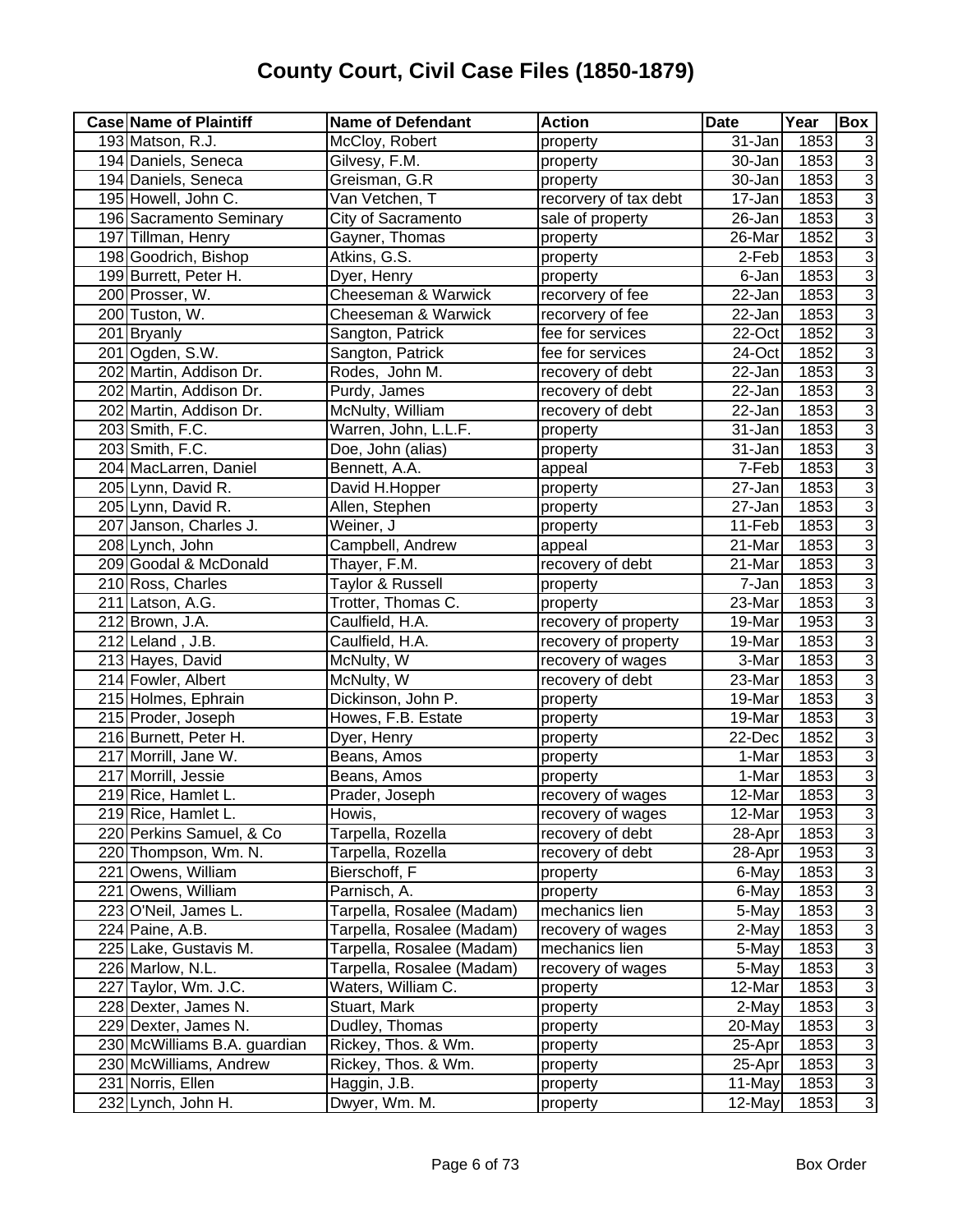| <b>Case Name of Plaintiff</b> | <b>Name of Defendant</b>  | <b>Action</b>         | <b>Date</b>          | Year | Box            |
|-------------------------------|---------------------------|-----------------------|----------------------|------|----------------|
| 193 Matson, R.J.              | McCloy, Robert            | property              | 31-Jan               | 1853 | 3              |
| 194 Daniels, Seneca           | Gilvesy, F.M.             | property              | 30-Jan               | 1853 | 3              |
| 194 Daniels, Seneca           | Greisman, G.R             | property              | 30-Jan               | 1853 | $\overline{3}$ |
| 195 Howell, John C.           | Van Vetchen, T            | recorvery of tax debt | $\overline{17}$ -Jan | 1853 | $\overline{3}$ |
| 196 Sacramento Seminary       | City of Sacramento        | sale of property      | $\overline{2}6$ -Jan | 1853 | $\overline{3}$ |
| 197 Tillman, Henry            | Gayner, Thomas            | property              | 26-Mar               | 1852 | $\overline{3}$ |
| 198 Goodrich, Bishop          | Atkins, G.S.              | property              | 2-Feb                | 1853 | $\overline{3}$ |
| 199 Burrett, Peter H.         | Dyer, Henry               | property              | 6-Jan                | 1853 | $\overline{3}$ |
| 200 Prosser, W.               | Cheeseman & Warwick       | recorvery of fee      | 22-Jan               | 1853 | $\overline{3}$ |
| 200 Tuston, W.                | Cheeseman & Warwick       | recorvery of fee      | 22-Jan               | 1853 | $\overline{3}$ |
| 201 Bryanly                   | Sangton, Patrick          | fee for services      | 22-Oct               | 1852 | $\overline{3}$ |
| 201 Ogden, S.W.               | Sangton, Patrick          | fee for services      | 24-Oct               | 1852 | $\overline{3}$ |
| 202 Martin, Addison Dr.       | Rodes, John M.            | recovery of debt      | 22-Jan               | 1853 | $\overline{3}$ |
| 202 Martin, Addison Dr.       | Purdy, James              | recovery of debt      | 22-Jan               | 1853 | $\overline{3}$ |
| 202 Martin, Addison Dr.       | McNulty, William          | recovery of debt      | 22-Jan               | 1853 | $\overline{3}$ |
| 203 Smith, F.C.               | Warren, John, L.L.F.      | property              | 31-Jan               | 1853 | $\overline{3}$ |
| 203 Smith, F.C.               | Doe, John (alias)         | property              | 31-Jan               | 1853 | $\overline{3}$ |
| 204 MacLarren, Daniel         | Bennett, A.A.             | appeal                | 7-Feb                | 1853 | $\overline{3}$ |
| 205 Lynn, David R.            | David H.Hopper            | property              | 27-Jan               | 1853 | $\overline{3}$ |
| 205 Lynn, David R.            | Allen, Stephen            | property              | 27-Jan               | 1853 | $\overline{3}$ |
| 207 Janson, Charles J.        | Weiner, J                 | property              | 11-Feb               | 1853 | $\overline{3}$ |
| 208 Lynch, John               | Campbell, Andrew          | appeal                | 21-Mar               | 1853 | $\overline{3}$ |
| 209 Goodal & McDonald         | Thayer, F.M.              | recovery of debt      | 21-Mar               | 1853 | $\overline{3}$ |
| 210 Ross, Charles             | Taylor & Russell          | property              | 7-Jan                | 1853 | $\overline{3}$ |
| 211 Latson, A.G.              | Trotter, Thomas C.        | property              | 23-Mar               | 1853 | $\overline{3}$ |
| 212 Brown, J.A.               | Caulfield, H.A.           | recovery of property  | 19-Mar               | 1953 | $\overline{3}$ |
| 212 Leland, J.B.              | Caulfield, H.A.           | recovery of property  | 19-Mar               | 1853 | $\overline{3}$ |
| 213 Hayes, David              | McNulty, W                | recovery of wages     | 3-Mar                | 1853 | $\overline{3}$ |
| 214 Fowler, Albert            | McNulty, W                | recovery of debt      | 23-Mar               | 1853 | $\overline{3}$ |
| 215 Holmes, Ephrain           | Dickinson, John P.        | property              | 19-Mar               | 1853 | $\overline{3}$ |
| 215 Proder, Joseph            | Howes, F.B. Estate        | property              | 19-Mar               | 1853 | $\overline{3}$ |
| 216 Burnett, Peter H.         | Dyer, Henry               | property              | 22-Dec               | 1852 | $\overline{3}$ |
| 217 Morrill, Jane W.          | Beans, Amos               | property              | 1-Mar                | 1853 | $\overline{3}$ |
| 217 Morrill, Jessie           | Beans, Amos               | property              | 1-Mar                | 1853 | $\frac{3}{3}$  |
| 219 Rice, Hamlet L.           | Prader, Joseph            | recovery of wages     | 12-Mar               | 1853 |                |
| 219 Rice, Hamlet L.           | Howis,                    | recovery of wages     | 12-Mar               | 1953 | 3              |
| 220 Perkins Samuel, & Co      | Tarpella, Rozella         | recovery of debt      | 28-Apr               | 1853 | $\overline{3}$ |
| 220 Thompson, Wm. N.          | Tarpella, Rozella         | recovery of debt      | 28-Apr               | 1953 | $\overline{3}$ |
| 221 Owens, William            | Bierschoff, F             | property              | 6-May                | 1853 | $\overline{3}$ |
| 221 Owens, William            | Parnisch, A.              | property              | 6-May                | 1853 | $\overline{3}$ |
| 223 O'Neil, James L.          | Tarpella, Rosalee (Madam) | mechanics lien        | 5-May                | 1853 | 3              |
| 224 Paine, A.B.               | Tarpella, Rosalee (Madam) | recovery of wages     | 2-May                | 1853 | $\overline{3}$ |
| 225 Lake, Gustavis M.         | Tarpella, Rosalee (Madam) | mechanics lien        | 5-May                | 1853 | 3              |
| 226 Marlow, N.L.              | Tarpella, Rosalee (Madam) | recovery of wages     | 5-May                | 1853 | $\sqrt{3}$     |
| 227 Taylor, Wm. J.C.          | Waters, William C.        | property              | 12-Mar               | 1853 | 3              |
| 228 Dexter, James N.          | Stuart, Mark              | property              | 2-May                | 1853 | 3              |
| 229 Dexter, James N.          | Dudley, Thomas            | property              | 20-May               | 1853 | $\overline{3}$ |
| 230 McWilliams B.A. guardian  | Rickey, Thos. & Wm.       | property              | 25-Apr               | 1853 | $\overline{3}$ |
| 230 McWilliams, Andrew        | Rickey, Thos. & Wm.       | property              | 25-Apr               | 1853 | $\overline{3}$ |
| 231 Norris, Ellen             | Haggin, J.B.              | property              | 11-May               | 1853 | $\overline{3}$ |
| 232 Lynch, John H.            | Dwyer, Wm. M.             | property              | 12-May               | 1853 | $\mathbf{3}$   |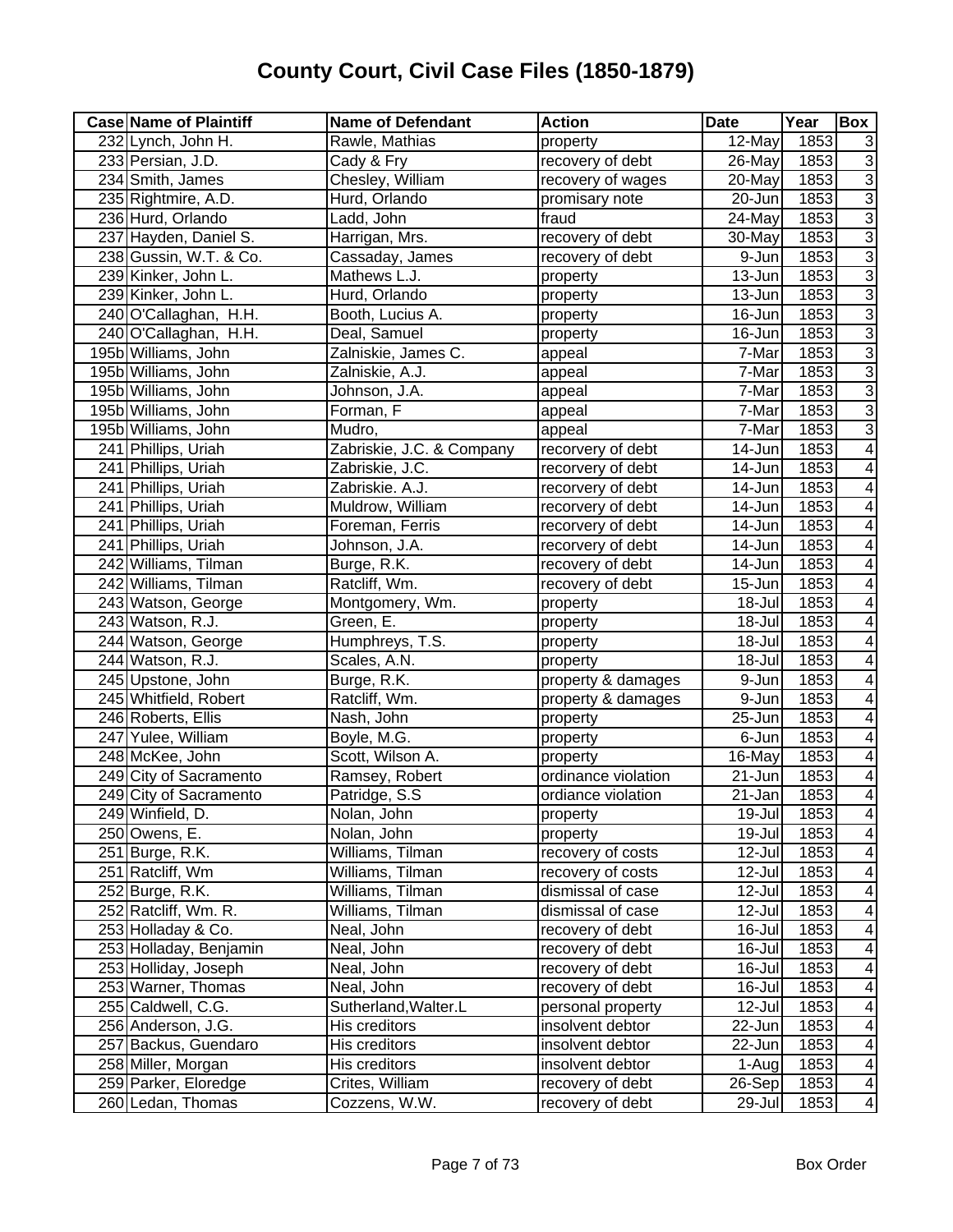| <b>Case Name of Plaintiff</b> | <b>Name of Defendant</b>  | <b>Action</b>       | <b>Date</b>          | Year | Box                      |
|-------------------------------|---------------------------|---------------------|----------------------|------|--------------------------|
| 232 Lynch, John H.            | Rawle, Mathias            | property            | 12-May               | 1853 | 3                        |
| 233 Persian, J.D.             | Cady & Fry                | recovery of debt    | 26-May               | 1853 | $\overline{3}$           |
| 234 Smith, James              | Chesley, William          | recovery of wages   | 20-May               | 1853 | $\overline{3}$           |
| 235 Rightmire, A.D.           | Hurd, Orlando             | promisary note      | 20-Jun               | 1853 | $\overline{3}$           |
| 236 Hurd, Orlando             | Ladd, John                | fraud               | 24-May               | 1853 | $\overline{3}$           |
| 237 Hayden, Daniel S.         | Harrigan, Mrs.            | recovery of debt    | 30-May               | 1853 | $\overline{3}$           |
| 238 Gussin, W.T. & Co.        | Cassaday, James           | recovery of debt    | 9-Jun                | 1853 | $\overline{3}$           |
| 239 Kinker, John L.           | Mathews L.J.              | property            | 13-Jun               | 1853 | $\overline{3}$           |
| 239 Kinker, John L.           | Hurd, Orlando             | property            | 13-Jun               | 1853 | $\overline{3}$           |
| 240 O'Callaghan, H.H.         | Booth, Lucius A.          | property            | 16-Jun               | 1853 | $\overline{3}$           |
| 240 O'Callaghan, H.H.         | Deal, Samuel              | property            | 16-Jun               | 1853 | $\overline{3}$           |
| 195b Williams, John           | Zalniskie, James C.       | appeal              | 7-Mar                | 1853 | $\overline{3}$           |
| 195b Williams, John           | Zalniskie, A.J.           | appeal              | 7-Mar                | 1853 | $\overline{3}$           |
| 195b Williams, John           | Johnson, J.A.             | appeal              | 7-Mar                | 1853 | $\overline{3}$           |
| 195b Williams, John           | Forman, F                 | appeal              | 7-Mar                | 1853 | $\overline{3}$           |
| 195b Williams, John           | Mudro,                    | appeal              | 7-Mar                | 1853 | $\overline{3}$           |
| 241 Phillips, Uriah           | Zabriskie, J.C. & Company | recorvery of debt   | 14-Jun               | 1853 | 4                        |
| 241 Phillips, Uriah           | Zabriskie, J.C.           | recorvery of debt   | 14-Jun               | 1853 | 4                        |
| 241 Phillips, Uriah           | Zabriskie. A.J.           | recorvery of debt   | 14-Jun               | 1853 | 4                        |
| 241 Phillips, Uriah           | Muldrow, William          | recorvery of debt   | 14-Jun               | 1853 | 4                        |
| 241 Phillips, Uriah           | Foreman, Ferris           | recorvery of debt   | 14-Jun               | 1853 | 4                        |
| 241 Phillips, Uriah           | Johnson, J.A.             | recorvery of debt   | 14-Jun               | 1853 | 4                        |
| 242 Williams, Tilman          | Burge, R.K.               | recovery of debt    | 14-Jun               | 1853 | 4                        |
| 242 Williams, Tilman          | Ratcliff, Wm.             | recovery of debt    | $15 - Jun$           | 1853 | 4                        |
| 243 Watson, George            | Montgomery, Wm.           | property            | $18 -$ Jul           | 1853 | 4                        |
| 243 Watson, R.J.              | Green, E.                 | property            | 18-Jul               | 1853 | 4                        |
| 244 Watson, George            | Humphreys, T.S.           | property            | 18-Jul               | 1853 | 4                        |
| 244 Watson, R.J.              | Scales, A.N.              | property            | 18-Jul               | 1853 | 4                        |
| 245 Upstone, John             | Burge, R.K.               | property & damages  | 9-Jun                | 1853 | 4                        |
| 245 Whitfield, Robert         | Ratcliff, Wm.             | property & damages  | 9-Jun                | 1853 | $\overline{4}$           |
| 246 Roberts, Ellis            | Nash, John                | property            | $\overline{2}5$ -Jun | 1853 | $\overline{4}$           |
| 247 Yulee, William            | Boyle, M.G.               | property            | 6-Jun                | 1853 | 4                        |
| 248 McKee, John               | Scott, Wilson A.          | property            | 16-May               | 1853 | 4                        |
| 249 City of Sacramento        | Ramsey, Robert            | ordinance violation | 21-Jun               | 1853 | 4                        |
| 249 City of Sacramento        | Patridge, S.S.            | ordiance violation  | 21-Jan               | 1853 | $\overline{4}$           |
| 249 Winfield, D.              | Nolan, John               | property            | $19 -$ Jul           | 1853 | $\overline{\mathcal{A}}$ |
| 250 Owens, E.                 | Nolan, John               | property            | 19-Jul               | 1853 | $\overline{\mathbf{4}}$  |
| 251 Burge, R.K.               | Williams, Tilman          | recovery of costs   | 12-Jul               | 1853 | 4                        |
| 251 Ratcliff, Wm              | Williams, Tilman          | recovery of costs   | 12-Jul               | 1853 | 4                        |
| 252 Burge, R.K.               | Williams, Tilman          | dismissal of case   | 12-Jul               | 1853 | 4                        |
| 252 Ratcliff, Wm. R.          | Williams, Tilman          | dismissal of case   | 12-Jul               | 1853 | $\overline{4}$           |
| 253 Holladay & Co.            | Neal, John                | recovery of debt    | 16-Jul               | 1853 | 4                        |
| 253 Holladay, Benjamin        | Neal, John                | recovery of debt    | 16-Jul               | 1853 | $\overline{4}$           |
| 253 Holliday, Joseph          | Neal, John                | recovery of debt    | 16-Jul               | 1853 | $\overline{4}$           |
| 253 Warner, Thomas            | Neal, John                | recovery of debt    | 16-Jul               | 1853 | $\overline{\mathbf{4}}$  |
| 255 Caldwell, C.G.            | Sutherland, Walter.L      | personal property   | 12-Jul               | 1853 | $\overline{\mathbf{4}}$  |
| 256 Anderson, J.G.            | His creditors             | insolvent debtor    | 22-Jun               | 1853 | $\overline{4}$           |
| 257 Backus, Guendaro          | His creditors             | insolvent debtor    | 22-Jun               | 1853 | $\overline{\mathbf{4}}$  |
| 258 Miller, Morgan            | His creditors             | insolvent debtor    | 1-Aug                | 1853 | $\overline{\mathcal{A}}$ |
| 259 Parker, Eloredge          | Crites, William           | recovery of debt    | 26-Sep               | 1853 | $\overline{\mathcal{A}}$ |
| 260 Ledan, Thomas             | Cozzens, W.W.             | recovery of debt    | 29-Jul               | 1853 | $\blacktriangle$         |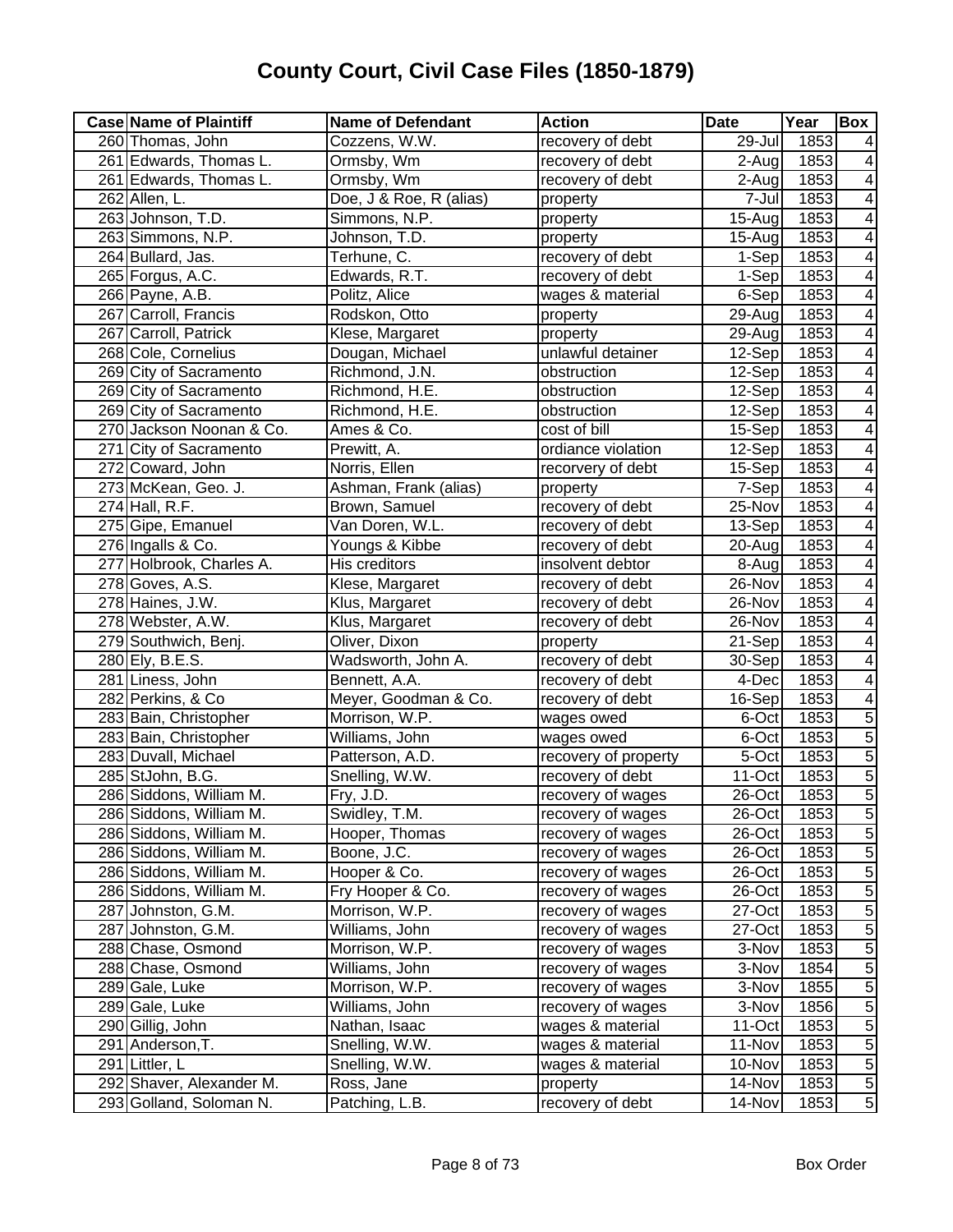| <b>Case Name of Plaintiff</b> | <b>Name of Defendant</b> | <b>Action</b>        | <b>Date</b> | Year | <b>Box</b>     |
|-------------------------------|--------------------------|----------------------|-------------|------|----------------|
| 260 Thomas, John              | Cozzens, W.W.            | recovery of debt     | 29-Jul      | 1853 | 4              |
| 261 Edwards, Thomas L.        | Ormsby, Wm               | recovery of debt     | $2-Aug$     | 1853 | 4              |
| 261 Edwards, Thomas L.        | Ormsby, Wm               | recovery of debt     | $2-Aug$     | 1853 | 4              |
| 262 Allen, L.                 | Doe, J & Roe, R (alias)  | property             | $7 -$ Jul   | 1853 | $\overline{4}$ |
| 263 Johnson, T.D.             | Simmons, N.P.            | property             | $15 - Aug$  | 1853 | $\overline{4}$ |
| 263 Simmons, N.P.             | Johnson, T.D.            | property             | 15-Aug      | 1853 | 4              |
| 264 Bullard, Jas.             | Terhune, C.              | recovery of debt     | 1-Sep       | 1853 | 4              |
| 265 Forgus, A.C.              | Edwards, R.T.            | recovery of debt     | 1-Sep       | 1853 | 4              |
| 266 Payne, A.B.               | Politz, Alice            | wages & material     | 6-Sep       | 1853 | 4              |
| 267 Carroll, Francis          | Rodskon, Otto            | property             | 29-Aug      | 1853 | 4              |
| 267 Carroll, Patrick          | Klese, Margaret          | property             | 29-Aug      | 1853 | 4              |
| 268 Cole, Cornelius           | Dougan, Michael          | unlawful detainer    | 12-Sep      | 1853 | 4              |
| 269 City of Sacramento        | Richmond, J.N.           | obstruction          | 12-Sep      | 1853 | 4              |
| 269 City of Sacramento        | Richmond, H.E.           | obstruction          | 12-Sep      | 1853 | 4              |
| 269 City of Sacramento        | Richmond, H.E.           | obstruction          | 12-Sep      | 1853 | 4              |
| 270 Jackson Noonan & Co.      | Ames & Co.               | cost of bill         | 15-Sep      | 1853 | 4              |
| 271 City of Sacramento        | Prewitt, A.              | ordiance violation   | 12-Sep      | 1853 | 4              |
| 272 Coward, John              | Norris, Ellen            | recorvery of debt    | 15-Sep      | 1853 | 4              |
| 273 McKean, Geo. J.           | Ashman, Frank (alias)    | property             | 7-Sep       | 1853 | 4              |
| $274$ Hall, R.F.              | Brown, Samuel            | recovery of debt     | 25-Nov      | 1853 | 4              |
| 275 Gipe, Emanuel             | Van Doren, W.L.          | recovery of debt     | 13-Sep      | 1853 | 4              |
| 276 Ingalls & Co.             | Youngs & Kibbe           | recovery of debt     | 20-Aug      | 1853 | 4              |
| 277 Holbrook, Charles A.      | His creditors            | insolvent debtor     | 8-Aug       | 1853 | 4              |
| 278 Goves, A.S.               | Klese, Margaret          | recovery of debt     | 26-Nov      | 1853 | 4              |
| 278 Haines, J.W.              | Klus, Margaret           | recovery of debt     | 26-Nov      | 1853 | 4              |
| 278 Webster, A.W.             | Klus, Margaret           | recovery of debt     | 26-Nov      | 1853 | 4              |
| 279 Southwich, Benj.          | Oliver, Dixon            | property             | 21-Sep      | 1853 | 4              |
| 280 Ely, B.E.S.               | Wadsworth, John A.       | recovery of debt     | 30-Sep      | 1853 | $\overline{4}$ |
| 281 Liness, John              | Bennett, A.A.            | recovery of debt     | 4-Dec       | 1853 | $\overline{4}$ |
| 282 Perkins, & Co             | Meyer, Goodman & Co.     | recovery of debt     | 16-Sep      | 1853 | $\overline{4}$ |
| 283 Bain, Christopher         | Morrison, W.P.           | wages owed           | 6-Oct       | 1853 | $\overline{5}$ |
| 283 Bain, Christopher         | Williams, John           | wages owed           | 6-Oct       | 1853 | $\overline{5}$ |
| 283 Duvall, Michael           | Patterson, A.D.          | recovery of property | 5-Oct       | 1853 | $\overline{5}$ |
| 285 StJohn, B.G.              | Snelling, W.W.           | recovery of debt     | 11-Oct      | 1853 | 5              |
| 286 Siddons, William M.       | Fry, J.D.                | recovery of wages    | 26-Oct      | 1853 | $\overline{5}$ |
| 286 Siddons, William M.       | Swidley, T.M.            | recovery of wages    | 26-Oct      | 1853 | $\overline{5}$ |
| 286 Siddons, William M.       | Hooper, Thomas           | recovery of wages    | 26-Oct      | 1853 | $\overline{5}$ |
| 286 Siddons, William M.       | Boone, J.C.              | recovery of wages    | 26-Oct      | 1853 | $\,$ 5 $\,$    |
| 286 Siddons, William M.       | Hooper & Co.             | recovery of wages    | 26-Oct      | 1853 | 5              |
| 286 Siddons, William M.       | Fry Hooper & Co.         | recovery of wages    | 26-Oct      | 1853 | 5              |
| 287 Johnston, G.M.            | Morrison, W.P.           | recovery of wages    | 27-Oct      | 1853 | 5              |
| 287 Johnston, G.M.            | Williams, John           | recovery of wages    | 27-Oct      | 1853 | $\overline{5}$ |
| 288 Chase, Osmond             | Morrison, W.P.           | recovery of wages    | 3-Nov       | 1853 | $\overline{5}$ |
| 288 Chase, Osmond             | Williams, John           | recovery of wages    | 3-Nov       | 1854 | $\overline{5}$ |
| 289 Gale, Luke                | Morrison, W.P.           | recovery of wages    | 3-Nov       | 1855 | $\overline{5}$ |
| 289 Gale, Luke                | Williams, John           | recovery of wages    | 3-Nov       | 1856 | $\overline{5}$ |
| 290 Gillig, John              | Nathan, Isaac            | wages & material     | $11$ -Oct   | 1853 | $\overline{5}$ |
| 291 Anderson, T.              | Snelling, W.W.           | wages & material     | 11-Nov      | 1853 | $\overline{5}$ |
| 291 Littler, L                | Snelling, W.W.           | wages & material     | 10-Nov      | 1853 | $\overline{5}$ |
| 292 Shaver, Alexander M.      | Ross, Jane               | property             | 14-Nov      | 1853 | $\overline{5}$ |
| 293 Golland, Soloman N.       | Patching, L.B.           | recovery of debt     | 14-Nov      | 1853 | $\overline{5}$ |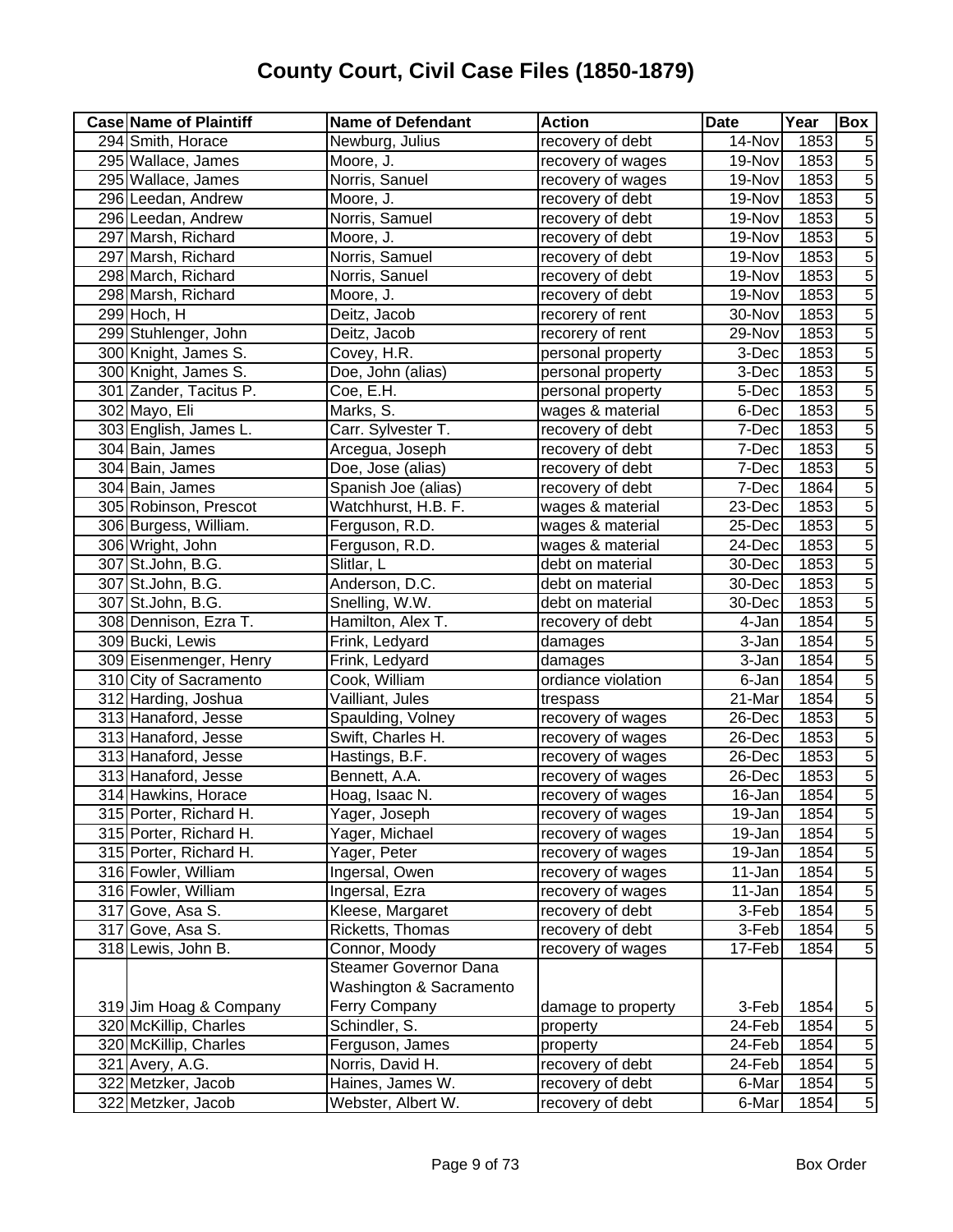| <b>Case Name of Plaintiff</b> | <b>Name of Defendant</b>     | <b>Action</b>      | <b>Date</b> | Year | Box            |
|-------------------------------|------------------------------|--------------------|-------------|------|----------------|
| 294 Smith, Horace             | Newburg, Julius              | recovery of debt   | 14-Nov      | 1853 | 5              |
| 295 Wallace, James            | Moore, J.                    | recovery of wages  | 19-Nov      | 1853 | $\,$ 5 $\,$    |
| 295 Wallace, James            | Norris, Sanuel               | recovery of wages  | 19-Nov      | 1853 | $\overline{5}$ |
| 296 Leedan, Andrew            | Moore, J.                    | recovery of debt   | 19-Nov      | 1853 | $\overline{5}$ |
| 296 Leedan, Andrew            | Norris, Samuel               | recovery of debt   | 19-Nov      | 1853 | $\overline{5}$ |
| 297 Marsh, Richard            | Moore, J.                    | recovery of debt   | 19-Nov      | 1853 | $\overline{5}$ |
| 297 Marsh, Richard            | Norris, Samuel               | recovery of debt   | 19-Nov      | 1853 | $\overline{5}$ |
| 298 March, Richard            | Norris, Sanuel               | recovery of debt   | 19-Nov      | 1853 | $\overline{5}$ |
| 298 Marsh, Richard            | Moore, J.                    | recovery of debt   | 19-Nov      | 1853 | $\overline{5}$ |
| 299 Hoch, H                   | Deitz, Jacob                 | recorery of rent   | 30-Nov      | 1853 | $\overline{5}$ |
| 299 Stuhlenger, John          | Deitz, Jacob                 | recorery of rent   | 29-Nov      | 1853 | $\overline{5}$ |
| 300 Knight, James S.          | Covey, H.R.                  | personal property  | 3-Dec       | 1853 | $\overline{5}$ |
| 300 Knight, James S.          | Doe, John (alias)            | personal property  | 3-Dec       | 1853 | $\overline{5}$ |
| 301 Zander, Tacitus P.        | Coe, E.H.                    | personal property  | 5-Dec       | 1853 | $\overline{5}$ |
| 302 Mayo, Eli                 | Marks, S.                    | wages & material   | 6-Dec       | 1853 | $\overline{5}$ |
| 303 English, James L.         | Carr. Sylvester T.           | recovery of debt   | 7-Dec       | 1853 | $\overline{5}$ |
| 304 Bain, James               | Arcegua, Joseph              | recovery of debt   | 7-Dec       | 1853 | $\overline{5}$ |
| 304 Bain, James               | Doe, Jose (alias)            | recovery of debt   | 7-Dec       | 1853 | $\overline{5}$ |
| 304 Bain, James               | Spanish Joe (alias)          | recovery of debt   | 7-Dec       | 1864 | $\overline{5}$ |
| 305 Robinson, Prescot         | Watchhurst, H.B. F.          | wages & material   | 23-Dec      | 1853 | $\overline{5}$ |
| 306 Burgess, William.         | Ferguson, R.D.               | wages & material   | 25-Dec      | 1853 | $\overline{5}$ |
| 306 Wright, John              | Ferguson, R.D.               | wages & material   | 24-Dec      | 1853 | $\overline{5}$ |
| 307 St.John, B.G.             | Slitlar, L                   | debt on material   | 30-Dec      | 1853 | $\overline{5}$ |
| 307 St.John, B.G.             | Anderson, D.C.               | debt on material   | 30-Dec      | 1853 | $\overline{5}$ |
| 307 St.John, B.G.             | Snelling, W.W.               | debt on material   | 30-Dec      | 1853 | $\overline{5}$ |
| 308 Dennison, Ezra T.         | Hamilton, Alex T.            | recovery of debt   | 4-Jan       | 1854 | $\overline{5}$ |
| 309 Bucki, Lewis              | Frink, Ledyard               | damages            | 3-Jan       | 1854 | $\overline{5}$ |
| 309 Eisenmenger, Henry        | Frink, Ledyard               | damages            | 3-Jan       | 1854 | $\overline{5}$ |
| 310 City of Sacramento        | Cook, William                | ordiance violation | 6-Jan       | 1854 | $\overline{5}$ |
| 312 Harding, Joshua           | Vailliant, Jules             | trespass           | 21-Mar      | 1854 | $\overline{5}$ |
| 313 Hanaford, Jesse           | Spaulding, Volney            | recovery of wages  | 26-Dec      | 1853 | $\overline{5}$ |
| 313 Hanaford, Jesse           | Swift, Charles H.            | recovery of wages  | 26-Dec      | 1853 | $\overline{5}$ |
| 313 Hanaford, Jesse           | Hastings, B.F.               | recovery of wages  | 26-Dec      | 1853 | $\overline{5}$ |
| 313 Hanaford, Jesse           | Bennett, A.A.                | recovery of wages  | 26-Dec      | 1853 | $\overline{5}$ |
| 314 Hawkins, Horace           | Hoag, Isaac N.               | recovery of wages  | 16-Jan      | 1854 | $\overline{5}$ |
| 315 Porter, Richard H.        | Yager, Joseph                | recovery of wages  | 19-Jan      | 1854 | 5 <sub>5</sub> |
| 315 Porter, Richard H.        | Yager, Michael               | recovery of wages  | 19-Jan      | 1854 | $\overline{5}$ |
| 315 Porter, Richard H.        | Yager, Peter                 | recovery of wages  | 19-Jan      | 1854 | $\sqrt{5}$     |
| 316 Fowler, William           | Ingersal, Owen               | recovery of wages  | 11-Jan      | 1854 | $\overline{5}$ |
| 316 Fowler, William           | Ingersal, Ezra               | recovery of wages  | 11-Jan      | 1854 | $\sqrt{5}$     |
| 317 Gove, Asa S.              | Kleese, Margaret             | recovery of debt   | 3-Feb       | 1854 | $\sqrt{5}$     |
| 317 Gove, Asa S.              | Ricketts, Thomas             | recovery of debt   | 3-Feb       | 1854 | $\sqrt{5}$     |
| 318 Lewis, John B.            | Connor, Moody                | recovery of wages  | 17-Feb      | 1854 | $\overline{5}$ |
|                               | <b>Steamer Governor Dana</b> |                    |             |      |                |
|                               | Washington & Sacramento      |                    |             |      |                |
| 319 Jim Hoag & Company        | Ferry Company                | damage to property | 3-Feb       | 1854 | 5              |
| 320 McKillip, Charles         | Schindler, S.                | property           | 24-Feb      | 1854 | $\overline{5}$ |
| 320 McKillip, Charles         | Ferguson, James              | property           | 24-Feb      | 1854 | $\overline{5}$ |
| 321 Avery, A.G.               | Norris, David H.             | recovery of debt   | 24-Feb      | 1854 | $\overline{5}$ |
| 322 Metzker, Jacob            | Haines, James W.             | recovery of debt   | 6-Mar       | 1854 | $\overline{5}$ |
| 322 Metzker, Jacob            | Webster, Albert W.           | recovery of debt   | 6-Mar       | 1854 | $\overline{5}$ |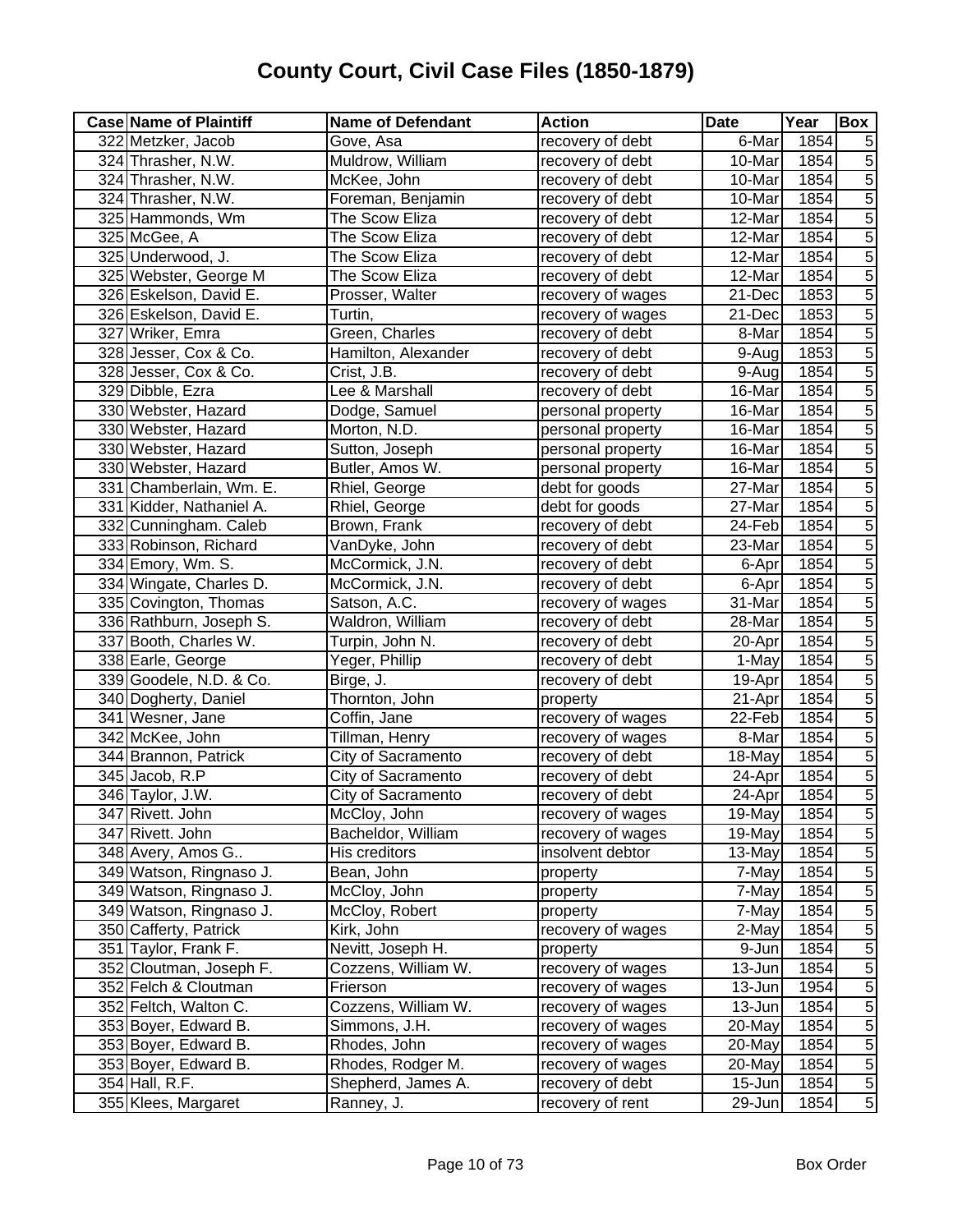| <b>Case Name of Plaintiff</b> | <b>Name of Defendant</b> | <b>Action</b>     | Date    | Year | Box            |
|-------------------------------|--------------------------|-------------------|---------|------|----------------|
| 322 Metzker, Jacob            | Gove, Asa                | recovery of debt  | 6-Mar   | 1854 | 5              |
| 324 Thrasher, N.W.            | Muldrow, William         | recovery of debt  | 10-Mar  | 1854 | $\overline{5}$ |
| 324 Thrasher, N.W.            | McKee, John              | recovery of debt  | 10-Mar  | 1854 | $\overline{5}$ |
| 324 Thrasher, N.W.            | Foreman, Benjamin        | recovery of debt  | 10-Mar  | 1854 | $\overline{5}$ |
| 325 Hammonds, Wm              | The Scow Eliza           | recovery of debt  | 12-Mar  | 1854 | $\overline{5}$ |
| 325 McGee, A                  | The Scow Eliza           | recovery of debt  | 12-Mar  | 1854 | $\overline{5}$ |
| 325 Underwood, J.             | The Scow Eliza           | recovery of debt  | 12-Mar  | 1854 | $\overline{5}$ |
| 325 Webster, George M         | The Scow Eliza           | recovery of debt  | 12-Mar  | 1854 | $\overline{5}$ |
| 326 Eskelson, David E.        | Prosser, Walter          | recovery of wages | 21-Dec  | 1853 | $\overline{5}$ |
| 326 Eskelson, David E.        | Turtin,                  | recovery of wages | 21-Dec  | 1853 | $\overline{5}$ |
| 327 Wriker, Emra              | Green, Charles           | recovery of debt  | 8-Mar   | 1854 | $\overline{5}$ |
| 328 Jesser, Cox & Co.         | Hamilton, Alexander      | recovery of debt  | 9-Aug   | 1853 | $\overline{5}$ |
| 328 Jesser, Cox & Co.         | Crist, J.B.              | recovery of debt  | 9-Aug   | 1854 | $\overline{5}$ |
| 329 Dibble, Ezra              | Lee & Marshall           | recovery of debt  | 16-Mar  | 1854 | $\overline{5}$ |
| 330 Webster, Hazard           | Dodge, Samuel            | personal property | 16-Mar  | 1854 | $\overline{5}$ |
| 330 Webster, Hazard           | Morton, N.D.             | personal property | 16-Mar  | 1854 | $\overline{5}$ |
| 330 Webster, Hazard           | Sutton, Joseph           | personal property | 16-Mar  | 1854 | $\overline{5}$ |
| 330 Webster, Hazard           | Butler, Amos W.          | personal property | 16-Mar  | 1854 | $\overline{5}$ |
| 331 Chamberlain, Wm. E.       | Rhiel, George            | debt for goods    | 27-Mar  | 1854 | $\overline{5}$ |
| 331 Kidder, Nathaniel A.      | Rhiel, George            | debt for goods    | 27-Mar  | 1854 | $\overline{5}$ |
| 332 Cunningham. Caleb         | Brown, Frank             | recovery of debt  | 24-Feb  | 1854 | $\overline{5}$ |
| 333 Robinson, Richard         | VanDyke, John            | recovery of debt  | 23-Mar  | 1854 | $\overline{5}$ |
| 334 Emory, Wm. S.             | McCormick, J.N.          | recovery of debt  | 6-Apr   | 1854 | $\overline{5}$ |
| 334 Wingate, Charles D.       | McCormick, J.N.          | recovery of debt  | 6-Apr   | 1854 | $\overline{5}$ |
| 335 Covington, Thomas         | Satson, A.C.             | recovery of wages | 31-Mar  | 1854 | $\overline{5}$ |
| 336 Rathburn, Joseph S.       | Waldron, William         | recovery of debt  | 28-Mar  | 1854 | $\overline{5}$ |
| 337 Booth, Charles W.         | Turpin, John N.          | recovery of debt  | 20-Apr  | 1854 | $\overline{5}$ |
| 338 Earle, George             | Yeger, Phillip           | recovery of debt  | 1-May   | 1854 | $\overline{5}$ |
| 339 Goodele, N.D. & Co.       | Birge, J.                | recovery of debt  | 19-Apr  | 1854 | $\overline{5}$ |
| 340 Dogherty, Daniel          | Thornton, John           | property          | 21-Apr  | 1854 | $\overline{5}$ |
| 341 Wesner, Jane              | Coffin, Jane             | recovery of wages | 22-Feb  | 1854 | 5              |
| 342 McKee, John               | Tillman, Henry           | recovery of wages | 8-Mar   | 1854 | $\overline{5}$ |
| 344 Brannon, Patrick          | City of Sacramento       | recovery of debt  | 18-May  | 1854 | $\overline{5}$ |
| 345 Jacob, R.P                | City of Sacramento       | recovery of debt  | 24-Apr  | 1854 | 5              |
| 346 Taylor, J.W.              | City of Sacramento       | recovery of debt  | 24-Aprl | 1854 | $\overline{5}$ |
| 347 Rivett. John              | McCloy, John             | recovery of wages | 19-May  | 1854 | $\sqrt{5}$     |
| 347 Rivett. John              | Bacheldor, William       | recovery of wages | 19-May  | 1854 | $\overline{5}$ |
| 348 Avery, Amos G             | His creditors            | insolvent debtor  | 13-May  | 1854 | 5              |
| 349 Watson, Ringnaso J.       | Bean, John               | property          | 7-May   | 1854 | 5              |
| 349 Watson, Ringnaso J.       | McCloy, John             | property          | 7-May   | 1854 | 5              |
| 349 Watson, Ringnaso J.       | McCloy, Robert           | property          | 7-May   | 1854 | 5              |
| 350 Cafferty, Patrick         | Kirk, John               | recovery of wages | 2-May   | 1854 | $\overline{5}$ |
| 351 Taylor, Frank F.          | Nevitt, Joseph H.        | property          | 9-Jun   | 1854 | $\overline{5}$ |
| 352 Cloutman, Joseph F.       | Cozzens, William W.      | recovery of wages | 13-Jun  | 1854 | $\overline{5}$ |
| 352 Felch & Cloutman          | Frierson                 | recovery of wages | 13-Jun  | 1954 | $\overline{5}$ |
| 352 Feltch, Walton C.         | Cozzens, William W.      | recovery of wages | 13-Jun  | 1854 | $\overline{5}$ |
| 353 Boyer, Edward B.          | Simmons, J.H.            | recovery of wages | 20-May  | 1854 | $\overline{5}$ |
| 353 Boyer, Edward B.          | Rhodes, John             | recovery of wages | 20-May  | 1854 | $\overline{5}$ |
| 353 Boyer, Edward B.          | Rhodes, Rodger M.        | recovery of wages | 20-May  | 1854 | $\overline{5}$ |
| 354 Hall, R.F.                | Shepherd, James A.       | recovery of debt  | 15-Jun  | 1854 | $\overline{5}$ |
| 355 Klees, Margaret           | Ranney, J.               | recovery of rent  | 29-Jun  | 1854 | $\overline{5}$ |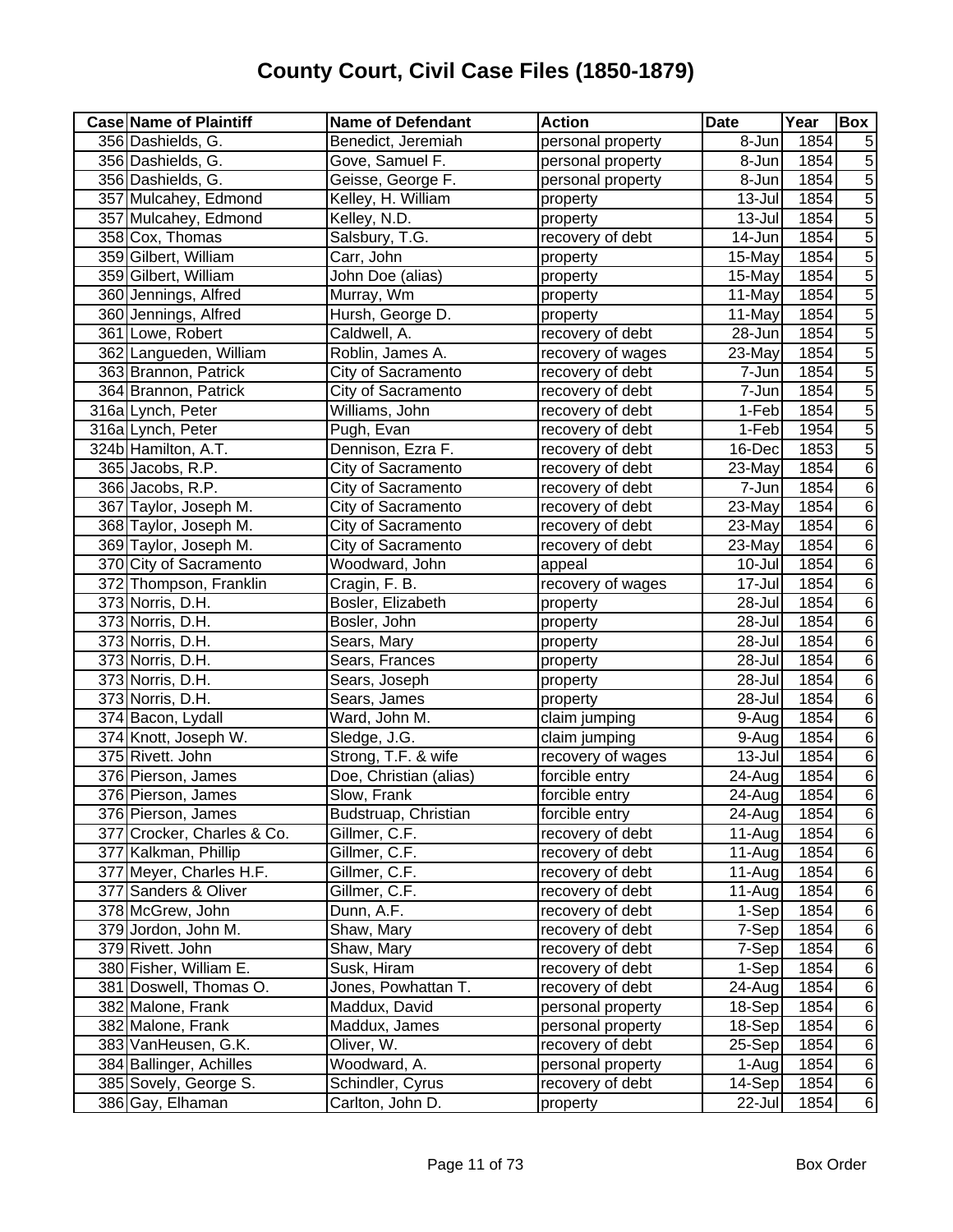| <b>Case Name of Plaintiff</b> | <b>Name of Defendant</b> | <b>Action</b>     | <b>Date</b>          | Year | <b>Box</b>     |
|-------------------------------|--------------------------|-------------------|----------------------|------|----------------|
| 356 Dashields, G.             | Benedict, Jeremiah       | personal property | 8-Jun                | 1854 | 5              |
| 356 Dashields, G.             | Gove, Samuel F.          | personal property | 8-Jun                | 1854 | $\overline{5}$ |
| 356 Dashields, G.             | Geisse, George F.        | personal property | 8-Jun                | 1854 | $\overline{5}$ |
| 357 Mulcahey, Edmond          | Kelley, H. William       | property          | 13-Jul               | 1854 | $\overline{5}$ |
| 357 Mulcahey, Edmond          | Kelley, N.D.             | property          | 13-Jul               | 1854 | $\overline{5}$ |
| 358 Cox, Thomas               | Salsbury, T.G.           | recovery of debt  | $\overline{1}$ 4-Jun | 1854 | $\overline{5}$ |
| 359 Gilbert, William          | Carr, John               | property          | 15-May               | 1854 | $\overline{5}$ |
| 359 Gilbert, William          | John Doe (alias)         | property          | 15-May               | 1854 | $\overline{5}$ |
| 360 Jennings, Alfred          | Murray, Wm               | property          | 11-May               | 1854 | $\overline{5}$ |
| 360 Jennings, Alfred          | Hursh, George D.         | property          | 11-May               | 1854 | $\overline{5}$ |
| 361 Lowe, Robert              | Caldwell, A.             | recovery of debt  | 28-Jun               | 1854 | $\overline{5}$ |
| 362 Langueden, William        | Roblin, James A.         | recovery of wages | 23-May               | 1854 | $\overline{5}$ |
| 363 Brannon, Patrick          | City of Sacramento       | recovery of debt  | 7-Jun                | 1854 | $\overline{5}$ |
| 364 Brannon, Patrick          | City of Sacramento       | recovery of debt  | 7-Jun                | 1854 | $\overline{5}$ |
| 316a Lynch, Peter             | Williams, John           | recovery of debt  | 1-Feb                | 1854 | $\overline{5}$ |
| 316a Lynch, Peter             | Pugh, Evan               | recovery of debt  | 1-Feb                | 1954 | $\overline{5}$ |
| 324b Hamilton, A.T.           | Dennison, Ezra F.        | recovery of debt  | 16-Dec               | 1853 | $\overline{5}$ |
| 365 Jacobs, R.P.              | City of Sacramento       | recovery of debt  | 23-May               | 1854 | $\overline{6}$ |
| 366 Jacobs, R.P.              | City of Sacramento       | recovery of debt  | 7-Jun                | 1854 | $\overline{6}$ |
| 367 Taylor, Joseph M.         | City of Sacramento       | recovery of debt  | 23-May               | 1854 | $\overline{6}$ |
| 368 Taylor, Joseph M.         | City of Sacramento       | recovery of debt  | 23-May               | 1854 | $\overline{6}$ |
| 369 Taylor, Joseph M.         | City of Sacramento       | recovery of debt  | 23-May               | 1854 | $\overline{6}$ |
| 370 City of Sacramento        | Woodward, John           | appeal            | 10-Jul               | 1854 | $\overline{6}$ |
| 372 Thompson, Franklin        | Cragin, F. B.            | recovery of wages | 17-Jul               | 1854 | $\overline{6}$ |
| 373 Norris, D.H.              | Bosler, Elizabeth        | property          | 28-Jul               | 1854 | $\,6$          |
| 373 Norris, D.H.              | Bosler, John             | property          | 28-Jul               | 1854 | $\overline{6}$ |
| 373 Norris, D.H.              | Sears, Mary              | property          | 28-Jul               | 1854 | $\overline{6}$ |
| 373 Norris, D.H.              | Sears, Frances           | property          | 28-Jul               | 1854 | $\overline{6}$ |
| 373 Norris, D.H.              | Sears, Joseph            | property          | 28-Jul               | 1854 | $\overline{6}$ |
| 373 Norris, D.H.              | Sears, James             | property          | 28-Jul               | 1854 | $\overline{6}$ |
| 374 Bacon, Lydall             | Ward, John M.            | claim jumping     | 9-Aug                | 1854 | $\overline{6}$ |
| 374 Knott, Joseph W.          | Sledge, J.G.             | claim jumping     | 9-Aug                | 1854 | $\overline{6}$ |
| 375 Rivett. John              | Strong, T.F. & wife      | recovery of wages | $13 -$ Jul           | 1854 | $\overline{6}$ |
| 376 Pierson, James            | Doe, Christian (alias)   | forcible entry    | 24-Aug               | 1854 | $\overline{6}$ |
| 376 Pierson, James            | Slow, Frank              | forcible entry    | 24-Aug               | 1854 | $\overline{6}$ |
| 376 Pierson, James            | Budstruap, Christian     | forcible entry    | 24-Aug               | 1854 | 6              |
| 377 Crocker, Charles & Co.    | Gillmer, C.F.            | recovery of debt  | $11-Au$ g            | 1854 | $\,6$          |
| 377 Kalkman, Phillip          | Gillmer, C.F.            | recovery of debt  | 11-Aug               | 1854 | 6              |
| 377 Meyer, Charles H.F.       | Gillmer, C.F.            | recovery of debt  | $11-Auq$             | 1854 | $\,6$          |
| 377 Sanders & Oliver          | Gillmer, C.F.            | recovery of debt  | $11-Au$ g            | 1854 | 6              |
| 378 McGrew, John              | Dunn, A.F.               | recovery of debt  | 1-Sep                | 1854 | $\,6$          |
| 379 Jordon, John M.           | Shaw, Mary               | recovery of debt  | 7-Sep                | 1854 | $\,6$          |
| 379 Rivett. John              | Shaw, Mary               | recovery of debt  | 7-Sep                | 1854 | $\,6$          |
| 380 Fisher, William E.        | Susk, Hiram              | recovery of debt  | 1-Sep                | 1854 | $\,6$          |
| 381 Doswell, Thomas O.        | Jones, Powhattan T.      | recovery of debt  | 24-Aug               | 1854 | $\overline{6}$ |
| 382 Malone, Frank             | Maddux, David            | personal property | 18-Sep               | 1854 | $\overline{6}$ |
| 382 Malone, Frank             | Maddux, James            | personal property | 18-Sep               | 1854 | $\overline{6}$ |
| 383 VanHeusen, G.K.           | Oliver, W.               | recovery of debt  | 25-Sep               | 1854 | $\overline{6}$ |
| 384 Ballinger, Achilles       | Woodward, A.             | personal property | 1-Aug                | 1854 | $\overline{6}$ |
| 385 Sovely, George S.         | Schindler, Cyrus         | recovery of debt  | 14-Sep               | 1854 | $\,6$          |
| 386 Gay, Elhaman              | Carlton, John D.         | property          | $22$ -Jul            | 1854 | $6 \mid$       |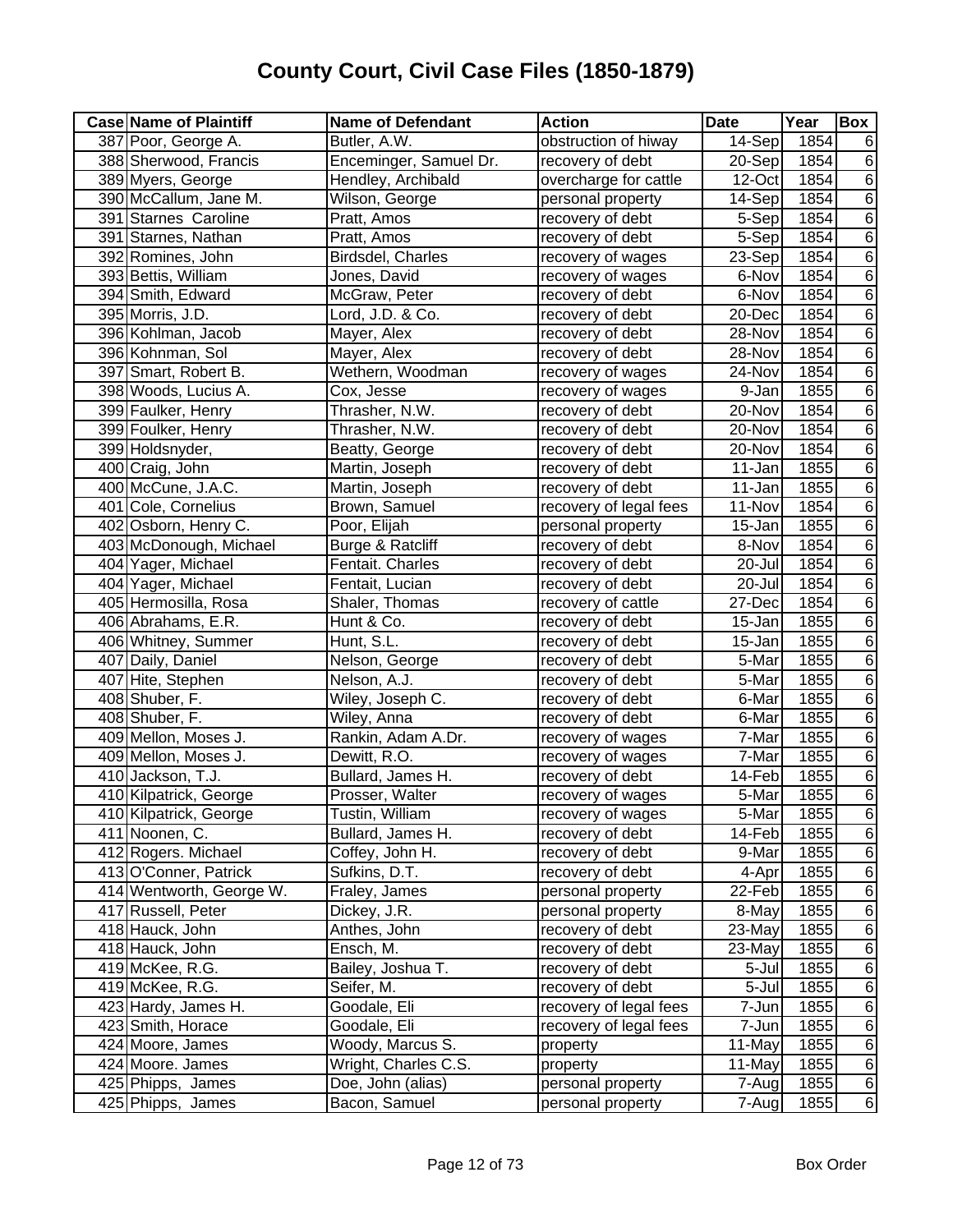| 14-Sep<br>387 Poor, George A.<br>Butler, A.W.<br>obstruction of hiway<br>1854<br>6<br>Enceminger, Samuel Dr.<br>$\overline{6}$<br>388 Sherwood, Francis<br>recovery of debt<br>20-Sep<br>1854<br>$\overline{6}$<br>389 Myers, George<br>Hendley, Archibald<br>overcharge for cattle<br>1854<br>12-Oct<br>$\overline{6}$<br>390 McCallum, Jane M.<br>Wilson, George<br>14-Sep<br>1854<br>personal property<br>$\overline{6}$<br>391 Starnes Caroline<br>1854<br>Pratt, Amos<br>recovery of debt<br>5-Sep<br>$\overline{6}$<br>391 Starnes, Nathan<br>Pratt, Amos<br>1854<br>recovery of debt<br>5-Sep<br>$\overline{6}$<br>Birdsdel, Charles<br>1854<br>392 Romines, John<br>recovery of wages<br>23-Sep<br>$\,6$<br>1854<br>393 Bettis, William<br>recovery of wages<br>6-Nov<br>Jones, David<br>$\overline{6}$<br>1854<br>394 Smith, Edward<br>McGraw, Peter<br>recovery of debt<br>6-Nov<br>$\overline{6}$<br>1854<br>395 Morris, J.D.<br>Lord, J.D. & Co.<br>20-Dec<br>recovery of debt<br>$\overline{6}$<br>396 Kohlman, Jacob<br>1854<br>Mayer, Alex<br>28-Nov<br>recovery of debt<br>$\overline{6}$<br>1854<br>396 Kohnman, Sol<br>Mayer, Alex<br>28-Nov<br>recovery of debt<br>$\overline{6}$<br>1854<br>397 Smart, Robert B.<br>Wethern, Woodman<br>recovery of wages<br>24-Nov<br>$\overline{6}$<br>1855<br>398 Woods, Lucius A.<br>9-Jan<br>Cox, Jesse<br>recovery of wages<br>$\,6$<br>Thrasher, N.W.<br>1854<br>399 Faulker, Henry<br>recovery of debt<br>20-Nov<br>$\,6$<br>1854<br>399 Foulker, Henry<br>Thrasher, N.W.<br>20-Nov<br>recovery of debt<br>$\overline{6}$<br>1854<br>399 Holdsnyder,<br>Beatty, George<br>recovery of debt<br>20-Nov<br>$\overline{6}$<br>1855<br>400 Craig, John<br>Martin, Joseph<br>11-Jan<br>recovery of debt<br>$\overline{6}$<br>400 McCune, J.A.C.<br>Martin, Joseph<br>1855<br>recovery of debt<br>11-Jan<br>$\overline{6}$<br>Brown, Samuel<br>1854<br>401 Cole, Cornelius<br>recovery of legal fees<br>11-Nov<br>$\overline{6}$<br>402 Osborn, Henry C.<br>Poor, Elijah<br>1855<br>personal property<br>15-Jan<br>$\overline{6}$<br>403 McDonough, Michael<br>1854<br>Burge & Ratcliff<br>recovery of debt<br>8-Nov<br>$\overline{6}$<br>404 Yager, Michael<br>Fentait. Charles<br>1854<br>20-Jul<br>recovery of debt<br>$\,6$<br>1854<br>404 Yager, Michael<br>Fentait, Lucian<br>20-Jul<br>recovery of debt<br>$\overline{6}$<br>1854<br>405 Hermosilla, Rosa<br>27-Dec<br>Shaler, Thomas<br>recovery of cattle<br>$\overline{6}$<br>1855<br>406 Abrahams, E.R.<br>Hunt & Co.<br>recovery of debt<br>15-Jan<br>$\overline{6}$<br>406 Whitney, Summer<br>Hunt, S.L.<br>1855<br>recovery of debt<br>15-Jan<br>$\overline{6}$<br>407 Daily, Daniel<br>1855<br>Nelson, George<br>5-Mar<br>recovery of debt<br>$\overline{6}$<br>1855<br>407 Hite, Stephen<br>Nelson, A.J.<br>5-Mar<br>recovery of debt |
|------------------------------------------------------------------------------------------------------------------------------------------------------------------------------------------------------------------------------------------------------------------------------------------------------------------------------------------------------------------------------------------------------------------------------------------------------------------------------------------------------------------------------------------------------------------------------------------------------------------------------------------------------------------------------------------------------------------------------------------------------------------------------------------------------------------------------------------------------------------------------------------------------------------------------------------------------------------------------------------------------------------------------------------------------------------------------------------------------------------------------------------------------------------------------------------------------------------------------------------------------------------------------------------------------------------------------------------------------------------------------------------------------------------------------------------------------------------------------------------------------------------------------------------------------------------------------------------------------------------------------------------------------------------------------------------------------------------------------------------------------------------------------------------------------------------------------------------------------------------------------------------------------------------------------------------------------------------------------------------------------------------------------------------------------------------------------------------------------------------------------------------------------------------------------------------------------------------------------------------------------------------------------------------------------------------------------------------------------------------------------------------------------------------------------------------------------------------------------------------------------------------------------------------------------------------------------------------------------------------------------------------------------------------------------------------------------------------------------------------------------------------------------------------------------------------------------------------------------------|
|                                                                                                                                                                                                                                                                                                                                                                                                                                                                                                                                                                                                                                                                                                                                                                                                                                                                                                                                                                                                                                                                                                                                                                                                                                                                                                                                                                                                                                                                                                                                                                                                                                                                                                                                                                                                                                                                                                                                                                                                                                                                                                                                                                                                                                                                                                                                                                                                                                                                                                                                                                                                                                                                                                                                                                                                                                                            |
|                                                                                                                                                                                                                                                                                                                                                                                                                                                                                                                                                                                                                                                                                                                                                                                                                                                                                                                                                                                                                                                                                                                                                                                                                                                                                                                                                                                                                                                                                                                                                                                                                                                                                                                                                                                                                                                                                                                                                                                                                                                                                                                                                                                                                                                                                                                                                                                                                                                                                                                                                                                                                                                                                                                                                                                                                                                            |
|                                                                                                                                                                                                                                                                                                                                                                                                                                                                                                                                                                                                                                                                                                                                                                                                                                                                                                                                                                                                                                                                                                                                                                                                                                                                                                                                                                                                                                                                                                                                                                                                                                                                                                                                                                                                                                                                                                                                                                                                                                                                                                                                                                                                                                                                                                                                                                                                                                                                                                                                                                                                                                                                                                                                                                                                                                                            |
|                                                                                                                                                                                                                                                                                                                                                                                                                                                                                                                                                                                                                                                                                                                                                                                                                                                                                                                                                                                                                                                                                                                                                                                                                                                                                                                                                                                                                                                                                                                                                                                                                                                                                                                                                                                                                                                                                                                                                                                                                                                                                                                                                                                                                                                                                                                                                                                                                                                                                                                                                                                                                                                                                                                                                                                                                                                            |
|                                                                                                                                                                                                                                                                                                                                                                                                                                                                                                                                                                                                                                                                                                                                                                                                                                                                                                                                                                                                                                                                                                                                                                                                                                                                                                                                                                                                                                                                                                                                                                                                                                                                                                                                                                                                                                                                                                                                                                                                                                                                                                                                                                                                                                                                                                                                                                                                                                                                                                                                                                                                                                                                                                                                                                                                                                                            |
|                                                                                                                                                                                                                                                                                                                                                                                                                                                                                                                                                                                                                                                                                                                                                                                                                                                                                                                                                                                                                                                                                                                                                                                                                                                                                                                                                                                                                                                                                                                                                                                                                                                                                                                                                                                                                                                                                                                                                                                                                                                                                                                                                                                                                                                                                                                                                                                                                                                                                                                                                                                                                                                                                                                                                                                                                                                            |
|                                                                                                                                                                                                                                                                                                                                                                                                                                                                                                                                                                                                                                                                                                                                                                                                                                                                                                                                                                                                                                                                                                                                                                                                                                                                                                                                                                                                                                                                                                                                                                                                                                                                                                                                                                                                                                                                                                                                                                                                                                                                                                                                                                                                                                                                                                                                                                                                                                                                                                                                                                                                                                                                                                                                                                                                                                                            |
|                                                                                                                                                                                                                                                                                                                                                                                                                                                                                                                                                                                                                                                                                                                                                                                                                                                                                                                                                                                                                                                                                                                                                                                                                                                                                                                                                                                                                                                                                                                                                                                                                                                                                                                                                                                                                                                                                                                                                                                                                                                                                                                                                                                                                                                                                                                                                                                                                                                                                                                                                                                                                                                                                                                                                                                                                                                            |
|                                                                                                                                                                                                                                                                                                                                                                                                                                                                                                                                                                                                                                                                                                                                                                                                                                                                                                                                                                                                                                                                                                                                                                                                                                                                                                                                                                                                                                                                                                                                                                                                                                                                                                                                                                                                                                                                                                                                                                                                                                                                                                                                                                                                                                                                                                                                                                                                                                                                                                                                                                                                                                                                                                                                                                                                                                                            |
|                                                                                                                                                                                                                                                                                                                                                                                                                                                                                                                                                                                                                                                                                                                                                                                                                                                                                                                                                                                                                                                                                                                                                                                                                                                                                                                                                                                                                                                                                                                                                                                                                                                                                                                                                                                                                                                                                                                                                                                                                                                                                                                                                                                                                                                                                                                                                                                                                                                                                                                                                                                                                                                                                                                                                                                                                                                            |
|                                                                                                                                                                                                                                                                                                                                                                                                                                                                                                                                                                                                                                                                                                                                                                                                                                                                                                                                                                                                                                                                                                                                                                                                                                                                                                                                                                                                                                                                                                                                                                                                                                                                                                                                                                                                                                                                                                                                                                                                                                                                                                                                                                                                                                                                                                                                                                                                                                                                                                                                                                                                                                                                                                                                                                                                                                                            |
|                                                                                                                                                                                                                                                                                                                                                                                                                                                                                                                                                                                                                                                                                                                                                                                                                                                                                                                                                                                                                                                                                                                                                                                                                                                                                                                                                                                                                                                                                                                                                                                                                                                                                                                                                                                                                                                                                                                                                                                                                                                                                                                                                                                                                                                                                                                                                                                                                                                                                                                                                                                                                                                                                                                                                                                                                                                            |
|                                                                                                                                                                                                                                                                                                                                                                                                                                                                                                                                                                                                                                                                                                                                                                                                                                                                                                                                                                                                                                                                                                                                                                                                                                                                                                                                                                                                                                                                                                                                                                                                                                                                                                                                                                                                                                                                                                                                                                                                                                                                                                                                                                                                                                                                                                                                                                                                                                                                                                                                                                                                                                                                                                                                                                                                                                                            |
|                                                                                                                                                                                                                                                                                                                                                                                                                                                                                                                                                                                                                                                                                                                                                                                                                                                                                                                                                                                                                                                                                                                                                                                                                                                                                                                                                                                                                                                                                                                                                                                                                                                                                                                                                                                                                                                                                                                                                                                                                                                                                                                                                                                                                                                                                                                                                                                                                                                                                                                                                                                                                                                                                                                                                                                                                                                            |
|                                                                                                                                                                                                                                                                                                                                                                                                                                                                                                                                                                                                                                                                                                                                                                                                                                                                                                                                                                                                                                                                                                                                                                                                                                                                                                                                                                                                                                                                                                                                                                                                                                                                                                                                                                                                                                                                                                                                                                                                                                                                                                                                                                                                                                                                                                                                                                                                                                                                                                                                                                                                                                                                                                                                                                                                                                                            |
|                                                                                                                                                                                                                                                                                                                                                                                                                                                                                                                                                                                                                                                                                                                                                                                                                                                                                                                                                                                                                                                                                                                                                                                                                                                                                                                                                                                                                                                                                                                                                                                                                                                                                                                                                                                                                                                                                                                                                                                                                                                                                                                                                                                                                                                                                                                                                                                                                                                                                                                                                                                                                                                                                                                                                                                                                                                            |
|                                                                                                                                                                                                                                                                                                                                                                                                                                                                                                                                                                                                                                                                                                                                                                                                                                                                                                                                                                                                                                                                                                                                                                                                                                                                                                                                                                                                                                                                                                                                                                                                                                                                                                                                                                                                                                                                                                                                                                                                                                                                                                                                                                                                                                                                                                                                                                                                                                                                                                                                                                                                                                                                                                                                                                                                                                                            |
|                                                                                                                                                                                                                                                                                                                                                                                                                                                                                                                                                                                                                                                                                                                                                                                                                                                                                                                                                                                                                                                                                                                                                                                                                                                                                                                                                                                                                                                                                                                                                                                                                                                                                                                                                                                                                                                                                                                                                                                                                                                                                                                                                                                                                                                                                                                                                                                                                                                                                                                                                                                                                                                                                                                                                                                                                                                            |
|                                                                                                                                                                                                                                                                                                                                                                                                                                                                                                                                                                                                                                                                                                                                                                                                                                                                                                                                                                                                                                                                                                                                                                                                                                                                                                                                                                                                                                                                                                                                                                                                                                                                                                                                                                                                                                                                                                                                                                                                                                                                                                                                                                                                                                                                                                                                                                                                                                                                                                                                                                                                                                                                                                                                                                                                                                                            |
|                                                                                                                                                                                                                                                                                                                                                                                                                                                                                                                                                                                                                                                                                                                                                                                                                                                                                                                                                                                                                                                                                                                                                                                                                                                                                                                                                                                                                                                                                                                                                                                                                                                                                                                                                                                                                                                                                                                                                                                                                                                                                                                                                                                                                                                                                                                                                                                                                                                                                                                                                                                                                                                                                                                                                                                                                                                            |
|                                                                                                                                                                                                                                                                                                                                                                                                                                                                                                                                                                                                                                                                                                                                                                                                                                                                                                                                                                                                                                                                                                                                                                                                                                                                                                                                                                                                                                                                                                                                                                                                                                                                                                                                                                                                                                                                                                                                                                                                                                                                                                                                                                                                                                                                                                                                                                                                                                                                                                                                                                                                                                                                                                                                                                                                                                                            |
|                                                                                                                                                                                                                                                                                                                                                                                                                                                                                                                                                                                                                                                                                                                                                                                                                                                                                                                                                                                                                                                                                                                                                                                                                                                                                                                                                                                                                                                                                                                                                                                                                                                                                                                                                                                                                                                                                                                                                                                                                                                                                                                                                                                                                                                                                                                                                                                                                                                                                                                                                                                                                                                                                                                                                                                                                                                            |
|                                                                                                                                                                                                                                                                                                                                                                                                                                                                                                                                                                                                                                                                                                                                                                                                                                                                                                                                                                                                                                                                                                                                                                                                                                                                                                                                                                                                                                                                                                                                                                                                                                                                                                                                                                                                                                                                                                                                                                                                                                                                                                                                                                                                                                                                                                                                                                                                                                                                                                                                                                                                                                                                                                                                                                                                                                                            |
|                                                                                                                                                                                                                                                                                                                                                                                                                                                                                                                                                                                                                                                                                                                                                                                                                                                                                                                                                                                                                                                                                                                                                                                                                                                                                                                                                                                                                                                                                                                                                                                                                                                                                                                                                                                                                                                                                                                                                                                                                                                                                                                                                                                                                                                                                                                                                                                                                                                                                                                                                                                                                                                                                                                                                                                                                                                            |
|                                                                                                                                                                                                                                                                                                                                                                                                                                                                                                                                                                                                                                                                                                                                                                                                                                                                                                                                                                                                                                                                                                                                                                                                                                                                                                                                                                                                                                                                                                                                                                                                                                                                                                                                                                                                                                                                                                                                                                                                                                                                                                                                                                                                                                                                                                                                                                                                                                                                                                                                                                                                                                                                                                                                                                                                                                                            |
|                                                                                                                                                                                                                                                                                                                                                                                                                                                                                                                                                                                                                                                                                                                                                                                                                                                                                                                                                                                                                                                                                                                                                                                                                                                                                                                                                                                                                                                                                                                                                                                                                                                                                                                                                                                                                                                                                                                                                                                                                                                                                                                                                                                                                                                                                                                                                                                                                                                                                                                                                                                                                                                                                                                                                                                                                                                            |
|                                                                                                                                                                                                                                                                                                                                                                                                                                                                                                                                                                                                                                                                                                                                                                                                                                                                                                                                                                                                                                                                                                                                                                                                                                                                                                                                                                                                                                                                                                                                                                                                                                                                                                                                                                                                                                                                                                                                                                                                                                                                                                                                                                                                                                                                                                                                                                                                                                                                                                                                                                                                                                                                                                                                                                                                                                                            |
|                                                                                                                                                                                                                                                                                                                                                                                                                                                                                                                                                                                                                                                                                                                                                                                                                                                                                                                                                                                                                                                                                                                                                                                                                                                                                                                                                                                                                                                                                                                                                                                                                                                                                                                                                                                                                                                                                                                                                                                                                                                                                                                                                                                                                                                                                                                                                                                                                                                                                                                                                                                                                                                                                                                                                                                                                                                            |
|                                                                                                                                                                                                                                                                                                                                                                                                                                                                                                                                                                                                                                                                                                                                                                                                                                                                                                                                                                                                                                                                                                                                                                                                                                                                                                                                                                                                                                                                                                                                                                                                                                                                                                                                                                                                                                                                                                                                                                                                                                                                                                                                                                                                                                                                                                                                                                                                                                                                                                                                                                                                                                                                                                                                                                                                                                                            |
| $\overline{6}$<br>408 Shuber, F.<br>1855<br>Wiley, Joseph C.<br>6-Mar<br>recovery of debt                                                                                                                                                                                                                                                                                                                                                                                                                                                                                                                                                                                                                                                                                                                                                                                                                                                                                                                                                                                                                                                                                                                                                                                                                                                                                                                                                                                                                                                                                                                                                                                                                                                                                                                                                                                                                                                                                                                                                                                                                                                                                                                                                                                                                                                                                                                                                                                                                                                                                                                                                                                                                                                                                                                                                                  |
| $\overline{6}$<br>408 Shuber, F.<br>Wiley, Anna<br>1855<br>recovery of debt<br>6-Mar                                                                                                                                                                                                                                                                                                                                                                                                                                                                                                                                                                                                                                                                                                                                                                                                                                                                                                                                                                                                                                                                                                                                                                                                                                                                                                                                                                                                                                                                                                                                                                                                                                                                                                                                                                                                                                                                                                                                                                                                                                                                                                                                                                                                                                                                                                                                                                                                                                                                                                                                                                                                                                                                                                                                                                       |
| $\overline{6}$<br>409 Mellon, Moses J.<br>Rankin, Adam A.Dr.<br>1855<br>recovery of wages<br>7-Mar                                                                                                                                                                                                                                                                                                                                                                                                                                                                                                                                                                                                                                                                                                                                                                                                                                                                                                                                                                                                                                                                                                                                                                                                                                                                                                                                                                                                                                                                                                                                                                                                                                                                                                                                                                                                                                                                                                                                                                                                                                                                                                                                                                                                                                                                                                                                                                                                                                                                                                                                                                                                                                                                                                                                                         |
| $\overline{6}$<br>409 Mellon, Moses J.<br>Dewitt, R.O.<br>1855<br>7-Mar<br>recovery of wages                                                                                                                                                                                                                                                                                                                                                                                                                                                                                                                                                                                                                                                                                                                                                                                                                                                                                                                                                                                                                                                                                                                                                                                                                                                                                                                                                                                                                                                                                                                                                                                                                                                                                                                                                                                                                                                                                                                                                                                                                                                                                                                                                                                                                                                                                                                                                                                                                                                                                                                                                                                                                                                                                                                                                               |
| $\overline{6}$<br>1855<br>410 Jackson, T.J.<br>Bullard, James H.<br>recovery of debt<br>14-Feb                                                                                                                                                                                                                                                                                                                                                                                                                                                                                                                                                                                                                                                                                                                                                                                                                                                                                                                                                                                                                                                                                                                                                                                                                                                                                                                                                                                                                                                                                                                                                                                                                                                                                                                                                                                                                                                                                                                                                                                                                                                                                                                                                                                                                                                                                                                                                                                                                                                                                                                                                                                                                                                                                                                                                             |
| 6<br>410 Kilpatrick, George<br>Prosser, Walter<br>1855<br>recovery of wages<br>5-Mar                                                                                                                                                                                                                                                                                                                                                                                                                                                                                                                                                                                                                                                                                                                                                                                                                                                                                                                                                                                                                                                                                                                                                                                                                                                                                                                                                                                                                                                                                                                                                                                                                                                                                                                                                                                                                                                                                                                                                                                                                                                                                                                                                                                                                                                                                                                                                                                                                                                                                                                                                                                                                                                                                                                                                                       |
| 1855<br>410 Kilpatrick, George<br>Tustin, William<br>5-Mar<br>6<br>recovery of wages                                                                                                                                                                                                                                                                                                                                                                                                                                                                                                                                                                                                                                                                                                                                                                                                                                                                                                                                                                                                                                                                                                                                                                                                                                                                                                                                                                                                                                                                                                                                                                                                                                                                                                                                                                                                                                                                                                                                                                                                                                                                                                                                                                                                                                                                                                                                                                                                                                                                                                                                                                                                                                                                                                                                                                       |
| $\,6$<br>411 Noonen, C.<br>1855<br>Bullard, James H.<br>14-Feb<br>recovery of debt                                                                                                                                                                                                                                                                                                                                                                                                                                                                                                                                                                                                                                                                                                                                                                                                                                                                                                                                                                                                                                                                                                                                                                                                                                                                                                                                                                                                                                                                                                                                                                                                                                                                                                                                                                                                                                                                                                                                                                                                                                                                                                                                                                                                                                                                                                                                                                                                                                                                                                                                                                                                                                                                                                                                                                         |
| Coffey, John H.<br>1855<br>$\,6$<br>412 Rogers. Michael<br>recovery of debt<br>9-Mar                                                                                                                                                                                                                                                                                                                                                                                                                                                                                                                                                                                                                                                                                                                                                                                                                                                                                                                                                                                                                                                                                                                                                                                                                                                                                                                                                                                                                                                                                                                                                                                                                                                                                                                                                                                                                                                                                                                                                                                                                                                                                                                                                                                                                                                                                                                                                                                                                                                                                                                                                                                                                                                                                                                                                                       |
| 413 O'Conner, Patrick<br>Sufkins, D.T.<br>recovery of debt<br>1855<br>6<br>4-Apr                                                                                                                                                                                                                                                                                                                                                                                                                                                                                                                                                                                                                                                                                                                                                                                                                                                                                                                                                                                                                                                                                                                                                                                                                                                                                                                                                                                                                                                                                                                                                                                                                                                                                                                                                                                                                                                                                                                                                                                                                                                                                                                                                                                                                                                                                                                                                                                                                                                                                                                                                                                                                                                                                                                                                                           |
| 414 Wentworth, George W.<br>Fraley, James<br>22-Feb<br>1855<br>$\,6$<br>personal property                                                                                                                                                                                                                                                                                                                                                                                                                                                                                                                                                                                                                                                                                                                                                                                                                                                                                                                                                                                                                                                                                                                                                                                                                                                                                                                                                                                                                                                                                                                                                                                                                                                                                                                                                                                                                                                                                                                                                                                                                                                                                                                                                                                                                                                                                                                                                                                                                                                                                                                                                                                                                                                                                                                                                                  |
| Dickey, J.R.<br>1855<br>$\,6$<br>417 Russell, Peter<br>personal property<br>8-May                                                                                                                                                                                                                                                                                                                                                                                                                                                                                                                                                                                                                                                                                                                                                                                                                                                                                                                                                                                                                                                                                                                                                                                                                                                                                                                                                                                                                                                                                                                                                                                                                                                                                                                                                                                                                                                                                                                                                                                                                                                                                                                                                                                                                                                                                                                                                                                                                                                                                                                                                                                                                                                                                                                                                                          |
| 418 Hauck, John<br>Anthes, John<br>1855<br>$\,6$<br>recovery of debt<br>23-May                                                                                                                                                                                                                                                                                                                                                                                                                                                                                                                                                                                                                                                                                                                                                                                                                                                                                                                                                                                                                                                                                                                                                                                                                                                                                                                                                                                                                                                                                                                                                                                                                                                                                                                                                                                                                                                                                                                                                                                                                                                                                                                                                                                                                                                                                                                                                                                                                                                                                                                                                                                                                                                                                                                                                                             |
| $\,6$<br>418 Hauck, John<br>1855<br>Ensch, M.<br>23-May<br>recovery of debt                                                                                                                                                                                                                                                                                                                                                                                                                                                                                                                                                                                                                                                                                                                                                                                                                                                                                                                                                                                                                                                                                                                                                                                                                                                                                                                                                                                                                                                                                                                                                                                                                                                                                                                                                                                                                                                                                                                                                                                                                                                                                                                                                                                                                                                                                                                                                                                                                                                                                                                                                                                                                                                                                                                                                                                |
| $\overline{6}$<br>Bailey, Joshua T.<br>419 McKee, R.G.<br>1855<br>recovery of debt<br>5-Jul                                                                                                                                                                                                                                                                                                                                                                                                                                                                                                                                                                                                                                                                                                                                                                                                                                                                                                                                                                                                                                                                                                                                                                                                                                                                                                                                                                                                                                                                                                                                                                                                                                                                                                                                                                                                                                                                                                                                                                                                                                                                                                                                                                                                                                                                                                                                                                                                                                                                                                                                                                                                                                                                                                                                                                |
| $\,6$<br>419 McKee, R.G.<br>Seifer, M.<br>1855<br>recovery of debt<br>5-Jul                                                                                                                                                                                                                                                                                                                                                                                                                                                                                                                                                                                                                                                                                                                                                                                                                                                                                                                                                                                                                                                                                                                                                                                                                                                                                                                                                                                                                                                                                                                                                                                                                                                                                                                                                                                                                                                                                                                                                                                                                                                                                                                                                                                                                                                                                                                                                                                                                                                                                                                                                                                                                                                                                                                                                                                |
| $\overline{6}$<br>423 Hardy, James H.<br>Goodale, Eli<br>recovery of legal fees<br>1855<br>7-Jun                                                                                                                                                                                                                                                                                                                                                                                                                                                                                                                                                                                                                                                                                                                                                                                                                                                                                                                                                                                                                                                                                                                                                                                                                                                                                                                                                                                                                                                                                                                                                                                                                                                                                                                                                                                                                                                                                                                                                                                                                                                                                                                                                                                                                                                                                                                                                                                                                                                                                                                                                                                                                                                                                                                                                           |
| $\overline{6}$<br>423 Smith, Horace<br>1855<br>Goodale, Eli<br>recovery of legal fees<br>7-Jun                                                                                                                                                                                                                                                                                                                                                                                                                                                                                                                                                                                                                                                                                                                                                                                                                                                                                                                                                                                                                                                                                                                                                                                                                                                                                                                                                                                                                                                                                                                                                                                                                                                                                                                                                                                                                                                                                                                                                                                                                                                                                                                                                                                                                                                                                                                                                                                                                                                                                                                                                                                                                                                                                                                                                             |
| $\,6\,$<br>Woody, Marcus S.<br>1855<br>424 Moore, James<br>11-May<br>property                                                                                                                                                                                                                                                                                                                                                                                                                                                                                                                                                                                                                                                                                                                                                                                                                                                                                                                                                                                                                                                                                                                                                                                                                                                                                                                                                                                                                                                                                                                                                                                                                                                                                                                                                                                                                                                                                                                                                                                                                                                                                                                                                                                                                                                                                                                                                                                                                                                                                                                                                                                                                                                                                                                                                                              |
| $\,6\,$<br>Wright, Charles C.S.<br>424 Moore. James<br>11-May<br>1855<br>property                                                                                                                                                                                                                                                                                                                                                                                                                                                                                                                                                                                                                                                                                                                                                                                                                                                                                                                                                                                                                                                                                                                                                                                                                                                                                                                                                                                                                                                                                                                                                                                                                                                                                                                                                                                                                                                                                                                                                                                                                                                                                                                                                                                                                                                                                                                                                                                                                                                                                                                                                                                                                                                                                                                                                                          |
| $\sigma$<br>425 Phipps, James<br>Doe, John (alias)<br>1855<br>personal property<br>7-Aug                                                                                                                                                                                                                                                                                                                                                                                                                                                                                                                                                                                                                                                                                                                                                                                                                                                                                                                                                                                                                                                                                                                                                                                                                                                                                                                                                                                                                                                                                                                                                                                                                                                                                                                                                                                                                                                                                                                                                                                                                                                                                                                                                                                                                                                                                                                                                                                                                                                                                                                                                                                                                                                                                                                                                                   |
| $6 \overline{}$<br>Bacon, Samuel<br>425 Phipps, James<br>7-Aug<br>1855<br>personal property                                                                                                                                                                                                                                                                                                                                                                                                                                                                                                                                                                                                                                                                                                                                                                                                                                                                                                                                                                                                                                                                                                                                                                                                                                                                                                                                                                                                                                                                                                                                                                                                                                                                                                                                                                                                                                                                                                                                                                                                                                                                                                                                                                                                                                                                                                                                                                                                                                                                                                                                                                                                                                                                                                                                                                |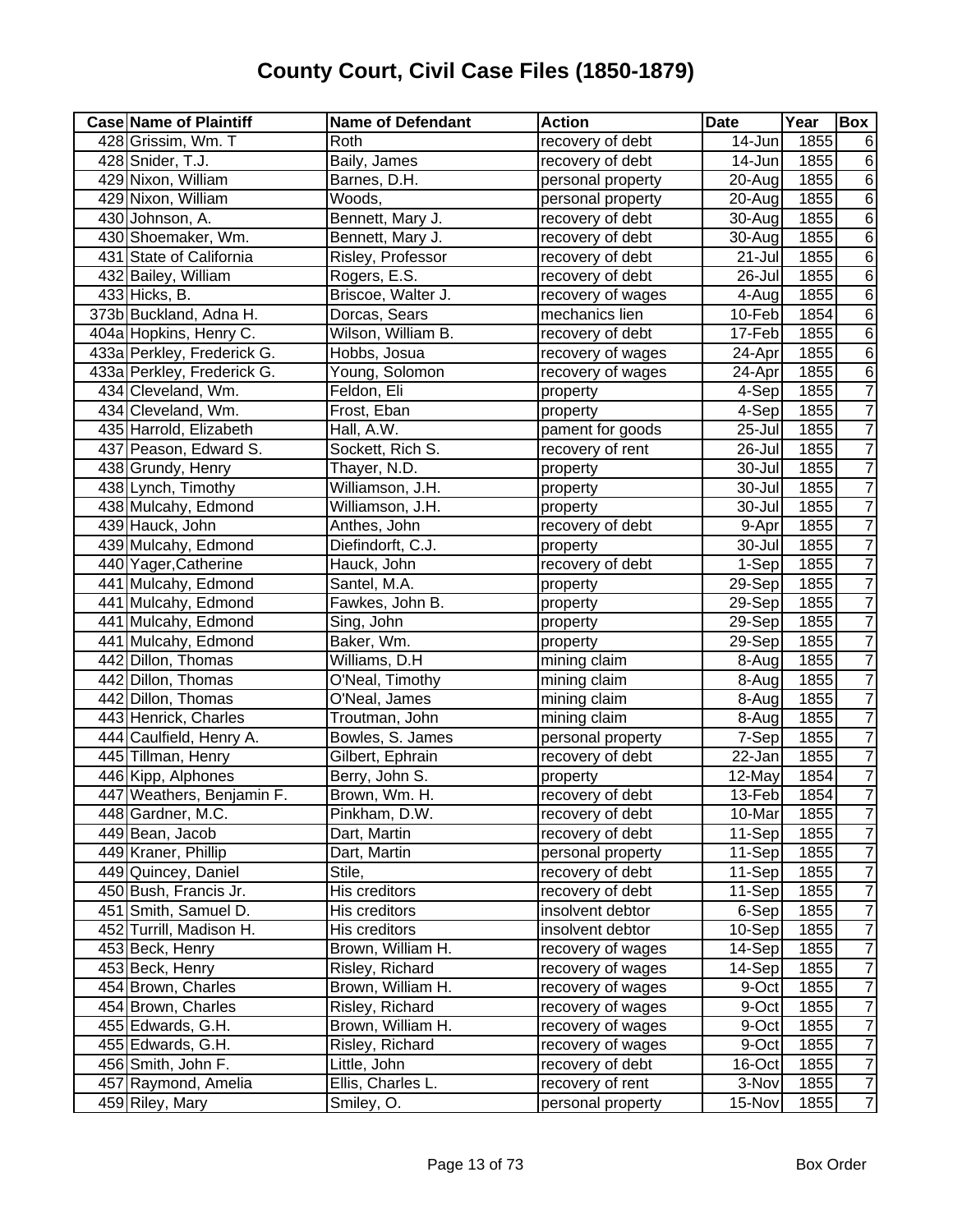| <b>Case Name of Plaintiff</b> | <b>Name of Defendant</b> | <b>Action</b>     | <b>Date</b> | Year              | <b>Box</b>     |
|-------------------------------|--------------------------|-------------------|-------------|-------------------|----------------|
| 428 Grissim, Wm. T            | Roth                     | recovery of debt  | 14-Jun      | 1855              | 6              |
| 428 Snider, T.J.              | Baily, James             | recovery of debt  | 14-Jun      | 1855              | $\overline{6}$ |
| 429 Nixon, William            | Barnes, D.H.             | personal property | 20-Aug      | 1855              | $\overline{6}$ |
| 429 Nixon, William            | Woods,                   | personal property | 20-Aug      | 1855              | $\overline{6}$ |
| 430 Johnson, A.               | Bennett, Mary J.         | recovery of debt  | 30-Aug      | 1855              | $\overline{6}$ |
| 430 Shoemaker, Wm.            | Bennett, Mary J.         | recovery of debt  | 30-Aug      | 1855              | $\overline{6}$ |
| 431 State of California       | Risley, Professor        | recovery of debt  | 21-Jul      | 1855              | $\overline{6}$ |
| 432 Bailey, William           | Rogers, E.S.             | recovery of debt  | 26-Jul      | 1855              | $\overline{6}$ |
| 433 Hicks, B.                 | Briscoe, Walter J.       | recovery of wages | 4-Aug       | 1855              | $\overline{6}$ |
| 373b Buckland, Adna H.        | Dorcas, Sears            | mechanics lien    | 10-Feb      | 1854              | $\overline{6}$ |
| 404a Hopkins, Henry C.        | Wilson, William B.       | recovery of debt  | 17-Feb      | 1855              | $\overline{6}$ |
| 433a Perkley, Frederick G.    | Hobbs, Josua             | recovery of wages | 24-Apr      | 1855              | $\,6$          |
| 433a Perkley, Frederick G.    | Young, Solomon           | recovery of wages | 24-Apr      | 1855              | $\overline{6}$ |
| 434 Cleveland, Wm.            | Feldon, Eli              | property          | 4-Sep       | 1855              | $\overline{7}$ |
| 434 Cleveland, Wm.            | Frost, Eban              | property          | 4-Sep       | 1855              | $\overline{7}$ |
| 435 Harrold, Elizabeth        | Hall, A.W.               | pament for goods  | 25-Jul      | 1855              | $\overline{7}$ |
| 437 Peason, Edward S.         | Sockett, Rich S.         | recovery of rent  | 26-Jul      | 1855              | $\overline{7}$ |
| 438 Grundy, Henry             | Thayer, N.D.             | property          | 30-Jul      | 1855              | 7              |
| 438 Lynch, Timothy            | Williamson, J.H.         | property          | 30-Jul      | 1855              | 7              |
| 438 Mulcahy, Edmond           | Williamson, J.H.         | property          | 30-Jul      | 1855              | 7              |
| 439 Hauck, John               | Anthes, John             | recovery of debt  | 9-Apr       | 1855              | $\overline{7}$ |
| 439 Mulcahy, Edmond           | Diefindorft, C.J.        | property          | 30-Jul      | 1855              | $\overline{7}$ |
| 440 Yager, Catherine          | Hauck, John              | recovery of debt  | 1-Sep       | 1855              | $\overline{7}$ |
| 441 Mulcahy, Edmond           | Santel, M.A.             | property          | 29-Sep      | 1855              | $\overline{7}$ |
| 441 Mulcahy, Edmond           | Fawkes, John B.          | property          | 29-Sep      | 1855              | $\overline{7}$ |
| 441 Mulcahy, Edmond           | Sing, John               | property          | 29-Sep      | 1855              | $\overline{7}$ |
| 441 Mulcahy, Edmond           | Baker, Wm.               | property          | 29-Sep      | 1855              | $\overline{7}$ |
| 442 Dillon, Thomas            | Williams, D.H            | mining claim      | 8-Aug       | 1855              | $\overline{7}$ |
| 442 Dillon, Thomas            | O'Neal, Timothy          | mining claim      | 8-Aug       | 1855              | 7              |
| 442 Dillon, Thomas            | O'Neal, James            | mining claim      | 8-Aug       | 1855              | $\overline{7}$ |
| 443 Henrick, Charles          | Troutman, John           | mining claim      | 8-Aug       | 1855              | $\overline{7}$ |
| 444 Caulfield, Henry A.       | Bowles, S. James         | personal property | 7-Sep       | 1855              | $\overline{7}$ |
| 445 Tillman, Henry            | Gilbert, Ephrain         | recovery of debt  | 22-Jan      | 1855              | $\overline{7}$ |
| 446 Kipp, Alphones            | Berry, John S.           | property          | 12-May      | 1854              | $\overline{7}$ |
| 447 Weathers, Benjamin F.     | Brown, Wm. H.            | recovery of debt  | 13-Feb      | 1854              | $\overline{7}$ |
| 448 Gardner, M.C.             | Pinkham, D.W.            | recovery of debt  | 10-Mar      | 1855              | $\prime$       |
| 449 Bean, Jacob               | Dart, Martin             | recovery of debt  | 11-Sep      | 1855              | $\overline{7}$ |
| 449 Kraner, Phillip           | Dart, Martin             | personal property | 11-Sep      | 1855              | $\overline{7}$ |
| 449 Quincey, Daniel           | Stile,                   | recovery of debt  | 11-Sep      | 1855              | $\overline{7}$ |
| 450 Bush, Francis Jr.         | His creditors            | recovery of debt  | 11-Sep      | 1855              | $\overline{7}$ |
| 451 Smith, Samuel D.          | His creditors            | insolvent debtor  | 6-Sep       | 1855              | $\overline{7}$ |
| 452 Turrill, Madison H.       | His creditors            | insolvent debtor  | 10-Sep      | 1855              | $\overline{7}$ |
| 453 Beck, Henry               | Brown, William H.        | recovery of wages | 14-Sep      | 1855              | $\overline{7}$ |
| 453 Beck, Henry               | Risley, Richard          | recovery of wages | 14-Sep      | $\overline{1855}$ | $\overline{7}$ |
| 454 Brown, Charles            | Brown, William H.        | recovery of wages | 9-Oct       | 1855              | $\overline{7}$ |
| 454 Brown, Charles            | Risley, Richard          | recovery of wages | 9-Oct       | 1855              | $\overline{7}$ |
| 455 Edwards, G.H.             | Brown, William H.        | recovery of wages | 9-Oct       | 1855              | $\overline{7}$ |
| 455 Edwards, G.H.             | Risley, Richard          | recovery of wages | 9-Oct       | 1855              | $\overline{7}$ |
| 456 Smith, John F.            | Little, John             | recovery of debt  | 16-Oct      | 1855              | $\overline{7}$ |
| 457 Raymond, Amelia           | Ellis, Charles L.        | recovery of rent  | 3-Nov       | 1855              | $\overline{7}$ |
| 459 Riley, Mary               | Smiley, O.               | personal property | 15-Nov      | 1855              | $\overline{7}$ |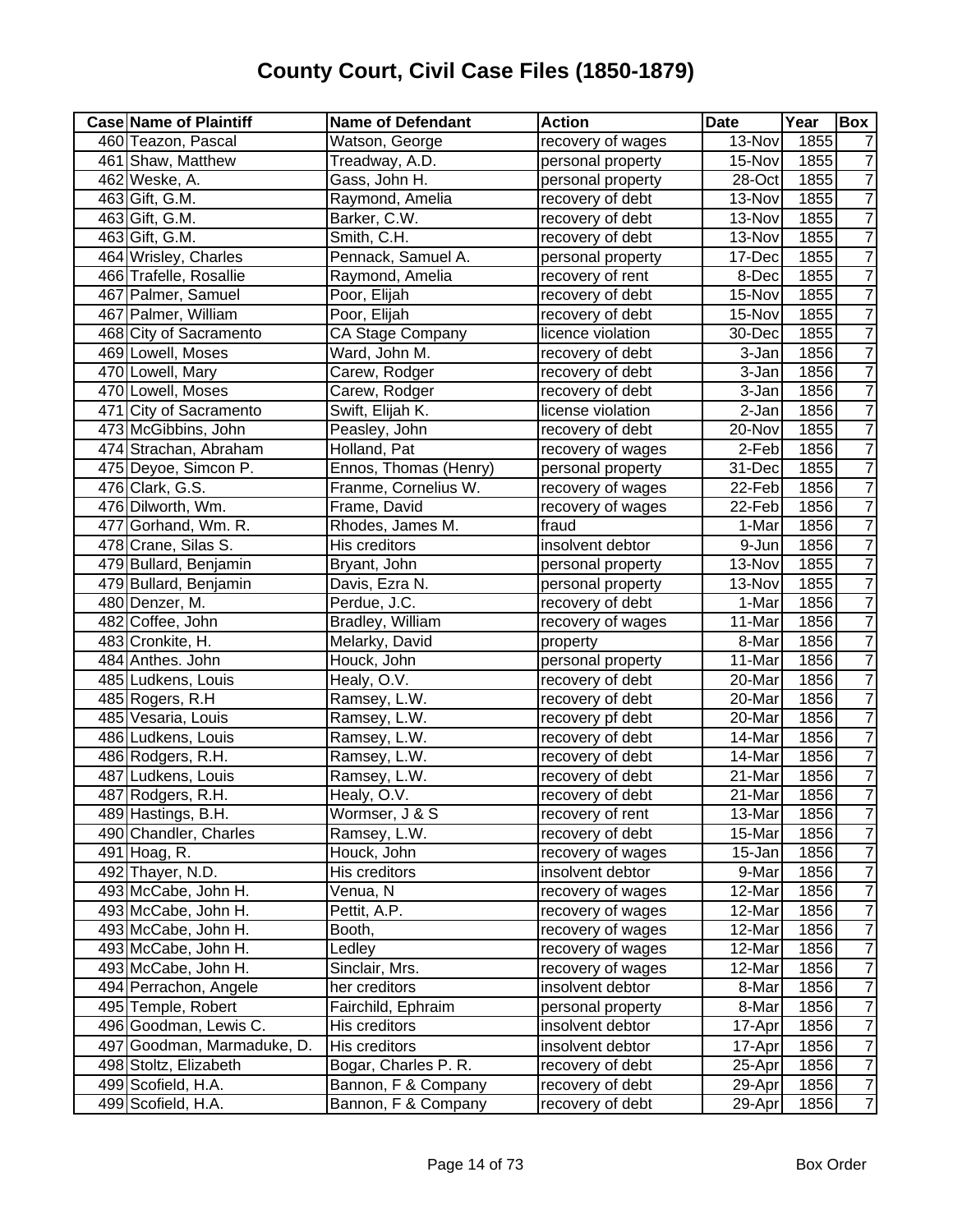| 460 Teazon, Pascal<br>Watson, George<br>13-Nov<br>1855<br>recovery of wages<br>461 Shaw, Matthew<br>Treadway, A.D.<br>personal property<br>15-Nov<br>1855<br>1855<br>462 Weske, A.<br>Gass, John H.<br>personal property<br>28-Oct<br>463 Gift, G.M.<br>Raymond, Amelia<br>1855<br>recovery of debt<br>13-Nov | $\overline{7}$<br>$\overline{7}$<br>$\overline{7}$<br>$\overline{7}$ |
|---------------------------------------------------------------------------------------------------------------------------------------------------------------------------------------------------------------------------------------------------------------------------------------------------------------|----------------------------------------------------------------------|
|                                                                                                                                                                                                                                                                                                               |                                                                      |
|                                                                                                                                                                                                                                                                                                               |                                                                      |
|                                                                                                                                                                                                                                                                                                               |                                                                      |
|                                                                                                                                                                                                                                                                                                               |                                                                      |
| 463 Gift, G.M.<br>Barker, C.W.<br>1855<br>13-Nov<br>recovery of debt                                                                                                                                                                                                                                          |                                                                      |
| 463 Gift, G.M.<br>Smith, C.H.<br>recovery of debt<br>1855<br>13-Nov                                                                                                                                                                                                                                           | $\overline{7}$                                                       |
| 464 Wrisley, Charles<br>Pennack, Samuel A.<br>1855<br>personal property<br>17-Dec                                                                                                                                                                                                                             | $\overline{7}$                                                       |
| 1855<br>466 Trafelle, Rosallie<br>Raymond, Amelia<br>recovery of rent<br>8-Dec                                                                                                                                                                                                                                | 7                                                                    |
| 1855<br>467 Palmer, Samuel<br>Poor, Elijah<br>15-Nov<br>recovery of debt                                                                                                                                                                                                                                      | $\overline{7}$                                                       |
| 467 Palmer, William<br>1855<br>Poor, Elijah<br>15-Nov<br>recovery of debt                                                                                                                                                                                                                                     | $\overline{7}$                                                       |
| 468 City of Sacramento<br>30-Dec<br>1855<br><b>CA Stage Company</b><br>licence violation                                                                                                                                                                                                                      | $\overline{7}$                                                       |
| 1856<br>469 Lowell, Moses<br>Ward, John M.<br>3-Jan<br>recovery of debt                                                                                                                                                                                                                                       | $\overline{7}$                                                       |
| 470 Lowell, Mary<br>1856<br>Carew, Rodger<br>3-Jan<br>recovery of debt                                                                                                                                                                                                                                        | $\overline{7}$                                                       |
| 470 Lowell, Moses<br>1856<br>Carew, Rodger<br>3-Jan<br>recovery of debt                                                                                                                                                                                                                                       | $\overline{7}$                                                       |
| 471 City of Sacramento<br>Swift, Elijah K.<br>1856<br>license violation<br>2-Jan                                                                                                                                                                                                                              | $\overline{7}$                                                       |
| 473 McGibbins, John<br>1855<br>Peasley, John<br>20-Nov<br>recovery of debt                                                                                                                                                                                                                                    | $\overline{7}$                                                       |
| 474 Strachan, Abraham<br>2-Feb<br>1856<br>Holland, Pat<br>recovery of wages                                                                                                                                                                                                                                   | 7                                                                    |
| 475 Deyoe, Simcon P.<br>31-Dec<br>1855<br>Ennos, Thomas (Henry)<br>personal property                                                                                                                                                                                                                          | $\overline{7}$                                                       |
| 476 Clark, G.S.<br>Franme, Cornelius W.<br>22-Feb<br>1856<br>recovery of wages                                                                                                                                                                                                                                | $\overline{7}$                                                       |
| 476 Dilworth, Wm.<br>22-Feb<br>1856<br>Frame, David<br>recovery of wages                                                                                                                                                                                                                                      | $\overline{7}$                                                       |
| 477 Gorhand, Wm. R.<br>Rhodes, James M.<br>fraud<br>1856<br>1-Mar                                                                                                                                                                                                                                             | $\overline{7}$                                                       |
| 478 Crane, Silas S.<br>His creditors<br>insolvent debtor<br>1856<br>9-Jun                                                                                                                                                                                                                                     | $\overline{7}$                                                       |
| 479 Bullard, Benjamin<br>13-Nov<br>1855<br>Bryant, John<br>personal property                                                                                                                                                                                                                                  | $\overline{7}$                                                       |
| 479 Bullard, Benjamin<br>1855<br>Davis, Ezra N.<br>personal property<br>13-Nov                                                                                                                                                                                                                                | $\overline{7}$                                                       |
| 1856<br>Perdue, J.C.<br>1-Mar<br>480 Denzer, M.<br>recovery of debt                                                                                                                                                                                                                                           | $\overline{7}$                                                       |
| 482 Coffee, John<br>11-Mar<br>1856<br>Bradley, William<br>recovery of wages                                                                                                                                                                                                                                   | $\overline{7}$                                                       |
| Melarky, David<br>483 Cronkite, H.<br>8-Mar<br>1856<br>property                                                                                                                                                                                                                                               | $\overline{7}$                                                       |
| 1856<br>484 Anthes. John<br>Houck, John<br>personal property<br>11-Mar                                                                                                                                                                                                                                        | $\overline{7}$                                                       |
| 1856<br>485 Ludkens, Louis<br>Healy, O.V.<br>20-Mar<br>recovery of debt                                                                                                                                                                                                                                       | $\overline{7}$                                                       |
| 1856<br>485 Rogers, R.H<br>Ramsey, L.W.<br>20-Mar<br>recovery of debt                                                                                                                                                                                                                                         | $\overline{7}$                                                       |
| 485 Vesaria, Louis<br>1856<br>Ramsey, L.W.<br>recovery pf debt<br>20-Mar                                                                                                                                                                                                                                      | $\overline{7}$                                                       |
| 486 Ludkens, Louis<br>1856<br>recovery of debt<br>14-Mar<br>Ramsey, L.W.                                                                                                                                                                                                                                      | $\overline{7}$                                                       |
| 1856<br>486 Rodgers, R.H.<br>recovery of debt<br>14-Mar<br>Ramsey, L.W.                                                                                                                                                                                                                                       | $\overline{7}$                                                       |
| 487 Ludkens, Louis<br>21-Mar<br>1856<br>Ramsey, L.W.<br>recovery of debt                                                                                                                                                                                                                                      | $\overline{7}$                                                       |
| 487 Rodgers, R.H.<br>21-Mar<br>1856<br>Healy, O.V.<br>recovery of debt                                                                                                                                                                                                                                        | $\overline{7}$                                                       |
| 489 Hastings, B.H.<br>Wormser, J & S<br>13-Mar<br>1856<br>recovery of rent                                                                                                                                                                                                                                    | $\overline{7}$                                                       |
| 490 Chandler, Charles<br>Ramsey, L.W.<br>recovery of debt<br>15-Mar<br>1856                                                                                                                                                                                                                                   | $\overline{7}$                                                       |
| Houck, John<br>1856<br>491 Hoag, R.<br>recovery of wages<br>15-Jan                                                                                                                                                                                                                                            | $\overline{7}$                                                       |
| 492 Thayer, N.D.<br>His creditors<br>insolvent debtor<br>9-Mar<br>1856                                                                                                                                                                                                                                        | $\overline{7}$                                                       |
| 493 McCabe, John H.<br>Venua, N<br>12-Mar<br>1856<br>recovery of wages                                                                                                                                                                                                                                        | $\overline{7}$                                                       |
| Pettit, A.P.<br>1856<br>493 McCabe, John H.<br>recovery of wages<br>12-Mar                                                                                                                                                                                                                                    | $\overline{7}$                                                       |
| 1856<br>493 McCabe, John H.<br>Booth,<br>recovery of wages<br>12-Mar                                                                                                                                                                                                                                          | $\overline{7}$                                                       |
| 493 McCabe, John H.<br>1856<br>Ledley<br>recovery of wages<br>12-Mar                                                                                                                                                                                                                                          | $\overline{7}$                                                       |
| 493 McCabe, John H.<br>Sinclair, Mrs.<br>1856<br>recovery of wages<br>12-Mar                                                                                                                                                                                                                                  | $\overline{7}$                                                       |
| 494 Perrachon, Angele<br>1856<br>her creditors<br>insolvent debtor<br>8-Mar                                                                                                                                                                                                                                   | $\overline{7}$                                                       |
| 495 Temple, Robert<br>1856<br>Fairchild, Ephraim<br>8-Mar<br>personal property                                                                                                                                                                                                                                | $\overline{7}$                                                       |
| 496 Goodman, Lewis C.<br>His creditors<br>1856<br>insolvent debtor<br>17-Apr                                                                                                                                                                                                                                  | $\overline{7}$                                                       |
| 497 Goodman, Marmaduke, D.<br>His creditors<br>1856<br>insolvent debtor<br>17-Apr                                                                                                                                                                                                                             | $\overline{7}$                                                       |
| 498 Stoltz, Elizabeth<br>Bogar, Charles P. R.<br>recovery of debt<br>25-Apr<br>1856                                                                                                                                                                                                                           | $\overline{7}$                                                       |
| recovery of debt<br>499 Scofield, H.A.<br>Bannon, F & Company<br>29-Apr<br>1856                                                                                                                                                                                                                               | $\overline{7}$                                                       |
| 499 Scofield, H.A.<br>Bannon, F & Company<br>recovery of debt<br>29-Apr<br>1856                                                                                                                                                                                                                               | $\overline{7}$                                                       |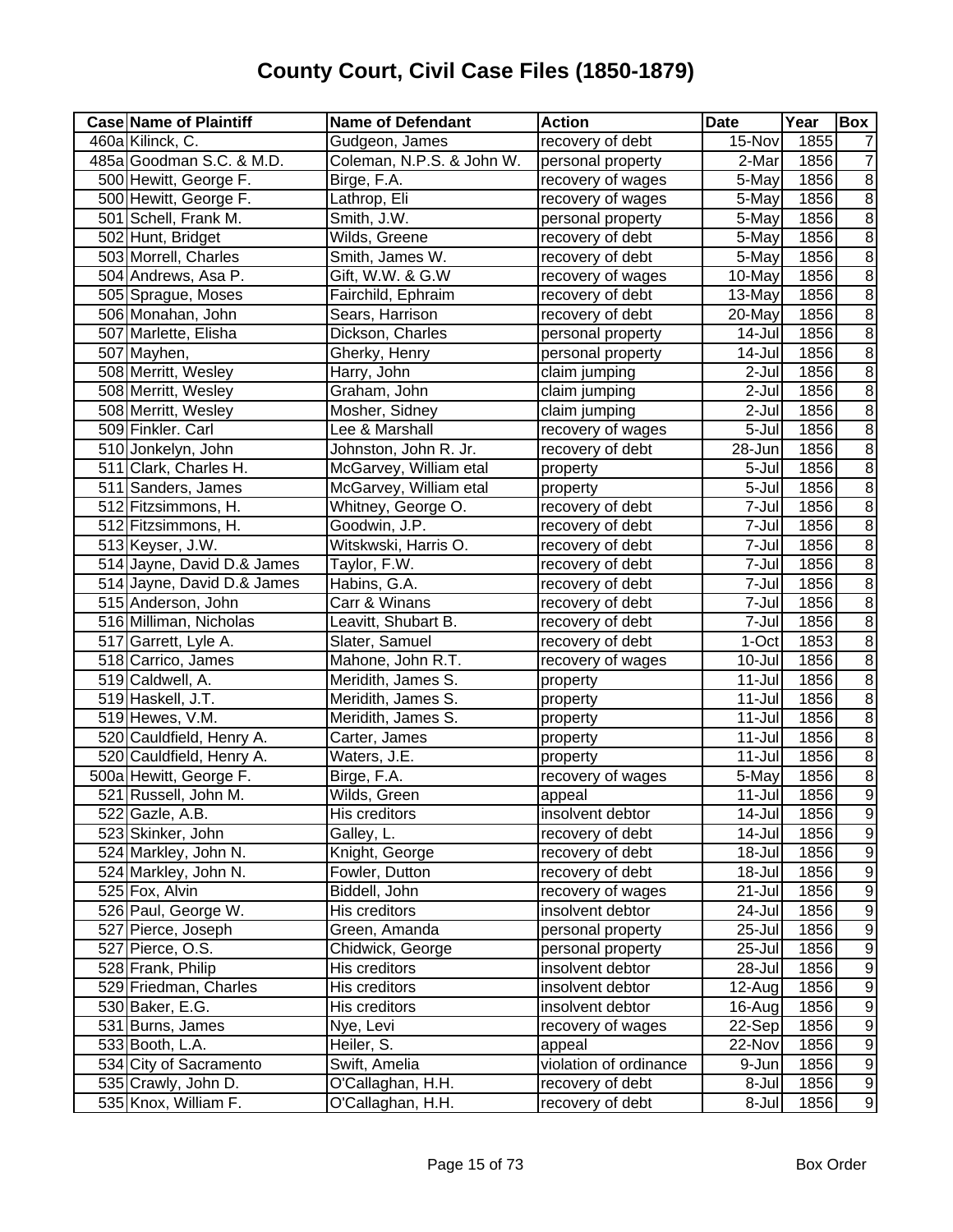| <b>Case Name of Plaintiff</b> | <b>Name of Defendant</b>  | <b>Action</b>          | <b>Date</b> | Year | Box              |
|-------------------------------|---------------------------|------------------------|-------------|------|------------------|
| 460a Kilinck, C.              | Gudgeon, James            | recovery of debt       | 15-Nov      | 1855 |                  |
| 485a Goodman S.C. & M.D.      | Coleman, N.P.S. & John W. | personal property      | 2-Mar       | 1856 | 7                |
| 500 Hewitt, George F.         | Birge, F.A.               | recovery of wages      | 5-May       | 1856 | $\overline{8}$   |
| 500 Hewitt, George F.         | Lathrop, Eli              | recovery of wages      | 5-May       | 1856 | $\overline{8}$   |
| 501 Schell, Frank M.          | Smith, J.W.               | personal property      | 5-May       | 1856 | $\overline{8}$   |
| 502 Hunt, Bridget             | Wilds, Greene             | recovery of debt       | 5-May       | 1856 | $\overline{8}$   |
| 503 Morrell, Charles          | Smith, James W.           | recovery of debt       | 5-May       | 1856 | $\overline{8}$   |
| 504 Andrews, Asa P.           | Gift, W.W. & G.W          | recovery of wages      | 10-May      | 1856 | $\overline{8}$   |
| 505 Sprague, Moses            | Fairchild, Ephraim        | recovery of debt       | 13-May      | 1856 | $\overline{8}$   |
| 506 Monahan, John             | Sears, Harrison           | recovery of debt       | 20-May      | 1856 | $\overline{8}$   |
| 507 Marlette, Elisha          | Dickson, Charles          | personal property      | 14-Jul      | 1856 | $\overline{8}$   |
| 507 Mayhen,                   | Gherky, Henry             | personal property      | 14-Jul      | 1856 | $\overline{8}$   |
| 508 Merritt, Wesley           | Harry, John               | claim jumping          | 2-Jul       | 1856 | $\overline{8}$   |
| 508 Merritt, Wesley           | Graham, John              | claim jumping          | 2-Jul       | 1856 | $\overline{8}$   |
| 508 Merritt, Wesley           | Mosher, Sidney            | claim jumping          | 2-Jul       | 1856 | $\overline{8}$   |
| 509 Finkler. Carl             | Lee & Marshall            | recovery of wages      | 5-Jul       | 1856 | $\overline{8}$   |
| 510 Jonkelyn, John            | Johnston, John R. Jr.     | recovery of debt       | 28-Jun      | 1856 | $\overline{8}$   |
| 511 Clark, Charles H.         | McGarvey, William etal    | property               | 5-Jul       | 1856 | $\overline{8}$   |
| 511 Sanders, James            | McGarvey, William etal    | property               | 5-Jul       | 1856 | $\overline{8}$   |
| 512 Fitzsimmons, H.           | Whitney, George O.        | recovery of debt       | 7-Jul       | 1856 | $\overline{8}$   |
| 512 Fitzsimmons, H.           | Goodwin, J.P.             | recovery of debt       | 7-Jul       | 1856 | $\overline{8}$   |
| 513 Keyser, J.W.              | Witskwski, Harris O.      | recovery of debt       | 7-Jul       | 1856 | $\overline{8}$   |
| 514 Jayne, David D.& James    | Taylor, F.W.              | recovery of debt       | 7-Jul       | 1856 | $\overline{8}$   |
| 514 Jayne, David D.& James    | Habins, G.A.              | recovery of debt       | 7-Jul       | 1856 | $\overline{8}$   |
| 515 Anderson, John            | Carr & Winans             | recovery of debt       | 7-Jul       | 1856 | $\, 8$           |
| 516 Milliman, Nicholas        | Leavitt, Shubart B.       | recovery of debt       | 7-Jul       | 1856 | $\overline{8}$   |
| 517 Garrett, Lyle A.          | Slater, Samuel            | recovery of debt       | 1-Oct       | 1853 | $\overline{8}$   |
| 518 Carrico, James            | Mahone, John R.T.         | recovery of wages      | 10-Jul      | 1856 | $\overline{8}$   |
| 519 Caldwell, A.              | Meridith, James S.        | property               | $11 -$ Jul  | 1856 | $\overline{8}$   |
| 519 Haskell, J.T.             | Meridith, James S.        | property               | $11 -$ Jul  | 1856 | $\overline{8}$   |
| 519 Hewes, V.M.               | Meridith, James S.        | property               | $11 -$ Jul  | 1856 | $\overline{8}$   |
| 520 Cauldfield, Henry A.      | Carter, James             | property               | $11 -$ Jul  | 1856 | $\overline{8}$   |
| 520 Cauldfield, Henry A.      | Waters, J.E.              | property               | $11 -$ Jul  | 1856 | $\overline{8}$   |
| 500a Hewitt, George F.        | Birge, F.A.               | recovery of wages      | 5-May       | 1856 | $\overline{8}$   |
| 521 Russell, John M.          | Wilds, Green              | appeal                 | $11 -$ Jul  | 1856 | $\overline{9}$   |
| 522 Gazle, A.B.               | His creditors             | insolvent debtor       | 14-Jul      | 1856 | $\overline{9}$   |
| 523 Skinker, John             | Galley, L.                | recovery of debt       | 14-Jul      | 1856 | $\overline{9}$   |
| 524 Markley, John N.          | Knight, George            | recovery of debt       | 18-Jul      | 1856 | 9                |
| 524 Markley, John N.          | Fowler, Dutton            | recovery of debt       | 18-Jul      | 1856 | $\overline{9}$   |
| 525 Fox, Alvin                | Biddell, John             | recovery of wages      | 21-Jul      | 1856 | 9                |
| 526 Paul, George W.           | His creditors             | insolvent debtor       | 24-Jul      | 1856 | $\boldsymbol{9}$ |
| 527 Pierce, Joseph            | Green, Amanda             | personal property      | 25-Jul      | 1856 | $\boldsymbol{9}$ |
| 527 Pierce, O.S.              | Chidwick, George          | personal property      | 25-Jul      | 1856 | $\boldsymbol{9}$ |
| 528 Frank, Philip             | His creditors             | insolvent debtor       | 28-Jul      | 1856 | $\overline{9}$   |
| 529 Friedman, Charles         | His creditors             | insolvent debtor       | 12-Aug      | 1856 | $\overline{9}$   |
| 530 Baker, E.G.               | His creditors             | insolvent debtor       | 16-Aug      | 1856 | $\overline{9}$   |
| 531 Burns, James              | Nye, Levi                 | recovery of wages      | 22-Sep      | 1856 | $\overline{9}$   |
| 533 Booth, L.A.               | Heiler, S.                | appeal                 | 22-Nov      | 1856 | $\overline{9}$   |
| 534 City of Sacramento        | Swift, Amelia             | violation of ordinance | 9-Jun       | 1856 | $\overline{9}$   |
| 535 Crawly, John D.           | O'Callaghan, H.H.         | recovery of debt       | 8-Jul       | 1856 | $\overline{9}$   |
| 535 Knox, William F.          | O'Callaghan, H.H.         | recovery of debt       | 8-Jul       | 1856 | $\overline{9}$   |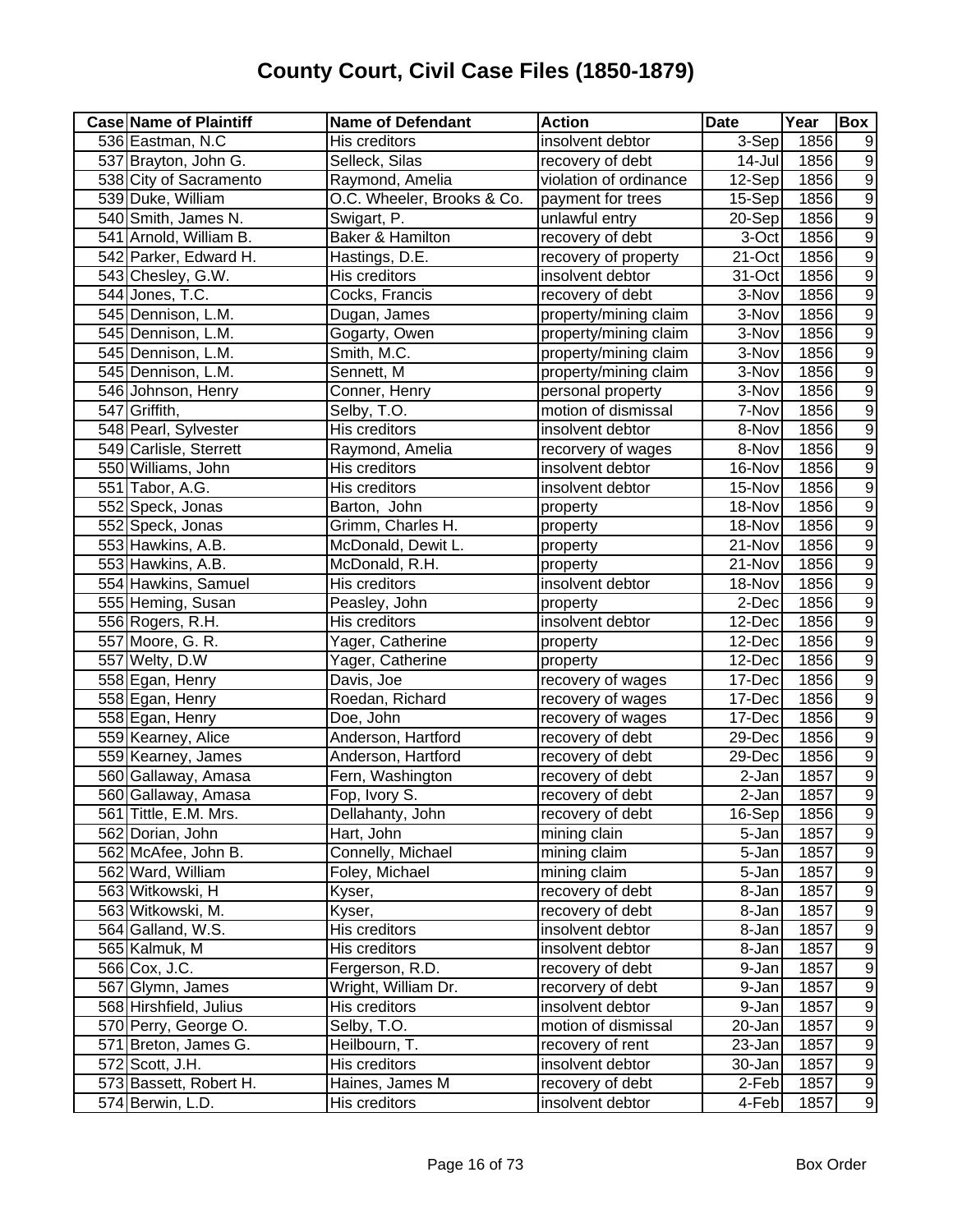| <b>Case Name of Plaintiff</b> | <b>Name of Defendant</b>    | <b>Action</b>          | <b>Date</b>          | Year | Box              |
|-------------------------------|-----------------------------|------------------------|----------------------|------|------------------|
| 536 Eastman, N.C              | His creditors               | insolvent debtor       | 3-Sep                | 1856 | 9                |
| 537 Brayton, John G.          | Selleck, Silas              | recovery of debt       | 14-Jul               | 1856 | $\overline{9}$   |
| 538 City of Sacramento        | Raymond, Amelia             | violation of ordinance | $12-Sep$             | 1856 | $\overline{9}$   |
| 539 Duke, William             | O.C. Wheeler, Brooks & Co.  | payment for trees      | 15-Sep               | 1856 | $\overline{9}$   |
| 540 Smith, James N.           | Swigart, P.                 | unlawful entry         | $20-Sep$             | 1856 | $\overline{9}$   |
| 541 Arnold, William B.        | <b>Baker &amp; Hamilton</b> | recovery of debt       | 3-Oct                | 1856 | $\overline{9}$   |
| 542 Parker, Edward H.         | Hastings, D.E.              | recovery of property   | 21-Oct               | 1856 | $\overline{9}$   |
| 543 Chesley, G.W.             | His creditors               | insolvent debtor       | 31-Oct               | 1856 | $\overline{9}$   |
| 544 Jones, T.C.               | Cocks, Francis              | recovery of debt       | 3-Nov                | 1856 | $\overline{9}$   |
| 545 Dennison, L.M.            | Dugan, James                | property/mining claim  | 3-Nov                | 1856 | $\overline{9}$   |
| 545 Dennison, L.M.            | Gogarty, Owen               | property/mining claim  | 3-Nov                | 1856 | $\overline{9}$   |
| 545 Dennison, L.M.            | Smith, M.C.                 | property/mining claim  | 3-Nov                | 1856 | $\overline{9}$   |
| 545 Dennison, L.M.            | Sennett, M                  | property/mining claim  | 3-Nov                | 1856 | $\overline{9}$   |
| 546 Johnson, Henry            | Conner, Henry               | personal property      | 3-Nov                | 1856 | $\overline{9}$   |
| 547 Griffith,                 | Selby, T.O.                 | motion of dismissal    | 7-Nov                | 1856 | $\overline{9}$   |
| 548 Pearl, Sylvester          | His creditors               | insolvent debtor       | 8-Nov                | 1856 | $\overline{9}$   |
| 549 Carlisle, Sterrett        | Raymond, Amelia             | recorvery of wages     | 8-Nov                | 1856 | $\overline{9}$   |
| 550 Williams, John            | His creditors               | insolvent debtor       | 16-Nov               | 1856 | $\overline{9}$   |
| 551 Tabor, A.G.               | His creditors               | insolvent debtor       | 15-Nov               | 1856 | $\overline{9}$   |
| 552 Speck, Jonas              | Barton, John                | property               | 18-Nov               | 1856 | $\overline{9}$   |
| 552 Speck, Jonas              | Grimm, Charles H.           | property               | 18-Nov               | 1856 | $\overline{9}$   |
| 553 Hawkins, A.B.             | McDonald, Dewit L.          | property               | 21-Nov               | 1856 | $\overline{9}$   |
| 553 Hawkins, A.B.             | McDonald, R.H.              | property               | 21-Nov               | 1856 | $\overline{9}$   |
| 554 Hawkins, Samuel           | His creditors               | insolvent debtor       | 18-Nov               | 1856 | $\overline{9}$   |
| 555 Heming, Susan             | Peasley, John               | property               | 2-Dec                | 1856 | $\overline{9}$   |
| 556 Rogers, R.H.              | His creditors               | insolvent debtor       | 12-Dec               | 1856 | $\overline{9}$   |
| 557 Moore, G. R.              | Yager, Catherine            | property               | 12-Dec               | 1856 | $\overline{9}$   |
| 557 Welty, D.W                | Yager, Catherine            | property               | 12-Dec               | 1856 | $\overline{9}$   |
| 558 Egan, Henry               | Davis, Joe                  | recovery of wages      | 17-Dec               | 1856 | $\overline{9}$   |
| 558 Egan, Henry               | Roedan, Richard             | recovery of wages      | 17-Dec               | 1856 | $\overline{9}$   |
| 558 Egan, Henry               | Doe, John                   | recovery of wages      | 17-Dec               | 1856 | $\overline{9}$   |
| 559 Kearney, Alice            | Anderson, Hartford          | recovery of debt       | 29-Dec               | 1856 | $\overline{9}$   |
| 559 Kearney, James            | Anderson, Hartford          | recovery of debt       | 29-Dec               | 1856 | $\overline{9}$   |
| 560 Gallaway, Amasa           | Fern, Washington            | recovery of debt       | 2-Jan                | 1857 | $\overline{9}$   |
| 560 Gallaway, Amasa           | Fop, Ivory S.               | recovery of debt       | 2-Jan                | 1857 | $\overline{9}$   |
| 561 Tittle, E.M. Mrs.         | Dellahanty, John            | recovery of debt       | $\overline{1}6$ -Sep | 1856 | 9                |
| 562 Dorian, John              | Hart, John                  | mining clain           | 5-Jan                | 1857 | $\overline{9}$   |
| 562 McAfee, John B.           | Connelly, Michael           | mining claim           | 5-Jan                | 1857 | $\boldsymbol{9}$ |
| 562 Ward, William             | Foley, Michael              | mining claim           | 5-Jan                | 1857 | $\boldsymbol{9}$ |
| 563 Witkowski, H              | Kyser,                      | recovery of debt       | 8-Jan                | 1857 | $\boldsymbol{9}$ |
| 563 Witkowski, M.             | Kyser,                      | recovery of debt       | 8-Jan                | 1857 | $\boldsymbol{9}$ |
| 564 Galland, W.S.             | His creditors               | insolvent debtor       | 8-Jan                | 1857 | $\overline{9}$   |
| 565 Kalmuk, M                 | His creditors               | insolvent debtor       | 8-Jan                | 1857 | $\overline{9}$   |
| 566 Cox, J.C.                 | Fergerson, R.D.             | recovery of debt       | 9-Jan                | 1857 | $\overline{9}$   |
| 567 Glymn, James              | Wright, William Dr.         | recorvery of debt      | 9-Jan                | 1857 | $\overline{9}$   |
| 568 Hirshfield, Julius        | His creditors               | insolvent debtor       | 9-Jan                | 1857 | $\overline{9}$   |
| 570 Perry, George O.          | Selby, T.O.                 | motion of dismissal    | 20-Jan               | 1857 | $\overline{9}$   |
| 571 Breton, James G.          | Heilbourn, T.               | recovery of rent       | 23-Jan               | 1857 | $\overline{9}$   |
| 572 Scott, J.H.               | His creditors               | insolvent debtor       | 30-Jan               | 1857 | $\overline{9}$   |
| 573 Bassett, Robert H.        | Haines, James M             | recovery of debt       | 2-Feb                | 1857 | $\overline{9}$   |
| 574 Berwin, L.D.              | His creditors               | insolvent debtor       | 4-Feb                | 1857 | $\overline{9}$   |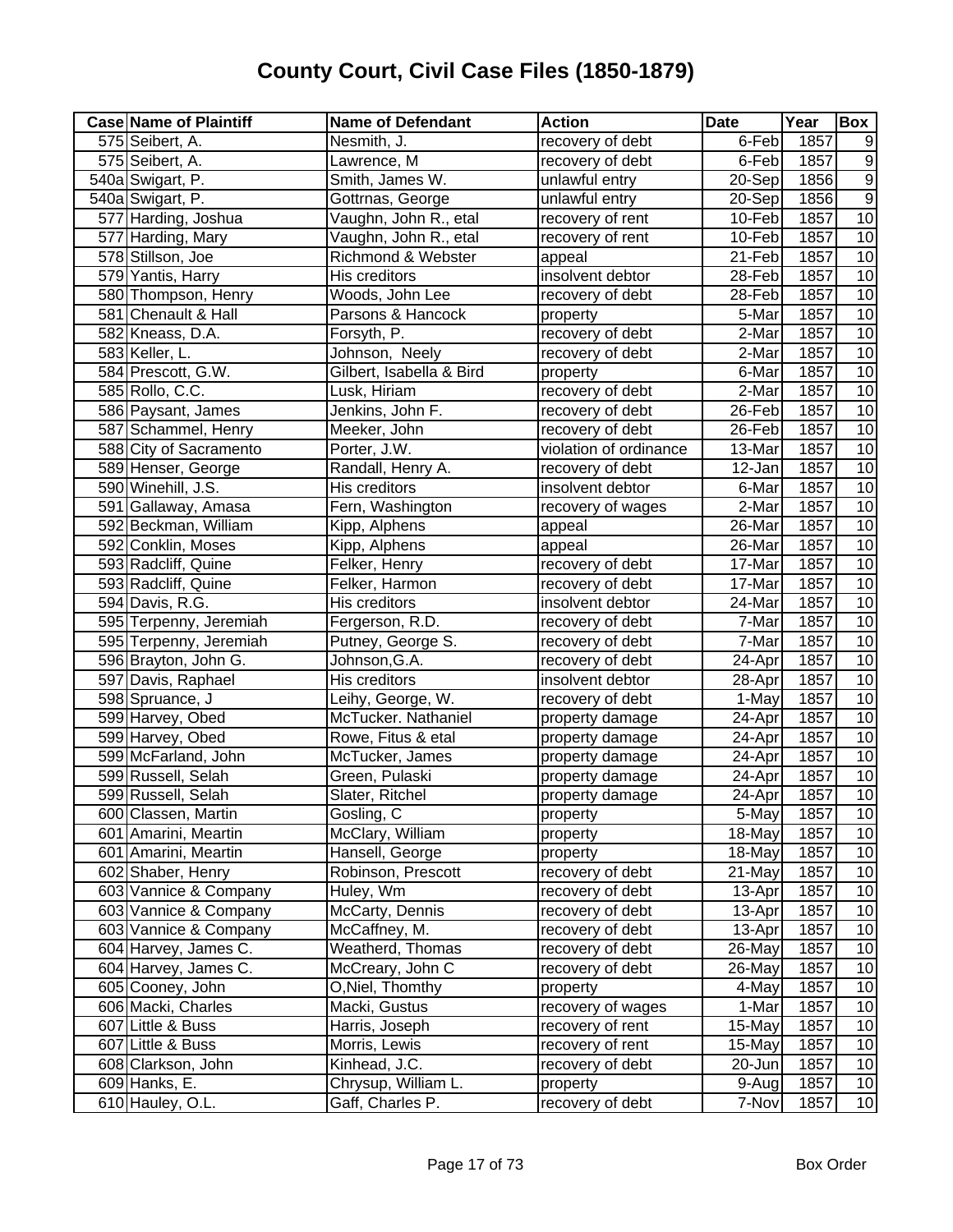| <b>Case Name of Plaintiff</b> | <b>Name of Defendant</b> | <b>Action</b>          | <b>Date</b> | Year | Box             |
|-------------------------------|--------------------------|------------------------|-------------|------|-----------------|
| 575 Seibert, A.               | Nesmith, J.              | recovery of debt       | 6-Feb       | 1857 | 9               |
| 575 Seibert, A.               | Lawrence, M              | recovery of debt       | 6-Feb       | 1857 | $\overline{9}$  |
| 540a Swigart, P.              | Smith, James W.          | unlawful entry         | $20-Sep$    | 1856 | $\overline{9}$  |
| 540a Swigart, P.              | Gottrnas, George         | unlawful entry         | 20-Sep      | 1856 | $\overline{9}$  |
| 577 Harding, Joshua           | Vaughn, John R., etal    | recovery of rent       | 10-Feb      | 1857 | 10              |
| 577 Harding, Mary             | Vaughn, John R., etal    | recovery of rent       | 10-Feb      | 1857 | 10              |
| 578 Stillson, Joe             | Richmond & Webster       | appeal                 | 21-Feb      | 1857 | 10              |
| 579 Yantis, Harry             | His creditors            | insolvent debtor       | 28-Feb      | 1857 | 10              |
| 580 Thompson, Henry           | Woods, John Lee          | recovery of debt       | 28-Feb      | 1857 | 10              |
| 581 Chenault & Hall           | Parsons & Hancock        | property               | 5-Mar       | 1857 | 10              |
| 582 Kneass, D.A.              | Forsyth, P.              | recovery of debt       | 2-Mar       | 1857 | 10              |
| 583 Keller, L.                | Johnson, Neely           | recovery of debt       | 2-Mar       | 1857 | 10              |
| 584 Prescott, G.W.            | Gilbert, Isabella & Bird | property               | 6-Mar       | 1857 | 10              |
| 585 Rollo, C.C.               | Lusk, Hiriam             | recovery of debt       | 2-Mar       | 1857 | 10              |
| 586 Paysant, James            | Jenkins, John F.         | recovery of debt       | 26-Feb      | 1857 | 10              |
| 587 Schammel, Henry           | Meeker, John             | recovery of debt       | 26-Feb      | 1857 | 10              |
| 588 City of Sacramento        | Porter, J.W.             | violation of ordinance | 13-Mar      | 1857 | 10              |
| 589 Henser, George            | Randall, Henry A.        | recovery of debt       | 12-Jan      | 1857 | $\overline{10}$ |
| 590 Winehill, J.S.            | His creditors            | insolvent debtor       | 6-Mar       | 1857 | 10              |
| 591 Gallaway, Amasa           | Fern, Washington         | recovery of wages      | 2-Mar       | 1857 | 10              |
| 592 Beckman, William          | Kipp, Alphens            | appeal                 | 26-Mar      | 1857 | 10              |
| 592 Conklin, Moses            | Kipp, Alphens            | appeal                 | 26-Mar      | 1857 | 10              |
| 593 Radcliff, Quine           | Felker, Henry            | recovery of debt       | 17-Mar      | 1857 | 10              |
| 593 Radcliff, Quine           | Felker, Harmon           | recovery of debt       | 17-Mar      | 1857 | 10              |
| 594 Davis, R.G.               | His creditors            | insolvent debtor       | 24-Mar      | 1857 | 10              |
| 595 Terpenny, Jeremiah        | Fergerson, R.D.          | recovery of debt       | 7-Mar       | 1857 | $\overline{10}$ |
| 595 Terpenny, Jeremiah        | Putney, George S.        | recovery of debt       | 7-Mar       | 1857 | 10              |
| 596 Brayton, John G.          | Johnson, G.A.            | recovery of debt       | 24-Apr      | 1857 | 10              |
| 597 Davis, Raphael            | His creditors            | insolvent debtor       | 28-Apr      | 1857 | 10              |
| 598 Spruance, J               | Leihy, George, W.        | recovery of debt       | 1-May       | 1857 | 10              |
| 599 Harvey, Obed              | McTucker. Nathaniel      | property damage        | 24-Apr      | 1857 | 10              |
| 599 Harvey, Obed              | Rowe, Fitus & etal       | property damage        | 24-Apr      | 1857 | 10              |
| 599 McFarland, John           | McTucker, James          | property damage        | 24-Apr      | 1857 | $10$            |
| 599 Russell, Selah            | Green, Pulaski           | property damage        | 24-Apr      | 1857 | 10              |
| 599 Russell, Selah            | Slater, Ritchel          | property damage        | 24-Apr      | 1857 | 10              |
| 600 Classen, Martin           | Gosling, C               | property               | 5-May       | 1857 | 10              |
| 601 Amarini, Meartin          | McClary, William         | property               | 18-May      | 1857 | $10$            |
| 601 Amarini, Meartin          | Hansell, George          | property               | 18-May      | 1857 | 10              |
| 602 Shaber, Henry             | Robinson, Prescott       | recovery of debt       | 21-May      | 1857 | 10              |
| 603 Vannice & Company         | Huley, Wm                | recovery of debt       | 13-Apr      | 1857 | 10              |
| 603 Vannice & Company         | McCarty, Dennis          | recovery of debt       | 13-Apr      | 1857 | 10              |
| 603 Vannice & Company         | McCaffney, M.            | recovery of debt       | 13-Apr      | 1857 | 10              |
| 604 Harvey, James C.          | Weatherd, Thomas         | recovery of debt       | 26-May      | 1857 | 10              |
| 604 Harvey, James C.          | McCreary, John C         | recovery of debt       | 26-May      | 1857 | 10              |
| 605 Cooney, John              | O, Niel, Thomthy         | property               | 4-May       | 1857 | 10              |
| 606 Macki, Charles            | Macki, Gustus            | recovery of wages      | 1-Mar       | 1857 | 10              |
| 607 Little & Buss             | Harris, Joseph           | recovery of rent       | 15-May      | 1857 | 10              |
| 607 Little & Buss             | Morris, Lewis            | recovery of rent       | 15-May      | 1857 | 10              |
| 608 Clarkson, John            | Kinhead, J.C.            | recovery of debt       | 20-Jun      | 1857 | 10              |
| 609 Hanks, E.                 | Chrysup, William L.      | property               | 9-Aug       | 1857 | 10              |
| 610 Hauley, O.L.              | Gaff, Charles P.         | recovery of debt       | 7-Nov       | 1857 | 10              |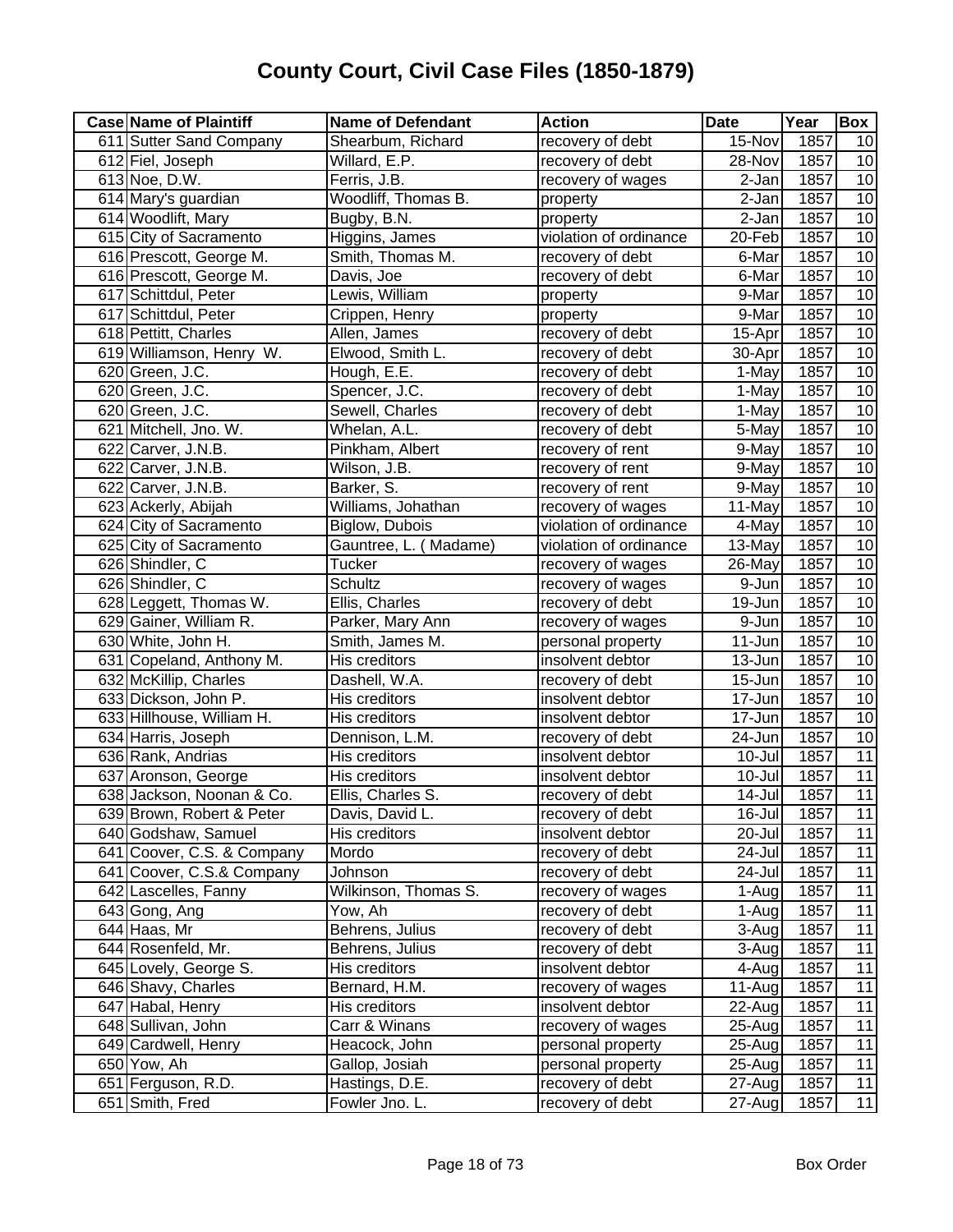| <b>Case Name of Plaintiff</b> | <b>Name of Defendant</b> | <b>Action</b>          | <b>Date</b> | Year | Box             |
|-------------------------------|--------------------------|------------------------|-------------|------|-----------------|
| 611 Sutter Sand Company       | Shearbum, Richard        | recovery of debt       | 15-Nov      | 1857 | 10              |
| 612 Fiel, Joseph              | Willard, E.P.            | recovery of debt       | 28-Nov      | 1857 | 10              |
| 613 Noe, D.W.                 | Ferris, J.B.             | recovery of wages      | 2-Jan       | 1857 | 10              |
| 614 Mary's guardian           | Woodliff, Thomas B.      | property               | 2-Jan       | 1857 | 10              |
| 614 Woodlift, Mary            | Bugby, B.N.              | property               | 2-Jan       | 1857 | 10              |
| 615 City of Sacramento        | Higgins, James           | violation of ordinance | 20-Feb      | 1857 | 10              |
| 616 Prescott, George M.       | Smith, Thomas M.         | recovery of debt       | 6-Mar       | 1857 | 10              |
| 616 Prescott, George M.       | Davis, Joe               | recovery of debt       | 6-Mar       | 1857 | 10              |
| 617 Schittdul, Peter          | Lewis, William           | property               | 9-Mar       | 1857 | 10              |
| 617 Schittdul, Peter          | Crippen, Henry           | property               | 9-Mar       | 1857 | 10              |
| 618 Pettitt, Charles          | Allen, James             | recovery of debt       | 15-Apr      | 1857 | 10              |
| 619 Williamson, Henry W.      | Elwood, Smith L.         | recovery of debt       | 30-Apr      | 1857 | 10              |
| 620 Green, J.C.               | Hough, E.E.              | recovery of debt       | 1-May       | 1857 | 10              |
| 620 Green, J.C.               | Spencer, J.C.            | recovery of debt       | 1-May       | 1857 | 10              |
| 620 Green, J.C.               | Sewell, Charles          | recovery of debt       | 1-May       | 1857 | 10              |
| 621 Mitchell, Jno. W.         | Whelan, A.L.             | recovery of debt       | 5-May       | 1857 | 10              |
| 622 Carver, J.N.B.            | Pinkham, Albert          | recovery of rent       | 9-May       | 1857 | 10              |
| 622 Carver, J.N.B.            | Wilson, J.B.             | recovery of rent       | 9-May       | 1857 | 10              |
| 622 Carver, J.N.B.            | Barker, S.               | recovery of rent       | 9-May       | 1857 | 10              |
| 623 Ackerly, Abijah           | Williams, Johathan       | recovery of wages      | 11-May      | 1857 | 10              |
| 624 City of Sacramento        | Biglow, Dubois           | violation of ordinance | 4-May       | 1857 | 10              |
| 625 City of Sacramento        | Gauntree, L. (Madame)    | violation of ordinance | 13-May      | 1857 | 10              |
| 626 Shindler, C               | <b>Tucker</b>            | recovery of wages      | 26-May      | 1857 | 10              |
| 626 Shindler, C               | <b>Schultz</b>           | recovery of wages      | 9-Jun       | 1857 | 10              |
| 628 Leggett, Thomas W.        | Ellis, Charles           | recovery of debt       | 19-Jun      | 1857 | 10              |
| 629 Gainer, William R.        | Parker, Mary Ann         | recovery of wages      | 9-Jun       | 1857 | 10              |
| 630 White, John H.            | Smith, James M.          | personal property      | 11-Jun      | 1857 | 10              |
| 631 Copeland, Anthony M.      | His creditors            | insolvent debtor       | 13-Jun      | 1857 | 10              |
| 632 McKillip, Charles         | Dashell, W.A.            | recovery of debt       | 15-Jun      | 1857 | 10              |
| 633 Dickson, John P.          | His creditors            | insolvent debtor       | 17-Jun      | 1857 | 10              |
| 633 Hillhouse, William H.     | His creditors            | insolvent debtor       | 17-Jun      | 1857 | 10              |
| 634 Harris, Joseph            | Dennison, L.M.           | recovery of debt       | 24-Jun      | 1857 | 10              |
| 636 Rank, Andrias             | His creditors            | insolvent debtor       | 10-Jul      | 1857 | $\overline{11}$ |
| 637 Aronson, George           | His creditors            | insolvent debtor       | 10-Jul      | 1857 | $\overline{11}$ |
| 638 Jackson, Noonan & Co.     | Ellis, Charles S.        | recovery of debt       | $14$ -Jul   | 1857 | 11              |
| 639 Brown, Robert & Peter     | Davis, David L.          | recovery of debt       | 16-Jul      | 1857 | 11              |
| 640 Godshaw, Samuel           | His creditors            | insolvent debtor       | 20-Jul      | 1857 | 11              |
| 641 Coover, C.S. & Company    | Mordo                    | recovery of debt       | 24-Jul      | 1857 | 11              |
| 641 Coover, C.S.& Company     | Johnson                  | recovery of debt       | 24-Jul      | 1857 | 11              |
| 642 Lascelles, Fanny          | Wilkinson, Thomas S.     | recovery of wages      | 1-Aug       | 1857 | 11              |
| 643 Gong, Ang                 | Yow, Ah                  | recovery of debt       | 1-Aug       | 1857 | 11              |
| $\overline{644}$ Haas, Mr     | Behrens, Julius          | recovery of debt       | 3-Aug       | 1857 | 11              |
| 644 Rosenfeld, Mr.            | Behrens, Julius          | recovery of debt       | 3-Aug       | 1857 | 11              |
| 645 Lovely, George S.         | His creditors            | insolvent debtor       | 4-Aug       | 1857 | 11              |
| 646 Shavy, Charles            | Bernard, H.M.            | recovery of wages      | $11-Auq$    | 1857 | 11              |
| 647 Habal, Henry              | His creditors            | insolvent debtor       | 22-Aug      | 1857 | 11              |
| 648 Sullivan, John            | Carr & Winans            | recovery of wages      | 25-Aug      | 1857 | 11              |
| 649 Cardwell, Henry           | Heacock, John            | personal property      | 25-Aug      | 1857 | 11              |
| 650 Yow, Ah                   | Gallop, Josiah           | personal property      | $25 - Aug$  | 1857 | 11              |
| 651 Ferguson, R.D.            | Hastings, D.E.           | recovery of debt       | 27-Aug      | 1857 | 11              |
| 651 Smith, Fred               | Fowler Jno. L.           | recovery of debt       | 27-Aug      | 1857 | $\overline{11}$ |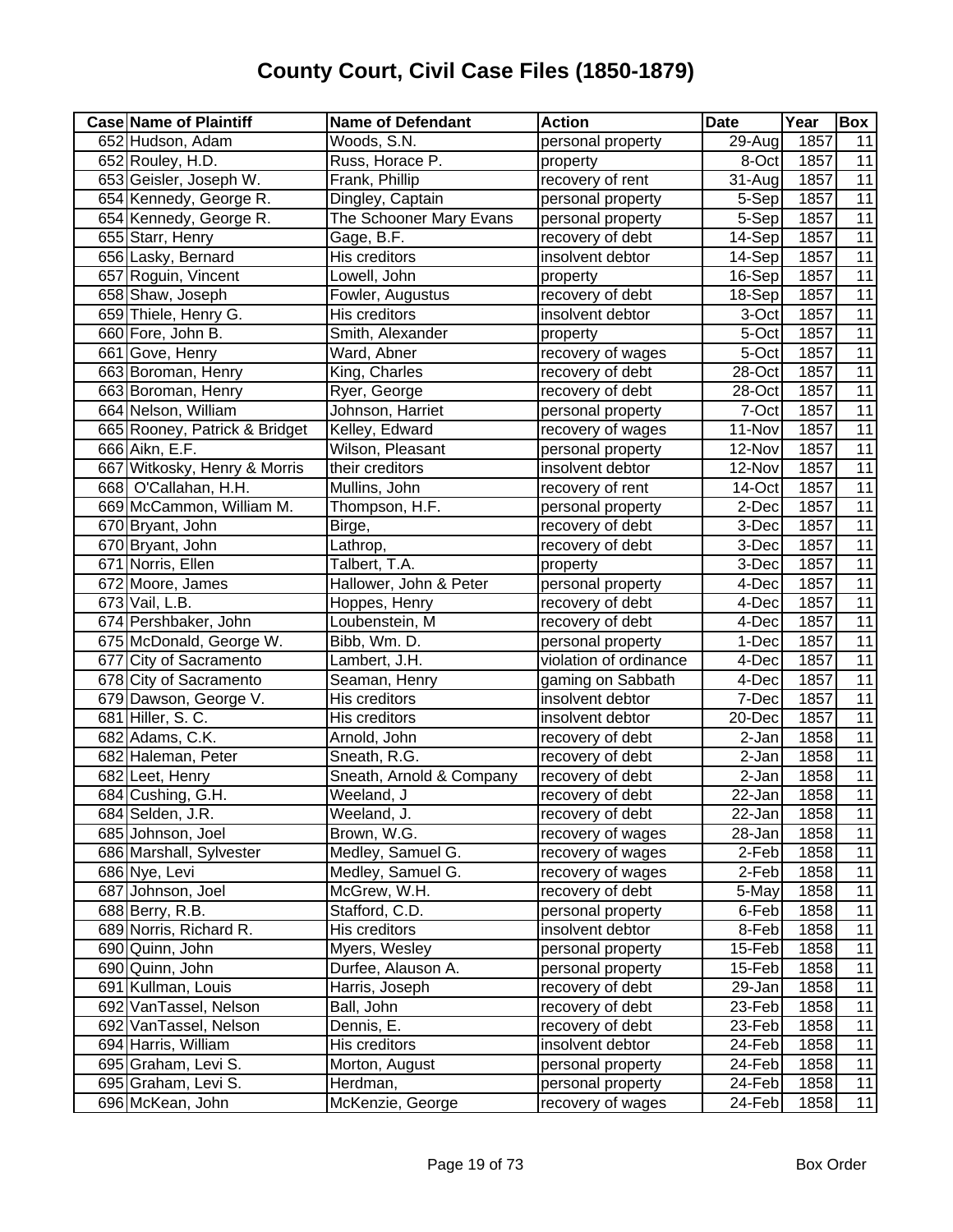| <b>Case Name of Plaintiff</b> | <b>Name of Defendant</b> | <b>Action</b>          | <b>Date</b> | Year | Box             |
|-------------------------------|--------------------------|------------------------|-------------|------|-----------------|
| 652 Hudson, Adam              | Woods, S.N.              | personal property      | 29-Aug      | 1857 | 11              |
| 652 Rouley, H.D.              | Russ, Horace P.          | property               | 8-Oct       | 1857 | 11              |
| 653 Geisler, Joseph W.        | Frank, Phillip           | recovery of rent       | $31 - Aug$  | 1857 | 11              |
| 654 Kennedy, George R.        | Dingley, Captain         | personal property      | $5-Sep$     | 1857 | 11              |
| 654 Kennedy, George R.        | The Schooner Mary Evans  | personal property      | 5-Sep       | 1857 | 11              |
| 655 Starr, Henry              | Gage, B.F.               | recovery of debt       | 14-Sep      | 1857 | 11              |
| 656 Lasky, Bernard            | His creditors            | insolvent debtor       | 14-Sep      | 1857 | $\overline{11}$ |
| 657 Roguin, Vincent           | Lowell, John             | property               | 16-Sep      | 1857 | 11              |
| 658 Shaw, Joseph              | Fowler, Augustus         | recovery of debt       | 18-Sep      | 1857 | 11              |
| 659 Thiele, Henry G.          | His creditors            | insolvent debtor       | 3-Oct       | 1857 | 11              |
| 660 Fore, John B.             | Smith, Alexander         | property               | 5-Oct       | 1857 | $\overline{11}$ |
| 661 Gove, Henry               | Ward, Abner              | recovery of wages      | 5-Oct       | 1857 | $\overline{11}$ |
| 663 Boroman, Henry            | King, Charles            | recovery of debt       | 28-Oct      | 1857 | $\overline{11}$ |
| 663 Boroman, Henry            | Ryer, George             | recovery of debt       | 28-Oct      | 1857 | 11              |
| 664 Nelson, William           | Johnson, Harriet         | personal property      | 7-Oct       | 1857 | $\overline{11}$ |
| 665 Rooney, Patrick & Bridget | Kelley, Edward           | recovery of wages      | 11-Nov      | 1857 | $\overline{11}$ |
| 666 Aikn, E.F.                | Wilson, Pleasant         | personal property      | 12-Nov      | 1857 | $\overline{11}$ |
| 667 Witkosky, Henry & Morris  | their creditors          | insolvent debtor       | 12-Nov      | 1857 | $\overline{11}$ |
| 668 O'Callahan, H.H.          | Mullins, John            | recovery of rent       | 14-Oct      | 1857 | 11              |
| 669 McCammon, William M.      | Thompson, H.F.           | personal property      | 2-Dec       | 1857 | 11              |
| 670 Bryant, John              | Birge,                   | recovery of debt       | 3-Dec       | 1857 | $\overline{11}$ |
| 670 Bryant, John              | Lathrop,                 | recovery of debt       | 3-Dec       | 1857 | 11              |
| 671 Norris, Ellen             | Talbert, T.A.            | property               | 3-Dec       | 1857 | $\overline{11}$ |
| 672 Moore, James              | Hallower, John & Peter   | personal property      | 4-Dec       | 1857 | 11              |
| 673 Vail, L.B.                | Hoppes, Henry            | recovery of debt       | 4-Dec       | 1857 | 11              |
| 674 Pershbaker, John          | Loubenstein, M           | recovery of debt       | 4-Dec       | 1857 | 11              |
| 675 McDonald, George W.       | Bibb, Wm. D.             | personal property      | 1-Dec       | 1857 | $\overline{11}$ |
| 677 City of Sacramento        | Lambert, J.H.            | violation of ordinance | 4-Dec       | 1857 | $\overline{11}$ |
| 678 City of Sacramento        | Seaman, Henry            | gaming on Sabbath      | 4-Dec       | 1857 | $\overline{11}$ |
| 679 Dawson, George V.         | His creditors            | insolvent debtor       | 7-Dec       | 1857 | $\overline{11}$ |
| 681 Hiller, S. C.             | His creditors            | insolvent debtor       | 20-Dec      | 1857 | $\overline{11}$ |
| 682 Adams, C.K.               | Arnold, John             | recovery of debt       | 2-Jan       | 1858 | $\overline{11}$ |
| 682 Haleman, Peter            | Sneath, R.G.             | recovery of debt       | 2-Jan       | 1858 | $\overline{11}$ |
| 682 Leet, Henry               | Sneath, Arnold & Company | recovery of debt       | 2-Jan       | 1858 | 11              |
| 684 Cushing, G.H.             | Weeland, J               | recovery of debt       | 22-Jan      | 1858 | 11              |
| 684 Selden, J.R.              | Weeland, J.              | recovery of debt       | 22-Jan      | 1858 | 11              |
| 685 Johnson, Joel             | Brown, W.G.              | recovery of wages      | 28-Jan      | 1858 | 11              |
| 686 Marshall, Sylvester       | Medley, Samuel G.        | recovery of wages      | 2-Feb       | 1858 | 11              |
| 686 Nye, Levi                 | Medley, Samuel G.        | recovery of wages      | 2-Feb       | 1858 | 11              |
| 687 Johnson, Joel             | McGrew, W.H.             | recovery of debt       | 5-May       | 1858 | 11              |
| 688 Berry, R.B.               | Stafford, C.D.           | personal property      | 6-Feb       | 1858 | 11              |
| 689 Norris, Richard R.        | His creditors            | insolvent debtor       | 8-Feb       | 1858 | 11              |
| 690 Quinn, John               | Myers, Wesley            | personal property      | 15-Feb      | 1858 | 11              |
| 690 Quinn, John               | Durfee, Alauson A.       | personal property      | 15-Feb      | 1858 | 11              |
| 691 Kullman, Louis            | Harris, Joseph           | recovery of debt       | 29-Jan      | 1858 | 11              |
| 692 VanTassel, Nelson         | Ball, John               | recovery of debt       | 23-Feb      | 1858 | 11              |
| 692 VanTassel, Nelson         | Dennis, E.               | recovery of debt       | 23-Feb      | 1858 | 11              |
| 694 Harris, William           | His creditors            | insolvent debtor       | 24-Feb      | 1858 | 11              |
| 695 Graham, Levi S.           | Morton, August           | personal property      | 24-Feb      | 1858 | 11              |
| 695 Graham, Levi S.           | Herdman,                 | personal property      | 24-Feb      | 1858 | 11              |
| 696 McKean, John              | McKenzie, George         | recovery of wages      | 24-Feb      | 1858 | 11              |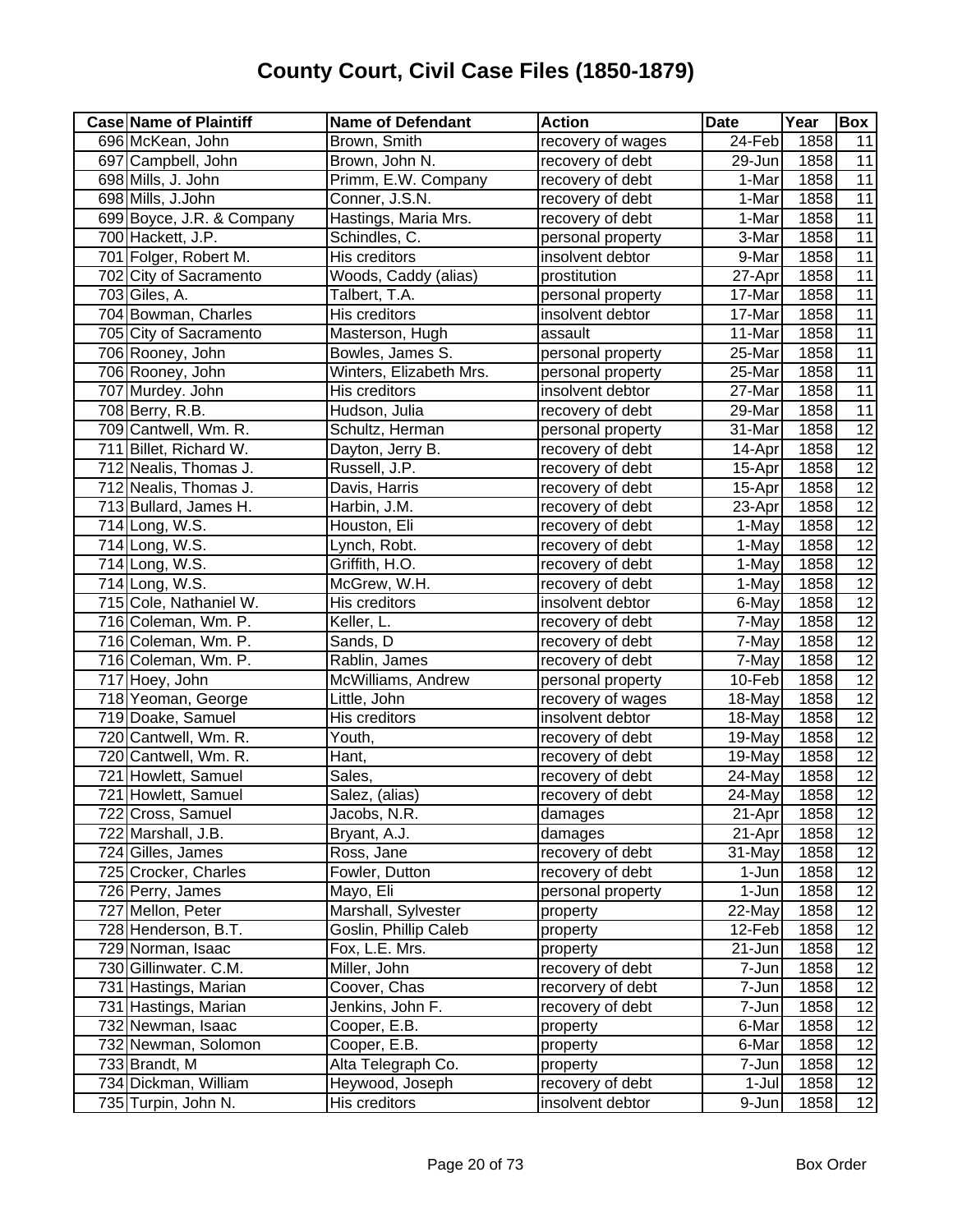| <b>Case Name of Plaintiff</b> | <b>Name of Defendant</b> | <b>Action</b>     | <b>Date</b>         | Year | Box             |
|-------------------------------|--------------------------|-------------------|---------------------|------|-----------------|
| 696 McKean, John              | Brown, Smith             | recovery of wages | 24-Feb              | 1858 | 11              |
| 697 Campbell, John            | Brown, John N.           | recovery of debt  | 29-Jun              | 1858 | 11              |
| 698 Mills, J. John            | Primm, E.W. Company      | recovery of debt  | 1-Mar               | 1858 | 11              |
| 698 Mills, J.John             | Conner, J.S.N.           | recovery of debt  | $\overline{1}$ -Mar | 1858 | 11              |
| 699 Boyce, J.R. & Company     | Hastings, Maria Mrs.     | recovery of debt  | 1-Mar               | 1858 | 11              |
| 700 Hackett, J.P.             | Schindles, C.            | personal property | 3-Mar               | 1858 | 11              |
| 701 Folger, Robert M.         | His creditors            | insolvent debtor  | 9-Mar               | 1858 | $\overline{11}$ |
| 702 City of Sacramento        | Woods, Caddy (alias)     | prostitution      | 27-Apr              | 1858 | 11              |
| 703 Giles, A.                 | Talbert, T.A.            | personal property | 17-Mar              | 1858 | 11              |
| 704 Bowman, Charles           | His creditors            | insolvent debtor  | 17-Mar              | 1858 | 11              |
| 705 City of Sacramento        | Masterson, Hugh          | assault           | 11-Mar              | 1858 | $\overline{11}$ |
| 706 Rooney, John              | Bowles, James S.         | personal property | 25-Mar              | 1858 | 11              |
| 706 Rooney, John              | Winters, Elizabeth Mrs.  | personal property | 25-Mar              | 1858 | $\overline{11}$ |
| 707 Murdey. John              | His creditors            | insolvent debtor  | 27-Mar              | 1858 | 11              |
| 708 Berry, R.B.               | Hudson, Julia            | recovery of debt  | 29-Mar              | 1858 | $\overline{11}$ |
| 709 Cantwell, Wm. R.          | Schultz, Herman          | personal property | 31-Mar              | 1858 | $\overline{12}$ |
| 711 Billet, Richard W.        | Dayton, Jerry B.         | recovery of debt  | 14-Apr              | 1858 | 12              |
| 712 Nealis, Thomas J.         | Russell, J.P.            | recovery of debt  | 15-Apr              | 1858 | $\overline{12}$ |
| 712 Nealis, Thomas J.         | Davis, Harris            | recovery of debt  | 15-Apr              | 1858 | 12              |
| 713 Bullard, James H.         | Harbin, J.M.             | recovery of debt  | 23-Apr              | 1858 | 12              |
| 714 Long, W.S.                | Houston, Eli             | recovery of debt  | 1-May               | 1858 | $\overline{12}$ |
| 714 Long, W.S.                | Lynch, Robt.             | recovery of debt  | 1-May               | 1858 | $\overline{12}$ |
| 714 Long, W.S.                | Griffith, H.O.           | recovery of debt  | 1-May               | 1858 | $\overline{12}$ |
| $\overline{714}$ Long, W.S.   | McGrew, W.H.             | recovery of debt  | 1-May               | 1858 | 12              |
| 715 Cole, Nathaniel W.        | His creditors            | insolvent debtor  | 6-May               | 1858 | $\overline{12}$ |
| 716 Coleman, Wm. P.           | Keller, L.               | recovery of debt  | 7-May               | 1858 | 12              |
| 716 Coleman, Wm. P.           | Sands, D                 | recovery of debt  | 7-May               | 1858 | 12              |
| 716 Coleman, Wm. P.           | Rablin, James            | recovery of debt  | 7-May               | 1858 | $\overline{12}$ |
| 717 Hoey, John                | McWilliams, Andrew       | personal property | 10-Feb              | 1858 | $\overline{12}$ |
| 718 Yeoman, George            | Little, John             | recovery of wages | 18-May              | 1858 | 12              |
| 719 Doake, Samuel             | His creditors            | insolvent debtor  | 18-May              | 1858 | 12              |
| 720 Cantwell, Wm. R.          | Youth,                   | recovery of debt  | 19-May              | 1858 | 12              |
| 720 Cantwell, Wm. R.          | Hant,                    | recovery of debt  | 19-May              | 1858 | $\overline{12}$ |
| 721 Howlett, Samuel           | Sales,                   | recovery of debt  | 24-May              | 1858 | 12              |
| 721 Howlett, Samuel           | Salez, (alias)           | recovery of debt  | 24-May              | 1858 | 12              |
| 722 Cross, Samuel             | Jacobs, N.R.             | damages           | 21-Apr              | 1858 | 12              |
| 722 Marshall, J.B.            | Bryant, A.J.             | damages           | 21-Apr              | 1858 | 12              |
| 724 Gilles, James             | Ross, Jane               | recovery of debt  | 31-May              | 1858 | 12              |
| 725 Crocker, Charles          | Fowler, Dutton           | recovery of debt  | 1-Jun               | 1858 | 12              |
| 726 Perry, James              | Mayo, Eli                | personal property | 1-Jun               | 1858 | 12              |
| 727 Mellon, Peter             | Marshall, Sylvester      | property          | $22$ -May           | 1858 | 12              |
| 728 Henderson, B.T.           | Goslin, Phillip Caleb    | property          | 12-Feb              | 1858 | 12              |
| 729 Norman, Isaac             | Fox, L.E. Mrs.           | property          | 21-Jun              | 1858 | 12              |
| 730 Gillinwater. C.M.         | Miller, John             | recovery of debt  | 7-Jun               | 1858 | 12              |
| 731 Hastings, Marian          | Coover, Chas             | recorvery of debt | 7-Jun               | 1858 | 12              |
| 731 Hastings, Marian          | Jenkins, John F.         | recovery of debt  | 7-Jun               | 1858 | 12              |
| 732 Newman, Isaac             | Cooper, E.B.             | property          | 6-Mar               | 1858 | 12              |
| 732 Newman, Solomon           | Cooper, E.B.             | property          | 6-Mar               | 1858 | $\overline{12}$ |
| 733 Brandt, M                 | Alta Telegraph Co.       | property          | 7-Jun               | 1858 | 12              |
| 734 Dickman, William          | Heywood, Joseph          | recovery of debt  | $1-Jul$             | 1858 | $\overline{12}$ |
| 735 Turpin, John N.           | His creditors            | insolvent debtor  | 9-Jun               | 1858 | $\overline{12}$ |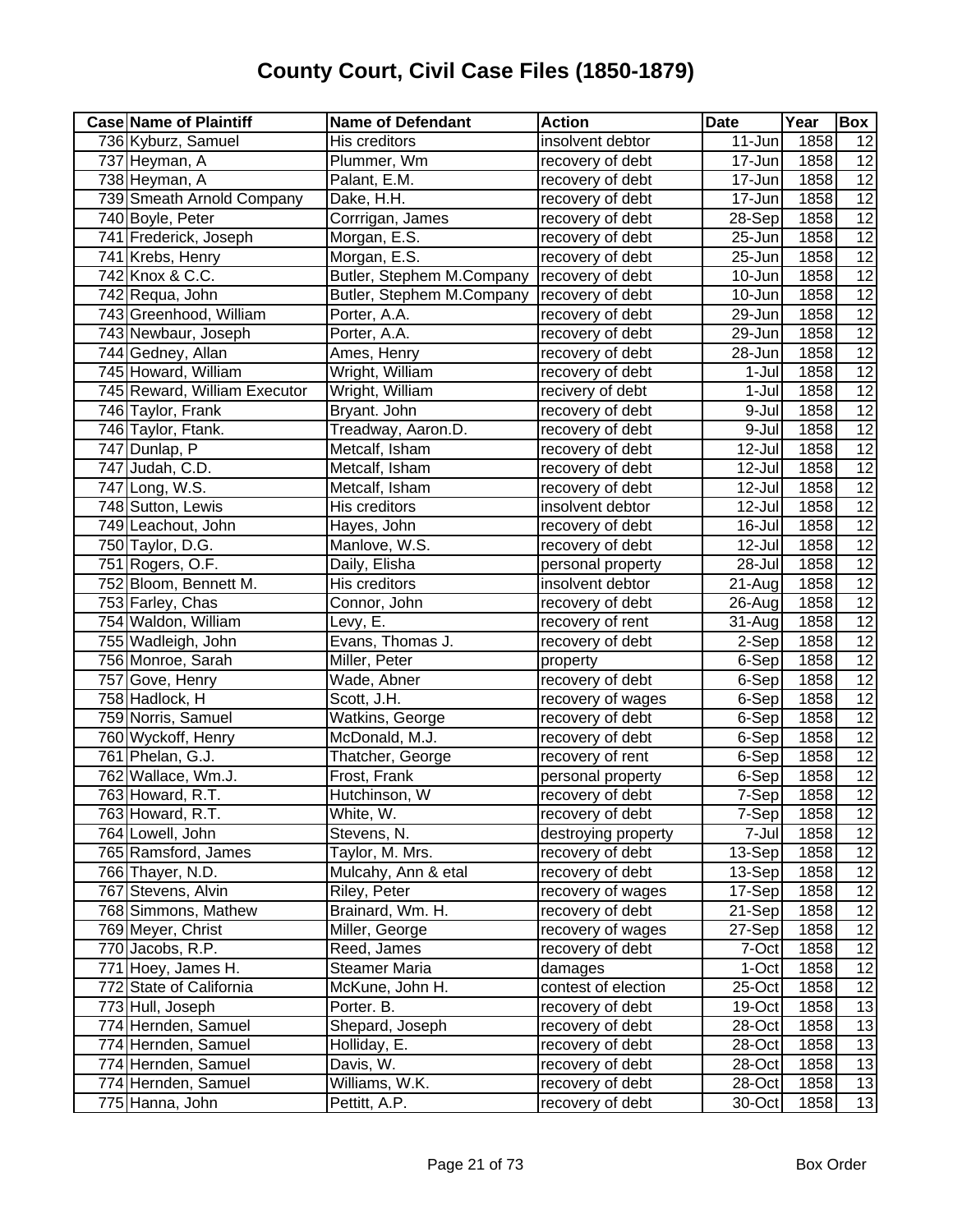| <b>Case Name of Plaintiff</b> | <b>Name of Defendant</b>  | <b>Action</b>       | <b>Date</b> | Year | Box             |
|-------------------------------|---------------------------|---------------------|-------------|------|-----------------|
| 736 Kyburz, Samuel            | His creditors             | insolvent debtor    | 11-Jun      | 1858 | 12              |
| 737 Heyman, A                 | Plummer, Wm               | recovery of debt    | 17-Jun      | 1858 | $\overline{12}$ |
| 738 Heyman, A                 | Palant, E.M.              | recovery of debt    | 17-Jun      | 1858 | 12              |
| 739 Smeath Arnold Company     | Dake, H.H.                | recovery of debt    | 17-Jun      | 1858 | $\overline{12}$ |
| 740 Boyle, Peter              | Corrrigan, James          | recovery of debt    | 28-Sep      | 1858 | 12              |
| 741 Frederick, Joseph         | Morgan, E.S.              | recovery of debt    | 25-Jun      | 1858 | 12              |
| 741 Krebs, Henry              | Morgan, E.S.              | recovery of debt    | 25-Jun      | 1858 | $\overline{12}$ |
| 742 Knox & C.C.               | Butler, Stephem M.Company | recovery of debt    | 10-Jun      | 1858 | $\overline{12}$ |
| 742 Requa, John               | Butler, Stephem M.Company | recovery of debt    | 10-Jun      | 1858 | $\overline{12}$ |
| 743 Greenhood, William        | Porter, A.A.              | recovery of debt    | 29-Jun      | 1858 | 12              |
| 743 Newbaur, Joseph           | Porter, A.A.              | recovery of debt    | 29-Jun      | 1858 | $\overline{12}$ |
| 744 Gedney, Allan             | Ames, Henry               | recovery of debt    | 28-Jun      | 1858 | 12              |
| 745 Howard, William           | Wright, William           | recovery of debt    | 1-Jul       | 1858 | $\overline{12}$ |
| 745 Reward, William Executor  | Wright, William           | recivery of debt    | 1-Jul       | 1858 | 12              |
| 746 Taylor, Frank             | Bryant. John              | recovery of debt    | 9-Jul       | 1858 | 12              |
| 746 Taylor, Ftank.            | Treadway, Aaron.D.        | recovery of debt    | 9-Jul       | 1858 | 12              |
| 747 Dunlap, P                 | Metcalf, Isham            | recovery of debt    | 12-Jul      | 1858 | 12              |
| 747 Judah, C.D.               | Metcalf, Isham            | recovery of debt    | 12-Jul      | 1858 | $\overline{12}$ |
| 747 Long, W.S.                | Metcalf, Isham            | recovery of debt    | 12-Jul      | 1858 | 12              |
| 748 Sutton, Lewis             | His creditors             | insolvent debtor    | 12-Jul      | 1858 | 12              |
| 749 Leachout, John            | Hayes, John               | recovery of debt    | 16-Jul      | 1858 | $\overline{12}$ |
| 750 Taylor, D.G.              | Manlove, W.S.             | recovery of debt    | 12-Jul      | 1858 | $\overline{12}$ |
| 751 Rogers, O.F.              | Daily, Elisha             | personal property   | 28-Jul      | 1858 | $\overline{12}$ |
| 752 Bloom, Bennett M.         | His creditors             | insolvent debtor    | 21-Aug      | 1858 | $\overline{12}$ |
| 753 Farley, Chas              | Connor, John              | recovery of debt    | 26-Aug      | 1858 | $\overline{12}$ |
| 754 Waldon, William           | Levy, E.                  | recovery of rent    | 31-Aug      | 1858 | $\overline{12}$ |
| 755 Wadleigh, John            | Evans, Thomas J.          | recovery of debt    | 2-Sep       | 1858 | 12              |
| 756 Monroe, Sarah             | Miller, Peter             | property            | 6-Sep       | 1858 | $\overline{12}$ |
| 757 Gove, Henry               | Wade, Abner               | recovery of debt    | 6-Sep       | 1858 | 12              |
| 758 Hadlock, H                | Scott, J.H.               | recovery of wages   | 6-Sep       | 1858 | $\overline{12}$ |
| 759 Norris, Samuel            | Watkins, George           | recovery of debt    | 6-Sep       | 1858 | 12              |
| 760 Wyckoff, Henry            | McDonald, M.J.            | recovery of debt    | 6-Sep       | 1858 | $\overline{12}$ |
| 761 Phelan, G.J.              | Thatcher, George          | recovery of rent    | 6-Sep       | 1858 | 12              |
| 762 Wallace, Wm.J.            | Frost, Frank              | personal property   | 6-Sep       | 1858 | 12              |
| 763 Howard, R.T.              | Hutchinson, W             | recovery of debt    | 7-Sep       | 1858 | 12              |
| 763 Howard, R.T.              | White, W.                 | recovery of debt    | 7-Sep       | 1858 | 12              |
| 764 Lowell, John              | Stevens, N.               | destroying property | 7-Jul       | 1858 | 12              |
| 765 Ramsford, James           | Taylor, M. Mrs.           | recovery of debt    | 13-Sep      | 1858 | $\overline{12}$ |
| 766 Thayer, N.D.              | Mulcahy, Ann & etal       | recovery of debt    | 13-Sep      | 1858 | 12              |
| 767 Stevens, Alvin            | Riley, Peter              | recovery of wages   | 17-Sep      | 1858 | 12              |
| 768 Simmons, Mathew           | Brainard, Wm. H.          | recovery of debt    | 21-Sep      | 1858 | 12              |
| 769 Meyer, Christ             | Miller, George            | recovery of wages   | 27-Sep      | 1858 | 12              |
| 770 Jacobs, R.P.              | Reed, James               | recovery of debt    | 7-Oct       | 1858 | 12              |
| 771 Hoey, James H.            | <b>Steamer Maria</b>      | damages             | $1-Oct$     | 1858 | 12              |
| 772 State of California       | McKune, John H.           | contest of election | 25-Oct      | 1858 | 12              |
| 773 Hull, Joseph              | Porter. B.                | recovery of debt    | 19-Oct      | 1858 | 13              |
| 774 Hernden, Samuel           | Shepard, Joseph           | recovery of debt    | 28-Oct      | 1858 | 13              |
| 774 Hernden, Samuel           | Holliday, E.              | recovery of debt    | 28-Oct      | 1858 | 13              |
| 774 Hernden, Samuel           | Davis, W.                 | recovery of debt    | 28-Oct      | 1858 | 13              |
| 774 Hernden, Samuel           | Williams, W.K.            | recovery of debt    | 28-Oct      | 1858 | 13              |
| 775 Hanna, John               | Pettitt, A.P.             | recovery of debt    | 30-Oct      | 1858 | 13              |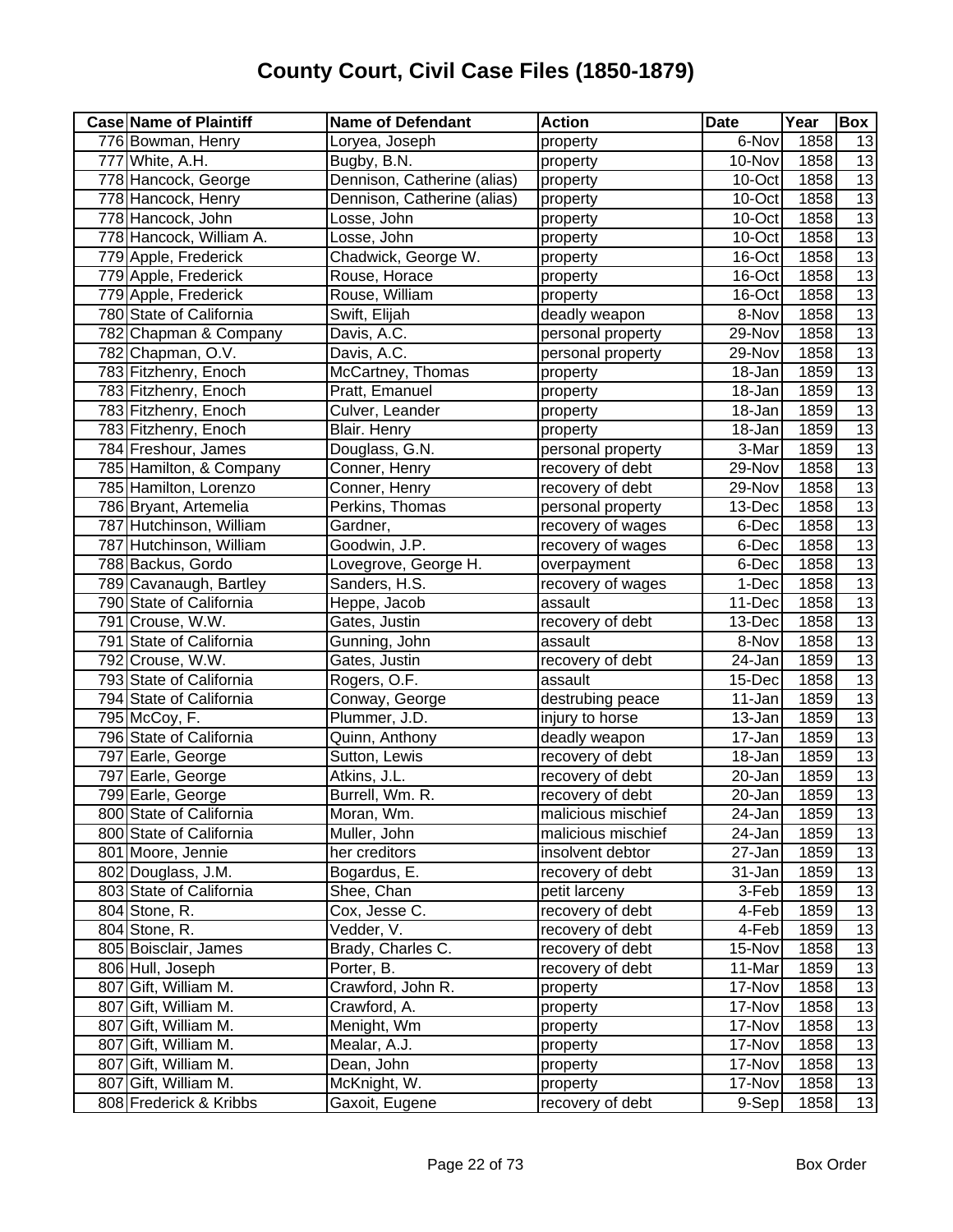| <b>Case Name of Plaintiff</b> | <b>Name of Defendant</b>    | <b>Action</b>      | <b>Date</b>          | Year | Box             |
|-------------------------------|-----------------------------|--------------------|----------------------|------|-----------------|
| 776 Bowman, Henry             | Loryea, Joseph              | property           | 6-Nov                | 1858 | 13              |
| 777 White, A.H.               | Bugby, B.N.                 | property           | 10-Nov               | 1858 | 13              |
| 778 Hancock, George           | Dennison, Catherine (alias) | property           | $10$ -Oct            | 1858 | $\overline{13}$ |
| 778 Hancock, Henry            | Dennison, Catherine (alias) | property           | 10-Oct               | 1858 | 13              |
| 778 Hancock, John             | Losse, John                 | property           | 10-Oct               | 1858 | 13              |
| 778 Hancock, William A.       | Losse, John                 | property           | 10-Oct               | 1858 | 13              |
| 779 Apple, Frederick          | Chadwick, George W.         | property           | 16-Oct               | 1858 | 13              |
| 779 Apple, Frederick          | Rouse, Horace               | property           | 16-Oct               | 1858 | 13              |
| 779 Apple, Frederick          | Rouse, William              | property           | 16-Oct               | 1858 | 13              |
| 780 State of California       | Swift, Elijah               | deadly weapon      | 8-Nov                | 1858 | 13              |
| 782 Chapman & Company         | Davis, A.C.                 | personal property  | 29-Nov               | 1858 | 13              |
| 782 Chapman, O.V.             | Davis, A.C.                 | personal property  | 29-Nov               | 1858 | $\overline{13}$ |
| 783 Fitzhenry, Enoch          | McCartney, Thomas           | property           | 18-Jan               | 1859 | 13              |
| 783 Fitzhenry, Enoch          | Pratt, Emanuel              | property           | 18-Jan               | 1859 | 13              |
| 783 Fitzhenry, Enoch          | Culver, Leander             | property           | 18-Jan               | 1859 | 13              |
| 783 Fitzhenry, Enoch          | Blair. Henry                | property           | 18-Jan               | 1859 | 13              |
| 784 Freshour, James           | Douglass, G.N.              | personal property  | 3-Mar                | 1859 | 13              |
| 785 Hamilton, & Company       | Conner, Henry               | recovery of debt   | 29-Nov               | 1858 | 13              |
| 785 Hamilton, Lorenzo         | Conner, Henry               | recovery of debt   | 29-Nov               | 1858 | 13              |
| 786 Bryant, Artemelia         | Perkins, Thomas             | personal property  | 13-Dec               | 1858 | 13              |
| 787 Hutchinson, William       | Gardner,                    | recovery of wages  | 6-Dec                | 1858 | 13              |
| 787 Hutchinson, William       | Goodwin, J.P.               | recovery of wages  | 6-Dec                | 1858 | 13              |
| 788 Backus, Gordo             | Lovegrove, George H.        | overpayment        | 6-Dec                | 1858 | 13              |
| 789 Cavanaugh, Bartley        | Sanders, H.S.               | recovery of wages  | 1-Dec                | 1858 | 13              |
| 790 State of California       | Heppe, Jacob                | assault            | 11-Dec               | 1858 | 13              |
| 791 Crouse, W.W.              | Gates, Justin               | recovery of debt   | 13-Dec               | 1858 | 13              |
| 791 State of California       | Gunning, John               | assault            | 8-Nov                | 1858 | 13              |
| 792 Crouse, W.W.              | Gates, Justin               | recovery of debt   | $\overline{2}$ 4-Jan | 1859 | 13              |
| 793 State of California       | Rogers, O.F.                | assault            | 15-Dec               | 1858 | 13              |
| 794 State of California       | Conway, George              | destrubing peace   | 11-Jan               | 1859 | 13              |
| 795 McCoy, F.                 | Plummer, J.D.               | injury to horse    | 13-Jan               | 1859 | 13              |
| 796 State of California       | Quinn, Anthony              | deadly weapon      | 17-Jan               | 1859 | 13              |
| 797 Earle, George             | Sutton, Lewis               | recovery of debt   | 18-Jan               | 1859 | 13              |
| 797 Earle, George             | Atkins, J.L.                | recovery of debt   | 20-Jan               | 1859 | 13              |
| 799 Earle, George             | Burrell, Wm. R.             | recovery of debt   | 20-Jan               | 1859 | 13              |
| 800 State of California       | Moran, Wm.                  | malicious mischief | 24-Jan               | 1859 | 13              |
| 800 State of California       | Muller, John                | malicious mischief | 24-Jan               | 1859 | $\overline{13}$ |
| 801 Moore, Jennie             | her creditors               | insolvent debtor   | 27-Jan               | 1859 | 13              |
| 802 Douglass, J.M.            | Bogardus, E.                | recovery of debt   | 31-Jan               | 1859 | 13              |
| 803 State of California       | Shee, Chan                  | petit larceny      | 3-Feb                | 1859 | 13              |
| 804 Stone, R.                 | Cox, Jesse C.               | recovery of debt   | 4-Feb                | 1859 | 13              |
| 804 Stone, R.                 | Vedder, V.                  | recovery of debt   | 4-Feb                | 1859 | 13              |
| 805 Boisclair, James          | Brady, Charles C.           | recovery of debt   | 15-Nov               | 1858 | 13              |
| 806 Hull, Joseph              | Porter, B.                  | recovery of debt   | 11-Mar               | 1859 | 13              |
| 807 Gift, William M.          | Crawford, John R.           | property           | 17-Nov               | 1858 | 13              |
| 807 Gift, William M.          | Crawford, A.                | property           | 17-Nov               | 1858 | 13              |
| 807 Gift, William M.          | Menight, Wm                 | property           | 17-Nov               | 1858 | 13              |
| 807 Gift, William M.          | Mealar, A.J.                | property           | 17-Nov               | 1858 | 13              |
| 807 Gift, William M.          | Dean, John                  | property           | 17-Nov               | 1858 | 13              |
| 807 Gift, William M.          | McKnight, W.                | property           | 17-Nov               | 1858 | 13              |
| 808 Frederick & Kribbs        | Gaxoit, Eugene              | recovery of debt   | 9-Sep                | 1858 | 13              |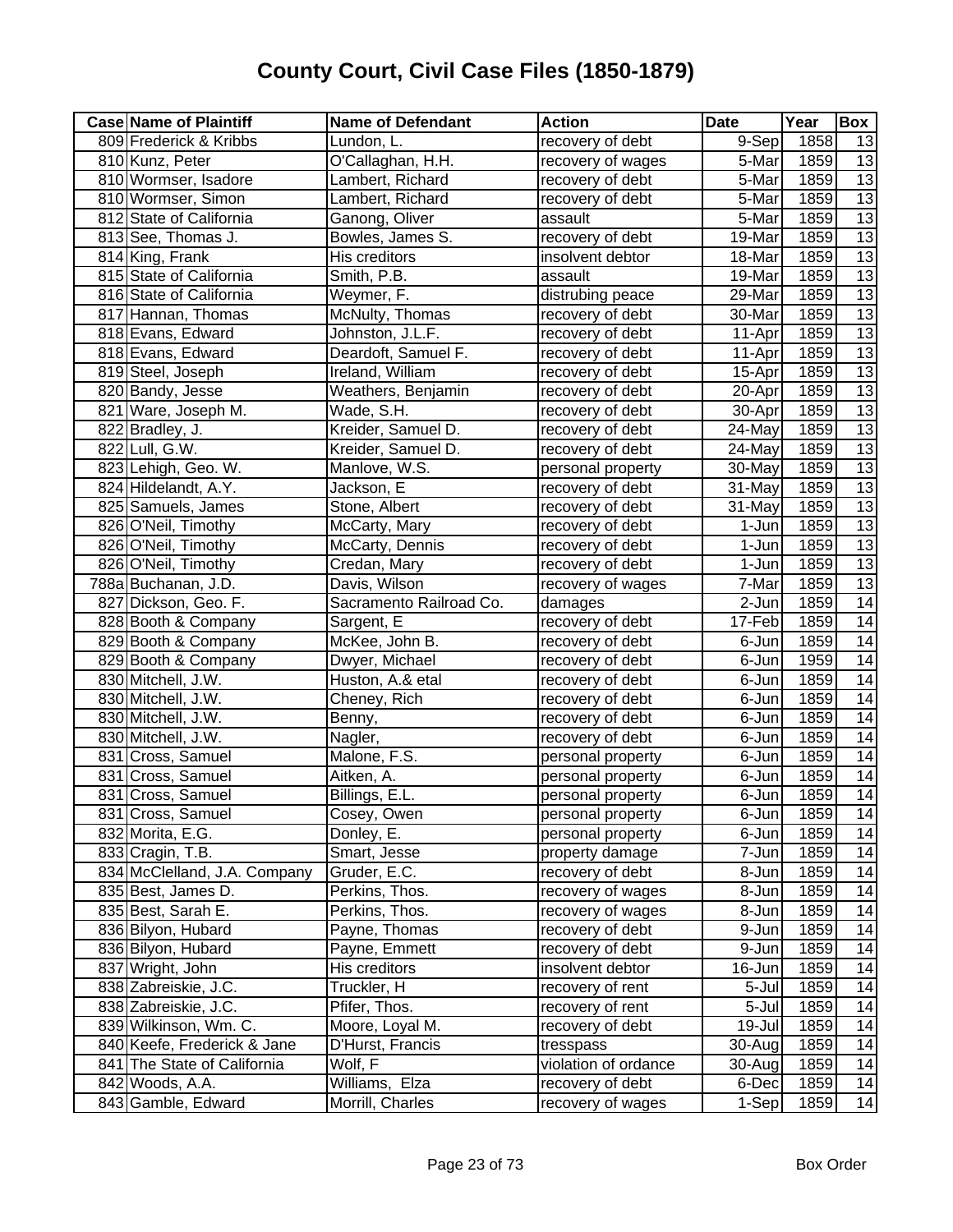| <b>Case Name of Plaintiff</b> | <b>Name of Defendant</b> | <b>Action</b>        | <b>Date</b> | Year | Box             |
|-------------------------------|--------------------------|----------------------|-------------|------|-----------------|
| 809 Frederick & Kribbs        | Lundon, L.               | recovery of debt     | $9-$ Sep    | 1858 | 13              |
| 810 Kunz, Peter               | O'Callaghan, H.H.        | recovery of wages    | 5-Mar       | 1859 | 13              |
| 810 Wormser, Isadore          | Lambert, Richard         | recovery of debt     | 5-Mar       | 1859 | 13              |
| 810 Wormser, Simon            | Lambert, Richard         | recovery of debt     | 5-Mar       | 1859 | 13              |
| 812 State of California       | Ganong, Oliver           | assault              | 5-Mar       | 1859 | 13              |
| 813 See, Thomas J.            | Bowles, James S.         | recovery of debt     | 19-Mar      | 1859 | 13              |
| 814 King, Frank               | His creditors            | insolvent debtor     | 18-Mar      | 1859 | 13              |
| 815 State of California       | Smith, P.B.              | assault              | 19-Mar      | 1859 | 13              |
| 816 State of California       | Weymer, F.               | distrubing peace     | 29-Mar      | 1859 | $\overline{13}$ |
| 817 Hannan, Thomas            | McNulty, Thomas          | recovery of debt     | 30-Mar      | 1859 | $\overline{13}$ |
| 818 Evans, Edward             | Johnston, J.L.F.         | recovery of debt     | 11-Apr      | 1859 | 13              |
| 818 Evans, Edward             | Deardoft, Samuel F.      | recovery of debt     | 11-Apr      | 1859 | 13              |
| 819 Steel, Joseph             | Ireland, William         | recovery of debt     | 15-Apr      | 1859 | $\overline{13}$ |
| 820 Bandy, Jesse              | Weathers, Benjamin       | recovery of debt     | 20-Apr      | 1859 | 13              |
| 821 Ware, Joseph M.           | Wade, S.H.               | recovery of debt     | 30-Apr      | 1859 | 13              |
| 822 Bradley, J.               | Kreider, Samuel D.       | recovery of debt     | 24-May      | 1859 | 13              |
| 822 Lull, G.W.                | Kreider, Samuel D.       | recovery of debt     | 24-May      | 1859 | 13              |
| 823 Lehigh, Geo. W.           | Manlove, W.S.            | personal property    | 30-May      | 1859 | $\overline{13}$ |
| 824 Hildelandt, A.Y.          | Jackson, E               | recovery of debt     | 31-May      | 1859 | 13              |
| 825 Samuels, James            | Stone, Albert            | recovery of debt     | 31-May      | 1859 | 13              |
| 826 O'Neil, Timothy           | McCarty, Mary            | recovery of debt     | 1-Jun       | 1859 | 13              |
| 826 O'Neil, Timothy           | McCarty, Dennis          | recovery of debt     | 1-Jun       | 1859 | $\overline{13}$ |
| 826 O'Neil, Timothy           | Credan, Mary             | recovery of debt     | 1-Jun       | 1859 | 13              |
| 788a Buchanan, J.D.           | Davis, Wilson            | recovery of wages    | 7-Mar       | 1859 | $\overline{13}$ |
| 827 Dickson, Geo. F.          | Sacramento Railroad Co.  | damages              | 2-Jun       | 1859 | 14              |
| 828 Booth & Company           | Sargent, E               | recovery of debt     | 17-Feb      | 1859 | $\overline{14}$ |
| 829 Booth & Company           | McKee, John B.           | recovery of debt     | 6-Jun       | 1859 | 14              |
| 829 Booth & Company           | Dwyer, Michael           | recovery of debt     | 6-Jun       | 1959 | $\overline{14}$ |
| 830 Mitchell, J.W.            | Huston, A.& etal         | recovery of debt     | 6-Jun       | 1859 | 14              |
| 830 Mitchell, J.W.            | Cheney, Rich             | recovery of debt     | 6-Jun       | 1859 | 14              |
| 830 Mitchell, J.W.            | Benny,                   | recovery of debt     | 6-Jun       | 1859 | 14              |
| 830 Mitchell, J.W.            | Nagler,                  | recovery of debt     | 6-Jun       | 1859 | 14              |
| 831 Cross, Samuel             | Malone, F.S.             | personal property    | 6-Jun       | 1859 | 14              |
| 831 Cross, Samuel             | Aitken, A.               | personal property    | 6-Jun       | 1859 | $\overline{14}$ |
| 831 Cross, Samuel             | Billings, E.L.           | personal property    | 6-Jun       | 1859 | 14              |
| 831 Cross, Samuel             | Cosey, Owen              | personal property    | 6-Jun       | 1859 | 14              |
| 832 Morita, E.G.              | Donley, E.               | personal property    | 6-Jun       | 1859 | 14              |
| 833 Cragin, T.B.              | Smart, Jesse             | property damage      | 7-Jun       | 1859 | 14              |
| 834 McClelland, J.A. Company  | Gruder, E.C.             | recovery of debt     | 8-Jun       | 1859 | 14              |
| 835 Best, James D.            | Perkins, Thos.           | recovery of wages    | 8-Jun       | 1859 | 14              |
| 835 Best, Sarah E.            | Perkins, Thos.           | recovery of wages    | 8-Jun       | 1859 | 14              |
| 836 Bilyon, Hubard            | Payne, Thomas            | recovery of debt     | 9-Jun       | 1859 | 14              |
| 836 Bilyon, Hubard            | Payne, Emmett            | recovery of debt     | 9-Jun       | 1859 | 14              |
| 837 Wright, John              | His creditors            | insolvent debtor     | 16-Jun      | 1859 | 14              |
| 838 Zabreiskie, J.C.          | Truckler, H              | recovery of rent     | 5-Jul       | 1859 | 14              |
| 838 Zabreiskie, J.C.          | Pfifer, Thos.            | recovery of rent     | 5-Jul       | 1859 | 14              |
| 839 Wilkinson, Wm. C.         | Moore, Loyal M.          | recovery of debt     | 19-Jul      | 1859 | 14              |
| 840 Keefe, Frederick & Jane   | D'Hurst, Francis         | tresspass            | 30-Aug      | 1859 | 14              |
| 841 The State of California   | Wolf, F                  | violation of ordance | 30-Aug      | 1859 | 14              |
| 842 Woods, A.A.               | Williams, Elza           | recovery of debt     | 6-Dec       | 1859 | 14              |
| 843 Gamble, Edward            | Morrill, Charles         | recovery of wages    | 1-Sep       | 1859 | 14              |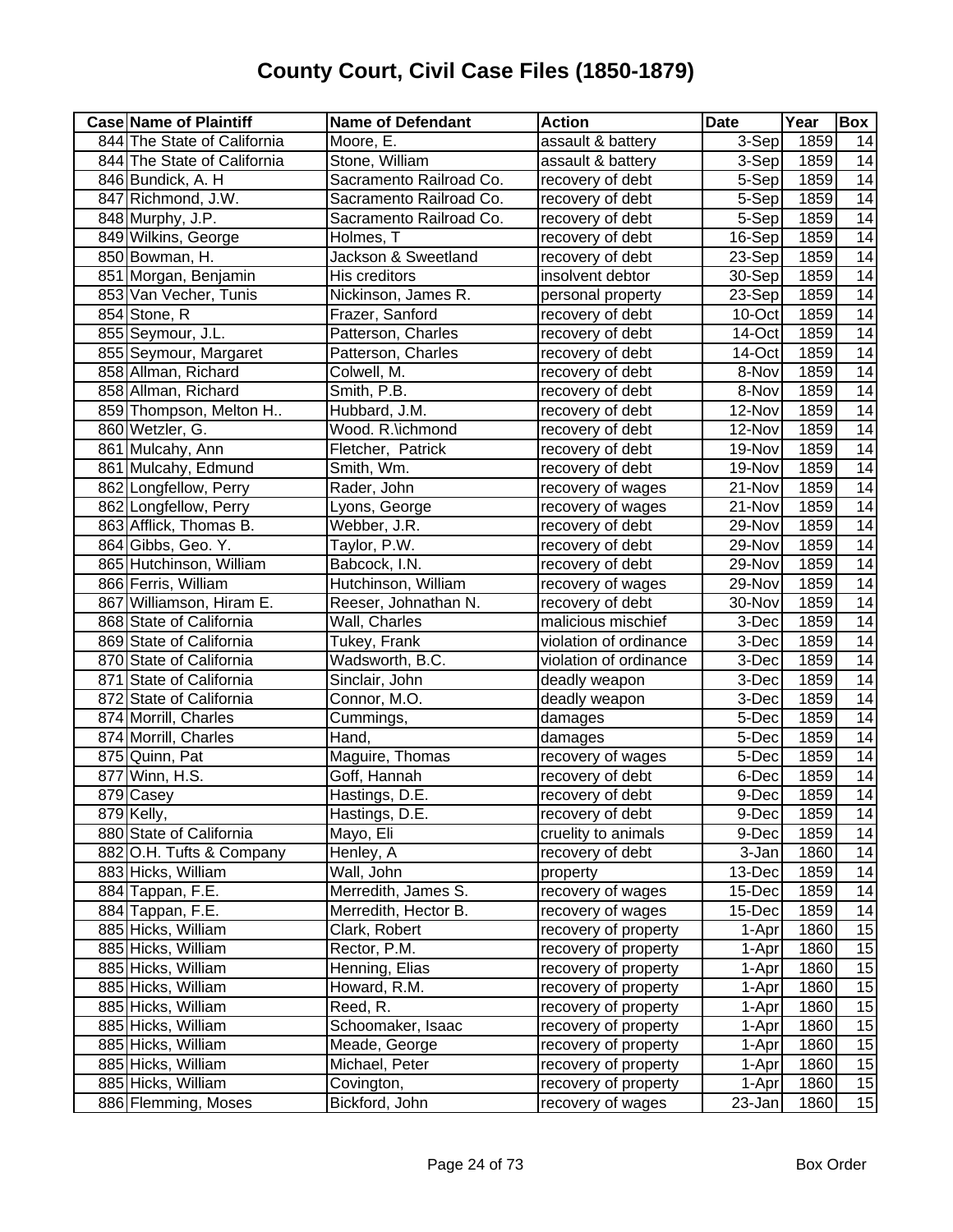| <b>Case Name of Plaintiff</b> | <b>Name of Defendant</b> | <b>Action</b>          | Date    | Year | <b>Box</b>      |
|-------------------------------|--------------------------|------------------------|---------|------|-----------------|
| 844 The State of California   | Moore, E.                | assault & battery      | $3-Sep$ | 1859 | 14              |
| 844 The State of California   | Stone, William           | assault & battery      | $3-Sep$ | 1859 | 14              |
| 846 Bundick, A. H             | Sacramento Railroad Co.  | recovery of debt       | $5-Sep$ | 1859 | $\overline{14}$ |
| 847 Richmond, J.W.            | Sacramento Railroad Co.  | recovery of debt       | 5-Sep   | 1859 | 14              |
| 848 Murphy, J.P.              | Sacramento Railroad Co.  | recovery of debt       | 5-Sep   | 1859 | $\overline{14}$ |
| 849 Wilkins, George           | Holmes, T                | recovery of debt       | 16-Sep  | 1859 | 14              |
| 850 Bowman, H.                | Jackson & Sweetland      | recovery of debt       | 23-Sep  | 1859 | 14              |
| 851 Morgan, Benjamin          | His creditors            | insolvent debtor       | 30-Sep  | 1859 | 14              |
| 853 Van Vecher, Tunis         | Nickinson, James R.      | personal property      | 23-Sep  | 1859 | $\overline{14}$ |
| 854 Stone, R                  | Frazer, Sanford          | recovery of debt       | 10-Oct  | 1859 | $\overline{14}$ |
| 855 Seymour, J.L.             | Patterson, Charles       | recovery of debt       | 14-Oct  | 1859 | $\overline{14}$ |
| 855 Seymour, Margaret         | Patterson, Charles       | recovery of debt       | 14-Oct  | 1859 | $\overline{14}$ |
| 858 Allman, Richard           | Colwell, M.              | recovery of debt       | 8-Nov   | 1859 | 14              |
| 858 Allman, Richard           | Smith, P.B.              | recovery of debt       | 8-Nov   | 1859 | 14              |
| 859 Thompson, Melton H        | Hubbard, J.M.            | recovery of debt       | 12-Nov  | 1859 | $\overline{14}$ |
| 860 Wetzler, G.               | Wood. R.\ichmond         | recovery of debt       | 12-Nov  | 1859 | $\overline{14}$ |
| 861 Mulcahy, Ann              | Fletcher, Patrick        | recovery of debt       | 19-Nov  | 1859 | 14              |
| 861 Mulcahy, Edmund           | Smith, Wm.               | recovery of debt       | 19-Nov  | 1859 | 14              |
| 862 Longfellow, Perry         | Rader, John              | recovery of wages      | 21-Nov  | 1859 | 14              |
| 862 Longfellow, Perry         | Lyons, George            | recovery of wages      | 21-Nov  | 1859 | 14              |
| 863 Afflick, Thomas B.        | Webber, J.R.             | recovery of debt       | 29-Nov  | 1859 | 14              |
| 864 Gibbs, Geo. Y.            | Taylor, P.W.             | recovery of debt       | 29-Nov  | 1859 | 14              |
| 865 Hutchinson, William       | Babcock, I.N.            | recovery of debt       | 29-Nov  | 1859 | 14              |
| 866 Ferris, William           | Hutchinson, William      | recovery of wages      | 29-Nov  | 1859 | 14              |
| 867 Williamson, Hiram E.      | Reeser, Johnathan N.     | recovery of debt       | 30-Nov  | 1859 | $\overline{14}$ |
| 868 State of California       | Wall, Charles            | malicious mischief     | 3-Dec   | 1859 | $\overline{14}$ |
| 869 State of California       | Tukey, Frank             | violation of ordinance | 3-Dec   | 1859 | $\overline{14}$ |
| 870 State of California       | Wadsworth, B.C.          | violation of ordinance | 3-Dec   | 1859 | $\overline{14}$ |
| 871 State of California       | Sinclair, John           | deadly weapon          | 3-Dec   | 1859 | 14              |
| 872 State of California       | Connor, M.O.             | deadly weapon          | 3-Dec   | 1859 | 14              |
| 874 Morrill, Charles          | Cummings,                | damages                | 5-Dec   | 1859 | 14              |
| 874 Morrill, Charles          | Hand,                    | damages                | 5-Dec   | 1859 | $\overline{14}$ |
| 875 Quinn, Pat                | Maguire, Thomas          | recovery of wages      | 5-Dec   | 1859 | $\overline{14}$ |
| 877 Winn, H.S.                | Goff, Hannah             | recovery of debt       | 6-Dec   | 1859 | 14              |
| 879 Casey                     | Hastings, D.E.           | recovery of debt       | 9-Dec   | 1859 | $\overline{14}$ |
| 879 Kelly,                    | Hastings, D.E.           | recovery of debt       | 9-Dec   | 1859 | 14              |
| 880 State of California       | Mayo, Eli                | cruelity to animals    | 9-Dec   | 1859 | 14              |
| 882 O.H. Tufts & Company      | Henley, A                | recovery of debt       | 3-Jan   | 1860 | 14              |
| 883 Hicks, William            | Wall, John               | property               | 13-Dec  | 1859 | 14              |
| 884 Tappan, F.E.              | Merredith, James S.      | recovery of wages      | 15-Dec  | 1859 | 14              |
| 884 Tappan, F.E.              | Merredith, Hector B.     | recovery of wages      | 15-Dec  | 1859 | 14              |
| 885 Hicks, William            | Clark, Robert            | recovery of property   | 1-Apr   | 1860 | 15              |
| 885 Hicks, William            | Rector, P.M.             | recovery of property   | 1-Apr   | 1860 | 15              |
| 885 Hicks, William            | Henning, Elias           | recovery of property   | 1-Apr   | 1860 | 15              |
| 885 Hicks, William            | Howard, R.M.             | recovery of property   | 1-Apr   | 1860 | 15              |
| 885 Hicks, William            | Reed, R.                 | recovery of property   | 1-Apr   | 1860 | 15              |
| 885 Hicks, William            | Schoomaker, Isaac        | recovery of property   | 1-Apr   | 1860 | 15              |
| 885 Hicks, William            | Meade, George            | recovery of property   | 1-Apr   | 1860 | 15              |
| 885 Hicks, William            | Michael, Peter           | recovery of property   | 1-Apr   | 1860 | 15              |
| 885 Hicks, William            | Covington,               | recovery of property   | 1-Apr   | 1860 | 15              |
| 886 Flemming, Moses           | Bickford, John           | recovery of wages      | 23-Jan  | 1860 | 15              |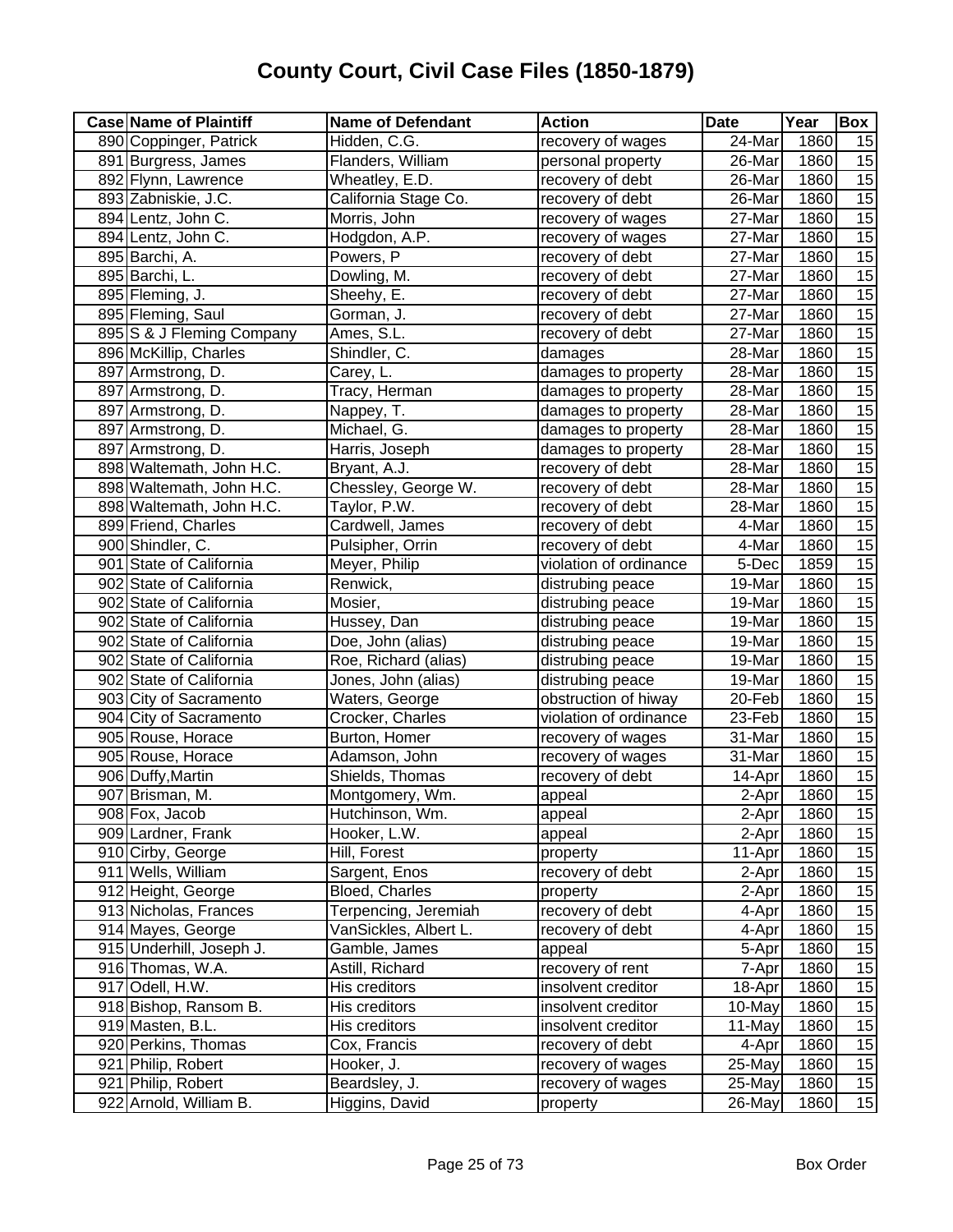| <b>Case Name of Plaintiff</b> | <b>Name of Defendant</b> | <b>Action</b>          | <b>Date</b> | Year | Box             |
|-------------------------------|--------------------------|------------------------|-------------|------|-----------------|
| 890 Coppinger, Patrick        | Hidden, C.G.             | recovery of wages      | 24-Mar      | 1860 | 15              |
| 891 Burgress, James           | Flanders, William        | personal property      | 26-Mar      | 1860 | 15              |
| 892 Flynn, Lawrence           | Wheatley, E.D.           | recovery of debt       | 26-Mar      | 1860 | 15              |
| 893 Zabniskie, J.C.           | California Stage Co.     | recovery of debt       | 26-Mar      | 1860 | 15              |
| 894 Lentz, John C.            | Morris, John             | recovery of wages      | 27-Mar      | 1860 | 15              |
| 894 Lentz, John C.            | Hodgdon, A.P.            | recovery of wages      | 27-Mar      | 1860 | 15              |
| 895 Barchi, A.                | Powers, P                | recovery of debt       | 27-Mar      | 1860 | 15              |
| 895 Barchi, L.                | Dowling, M.              | recovery of debt       | 27-Mar      | 1860 | 15              |
| 895 Fleming, J.               | Sheehy, E.               | recovery of debt       | 27-Mar      | 1860 | $\overline{15}$ |
| 895 Fleming, Saul             | Gorman, J.               | recovery of debt       | 27-Mar      | 1860 | 15              |
| 895 S & J Fleming Company     | Ames, S.L.               | recovery of debt       | 27-Mar      | 1860 | 15              |
| 896 McKillip, Charles         | Shindler, C.             | damages                | 28-Mar      | 1860 | 15              |
| 897 Armstrong, D.             | Carey, L.                | damages to property    | 28-Mar      | 1860 | 15              |
| 897 Armstrong, D.             | Tracy, Herman            | damages to property    | 28-Mar      | 1860 | 15              |
| 897 Armstrong, D.             | Nappey, T.               | damages to property    | 28-Mar      | 1860 | 15              |
| 897 Armstrong, D.             | Michael, G.              | damages to property    | 28-Mar      | 1860 | 15              |
| 897 Armstrong, D.             | Harris, Joseph           | damages to property    | 28-Mar      | 1860 | 15              |
| 898 Waltemath, John H.C.      | Bryant, A.J.             | recovery of debt       | 28-Mar      | 1860 | 15              |
| 898 Waltemath, John H.C.      | Chessley, George W.      | recovery of debt       | 28-Mar      | 1860 | 15              |
| 898 Waltemath, John H.C.      | Taylor, P.W.             | recovery of debt       | 28-Mar      | 1860 | 15              |
| 899 Friend, Charles           | Cardwell, James          | recovery of debt       | 4-Mar       | 1860 | 15              |
| 900 Shindler, C.              | Pulsipher, Orrin         | recovery of debt       | 4-Mar       | 1860 | 15              |
| 901 State of California       | Meyer, Philip            | violation of ordinance | 5-Dec       | 1859 | 15              |
| 902 State of California       | Renwick,                 | distrubing peace       | 19-Mar      | 1860 | 15              |
| 902 State of California       | Mosier,                  | distrubing peace       | 19-Mar      | 1860 | 15              |
| 902 State of California       | Hussey, Dan              | distrubing peace       | 19-Mar      | 1860 | 15              |
| 902 State of California       | Doe, John (alias)        | distrubing peace       | 19-Mar      | 1860 | 15              |
| 902 State of California       | Roe, Richard (alias)     | distrubing peace       | 19-Mar      | 1860 | 15              |
| 902 State of California       | Jones, John (alias)      | distrubing peace       | 19-Mar      | 1860 | 15              |
| 903 City of Sacramento        | Waters, George           | obstruction of hiway   | 20-Feb      | 1860 | 15              |
| 904 City of Sacramento        | Crocker, Charles         | violation of ordinance | 23-Feb      | 1860 | 15              |
| 905 Rouse, Horace             | Burton, Homer            | recovery of wages      | 31-Mar      | 1860 | 15              |
| 905 Rouse, Horace             | Adamson, John            | recovery of wages      | 31-Mar      | 1860 | 15              |
| 906 Duffy, Martin             | Shields, Thomas          | recovery of debt       | 14-Apr      | 1860 | 15              |
| 907 Brisman, M.               | Montgomery, Wm.          | appeal                 | 2-Aprl      | 1860 | 15              |
| 908 Fox, Jacob                | Hutchinson, Wm.          | appeal                 | $2-Apr$     | 1860 | 15              |
| 909 Lardner, Frank            | Hooker, L.W.             | appeal                 | 2-Apr       | 1860 | 15              |
| 910 Cirby, George             | Hill, Forest             | property               | 11-Apr      | 1860 | 15              |
| 911 Wells, William            | Sargent, Enos            | recovery of debt       | 2-Apr       | 1860 | 15              |
| 912 Height, George            | Bloed, Charles           | property               | 2-Apr       | 1860 | 15              |
| 913 Nicholas, Frances         | Terpencing, Jeremiah     | recovery of debt       | 4-Apr       | 1860 | 15              |
| 914 Mayes, George             | VanSickles, Albert L.    | recovery of debt       | 4-Apr       | 1860 | 15              |
| 915 Underhill, Joseph J.      | Gamble, James            | appeal                 | 5-Apr       | 1860 | 15              |
| 916 Thomas, W.A.              | Astill, Richard          | recovery of rent       | 7-Apr       | 1860 | 15              |
| 917 Odell, H.W.               | His creditors            | insolvent creditor     | 18-Apr      | 1860 | 15              |
| 918 Bishop, Ransom B.         | His creditors            | insolvent creditor     | 10-May      | 1860 | 15              |
| 919 Masten, B.L.              | His creditors            | insolvent creditor     | 11-May      | 1860 | 15              |
| 920 Perkins, Thomas           | Cox, Francis             | recovery of debt       | 4-Apr       | 1860 | 15              |
| 921 Philip, Robert            | Hooker, J.               | recovery of wages      | 25-May      | 1860 | $\overline{15}$ |
| 921 Philip, Robert            | Beardsley, J.            | recovery of wages      | 25-May      | 1860 | 15              |
| 922 Arnold, William B.        | Higgins, David           | property               | 26-May      | 1860 | 15              |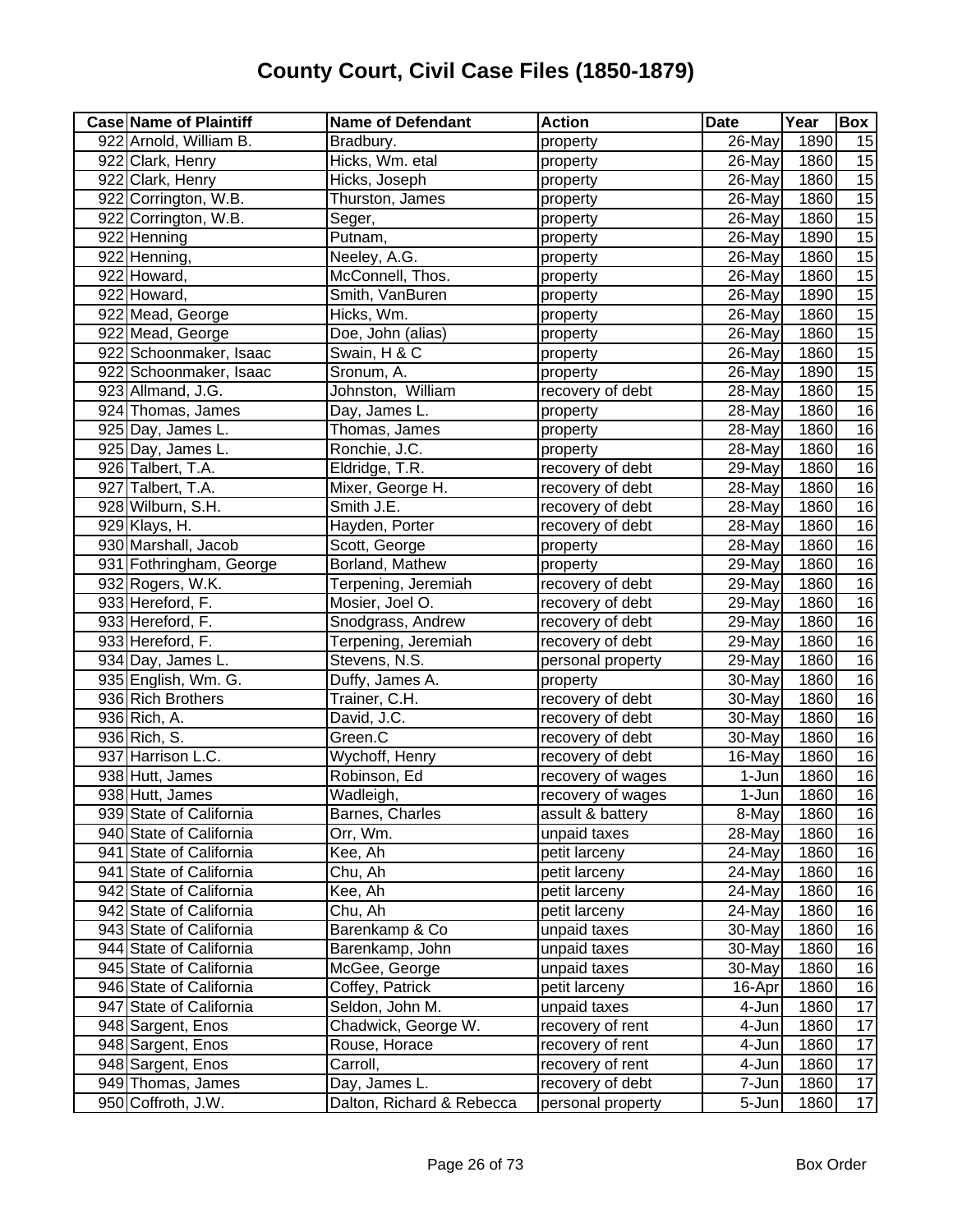| <b>Case Name of Plaintiff</b> | <b>Name of Defendant</b>  | <b>Action</b>     | <b>Date</b> | Year | Box             |
|-------------------------------|---------------------------|-------------------|-------------|------|-----------------|
| 922 Arnold, William B.        | Bradbury.                 | property          | 26-May      | 1890 | 15              |
| 922 Clark, Henry              | Hicks, Wm. etal           | property          | 26-May      | 1860 | 15              |
| 922 Clark, Henry              | Hicks, Joseph             | property          | 26-May      | 1860 | 15              |
| 922 Corrington, W.B.          | Thurston, James           | property          | $26$ -May   | 1860 | 15              |
| 922 Corrington, W.B.          | Seger,                    | property          | 26-May      | 1860 | 15              |
| 922 Henning                   | Putnam,                   | property          | 26-May      | 1890 | 15              |
| 922 Henning,                  | Neeley, A.G.              | property          | 26-May      | 1860 | 15              |
| 922 Howard,                   | McConnell, Thos.          | property          | 26-May      | 1860 | 15              |
| 922 Howard,                   | Smith, VanBuren           | property          | 26-May      | 1890 | 15              |
| 922 Mead, George              | Hicks, Wm.                | property          | 26-May      | 1860 | 15              |
| 922 Mead, George              | Doe, John (alias)         | property          | 26-May      | 1860 | 15              |
| 922 Schoonmaker, Isaac        | Swain, H & C              | property          | 26-May      | 1860 | 15              |
| 922 Schoonmaker, Isaac        | Sronum, A.                | property          | 26-May      | 1890 | $\overline{15}$ |
| 923 Allmand, J.G.             | Johnston, William         | recovery of debt  | 28-May      | 1860 | 15              |
| 924 Thomas, James             | Day, James L.             | property          | 28-May      | 1860 | 16              |
| 925 Day, James L.             | Thomas, James             | property          | 28-May      | 1860 | 16              |
| 925 Day, James L.             | Ronchie, J.C.             | property          | 28-May      | 1860 | 16              |
| 926 Talbert, T.A.             | Eldridge, T.R.            | recovery of debt  | 29-May      | 1860 | 16              |
| 927 Talbert, T.A.             | Mixer, George H.          | recovery of debt  | 28-May      | 1860 | 16              |
| 928 Wilburn, S.H.             | Smith J.E.                | recovery of debt  | 28-May      | 1860 | $\overline{16}$ |
| 929 Klays, H.                 | Hayden, Porter            | recovery of debt  | 28-May      | 1860 | 16              |
| 930 Marshall, Jacob           | Scott, George             | property          | 28-May      | 1860 | 16              |
| 931 Fothringham, George       | Borland, Mathew           | property          | 29-May      | 1860 | 16              |
| 932 Rogers, W.K.              | Terpening, Jeremiah       | recovery of debt  | 29-May      | 1860 | 16              |
| 933 Hereford, F.              | Mosier, Joel O.           | recovery of debt  | 29-May      | 1860 | 16              |
| 933 Hereford, F.              | Snodgrass, Andrew         | recovery of debt  | 29-May      | 1860 | 16              |
| 933 Hereford, F.              | Terpening, Jeremiah       | recovery of debt  | 29-May      | 1860 | 16              |
| 934 Day, James L.             | Stevens, N.S.             | personal property | 29-May      | 1860 | 16              |
| 935 English, Wm. G.           | Duffy, James A.           | property          | 30-May      | 1860 | 16              |
| 936 Rich Brothers             | Trainer, C.H.             | recovery of debt  | 30-May      | 1860 | 16              |
| 936 Rich, A.                  | David, J.C.               | recovery of debt  | 30-May      | 1860 | 16              |
| 936 Rich, S.                  | Green.C                   | recovery of debt  | 30-May      | 1860 | 16              |
| 937 Harrison L.C.             | Wychoff, Henry            | recovery of debt  | 16-May      | 1860 | 16              |
| 938 Hutt, James               | Robinson, Ed              | recovery of wages | 1-Jun       | 1860 | $\overline{16}$ |
| 938 Hutt, James               | Wadleigh,                 | recovery of wages | 1-Jun       | 1860 | $\overline{16}$ |
| 939 State of California       | Barnes, Charles           | assult & battery  | 8-May       | 1860 | 16              |
| 940 State of California       | Orr, Wm.                  | unpaid taxes      | 28-May      | 1860 | 16              |
| 941 State of California       | Kee, Ah                   | petit larceny     | 24-May      | 1860 | 16              |
| 941 State of California       | Chu, Ah                   | petit larceny     | 24-May      | 1860 | 16              |
| 942 State of California       | Kee, Ah                   | petit larceny     | 24-May      | 1860 | 16              |
| 942 State of California       | Chu, Ah                   | petit larceny     | 24-May      | 1860 | 16              |
| 943 State of California       | Barenkamp & Co            | unpaid taxes      | 30-May      | 1860 | 16              |
| 944 State of California       | Barenkamp, John           | unpaid taxes      | 30-May      | 1860 | 16              |
| 945 State of California       | McGee, George             | unpaid taxes      | 30-May      | 1860 | 16              |
| 946 State of California       | Coffey, Patrick           | petit larceny     | 16-Apr      | 1860 | 16              |
| 947 State of California       | Seldon, John M.           | unpaid taxes      | 4-Jun       | 1860 | 17              |
| 948 Sargent, Enos             | Chadwick, George W.       | recovery of rent  | 4-Jun       | 1860 | 17              |
| 948 Sargent, Enos             | Rouse, Horace             | recovery of rent  | 4-Jun       | 1860 | 17              |
| 948 Sargent, Enos             | Carroll,                  | recovery of rent  | 4-Jun       | 1860 | 17              |
| 949 Thomas, James             | Day, James L.             | recovery of debt  | 7-Jun       | 1860 | 17              |
| 950 Coffroth, J.W.            | Dalton, Richard & Rebecca | personal property | 5-Jun       | 1860 | 17              |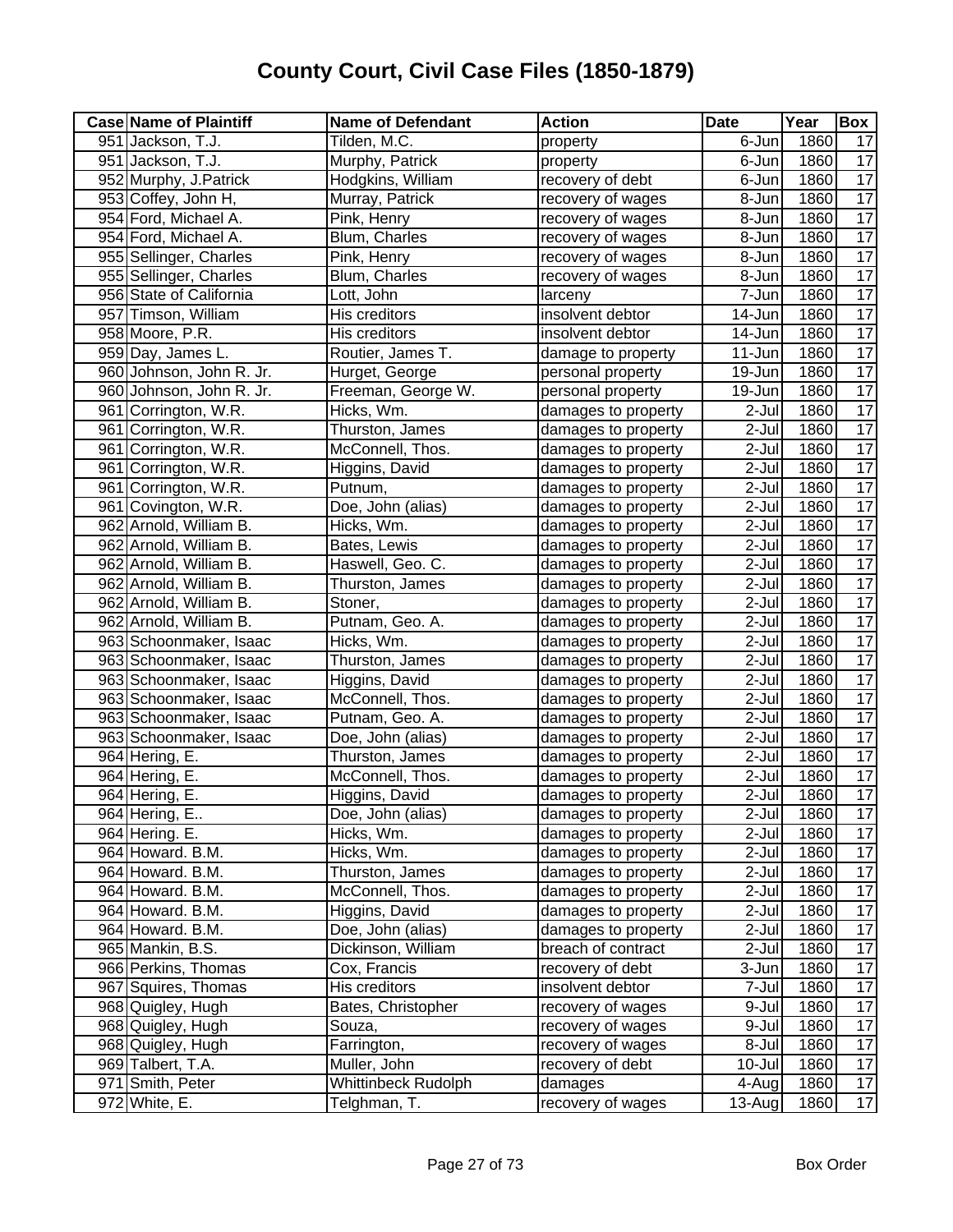| <b>Case Name of Plaintiff</b> | <b>Name of Defendant</b> | <b>Action</b>       | <b>Date</b>         | Year | Box             |
|-------------------------------|--------------------------|---------------------|---------------------|------|-----------------|
| 951 Jackson, T.J.             | Tilden, M.C.             | property            | 6-Jun               | 1860 | 17              |
| 951 Jackson, T.J.             | Murphy, Patrick          | property            | 6-Jun               | 1860 | $\overline{17}$ |
| 952 Murphy, J. Patrick        | Hodgkins, William        | recovery of debt    | 6-Jun               | 1860 | 17              |
| 953 Coffey, John H,           | Murray, Patrick          | recovery of wages   | 8-Jun               | 1860 | 17              |
| 954 Ford, Michael A.          | Pink, Henry              | recovery of wages   | 8-Jun               | 1860 | $\overline{17}$ |
| 954 Ford, Michael A.          | Blum, Charles            | recovery of wages   | 8-Jun               | 1860 | 17              |
| 955 Sellinger, Charles        | Pink, Henry              | recovery of wages   | 8-Jun               | 1860 | $\overline{17}$ |
| 955 Sellinger, Charles        | Blum, Charles            | recovery of wages   | 8-Jun               | 1860 | 17              |
| 956 State of California       | Lott, John               | larceny             | 7-Jun               | 1860 | 17              |
| 957 Timson, William           | His creditors            | insolvent debtor    | 14-Jun              | 1860 | $\overline{17}$ |
| 958 Moore, P.R.               | His creditors            | insolvent debtor    | $14 - Jun$          | 1860 | 17              |
| 959 Day, James L.             | Routier, James T.        | damage to property  | 11-Jun              | 1860 | 17              |
| 960 Johnson, John R. Jr.      | Hurget, George           | personal property   | 19-Jun              | 1860 | $\overline{17}$ |
| 960 Johnson, John R. Jr.      | Freeman, George W.       | personal property   | 19-Jun              | 1860 | $\overline{17}$ |
| 961 Corrington, W.R.          | Hicks, Wm.               | damages to property | 2-Jul               | 1860 | $\overline{17}$ |
| 961 Corrington, W.R.          | Thurston, James          | damages to property | 2-Jul               | 1860 | 17              |
| 961 Corrington, W.R.          | McConnell, Thos.         | damages to property | 2-Jul               | 1860 | 17              |
| 961 Corrington, W.R.          | Higgins, David           | damages to property | 2-Jul               | 1860 | 17              |
| 961 Corrington, W.R.          | Putnum,                  | damages to property | 2-Jul               | 1860 | 17              |
| 961 Covington, W.R.           | Doe, John (alias)        | damages to property | 2-Jul               | 1860 | 17              |
| 962 Arnold, William B.        | Hicks, Wm.               | damages to property | $2-Jul$             | 1860 | $\overline{17}$ |
| 962 Arnold, William B.        | Bates, Lewis             | damages to property | 2-Jul               | 1860 | $\overline{17}$ |
| 962 Arnold, William B.        | Haswell, Geo. C.         | damages to property | 2-Jul               | 1860 | $\overline{17}$ |
| 962 Arnold, William B.        | Thurston, James          | damages to property | $2-Jul$             | 1860 | 17              |
| 962 Arnold, William B.        | Stoner,                  | damages to property | 2-Jul               | 1860 | $\overline{17}$ |
| 962 Arnold, William B.        | Putnam, Geo. A.          | damages to property | 2-Jul               | 1860 | $\overline{17}$ |
| 963 Schoonmaker, Isaac        | Hicks, Wm.               | damages to property | 2-Jul               | 1860 | 17              |
| 963 Schoonmaker, Isaac        | Thurston, James          | damages to property | $\overline{2}$ -Jul | 1860 | 17              |
| 963 Schoonmaker, Isaac        | Higgins, David           | damages to property | 2-Jul               | 1860 | $\overline{17}$ |
| 963 Schoonmaker, Isaac        | McConnell, Thos.         | damages to property | 2-Jul               | 1860 | $\overline{17}$ |
| 963 Schoonmaker, Isaac        | Putnam, Geo. A.          | damages to property | 2-Jul               | 1860 | 17              |
| 963 Schoonmaker, Isaac        | Doe, John (alias)        | damages to property | 2-Jul               | 1860 | $\overline{17}$ |
| 964 Hering, E.                | Thurston, James          | damages to property | $2-Jul$             | 1860 | 17              |
| 964 Hering, E.                | McConnell, Thos.         | damages to property | 2-Jul               | 1860 | 17              |
| 964 Hering, E.                | Higgins, David           | damages to property | 2-Jul               | 1860 | $\overline{17}$ |
| 964 Hering, E                 | Doe, John (alias)        | damages to property | $2$ -Jul            | 1860 | 17              |
| 964 Hering. E.                | Hicks, Wm.               | damages to property | 2-Jul               | 1860 | $\overline{17}$ |
| 964 Howard. B.M.              | Hicks, Wm.               | damages to property | $2$ -Jul            | 1860 | 17              |
| 964 Howard. B.M.              | Thurston, James          | damages to property | $2 -$ Jul           | 1860 | 17              |
| 964 Howard. B.M.              | McConnell, Thos.         | damages to property | $2-Jul$             | 1860 | 17              |
| 964 Howard. B.M.              | Higgins, David           | damages to property | $2-Jul$             | 1860 | $\overline{17}$ |
| 964 Howard. B.M.              | Doe, John (alias)        | damages to property | 2-Jul               | 1860 | 17              |
| 965 Mankin, B.S.              | Dickinson, William       | breach of contract  | 2-Jul               | 1860 | $\overline{17}$ |
| 966 Perkins, Thomas           | Cox, Francis             | recovery of debt    | 3-Jun               | 1860 | 17              |
| 967 Squires, Thomas           | His creditors            | insolvent debtor    | 7-Jul               | 1860 | 17              |
| 968 Quigley, Hugh             | Bates, Christopher       | recovery of wages   | 9-Jul               | 1860 | 17              |
| 968 Quigley, Hugh             | Souza,                   | recovery of wages   | 9-Jul               | 1860 | 17              |
| 968 Quigley, Hugh             | Farrington,              | recovery of wages   | 8-Jul               | 1860 | 17              |
| 969 Talbert, T.A.             | Muller, John             | recovery of debt    | $10 -$ Jul          | 1860 | $\overline{17}$ |
| 971 Smith, Peter              | Whittinbeck Rudolph      | damages             | 4-Aug               | 1860 | $\overline{17}$ |
| 972 White, E.                 | Telghman, T.             | recovery of wages   | 13-Aug              | 1860 | 17              |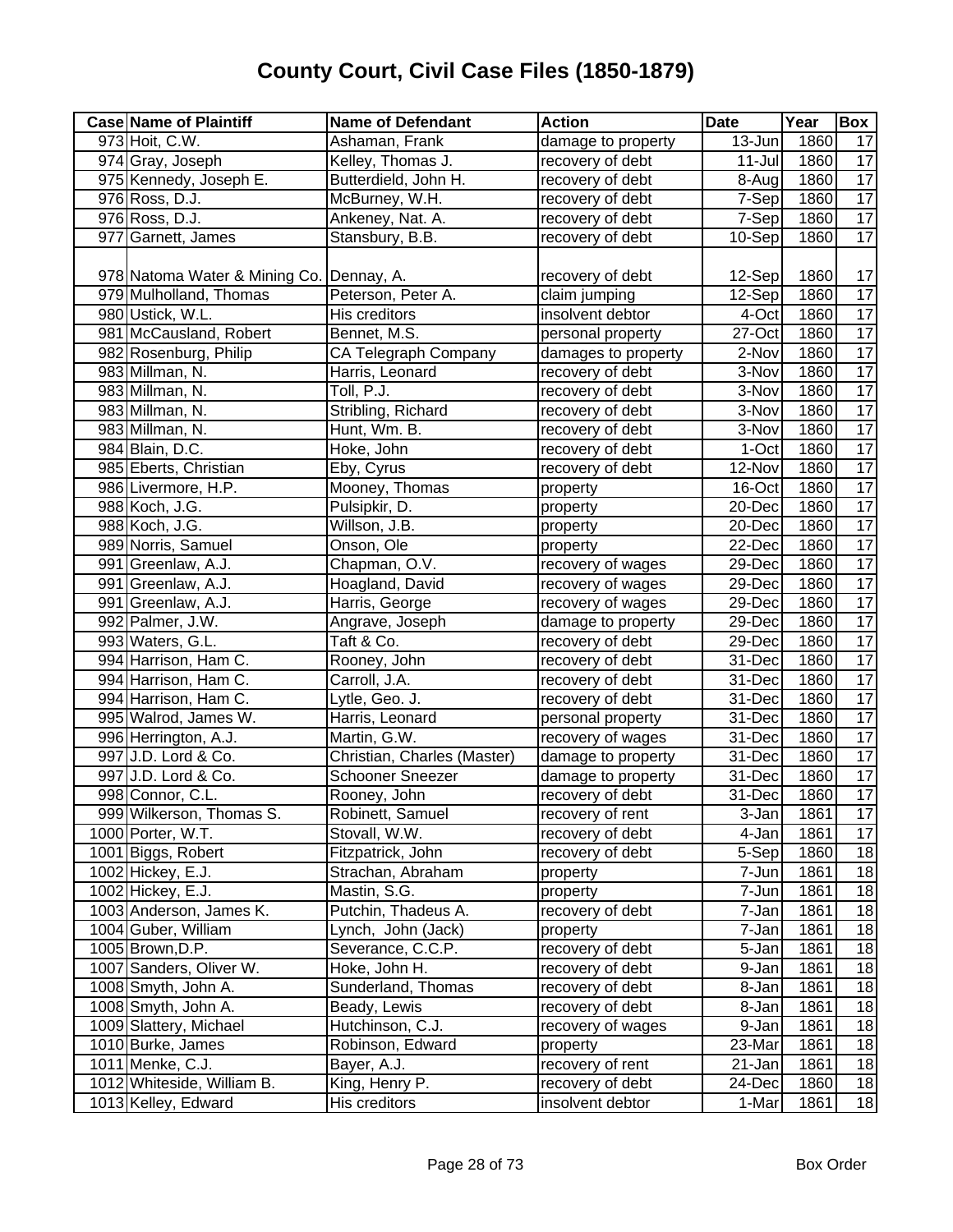| <b>Case Name of Plaintiff</b>            | <b>Name of Defendant</b>    | <b>Action</b>       | <b>Date</b> | Year | Box             |
|------------------------------------------|-----------------------------|---------------------|-------------|------|-----------------|
| 973 Hoit, C.W.                           | Ashaman, Frank              | damage to property  | 13-Jun      | 1860 | 17              |
| 974 Gray, Joseph                         | Kelley, Thomas J.           | recovery of debt    | 11-Jul      | 1860 | 17              |
| 975 Kennedy, Joseph E.                   | Butterdield, John H.        | recovery of debt    | 8-Aug       | 1860 | $\overline{17}$ |
| 976 Ross, D.J.                           | McBurney, W.H.              | recovery of debt    | 7-Sep       | 1860 | 17              |
| 976 Ross, D.J.                           | Ankeney, Nat. A.            | recovery of debt    | 7-Sep       | 1860 | 17              |
| 977 Garnett, James                       | Stansbury, B.B.             | recovery of debt    | 10-Sep      | 1860 | 17              |
|                                          |                             |                     |             |      |                 |
| 978 Natoma Water & Mining Co. Dennay, A. |                             | recovery of debt    | 12-Sep      | 1860 | 17              |
| 979 Mulholland, Thomas                   | Peterson, Peter A.          | claim jumping       | 12-Sep      | 1860 | 17              |
| 980 Ustick, W.L.                         | His creditors               | insolvent debtor    | 4-Oct       | 1860 | $\overline{17}$ |
| 981 McCausland, Robert                   | Bennet, M.S.                | personal property   | 27-Oct      | 1860 | $\overline{17}$ |
| 982 Rosenburg, Philip                    | CA Telegraph Company        | damages to property | 2-Nov       | 1860 | $\overline{17}$ |
| 983 Millman, N.                          | Harris, Leonard             | recovery of debt    | 3-Nov       | 1860 | $\overline{17}$ |
| 983 Millman, N.                          | Toll, P.J.                  | recovery of debt    | 3-Nov       | 1860 | $\overline{17}$ |
| 983 Millman, N.                          | Stribling, Richard          | recovery of debt    | 3-Nov       | 1860 | 17              |
| 983 Millman, N.                          | Hunt, Wm. B.                | recovery of debt    | 3-Nov       | 1860 | 17              |
| 984 Blain, D.C.                          | Hoke, John                  | recovery of debt    | 1-Oct       | 1860 | 17              |
| 985 Eberts, Christian                    | Eby, Cyrus                  | recovery of debt    | 12-Nov      | 1860 | 17              |
| 986 Livermore, H.P.                      | Mooney, Thomas              | property            | 16-Oct      | 1860 | 17              |
| 988 Koch, J.G.                           | Pulsipkir, D.               | property            | 20-Dec      | 1860 | 17              |
| 988 Koch, J.G.                           | Willson, J.B.               | property            | 20-Dec      | 1860 | $\overline{17}$ |
| 989 Norris, Samuel                       | Onson, Ole                  | property            | 22-Dec      | 1860 | $\overline{17}$ |
| 991 Greenlaw, A.J.                       | Chapman, O.V.               | recovery of wages   | 29-Dec      | 1860 | $\overline{17}$ |
| 991 Greenlaw, A.J.                       | Hoagland, David             | recovery of wages   | 29-Dec      | 1860 | $\overline{17}$ |
| 991 Greenlaw, A.J.                       | Harris, George              | recovery of wages   | 29-Dec      | 1860 | 17              |
| 992 Palmer, J.W.                         | Angrave, Joseph             | damage to property  | 29-Dec      | 1860 | $\overline{17}$ |
| 993 Waters, G.L.                         | Taft & Co.                  | recovery of debt    | 29-Dec      | 1860 | $\overline{17}$ |
| 994 Harrison, Ham C.                     | Rooney, John                | recovery of debt    | 31-Dec      | 1860 | 17              |
| 994 Harrison, Ham C.                     | Carroll, J.A.               | recovery of debt    | 31-Dec      | 1860 | $\overline{17}$ |
| 994 Harrison, Ham C.                     | Lytle, Geo. J.              | recovery of debt    | 31-Dec      | 1860 | 17              |
| 995 Walrod, James W.                     | Harris, Leonard             | personal property   | 31-Dec      | 1860 | 17              |
| 996 Herrington, A.J.                     | Martin, G.W.                | recovery of wages   | 31-Dec      | 1860 | 17              |
| 997 J.D. Lord & Co.                      | Christian, Charles (Master) | damage to property  | 31-Dec      | 1860 | 17              |
| 997 J.D. Lord & Co.                      | Schooner Sneezer            | damage to property  | 31-Dec      | 1860 | 17              |
| 998 Connor, C.L.                         | Rooney, John                | recovery of debt    | 31-Dec      | 1860 | $\overline{17}$ |
| 999 Wilkerson, Thomas S.                 | Robinett, Samuel            | recovery of rent    | 3-Jan       | 1861 | 17              |
| 1000 Porter, W.T.                        | Stovall, W.W.               | recovery of debt    | 4-Jan       | 1861 | $\overline{17}$ |
| 1001 Biggs, Robert                       | Fitzpatrick, John           | recovery of debt    | 5-Sep       | 1860 | 18              |
| 1002 Hickey, E.J.                        | Strachan, Abraham           | property            | 7-Jun       | 1861 | 18              |
| 1002 Hickey, E.J.                        | Mastin, S.G.                | property            | 7-Jun       | 1861 | 18              |
| 1003 Anderson, James K.                  | Putchin, Thadeus A.         | recovery of debt    | 7-Jan       | 1861 | 18              |
| 1004 Guber, William                      | Lynch, John (Jack)          | property            | 7-Jan       | 1861 | 18              |
| 1005 Brown, D.P.                         | Severance, C.C.P.           | recovery of debt    | 5-Jan       | 1861 | 18              |
| 1007 Sanders, Oliver W.                  | Hoke, John H.               | recovery of debt    | 9-Jan       | 1861 | 18              |
| 1008 Smyth, John A.                      | Sunderland, Thomas          | recovery of debt    | 8-Jan       | 1861 | 18              |
| 1008 Smyth, John A.                      | Beady, Lewis                | recovery of debt    | 8-Jan       | 1861 | 18              |
| 1009 Slattery, Michael                   | Hutchinson, C.J.            | recovery of wages   | 9-Jan       | 1861 | 18              |
| 1010 Burke, James                        | Robinson, Edward            | property            | 23-Mar      | 1861 | 18              |
| 1011 Menke, C.J.                         | Bayer, A.J.                 | recovery of rent    | 21-Jan      | 1861 | 18              |
| 1012 Whiteside, William B.               | King, Henry P.              | recovery of debt    | 24-Dec      | 1860 | 18              |
| 1013 Kelley, Edward                      | His creditors               | insolvent debtor    | 1-Mar       | 1861 | 18              |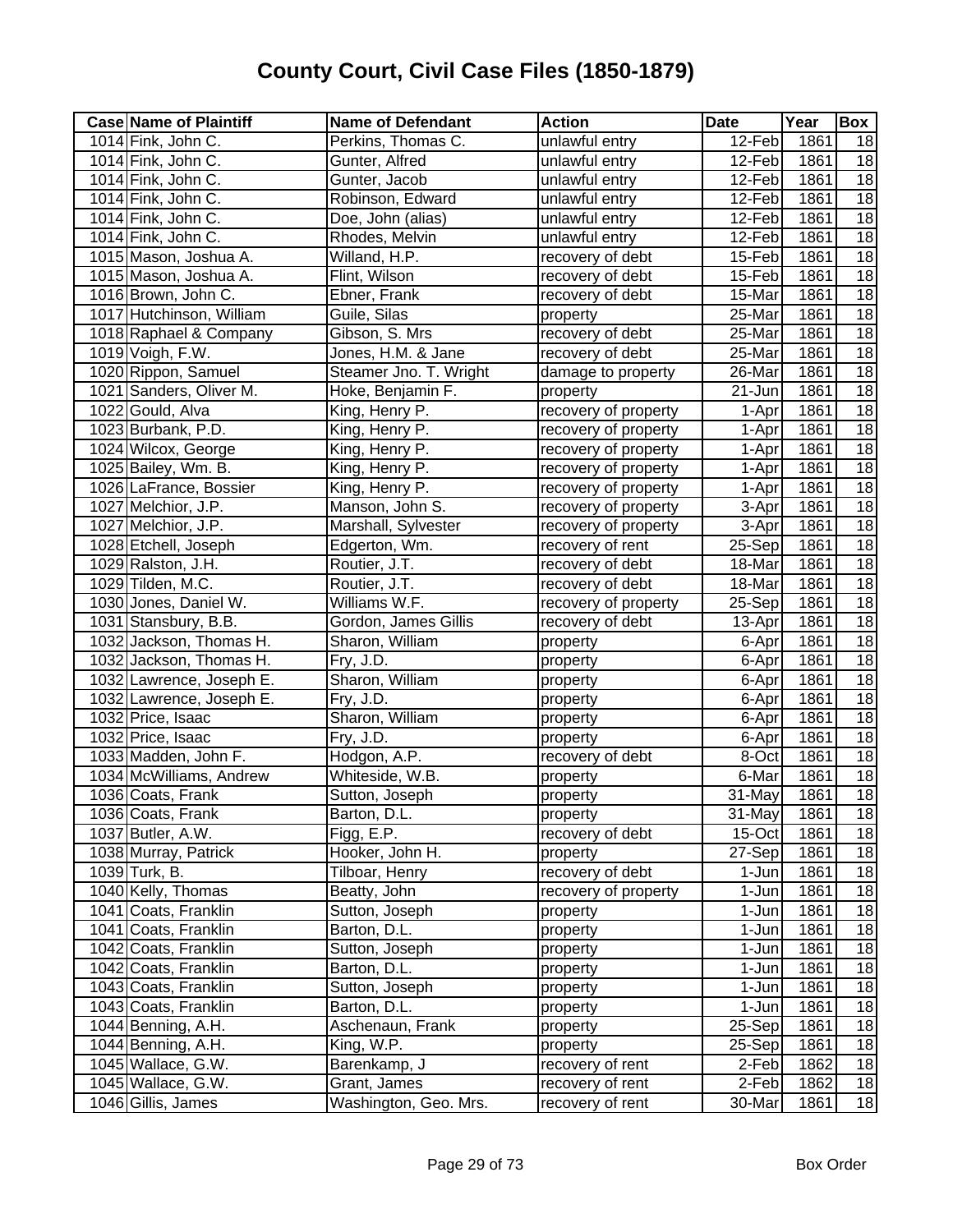| <b>Case Name of Plaintiff</b> | <b>Name of Defendant</b> | <b>Action</b>        | <b>Date</b> | Year | Box             |
|-------------------------------|--------------------------|----------------------|-------------|------|-----------------|
| 1014 Fink, John C.            | Perkins, Thomas C.       | unlawful entry       | 12-Feb      | 1861 | 18              |
| 1014 Fink, John C.            | Gunter, Alfred           | unlawful entry       | 12-Feb      | 1861 | $\overline{18}$ |
| 1014 Fink, John C.            | Gunter, Jacob            | unlawful entry       | 12-Feb      | 1861 | $\overline{18}$ |
| 1014 Fink, John C.            | Robinson, Edward         | unlawful entry       | 12-Feb      | 1861 | $\overline{18}$ |
| 1014 Fink, John C.            | Doe, John (alias)        | unlawful entry       | 12-Feb      | 1861 | $\overline{18}$ |
| 1014 Fink, John C.            | Rhodes, Melvin           | unlawful entry       | 12-Feb      | 1861 | $\overline{18}$ |
| 1015 Mason, Joshua A.         | Willand, H.P.            | recovery of debt     | 15-Feb      | 1861 | 18              |
| 1015 Mason, Joshua A.         | Flint, Wilson            | recovery of debt     | 15-Feb      | 1861 | 18              |
| 1016 Brown, John C.           | Ebner, Frank             | recovery of debt     | 15-Mar      | 1861 | 18              |
| 1017 Hutchinson, William      | Guile, Silas             | property             | 25-Mar      | 1861 | 18              |
| 1018 Raphael & Company        | Gibson, S. Mrs           | recovery of debt     | 25-Mar      | 1861 | 18              |
| 1019 Voigh, F.W.              | Jones, H.M. & Jane       | recovery of debt     | 25-Mar      | 1861 | 18              |
| 1020 Rippon, Samuel           | Steamer Jno. T. Wright   | damage to property   | 26-Mar      | 1861 | 18              |
| 1021 Sanders, Oliver M.       | Hoke, Benjamin F.        | property             | 21-Jun      | 1861 | 18              |
| 1022 Gould, Alva              | King, Henry P.           | recovery of property | 1-Apr       | 1861 | $\overline{18}$ |
| 1023 Burbank, P.D.            | King, Henry P.           | recovery of property | 1-Apr       | 1861 | $\overline{18}$ |
| 1024 Wilcox, George           | King, Henry P.           | recovery of property | 1-Apr       | 1861 | 18              |
| 1025 Bailey, Wm. B.           | King, Henry P.           | recovery of property | 1-Apr       | 1861 | $\overline{18}$ |
| 1026 LaFrance, Bossier        | King, Henry P.           | recovery of property | 1-Apr       | 1861 | $\overline{18}$ |
| 1027 Melchior, J.P.           | Manson, John S.          | recovery of property | 3-Apr       | 1861 | 18              |
| 1027 Melchior, J.P.           | Marshall, Sylvester      | recovery of property | 3-Apr       | 1861 | 18              |
| 1028 Etchell, Joseph          | Edgerton, Wm.            | recovery of rent     | 25-Sep      | 1861 | 18              |
| 1029 Ralston, J.H.            | Routier, J.T.            | recovery of debt     | 18-Mar      | 1861 | 18              |
| 1029 Tilden, M.C.             | Routier, J.T.            | recovery of debt     | 18-Mar      | 1861 | 18              |
| 1030 Jones, Daniel W.         | Williams W.F.            | recovery of property | 25-Sep      | 1861 | 18              |
| 1031 Stansbury, B.B.          | Gordon, James Gillis     | recovery of debt     | 13-Apr      | 1861 | 18              |
| 1032 Jackson, Thomas H.       | Sharon, William          | property             | 6-Apr       | 1861 | 18              |
| 1032 Jackson, Thomas H.       | Fry, J.D.                | property             | 6-Apr       | 1861 | $\overline{18}$ |
| 1032 Lawrence, Joseph E.      | Sharon, William          | property             | 6-Apr       | 1861 | $\overline{18}$ |
| 1032 Lawrence, Joseph E.      | Fry, J.D.                | property             | 6-Apr       | 1861 | $\overline{18}$ |
| 1032 Price, Isaac             | Sharon, William          | property             | 6-Apr       | 1861 | 18              |
| 1032 Price, Isaac             | Fry, J.D.                | property             | 6-Apr       | 1861 | 18              |
| 1033 Madden, John F.          | Hodgon, A.P.             | recovery of debt     | 8-Oct       | 1861 | 18              |
| 1034 McWilliams, Andrew       | Whiteside, W.B.          | property             | 6-Mar       | 1861 | $\overline{18}$ |
| 1036 Coats, Frank             | Sutton, Joseph           | property             | 31-May      | 1861 | 18              |
| 1036 Coats, Frank             | Barton, D.L.             | property             | 31-May      | 1861 | 18              |
| 1037 Butler, A.W.             | Figg, E.P.               | recovery of debt     | 15-Oct      | 1861 | 18              |
| 1038 Murray, Patrick          | Hooker, John H.          | property             | 27-Sep      | 1861 | 18              |
| 1039 Turk, B.                 | Tilboar, Henry           | recovery of debt     | 1-Jun       | 1861 | 18              |
| 1040 Kelly, Thomas            | Beatty, John             | recovery of property | 1-Jun       | 1861 | 18              |
| 1041 Coats, Franklin          | Sutton, Joseph           | property             | 1-Jun       | 1861 | 18              |
| 1041 Coats, Franklin          | Barton, D.L.             | property             | 1-Jun       | 1861 | 18              |
| 1042 Coats, Franklin          | Sutton, Joseph           | property             | 1-Jun       | 1861 | 18              |
| 1042 Coats, Franklin          | Barton, D.L.             | property             | 1-Jun       | 1861 | 18              |
| 1043 Coats, Franklin          | Sutton, Joseph           | property             | 1-Jun       | 1861 | 18              |
| 1043 Coats, Franklin          | Barton, D.L.             | property             | 1-Jun       | 1861 | 18              |
| 1044 Benning, A.H.            | Aschenaun, Frank         | property             | 25-Sep      | 1861 | 18              |
| 1044 Benning, A.H.            | King, W.P.               | property             | 25-Sep      | 1861 | 18              |
| 1045 Wallace, G.W.            | Barenkamp, J             | recovery of rent     | 2-Feb       | 1862 | 18              |
| 1045 Wallace, G.W.            | Grant, James             | recovery of rent     | 2-Feb       | 1862 | 18              |
| 1046 Gillis, James            | Washington, Geo. Mrs.    | recovery of rent     | 30-Mar      | 1861 | 18              |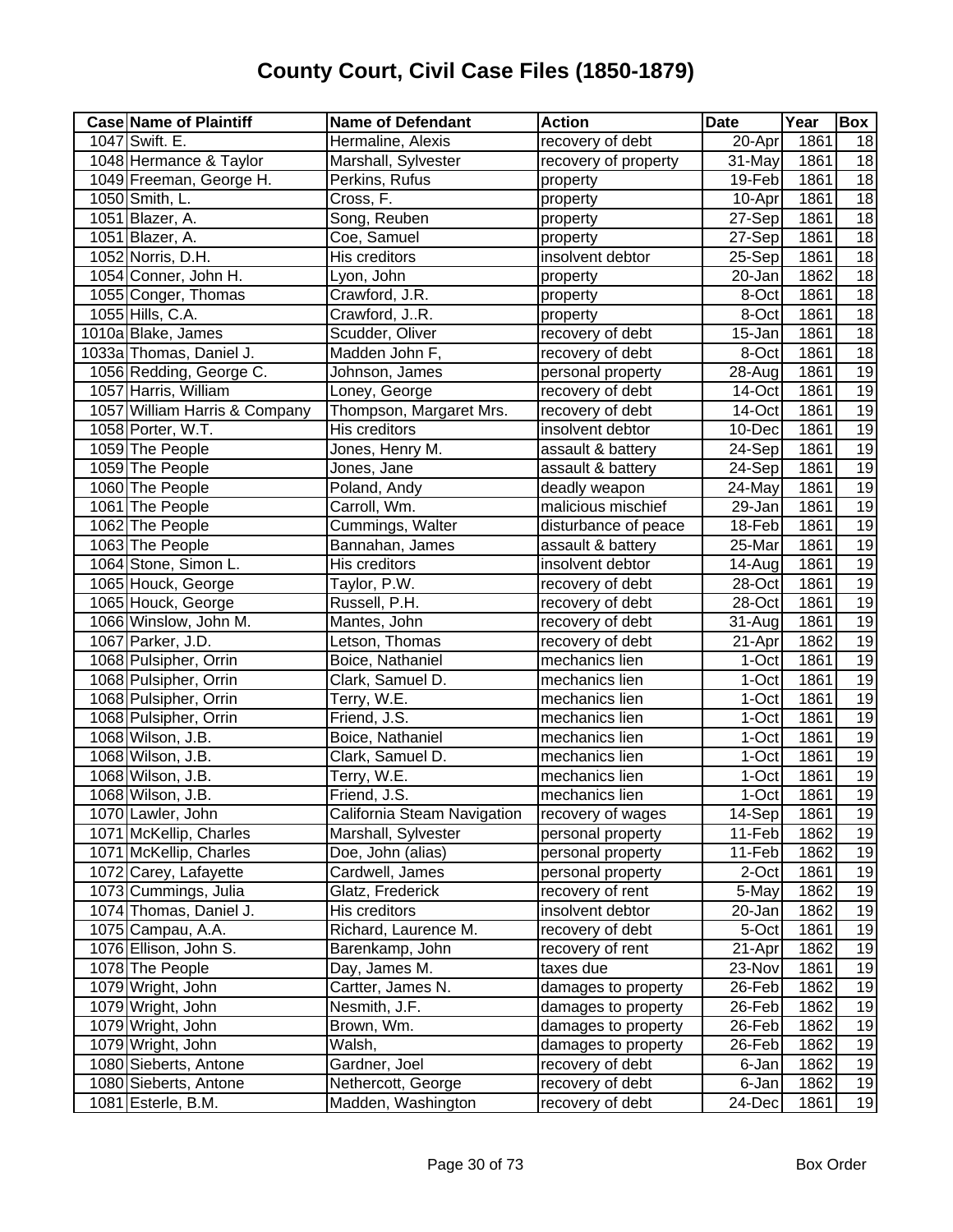| <b>Case Name of Plaintiff</b> | <b>Name of Defendant</b>    | <b>Action</b>        | <b>Date</b>          | Year | <b>Box</b>      |
|-------------------------------|-----------------------------|----------------------|----------------------|------|-----------------|
| 1047 Swift. E.                | Hermaline, Alexis           | recovery of debt     | 20-Apr               | 1861 | 18              |
| 1048 Hermance & Taylor        | Marshall, Sylvester         | recovery of property | $\overline{3}$ 1-May | 1861 | 18              |
| 1049 Freeman, George H.       | Perkins, Rufus              | property             | 19-Feb               | 1861 | $\overline{18}$ |
| 1050 Smith, L.                | Cross, F.                   | property             | 10-Apr               | 1861 | 18              |
| 1051 Blazer, A.               | Song, Reuben                | property             | 27-Sep               | 1861 | $\overline{18}$ |
| 1051 Blazer, A.               | Coe, Samuel                 | property             | 27-Sep               | 1861 | $\overline{18}$ |
| 1052 Norris, D.H.             | His creditors               | insolvent debtor     | 25-Sep               | 1861 | 18              |
| 1054 Conner, John H.          | Lyon, John                  | property             | 20-Jan               | 1862 | 18              |
| 1055 Conger, Thomas           | Crawford, J.R.              | property             | 8-Oct                | 1861 | $\overline{18}$ |
| 1055 Hills, C.A.              | Crawford, JR.               | property             | 8-Oct                | 1861 | 18              |
| 1010a Blake, James            | Scudder, Oliver             | recovery of debt     | 15-Jan               | 1861 | 18              |
| 1033a Thomas, Daniel J.       | Madden John F,              | recovery of debt     | 8-Oct                | 1861 | $\overline{18}$ |
| 1056 Redding, George C.       | Johnson, James              | personal property    | 28-Aug               | 1861 | 19              |
| 1057 Harris, William          | Loney, George               | recovery of debt     | 14-Oct               | 1861 | 19              |
| 1057 William Harris & Company | Thompson, Margaret Mrs.     | recovery of debt     | 14-Oct               | 1861 | 19              |
| 1058 Porter, W.T.             | His creditors               | insolvent debtor     | 10-Dec               | 1861 | 19              |
| 1059 The People               | Jones, Henry M.             | assault & battery    | 24-Sep               | 1861 | 19              |
| 1059 The People               | Jones, Jane                 | assault & battery    | 24-Sep               | 1861 | 19              |
| 1060 The People               | Poland, Andy                | deadly weapon        | 24-May               | 1861 | 19              |
| 1061 The People               | Carroll, Wm.                | malicious mischief   | 29-Jan               | 1861 | 19              |
| 1062 The People               | Cummings, Walter            | disturbance of peace | 18-Feb               | 1861 | 19              |
| 1063 The People               | Bannahan, James             | assault & battery    | 25-Mar               | 1861 | 19              |
| 1064 Stone, Simon L.          | His creditors               | insolvent debtor     | 14-Aug               | 1861 | 19              |
| 1065 Houck, George            | Taylor, P.W.                | recovery of debt     | 28-Oct               | 1861 | 19              |
| 1065 Houck, George            | Russell, P.H.               | recovery of debt     | 28-Oct               | 1861 | $\overline{19}$ |
| 1066 Winslow, John M.         | Mantes, John                | recovery of debt     | 31-Aug               | 1861 | 19              |
| 1067 Parker, J.D.             | Letson, Thomas              | recovery of debt     | 21-Apr               | 1862 | 19              |
| 1068 Pulsipher, Orrin         | Boice, Nathaniel            | mechanics lien       | 1-Oct                | 1861 | 19              |
| 1068 Pulsipher, Orrin         | Clark, Samuel D.            | mechanics lien       | 1-Oct                | 1861 | 19              |
| 1068 Pulsipher, Orrin         | Terry, W.E.                 | mechanics lien       | 1-Oct                | 1861 | 19              |
| 1068 Pulsipher, Orrin         | Friend, J.S.                | mechanics lien       | 1-Oct                | 1861 | 19              |
| 1068 Wilson, J.B.             | Boice, Nathaniel            | mechanics lien       | 1-Oct                | 1861 | 19              |
| 1068 Wilson, J.B.             | Clark, Samuel D.            | mechanics lien       | 1-Oct                | 1861 | 19              |
| 1068 Wilson, J.B.             | Terry, W.E.                 | mechanics lien       | 1-Oct                | 1861 | 19              |
| 1068 Wilson, J.B.             | Friend, J.S.                | mechanics lien       | 1-Oct                | 1861 | $\overline{19}$ |
| 1070 Lawler, John             | California Steam Navigation | recovery of wages    | $14-Sep$             | 1861 | 19              |
| 1071 McKellip, Charles        | Marshall, Sylvester         | personal property    | 11-Feb               | 1862 | 19              |
| 1071 McKellip, Charles        | Doe, John (alias)           | personal property    | 11-Feb               | 1862 | 19              |
| 1072 Carey, Lafayette         | Cardwell, James             | personal property    | 2-Oct                | 1861 | 19              |
| 1073 Cummings, Julia          | Glatz, Frederick            | recovery of rent     | 5-May                | 1862 | 19              |
| 1074 Thomas, Daniel J.        | His creditors               | insolvent debtor     | 20-Jan               | 1862 | 19              |
| 1075 Campau, A.A.             | Richard, Laurence M.        | recovery of debt     | 5-Oct                | 1861 | 19              |
| 1076 Ellison, John S.         | Barenkamp, John             | recovery of rent     | 21-Apr               | 1862 | 19              |
| 1078 The People               | Day, James M.               | taxes due            | 23-Nov               | 1861 | 19              |
| 1079 Wright, John             | Cartter, James N.           | damages to property  | 26-Feb               | 1862 | 19              |
| 1079 Wright, John             | Nesmith, J.F.               | damages to property  | 26-Feb               | 1862 | 19              |
| 1079 Wright, John             | Brown, Wm.                  | damages to property  | 26-Feb               | 1862 | 19              |
| 1079 Wright, John             | Walsh,                      | damages to property  | 26-Feb               | 1862 | 19              |
| 1080 Sieberts, Antone         | Gardner, Joel               | recovery of debt     | 6-Jan                | 1862 | 19              |
| 1080 Sieberts, Antone         | Nethercott, George          | recovery of debt     | 6-Jan                | 1862 | 19              |
| 1081 Esterle, B.M.            | Madden, Washington          | recovery of debt     | 24-Dec               | 1861 | 19              |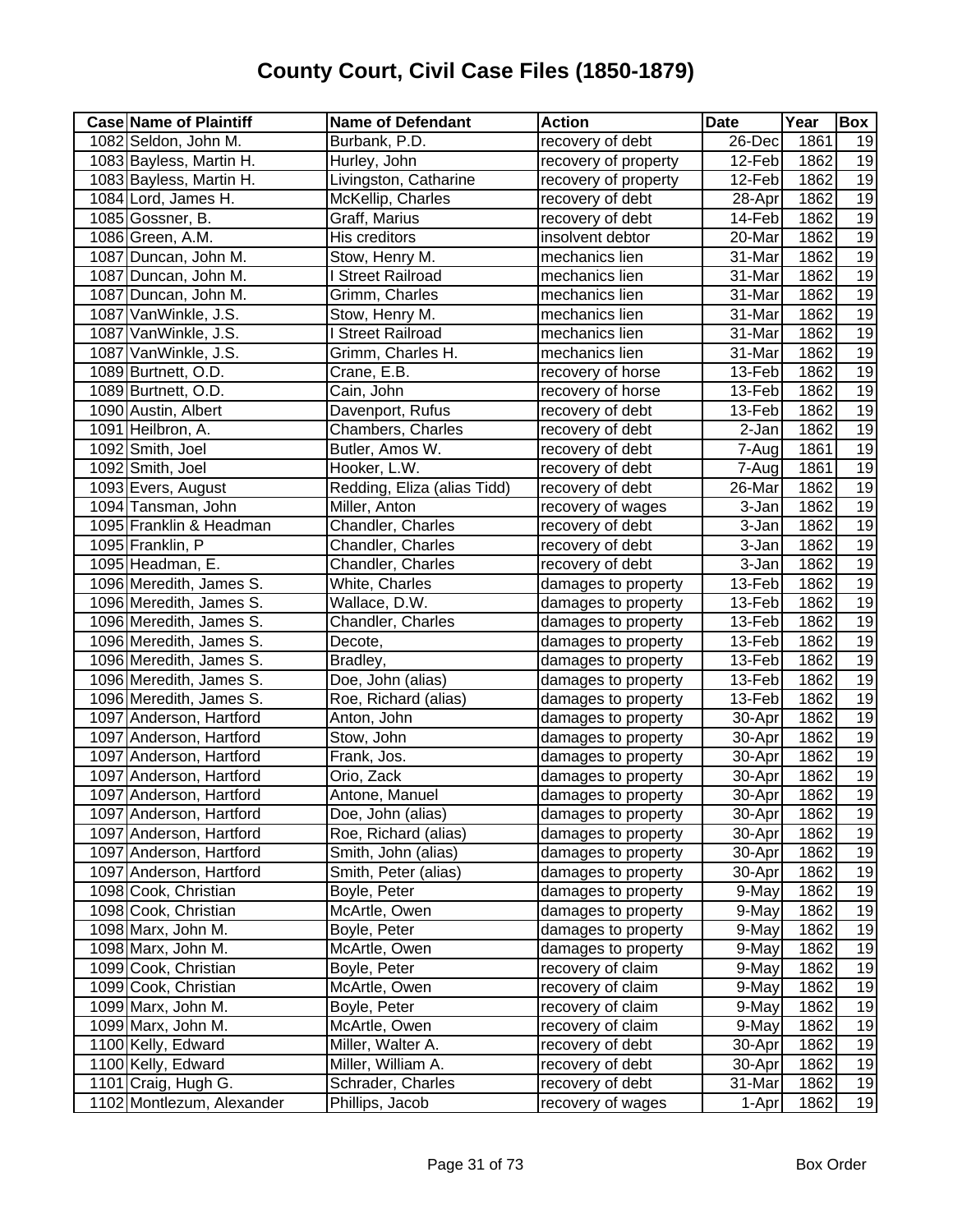| <b>Case Name of Plaintiff</b> | <b>Name of Defendant</b>    | <b>Action</b>        | <b>Date</b> | Year              | Box             |
|-------------------------------|-----------------------------|----------------------|-------------|-------------------|-----------------|
| 1082 Seldon, John M.          | Burbank, P.D.               | recovery of debt     | 26-Dec      | 1861              | 19              |
| 1083 Bayless, Martin H.       | Hurley, John                | recovery of property | 12-Feb      | 1862              | 19              |
| 1083 Bayless, Martin H.       | Livingston, Catharine       | recovery of property | 12-Feb      | 1862              | 19              |
| 1084 Lord, James H.           | McKellip, Charles           | recovery of debt     | 28-Apr      | $\overline{1862}$ | 19              |
| 1085 Gossner, B.              | Graff, Marius               | recovery of debt     | 14-Feb      | 1862              | 19              |
| 1086 Green, A.M.              | His creditors               | insolvent debtor     | 20-Mar      | 1862              | 19              |
| 1087 Duncan, John M.          | Stow, Henry M.              | mechanics lien       | 31-Mar      | 1862              | 19              |
| 1087 Duncan, John M.          | <b>Street Railroad</b>      | mechanics lien       | 31-Mar      | 1862              | 19              |
| 1087 Duncan, John M.          | Grimm, Charles              | mechanics lien       | 31-Mar      | 1862              | 19              |
| 1087 VanWinkle, J.S.          | Stow, Henry M.              | mechanics lien       | 31-Mar      | 1862              | 19              |
| 1087 VanWinkle, J.S.          | <b>Street Railroad</b>      | mechanics lien       | 31-Mar      | 1862              | 19              |
| 1087 VanWinkle, J.S.          | Grimm, Charles H.           | mechanics lien       | 31-Mar      | 1862              | 19              |
| 1089 Burtnett, O.D.           | Crane, E.B.                 | recovery of horse    | 13-Feb      | 1862              | $\overline{19}$ |
| 1089 Burtnett, O.D.           | Cain, John                  | recovery of horse    | 13-Feb      | 1862              | 19              |
| 1090 Austin, Albert           | Davenport, Rufus            | recovery of debt     | 13-Feb      | 1862              | 19              |
| 1091 Heilbron, A.             | Chambers, Charles           | recovery of debt     | 2-Jan       | 1862              | 19              |
| 1092 Smith, Joel              | Butler, Amos W.             | recovery of debt     | 7-Aug       | 1861              | 19              |
| 1092 Smith, Joel              | Hooker, L.W.                | recovery of debt     | 7-Aug       | 1861              | 19              |
| 1093 Evers, August            | Redding, Eliza (alias Tidd) | recovery of debt     | 26-Mar      | 1862              | 19              |
| 1094 Tansman, John            | Miller, Anton               | recovery of wages    | 3-Jan       | 1862              | 19              |
| 1095 Franklin & Headman       | Chandler, Charles           | recovery of debt     | 3-Jan       | 1862              | 19              |
| 1095 Franklin, P              | Chandler, Charles           | recovery of debt     | 3-Jan       | 1862              | 19              |
| 1095 Headman, E.              | Chandler, Charles           | recovery of debt     | 3-Jan       | 1862              | 19              |
| 1096 Meredith, James S.       | White, Charles              | damages to property  | $13-Feb$    | 1862              | 19              |
| 1096 Meredith, James S.       | Wallace, D.W.               | damages to property  | 13-Feb      | 1862              | 19              |
| 1096 Meredith, James S.       | Chandler, Charles           | damages to property  | 13-Feb      | 1862              | 19              |
| 1096 Meredith, James S.       | Decote,                     | damages to property  | 13-Feb      | 1862              | 19              |
| 1096 Meredith, James S.       | Bradley,                    | damages to property  | 13-Feb      | 1862              | 19              |
| 1096 Meredith, James S.       | Doe, John (alias)           | damages to property  | 13-Feb      | 1862              | 19              |
| 1096 Meredith, James S.       | Roe, Richard (alias)        | damages to property  | 13-Feb      | 1862              | 19              |
| 1097 Anderson, Hartford       | Anton, John                 | damages to property  | 30-Apr      | 1862              | 19              |
| 1097 Anderson, Hartford       | Stow, John                  | damages to property  | 30-Apr      | 1862              | 19              |
| 1097 Anderson, Hartford       | Frank, Jos.                 | damages to property  | 30-Apr      | 1862              | 19              |
| 1097 Anderson, Hartford       | Orio, Zack                  | damages to property  | 30-Apr      | 1862              | 19              |
| 1097 Anderson, Hartford       | Antone, Manuel              | damages to property  | 30-Apr      | 1862              | $\overline{19}$ |
| 1097 Anderson, Hartford       | Doe, John (alias)           | damages to property  | 30-Apr      | 1862              | 19              |
| 1097 Anderson, Hartford       | Roe, Richard (alias)        | damages to property  | 30-Apr      | 1862              | 19              |
| 1097 Anderson, Hartford       | Smith, John (alias)         | damages to property  | 30-Apr      | 1862              | 19              |
| 1097 Anderson, Hartford       | Smith, Peter (alias)        | damages to property  | 30-Apr      | 1862              | 19              |
| 1098 Cook, Christian          | Boyle, Peter                | damages to property  | 9-May       | 1862              | 19              |
| 1098 Cook, Christian          | McArtle, Owen               | damages to property  | 9-May       | 1862              | 19              |
| 1098 Marx, John M.            | Boyle, Peter                | damages to property  | 9-May       | 1862              | 19              |
| 1098 Marx, John M.            | McArtle, Owen               | damages to property  | 9-May       | 1862              | 19              |
| 1099 Cook, Christian          | Boyle, Peter                | recovery of claim    | 9-May       | 1862              | 19              |
| 1099 Cook, Christian          | McArtle, Owen               | recovery of claim    | 9-May       | 1862              | 19              |
| 1099 Marx, John M.            | Boyle, Peter                | recovery of claim    | 9-May       | 1862              | 19              |
| 1099 Marx, John M.            | McArtle, Owen               | recovery of claim    | 9-May       | 1862              | 19              |
| 1100 Kelly, Edward            | Miller, Walter A.           | recovery of debt     | 30-Apr      | 1862              | 19              |
| 1100 Kelly, Edward            | Miller, William A.          | recovery of debt     | 30-Apr      | 1862              | 19              |
| 1101 Craig, Hugh G.           | Schrader, Charles           | recovery of debt     | 31-Mar      | 1862              | 19              |
| 1102 Montlezum, Alexander     | Phillips, Jacob             | recovery of wages    | 1-Apr       | 1862              | 19              |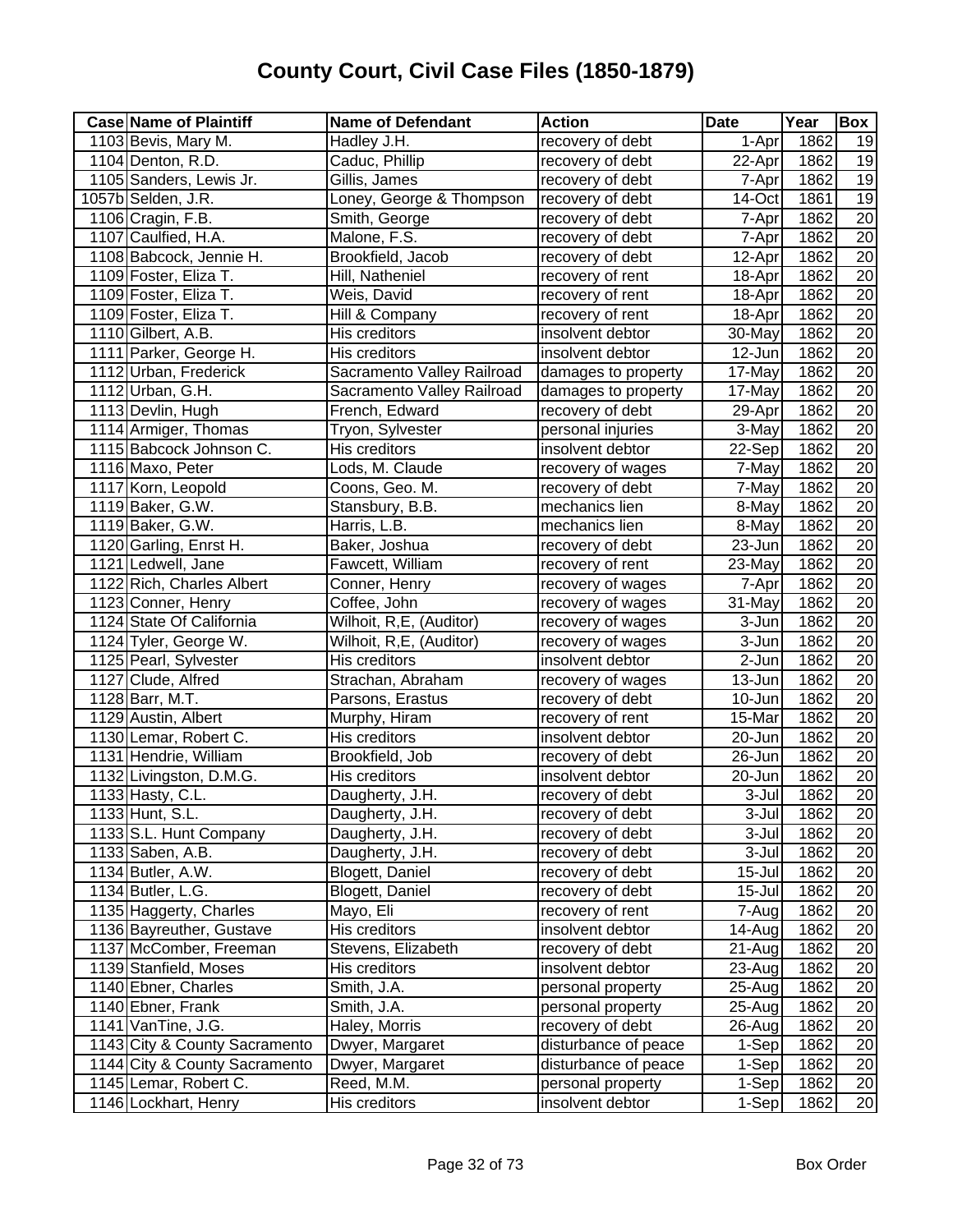| <b>Case Name of Plaintiff</b> | <b>Name of Defendant</b>   | <b>Action</b>        | <b>Date</b>          | Year | Box             |
|-------------------------------|----------------------------|----------------------|----------------------|------|-----------------|
| 1103 Bevis, Mary M.           | Hadley J.H.                | recovery of debt     | 1-Apr                | 1862 | 19              |
| 1104 Denton, R.D.             | Caduc, Phillip             | recovery of debt     | $22-Apr$             | 1862 | 19              |
| 1105 Sanders, Lewis Jr.       | Gillis, James              | recovery of debt     | 7-Apr                | 1862 | 19              |
| 1057b Selden, J.R.            | Loney, George & Thompson   | recovery of debt     | 14-Oct               | 1861 | 19              |
| 1106 Cragin, F.B.             | Smith, George              | recovery of debt     | 7-Apr                | 1862 | $\overline{20}$ |
| 1107 Caulfied, H.A.           | Malone, F.S.               | recovery of debt     | 7-Apr                | 1862 | 20              |
| 1108 Babcock, Jennie H.       | Brookfield, Jacob          | recovery of debt     | 12-Apr               | 1862 | $\overline{20}$ |
| 1109 Foster, Eliza T.         | Hill, Natheniel            | recovery of rent     | 18-Apr               | 1862 | 20              |
| 1109 Foster, Eliza T.         | Weis, David                | recovery of rent     | 18-Apr               | 1862 | $\overline{20}$ |
| 1109 Foster, Eliza T.         | Hill & Company             | recovery of rent     | 18-Apr               | 1862 | 20              |
| 1110 Gilbert, A.B.            | His creditors              | insolvent debtor     | 30-May               | 1862 | $\overline{20}$ |
| 1111 Parker, George H.        | His creditors              | insolvent debtor     | 12-Jun               | 1862 | $\overline{20}$ |
| 1112 Urban, Frederick         | Sacramento Valley Railroad | damages to property  | 17-May               | 1862 | $\overline{20}$ |
| 1112 Urban, G.H.              | Sacramento Valley Railroad | damages to property  | 17-May               | 1862 | 20              |
| 1113 Devlin, Hugh             | French, Edward             | recovery of debt     | 29-Apr               | 1862 | $\overline{20}$ |
| 1114 Armiger, Thomas          | Tryon, Sylvester           | personal injuries    | 3-May                | 1862 | $\overline{20}$ |
| 1115 Babcock Johnson C.       | His creditors              | insolvent debtor     | 22-Sep               | 1862 | $\overline{20}$ |
| 1116 Maxo, Peter              | Lods, M. Claude            | recovery of wages    | 7-May                | 1862 | $\overline{20}$ |
| 1117 Korn, Leopold            | Coons, Geo. M.             | recovery of debt     | 7-May                | 1862 | $\overline{20}$ |
| 1119 Baker, G.W.              | Stansbury, B.B.            | mechanics lien       | 8-May                | 1862 | $\overline{20}$ |
| 1119 Baker, G.W.              | Harris, L.B.               | mechanics lien       | 8-May                | 1862 | $\overline{20}$ |
| 1120 Garling, Enrst H.        | Baker, Joshua              | recovery of debt     | 23-Jun               | 1862 | $\overline{20}$ |
| 1121 Ledwell, Jane            | Fawcett, William           | recovery of rent     | 23-May               | 1862 | $\overline{20}$ |
| 1122 Rich, Charles Albert     | Conner, Henry              | recovery of wages    | 7-Apr                | 1862 | $\overline{20}$ |
| 1123 Conner, Henry            | Coffee, John               | recovery of wages    | 31-May               | 1862 | 20              |
| 1124 State Of California      | Wilhoit, R,E, (Auditor)    | recovery of wages    | 3-Jun                | 1862 | 20              |
| 1124 Tyler, George W.         | Wilhoit, R,E, (Auditor)    | recovery of wages    | 3-Jun                | 1862 | $\overline{20}$ |
| 1125 Pearl, Sylvester         | His creditors              | insolvent debtor     | $\overline{2}$ -Jun  | 1862 | 20              |
| 1127 Clude, Alfred            | Strachan, Abraham          | recovery of wages    | $\overline{1}3$ -Jun | 1862 | 20              |
| 1128 Barr, M.T.               | Parsons, Erastus           | recovery of debt     | 10-Jun               | 1862 | 20              |
| 1129 Austin, Albert           | Murphy, Hiram              | recovery of rent     | 15-Mar               | 1862 | 20              |
| 1130 Lemar, Robert C.         | His creditors              | insolvent debtor     | 20-Jun               | 1862 | $\overline{20}$ |
| 1131 Hendrie, William         | Brookfield, Job            | recovery of debt     | 26-Jun               | 1862 | $\overline{20}$ |
| 1132 Livingston, D.M.G.       | His creditors              | insolvent debtor     | 20-Jun               | 1862 | $\overline{20}$ |
| 1133 Hasty, C.L.              | Daugherty, J.H.            | recovery of debt     | $\overline{3}$ -Jul  | 1862 | 20              |
| 1133 Hunt, S.L.               | Daugherty, J.H.            | recovery of debt     | $3 -$ Jul            | 1862 | 20              |
| 1133 S.L. Hunt Company        | Daugherty, J.H.            | recovery of debt     | 3-Jul                | 1862 | 20              |
| 1133 Saben, A.B.              | Daugherty, J.H.            | recovery of debt     | 3-Jul                | 1862 | 20              |
| 1134 Butler, A.W.             | Blogett, Daniel            | recovery of debt     | $15 -$ Jul           | 1862 | 20              |
| 1134 Butler, L.G.             | Blogett, Daniel            | recovery of debt     | $15 -$ Jul           | 1862 | 20              |
| 1135 Haggerty, Charles        | Mayo, Eli                  | recovery of rent     | 7-Aug                | 1862 | 20              |
| 1136 Bayreuther, Gustave      | His creditors              | insolvent debtor     | 14-Aug               | 1862 | 20              |
| 1137 McComber, Freeman        | Stevens, Elizabeth         | recovery of debt     | 21-Aug               | 1862 | 20              |
| 1139 Stanfield, Moses         | His creditors              | insolvent debtor     | 23-Aug               | 1862 | 20              |
| 1140 Ebner, Charles           | Smith, J.A.                | personal property    | 25-Aug               | 1862 | 20              |
| 1140 Ebner, Frank             | Smith, J.A.                | personal property    | 25-Aug               | 1862 | 20              |
| 1141 VanTine, J.G.            | Haley, Morris              | recovery of debt     | 26-Aug               | 1862 | 20              |
| 1143 City & County Sacramento | Dwyer, Margaret            | disturbance of peace | 1-Sep                | 1862 | 20              |
| 1144 City & County Sacramento | Dwyer, Margaret            | disturbance of peace | 1-Sep                | 1862 | 20              |
| 1145 Lemar, Robert C.         | Reed, M.M.                 | personal property    | 1-Sep                | 1862 | 20              |
| 1146 Lockhart, Henry          | His creditors              | insolvent debtor     | 1-Sep                | 1862 | $\overline{20}$ |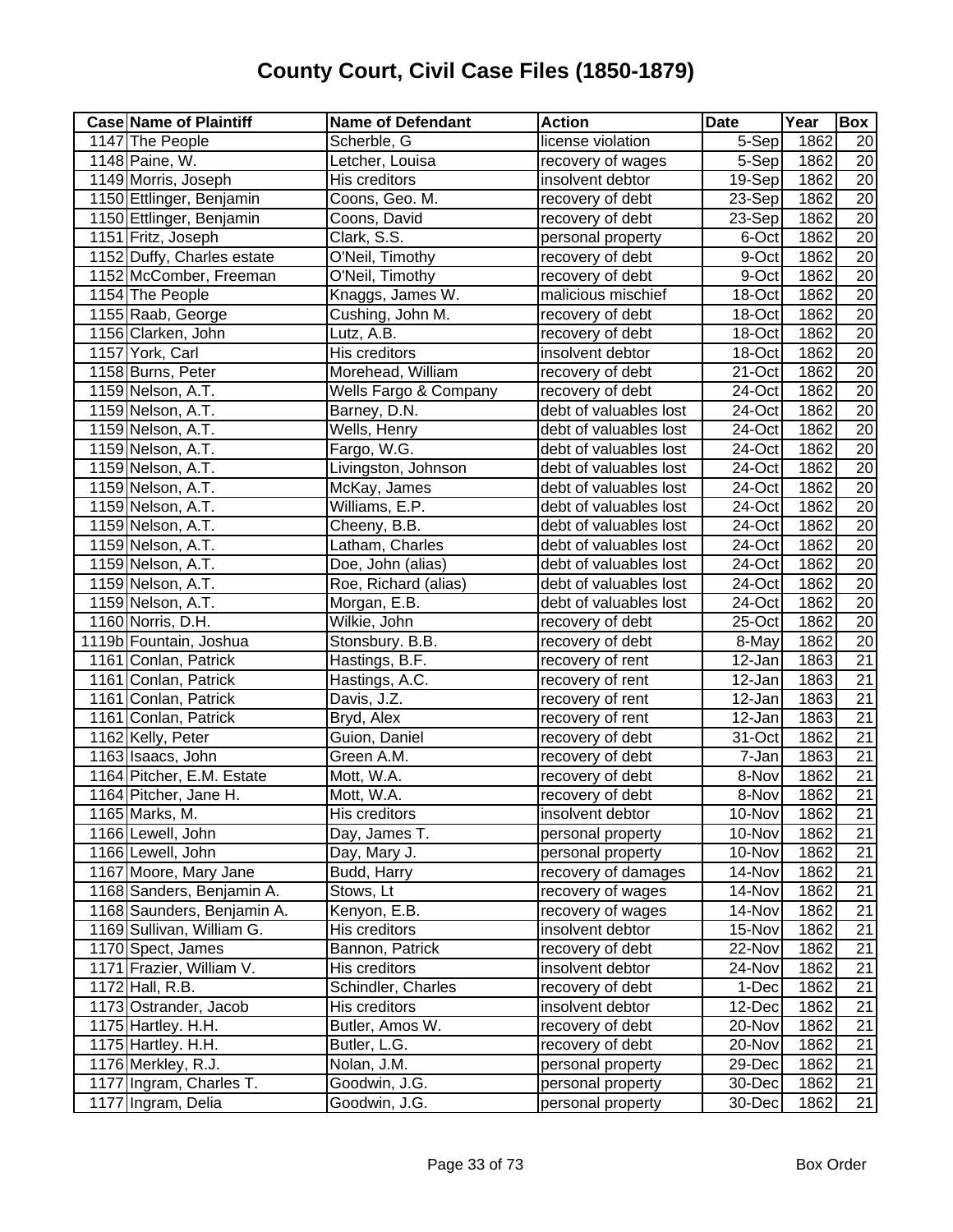| <b>Case Name of Plaintiff</b> | <b>Name of Defendant</b> | <b>Action</b>          | <b>Date</b>          | Year | Box             |
|-------------------------------|--------------------------|------------------------|----------------------|------|-----------------|
| 1147 The People               | Scherble, G              | license violation      | 5-Sep                | 1862 | 20              |
| 1148 Paine, W.                | Letcher, Louisa          | recovery of wages      | 5-Sep                | 1862 | 20              |
| 1149 Morris, Joseph           | His creditors            | insolvent debtor       | 19-Sep               | 1862 | 20              |
| 1150 Ettlinger, Benjamin      | Coons, Geo. M.           | recovery of debt       | 23-Sep               | 1862 | 20              |
| 1150 Ettlinger, Benjamin      | Coons, David             | recovery of debt       | 23-Sep               | 1862 | 20              |
| 1151 Fritz, Joseph            | Clark, S.S.              | personal property      | 6-Oct                | 1862 | 20              |
| 1152 Duffy, Charles estate    | O'Neil, Timothy          | recovery of debt       | 9-Oct                | 1862 | 20              |
| 1152 McComber, Freeman        | O'Neil, Timothy          | recovery of debt       | 9-Oct                | 1862 | $\overline{20}$ |
| 1154 The People               | Knaggs, James W.         | malicious mischief     | 18-Oct               | 1862 | 20              |
| 1155 Raab, George             | Cushing, John M.         | recovery of debt       | 18-Oct               | 1862 | 20              |
| 1156 Clarken, John            | Lutz, A.B.               | recovery of debt       | 18-Oct               | 1862 | 20              |
| 1157 York, Carl               | His creditors            | insolvent debtor       | 18-Oct               | 1862 | $\overline{20}$ |
| 1158 Burns, Peter             | Morehead, William        | recovery of debt       | 21-Oct               | 1862 | $\overline{20}$ |
| 1159 Nelson, A.T.             | Wells Fargo & Company    | recovery of debt       | 24-Oct               | 1862 | $\overline{20}$ |
| 1159 Nelson, A.T.             | Barney, D.N.             | debt of valuables lost | 24-Oct               | 1862 | $\overline{20}$ |
| 1159 Nelson, A.T.             | Wells, Henry             | debt of valuables lost | 24-Oct               | 1862 | $\overline{20}$ |
| 1159 Nelson, A.T.             | Fargo, W.G.              | debt of valuables lost | 24-Oct               | 1862 | $\overline{20}$ |
| 1159 Nelson, A.T.             | Livingston, Johnson      | debt of valuables lost | 24-Oct               | 1862 | $\overline{20}$ |
| 1159 Nelson, A.T.             | McKay, James             | debt of valuables lost | 24-Oct               | 1862 | $\overline{20}$ |
| 1159 Nelson, A.T.             | Williams, E.P.           | debt of valuables lost | 24-Oct               | 1862 | $\overline{20}$ |
| 1159 Nelson, A.T.             | Cheeny, B.B.             | debt of valuables lost | 24-Oct               | 1862 | $\overline{20}$ |
| 1159 Nelson, A.T.             | Latham, Charles          | debt of valuables lost | 24-Oct               | 1862 | $\overline{20}$ |
| 1159 Nelson, A.T.             | Doe, John (alias)        | debt of valuables lost | 24-Oct               | 1862 | 20              |
| 1159 Nelson, A.T.             | Roe, Richard (alias)     | debt of valuables lost | 24-Oct               | 1862 | $\overline{20}$ |
| 1159 Nelson, A.T.             | Morgan, E.B.             | debt of valuables lost | 24-Oct               | 1862 | 20              |
| 1160 Norris, D.H.             | Wilkie, John             | recovery of debt       | 25-Oct               | 1862 | 20              |
| 1119b Fountain, Joshua        | Stonsbury. B.B.          | recovery of debt       | 8-May                | 1862 | 20              |
| 1161 Conlan, Patrick          | Hastings, B.F.           | recovery of rent       | 12-Jan               | 1863 | $\overline{21}$ |
| 1161 Conlan, Patrick          | Hastings, A.C.           | recovery of rent       | $\overline{1}$ 2-Jan | 1863 | $\overline{21}$ |
| 1161 Conlan, Patrick          | Davis, J.Z.              | recovery of rent       | 12-Jan               | 1863 | 21              |
| 1161 Conlan, Patrick          | Bryd, Alex               | recovery of rent       | 12-Jan               | 1863 | 21              |
| 1162 Kelly, Peter             | Guion, Daniel            | recovery of debt       | 31-Oct               | 1862 | 21              |
| 1163 Isaacs, John             | Green A.M.               | recovery of debt       | 7-Jan                | 1863 | $\overline{21}$ |
| 1164 Pitcher, E.M. Estate     | Mott, W.A.               | recovery of debt       | 8-Nov                | 1862 | 21              |
| 1164 Pitcher, Jane H.         | Mott, W.A.               | recovery of debt       | 8-Nov                | 1862 | $\overline{21}$ |
| 1165 Marks, M.                | His creditors            | insolvent debtor       | 10-Nov               | 1862 | 21              |
| 1166 Lewell, John             | Day, James T.            | personal property      | 10-Nov               | 1862 | $\overline{21}$ |
| 1166 Lewell, John             | Day, Mary J.             | personal property      | 10-Nov               | 1862 | 21              |
| 1167 Moore, Mary Jane         | Budd, Harry              | recovery of damages    | 14-Nov               | 1862 | 21              |
| 1168 Sanders, Benjamin A.     | Stows, Lt                | recovery of wages      | 14-Nov               | 1862 | 21              |
| 1168 Saunders, Benjamin A.    | Kenyon, E.B.             | recovery of wages      | 14-Nov               | 1862 | 21              |
| 1169 Sullivan, William G.     | His creditors            | insolvent debtor       | 15-Nov               | 1862 | 21              |
| 1170 Spect, James             | Bannon, Patrick          | recovery of debt       | 22-Nov               | 1862 | 21              |
| 1171 Frazier, William V.      | His creditors            | insolvent debtor       | 24-Nov               | 1862 | 21              |
| 1172 Hall, R.B.               | Schindler, Charles       | recovery of debt       | 1-Dec                | 1862 | 21              |
| 1173 Ostrander, Jacob         | His creditors            | insolvent debtor       | 12-Dec               | 1862 | 21              |
| 1175 Hartley. H.H.            | Butler, Amos W.          | recovery of debt       | 20-Nov               | 1862 | 21              |
| 1175 Hartley. H.H.            | Butler, L.G.             | recovery of debt       | 20-Nov               | 1862 | 21              |
| 1176 Merkley, R.J.            | Nolan, J.M.              | personal property      | 29-Dec               | 1862 | 21              |
| 1177 Ingram, Charles T.       | Goodwin, J.G.            | personal property      | 30-Dec               | 1862 | 21              |
| 1177 Ingram, Delia            | Goodwin, J.G.            | personal property      | 30-Dec               | 1862 | 21              |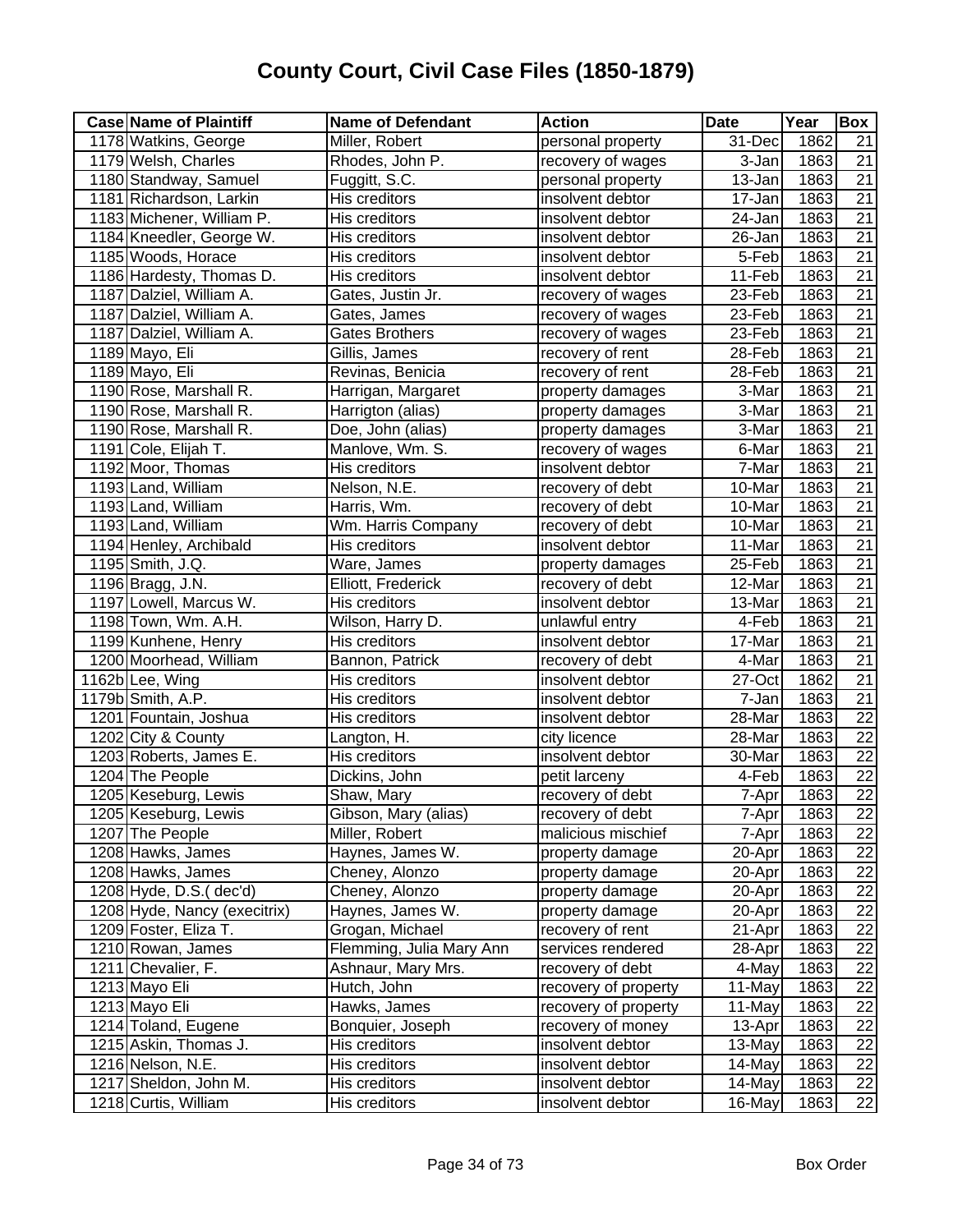| <b>Case Name of Plaintiff</b> | <b>Name of Defendant</b> | <b>Action</b>        | <b>Date</b>          | Year | Box             |
|-------------------------------|--------------------------|----------------------|----------------------|------|-----------------|
| 1178 Watkins, George          | Miller, Robert           | personal property    | 31-Dec               | 1862 | 21              |
| 1179 Welsh, Charles           | Rhodes, John P.          | recovery of wages    | 3-Jan                | 1863 | 21              |
| 1180 Standway, Samuel         | Fuggitt, S.C.            | personal property    | 13-Jan               | 1863 | 21              |
| 1181 Richardson, Larkin       | His creditors            | insolvent debtor     | 17-Jan               | 1863 | 21              |
| 1183 Michener, William P.     | His creditors            | insolvent debtor     | 24-Jan               | 1863 | $\overline{21}$ |
| 1184 Kneedler, George W.      | His creditors            | insolvent debtor     | 26-Jan               | 1863 | $\overline{21}$ |
| 1185 Woods, Horace            | His creditors            | insolvent debtor     | 5-Feb                | 1863 | $\overline{21}$ |
| 1186 Hardesty, Thomas D.      | His creditors            | insolvent debtor     | 11-Feb               | 1863 | $\overline{21}$ |
| 1187 Dalziel, William A.      | Gates, Justin Jr.        | recovery of wages    | 23-Feb               | 1863 | 21              |
| 1187 Dalziel, William A.      | Gates, James             | recovery of wages    | 23-Feb               | 1863 | $\overline{21}$ |
| 1187 Dalziel, William A.      | <b>Gates Brothers</b>    | recovery of wages    | 23-Feb               | 1863 | 21              |
| 1189 Mayo, Eli                | Gillis, James            | recovery of rent     | 28-Feb               | 1863 | $\overline{21}$ |
| 1189 Mayo, Eli                | Revinas, Benicia         | recovery of rent     | 28-Feb               | 1863 | $\overline{21}$ |
| 1190 Rose, Marshall R.        | Harrigan, Margaret       | property damages     | 3-Mar                | 1863 | $\overline{21}$ |
| 1190 Rose, Marshall R.        | Harrigton (alias)        | property damages     | 3-Mar                | 1863 | $\overline{21}$ |
| 1190 Rose, Marshall R.        | Doe, John (alias)        | property damages     | 3-Mar                | 1863 | $\overline{21}$ |
| 1191 Cole, Elijah T.          | Manlove, Wm. S.          | recovery of wages    | 6-Mar                | 1863 | $\overline{21}$ |
| 1192 Moor, Thomas             | His creditors            | insolvent debtor     | 7-Mar                | 1863 | $\overline{21}$ |
| 1193 Land, William            | Nelson, N.E.             | recovery of debt     | 10-Mar               | 1863 | $\overline{21}$ |
| 1193 Land, William            | Harris, Wm.              | recovery of debt     | 10-Mar               | 1863 | $\overline{21}$ |
| 1193 Land, William            | Wm. Harris Company       | recovery of debt     | 10-Mar               | 1863 | $\overline{21}$ |
| 1194 Henley, Archibald        | His creditors            | insolvent debtor     | 11-Mar               | 1863 | $\overline{21}$ |
| 1195 Smith, J.Q.              | Ware, James              | property damages     | 25-Feb               | 1863 | $\overline{21}$ |
| 1196 Bragg, J.N.              | Elliott, Frederick       | recovery of debt     | 12-Mar               | 1863 | $\overline{21}$ |
| 1197 Lowell, Marcus W.        | His creditors            | insolvent debtor     | 13-Mar               | 1863 | $\overline{21}$ |
| 1198 Town, Wm. A.H.           | Wilson, Harry D.         | unlawful entry       | 4-Feb                | 1863 | 21              |
| 1199 Kunhene, Henry           | His creditors            | insolvent debtor     | 17-Mar               | 1863 | 21              |
| 1200 Moorhead, William        | Bannon, Patrick          | recovery of debt     | 4-Mar                | 1863 | 21              |
| 1162b Lee, Wing               | His creditors            | insolvent debtor     | $\overline{27}$ -Oct | 1862 | $\overline{21}$ |
| 1179b Smith, A.P.             | His creditors            | insolvent debtor     | 7-Jan                | 1863 | 21              |
| 1201 Fountain, Joshua         | His creditors            | insolvent debtor     | 28-Mar               | 1863 | $\overline{22}$ |
| 1202 City & County            | Langton, H.              | city licence         | 28-Mar               | 1863 | $\overline{22}$ |
| 1203 Roberts, James E.        | His creditors            | insolvent debtor     | 30-Mar               | 1863 | $\overline{22}$ |
| 1204 The People               | Dickins, John            | petit larceny        | 4-Feb                | 1863 | $\overline{22}$ |
| 1205 Keseburg, Lewis          | Shaw, Mary               | recovery of debt     | 7-Apr                | 1863 | 22              |
| 1205 Keseburg, Lewis          | Gibson, Mary (alias)     | recovery of debt     | 7-Apr                | 1863 | 22              |
| 1207 The People               | Miller, Robert           | malicious mischief   | 7-Apr                | 1863 | $\overline{22}$ |
| 1208 Hawks, James             | Haynes, James W.         | property damage      | 20-Apr               | 1863 | 22              |
| 1208 Hawks, James             | Cheney, Alonzo           | property damage      | 20-Apr               | 1863 | 22              |
| $1208$ Hyde, D.S.(dec'd)      | Cheney, Alonzo           | property damage      | 20-Apr               | 1863 | 22              |
| 1208 Hyde, Nancy (execitrix)  | Haynes, James W.         | property damage      | 20-Apr               | 1863 | 22              |
| 1209 Foster, Eliza T.         | Grogan, Michael          | recovery of rent     | 21-Apr               | 1863 | 22              |
| 1210 Rowan, James             | Flemming, Julia Mary Ann | services rendered    | 28-Apr               | 1863 | 22              |
| 1211 Chevalier, F.            | Ashnaur, Mary Mrs.       | recovery of debt     | 4-May                | 1863 | 22              |
| 1213 Mayo Eli                 | Hutch, John              | recovery of property | 11-May               | 1863 | 22              |
| 1213 Mayo Eli                 | Hawks, James             | recovery of property | 11-May               | 1863 | 22              |
| 1214 Toland, Eugene           | Bonquier, Joseph         | recovery of money    | 13-Apr               | 1863 | 22              |
| 1215 Askin, Thomas J.         | His creditors            | insolvent debtor     | 13-May               | 1863 | 22              |
| 1216 Nelson, N.E.             | His creditors            | insolvent debtor     | 14-May               | 1863 | 22              |
| 1217 Sheldon, John M.         | His creditors            | insolvent debtor     | 14-May               | 1863 | 22              |
| 1218 Curtis, William          | His creditors            | insolvent debtor     | 16-May               | 1863 | 22              |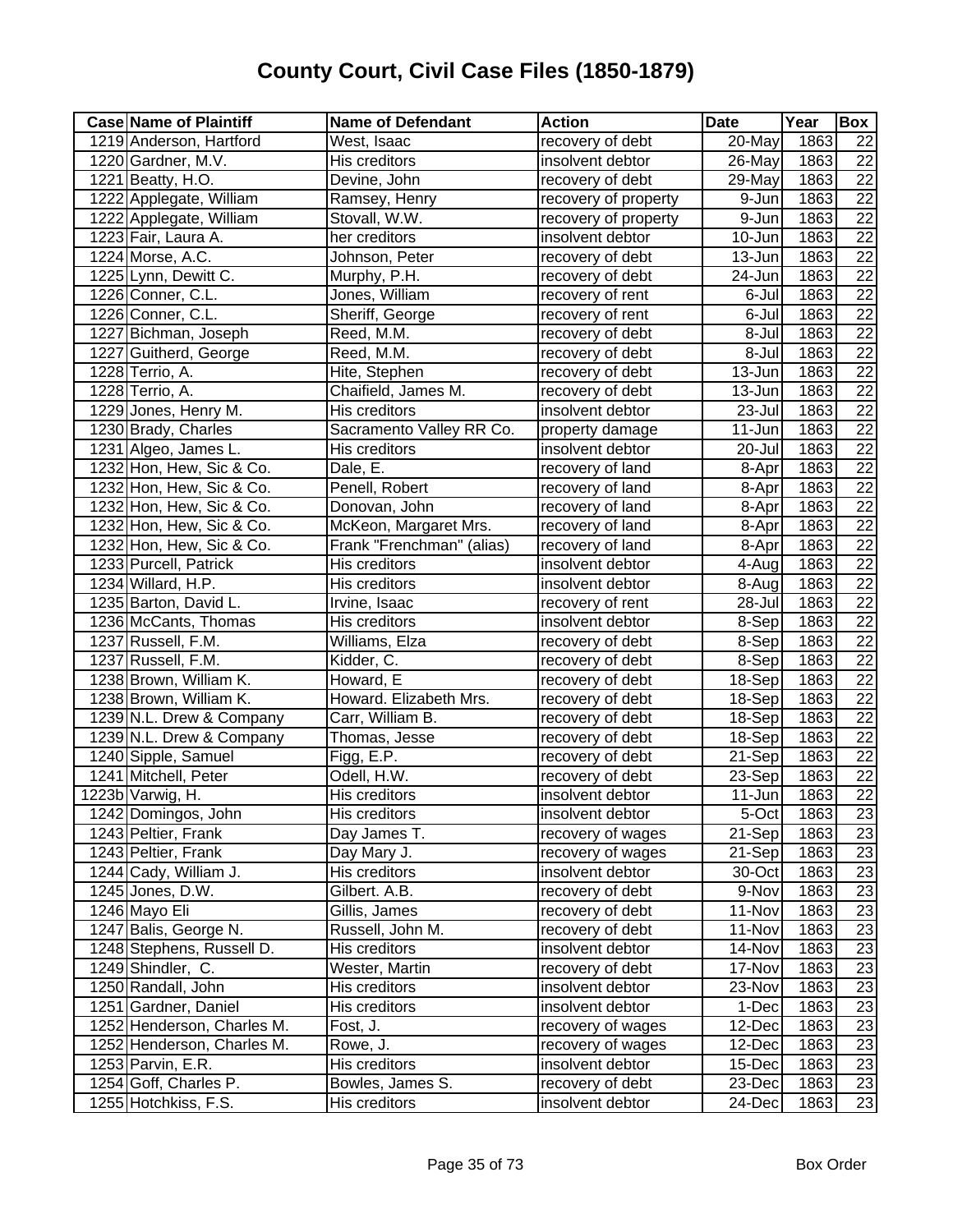| <b>Case Name of Plaintiff</b> | <b>Name of Defendant</b>  | <b>Action</b>        | <b>Date</b>         | Year | Box             |
|-------------------------------|---------------------------|----------------------|---------------------|------|-----------------|
| 1219 Anderson, Hartford       | West, Isaac               | recovery of debt     | 20-May              | 1863 | 22              |
| 1220 Gardner, M.V.            | His creditors             | insolvent debtor     | 26-May              | 1863 | 22              |
| 1221 Beatty, H.O.             | Devine, John              | recovery of debt     | 29-May              | 1863 | $\overline{22}$ |
| 1222 Applegate, William       | Ramsey, Henry             | recovery of property | 9-Jun               | 1863 | $\overline{22}$ |
| 1222 Applegate, William       | Stovall, W.W.             | recovery of property | $\overline{9}$ -Jun | 1863 | $\overline{22}$ |
| 1223 Fair, Laura A.           | her creditors             | insolvent debtor     | 10-Jun              | 1863 | $\overline{22}$ |
| 1224 Morse, A.C.              | Johnson, Peter            | recovery of debt     | 13-Jun              | 1863 | $\overline{22}$ |
| 1225 Lynn, Dewitt C.          | Murphy, P.H.              | recovery of debt     | 24-Jun              | 1863 | $\overline{22}$ |
| 1226 Conner, C.L.             | Jones, William            | recovery of rent     | 6-Jul               | 1863 | 22              |
| 1226 Conner, C.L.             | Sheriff, George           | recovery of rent     | 6-Jul               | 1863 | 22              |
| 1227 Bichman, Joseph          | Reed, M.M.                | recovery of debt     | 8-Jul               | 1863 | 22              |
| 1227 Guitherd, George         | Reed, M.M.                | recovery of debt     | 8-Jul               | 1863 | $\overline{22}$ |
| 1228 Terrio, A.               | Hite, Stephen             | recovery of debt     | 13-Jun              | 1863 | $\overline{22}$ |
| 1228 Terrio, A.               | Chaifield, James M.       | recovery of debt     | 13-Jun              | 1863 | $\overline{22}$ |
| 1229 Jones, Henry M.          | His creditors             | insolvent debtor     | 23-Jul              | 1863 | $\overline{22}$ |
| 1230 Brady, Charles           | Sacramento Valley RR Co.  | property damage      | 11-Jun              | 1863 | $\overline{22}$ |
| 1231 Algeo, James L.          | His creditors             | insolvent debtor     | 20-Jul              | 1863 | $\overline{22}$ |
| 1232 Hon, Hew, Sic & Co.      | Dale, E.                  | recovery of land     | 8-Apr               | 1863 | $\overline{22}$ |
| 1232 Hon, Hew, Sic & Co.      | Penell, Robert            | recovery of land     | 8-Apr               | 1863 | $\overline{22}$ |
| 1232 Hon, Hew, Sic & Co.      | Donovan, John             | recovery of land     | 8-Apr               | 1863 | $\overline{22}$ |
| 1232 Hon, Hew, Sic & Co.      | McKeon, Margaret Mrs.     | recovery of land     | 8-Apr               | 1863 | $\overline{22}$ |
| 1232 Hon, Hew, Sic & Co.      | Frank "Frenchman" (alias) | recovery of land     | 8-Apr               | 1863 | $\overline{22}$ |
| 1233 Purcell, Patrick         | His creditors             | insolvent debtor     | 4-Aug               | 1863 | $\overline{22}$ |
| 1234 Willard, H.P.            | His creditors             | insolvent debtor     | 8-Aug               | 1863 | $\overline{22}$ |
| 1235 Barton, David L.         | Irvine, Isaac             | recovery of rent     | 28-Jul              | 1863 | $\overline{22}$ |
| 1236 McCants, Thomas          | His creditors             | insolvent debtor     | 8-Sep               | 1863 | 22              |
| 1237 Russell, F.M.            | Williams, Elza            | recovery of debt     | 8-Sep               | 1863 | 22              |
| 1237 Russell, F.M.            | Kidder, C.                | recovery of debt     | 8-Sep               | 1863 | $\overline{22}$ |
| 1238 Brown, William K.        | Howard, E                 | recovery of debt     | 18-Sep              | 1863 | $\overline{22}$ |
| 1238 Brown, William K.        | Howard. Elizabeth Mrs.    | recovery of debt     | 18-Sep              | 1863 | $\overline{22}$ |
| 1239 N.L. Drew & Company      | Carr, William B.          | recovery of debt     | 18-Sep              | 1863 | $\overline{22}$ |
| 1239 N.L. Drew & Company      | Thomas, Jesse             | recovery of debt     | 18-Sep              | 1863 | $\overline{22}$ |
| 1240 Sipple, Samuel           | Figg, E.P.                | recovery of debt     | 21-Sep              | 1863 | $\overline{22}$ |
| 1241 Mitchell, Peter          | Odell, H.W.               | recovery of debt     | 23-Sep              | 1863 | 22              |
| 1223b Varwig, H.              | His creditors             | insolvent debtor     | 11-Jun              | 1863 | $\overline{22}$ |
| 1242 Domingos, John           | His creditors             | insolvent debtor     | 5-Oct               | 1863 | 23              |
| 1243 Peltier, Frank           | Day James T.              | recovery of wages    | 21-Sep              | 1863 | 23              |
| 1243 Peltier, Frank           | Day Mary J.               | recovery of wages    | 21-Sep              | 1863 | 23              |
| 1244 Cady, William J.         | His creditors             | insolvent debtor     | 30-Oct              | 1863 | $\overline{23}$ |
| 1245 Jones, D.W.              | Gilbert. A.B.             | recovery of debt     | 9-Nov               | 1863 | 23              |
| 1246 Mayo Eli                 | Gillis, James             | recovery of debt     | 11-Nov              | 1863 | $\overline{23}$ |
| 1247 Balis, George N.         | Russell, John M.          | recovery of debt     | 11-Nov              | 1863 | 23              |
| 1248 Stephens, Russell D.     | His creditors             | insolvent debtor     | 14-Nov              | 1863 | 23              |
| 1249 Shindler, C.             | Wester, Martin            | recovery of debt     | 17-Nov              | 1863 | 23              |
| 1250 Randall, John            | His creditors             | insolvent debtor     | 23-Nov              | 1863 | 23              |
| 1251 Gardner, Daniel          | His creditors             | insolvent debtor     | 1-Dec               | 1863 | 23              |
| 1252 Henderson, Charles M.    | Fost, J.                  | recovery of wages    | 12-Dec              | 1863 | 23              |
| 1252 Henderson, Charles M.    | Rowe, J.                  | recovery of wages    | 12-Dec              | 1863 | 23              |
| 1253 Parvin, E.R.             | His creditors             | insolvent debtor     | 15-Dec              | 1863 | 23              |
| 1254 Goff, Charles P.         | Bowles, James S.          | recovery of debt     | 23-Dec              | 1863 | 23              |
| 1255 Hotchkiss, F.S.          | His creditors             | insolvent debtor     | 24-Dec              | 1863 | $\overline{2}3$ |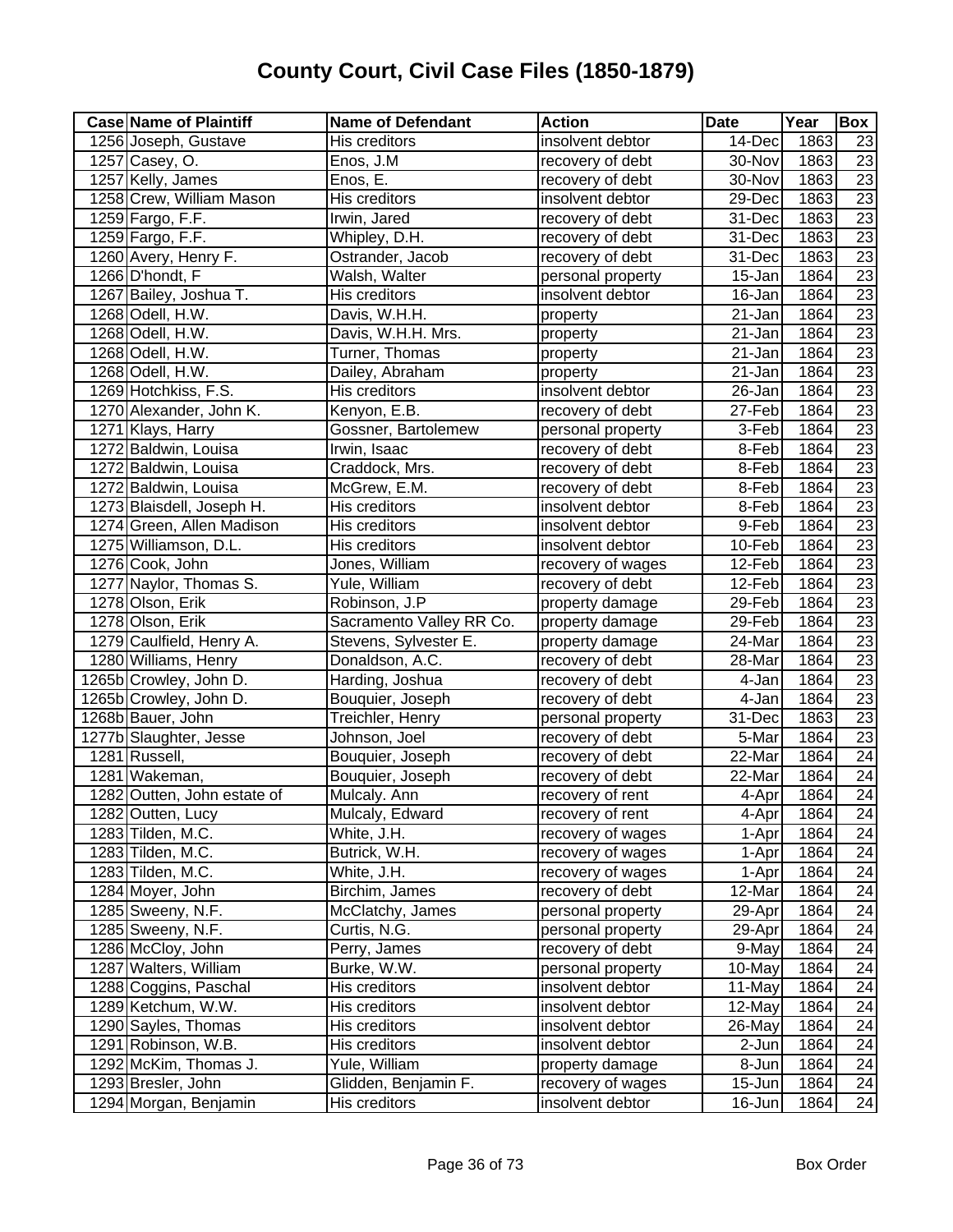| <b>Case Name of Plaintiff</b> | <b>Name of Defendant</b> | <b>Action</b>     | <b>Date</b>          | Year | Box             |
|-------------------------------|--------------------------|-------------------|----------------------|------|-----------------|
| 1256 Joseph, Gustave          | His creditors            | insolvent debtor  | 14-Dec               | 1863 | 23              |
| 1257 Casey, O.                | Enos, J.M                | recovery of debt  | 30-Nov               | 1863 | $\overline{23}$ |
| 1257 Kelly, James             | Enos, E.                 | recovery of debt  | 30-Nov               | 1863 | 23              |
| 1258 Crew, William Mason      | His creditors            | insolvent debtor  | 29-Dec               | 1863 | 23              |
| 1259 Fargo, F.F.              | Irwin, Jared             | recovery of debt  | 31-Dec               | 1863 | 23              |
| 1259 Fargo, F.F.              | Whipley, D.H.            | recovery of debt  | 31-Dec               | 1863 | 23              |
| 1260 Avery, Henry F.          | Ostrander, Jacob         | recovery of debt  | 31-Dec               | 1863 | 23              |
| 1266 D'hondt, F               | Walsh, Walter            | personal property | 15-Jan               | 1864 | $\overline{23}$ |
| 1267 Bailey, Joshua T.        | His creditors            | insolvent debtor  | 16-Jan               | 1864 | $\overline{23}$ |
| 1268 Odell, H.W.              | Davis, W.H.H.            | property          | 21-Jan               | 1864 | 23              |
| 1268 Odell, H.W.              | Davis, W.H.H. Mrs.       | property          | $21 - Jan$           | 1864 | 23              |
| 1268 Odell, H.W.              | Turner, Thomas           | property          | $\overline{2}$ 1-Jan | 1864 | $\overline{23}$ |
| 1268 Odell, H.W.              | Dailey, Abraham          | property          | 21-Jan               | 1864 | $\overline{23}$ |
| 1269 Hotchkiss, F.S.          | His creditors            | insolvent debtor  | 26-Jan               | 1864 | $\overline{23}$ |
| 1270 Alexander, John K.       | Kenyon, E.B.             | recovery of debt  | 27-Feb               | 1864 | $\overline{23}$ |
| 1271 Klays, Harry             | Gossner, Bartolemew      | personal property | 3-Feb                | 1864 | 23              |
| 1272 Baldwin, Louisa          | Irwin, Isaac             | recovery of debt  | 8-Feb                | 1864 | $\overline{23}$ |
| 1272 Baldwin, Louisa          | Craddock, Mrs.           | recovery of debt  | 8-Feb                | 1864 | 23              |
| 1272 Baldwin, Louisa          | McGrew, E.M.             | recovery of debt  | 8-Feb                | 1864 | $\overline{23}$ |
| 1273 Blaisdell, Joseph H.     | His creditors            | insolvent debtor  | 8-Feb                | 1864 | 23              |
| 1274 Green, Allen Madison     | His creditors            | insolvent debtor  | 9-Feb                | 1864 | $\overline{23}$ |
| 1275 Williamson, D.L.         | His creditors            | insolvent debtor  | 10-Feb               | 1864 | $\overline{23}$ |
| 1276 Cook, John               | Jones, William           | recovery of wages | 12-Feb               | 1864 | $\overline{23}$ |
| 1277 Naylor, Thomas S.        | Yule, William            | recovery of debt  | 12-Feb               | 1864 | $\overline{23}$ |
| 1278 Olson, Erik              | Robinson, J.P            | property damage   | 29-Feb               | 1864 | $\overline{23}$ |
| 1278 Olson, Erik              | Sacramento Valley RR Co. | property damage   | 29-Feb               | 1864 | 23              |
| 1279 Caulfield, Henry A.      | Stevens, Sylvester E.    | property damage   | 24-Mar               | 1864 | 23              |
| 1280 Williams, Henry          | Donaldson, A.C.          | recovery of debt  | 28-Mar               | 1864 | 23              |
| 1265b Crowley, John D.        | Harding, Joshua          | recovery of debt  | 4-Jan                | 1864 | $\overline{23}$ |
| 1265b Crowley, John D.        | Bouquier, Joseph         | recovery of debt  | 4-Jan                | 1864 | 23              |
| 1268b Bauer, John             | Treichler, Henry         | personal property | $31$ -Dec            | 1863 | $\overline{23}$ |
| 1277b Slaughter, Jesse        | Johnson, Joel            | recovery of debt  | 5-Mar                | 1864 | $\overline{23}$ |
| 1281 Russell,                 | Bouquier, Joseph         | recovery of debt  | 22-Mar               | 1864 | $\overline{24}$ |
| 1281 Wakeman,                 | Bouquier, Joseph         | recovery of debt  | 22-Mar               | 1864 | $\overline{24}$ |
| 1282 Outten, John estate of   | Mulcaly. Ann             | recovery of rent  | 4-Apr                | 1864 | 24              |
| 1282 Outten, Lucy             | Mulcaly, Edward          | recovery of rent  | 4-Apr                | 1864 | 24              |
| 1283 Tilden, M.C.             | White, J.H.              | recovery of wages | 1-Apr                | 1864 | $\overline{24}$ |
| 1283 Tilden, M.C.             | Butrick, W.H.            | recovery of wages | 1-Apr                | 1864 | 24              |
| 1283 Tilden, M.C.             | White, J.H.              | recovery of wages | 1-Apr                | 1864 | 24              |
| 1284 Moyer, John              | Birchim, James           | recovery of debt  | 12-Mar               | 1864 | 24              |
| 1285 Sweeny, N.F.             | McClatchy, James         | personal property | 29-Apr               | 1864 | 24              |
| 1285 Sweeny, N.F.             | Curtis, N.G.             | personal property | 29-Apr               | 1864 | 24              |
| 1286 McCloy, John             | Perry, James             | recovery of debt  | 9-May                | 1864 | 24              |
| 1287 Walters, William         | Burke, W.W.              | personal property | 10-May               | 1864 | 24              |
| 1288 Coggins, Paschal         | His creditors            | insolvent debtor  | 11-May               | 1864 | 24              |
| 1289 Ketchum, W.W.            | His creditors            | insolvent debtor  | 12-May               | 1864 | 24              |
| 1290 Sayles, Thomas           | His creditors            | insolvent debtor  | 26-May               | 1864 | 24              |
| 1291 Robinson, W.B.           | His creditors            | insolvent debtor  | 2-Jun                | 1864 | 24              |
| 1292 McKim, Thomas J.         | Yule, William            | property damage   | 8-Jun                | 1864 | $\overline{24}$ |
| 1293 Bresler, John            | Glidden, Benjamin F.     | recovery of wages | 15-Jun               | 1864 | 24              |
| 1294 Morgan, Benjamin         | His creditors            | insolvent debtor  | 16-Jun               | 1864 | 24              |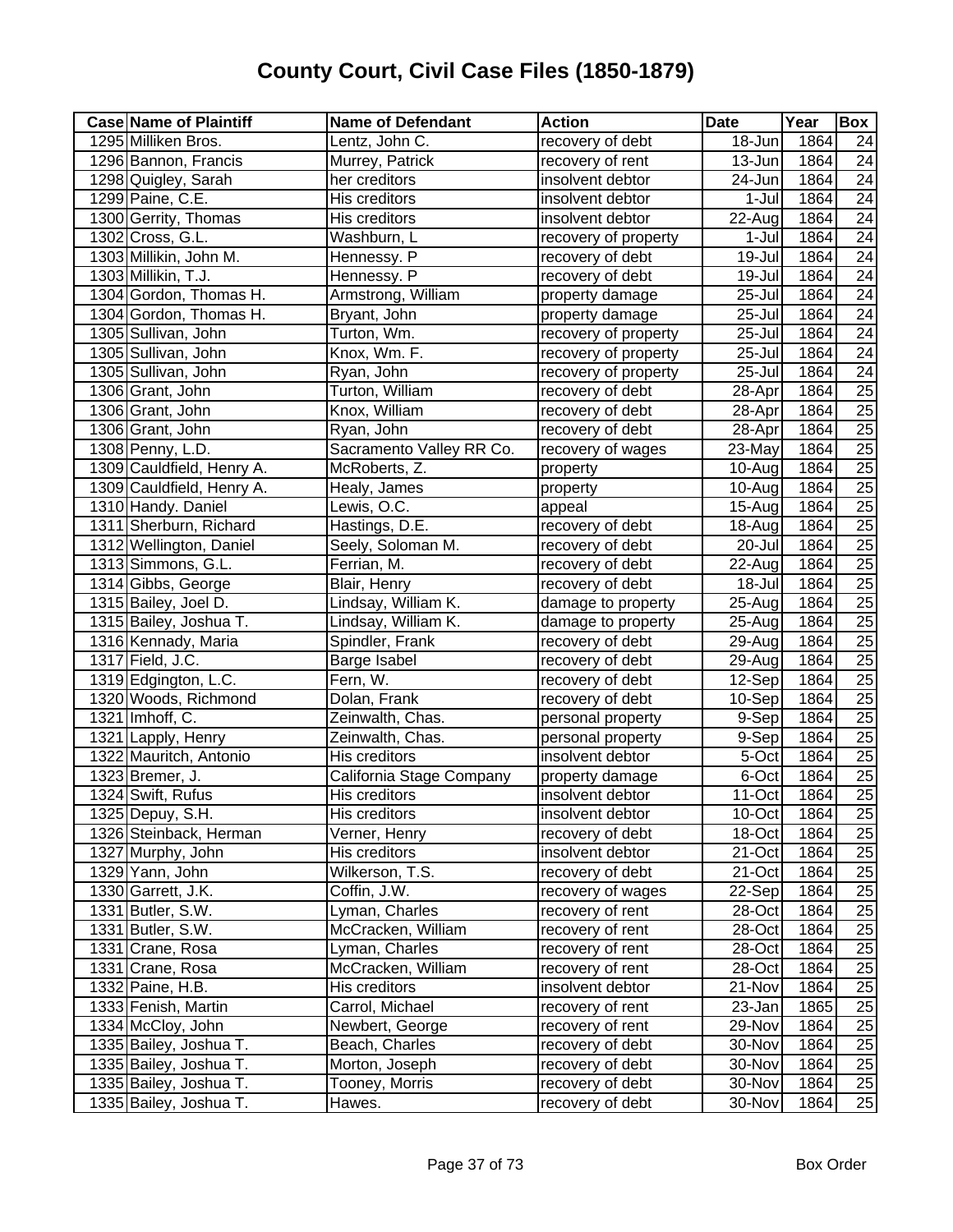| <b>Case Name of Plaintiff</b> | <b>Name of Defendant</b> | <b>Action</b>        | <b>Date</b>          | Year | Box             |
|-------------------------------|--------------------------|----------------------|----------------------|------|-----------------|
| 1295 Milliken Bros.           | Lentz, John C.           | recovery of debt     | 18-Jun               | 1864 | 24              |
| 1296 Bannon, Francis          | Murrey, Patrick          | recovery of rent     | 13-Jun               | 1864 | $\overline{24}$ |
| 1298 Quigley, Sarah           | her creditors            | insolvent debtor     | 24-Jun               | 1864 | $\overline{24}$ |
| 1299 Paine, C.E.              | His creditors            | insolvent debtor     | 1-Jul                | 1864 | $\overline{24}$ |
| 1300 Gerrity, Thomas          | His creditors            | insolvent debtor     | 22-Aug               | 1864 | 24              |
| 1302 Cross, G.L.              | Washburn, L              | recovery of property | 1-Jul                | 1864 | $\overline{24}$ |
| 1303 Millikin, John M.        | Hennessy. P              | recovery of debt     | $\overline{1}9$ -Jul | 1864 | 24              |
| 1303 Millikin, T.J.           | Hennessy. P              | recovery of debt     | 19-Jul               | 1864 | 24              |
| 1304 Gordon, Thomas H.        | Armstrong, William       | property damage      | $25 -$ Jul           | 1864 | 24              |
| 1304 Gordon, Thomas H.        | Bryant, John             | property damage      | 25-Jul               | 1864 | $\overline{24}$ |
| 1305 Sullivan, John           | Turton, Wm.              | recovery of property | 25-Jul               | 1864 | 24              |
| 1305 Sullivan, John           | Knox, Wm. F.             | recovery of property | 25-Jul               | 1864 | $\overline{24}$ |
| 1305 Sullivan, John           | Ryan, John               | recovery of property | 25-Jul               | 1864 | $\overline{24}$ |
| 1306 Grant, John              | Turton, William          | recovery of debt     | 28-Apr               | 1864 | $\overline{25}$ |
| 1306 Grant, John              | Knox, William            | recovery of debt     | 28-Apr               | 1864 | $\overline{25}$ |
| 1306 Grant, John              | Ryan, John               | recovery of debt     | 28-Apr               | 1864 | $\overline{25}$ |
| 1308 Penny, L.D.              | Sacramento Valley RR Co. | recovery of wages    | 23-May               | 1864 | 25              |
| 1309 Cauldfield, Henry A.     | McRoberts, Z.            | property             | 10-Aug               | 1864 | 25              |
| 1309 Cauldfield, Henry A.     | Healy, James             | property             | 10-Aug               | 1864 | $\overline{25}$ |
| 1310 Handy. Daniel            | Lewis, O.C.              | appeal               | 15-Aug               | 1864 | $\overline{25}$ |
| 1311 Sherburn, Richard        | Hastings, D.E.           | recovery of debt     | 18-Aug               | 1864 | 25              |
| 1312 Wellington, Daniel       | Seely, Soloman M.        | recovery of debt     | 20-Jul               | 1864 | $\overline{25}$ |
| 1313 Simmons, G.L.            | Ferrian, M.              | recovery of debt     | 22-Aug               | 1864 | $\overline{25}$ |
| 1314 Gibbs, George            | Blair, Henry             | recovery of debt     | 18-Jul               | 1864 | 25              |
| 1315 Bailey, Joel D.          | Lindsay, William K.      | damage to property   | 25-Aug               | 1864 | $\overline{25}$ |
| 1315 Bailey, Joshua T.        | Lindsay, William K.      | damage to property   | 25-Aug               | 1864 | $\overline{25}$ |
| 1316 Kennady, Maria           | Spindler, Frank          | recovery of debt     | 29-Aug               | 1864 | $\overline{25}$ |
| 1317 Field, J.C.              | Barge Isabel             | recovery of debt     | 29-Aug               | 1864 | 25              |
| 1319 Edgington, L.C.          | Fern, W.                 | recovery of debt     | $\overline{1}$ 2-Sep | 1864 | $\overline{25}$ |
| 1320 Woods, Richmond          | Dolan, Frank             | recovery of debt     | 10-Sep               | 1864 | 25              |
| 1321 Imhoff, C.               | Zeinwalth, Chas.         | personal property    | 9-Sep                | 1864 | 25              |
| 1321 Lapply, Henry            | Zeinwalth, Chas.         | personal property    | 9-Sep                | 1864 | $\overline{25}$ |
| 1322 Mauritch, Antonio        | His creditors            | insolvent debtor     | 5-Oct                | 1864 | $\overline{25}$ |
| 1323 Bremer, J.               | California Stage Company | property damage      | 6-Oct                | 1864 | 25              |
| 1324 Swift, Rufus             | His creditors            | insolvent debtor     | 11-Oct               | 1864 | 25              |
| 1325 Depuy, S.H.              | His creditors            | insolvent debtor     | 10-Oct               | 1864 | 25              |
| 1326 Steinback, Herman        | Verner, Henry            | recovery of debt     | 18-Oct               | 1864 | 25              |
| 1327 Murphy, John             | His creditors            | insolvent debtor     | 21-Oct               | 1864 | 25              |
| 1329 Yann, John               | Wilkerson, T.S.          | recovery of debt     | 21-Oct               | 1864 | 25              |
| 1330 Garrett, J.K.            | Coffin, J.W.             | recovery of wages    | 22-Sep               | 1864 | 25              |
| 1331 Butler, S.W.             | Lyman, Charles           | recovery of rent     | 28-Oct               | 1864 | 25              |
| 1331 Butler, S.W.             | McCracken, William       | recovery of rent     | 28-Oct               | 1864 | 25              |
| 1331 Crane, Rosa              | Lyman, Charles           | recovery of rent     | 28-Oct               | 1864 | 25              |
| 1331 Crane, Rosa              | McCracken, William       | recovery of rent     | 28-Oct               | 1864 | 25              |
| 1332 Paine, H.B.              | His creditors            | insolvent debtor     | 21-Nov               | 1864 | 25              |
| 1333 Fenish, Martin           | Carrol, Michael          | recovery of rent     | 23-Jan               | 1865 | 25              |
| 1334 McCloy, John             | Newbert, George          | recovery of rent     | 29-Nov               | 1864 | 25              |
| 1335 Bailey, Joshua T.        | Beach, Charles           | recovery of debt     | 30-Nov               | 1864 | 25              |
| 1335 Bailey, Joshua T.        | Morton, Joseph           | recovery of debt     | 30-Nov               | 1864 | 25              |
| 1335 Bailey, Joshua T.        | Tooney, Morris           | recovery of debt     | 30-Nov               | 1864 | $\overline{25}$ |
| 1335 Bailey, Joshua T.        | Hawes.                   | recovery of debt     | 30-Nov               | 1864 | 25              |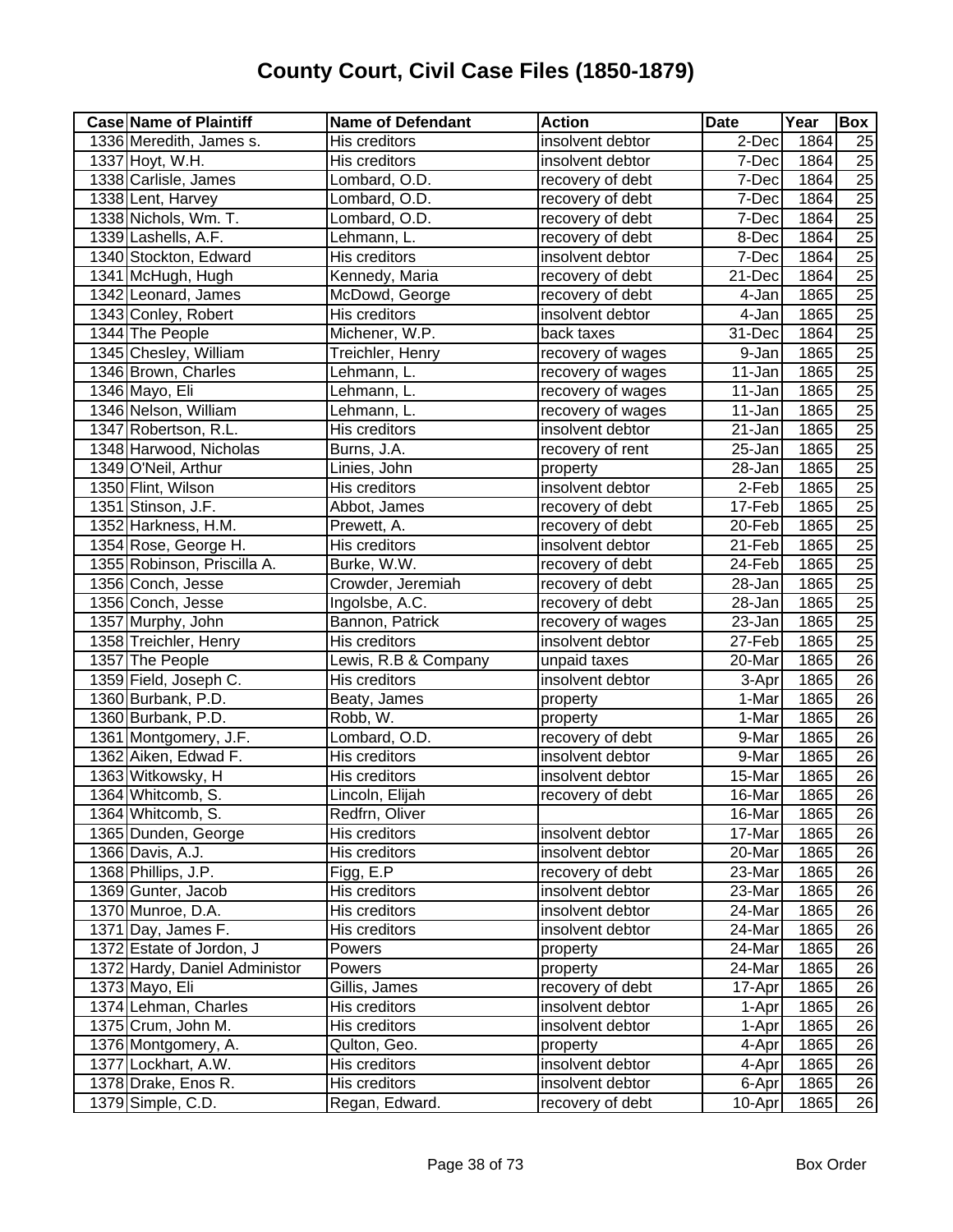| <b>Case Name of Plaintiff</b> | <b>Name of Defendant</b> | <b>Action</b>     | <b>Date</b> | Year | Box             |
|-------------------------------|--------------------------|-------------------|-------------|------|-----------------|
| 1336 Meredith, James s.       | His creditors            | insolvent debtor  | 2-Dec       | 1864 | 25              |
| 1337 Hoyt, W.H.               | His creditors            | insolvent debtor  | 7-Dec       | 1864 | 25              |
| 1338 Carlisle, James          | Lombard, O.D.            | recovery of debt  | 7-Dec       | 1864 | $\overline{25}$ |
| 1338 Lent, Harvey             | Lombard, O.D.            | recovery of debt  | 7-Dec       | 1864 | $\overline{25}$ |
| 1338 Nichols, Wm. T.          | Lombard, O.D.            | recovery of debt  | 7-Dec       | 1864 | $\overline{25}$ |
| 1339 Lashells, A.F.           | Lehmann, L.              | recovery of debt  | 8-Dec       | 1864 | $\overline{25}$ |
| 1340 Stockton, Edward         | His creditors            | insolvent debtor  | 7-Dec       | 1864 | $\overline{25}$ |
| 1341 McHugh, Hugh             | Kennedy, Maria           | recovery of debt  | 21-Dec      | 1864 | $\overline{25}$ |
| 1342 Leonard, James           | McDowd, George           | recovery of debt  | 4-Jan       | 1865 | $\overline{25}$ |
| 1343 Conley, Robert           | His creditors            | insolvent debtor  | 4-Jan       | 1865 | $\overline{25}$ |
| 1344 The People               | Michener, W.P.           | back taxes        | 31-Dec      | 1864 | 25              |
| 1345 Chesley, William         | Treichler, Henry         | recovery of wages | 9-Jan       | 1865 | 25              |
| 1346 Brown, Charles           | Lehmann, L.              | recovery of wages | 11-Jan      | 1865 | $\overline{25}$ |
| 1346 Mayo, Eli                | Lehmann, L.              | recovery of wages | 11-Jan      | 1865 | $\overline{25}$ |
| 1346 Nelson, William          | Lehmann, L.              | recovery of wages | 11-Jan      | 1865 | $\overline{25}$ |
| 1347 Robertson, R.L.          | His creditors            | insolvent debtor  | 21-Jan      | 1865 | 25              |
| 1348 Harwood, Nicholas        | Burns, J.A.              | recovery of rent  | 25-Jan      | 1865 | $\overline{25}$ |
| 1349 O'Neil, Arthur           | Linies, John             | property          | 28-Jan      | 1865 | $\overline{25}$ |
| 1350 Flint, Wilson            | His creditors            | insolvent debtor  | 2-Feb       | 1865 | 25              |
| 1351 Stinson, J.F.            | Abbot, James             | recovery of debt  | 17-Feb      | 1865 | $\overline{25}$ |
| 1352 Harkness, H.M.           | Prewett, A.              | recovery of debt  | 20-Feb      | 1865 | 25              |
| 1354 Rose, George H.          | His creditors            | insolvent debtor  | 21-Feb      | 1865 | $\overline{25}$ |
| 1355 Robinson, Priscilla A.   | Burke, W.W.              | recovery of debt  | 24-Feb      | 1865 | $\overline{25}$ |
| 1356 Conch, Jesse             | Crowder, Jeremiah        | recovery of debt  | 28-Jan      | 1865 | $\overline{25}$ |
| 1356 Conch, Jesse             | Ingolsbe, A.C.           | recovery of debt  | 28-Jan      | 1865 | 25              |
| 1357 Murphy, John             | Bannon, Patrick          | recovery of wages | 23-Jan      | 1865 | $\overline{25}$ |
| 1358 Treichler, Henry         | His creditors            | insolvent debtor  | 27-Feb      | 1865 | $\overline{25}$ |
| 1357 The People               | Lewis, R.B & Company     | unpaid taxes      | 20-Mar      | 1865 | 26              |
| 1359 Field, Joseph C.         | His creditors            | insolvent debtor  | 3-Apr       | 1865 | $\overline{26}$ |
| 1360 Burbank, P.D.            | Beaty, James             | property          | 1-Mar       | 1865 | 26              |
| 1360 Burbank, P.D.            | Robb, W.                 | property          | 1-Mar       | 1865 | 26              |
| 1361 Montgomery, J.F.         | Lombard, O.D.            | recovery of debt  | 9-Mar       | 1865 | $\overline{26}$ |
| 1362 Aiken, Edwad F.          | His creditors            | insolvent debtor  | 9-Mar       | 1865 | 26              |
| 1363 Witkowsky, H             | His creditors            | insolvent debtor  | 15-Mar      | 1865 | $\overline{26}$ |
| 1364 Whitcomb, S.             | Lincoln, Elijah          | recovery of debt  | 16-Mar      | 1865 | $\overline{26}$ |
| 1364 Whitcomb, S.             | Redfrn, Oliver           |                   | 16-Mar      | 1865 | 26              |
| 1365 Dunden, George           | His creditors            | insolvent debtor  | 17-Mar      | 1865 | $\overline{26}$ |
| 1366 Davis, A.J.              | His creditors            | insolvent debtor  | 20-Mar      | 1865 | 26              |
| 1368 Phillips, J.P.           | Figg, E.P                | recovery of debt  | 23-Mar      | 1865 | $\overline{26}$ |
| 1369 Gunter, Jacob            | His creditors            | insolvent debtor  | 23-Mar      | 1865 | 26              |
| 1370 Munroe, D.A.             | His creditors            | insolvent debtor  | 24-Mar      | 1865 | 26              |
| 1371 Day, James F.            | His creditors            | insolvent debtor  | 24-Mar      | 1865 | 26              |
| 1372 Estate of Jordon, J      | Powers                   | property          | 24-Mar      | 1865 | 26              |
| 1372 Hardy, Daniel Administor | Powers                   | property          | 24-Mar      | 1865 | 26              |
| 1373 Mayo, Eli                | Gillis, James            | recovery of debt  | 17-Apr      | 1865 | $\overline{26}$ |
| 1374 Lehman, Charles          | His creditors            | insolvent debtor  | 1-Apr       | 1865 | 26              |
| 1375 Crum, John M.            | His creditors            | insolvent debtor  | 1-Apr       | 1865 | 26              |
| 1376 Montgomery, A.           | Quiton, Geo.             | property          | 4-Apr       | 1865 | 26              |
| 1377 Lockhart, A.W.           | His creditors            | insolvent debtor  | 4-Apr       | 1865 | 26              |
| 1378 Drake, Enos R.           | His creditors            | insolvent debtor  | 6-Apr       | 1865 | 26              |
| 1379 Simple, C.D.             | Regan, Edward.           | recovery of debt  | 10-Apr      | 1865 | 26              |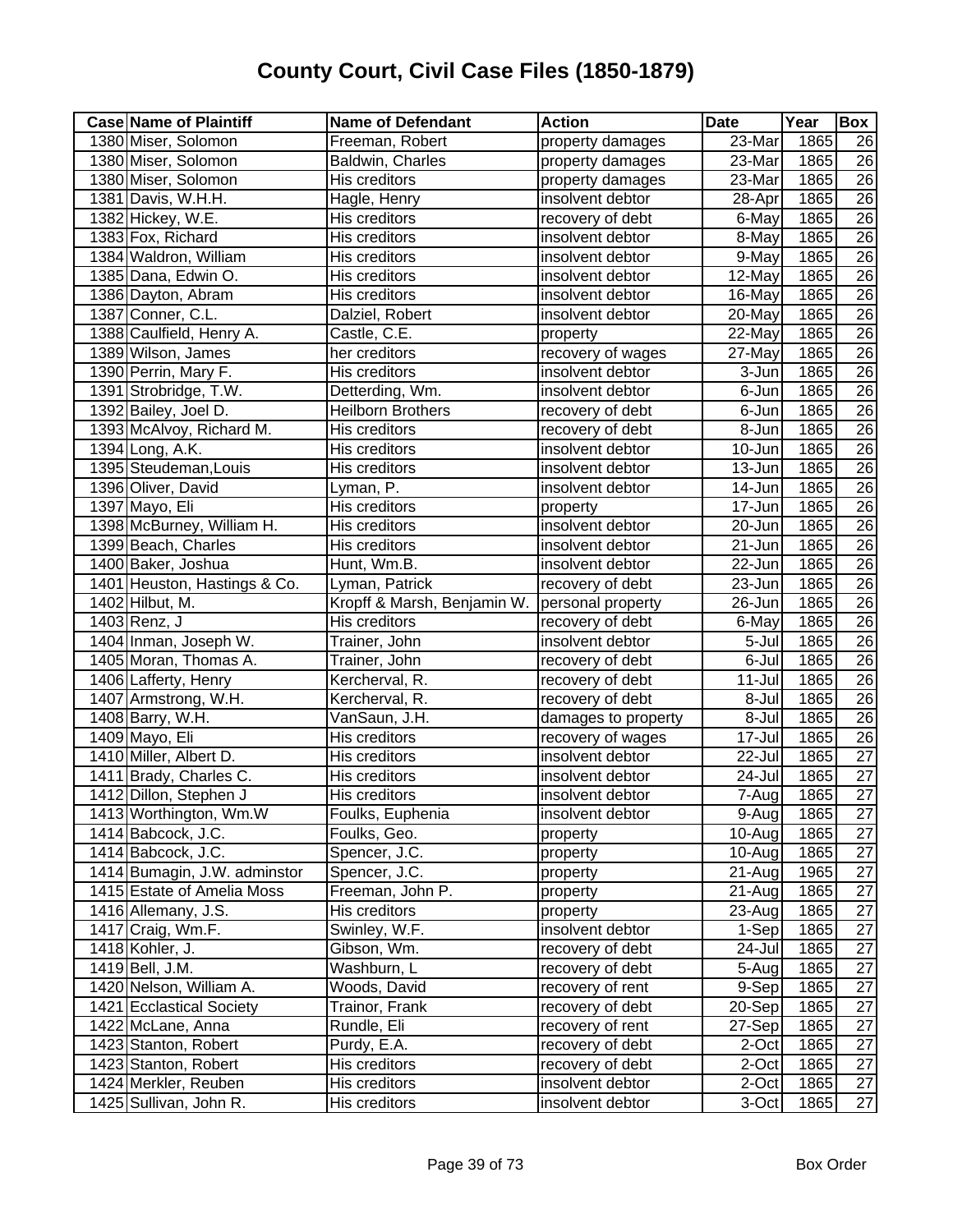| <b>Case Name of Plaintiff</b> | <b>Name of Defendant</b>    | <b>Action</b>       | <b>Date</b>          | Year | <b>Box</b>      |
|-------------------------------|-----------------------------|---------------------|----------------------|------|-----------------|
| 1380 Miser, Solomon           | Freeman, Robert             | property damages    | 23-Mar               | 1865 | 26              |
| 1380 Miser, Solomon           | Baldwin, Charles            | property damages    | $23$ -Mar            | 1865 | 26              |
| 1380 Miser, Solomon           | His creditors               | property damages    | 23-Mar               | 1865 | $\overline{26}$ |
| 1381 Davis, W.H.H.            | Hagle, Henry                | insolvent debtor    | 28-Apr               | 1865 | 26              |
| 1382 Hickey, W.E.             | His creditors               | recovery of debt    | 6-May                | 1865 | $\overline{26}$ |
| 1383 Fox, Richard             | His creditors               | insolvent debtor    | 8-May                | 1865 | 26              |
| 1384 Waldron, William         | His creditors               | insolvent debtor    | 9-May                | 1865 | $\overline{26}$ |
| 1385 Dana, Edwin O.           | His creditors               | insolvent debtor    | 12-May               | 1865 | 26              |
| 1386 Dayton, Abram            | His creditors               | insolvent debtor    | 16-May               | 1865 | $\overline{26}$ |
| 1387 Conner, C.L.             | Dalziel, Robert             | insolvent debtor    | 20-May               | 1865 | $\overline{26}$ |
| 1388 Caulfield, Henry A.      | Castle, C.E.                | property            | 22-May               | 1865 | $\overline{26}$ |
| 1389 Wilson, James            | her creditors               | recovery of wages   | 27-May               | 1865 | $\overline{26}$ |
| 1390 Perrin, Mary F.          | His creditors               | insolvent debtor    | 3-Jun                | 1865 | $\overline{26}$ |
| 1391 Strobridge, T.W.         | Detterding, Wm.             | insolvent debtor    | 6-Jun                | 1865 | $\overline{26}$ |
| 1392 Bailey, Joel D.          | <b>Heilborn Brothers</b>    | recovery of debt    | 6-Jun                | 1865 | $\overline{26}$ |
| 1393 McAlvoy, Richard M.      | His creditors               | recovery of debt    | 8-Jun                | 1865 | $\overline{26}$ |
| 1394 Long, A.K.               | His creditors               | insolvent debtor    | 10-Jun               | 1865 | 26              |
| 1395 Steudeman, Louis         | His creditors               | insolvent debtor    | $\overline{1}$ 3-Jun | 1865 | $\overline{26}$ |
| 1396 Oliver, David            | Lyman, P.                   | insolvent debtor    | $\overline{1}$ 4-Jun | 1865 | $\overline{26}$ |
| 1397 Mayo, Eli                | His creditors               | property            | 17-Jun               | 1865 | $\overline{26}$ |
| 1398 McBurney, William H.     | His creditors               | insolvent debtor    | 20-Jun               | 1865 | $\overline{26}$ |
| 1399 Beach, Charles           | His creditors               | insolvent debtor    | 21-Jun               | 1865 | $\overline{26}$ |
| 1400 Baker, Joshua            | Hunt, Wm.B.                 | insolvent debtor    | 22-Jun               | 1865 | $\overline{26}$ |
| 1401 Heuston, Hastings & Co.  | Lyman, Patrick              | recovery of debt    | $23 - Jun$           | 1865 | $\overline{26}$ |
| 1402 Hilbut, M.               | Kropff & Marsh, Benjamin W. | personal property   | 26-Jun               | 1865 | $\overline{26}$ |
| 1403 Renz, J                  | His creditors               | recovery of debt    | 6-May                | 1865 | $\overline{26}$ |
| 1404 Inman, Joseph W.         | Trainer, John               | insolvent debtor    | 5-Jul                | 1865 | $\overline{26}$ |
| 1405 Moran, Thomas A.         | Trainer, John               | recovery of debt    | $6 -$ Jul            | 1865 | 26              |
| 1406 Lafferty, Henry          | Kercherval, R.              | recovery of debt    | 11-Jul               | 1865 | 26              |
| 1407 Armstrong, W.H.          | Kercherval, R.              | recovery of debt    | 8-Jul                | 1865 | 26              |
| 1408 Barry, W.H.              | VanSaun, J.H.               | damages to property | 8-Jul                | 1865 | 26              |
| 1409 Mayo, Eli                | His creditors               | recovery of wages   | 17-Jul               | 1865 | $\overline{26}$ |
| 1410 Miller, Albert D.        | His creditors               | insolvent debtor    | 22-Jul               | 1865 | $\overline{27}$ |
| 1411 Brady, Charles C.        | His creditors               | insolvent debtor    | 24-Jul               | 1865 | $\overline{27}$ |
| 1412 Dillon, Stephen J        | His creditors               | insolvent debtor    | 7-Aug                | 1865 | $\overline{27}$ |
| 1413 Worthington, Wm.W        | Foulks, Euphenia            | insolvent debtor    | $\overline{9}$ -Aug  | 1865 | 27              |
| 1414 Babcock, J.C.            | Foulks, Geo.                | property            | $10-Auq$             | 1865 | 27              |
| 1414 Babcock, J.C.            | Spencer, J.C.               | property            | 10-Aug               | 1865 | 27              |
| 1414 Bumagin, J.W. adminstor  | Spencer, J.C.               | property            | 21-Aug               | 1965 | 27              |
| 1415 Estate of Amelia Moss    | Freeman, John P.            | property            | 21-Aug               | 1865 | $\overline{27}$ |
| 1416 Allemany, J.S.           | His creditors               | property            | 23-Aug               | 1865 | $\overline{27}$ |
| 1417 Craig, Wm.F.             | Swinley, W.F.               | insolvent debtor    | 1-Sep                | 1865 | 27              |
| 1418 Kohler, J.               | Gibson, Wm.                 | recovery of debt    | 24-Jul               | 1865 | 27              |
| 1419 Bell, J.M.               | Washburn, L                 | recovery of debt    | 5-Aug                | 1865 | 27              |
| 1420 Nelson, William A.       | Woods, David                | recovery of rent    | 9-Sep                | 1865 | 27              |
| 1421 Ecclastical Society      | Trainor, Frank              | recovery of debt    | 20-Sep               | 1865 | 27              |
| 1422 McLane, Anna             | Rundle, Eli                 | recovery of rent    | 27-Sep               | 1865 | $\overline{27}$ |
| 1423 Stanton, Robert          | Purdy, E.A.                 | recovery of debt    | 2-Oct                | 1865 | 27              |
| 1423 Stanton, Robert          | His creditors               | recovery of debt    | 2-Oct                | 1865 | $\overline{27}$ |
| 1424 Merkler, Reuben          | His creditors               | insolvent debtor    | 2-Oct                | 1865 | 27              |
| 1425 Sullivan, John R.        | His creditors               | insolvent debtor    | 3-Oct                | 1865 | 27              |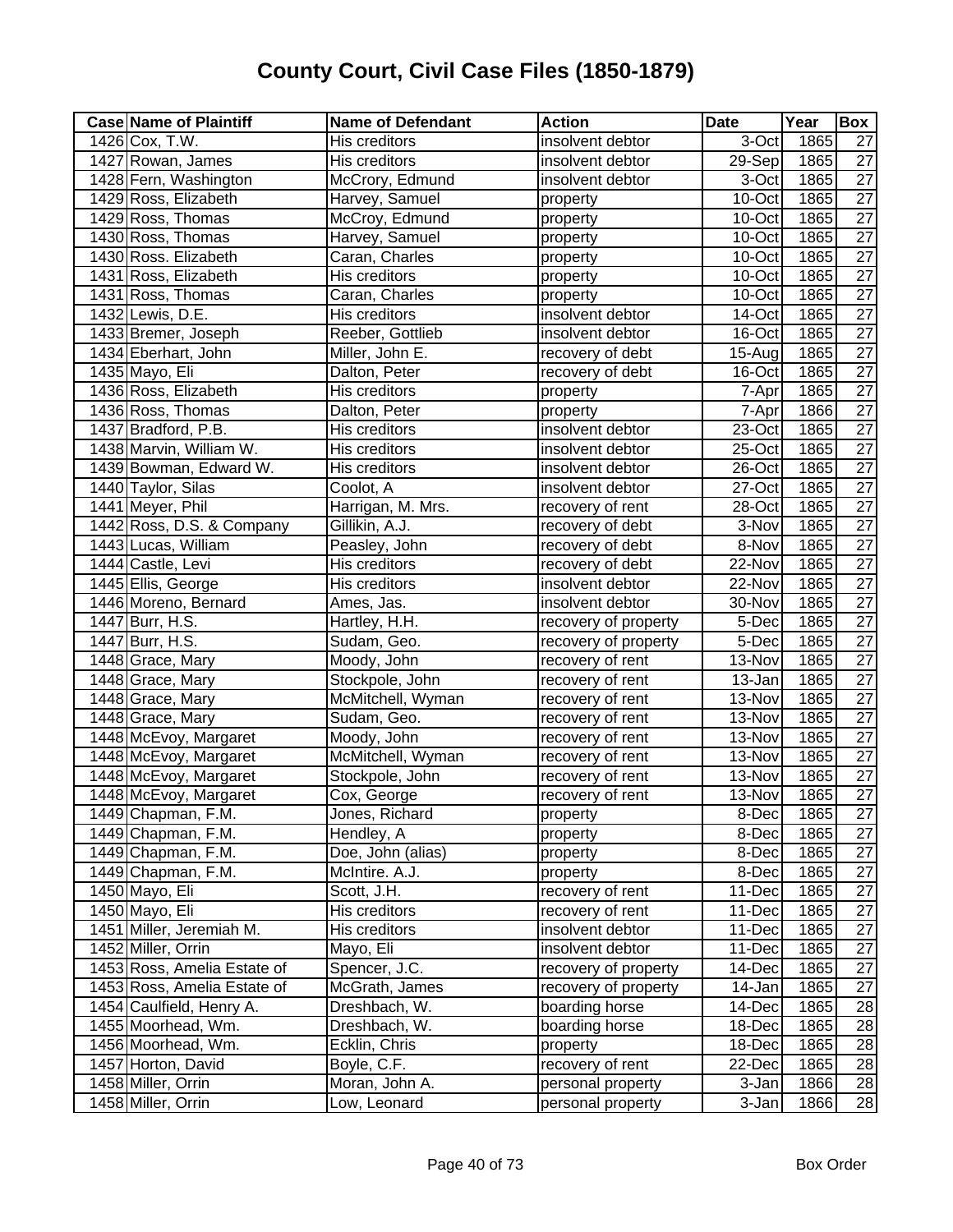| <b>Case Name of Plaintiff</b> | <b>Name of Defendant</b> | <b>Action</b>        | <b>Date</b>         | Year | Box             |
|-------------------------------|--------------------------|----------------------|---------------------|------|-----------------|
| 1426 Cox, T.W.                | His creditors            | insolvent debtor     | 3-Oct               | 1865 | 27              |
| 1427 Rowan, James             | <b>His creditors</b>     | insolvent debtor     | $29-Sep$            | 1865 | 27              |
| 1428 Fern, Washington         | McCrory, Edmund          | insolvent debtor     | $\overline{3}$ -Oct | 1865 | $\overline{27}$ |
| 1429 Ross, Elizabeth          | Harvey, Samuel           | property             | 10-Oct              | 1865 | $\overline{27}$ |
| 1429 Ross, Thomas             | McCroy, Edmund           | property             | 10-Oct              | 1865 | $\overline{27}$ |
| 1430 Ross, Thomas             | Harvey, Samuel           | property             | 10-Oct              | 1865 | $\overline{27}$ |
| 1430 Ross. Elizabeth          | Caran, Charles           | property             | 10-Oct              | 1865 | $\overline{27}$ |
| 1431 Ross, Elizabeth          | His creditors            | property             | 10-Oct              | 1865 | $\overline{27}$ |
| 1431 Ross, Thomas             | Caran, Charles           | property             | 10-Oct              | 1865 | $\overline{27}$ |
| 1432 Lewis, D.E.              | His creditors            | insolvent debtor     | 14-Oct              | 1865 | $\overline{27}$ |
| 1433 Bremer, Joseph           | Reeber, Gottlieb         | insolvent debtor     | 16-Oct              | 1865 | 27              |
| 1434 Eberhart, John           | Miller, John E.          | recovery of debt     | 15-Aug              | 1865 | $\overline{27}$ |
| 1435 Mayo, Eli                | Dalton, Peter            | recovery of debt     | 16-Oct              | 1865 | $\overline{27}$ |
| 1436 Ross, Elizabeth          | His creditors            | property             | 7-Apr               | 1865 | $\overline{27}$ |
| 1436 Ross, Thomas             | Dalton, Peter            | property             | 7-Apr               | 1866 | $\overline{27}$ |
| 1437 Bradford, P.B.           | His creditors            | insolvent debtor     | 23-Oct              | 1865 | $\overline{27}$ |
| 1438 Marvin, William W.       | His creditors            | insolvent debtor     | 25-Oct              | 1865 | $\overline{27}$ |
| 1439 Bowman, Edward W.        | His creditors            | insolvent debtor     | 26-Oct              | 1865 | $\overline{27}$ |
| 1440 Taylor, Silas            | Coolot, A                | insolvent debtor     | 27-Oct              | 1865 | $\overline{27}$ |
| 1441 Meyer, Phil              | Harrigan, M. Mrs.        | recovery of rent     | 28-Oct              | 1865 | $\overline{27}$ |
| 1442 Ross, D.S. & Company     | Gillikin, A.J.           | recovery of debt     | 3-Nov               | 1865 | $\overline{27}$ |
| 1443 Lucas, William           | Peasley, John            | recovery of debt     | 8-Nov               | 1865 | $\overline{27}$ |
| 1444 Castle, Levi             | His creditors            | recovery of debt     | 22-Nov              | 1865 | $\overline{27}$ |
| 1445 Ellis, George            | His creditors            | insolvent debtor     | 22-Nov              | 1865 | $\overline{27}$ |
| 1446 Moreno, Bernard          | Ames, Jas.               | insolvent debtor     | 30-Nov              | 1865 | $\overline{27}$ |
| 1447 Burr, H.S.               | Hartley, H.H.            | recovery of property | 5-Dec               | 1865 | $\overline{27}$ |
| 1447 Burr, H.S.               | Sudam, Geo.              | recovery of property | 5-Dec               | 1865 | 27              |
| 1448 Grace, Mary              | Moody, John              | recovery of rent     | 13-Nov              | 1865 | $\overline{27}$ |
| 1448 Grace, Mary              | Stockpole, John          | recovery of rent     | $13 - Jan$          | 1865 | $\overline{27}$ |
| 1448 Grace, Mary              | McMitchell, Wyman        | recovery of rent     | 13-Nov              | 1865 | $\overline{27}$ |
| 1448 Grace, Mary              | Sudam, Geo.              | recovery of rent     | 13-Nov              | 1865 | $\overline{27}$ |
| 1448 McEvoy, Margaret         | Moody, John              | recovery of rent     | 13-Nov              | 1865 | $\overline{27}$ |
| 1448 McEvoy, Margaret         | McMitchell, Wyman        | recovery of rent     | 13-Nov              | 1865 | 27              |
| 1448 McEvoy, Margaret         | Stockpole, John          | recovery of rent     | 13-Nov              | 1865 | $\overline{27}$ |
| 1448 McEvoy, Margaret         | Cox, George              | recovery of rent     | 13-Nov              | 1865 | $\overline{27}$ |
| 1449 Chapman, F.M.            | Jones, Richard           | property             | 8-Dec               | 1865 | 27              |
| 1449 Chapman, F.M.            | Hendley, A               | property             | 8-Dec               | 1865 | $\overline{27}$ |
| 1449 Chapman, F.M.            | Doe, John (alias)        | property             | 8-Dec               | 1865 | 27              |
| 1449 Chapman, F.M.            | McIntire. A.J.           | property             | 8-Dec               | 1865 | $\overline{27}$ |
| 1450 Mayo, Eli                | Scott, J.H.              | recovery of rent     | 11-Dec              | 1865 | 27              |
| 1450 Mayo, Eli                | His creditors            | recovery of rent     | 11-Dec              | 1865 | $\overline{27}$ |
| 1451 Miller, Jeremiah M.      | His creditors            | insolvent debtor     | 11-Dec              | 1865 | 27              |
| 1452 Miller, Orrin            | Mayo, Eli                | insolvent debtor     | 11-Dec              | 1865 | 27              |
| 1453 Ross, Amelia Estate of   | Spencer, J.C.            | recovery of property | 14-Dec              | 1865 | 27              |
| 1453 Ross, Amelia Estate of   | McGrath, James           | recovery of property | 14-Jan              | 1865 | 27              |
| 1454 Caulfield, Henry A.      | Dreshbach, W.            | boarding horse       | 14-Dec              | 1865 | 28              |
| 1455 Moorhead, Wm.            | Dreshbach, W.            | boarding horse       | 18-Dec              | 1865 | 28              |
| 1456 Moorhead, Wm.            | Ecklin, Chris            | property             | 18-Dec              | 1865 | 28              |
| 1457 Horton, David            | Boyle, C.F.              | recovery of rent     | 22-Dec              | 1865 | 28              |
| 1458 Miller, Orrin            | Moran, John A.           | personal property    | 3-Jan               | 1866 | 28              |
| 1458 Miller, Orrin            | Low, Leonard             | personal property    | 3-Jan               | 1866 | $\overline{28}$ |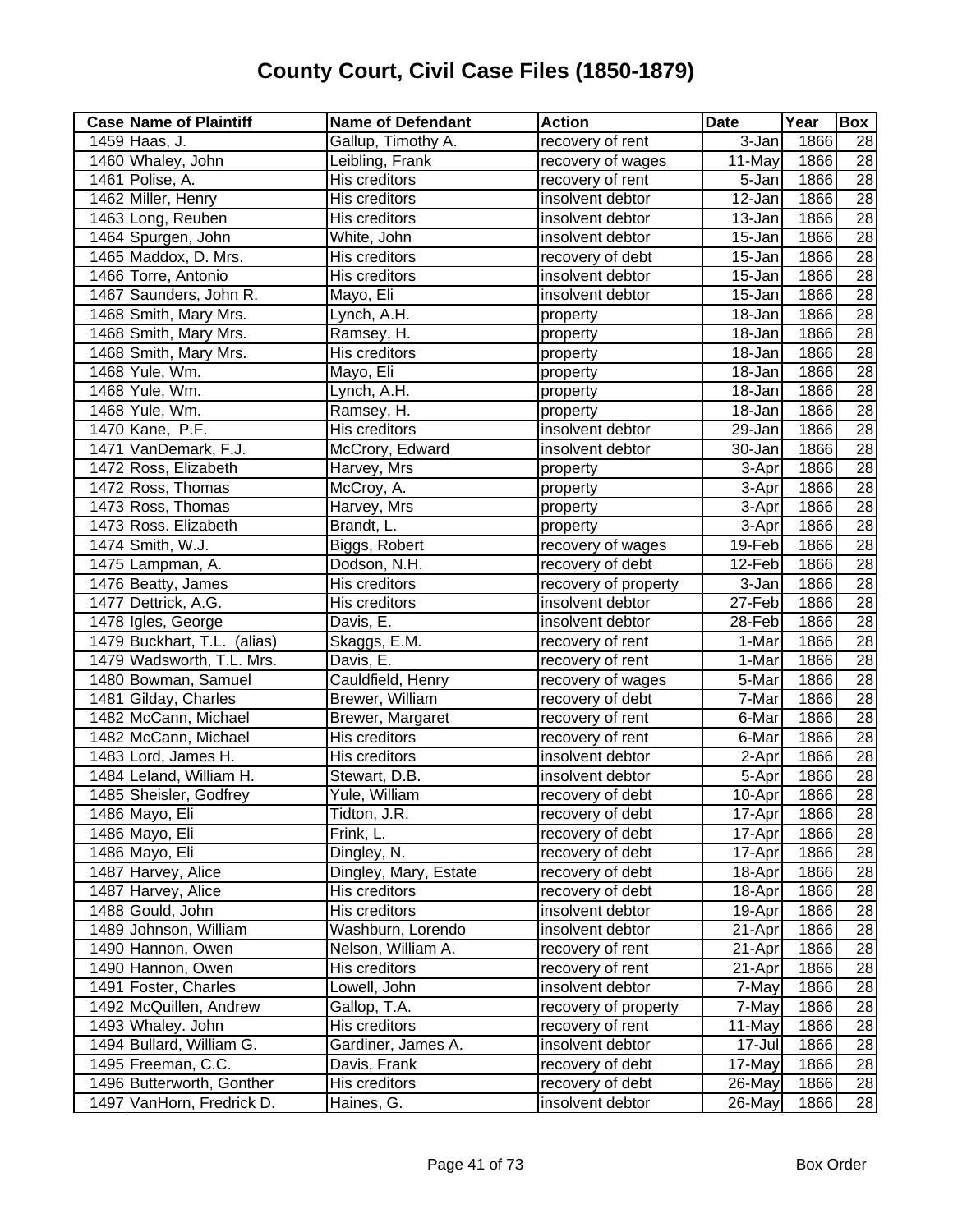| 1459 Haas, J.<br>recovery of rent<br>3-Jan<br>1866<br>Gallup, Timothy A.<br>28<br>1460 Whaley, John<br>$\overline{28}$<br>Leibling, Frank<br>$\overline{11}$ -May<br>1866<br>recovery of wages<br>28<br>1461 Polise, A.<br>His creditors<br>$\overline{5}$ -Jan<br>1866<br>recovery of rent<br>28<br>1462 Miller, Henry<br>His creditors<br>insolvent debtor<br>12-Jan<br>1866<br>28<br>1463 Long, Reuben<br>His creditors<br>1866<br>insolvent debtor<br>13-Jan<br>28<br>1464 Spurgen, John<br>1866<br>White, John<br>insolvent debtor<br>15-Jan<br>28<br>1465 Maddox, D. Mrs.<br>1866<br>His creditors<br>recovery of debt<br>15-Jan<br>$\overline{28}$<br>1866<br>His creditors<br>insolvent debtor<br>1466 Torre, Antonio<br>15-Jan<br>1467 Saunders, John R.<br>28<br>Mayo, Eli<br>insolvent debtor<br>1866<br>15-Jan<br>28<br>1468 Smith, Mary Mrs.<br>Lynch, A.H.<br>18-Jan<br>1866<br>property<br>1468 Smith, Mary Mrs.<br>1866<br>28<br>$18 - Jan$<br>Ramsey, H.<br>property<br>$\overline{28}$<br>1866<br>1468 Smith, Mary Mrs.<br>$18 - Jan$<br>His creditors<br>property<br>$\overline{28}$<br>1468 Yule, Wm.<br>18-Jan<br>1866<br>Mayo, Eli<br>property<br>$\overline{28}$<br>1468 Yule, Wm.<br>1866<br>Lynch, A.H.<br>18-Jan<br>property<br>$\overline{28}$<br>1468 Yule, Wm.<br>18-Jan<br>1866<br>Ramsey, H.<br>property<br>$\overline{28}$<br>1470 Kane, P.F.<br>His creditors<br>insolvent debtor<br>1866<br>29-Jan<br>$\overline{28}$<br>1471 VanDemark, F.J.<br>30-Jan<br>1866<br>McCrory, Edward<br>insolvent debtor<br>$\overline{28}$<br>1472 Ross, Elizabeth<br>1866<br>Harvey, Mrs<br>3-Apr<br>property<br>28<br>1472 Ross, Thomas<br>1866<br>McCroy, A.<br>3-Apr<br>property<br>28<br>1866<br>1473 Ross, Thomas<br>Harvey, Mrs<br>3-Apr<br>property<br>$\overline{28}$<br>1473 Ross. Elizabeth<br>Brandt, L.<br>1866<br>3-Apr<br>property<br>$\overline{28}$<br>1474 Smith, W.J.<br>19-Feb<br>1866<br>Biggs, Robert<br>recovery of wages<br>28<br>1475 Lampman, A.<br>Dodson, N.H.<br>12-Feb<br>1866<br>recovery of debt<br>$\overline{28}$<br>1476 Beatty, James<br>His creditors<br>1866<br>recovery of property<br>3-Jan<br>$\overline{28}$<br>27-Feb<br>1866<br>1477 Dettrick, A.G.<br>insolvent debtor<br>His creditors<br>28<br>1478 Igles, George<br>Davis, E.<br>28-Feb<br>1866<br>insolvent debtor<br>1479 Buckhart, T.L. (alias)<br>28<br>Skaggs, E.M.<br>1-Mar<br>1866<br>recovery of rent<br>28<br>Davis, E.<br>$1-Mar$<br>1866<br>1479 Wadsworth, T.L. Mrs.<br>recovery of rent<br>$\overline{28}$<br>1480 Bowman, Samuel<br>$\overline{5}$ -Mar<br>1866<br>Cauldfield, Henry<br>recovery of wages<br>28<br>1481 Gilday, Charles<br>7-Mar<br>1866<br>Brewer, William<br>recovery of debt<br>1482 McCann, Michael<br>$\overline{28}$<br>6-Mar<br>1866<br>Brewer, Margaret<br>recovery of rent<br>$\overline{28}$<br>1482 McCann, Michael<br>His creditors<br>6-Mar<br>1866<br>recovery of rent<br>28<br>1866<br>1483 Lord, James H.<br>His creditors<br>insolvent debtor<br>2-Apr<br>$\overline{28}$<br>1484 Leland, William H.<br>1866<br>Stewart, D.B.<br>insolvent debtor<br>5-Apr<br>28<br>1866<br>1485 Sheisler, Godfrey<br>Yule, William<br>recovery of debt<br>10-Apr<br>1486 Mayo, Eli<br>Tidton, J.R.<br>recovery of debt<br>17-Apr<br>1866<br>28<br>$\overline{28}$<br>1486 Mayo, Eli<br>Frink, L.<br>1866<br>recovery of debt<br>17-Apr<br>28<br>Dingley, N.<br>1486 Mayo, Eli<br>1866<br>recovery of debt<br>17-Apr<br>28<br>Dingley, Mary, Estate<br>1487 Harvey, Alice<br>recovery of debt<br>1866<br>18-Apr<br>28<br>1487 Harvey, Alice<br>His creditors<br>1866<br>recovery of debt<br>18-Apr<br>28<br>1488 Gould, John<br>1866<br>His creditors<br>insolvent debtor<br>19-Apr<br>Washburn, Lorendo<br>28<br>1489 Johnson, William<br>insolvent debtor<br>1866<br>21-Apr<br>Nelson, William A.<br>1866<br>28<br>1490 Hannon, Owen<br>recovery of rent<br>21-Apr<br>1866<br>28<br>1490 Hannon, Owen<br>His creditors<br>recovery of rent<br>21-Apr<br>28<br>1491 Foster, Charles<br>insolvent debtor<br>1866<br>Lowell, John<br>7-May<br>28<br>1492 McQuillen, Andrew<br>1866<br>Gallop, T.A.<br>7-May<br>recovery of property<br>1493 Whaley. John<br>His creditors<br>recovery of rent<br>28<br>11-May<br>1866<br>28<br>1494 Bullard, William G.<br>Gardiner, James A.<br>insolvent debtor<br>17-Jul<br>1866<br>28<br>1495 Freeman, C.C.<br>Davis, Frank<br>1866<br>recovery of debt<br>17-May<br>1496 Butterworth, Gonther<br>28<br>His creditors<br>recovery of debt<br>1866<br>26-May<br>1497 VanHorn, Fredrick D.<br>Haines, G.<br>insolvent debtor<br>1866<br>26-May | <b>Case Name of Plaintiff</b> | <b>Name of Defendant</b> | <b>Action</b> | <b>Date</b> | Year | Box |
|---------------------------------------------------------------------------------------------------------------------------------------------------------------------------------------------------------------------------------------------------------------------------------------------------------------------------------------------------------------------------------------------------------------------------------------------------------------------------------------------------------------------------------------------------------------------------------------------------------------------------------------------------------------------------------------------------------------------------------------------------------------------------------------------------------------------------------------------------------------------------------------------------------------------------------------------------------------------------------------------------------------------------------------------------------------------------------------------------------------------------------------------------------------------------------------------------------------------------------------------------------------------------------------------------------------------------------------------------------------------------------------------------------------------------------------------------------------------------------------------------------------------------------------------------------------------------------------------------------------------------------------------------------------------------------------------------------------------------------------------------------------------------------------------------------------------------------------------------------------------------------------------------------------------------------------------------------------------------------------------------------------------------------------------------------------------------------------------------------------------------------------------------------------------------------------------------------------------------------------------------------------------------------------------------------------------------------------------------------------------------------------------------------------------------------------------------------------------------------------------------------------------------------------------------------------------------------------------------------------------------------------------------------------------------------------------------------------------------------------------------------------------------------------------------------------------------------------------------------------------------------------------------------------------------------------------------------------------------------------------------------------------------------------------------------------------------------------------------------------------------------------------------------------------------------------------------------------------------------------------------------------------------------------------------------------------------------------------------------------------------------------------------------------------------------------------------------------------------------------------------------------------------------------------------------------------------------------------------------------------------------------------------------------------------------------------------------------------------------------------------------------------------------------------------------------------------------------------------------------------------------------------------------------------------------------------------------------------------------------------------------------------------------------------------------------------------------------------------------------------------------------------------------------------------------------------------------------------------------------------------------------------------------------------------------------------------------------------------------------------------------------------------------------------------------------------------------------------------------------------------------------------------------------------------------------------------------------------------------------------------------|-------------------------------|--------------------------|---------------|-------------|------|-----|
|                                                                                                                                                                                                                                                                                                                                                                                                                                                                                                                                                                                                                                                                                                                                                                                                                                                                                                                                                                                                                                                                                                                                                                                                                                                                                                                                                                                                                                                                                                                                                                                                                                                                                                                                                                                                                                                                                                                                                                                                                                                                                                                                                                                                                                                                                                                                                                                                                                                                                                                                                                                                                                                                                                                                                                                                                                                                                                                                                                                                                                                                                                                                                                                                                                                                                                                                                                                                                                                                                                                                                                                                                                                                                                                                                                                                                                                                                                                                                                                                                                                                                                                                                                                                                                                                                                                                                                                                                                                                                                                                                                                                                                 |                               |                          |               |             |      |     |
|                                                                                                                                                                                                                                                                                                                                                                                                                                                                                                                                                                                                                                                                                                                                                                                                                                                                                                                                                                                                                                                                                                                                                                                                                                                                                                                                                                                                                                                                                                                                                                                                                                                                                                                                                                                                                                                                                                                                                                                                                                                                                                                                                                                                                                                                                                                                                                                                                                                                                                                                                                                                                                                                                                                                                                                                                                                                                                                                                                                                                                                                                                                                                                                                                                                                                                                                                                                                                                                                                                                                                                                                                                                                                                                                                                                                                                                                                                                                                                                                                                                                                                                                                                                                                                                                                                                                                                                                                                                                                                                                                                                                                                 |                               |                          |               |             |      |     |
|                                                                                                                                                                                                                                                                                                                                                                                                                                                                                                                                                                                                                                                                                                                                                                                                                                                                                                                                                                                                                                                                                                                                                                                                                                                                                                                                                                                                                                                                                                                                                                                                                                                                                                                                                                                                                                                                                                                                                                                                                                                                                                                                                                                                                                                                                                                                                                                                                                                                                                                                                                                                                                                                                                                                                                                                                                                                                                                                                                                                                                                                                                                                                                                                                                                                                                                                                                                                                                                                                                                                                                                                                                                                                                                                                                                                                                                                                                                                                                                                                                                                                                                                                                                                                                                                                                                                                                                                                                                                                                                                                                                                                                 |                               |                          |               |             |      |     |
| 28                                                                                                                                                                                                                                                                                                                                                                                                                                                                                                                                                                                                                                                                                                                                                                                                                                                                                                                                                                                                                                                                                                                                                                                                                                                                                                                                                                                                                                                                                                                                                                                                                                                                                                                                                                                                                                                                                                                                                                                                                                                                                                                                                                                                                                                                                                                                                                                                                                                                                                                                                                                                                                                                                                                                                                                                                                                                                                                                                                                                                                                                                                                                                                                                                                                                                                                                                                                                                                                                                                                                                                                                                                                                                                                                                                                                                                                                                                                                                                                                                                                                                                                                                                                                                                                                                                                                                                                                                                                                                                                                                                                                                              |                               |                          |               |             |      |     |
|                                                                                                                                                                                                                                                                                                                                                                                                                                                                                                                                                                                                                                                                                                                                                                                                                                                                                                                                                                                                                                                                                                                                                                                                                                                                                                                                                                                                                                                                                                                                                                                                                                                                                                                                                                                                                                                                                                                                                                                                                                                                                                                                                                                                                                                                                                                                                                                                                                                                                                                                                                                                                                                                                                                                                                                                                                                                                                                                                                                                                                                                                                                                                                                                                                                                                                                                                                                                                                                                                                                                                                                                                                                                                                                                                                                                                                                                                                                                                                                                                                                                                                                                                                                                                                                                                                                                                                                                                                                                                                                                                                                                                                 |                               |                          |               |             |      |     |
|                                                                                                                                                                                                                                                                                                                                                                                                                                                                                                                                                                                                                                                                                                                                                                                                                                                                                                                                                                                                                                                                                                                                                                                                                                                                                                                                                                                                                                                                                                                                                                                                                                                                                                                                                                                                                                                                                                                                                                                                                                                                                                                                                                                                                                                                                                                                                                                                                                                                                                                                                                                                                                                                                                                                                                                                                                                                                                                                                                                                                                                                                                                                                                                                                                                                                                                                                                                                                                                                                                                                                                                                                                                                                                                                                                                                                                                                                                                                                                                                                                                                                                                                                                                                                                                                                                                                                                                                                                                                                                                                                                                                                                 |                               |                          |               |             |      |     |
|                                                                                                                                                                                                                                                                                                                                                                                                                                                                                                                                                                                                                                                                                                                                                                                                                                                                                                                                                                                                                                                                                                                                                                                                                                                                                                                                                                                                                                                                                                                                                                                                                                                                                                                                                                                                                                                                                                                                                                                                                                                                                                                                                                                                                                                                                                                                                                                                                                                                                                                                                                                                                                                                                                                                                                                                                                                                                                                                                                                                                                                                                                                                                                                                                                                                                                                                                                                                                                                                                                                                                                                                                                                                                                                                                                                                                                                                                                                                                                                                                                                                                                                                                                                                                                                                                                                                                                                                                                                                                                                                                                                                                                 |                               |                          |               |             |      |     |
|                                                                                                                                                                                                                                                                                                                                                                                                                                                                                                                                                                                                                                                                                                                                                                                                                                                                                                                                                                                                                                                                                                                                                                                                                                                                                                                                                                                                                                                                                                                                                                                                                                                                                                                                                                                                                                                                                                                                                                                                                                                                                                                                                                                                                                                                                                                                                                                                                                                                                                                                                                                                                                                                                                                                                                                                                                                                                                                                                                                                                                                                                                                                                                                                                                                                                                                                                                                                                                                                                                                                                                                                                                                                                                                                                                                                                                                                                                                                                                                                                                                                                                                                                                                                                                                                                                                                                                                                                                                                                                                                                                                                                                 |                               |                          |               |             |      |     |
|                                                                                                                                                                                                                                                                                                                                                                                                                                                                                                                                                                                                                                                                                                                                                                                                                                                                                                                                                                                                                                                                                                                                                                                                                                                                                                                                                                                                                                                                                                                                                                                                                                                                                                                                                                                                                                                                                                                                                                                                                                                                                                                                                                                                                                                                                                                                                                                                                                                                                                                                                                                                                                                                                                                                                                                                                                                                                                                                                                                                                                                                                                                                                                                                                                                                                                                                                                                                                                                                                                                                                                                                                                                                                                                                                                                                                                                                                                                                                                                                                                                                                                                                                                                                                                                                                                                                                                                                                                                                                                                                                                                                                                 |                               |                          |               |             |      |     |
|                                                                                                                                                                                                                                                                                                                                                                                                                                                                                                                                                                                                                                                                                                                                                                                                                                                                                                                                                                                                                                                                                                                                                                                                                                                                                                                                                                                                                                                                                                                                                                                                                                                                                                                                                                                                                                                                                                                                                                                                                                                                                                                                                                                                                                                                                                                                                                                                                                                                                                                                                                                                                                                                                                                                                                                                                                                                                                                                                                                                                                                                                                                                                                                                                                                                                                                                                                                                                                                                                                                                                                                                                                                                                                                                                                                                                                                                                                                                                                                                                                                                                                                                                                                                                                                                                                                                                                                                                                                                                                                                                                                                                                 |                               |                          |               |             |      |     |
|                                                                                                                                                                                                                                                                                                                                                                                                                                                                                                                                                                                                                                                                                                                                                                                                                                                                                                                                                                                                                                                                                                                                                                                                                                                                                                                                                                                                                                                                                                                                                                                                                                                                                                                                                                                                                                                                                                                                                                                                                                                                                                                                                                                                                                                                                                                                                                                                                                                                                                                                                                                                                                                                                                                                                                                                                                                                                                                                                                                                                                                                                                                                                                                                                                                                                                                                                                                                                                                                                                                                                                                                                                                                                                                                                                                                                                                                                                                                                                                                                                                                                                                                                                                                                                                                                                                                                                                                                                                                                                                                                                                                                                 |                               |                          |               |             |      |     |
|                                                                                                                                                                                                                                                                                                                                                                                                                                                                                                                                                                                                                                                                                                                                                                                                                                                                                                                                                                                                                                                                                                                                                                                                                                                                                                                                                                                                                                                                                                                                                                                                                                                                                                                                                                                                                                                                                                                                                                                                                                                                                                                                                                                                                                                                                                                                                                                                                                                                                                                                                                                                                                                                                                                                                                                                                                                                                                                                                                                                                                                                                                                                                                                                                                                                                                                                                                                                                                                                                                                                                                                                                                                                                                                                                                                                                                                                                                                                                                                                                                                                                                                                                                                                                                                                                                                                                                                                                                                                                                                                                                                                                                 |                               |                          |               |             |      |     |
|                                                                                                                                                                                                                                                                                                                                                                                                                                                                                                                                                                                                                                                                                                                                                                                                                                                                                                                                                                                                                                                                                                                                                                                                                                                                                                                                                                                                                                                                                                                                                                                                                                                                                                                                                                                                                                                                                                                                                                                                                                                                                                                                                                                                                                                                                                                                                                                                                                                                                                                                                                                                                                                                                                                                                                                                                                                                                                                                                                                                                                                                                                                                                                                                                                                                                                                                                                                                                                                                                                                                                                                                                                                                                                                                                                                                                                                                                                                                                                                                                                                                                                                                                                                                                                                                                                                                                                                                                                                                                                                                                                                                                                 |                               |                          |               |             |      |     |
|                                                                                                                                                                                                                                                                                                                                                                                                                                                                                                                                                                                                                                                                                                                                                                                                                                                                                                                                                                                                                                                                                                                                                                                                                                                                                                                                                                                                                                                                                                                                                                                                                                                                                                                                                                                                                                                                                                                                                                                                                                                                                                                                                                                                                                                                                                                                                                                                                                                                                                                                                                                                                                                                                                                                                                                                                                                                                                                                                                                                                                                                                                                                                                                                                                                                                                                                                                                                                                                                                                                                                                                                                                                                                                                                                                                                                                                                                                                                                                                                                                                                                                                                                                                                                                                                                                                                                                                                                                                                                                                                                                                                                                 |                               |                          |               |             |      |     |
|                                                                                                                                                                                                                                                                                                                                                                                                                                                                                                                                                                                                                                                                                                                                                                                                                                                                                                                                                                                                                                                                                                                                                                                                                                                                                                                                                                                                                                                                                                                                                                                                                                                                                                                                                                                                                                                                                                                                                                                                                                                                                                                                                                                                                                                                                                                                                                                                                                                                                                                                                                                                                                                                                                                                                                                                                                                                                                                                                                                                                                                                                                                                                                                                                                                                                                                                                                                                                                                                                                                                                                                                                                                                                                                                                                                                                                                                                                                                                                                                                                                                                                                                                                                                                                                                                                                                                                                                                                                                                                                                                                                                                                 |                               |                          |               |             |      |     |
|                                                                                                                                                                                                                                                                                                                                                                                                                                                                                                                                                                                                                                                                                                                                                                                                                                                                                                                                                                                                                                                                                                                                                                                                                                                                                                                                                                                                                                                                                                                                                                                                                                                                                                                                                                                                                                                                                                                                                                                                                                                                                                                                                                                                                                                                                                                                                                                                                                                                                                                                                                                                                                                                                                                                                                                                                                                                                                                                                                                                                                                                                                                                                                                                                                                                                                                                                                                                                                                                                                                                                                                                                                                                                                                                                                                                                                                                                                                                                                                                                                                                                                                                                                                                                                                                                                                                                                                                                                                                                                                                                                                                                                 |                               |                          |               |             |      |     |
|                                                                                                                                                                                                                                                                                                                                                                                                                                                                                                                                                                                                                                                                                                                                                                                                                                                                                                                                                                                                                                                                                                                                                                                                                                                                                                                                                                                                                                                                                                                                                                                                                                                                                                                                                                                                                                                                                                                                                                                                                                                                                                                                                                                                                                                                                                                                                                                                                                                                                                                                                                                                                                                                                                                                                                                                                                                                                                                                                                                                                                                                                                                                                                                                                                                                                                                                                                                                                                                                                                                                                                                                                                                                                                                                                                                                                                                                                                                                                                                                                                                                                                                                                                                                                                                                                                                                                                                                                                                                                                                                                                                                                                 |                               |                          |               |             |      |     |
|                                                                                                                                                                                                                                                                                                                                                                                                                                                                                                                                                                                                                                                                                                                                                                                                                                                                                                                                                                                                                                                                                                                                                                                                                                                                                                                                                                                                                                                                                                                                                                                                                                                                                                                                                                                                                                                                                                                                                                                                                                                                                                                                                                                                                                                                                                                                                                                                                                                                                                                                                                                                                                                                                                                                                                                                                                                                                                                                                                                                                                                                                                                                                                                                                                                                                                                                                                                                                                                                                                                                                                                                                                                                                                                                                                                                                                                                                                                                                                                                                                                                                                                                                                                                                                                                                                                                                                                                                                                                                                                                                                                                                                 |                               |                          |               |             |      |     |
|                                                                                                                                                                                                                                                                                                                                                                                                                                                                                                                                                                                                                                                                                                                                                                                                                                                                                                                                                                                                                                                                                                                                                                                                                                                                                                                                                                                                                                                                                                                                                                                                                                                                                                                                                                                                                                                                                                                                                                                                                                                                                                                                                                                                                                                                                                                                                                                                                                                                                                                                                                                                                                                                                                                                                                                                                                                                                                                                                                                                                                                                                                                                                                                                                                                                                                                                                                                                                                                                                                                                                                                                                                                                                                                                                                                                                                                                                                                                                                                                                                                                                                                                                                                                                                                                                                                                                                                                                                                                                                                                                                                                                                 |                               |                          |               |             |      |     |
|                                                                                                                                                                                                                                                                                                                                                                                                                                                                                                                                                                                                                                                                                                                                                                                                                                                                                                                                                                                                                                                                                                                                                                                                                                                                                                                                                                                                                                                                                                                                                                                                                                                                                                                                                                                                                                                                                                                                                                                                                                                                                                                                                                                                                                                                                                                                                                                                                                                                                                                                                                                                                                                                                                                                                                                                                                                                                                                                                                                                                                                                                                                                                                                                                                                                                                                                                                                                                                                                                                                                                                                                                                                                                                                                                                                                                                                                                                                                                                                                                                                                                                                                                                                                                                                                                                                                                                                                                                                                                                                                                                                                                                 |                               |                          |               |             |      |     |
|                                                                                                                                                                                                                                                                                                                                                                                                                                                                                                                                                                                                                                                                                                                                                                                                                                                                                                                                                                                                                                                                                                                                                                                                                                                                                                                                                                                                                                                                                                                                                                                                                                                                                                                                                                                                                                                                                                                                                                                                                                                                                                                                                                                                                                                                                                                                                                                                                                                                                                                                                                                                                                                                                                                                                                                                                                                                                                                                                                                                                                                                                                                                                                                                                                                                                                                                                                                                                                                                                                                                                                                                                                                                                                                                                                                                                                                                                                                                                                                                                                                                                                                                                                                                                                                                                                                                                                                                                                                                                                                                                                                                                                 |                               |                          |               |             |      |     |
|                                                                                                                                                                                                                                                                                                                                                                                                                                                                                                                                                                                                                                                                                                                                                                                                                                                                                                                                                                                                                                                                                                                                                                                                                                                                                                                                                                                                                                                                                                                                                                                                                                                                                                                                                                                                                                                                                                                                                                                                                                                                                                                                                                                                                                                                                                                                                                                                                                                                                                                                                                                                                                                                                                                                                                                                                                                                                                                                                                                                                                                                                                                                                                                                                                                                                                                                                                                                                                                                                                                                                                                                                                                                                                                                                                                                                                                                                                                                                                                                                                                                                                                                                                                                                                                                                                                                                                                                                                                                                                                                                                                                                                 |                               |                          |               |             |      |     |
|                                                                                                                                                                                                                                                                                                                                                                                                                                                                                                                                                                                                                                                                                                                                                                                                                                                                                                                                                                                                                                                                                                                                                                                                                                                                                                                                                                                                                                                                                                                                                                                                                                                                                                                                                                                                                                                                                                                                                                                                                                                                                                                                                                                                                                                                                                                                                                                                                                                                                                                                                                                                                                                                                                                                                                                                                                                                                                                                                                                                                                                                                                                                                                                                                                                                                                                                                                                                                                                                                                                                                                                                                                                                                                                                                                                                                                                                                                                                                                                                                                                                                                                                                                                                                                                                                                                                                                                                                                                                                                                                                                                                                                 |                               |                          |               |             |      |     |
|                                                                                                                                                                                                                                                                                                                                                                                                                                                                                                                                                                                                                                                                                                                                                                                                                                                                                                                                                                                                                                                                                                                                                                                                                                                                                                                                                                                                                                                                                                                                                                                                                                                                                                                                                                                                                                                                                                                                                                                                                                                                                                                                                                                                                                                                                                                                                                                                                                                                                                                                                                                                                                                                                                                                                                                                                                                                                                                                                                                                                                                                                                                                                                                                                                                                                                                                                                                                                                                                                                                                                                                                                                                                                                                                                                                                                                                                                                                                                                                                                                                                                                                                                                                                                                                                                                                                                                                                                                                                                                                                                                                                                                 |                               |                          |               |             |      |     |
|                                                                                                                                                                                                                                                                                                                                                                                                                                                                                                                                                                                                                                                                                                                                                                                                                                                                                                                                                                                                                                                                                                                                                                                                                                                                                                                                                                                                                                                                                                                                                                                                                                                                                                                                                                                                                                                                                                                                                                                                                                                                                                                                                                                                                                                                                                                                                                                                                                                                                                                                                                                                                                                                                                                                                                                                                                                                                                                                                                                                                                                                                                                                                                                                                                                                                                                                                                                                                                                                                                                                                                                                                                                                                                                                                                                                                                                                                                                                                                                                                                                                                                                                                                                                                                                                                                                                                                                                                                                                                                                                                                                                                                 |                               |                          |               |             |      |     |
|                                                                                                                                                                                                                                                                                                                                                                                                                                                                                                                                                                                                                                                                                                                                                                                                                                                                                                                                                                                                                                                                                                                                                                                                                                                                                                                                                                                                                                                                                                                                                                                                                                                                                                                                                                                                                                                                                                                                                                                                                                                                                                                                                                                                                                                                                                                                                                                                                                                                                                                                                                                                                                                                                                                                                                                                                                                                                                                                                                                                                                                                                                                                                                                                                                                                                                                                                                                                                                                                                                                                                                                                                                                                                                                                                                                                                                                                                                                                                                                                                                                                                                                                                                                                                                                                                                                                                                                                                                                                                                                                                                                                                                 |                               |                          |               |             |      |     |
|                                                                                                                                                                                                                                                                                                                                                                                                                                                                                                                                                                                                                                                                                                                                                                                                                                                                                                                                                                                                                                                                                                                                                                                                                                                                                                                                                                                                                                                                                                                                                                                                                                                                                                                                                                                                                                                                                                                                                                                                                                                                                                                                                                                                                                                                                                                                                                                                                                                                                                                                                                                                                                                                                                                                                                                                                                                                                                                                                                                                                                                                                                                                                                                                                                                                                                                                                                                                                                                                                                                                                                                                                                                                                                                                                                                                                                                                                                                                                                                                                                                                                                                                                                                                                                                                                                                                                                                                                                                                                                                                                                                                                                 |                               |                          |               |             |      |     |
|                                                                                                                                                                                                                                                                                                                                                                                                                                                                                                                                                                                                                                                                                                                                                                                                                                                                                                                                                                                                                                                                                                                                                                                                                                                                                                                                                                                                                                                                                                                                                                                                                                                                                                                                                                                                                                                                                                                                                                                                                                                                                                                                                                                                                                                                                                                                                                                                                                                                                                                                                                                                                                                                                                                                                                                                                                                                                                                                                                                                                                                                                                                                                                                                                                                                                                                                                                                                                                                                                                                                                                                                                                                                                                                                                                                                                                                                                                                                                                                                                                                                                                                                                                                                                                                                                                                                                                                                                                                                                                                                                                                                                                 |                               |                          |               |             |      |     |
|                                                                                                                                                                                                                                                                                                                                                                                                                                                                                                                                                                                                                                                                                                                                                                                                                                                                                                                                                                                                                                                                                                                                                                                                                                                                                                                                                                                                                                                                                                                                                                                                                                                                                                                                                                                                                                                                                                                                                                                                                                                                                                                                                                                                                                                                                                                                                                                                                                                                                                                                                                                                                                                                                                                                                                                                                                                                                                                                                                                                                                                                                                                                                                                                                                                                                                                                                                                                                                                                                                                                                                                                                                                                                                                                                                                                                                                                                                                                                                                                                                                                                                                                                                                                                                                                                                                                                                                                                                                                                                                                                                                                                                 |                               |                          |               |             |      |     |
|                                                                                                                                                                                                                                                                                                                                                                                                                                                                                                                                                                                                                                                                                                                                                                                                                                                                                                                                                                                                                                                                                                                                                                                                                                                                                                                                                                                                                                                                                                                                                                                                                                                                                                                                                                                                                                                                                                                                                                                                                                                                                                                                                                                                                                                                                                                                                                                                                                                                                                                                                                                                                                                                                                                                                                                                                                                                                                                                                                                                                                                                                                                                                                                                                                                                                                                                                                                                                                                                                                                                                                                                                                                                                                                                                                                                                                                                                                                                                                                                                                                                                                                                                                                                                                                                                                                                                                                                                                                                                                                                                                                                                                 |                               |                          |               |             |      |     |
|                                                                                                                                                                                                                                                                                                                                                                                                                                                                                                                                                                                                                                                                                                                                                                                                                                                                                                                                                                                                                                                                                                                                                                                                                                                                                                                                                                                                                                                                                                                                                                                                                                                                                                                                                                                                                                                                                                                                                                                                                                                                                                                                                                                                                                                                                                                                                                                                                                                                                                                                                                                                                                                                                                                                                                                                                                                                                                                                                                                                                                                                                                                                                                                                                                                                                                                                                                                                                                                                                                                                                                                                                                                                                                                                                                                                                                                                                                                                                                                                                                                                                                                                                                                                                                                                                                                                                                                                                                                                                                                                                                                                                                 |                               |                          |               |             |      |     |
|                                                                                                                                                                                                                                                                                                                                                                                                                                                                                                                                                                                                                                                                                                                                                                                                                                                                                                                                                                                                                                                                                                                                                                                                                                                                                                                                                                                                                                                                                                                                                                                                                                                                                                                                                                                                                                                                                                                                                                                                                                                                                                                                                                                                                                                                                                                                                                                                                                                                                                                                                                                                                                                                                                                                                                                                                                                                                                                                                                                                                                                                                                                                                                                                                                                                                                                                                                                                                                                                                                                                                                                                                                                                                                                                                                                                                                                                                                                                                                                                                                                                                                                                                                                                                                                                                                                                                                                                                                                                                                                                                                                                                                 |                               |                          |               |             |      |     |
|                                                                                                                                                                                                                                                                                                                                                                                                                                                                                                                                                                                                                                                                                                                                                                                                                                                                                                                                                                                                                                                                                                                                                                                                                                                                                                                                                                                                                                                                                                                                                                                                                                                                                                                                                                                                                                                                                                                                                                                                                                                                                                                                                                                                                                                                                                                                                                                                                                                                                                                                                                                                                                                                                                                                                                                                                                                                                                                                                                                                                                                                                                                                                                                                                                                                                                                                                                                                                                                                                                                                                                                                                                                                                                                                                                                                                                                                                                                                                                                                                                                                                                                                                                                                                                                                                                                                                                                                                                                                                                                                                                                                                                 |                               |                          |               |             |      |     |
|                                                                                                                                                                                                                                                                                                                                                                                                                                                                                                                                                                                                                                                                                                                                                                                                                                                                                                                                                                                                                                                                                                                                                                                                                                                                                                                                                                                                                                                                                                                                                                                                                                                                                                                                                                                                                                                                                                                                                                                                                                                                                                                                                                                                                                                                                                                                                                                                                                                                                                                                                                                                                                                                                                                                                                                                                                                                                                                                                                                                                                                                                                                                                                                                                                                                                                                                                                                                                                                                                                                                                                                                                                                                                                                                                                                                                                                                                                                                                                                                                                                                                                                                                                                                                                                                                                                                                                                                                                                                                                                                                                                                                                 |                               |                          |               |             |      |     |
|                                                                                                                                                                                                                                                                                                                                                                                                                                                                                                                                                                                                                                                                                                                                                                                                                                                                                                                                                                                                                                                                                                                                                                                                                                                                                                                                                                                                                                                                                                                                                                                                                                                                                                                                                                                                                                                                                                                                                                                                                                                                                                                                                                                                                                                                                                                                                                                                                                                                                                                                                                                                                                                                                                                                                                                                                                                                                                                                                                                                                                                                                                                                                                                                                                                                                                                                                                                                                                                                                                                                                                                                                                                                                                                                                                                                                                                                                                                                                                                                                                                                                                                                                                                                                                                                                                                                                                                                                                                                                                                                                                                                                                 |                               |                          |               |             |      |     |
|                                                                                                                                                                                                                                                                                                                                                                                                                                                                                                                                                                                                                                                                                                                                                                                                                                                                                                                                                                                                                                                                                                                                                                                                                                                                                                                                                                                                                                                                                                                                                                                                                                                                                                                                                                                                                                                                                                                                                                                                                                                                                                                                                                                                                                                                                                                                                                                                                                                                                                                                                                                                                                                                                                                                                                                                                                                                                                                                                                                                                                                                                                                                                                                                                                                                                                                                                                                                                                                                                                                                                                                                                                                                                                                                                                                                                                                                                                                                                                                                                                                                                                                                                                                                                                                                                                                                                                                                                                                                                                                                                                                                                                 |                               |                          |               |             |      |     |
|                                                                                                                                                                                                                                                                                                                                                                                                                                                                                                                                                                                                                                                                                                                                                                                                                                                                                                                                                                                                                                                                                                                                                                                                                                                                                                                                                                                                                                                                                                                                                                                                                                                                                                                                                                                                                                                                                                                                                                                                                                                                                                                                                                                                                                                                                                                                                                                                                                                                                                                                                                                                                                                                                                                                                                                                                                                                                                                                                                                                                                                                                                                                                                                                                                                                                                                                                                                                                                                                                                                                                                                                                                                                                                                                                                                                                                                                                                                                                                                                                                                                                                                                                                                                                                                                                                                                                                                                                                                                                                                                                                                                                                 |                               |                          |               |             |      |     |
|                                                                                                                                                                                                                                                                                                                                                                                                                                                                                                                                                                                                                                                                                                                                                                                                                                                                                                                                                                                                                                                                                                                                                                                                                                                                                                                                                                                                                                                                                                                                                                                                                                                                                                                                                                                                                                                                                                                                                                                                                                                                                                                                                                                                                                                                                                                                                                                                                                                                                                                                                                                                                                                                                                                                                                                                                                                                                                                                                                                                                                                                                                                                                                                                                                                                                                                                                                                                                                                                                                                                                                                                                                                                                                                                                                                                                                                                                                                                                                                                                                                                                                                                                                                                                                                                                                                                                                                                                                                                                                                                                                                                                                 |                               |                          |               |             |      |     |
|                                                                                                                                                                                                                                                                                                                                                                                                                                                                                                                                                                                                                                                                                                                                                                                                                                                                                                                                                                                                                                                                                                                                                                                                                                                                                                                                                                                                                                                                                                                                                                                                                                                                                                                                                                                                                                                                                                                                                                                                                                                                                                                                                                                                                                                                                                                                                                                                                                                                                                                                                                                                                                                                                                                                                                                                                                                                                                                                                                                                                                                                                                                                                                                                                                                                                                                                                                                                                                                                                                                                                                                                                                                                                                                                                                                                                                                                                                                                                                                                                                                                                                                                                                                                                                                                                                                                                                                                                                                                                                                                                                                                                                 |                               |                          |               |             |      |     |
|                                                                                                                                                                                                                                                                                                                                                                                                                                                                                                                                                                                                                                                                                                                                                                                                                                                                                                                                                                                                                                                                                                                                                                                                                                                                                                                                                                                                                                                                                                                                                                                                                                                                                                                                                                                                                                                                                                                                                                                                                                                                                                                                                                                                                                                                                                                                                                                                                                                                                                                                                                                                                                                                                                                                                                                                                                                                                                                                                                                                                                                                                                                                                                                                                                                                                                                                                                                                                                                                                                                                                                                                                                                                                                                                                                                                                                                                                                                                                                                                                                                                                                                                                                                                                                                                                                                                                                                                                                                                                                                                                                                                                                 |                               |                          |               |             |      |     |
|                                                                                                                                                                                                                                                                                                                                                                                                                                                                                                                                                                                                                                                                                                                                                                                                                                                                                                                                                                                                                                                                                                                                                                                                                                                                                                                                                                                                                                                                                                                                                                                                                                                                                                                                                                                                                                                                                                                                                                                                                                                                                                                                                                                                                                                                                                                                                                                                                                                                                                                                                                                                                                                                                                                                                                                                                                                                                                                                                                                                                                                                                                                                                                                                                                                                                                                                                                                                                                                                                                                                                                                                                                                                                                                                                                                                                                                                                                                                                                                                                                                                                                                                                                                                                                                                                                                                                                                                                                                                                                                                                                                                                                 |                               |                          |               |             |      |     |
|                                                                                                                                                                                                                                                                                                                                                                                                                                                                                                                                                                                                                                                                                                                                                                                                                                                                                                                                                                                                                                                                                                                                                                                                                                                                                                                                                                                                                                                                                                                                                                                                                                                                                                                                                                                                                                                                                                                                                                                                                                                                                                                                                                                                                                                                                                                                                                                                                                                                                                                                                                                                                                                                                                                                                                                                                                                                                                                                                                                                                                                                                                                                                                                                                                                                                                                                                                                                                                                                                                                                                                                                                                                                                                                                                                                                                                                                                                                                                                                                                                                                                                                                                                                                                                                                                                                                                                                                                                                                                                                                                                                                                                 |                               |                          |               |             |      |     |
|                                                                                                                                                                                                                                                                                                                                                                                                                                                                                                                                                                                                                                                                                                                                                                                                                                                                                                                                                                                                                                                                                                                                                                                                                                                                                                                                                                                                                                                                                                                                                                                                                                                                                                                                                                                                                                                                                                                                                                                                                                                                                                                                                                                                                                                                                                                                                                                                                                                                                                                                                                                                                                                                                                                                                                                                                                                                                                                                                                                                                                                                                                                                                                                                                                                                                                                                                                                                                                                                                                                                                                                                                                                                                                                                                                                                                                                                                                                                                                                                                                                                                                                                                                                                                                                                                                                                                                                                                                                                                                                                                                                                                                 |                               |                          |               |             |      |     |
|                                                                                                                                                                                                                                                                                                                                                                                                                                                                                                                                                                                                                                                                                                                                                                                                                                                                                                                                                                                                                                                                                                                                                                                                                                                                                                                                                                                                                                                                                                                                                                                                                                                                                                                                                                                                                                                                                                                                                                                                                                                                                                                                                                                                                                                                                                                                                                                                                                                                                                                                                                                                                                                                                                                                                                                                                                                                                                                                                                                                                                                                                                                                                                                                                                                                                                                                                                                                                                                                                                                                                                                                                                                                                                                                                                                                                                                                                                                                                                                                                                                                                                                                                                                                                                                                                                                                                                                                                                                                                                                                                                                                                                 |                               |                          |               |             |      |     |
|                                                                                                                                                                                                                                                                                                                                                                                                                                                                                                                                                                                                                                                                                                                                                                                                                                                                                                                                                                                                                                                                                                                                                                                                                                                                                                                                                                                                                                                                                                                                                                                                                                                                                                                                                                                                                                                                                                                                                                                                                                                                                                                                                                                                                                                                                                                                                                                                                                                                                                                                                                                                                                                                                                                                                                                                                                                                                                                                                                                                                                                                                                                                                                                                                                                                                                                                                                                                                                                                                                                                                                                                                                                                                                                                                                                                                                                                                                                                                                                                                                                                                                                                                                                                                                                                                                                                                                                                                                                                                                                                                                                                                                 |                               |                          |               |             |      |     |
|                                                                                                                                                                                                                                                                                                                                                                                                                                                                                                                                                                                                                                                                                                                                                                                                                                                                                                                                                                                                                                                                                                                                                                                                                                                                                                                                                                                                                                                                                                                                                                                                                                                                                                                                                                                                                                                                                                                                                                                                                                                                                                                                                                                                                                                                                                                                                                                                                                                                                                                                                                                                                                                                                                                                                                                                                                                                                                                                                                                                                                                                                                                                                                                                                                                                                                                                                                                                                                                                                                                                                                                                                                                                                                                                                                                                                                                                                                                                                                                                                                                                                                                                                                                                                                                                                                                                                                                                                                                                                                                                                                                                                                 |                               |                          |               |             |      |     |
|                                                                                                                                                                                                                                                                                                                                                                                                                                                                                                                                                                                                                                                                                                                                                                                                                                                                                                                                                                                                                                                                                                                                                                                                                                                                                                                                                                                                                                                                                                                                                                                                                                                                                                                                                                                                                                                                                                                                                                                                                                                                                                                                                                                                                                                                                                                                                                                                                                                                                                                                                                                                                                                                                                                                                                                                                                                                                                                                                                                                                                                                                                                                                                                                                                                                                                                                                                                                                                                                                                                                                                                                                                                                                                                                                                                                                                                                                                                                                                                                                                                                                                                                                                                                                                                                                                                                                                                                                                                                                                                                                                                                                                 |                               |                          |               |             |      |     |
|                                                                                                                                                                                                                                                                                                                                                                                                                                                                                                                                                                                                                                                                                                                                                                                                                                                                                                                                                                                                                                                                                                                                                                                                                                                                                                                                                                                                                                                                                                                                                                                                                                                                                                                                                                                                                                                                                                                                                                                                                                                                                                                                                                                                                                                                                                                                                                                                                                                                                                                                                                                                                                                                                                                                                                                                                                                                                                                                                                                                                                                                                                                                                                                                                                                                                                                                                                                                                                                                                                                                                                                                                                                                                                                                                                                                                                                                                                                                                                                                                                                                                                                                                                                                                                                                                                                                                                                                                                                                                                                                                                                                                                 |                               |                          |               |             |      |     |
|                                                                                                                                                                                                                                                                                                                                                                                                                                                                                                                                                                                                                                                                                                                                                                                                                                                                                                                                                                                                                                                                                                                                                                                                                                                                                                                                                                                                                                                                                                                                                                                                                                                                                                                                                                                                                                                                                                                                                                                                                                                                                                                                                                                                                                                                                                                                                                                                                                                                                                                                                                                                                                                                                                                                                                                                                                                                                                                                                                                                                                                                                                                                                                                                                                                                                                                                                                                                                                                                                                                                                                                                                                                                                                                                                                                                                                                                                                                                                                                                                                                                                                                                                                                                                                                                                                                                                                                                                                                                                                                                                                                                                                 |                               |                          |               |             |      |     |
|                                                                                                                                                                                                                                                                                                                                                                                                                                                                                                                                                                                                                                                                                                                                                                                                                                                                                                                                                                                                                                                                                                                                                                                                                                                                                                                                                                                                                                                                                                                                                                                                                                                                                                                                                                                                                                                                                                                                                                                                                                                                                                                                                                                                                                                                                                                                                                                                                                                                                                                                                                                                                                                                                                                                                                                                                                                                                                                                                                                                                                                                                                                                                                                                                                                                                                                                                                                                                                                                                                                                                                                                                                                                                                                                                                                                                                                                                                                                                                                                                                                                                                                                                                                                                                                                                                                                                                                                                                                                                                                                                                                                                                 |                               |                          |               |             |      |     |
|                                                                                                                                                                                                                                                                                                                                                                                                                                                                                                                                                                                                                                                                                                                                                                                                                                                                                                                                                                                                                                                                                                                                                                                                                                                                                                                                                                                                                                                                                                                                                                                                                                                                                                                                                                                                                                                                                                                                                                                                                                                                                                                                                                                                                                                                                                                                                                                                                                                                                                                                                                                                                                                                                                                                                                                                                                                                                                                                                                                                                                                                                                                                                                                                                                                                                                                                                                                                                                                                                                                                                                                                                                                                                                                                                                                                                                                                                                                                                                                                                                                                                                                                                                                                                                                                                                                                                                                                                                                                                                                                                                                                                                 |                               |                          |               |             |      |     |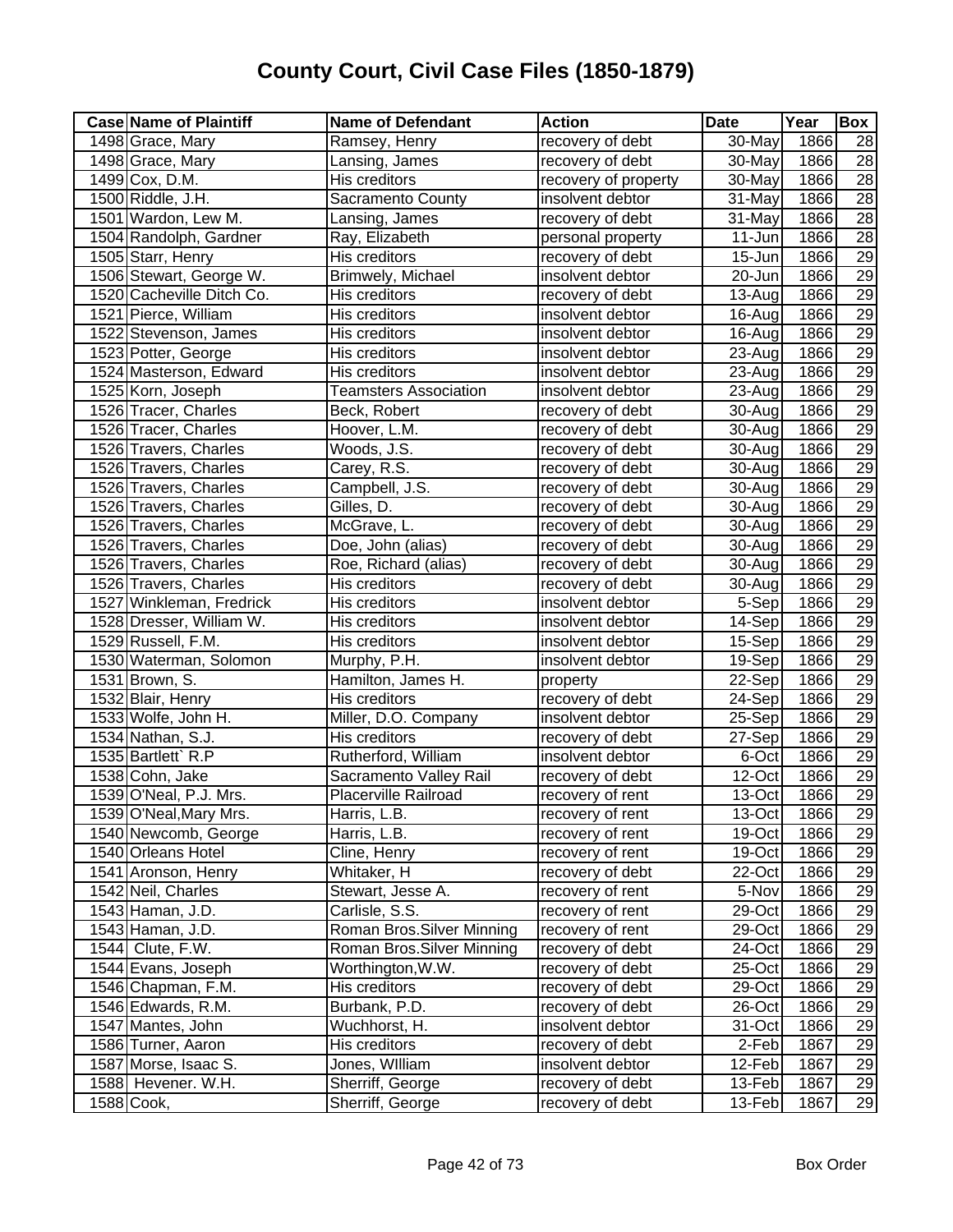| <b>Case Name of Plaintiff</b> | <b>Name of Defendant</b>     | <b>Action</b>        | <b>Date</b>          | Year | Box             |
|-------------------------------|------------------------------|----------------------|----------------------|------|-----------------|
| 1498 Grace, Mary              | Ramsey, Henry                | recovery of debt     | 30-May               | 1866 | 28              |
| 1498 Grace, Mary              | Lansing, James               | recovery of debt     | 30-May               | 1866 | $\overline{28}$ |
| 1499 Cox, D.M.                | His creditors                | recovery of property | 30-May               | 1866 | 28              |
| 1500 Riddle, J.H.             | Sacramento County            | insolvent debtor     | 31-May               | 1866 | 28              |
| 1501 Wardon, Lew M.           | Lansing, James               | recovery of debt     | $31$ -May            | 1866 | 28              |
| 1504 Randolph, Gardner        | Ray, Elizabeth               | personal property    | $\overline{1}$ 1-Jun | 1866 | 28              |
| 1505 Starr, Henry             | His creditors                | recovery of debt     | 15-Jun               | 1866 | 29              |
| 1506 Stewart, George W.       | Brimwely, Michael            | insolvent debtor     | 20-Jun               | 1866 | 29              |
| 1520 Cacheville Ditch Co.     | His creditors                | recovery of debt     | 13-Aug               | 1866 | 29              |
| 1521 Pierce, William          | His creditors                | insolvent debtor     | 16-Aug               | 1866 | 29              |
| 1522 Stevenson, James         | His creditors                | insolvent debtor     | 16-Aug               | 1866 | $\overline{29}$ |
| 1523 Potter, George           | His creditors                | insolvent debtor     | 23-Aug               | 1866 | 29              |
| 1524 Masterson, Edward        | His creditors                | insolvent debtor     | 23-Aug               | 1866 | $\overline{29}$ |
| 1525 Korn, Joseph             | <b>Teamsters Association</b> | insolvent debtor     | 23-Aug               | 1866 | 29              |
| 1526 Tracer, Charles          | Beck, Robert                 | recovery of debt     | 30-Aug               | 1866 | $\overline{29}$ |
| 1526 Tracer, Charles          | Hoover, L.M.                 | recovery of debt     | 30-Aug               | 1866 | 29              |
| 1526 Travers, Charles         | Woods, J.S.                  | recovery of debt     | 30-Aug               | 1866 | 29              |
| 1526 Travers, Charles         | Carey, R.S.                  | recovery of debt     | 30-Aug               | 1866 | 29              |
| 1526 Travers, Charles         | Campbell, J.S.               | recovery of debt     | 30-Aug               | 1866 | 29              |
| 1526 Travers, Charles         | Gilles, D.                   | recovery of debt     | 30-Aug               | 1866 | 29              |
| 1526 Travers, Charles         | McGrave, L.                  | recovery of debt     | 30-Aug               | 1866 | 29              |
| 1526 Travers, Charles         | Doe, John (alias)            | recovery of debt     | 30-Aug               | 1866 | 29              |
| 1526 Travers, Charles         | Roe, Richard (alias)         | recovery of debt     | 30-Aug               | 1866 | 29              |
| 1526 Travers, Charles         | His creditors                | recovery of debt     | 30-Aug               | 1866 | 29              |
| 1527 Winkleman, Fredrick      | His creditors                | insolvent debtor     | 5-Sep                | 1866 | 29              |
| 1528 Dresser, William W.      | His creditors                | insolvent debtor     | 14-Sep               | 1866 | 29              |
| 1529 Russell, F.M.            | His creditors                | insolvent debtor     | 15-Sep               | 1866 | 29              |
| 1530 Waterman, Solomon        | Murphy, P.H.                 | insolvent debtor     | 19-Sep               | 1866 | 29              |
| 1531 Brown, S.                | Hamilton, James H.           | property             | $22-Sep$             | 1866 | 29              |
| 1532 Blair, Henry             | His creditors                | recovery of debt     | 24-Sep               | 1866 | 29              |
| 1533 Wolfe, John H.           | Miller, D.O. Company         | insolvent debtor     | 25-Sep               | 1866 | 29              |
| 1534 Nathan, S.J.             | His creditors                | recovery of debt     | 27-Sep               | 1866 | 29              |
| 1535 Bartlett` R.P            | Rutherford, William          | insolvent debtor     | 6-Oct                | 1866 | $\overline{29}$ |
| 1538 Cohn, Jake               | Sacramento Valley Rail       | recovery of debt     | 12-Oct               | 1866 | $\overline{29}$ |
| 1539 O'Neal, P.J. Mrs.        | Placerville Railroad         | recovery of rent     | 13-Oct               | 1866 | 29              |
| 1539 O'Neal, Mary Mrs.        | Harris, L.B.                 | recovery of rent     | 13-Oct               | 1866 | 29              |
| 1540 Newcomb, George          | Harris, L.B.                 | recovery of rent     | 19-Oct               | 1866 | 29              |
| 1540 Orleans Hotel            | Cline, Henry                 | recovery of rent     | 19-Oct               | 1866 | 29              |
| 1541 Aronson, Henry           | Whitaker, H                  | recovery of debt     | 22-Oct               | 1866 | $\overline{29}$ |
| 1542 Neil, Charles            | Stewart, Jesse A.            | recovery of rent     | 5-Nov                | 1866 | 29              |
| 1543 Haman, J.D.              | Carlisle, S.S.               | recovery of rent     | 29-Oct               | 1866 | 29              |
| 1543 Haman, J.D.              | Roman Bros. Silver Minning   | recovery of rent     | 29-Oct               | 1866 | 29              |
| 1544 Clute, F.W.              | Roman Bros. Silver Minning   | recovery of debt     | 24-Oct               | 1866 | 29              |
| 1544 Evans, Joseph            | Worthington, W.W.            | recovery of debt     | 25-Oct               | 1866 | 29              |
| 1546 Chapman, F.M.            | His creditors                | recovery of debt     | 29-Oct               | 1866 | 29              |
| 1546 Edwards, R.M.            | Burbank, P.D.                | recovery of debt     | 26-Oct               | 1866 | 29              |
| 1547 Mantes, John             | Wuchhorst, H.                | insolvent debtor     | 31-Oct               | 1866 | 29              |
| 1586 Turner, Aaron            | His creditors                | recovery of debt     | 2-Feb                | 1867 | 29              |
| 1587 Morse, Isaac S.          | Jones, William               | insolvent debtor     | 12-Feb               | 1867 | 29              |
| 1588 Hevener. W.H.            | Sherriff, George             | recovery of debt     | 13-Feb               | 1867 | 29              |
| 1588 Cook,                    | Sherriff, George             | recovery of debt     | 13-Feb               | 1867 | 29              |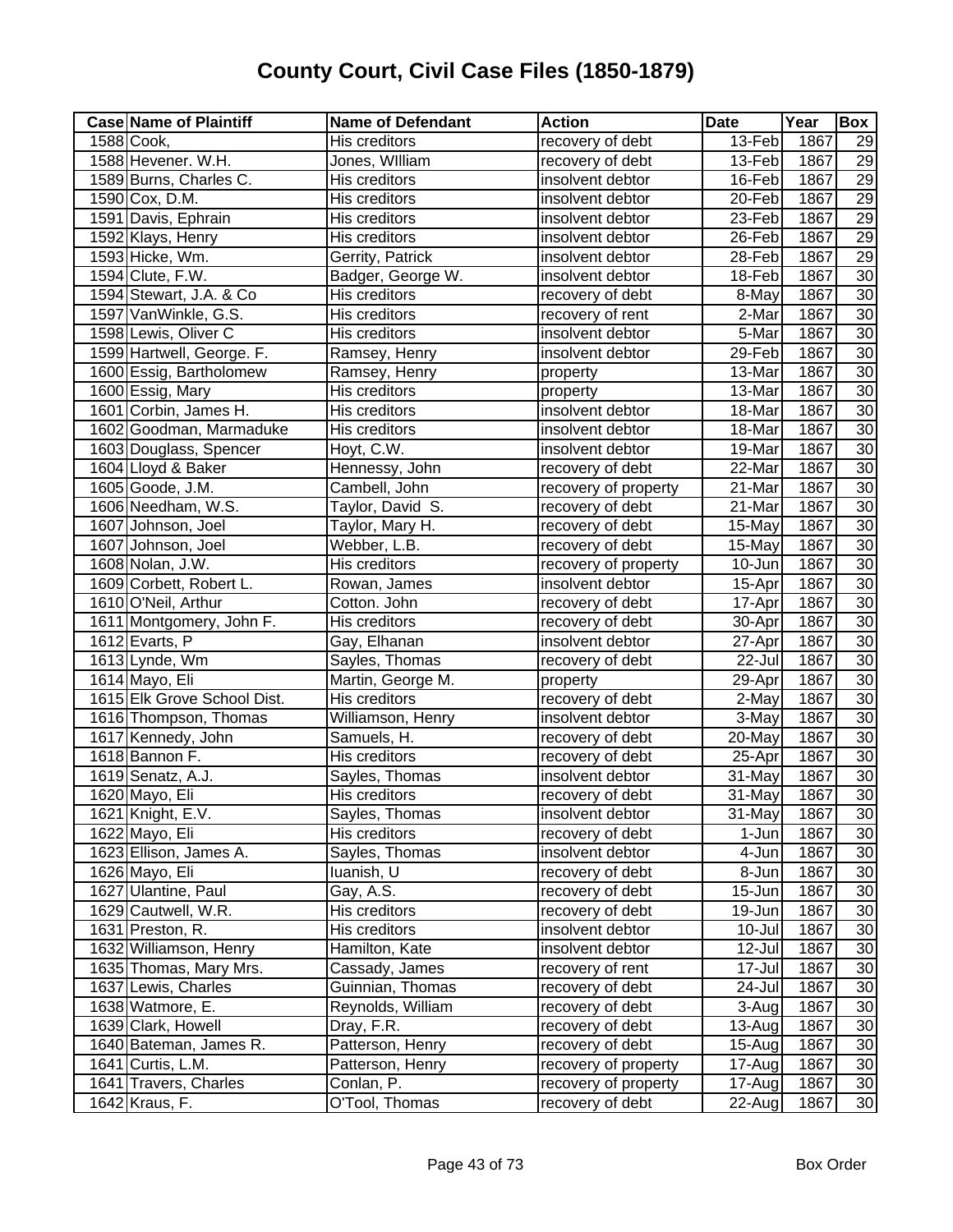| <b>Case Name of Plaintiff</b> | <b>Name of Defendant</b> | <b>Action</b>        | <b>Date</b>         | Year | Box             |
|-------------------------------|--------------------------|----------------------|---------------------|------|-----------------|
| 1588 Cook,                    | His creditors            | recovery of debt     | 13-Feb              | 1867 | 29              |
| 1588 Hevener. W.H.            | Jones, William           | recovery of debt     | 13-Feb              | 1867 | 29              |
| 1589 Burns, Charles C.        | His creditors            | insolvent debtor     | 16-Feb              | 1867 | 29              |
| 1590 Cox, D.M.                | His creditors            | insolvent debtor     | $20$ -Feb           | 1867 | 29              |
| 1591 Davis, Ephrain           | His creditors            | insolvent debtor     | 23-Feb              | 1867 | 29              |
| 1592 Klays, Henry             | His creditors            | insolvent debtor     | 26-Feb              | 1867 | 29              |
| 1593 Hicke, Wm.               | Gerrity, Patrick         | insolvent debtor     | 28-Feb              | 1867 | 29              |
| 1594 Clute, F.W.              | Badger, George W.        | insolvent debtor     | 18-Feb              | 1867 | 30              |
| 1594 Stewart, J.A. & Co       | His creditors            | recovery of debt     | 8-May               | 1867 | 30              |
| 1597 VanWinkle, G.S.          | His creditors            | recovery of rent     | 2-Mar               | 1867 | 30              |
| 1598 Lewis, Oliver C          | His creditors            | insolvent debtor     | 5-Mar               | 1867 | 30              |
| 1599 Hartwell, George. F.     | Ramsey, Henry            | insolvent debtor     | 29-Feb              | 1867 | 30              |
| 1600 Essig, Bartholomew       | Ramsey, Henry            | property             | 13-Mar              | 1867 | 30              |
| 1600 Essig, Mary              | His creditors            | property             | 13-Mar              | 1867 | $\overline{30}$ |
| 1601 Corbin, James H.         | His creditors            | insolvent debtor     | 18-Mar              | 1867 | 30              |
| 1602 Goodman, Marmaduke       | His creditors            | insolvent debtor     | 18-Mar              | 1867 | 30              |
| 1603 Douglass, Spencer        | Hoyt, C.W.               | insolvent debtor     | 19-Mar              | 1867 | 30              |
| 1604 Lloyd & Baker            | Hennessy, John           | recovery of debt     | 22-Mar              | 1867 | $\overline{30}$ |
| 1605 Goode, J.M.              | Cambell, John            | recovery of property | 21-Mar              | 1867 | $\overline{30}$ |
| 1606 Needham, W.S.            | Taylor, David S.         | recovery of debt     | 21-Mar              | 1867 | 30              |
| 1607 Johnson, Joel            | Taylor, Mary H.          | recovery of debt     | 15-May              | 1867 | 30              |
| 1607 Johnson, Joel            | Webber, L.B.             | recovery of debt     | 15-May              | 1867 | 30              |
| 1608 Nolan, J.W.              | His creditors            | recovery of property | 10-Jun              | 1867 | 30              |
| 1609 Corbett, Robert L.       | Rowan, James             | insolvent debtor     | 15-Apr              | 1867 | 30              |
| 1610 O'Neil, Arthur           | Cotton. John             | recovery of debt     | 17-Apr              | 1867 | 30              |
| 1611 Montgomery, John F.      | His creditors            | recovery of debt     | 30-Apr              | 1867 | 30              |
| 1612 Evarts, P                | Gay, Elhanan             | insolvent debtor     | $27 - Apr$          | 1867 | 30              |
| 1613 Lynde, Wm                | Sayles, Thomas           | recovery of debt     | 22-Jul              | 1867 | 30              |
| 1614 Mayo, Eli                | Martin, George M.        | property             | 29-Apr              | 1867 | 30              |
| 1615 Elk Grove School Dist.   | His creditors            | recovery of debt     | 2-May               | 1867 | 30              |
| 1616 Thompson, Thomas         | Williamson, Henry        | insolvent debtor     | $\overline{3}$ -May | 1867 | 30              |
| 1617 Kennedy, John            | Samuels, H.              | recovery of debt     | 20-May              | 1867 | 30              |
| 1618 Bannon F.                | His creditors            | recovery of debt     | 25-Apr              | 1867 | 30              |
| 1619 Senatz, A.J.             | Sayles, Thomas           | insolvent debtor     | 31-May              | 1867 | $\overline{30}$ |
| 1620 Mayo, Eli                | His creditors            | recovery of debt     | 31-May              | 1867 | 30              |
| 1621 Knight, E.V.             | Sayles, Thomas           | insolvent debtor     | 31-May              | 1867 | 30              |
| 1622 Mayo, Eli                | His creditors            | recovery of debt     | 1-Jun               | 1867 | $\overline{30}$ |
| 1623 Ellison, James A.        | Sayles, Thomas           | insolvent debtor     | 4-Jun               | 1867 | $30\,$          |
| 1626 Mayo, Eli                | luanish, U               | recovery of debt     | 8-Jun               | 1867 | 30              |
| 1627 Ulantine, Paul           | Gay, A.S.                | recovery of debt     | $15 - Jun$          | 1867 | 30              |
| 1629 Cautwell, W.R.           | His creditors            | recovery of debt     | 19-Jun              | 1867 | 30              |
| 1631 Preston, R.              | His creditors            | insolvent debtor     | 10-Jul              | 1867 | 30              |
| 1632 Williamson, Henry        | Hamilton, Kate           | insolvent debtor     | 12-Jul              | 1867 | 30              |
| 1635 Thomas, Mary Mrs.        | Cassady, James           | recovery of rent     | 17-Jul              | 1867 | 30              |
| 1637 Lewis, Charles           | Guinnian, Thomas         | recovery of debt     | 24-Jul              | 1867 | 30              |
| 1638 Watmore, E.              | Reynolds, William        | recovery of debt     | 3-Aug               | 1867 | $30\,$          |
| 1639 Clark, Howell            | Dray, F.R.               | recovery of debt     | $13-Auq$            | 1867 | 30              |
| 1640 Bateman, James R.        | Patterson, Henry         | recovery of debt     | 15-Aug              | 1867 | 30              |
| 1641 Curtis, L.M.             | Patterson, Henry         | recovery of property | 17-Aug              | 1867 | 30              |
| 1641 Travers, Charles         | Conlan, P.               | recovery of property | 17-Aug              | 1867 | 30              |
| 1642 Kraus, F.                | O'Tool, Thomas           | recovery of debt     | 22-Aug              | 1867 | 30              |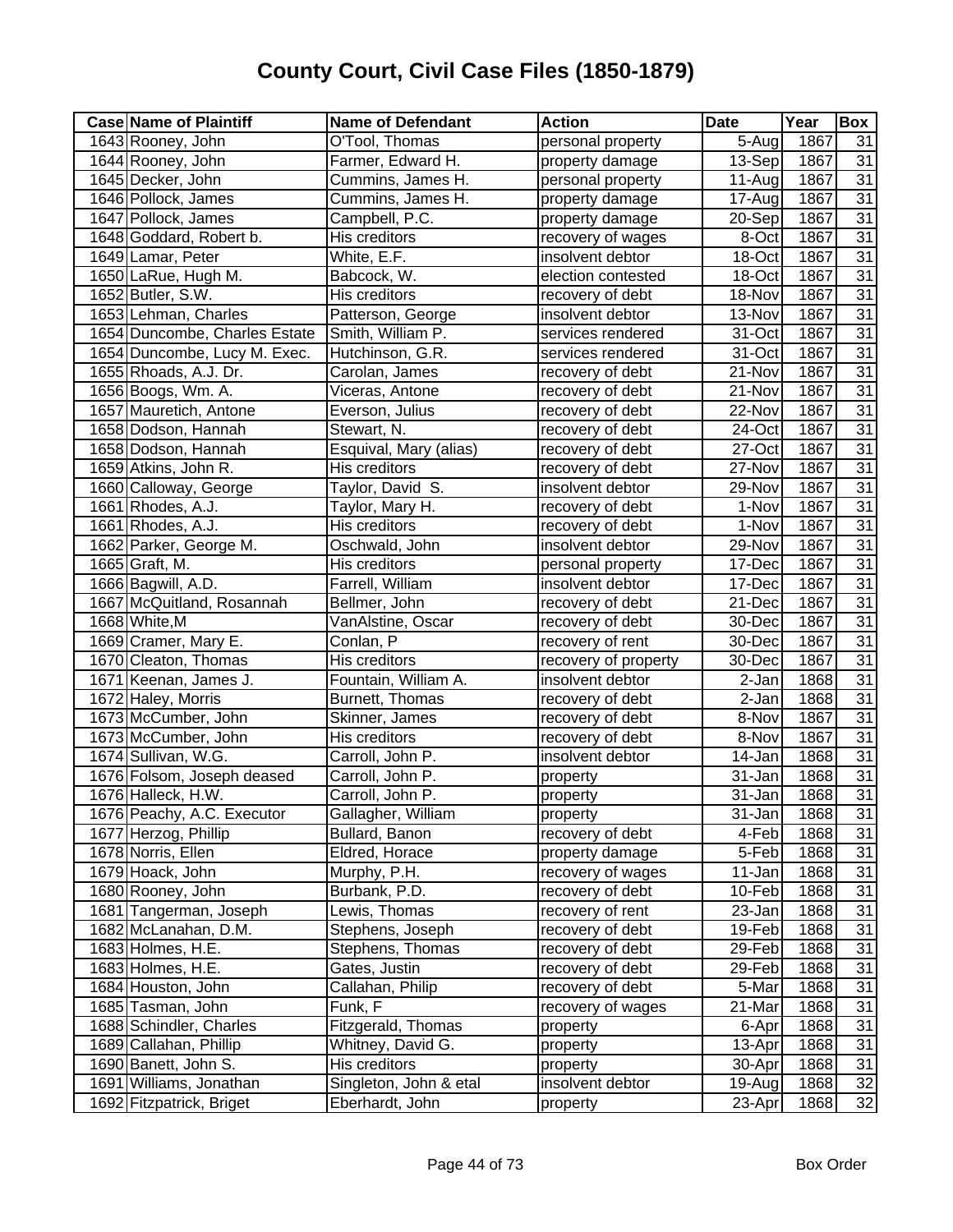| <b>Case Name of Plaintiff</b> | <b>Name of Defendant</b> | <b>Action</b>        | <b>Date</b> | Year | <b>Box</b>      |
|-------------------------------|--------------------------|----------------------|-------------|------|-----------------|
| 1643 Rooney, John             | O'Tool, Thomas           | personal property    | $5-Aug$     | 1867 | 31              |
| 1644 Rooney, John             | Farmer, Edward H.        | property damage      | 13-Sep      | 1867 | 31              |
| 1645 Decker, John             | Cummins, James H.        | personal property    | 11-Aug      | 1867 | 31              |
| 1646 Pollock, James           | Cummins, James H.        | property damage      | 17-Aug      | 1867 | 31              |
| 1647 Pollock, James           | Campbell, P.C.           | property damage      | 20-Sep      | 1867 | 31              |
| 1648 Goddard, Robert b.       | His creditors            | recovery of wages    | 8-Oct       | 1867 | 31              |
| 1649 Lamar, Peter             | White, E.F.              | insolvent debtor     | 18-Oct      | 1867 | $\overline{31}$ |
| 1650 LaRue, Hugh M.           | Babcock, W.              | election contested   | 18-Oct      | 1867 | $\overline{31}$ |
| 1652 Butler, S.W.             | His creditors            | recovery of debt     | 18-Nov      | 1867 | $\overline{31}$ |
| 1653 Lehman, Charles          | Patterson, George        | insolvent debtor     | 13-Nov      | 1867 | $\overline{31}$ |
| 1654 Duncombe, Charles Estate | Smith, William P.        | services rendered    | 31-Oct      | 1867 | $\overline{31}$ |
| 1654 Duncombe, Lucy M. Exec.  | Hutchinson, G.R.         | services rendered    | 31-Oct      | 1867 | $\overline{31}$ |
| 1655 Rhoads, A.J. Dr.         | Carolan, James           | recovery of debt     | 21-Nov      | 1867 | $\overline{31}$ |
| 1656 Boogs, Wm. A.            | Viceras, Antone          | recovery of debt     | 21-Nov      | 1867 | $\overline{31}$ |
| 1657 Mauretich, Antone        | Everson, Julius          | recovery of debt     | 22-Nov      | 1867 | $\overline{31}$ |
| 1658 Dodson, Hannah           | Stewart, N.              | recovery of debt     | 24-Oct      | 1867 | $\overline{31}$ |
| 1658 Dodson, Hannah           | Esquival, Mary (alias)   | recovery of debt     | 27-Oct      | 1867 | 31              |
| 1659 Atkins, John R.          | His creditors            | recovery of debt     | 27-Nov      | 1867 | 31              |
| 1660 Calloway, George         | Taylor, David S.         | insolvent debtor     | 29-Nov      | 1867 | 31              |
| 1661 Rhodes, A.J.             | Taylor, Mary H.          | recovery of debt     | 1-Nov       | 1867 | $\overline{31}$ |
| 1661 Rhodes, A.J.             | His creditors            | recovery of debt     | 1-Nov       | 1867 | $\overline{31}$ |
| 1662 Parker, George M.        | Oschwald, John           | insolvent debtor     | 29-Nov      | 1867 | $\overline{31}$ |
| 1665 Graft, M.                | His creditors            | personal property    | 17-Dec      | 1867 | 31              |
| 1666 Bagwill, A.D.            | Farrell, William         | insolvent debtor     | 17-Dec      | 1867 | $\overline{31}$ |
| 1667 McQuitland, Rosannah     | Bellmer, John            | recovery of debt     | 21-Dec      | 1867 | $\overline{31}$ |
| 1668 White, M                 | VanAlstine, Oscar        | recovery of debt     | 30-Dec      | 1867 | $\overline{31}$ |
| 1669 Cramer, Mary E.          | Conlan, P                | recovery of rent     | 30-Dec      | 1867 | $\overline{31}$ |
| 1670 Cleaton, Thomas          | His creditors            | recovery of property | 30-Dec      | 1867 | 31              |
| 1671 Keenan, James J.         | Fountain, William A.     | insolvent debtor     | 2-Jan       | 1868 | 31              |
| 1672 Haley, Morris            | Burnett, Thomas          | recovery of debt     | 2-Jan       | 1868 | 31              |
| 1673 McCumber, John           | Skinner, James           | recovery of debt     | 8-Nov       | 1867 | 31              |
| 1673 McCumber, John           | His creditors            | recovery of debt     | 8-Nov       | 1867 | $\overline{31}$ |
| 1674 Sullivan, W.G.           | Carroll, John P.         | insolvent debtor     | 14-Jan      | 1868 | $\overline{31}$ |
| 1676 Folsom, Joseph deased    | Carroll, John P.         | property             | 31-Jan      | 1868 | $\overline{31}$ |
| 1676 Halleck, H.W.            | Carroll, John P.         | property             | 31-Jan      | 1868 | $\overline{31}$ |
| 1676 Peachy, A.C. Executor    | Gallagher, William       | property             | 31-Jan      | 1868 | 31              |
| 1677 Herzog, Phillip          | Bullard, Banon           | recovery of debt     | 4-Feb       | 1868 | 31              |
| 1678 Norris, Ellen            | Eldred, Horace           | property damage      | 5-Feb       | 1868 | 31              |
| 1679 Hoack, John              | Murphy, P.H.             | recovery of wages    | 11-Jan      | 1868 | 31              |
| 1680 Rooney, John             | Burbank, P.D.            | recovery of debt     | 10-Feb      | 1868 | 31              |
| 1681 Tangerman, Joseph        | Lewis, Thomas            | recovery of rent     | 23-Jan      | 1868 | 31              |
| 1682 McLanahan, D.M.          | Stephens, Joseph         | recovery of debt     | 19-Feb      | 1868 | 31              |
| 1683 Holmes, H.E.             | Stephens, Thomas         | recovery of debt     | 29-Feb      | 1868 | 31              |
| 1683 Holmes, H.E.             | Gates, Justin            | recovery of debt     | 29-Feb      | 1868 | 31              |
| 1684 Houston, John            | Callahan, Philip         | recovery of debt     | 5-Mar       | 1868 | 31              |
| 1685 Tasman, John             | Funk, F                  | recovery of wages    | 21-Mar      | 1868 | 31              |
| 1688 Schindler, Charles       | Fitzgerald, Thomas       | property             | 6-Apr       | 1868 | $\overline{31}$ |
| 1689 Callahan, Phillip        | Whitney, David G.        | property             | 13-Apr      | 1868 | 31              |
| 1690 Banett, John S.          | His creditors            | property             | 30-Apr      | 1868 | 31              |
| 1691 Williams, Jonathan       | Singleton, John & etal   | insolvent debtor     | 19-Aug      | 1868 | 32              |
| 1692 Fitzpatrick, Briget      | Eberhardt, John          | property             | 23-Apr      | 1868 | $\overline{32}$ |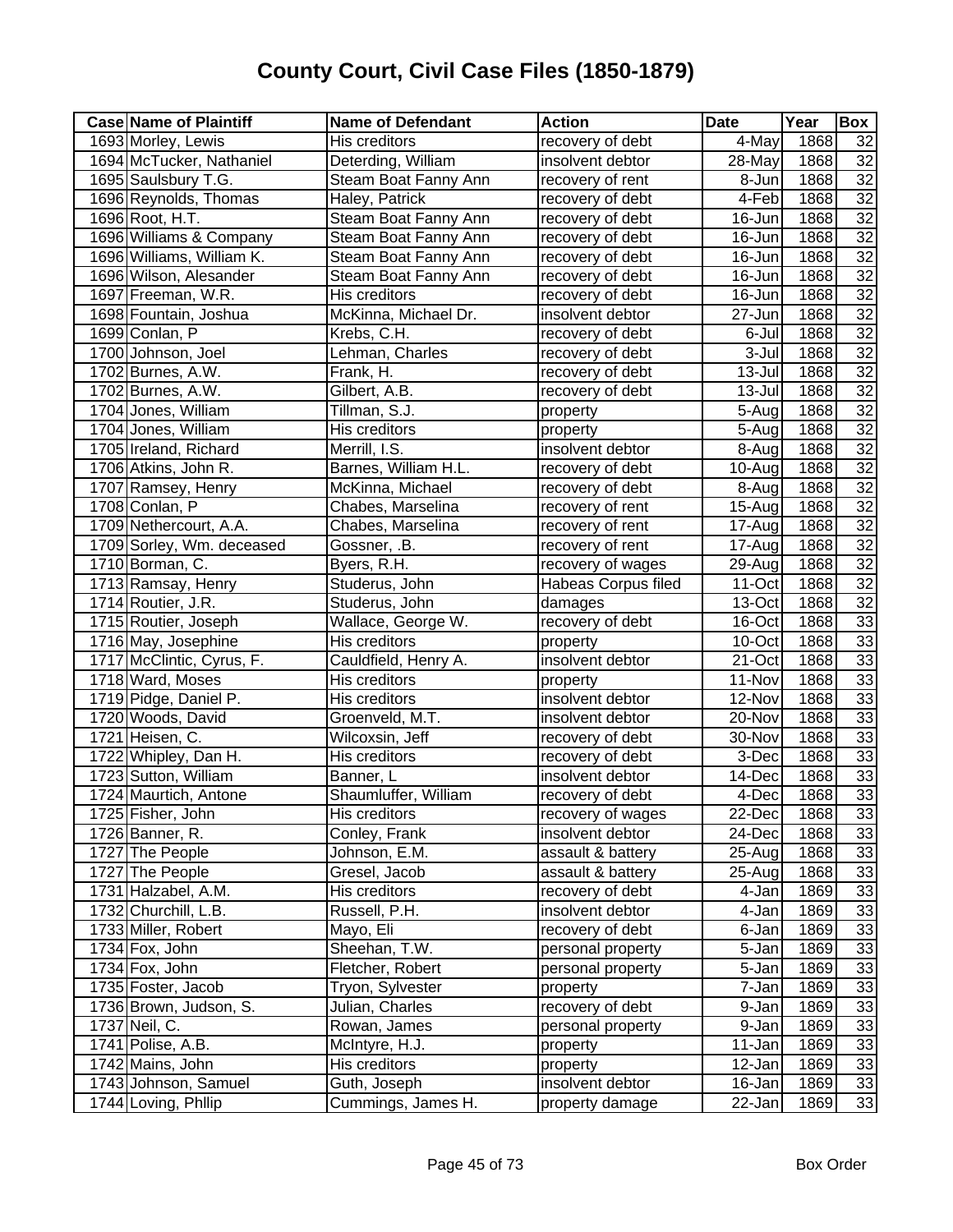| <b>Case Name of Plaintiff</b> | <b>Name of Defendant</b> | <b>Action</b>       | <b>Date</b> | Year | Box             |
|-------------------------------|--------------------------|---------------------|-------------|------|-----------------|
| 1693 Morley, Lewis            | His creditors            | recovery of debt    | 4-May       | 1868 | 32              |
| 1694 McTucker, Nathaniel      | Deterding, William       | insolvent debtor    | $28 - May$  | 1868 | 32              |
| 1695 Saulsbury T.G.           | Steam Boat Fanny Ann     | recovery of rent    | 8-Jun       | 1868 | $\overline{32}$ |
| 1696 Reynolds, Thomas         | Haley, Patrick           | recovery of debt    | 4-Feb       | 1868 | $\overline{32}$ |
| 1696 Root, H.T.               | Steam Boat Fanny Ann     | recovery of debt    | 16-Jun      | 1868 | 32              |
| 1696 Williams & Company       | Steam Boat Fanny Ann     | recovery of debt    | 16-Jun      | 1868 | 32              |
| 1696 Williams, William K.     | Steam Boat Fanny Ann     | recovery of debt    | 16-Jun      | 1868 | $\overline{32}$ |
| 1696 Wilson, Alesander        | Steam Boat Fanny Ann     | recovery of debt    | 16-Jun      | 1868 | 32              |
| 1697 Freeman, W.R.            | His creditors            | recovery of debt    | 16-Jun      | 1868 | 32              |
| 1698 Fountain, Joshua         | McKinna, Michael Dr.     | insolvent debtor    | 27-Jun      | 1868 | 32              |
| 1699 Conlan, P                | Krebs, C.H.              | recovery of debt    | 6-Jul       | 1868 | $\overline{32}$ |
| 1700 Johnson, Joel            | Lehman, Charles          | recovery of debt    | 3-Jul       | 1868 | 32              |
| 1702 Burnes, A.W.             | Frank, H.                | recovery of debt    | 13-Jul      | 1868 | $\overline{32}$ |
| 1702 Burnes, A.W.             | Gilbert, A.B.            | recovery of debt    | 13-Jul      | 1868 | 32              |
| 1704 Jones, William           | Tillman, S.J.            | property            | 5-Aug       | 1868 | 32              |
| 1704 Jones, William           | His creditors            | property            | 5-Aug       | 1868 | $\overline{32}$ |
| 1705 Ireland, Richard         | Merrill, I.S.            | insolvent debtor    | 8-Aug       | 1868 | $\overline{32}$ |
| 1706 Atkins, John R.          | Barnes, William H.L.     | recovery of debt    | 10-Aug      | 1868 | $\overline{32}$ |
| 1707 Ramsey, Henry            | McKinna, Michael         | recovery of debt    | 8-Aug       | 1868 | $\overline{32}$ |
| 1708 Conlan, P                | Chabes, Marselina        | recovery of rent    | $15-Auq$    | 1868 | 32              |
| 1709 Nethercourt, A.A.        | Chabes, Marselina        | recovery of rent    | 17-Aug      | 1868 | $\overline{32}$ |
| 1709 Sorley, Wm. deceased     | Gossner, .B.             | recovery of rent    | 17-Aug      | 1868 | 32              |
| 1710 Borman, C.               | Byers, R.H.              | recovery of wages   | 29-Aug      | 1868 | $\overline{32}$ |
| 1713 Ramsay, Henry            | Studerus, John           | Habeas Corpus filed | 11-Oct      | 1868 | 32              |
| 1714 Routier, J.R.            | Studerus, John           | damages             | 13-Oct      | 1868 | $\overline{32}$ |
| 1715 Routier, Joseph          | Wallace, George W.       | recovery of debt    | 16-Oct      | 1868 | 33              |
| 1716 May, Josephine           | His creditors            | property            | 10-Oct      | 1868 | 33              |
| 1717 McClintic, Cyrus, F.     | Cauldfield, Henry A.     | insolvent debtor    | 21-Oct      | 1868 | 33              |
| 1718 Ward, Moses              | His creditors            | property            | 11-Nov      | 1868 | 33              |
| 1719 Pidge, Daniel P.         | His creditors            | insolvent debtor    | 12-Nov      | 1868 | 33              |
| 1720 Woods, David             | Groenveld, M.T.          | insolvent debtor    | 20-Nov      | 1868 | 33              |
| 1721 Heisen, C.               | Wilcoxsin, Jeff          | recovery of debt    | 30-Nov      | 1868 | 33              |
| 1722 Whipley, Dan H.          | His creditors            | recovery of debt    | 3-Dec       | 1868 | 33              |
| 1723 Sutton, William          | Banner, L                | insolvent debtor    | 14-Dec      | 1868 | 33              |
| 1724 Maurtich, Antone         | Shaumluffer, William     | recovery of debt    | 4-Dec       | 1868 | 33              |
| 1725 Fisher, John             | His creditors            | recovery of wages   | 22-Dec      | 1868 | 33              |
| 1726 Banner, R.               | Conley, Frank            | insolvent debtor    | 24-Dec      | 1868 | 33              |
| 1727 The People               | Johnson, E.M.            | assault & battery   | 25-Aug      | 1868 | 33              |
| 1727 The People               | Gresel, Jacob            | assault & battery   | 25-Aug      | 1868 | 33              |
| 1731 Halzabel, A.M.           | His creditors            | recovery of debt    | 4-Jan       | 1869 | 33              |
| 1732 Churchill, L.B.          | Russell, P.H.            | insolvent debtor    | 4-Jan       | 1869 | 33              |
| 1733 Miller, Robert           | Mayo, Eli                | recovery of debt    | 6-Jan       | 1869 | 33              |
| $1734$ Fox, John              | Sheehan, T.W.            | personal property   | 5-Jan       | 1869 | 33              |
| 1734 Fox, John                | Fletcher, Robert         | personal property   | 5-Jan       | 1869 | 33              |
| 1735 Foster, Jacob            | Tryon, Sylvester         | property            | 7-Jan       | 1869 | 33              |
| 1736 Brown, Judson, S.        | Julian, Charles          | recovery of debt    | 9-Jan       | 1869 | 33              |
| 1737 Neil, C.                 | Rowan, James             | personal property   | 9-Jan       | 1869 | 33              |
| 1741 Polise, A.B.             | McIntyre, H.J.           | property            | 11-Jan      | 1869 | 33              |
| 1742 Mains, John              | His creditors            | property            | 12-Jan      | 1869 | 33              |
| 1743 Johnson, Samuel          | Guth, Joseph             | insolvent debtor    | 16-Jan      | 1869 | 33              |
| 1744 Loving, Philip           | Cummings, James H.       | property damage     | 22-Jan      | 1869 | 33              |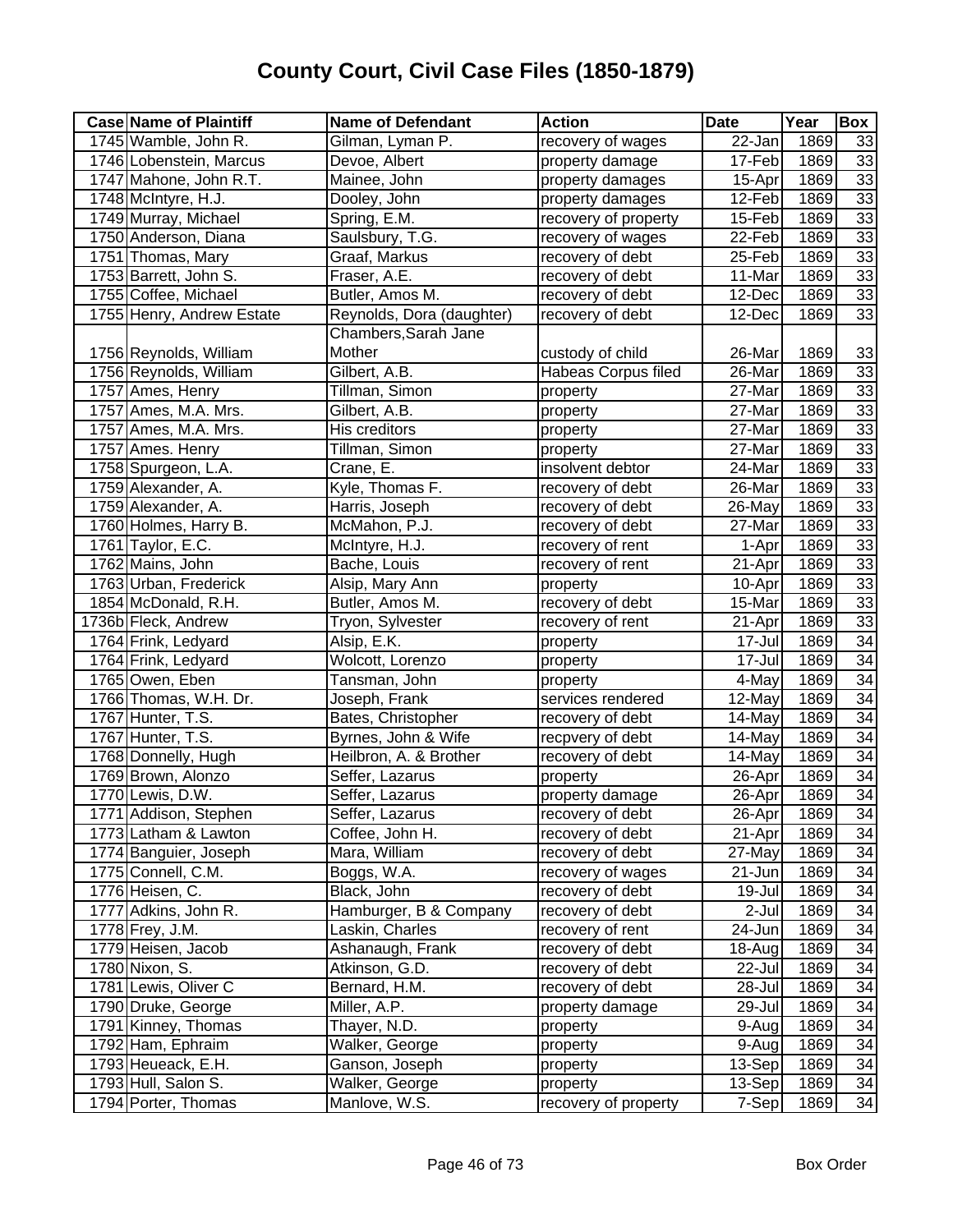| <b>Case Name of Plaintiff</b> | <b>Name of Defendant</b>  | <b>Action</b>              | <b>Date</b>          | Year | Box             |
|-------------------------------|---------------------------|----------------------------|----------------------|------|-----------------|
| 1745 Wamble, John R.          | Gilman, Lyman P.          | recovery of wages          | 22-Jan               | 1869 | 33              |
| 1746 Lobenstein, Marcus       | Devoe, Albert             | property damage            | 17-Feb               | 1869 | 33              |
| 1747 Mahone, John R.T.        | Mainee, John              | property damages           | 15-Apr               | 1869 | 33              |
| 1748 McIntyre, H.J.           | Dooley, John              | property damages           | $12$ -Feb            | 1869 | 33              |
| 1749 Murray, Michael          | Spring, E.M.              | recovery of property       | 15-Feb               | 1869 | 33              |
| 1750 Anderson, Diana          | Saulsbury, T.G.           | recovery of wages          | 22-Feb               | 1869 | 33              |
| 1751 Thomas, Mary             | Graaf, Markus             | recovery of debt           | 25-Feb               | 1869 | 33              |
| 1753 Barrett, John S.         | Fraser, A.E.              | recovery of debt           | 11-Mar               | 1869 | 33              |
| 1755 Coffee, Michael          | Butler, Amos M.           | recovery of debt           | 12-Dec               | 1869 | 33              |
| 1755 Henry, Andrew Estate     | Reynolds, Dora (daughter) | recovery of debt           | 12-Dec               | 1869 | 33              |
|                               | Chambers, Sarah Jane      |                            |                      |      |                 |
| 1756 Reynolds, William        | Mother                    | custody of child           | 26-Mar               | 1869 | 33              |
| 1756 Reynolds, William        | Gilbert, A.B.             | <b>Habeas Corpus filed</b> | 26-Mar               | 1869 | 33              |
| 1757 Ames, Henry              | Tillman, Simon            | property                   | 27-Mar               | 1869 | 33              |
| 1757 Ames, M.A. Mrs.          | Gilbert, A.B.             | property                   | 27-Mar               | 1869 | 33              |
| 1757 Ames, M.A. Mrs.          | His creditors             | property                   | 27-Mar               | 1869 | 33              |
| 1757 Ames. Henry              | Tillman, Simon            | property                   | 27-Mar               | 1869 | 33              |
| 1758 Spurgeon, L.A.           | Crane, E.                 | insolvent debtor           | 24-Mar               | 1869 | 33              |
| 1759 Alexander, A.            | Kyle, Thomas F.           | recovery of debt           | 26-Mar               | 1869 | 33              |
| 1759 Alexander, A.            | Harris, Joseph            | recovery of debt           | 26-May               | 1869 | 33              |
| 1760 Holmes, Harry B.         | McMahon, P.J.             | recovery of debt           | 27-Mar               | 1869 | 33              |
| 1761 Taylor, E.C.             | McIntyre, H.J.            | recovery of rent           | 1-Apr                | 1869 | 33              |
| 1762 Mains, John              | Bache, Louis              | recovery of rent           | 21-Apr               | 1869 | 33              |
| 1763 Urban, Frederick         | Alsip, Mary Ann           | property                   | 10-Apr               | 1869 | 33              |
| 1854 McDonald, R.H.           | Butler, Amos M.           | recovery of debt           | 15-Mar               | 1869 | 33              |
| 1736b Fleck, Andrew           | Tryon, Sylvester          | recovery of rent           | 21-Apr               | 1869 | 33              |
| 1764 Frink, Ledyard           | Alsip, E.K.               | property                   | 17-Jul               | 1869 | 34              |
| 1764 Frink, Ledyard           | Wolcott, Lorenzo          | property                   | 17-Jul               | 1869 | 34              |
| 1765 Owen, Eben               | Tansman, John             | property                   | 4-May                | 1869 | 34              |
| 1766 Thomas, W.H. Dr.         | Joseph, Frank             | services rendered          | $\overline{12}$ -May | 1869 | 34              |
| 1767 Hunter, T.S.             | Bates, Christopher        | recovery of debt           | 14-May               | 1869 | 34              |
| 1767 Hunter, T.S.             | Byrnes, John & Wife       | recpvery of debt           | 14-May               | 1869 | $\overline{34}$ |
| 1768 Donnelly, Hugh           | Heilbron, A. & Brother    | recovery of debt           | 14-May               | 1869 | 34              |
| 1769 Brown, Alonzo            | Seffer, Lazarus           | property                   | 26-Apr               | 1869 | 34              |
| 1770 Lewis, D.W.              | Seffer, Lazarus           | property damage            | 26-Apr               | 1869 | 34              |
| 1771 Addison, Stephen         | Seffer, Lazarus           | recovery of debt           | 26-Apr               | 1869 | 34              |
| 1773 Latham & Lawton          | Coffee, John H.           | recovery of debt           | 21-Apr               | 1869 | $\overline{34}$ |
| 1774 Banguier, Joseph         | Mara, William             | recovery of debt           | 27-May               | 1869 | 34              |
| 1775 Connell, C.M.            | Boggs, W.A.               | recovery of wages          | 21-Jun               | 1869 | 34              |
| 1776 Heisen, C.               | Black, John               | recovery of debt           | 19-Jul               | 1869 | 34              |
| 1777 Adkins, John R.          | Hamburger, B & Company    | recovery of debt           | 2-Jul                | 1869 | 34              |
| 1778 Frey, J.M.               | Laskin, Charles           | recovery of rent           | 24-Jun               | 1869 | 34              |
| 1779 Heisen, Jacob            | Ashanaugh, Frank          | recovery of debt           | 18-Aug               | 1869 | 34              |
| 1780 Nixon, S.                | Atkinson, G.D.            | recovery of debt           | 22-Jul               | 1869 | 34              |
| 1781 Lewis, Oliver C          | Bernard, H.M.             | recovery of debt           | 28-Jul               | 1869 | 34              |
| 1790 Druke, George            | Miller, A.P.              | property damage            | 29-Jul               | 1869 | 34              |
| 1791 Kinney, Thomas           | Thayer, N.D.              | property                   | 9-Aug                | 1869 | 34              |
| 1792 Ham, Ephraim             | Walker, George            | property                   | 9-Aug                | 1869 | 34              |
| 1793 Heueack, E.H.            | Ganson, Joseph            | property                   | 13-Sep               | 1869 | 34              |
| 1793 Hull, Salon S.           | Walker, George            | property                   | 13-Sep               | 1869 | 34              |
| 1794 Porter, Thomas           | Manlove, W.S.             | recovery of property       | 7-Sep                | 1869 | 34              |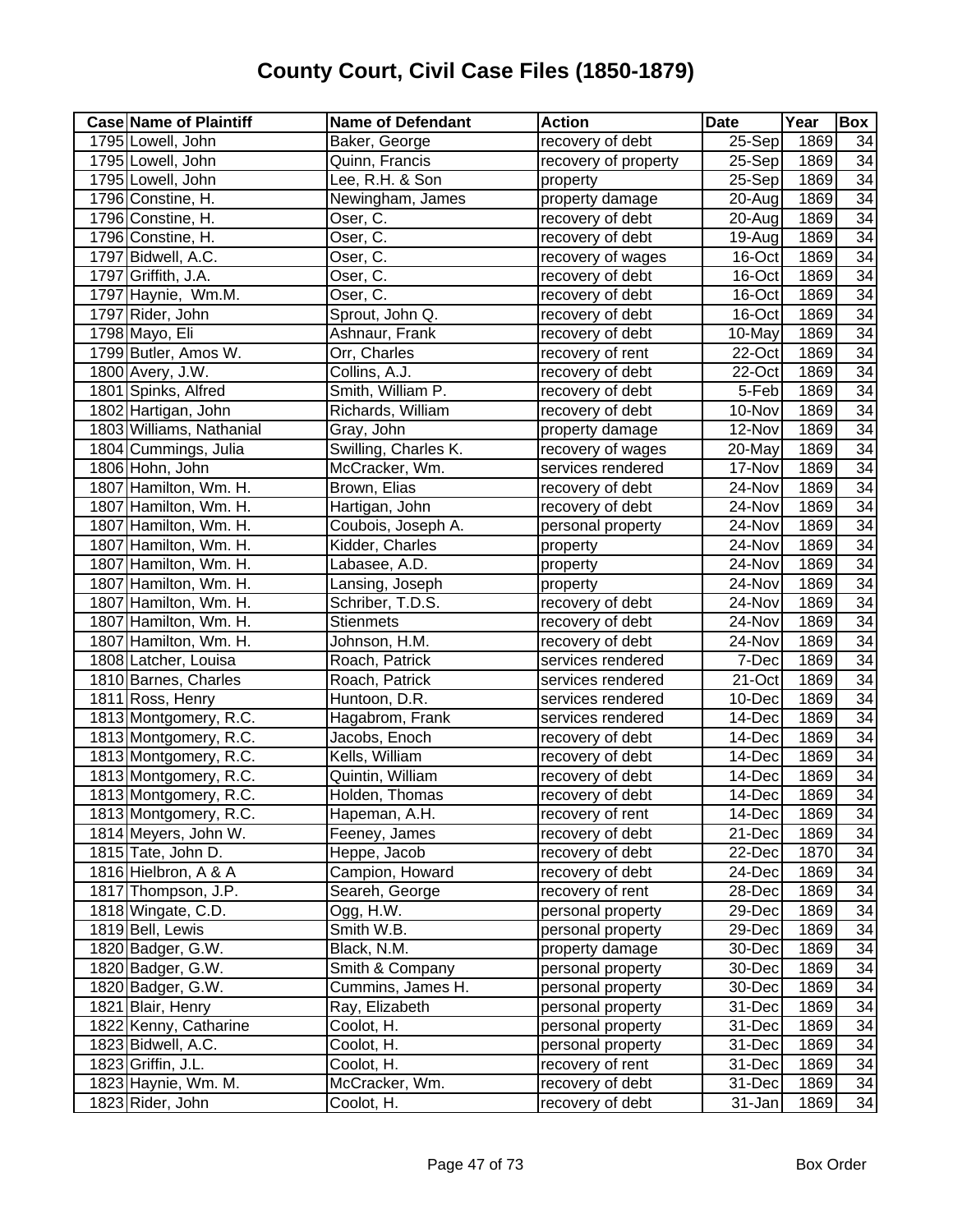| $25-$ Sep<br>1795 Lowell, John<br>recovery of debt<br>1869<br>Baker, George<br>1795 Lowell, John<br>Quinn, Francis<br>25-Sep<br>1869<br>recovery of property<br>1795 Lowell, John<br>Lee, R.H. & Son<br>1869<br>25-Sep<br>property<br>1796 Constine, H.<br>property damage<br>1869<br>Newingham, James<br>$20 - Aug$<br>Oser, C.<br>1869<br>1796 Constine, H.<br>recovery of debt<br>20-Aug<br>Oser, C.<br>1869<br>1796 Constine, H.<br>recovery of debt<br>19-Aug<br>Oser, C.<br>1869<br>1797 Bidwell, A.C.<br>recovery of wages<br>16-Oct | 34<br>$\overline{34}$<br>34<br>34<br>34<br>34<br>$\overline{34}$<br>34<br>34<br>$\overline{34}$<br>$\overline{34}$ |
|---------------------------------------------------------------------------------------------------------------------------------------------------------------------------------------------------------------------------------------------------------------------------------------------------------------------------------------------------------------------------------------------------------------------------------------------------------------------------------------------------------------------------------------------|--------------------------------------------------------------------------------------------------------------------|
|                                                                                                                                                                                                                                                                                                                                                                                                                                                                                                                                             |                                                                                                                    |
|                                                                                                                                                                                                                                                                                                                                                                                                                                                                                                                                             |                                                                                                                    |
|                                                                                                                                                                                                                                                                                                                                                                                                                                                                                                                                             |                                                                                                                    |
|                                                                                                                                                                                                                                                                                                                                                                                                                                                                                                                                             |                                                                                                                    |
|                                                                                                                                                                                                                                                                                                                                                                                                                                                                                                                                             |                                                                                                                    |
|                                                                                                                                                                                                                                                                                                                                                                                                                                                                                                                                             |                                                                                                                    |
|                                                                                                                                                                                                                                                                                                                                                                                                                                                                                                                                             |                                                                                                                    |
| 1797 Griffith, J.A.<br>Oser, C.<br>recovery of debt<br>16-Oct<br>1869                                                                                                                                                                                                                                                                                                                                                                                                                                                                       |                                                                                                                    |
| 1869<br>1797 Haynie, Wm.M.<br>16-Oct<br>Oser, C.<br>recovery of debt                                                                                                                                                                                                                                                                                                                                                                                                                                                                        |                                                                                                                    |
| 1797 Rider, John<br>16-Oct<br>1869<br>Sprout, John Q.<br>recovery of debt                                                                                                                                                                                                                                                                                                                                                                                                                                                                   |                                                                                                                    |
| 1869<br>1798 Mayo, Eli<br>Ashnaur, Frank<br>10-May<br>recovery of debt                                                                                                                                                                                                                                                                                                                                                                                                                                                                      |                                                                                                                    |
| 1799 Butler, Amos W.<br>1869<br>Orr, Charles<br>22-Oct<br>recovery of rent                                                                                                                                                                                                                                                                                                                                                                                                                                                                  | $\overline{34}$                                                                                                    |
| 1800 Avery, J.W.<br>Collins, A.J.<br>22-Oct<br>1869<br>recovery of debt                                                                                                                                                                                                                                                                                                                                                                                                                                                                     | $\overline{34}$                                                                                                    |
| Smith, William P.<br>1869<br>1801 Spinks, Alfred<br>5-Feb<br>recovery of debt                                                                                                                                                                                                                                                                                                                                                                                                                                                               | 34                                                                                                                 |
| 1802 Hartigan, John<br>Richards, William<br>1869<br>recovery of debt<br>10-Nov                                                                                                                                                                                                                                                                                                                                                                                                                                                              | $\overline{34}$                                                                                                    |
| 1803 Williams, Nathanial<br>Gray, John<br>property damage<br>12-Nov<br>1869                                                                                                                                                                                                                                                                                                                                                                                                                                                                 | 34                                                                                                                 |
| 1804 Cummings, Julia<br>Swilling, Charles K.<br>1869<br>recovery of wages<br>20-May                                                                                                                                                                                                                                                                                                                                                                                                                                                         | $\overline{34}$                                                                                                    |
| 1806 Hohn, John<br>1869<br>McCracker, Wm.<br>services rendered<br>17-Nov                                                                                                                                                                                                                                                                                                                                                                                                                                                                    | $\overline{34}$                                                                                                    |
| 1807 Hamilton, Wm. H.<br>Brown, Elias<br>1869<br>recovery of debt<br>24-Nov                                                                                                                                                                                                                                                                                                                                                                                                                                                                 | $\overline{34}$                                                                                                    |
| 1807 Hamilton, Wm. H.<br>Hartigan, John<br>recovery of debt<br>1869<br>24-Nov                                                                                                                                                                                                                                                                                                                                                                                                                                                               | $\overline{34}$                                                                                                    |
| 1869<br>1807 Hamilton, Wm. H.<br>Coubois, Joseph A.<br>personal property<br>24-Nov                                                                                                                                                                                                                                                                                                                                                                                                                                                          | 34                                                                                                                 |
| 1807 Hamilton, Wm. H.<br>Kidder, Charles<br>1869<br>24-Nov<br>property                                                                                                                                                                                                                                                                                                                                                                                                                                                                      | $\overline{34}$                                                                                                    |
| 1807 Hamilton, Wm. H.<br>1869<br>Labasee, A.D.<br>24-Nov<br>property                                                                                                                                                                                                                                                                                                                                                                                                                                                                        | 34                                                                                                                 |
| 1807 Hamilton, Wm. H.<br>Lansing, Joseph<br>1869<br>24-Nov<br>property                                                                                                                                                                                                                                                                                                                                                                                                                                                                      | 34                                                                                                                 |
| 1807 Hamilton, Wm. H.<br>1869<br>Schriber, T.D.S.<br>recovery of debt<br>24-Nov                                                                                                                                                                                                                                                                                                                                                                                                                                                             | 34                                                                                                                 |
| 1807 Hamilton, Wm. H.<br>24-Nov<br>1869<br><b>Stienmets</b><br>recovery of debt                                                                                                                                                                                                                                                                                                                                                                                                                                                             | $\overline{34}$                                                                                                    |
| 1807 Hamilton, Wm. H.<br>1869<br>Johnson, H.M.<br>recovery of debt<br>24-Nov                                                                                                                                                                                                                                                                                                                                                                                                                                                                | $\overline{34}$                                                                                                    |
| 7-Dec<br>1869<br>1808 Latcher, Louisa<br>Roach, Patrick<br>services rendered                                                                                                                                                                                                                                                                                                                                                                                                                                                                | 34                                                                                                                 |
| 1869<br>1810 Barnes, Charles<br>Roach, Patrick<br>21-Oct<br>services rendered                                                                                                                                                                                                                                                                                                                                                                                                                                                               | 34                                                                                                                 |
| 1811 Ross, Henry<br>1869<br>Huntoon, D.R.<br>10-Dec<br>services rendered                                                                                                                                                                                                                                                                                                                                                                                                                                                                    | 34                                                                                                                 |
| 1813 Montgomery, R.C.<br>1869<br>Hagabrom, Frank<br>14-Dec<br>services rendered                                                                                                                                                                                                                                                                                                                                                                                                                                                             | 34                                                                                                                 |
| 1813 Montgomery, R.C.<br>1869<br>Jacobs, Enoch<br>recovery of debt<br>14-Dec                                                                                                                                                                                                                                                                                                                                                                                                                                                                | 34                                                                                                                 |
| 1813 Montgomery, R.C.<br>Kells, William<br>recovery of debt<br>14-Dec<br>1869                                                                                                                                                                                                                                                                                                                                                                                                                                                               | $\overline{34}$                                                                                                    |
| 1813 Montgomery, R.C.<br>1869<br>Quintin, William<br>recovery of debt<br>14-Dec                                                                                                                                                                                                                                                                                                                                                                                                                                                             | 34                                                                                                                 |
| 1813 Montgomery, R.C.<br>Holden, Thomas<br>recovery of debt<br>14-Dec<br>1869                                                                                                                                                                                                                                                                                                                                                                                                                                                               | $\overline{34}$                                                                                                    |
| 1869<br>1813 Montgomery, R.C.<br>Hapeman, A.H.<br>14-Dec<br>recovery of rent                                                                                                                                                                                                                                                                                                                                                                                                                                                                | 34                                                                                                                 |
| 1814 Meyers, John W.<br>1869<br>Feeney, James<br>recovery of debt<br>21-Dec                                                                                                                                                                                                                                                                                                                                                                                                                                                                 | 34                                                                                                                 |
| 1870<br>1815 Tate, John D.<br>Heppe, Jacob<br>recovery of debt<br>22-Dec                                                                                                                                                                                                                                                                                                                                                                                                                                                                    | 34                                                                                                                 |
| 1816 Hielbron, A & A<br>Campion, Howard<br>recovery of debt<br>24-Dec<br>1869                                                                                                                                                                                                                                                                                                                                                                                                                                                               | 34                                                                                                                 |
| 1817 Thompson, J.P.<br>Seareh, George<br>recovery of rent<br>1869<br>28-Dec                                                                                                                                                                                                                                                                                                                                                                                                                                                                 | 34                                                                                                                 |
| 1818 Wingate, C.D.<br>Ogg, H.W.<br>personal property<br>29-Dec<br>1869                                                                                                                                                                                                                                                                                                                                                                                                                                                                      | 34                                                                                                                 |
| 1819 Bell, Lewis<br>1869<br>Smith W.B.<br>personal property<br>29-Dec                                                                                                                                                                                                                                                                                                                                                                                                                                                                       | 34                                                                                                                 |
| 1869<br>1820 Badger, G.W.<br>Black, N.M.<br>property damage<br>30-Dec                                                                                                                                                                                                                                                                                                                                                                                                                                                                       | 34                                                                                                                 |
| 1820 Badger, G.W.<br>Smith & Company<br>1869<br>personal property<br>30-Dec                                                                                                                                                                                                                                                                                                                                                                                                                                                                 | 34                                                                                                                 |
| 1820 Badger, G.W.<br>Cummins, James H.<br>personal property<br>30-Dec<br>1869                                                                                                                                                                                                                                                                                                                                                                                                                                                               | 34                                                                                                                 |
| 1821 Blair, Henry<br>Ray, Elizabeth<br>1869<br>personal property<br>31-Dec                                                                                                                                                                                                                                                                                                                                                                                                                                                                  | 34                                                                                                                 |
| 1822 Kenny, Catharine<br>Coolot, H.<br>1869<br>personal property<br>31-Dec                                                                                                                                                                                                                                                                                                                                                                                                                                                                  | 34                                                                                                                 |
| 1823 Bidwell, A.C.<br>Coolot, H.<br>1869<br>personal property<br>31-Dec                                                                                                                                                                                                                                                                                                                                                                                                                                                                     | 34                                                                                                                 |
| 1823 Griffin, J.L.<br>Coolot, H.<br>31-Dec<br>1869<br>recovery of rent                                                                                                                                                                                                                                                                                                                                                                                                                                                                      | 34                                                                                                                 |
| 1823 Haynie, Wm. M.<br>McCracker, Wm.<br>1869<br>recovery of debt<br>31-Dec                                                                                                                                                                                                                                                                                                                                                                                                                                                                 | 34                                                                                                                 |
| 1823 Rider, John<br>Coolot, H.<br>recovery of debt<br>31-Jan<br>1869                                                                                                                                                                                                                                                                                                                                                                                                                                                                        | 34                                                                                                                 |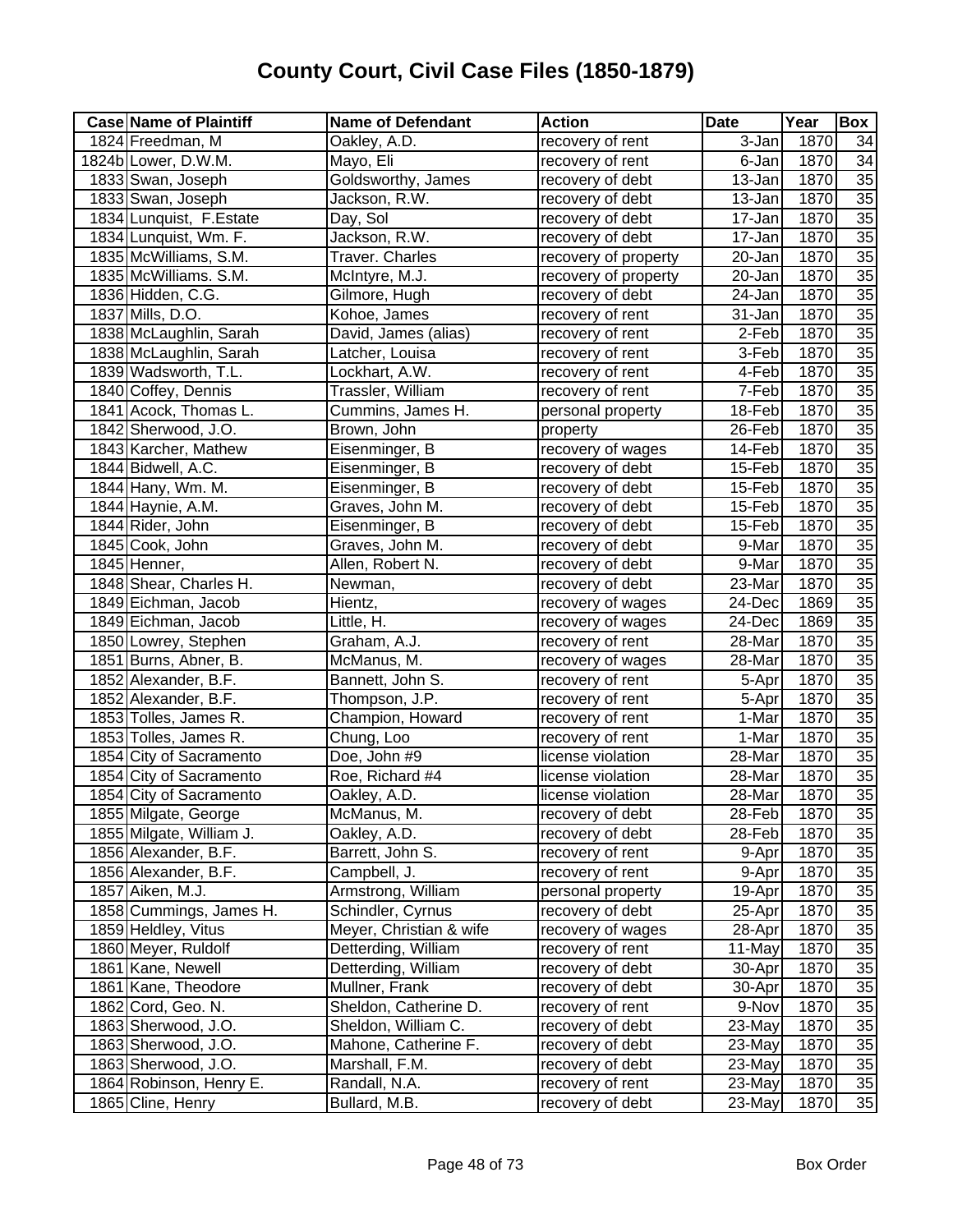| <b>Case Name of Plaintiff</b> | Name of Defendant       | <b>Action</b>        | <b>Date</b> | Year | Box             |
|-------------------------------|-------------------------|----------------------|-------------|------|-----------------|
| 1824 Freedman, M              | Oakley, A.D.            | recovery of rent     | 3-Jan       | 1870 | 34              |
| 1824b Lower, D.W.M.           | Mayo, Eli               | recovery of rent     | 6-Jan       | 1870 | $\overline{34}$ |
| 1833 Swan, Joseph             | Goldsworthy, James      | recovery of debt     | 13-Jan      | 1870 | $\overline{35}$ |
| 1833 Swan, Joseph             | Jackson, R.W.           | recovery of debt     | 13-Jan      | 1870 | 35              |
| 1834 Lunquist, F.Estate       | Day, Sol                | recovery of debt     | 17-Jan      | 1870 | 35              |
| 1834 Lunquist, Wm. F.         | Jackson, R.W.           | recovery of debt     | $17 - Jan$  | 1870 | 35              |
| 1835 McWilliams, S.M.         | Traver. Charles         | recovery of property | 20-Jan      | 1870 | 35              |
| 1835 McWilliams. S.M.         | McIntyre, M.J.          | recovery of property | 20-Jan      | 1870 | 35              |
| 1836 Hidden, C.G.             | Gilmore, Hugh           | recovery of debt     | $24 - Jan$  | 1870 | $\overline{35}$ |
| 1837 Mills, D.O.              | Kohoe, James            | recovery of rent     | 31-Jan      | 1870 | $\overline{35}$ |
| 1838 McLaughlin, Sarah        | David, James (alias)    | recovery of rent     | 2-Feb       | 1870 | $\overline{35}$ |
| 1838 McLaughlin, Sarah        | Latcher, Louisa         | recovery of rent     | 3-Feb       | 1870 | $\overline{35}$ |
| 1839 Wadsworth, T.L.          | Lockhart, A.W.          | recovery of rent     | 4-Feb       | 1870 | $\overline{35}$ |
| 1840 Coffey, Dennis           | Trassler, William       | recovery of rent     | 7-Feb       | 1870 | 35              |
| 1841 Acock, Thomas L.         | Cummins, James H.       | personal property    | 18-Feb      | 1870 | 35              |
| 1842 Sherwood, J.O.           | Brown, John             | property             | 26-Feb      | 1870 | 35              |
| 1843 Karcher, Mathew          | Eisenminger, B          | recovery of wages    | 14-Feb      | 1870 | 35              |
| 1844 Bidwell, A.C.            | Eisenminger, B          | recovery of debt     | 15-Feb      | 1870 | $\overline{35}$ |
| 1844 Hany, Wm. M.             | Eisenminger, B          | recovery of debt     | 15-Feb      | 1870 | $\overline{35}$ |
| 1844 Haynie, A.M.             | Graves, John M.         | recovery of debt     | 15-Feb      | 1870 | $\overline{35}$ |
| 1844 Rider, John              | Eisenminger, B          | recovery of debt     | 15-Feb      | 1870 | 35              |
| 1845 Cook, John               | Graves, John M.         | recovery of debt     | 9-Mar       | 1870 | 35              |
| 1845 Henner,                  | Allen, Robert N.        | recovery of debt     | 9-Mar       | 1870 | 35              |
| 1848 Shear, Charles H.        | Newman,                 | recovery of debt     | 23-Mar      | 1870 | 35              |
| 1849 Eichman, Jacob           | Hientz,                 | recovery of wages    | 24-Dec      | 1869 | 35              |
| 1849 Eichman, Jacob           | Little, H.              | recovery of wages    | 24-Dec      | 1869 | $\overline{35}$ |
| 1850 Lowrey, Stephen          | Graham, A.J.            | recovery of rent     | 28-Mar      | 1870 | $\overline{35}$ |
| 1851 Burns, Abner, B.         | McManus, M.             | recovery of wages    | 28-Mar      | 1870 | 35              |
| 1852 Alexander, B.F.          | Bannett, John S.        | recovery of rent     | 5-Apr       | 1870 | 35              |
| 1852 Alexander, B.F.          | Thompson, J.P.          | recovery of rent     | 5-Apr       | 1870 | 35              |
| 1853 Tolles, James R.         | Champion, Howard        | recovery of rent     | 1-Mar       | 1870 | $\overline{35}$ |
| 1853 Tolles, James R.         | Chung, Loo              | recovery of rent     | 1-Mar       | 1870 | 35              |
| 1854 City of Sacramento       | Doe, John #9            | license violation    | 28-Mar      | 1870 | 35              |
| 1854 City of Sacramento       | Roe, Richard #4         | license violation    | 28-Mar      | 1870 | 35              |
| 1854 City of Sacramento       | Oakley, A.D.            | license violation    | 28-Mar      | 1870 | 35              |
| 1855 Milgate, George          | McManus, M.             | recovery of debt     | 28-Feb      | 1870 | 35              |
| 1855 Milgate, William J.      | Oakley, A.D.            | recovery of debt     | 28-Feb      | 1870 | 35              |
| 1856 Alexander, B.F.          | Barrett, John S.        | recovery of rent     | 9-Apr       | 1870 | 35              |
| 1856 Alexander, B.F.          | Campbell, J.            | recovery of rent     | 9-Apr       | 1870 | 35              |
| 1857 Aiken, M.J.              | Armstrong, William      | personal property    | 19-Apr      | 1870 | 35              |
| 1858 Cummings, James H.       | Schindler, Cyrnus       | recovery of debt     | 25-Apr      | 1870 | 35              |
| 1859 Heldley, Vitus           | Meyer, Christian & wife | recovery of wages    | 28-Apr      | 1870 | 35              |
| 1860 Meyer, Ruldolf           | Detterding, William     | recovery of rent     | 11-May      | 1870 | 35              |
| 1861 Kane, Newell             | Detterding, William     | recovery of debt     | 30-Apr      | 1870 | 35              |
| 1861 Kane, Theodore           | Mullner, Frank          | recovery of debt     | 30-Apr      | 1870 | 35              |
| 1862 Cord, Geo. N.            | Sheldon, Catherine D.   | recovery of rent     | 9-Nov       | 1870 | 35              |
| 1863 Sherwood, J.O.           | Sheldon, William C.     | recovery of debt     | 23-May      | 1870 | $\overline{35}$ |
| 1863 Sherwood, J.O.           | Mahone, Catherine F.    | recovery of debt     | 23-May      | 1870 | 35              |
| 1863 Sherwood, J.O.           | Marshall, F.M.          | recovery of debt     | 23-May      | 1870 | 35              |
| 1864 Robinson, Henry E.       | Randall, N.A.           | recovery of rent     | 23-May      | 1870 | 35              |
| 1865 Cline, Henry             | Bullard, M.B.           | recovery of debt     | 23-May      | 1870 | 35              |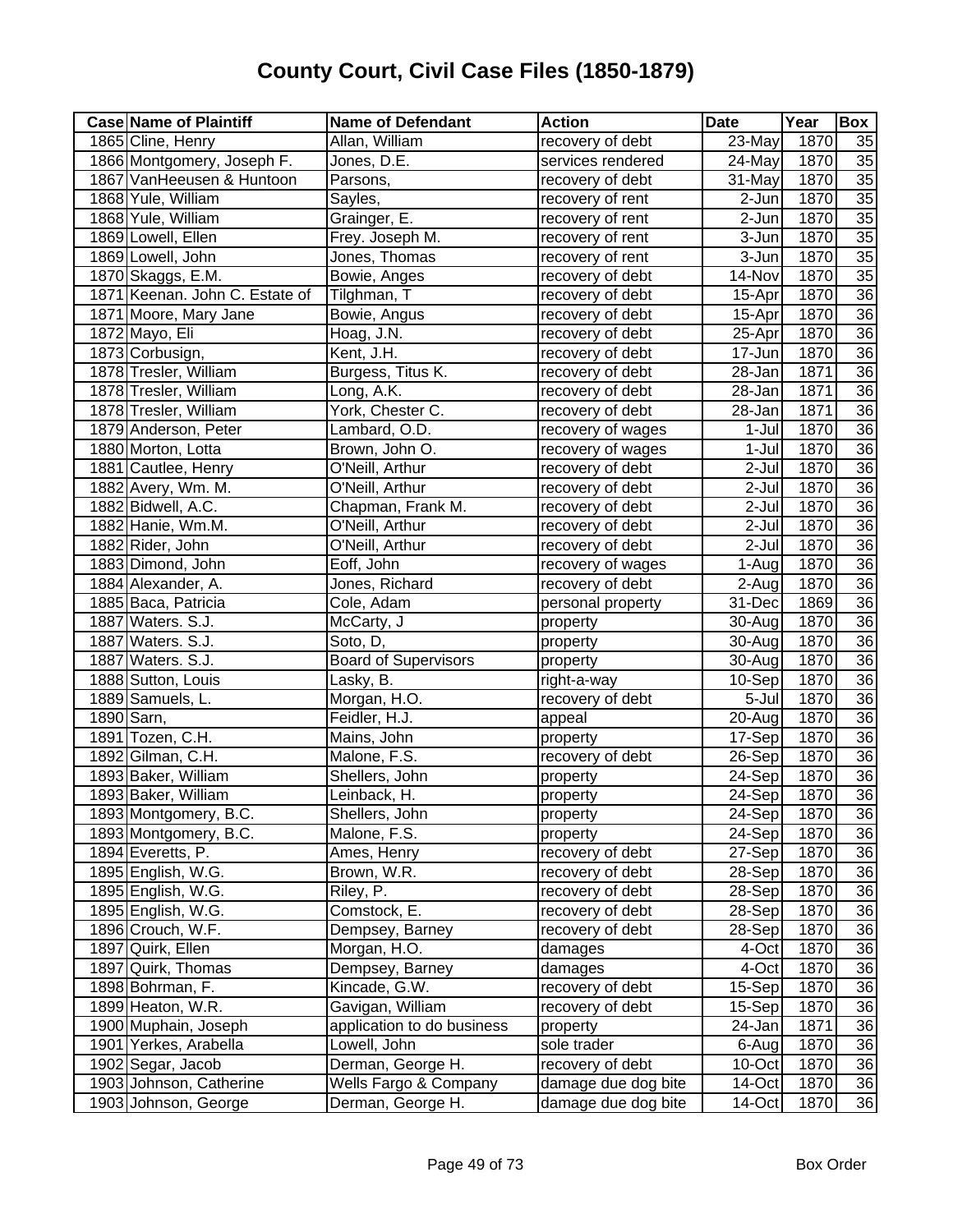| <b>Case Name of Plaintiff</b>  | <b>Name of Defendant</b>    | <b>Action</b>       | <b>Date</b>          | Year | Box             |
|--------------------------------|-----------------------------|---------------------|----------------------|------|-----------------|
| 1865 Cline, Henry              | Allan, William              | recovery of debt    | 23-May               | 1870 | 35              |
| 1866 Montgomery, Joseph F.     | Jones, D.E.                 | services rendered   | 24-May               | 1870 | 35              |
| 1867 VanHeeusen & Huntoon      | Parsons,                    | recovery of debt    | 31-May               | 1870 | 35              |
| 1868 Yule, William             | Sayles,                     | recovery of rent    | $2$ -Jun             | 1870 | $\overline{35}$ |
| 1868 Yule, William             | Grainger, E.                | recovery of rent    | 2-Jun                | 1870 | 35              |
| 1869 Lowell, Ellen             | Frey. Joseph M.             | recovery of rent    | 3-Jun                | 1870 | 35              |
| 1869 Lowell, John              | Jones, Thomas               | recovery of rent    | 3-Jun                | 1870 | 35              |
| 1870 Skaggs, E.M.              | Bowie, Anges                | recovery of debt    | 14-Nov               | 1870 | 35              |
| 1871 Keenan. John C. Estate of | Tilghman, T                 | recovery of debt    | 15-Apr               | 1870 | 36              |
| 1871 Moore, Mary Jane          | Bowie, Angus                | recovery of debt    | 15-Apr               | 1870 | 36              |
| 1872 Mayo, Eli                 | Hoag, J.N.                  | recovery of debt    | 25-Apr               | 1870 | 36              |
| 1873 Corbusign,                | Kent, J.H.                  | recovery of debt    | 17-Jun               | 1870 | $\overline{36}$ |
| 1878 Tresler, William          | Burgess, Titus K.           | recovery of debt    | 28-Jan               | 1871 | $\overline{36}$ |
| 1878 Tresler, William          | Long, A.K.                  | recovery of debt    | 28-Jan               | 1871 | $\overline{36}$ |
| 1878 Tresler, William          | York, Chester C.            | recovery of debt    | 28-Jan               | 1871 | $\overline{36}$ |
| 1879 Anderson, Peter           | Lambard, O.D.               | recovery of wages   | 1-Jul                | 1870 | 36              |
| 1880 Morton, Lotta             | Brown, John O.              | recovery of wages   | $1-Jul$              | 1870 | 36              |
| 1881 Cautlee, Henry            | O'Neill, Arthur             | recovery of debt    | 2-Jul                | 1870 | $\overline{36}$ |
| 1882 Avery, Wm. M.             | O'Neill, Arthur             | recovery of debt    | 2-Jul                | 1870 | $\overline{36}$ |
| 1882 Bidwell, A.C.             | Chapman, Frank M.           | recovery of debt    | $2-Jul$              | 1870 | 36              |
| 1882 Hanie, Wm.M.              | O'Neill, Arthur             | recovery of debt    | $2-Jul$              | 1870 | $\overline{36}$ |
| 1882 Rider, John               | O'Neill, Arthur             | recovery of debt    | 2-Jul                | 1870 | $\overline{36}$ |
| 1883 Dimond, John              | Eoff, John                  | recovery of wages   | 1-Aug                | 1870 | 36              |
| 1884 Alexander, A.             | Jones, Richard              | recovery of debt    | 2-Aug                | 1870 | 36              |
| 1885 Baca, Patricia            | Cole, Adam                  | personal property   | 31-Dec               | 1869 | 36              |
| 1887 Waters. S.J.              | McCarty, J                  | property            | 30-Aug               | 1870 | 36              |
| 1887 Waters. S.J.              | Soto, D,                    | property            | 30-Aug               | 1870 | 36              |
| 1887 Waters. S.J.              | <b>Board of Supervisors</b> | property            | 30-Aug               | 1870 | 36              |
| 1888 Sutton, Louis             | Lasky, B.                   | right-a-way         | 10-Sep               | 1870 | 36              |
| 1889 Samuels, L.               | Morgan, H.O.                | recovery of debt    | 5-Jul                | 1870 | 36              |
| 1890 Sarn,                     | Feidler, H.J.               | appeal              | $\overline{2}0$ -Aug | 1870 | 36              |
| 1891 Tozen, C.H.               | Mains, John                 | property            | 17-Sep               | 1870 | $\overline{36}$ |
| 1892 Gilman, C.H.              | Malone, F.S.                | recovery of debt    | 26-Sep               | 1870 | 36              |
| 1893 Baker, William            | Shellers, John              | property            | 24-Sep               | 1870 | 36              |
| 1893 Baker, William            | Leinback, H.                | property            | 24-Sep               | 1870 | 36              |
| 1893 Montgomery, B.C.          | Shellers, John              | property            | 24-Sep               | 1870 | 36              |
| 1893 Montgomery, B.C.          | Malone, F.S.                | property            | $24-Sep$             | 1870 | $\overline{36}$ |
| 1894 Everetts, P.              | Ames, Henry                 | recovery of debt    | 27-Sep               | 1870 | 36              |
| 1895 English, W.G.             | Brown, W.R.                 | recovery of debt    | 28-Sep               | 1870 | 36              |
| 1895 English, W.G.             | Riley, P.                   | recovery of debt    | 28-Sep               | 1870 | 36              |
| 1895 English, W.G.             | Comstock, E.                | recovery of debt    | 28-Sep               | 1870 | 36              |
| 1896 Crouch, W.F.              | Dempsey, Barney             | recovery of debt    | 28-Sep               | 1870 | 36              |
| 1897 Quirk, Ellen              | Morgan, H.O.                | damages             | 4-Oct                | 1870 | 36              |
| 1897 Quirk, Thomas             | Dempsey, Barney             | damages             | 4-Oct                | 1870 | 36              |
| 1898 Bohrman, F.               | Kincade, G.W.               | recovery of debt    | 15-Sep               | 1870 | 36              |
| 1899 Heaton, W.R.              | Gavigan, William            | recovery of debt    | 15-Sep               | 1870 | 36              |
| 1900 Muphain, Joseph           | application to do business  | property            | 24-Jan               | 1871 | 36              |
| 1901 Yerkes, Arabella          | Lowell, John                | sole trader         | 6-Aug                | 1870 | 36              |
| 1902 Segar, Jacob              | Derman, George H.           | recovery of debt    | 10-Oct               | 1870 | 36              |
| 1903 Johnson, Catherine        | Wells Fargo & Company       | damage due dog bite | 14-Oct               | 1870 | 36              |
| 1903 Johnson, George           | Derman, George H.           | damage due dog bite | 14-Oct               | 1870 | $\overline{36}$ |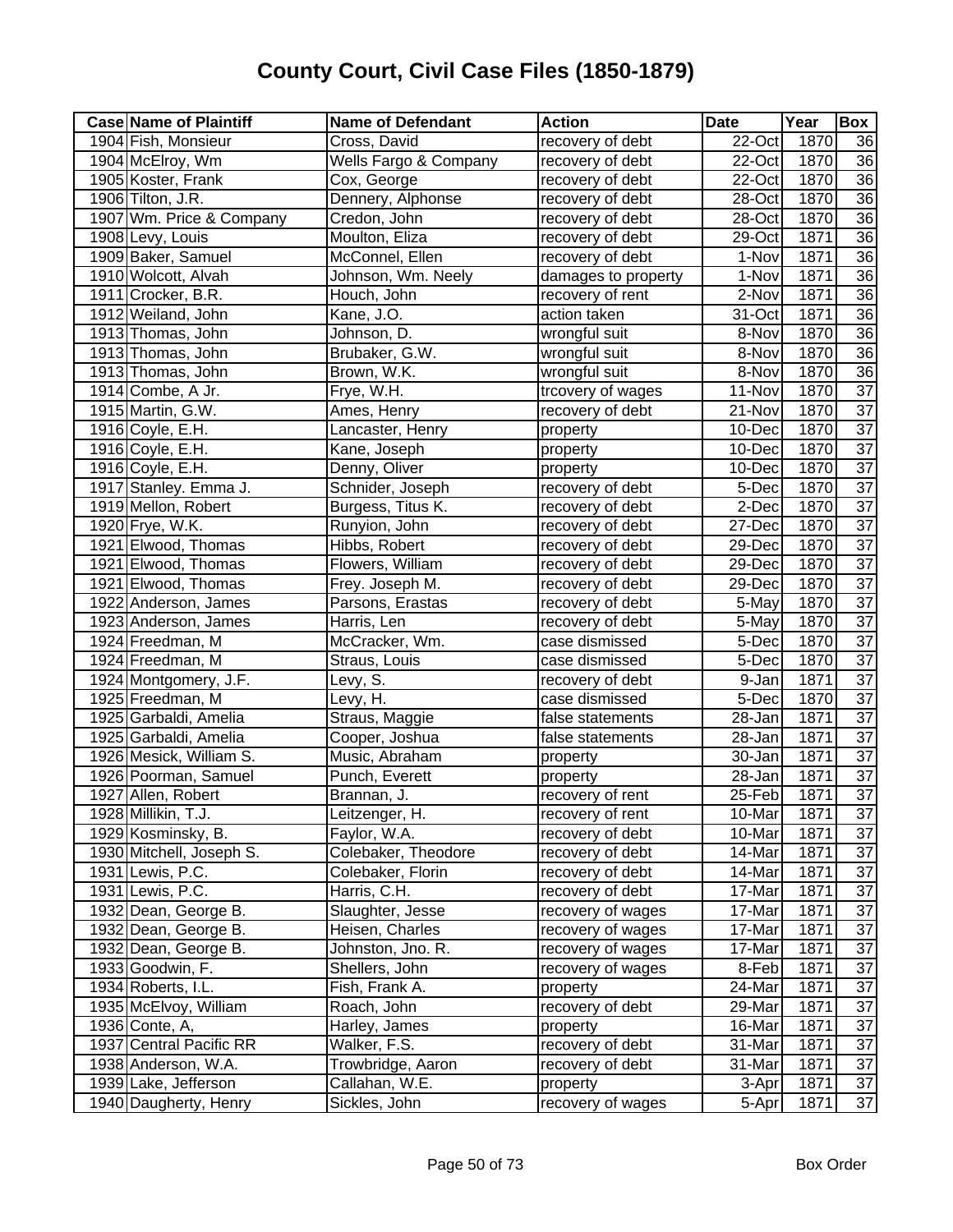| <b>Case Name of Plaintiff</b> | <b>Name of Defendant</b>         | <b>Action</b>       | <b>Date</b>          | Year | <b>Box</b>      |
|-------------------------------|----------------------------------|---------------------|----------------------|------|-----------------|
| 1904 Fish, Monsieur           | Cross, David                     | recovery of debt    | 22-Oct               | 1870 | 36              |
| 1904 McElroy, Wm              | <b>Wells Fargo &amp; Company</b> | recovery of debt    | $\overline{2}$ 2-Oct | 1870 | 36              |
| 1905 Koster, Frank            | Cox, George                      | recovery of debt    | 22-Oct               | 1870 | 36              |
| 1906 Tilton, J.R.             | Dennery, Alphonse                | recovery of debt    | 28-Oct               | 1870 | 36              |
| 1907 Wm. Price & Company      | Credon, John                     | recovery of debt    | 28-Oct               | 1870 | $\overline{36}$ |
| 1908 Levy, Louis              | Moulton, Eliza                   | recovery of debt    | 29-Oct               | 1871 | 36              |
| 1909 Baker, Samuel            | McConnel, Ellen                  | recovery of debt    | 1-Nov                | 1871 | 36              |
| 1910 Wolcott, Alvah           | Johnson, Wm. Neely               | damages to property | 1-Nov                | 1871 | 36              |
| 1911 Crocker, B.R.            | Houch, John                      | recovery of rent    | 2-Nov                | 1871 | 36              |
| 1912 Weiland, John            | Kane, J.O.                       | action taken        | 31-Oct               | 1871 | 36              |
| 1913 Thomas, John             | Johnson, D.                      | wrongful suit       | 8-Nov                | 1870 | $\overline{36}$ |
| 1913 Thomas, John             | Brubaker, G.W.                   | wrongful suit       | 8-Nov                | 1870 | $\overline{36}$ |
| 1913 Thomas, John             | Brown, W.K.                      | wrongful suit       | 8-Nov                | 1870 | $\overline{36}$ |
| 1914 Combe, A Jr.             | Frye, W.H.                       | trcovery of wages   | 11-Nov               | 1870 | $\overline{37}$ |
| 1915 Martin, G.W.             | Ames, Henry                      | recovery of debt    | 21-Nov               | 1870 | $\overline{37}$ |
| 1916 Coyle, E.H.              | Lancaster, Henry                 | property            | 10-Dec               | 1870 | $\overline{37}$ |
| 1916 Coyle, E.H.              | Kane, Joseph                     | property            | 10-Dec               | 1870 | $\overline{37}$ |
| 1916 Coyle, E.H.              | Denny, Oliver                    | property            | 10-Dec               | 1870 | $\overline{37}$ |
| 1917 Stanley. Emma J.         | Schnider, Joseph                 | recovery of debt    | 5-Dec                | 1870 | $\overline{37}$ |
| 1919 Mellon, Robert           | Burgess, Titus K.                | recovery of debt    | 2-Dec                | 1870 | $\overline{37}$ |
| 1920 Frye, W.K.               | Runyion, John                    | recovery of debt    | 27-Dec               | 1870 | $\overline{37}$ |
| 1921 Elwood, Thomas           | Hibbs, Robert                    | recovery of debt    | 29-Dec               | 1870 | $\overline{37}$ |
| 1921 Elwood, Thomas           | Flowers, William                 | recovery of debt    | 29-Dec               | 1870 | $\overline{37}$ |
| 1921 Elwood, Thomas           | Frey. Joseph M.                  | recovery of debt    | 29-Dec               | 1870 | $\overline{37}$ |
| 1922 Anderson, James          | Parsons, Erastas                 | recovery of debt    | 5-May                | 1870 | 37              |
| 1923 Anderson, James          | Harris, Len                      | recovery of debt    | 5-May                | 1870 | $\overline{37}$ |
| 1924 Freedman, M              | McCracker, Wm.                   | case dismissed      | 5-Dec                | 1870 | $\overline{37}$ |
| 1924 Freedman, M              | Straus, Louis                    | case dismissed      | 5-Dec                | 1870 | $\overline{37}$ |
| 1924 Montgomery, J.F.         | Levy, S.                         | recovery of debt    | 9-Jan                | 1871 | $\overline{37}$ |
| 1925 Freedman, M              | Levy, H.                         | case dismissed      | 5-Dec                | 1870 | $\overline{37}$ |
| 1925 Garbaldi, Amelia         | Straus, Maggie                   | false statements    | 28-Jan               | 1871 | 37              |
| 1925 Garbaldi, Amelia         | Cooper, Joshua                   | false statements    | 28-Jan               | 1871 | $\overline{37}$ |
| 1926 Mesick, William S.       | Music, Abraham                   | property            | 30-Jan               | 1871 | 37              |
| 1926 Poorman, Samuel          | Punch, Everett                   | property            | 28-Jan               | 1871 | $\overline{37}$ |
| 1927 Allen, Robert            | Brannan, J.                      | recovery of rent    | 25-Feb               | 1871 | $\overline{37}$ |
| 1928 Millikin, T.J.           | Leitzenger, H.                   | recovery of rent    | 10-Mar               | 1871 | 37              |
| 1929 Kosminsky, B.            | Faylor, W.A.                     | recovery of debt    | 10-Mar               | 1871 | $\overline{37}$ |
| 1930 Mitchell, Joseph S.      | Colebaker, Theodore              | recovery of debt    | 14-Mar               | 1871 | 37              |
| 1931 Lewis, P.C.              | Colebaker, Florin                | recovery of debt    | 14-Mar               | 1871 | 37              |
| 1931 Lewis, P.C.              | Harris, C.H.                     | recovery of debt    | 17-Mar               | 1871 | $\overline{37}$ |
| 1932 Dean, George B.          | Slaughter, Jesse                 | recovery of wages   | 17-Mar               | 1871 | $\overline{37}$ |
| 1932 Dean, George B.          | Heisen, Charles                  | recovery of wages   | 17-Mar               | 1871 | 37              |
| 1932 Dean, George B.          | Johnston, Jno. R.                | recovery of wages   | 17-Mar               | 1871 | 37              |
| 1933 Goodwin, F.              | Shellers, John                   | recovery of wages   | 8-Feb                | 1871 | 37              |
| 1934 Roberts, I.L.            | Fish, Frank A.                   | property            | 24-Mar               | 1871 | $\overline{37}$ |
| 1935 McElvoy, William         | Roach, John                      | recovery of debt    | 29-Mar               | 1871 | 37              |
| 1936 Conte, A,                | Harley, James                    | property            | 16-Mar               | 1871 | $\overline{37}$ |
| 1937 Central Pacific RR       | Walker, F.S.                     | recovery of debt    | 31-Mar               | 1871 | $\overline{37}$ |
| 1938 Anderson, W.A.           | Trowbridge, Aaron                | recovery of debt    | 31-Mar               | 1871 | $\overline{37}$ |
| 1939 Lake, Jefferson          | Callahan, W.E.                   | property            | 3-Apr                | 1871 | 37              |
| 1940 Daugherty, Henry         | Sickles, John                    | recovery of wages   | 5-Apr                | 1871 | $\overline{37}$ |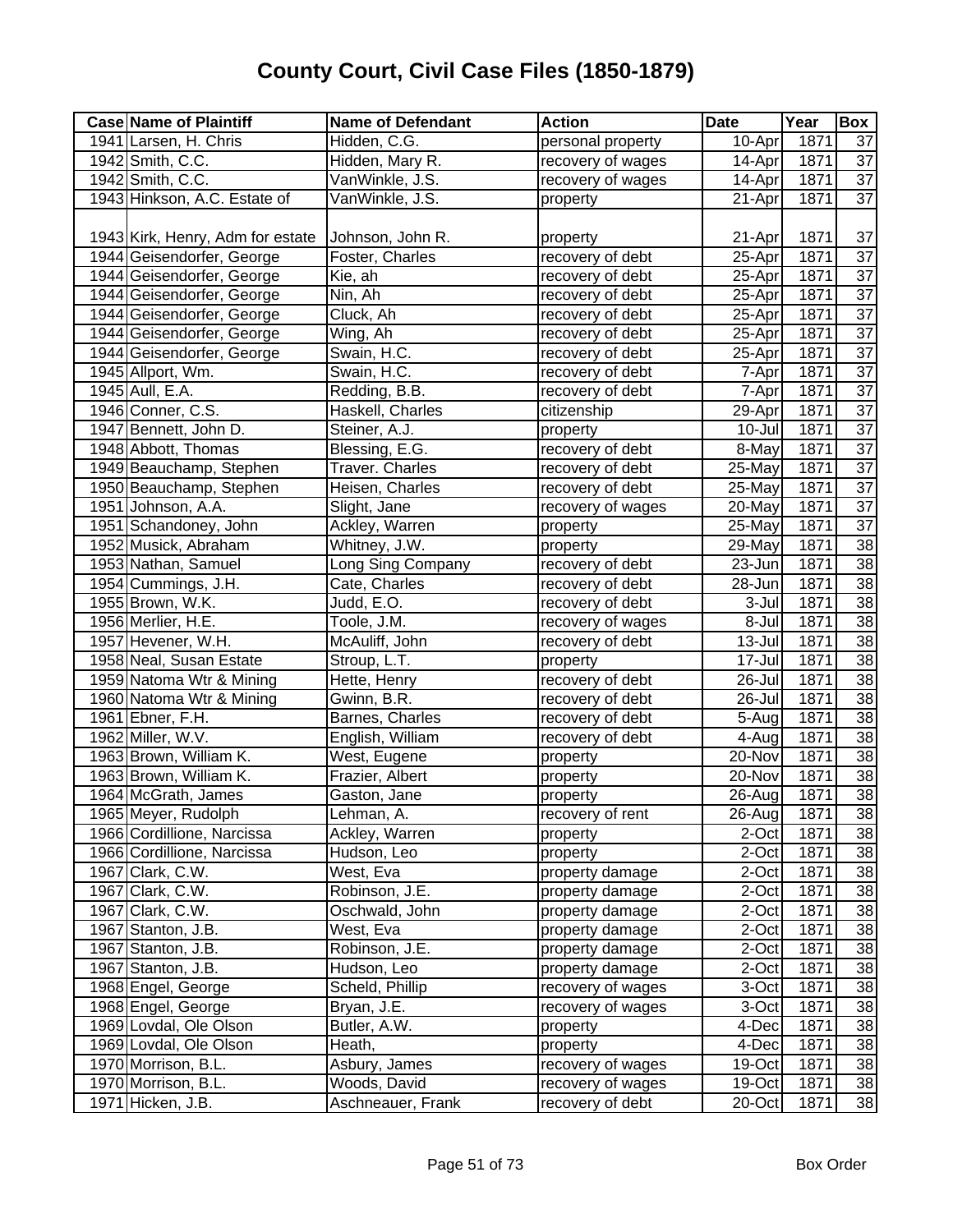| <b>Case Name of Plaintiff</b>    | <b>Name of Defendant</b> | <b>Action</b>     | <b>Date</b>          | Year | Box             |
|----------------------------------|--------------------------|-------------------|----------------------|------|-----------------|
| 1941 Larsen, H. Chris            | Hidden, C.G.             | personal property | 10-Apr               | 1871 | 37              |
| 1942 Smith, C.C.                 | Hidden, Mary R.          | recovery of wages | 14-Apr               | 1871 | $\overline{37}$ |
| 1942 Smith, C.C.                 | VanWinkle, J.S.          | recovery of wages | $14$ -Apr            | 1871 | $\overline{37}$ |
| 1943 Hinkson, A.C. Estate of     | VanWinkle, J.S.          | property          | $\overline{2}$ 1-Apr | 1871 | $\overline{37}$ |
|                                  |                          |                   |                      |      |                 |
| 1943 Kirk, Henry, Adm for estate | Johnson, John R.         | property          | 21-Apr               | 1871 | 37              |
| 1944 Geisendorfer, George        | Foster, Charles          | recovery of debt  | 25-Apr               | 1871 | $\overline{37}$ |
| 1944 Geisendorfer, George        | Kie, ah                  | recovery of debt  | 25-Apr               | 1871 | $\overline{37}$ |
| 1944 Geisendorfer, George        | Nin, Ah                  | recovery of debt  | 25-Apr               | 1871 | $\overline{37}$ |
| 1944 Geisendorfer, George        | Cluck, Ah                | recovery of debt  | 25-Apr               | 1871 | $\overline{37}$ |
| 1944 Geisendorfer, George        | Wing, Ah                 | recovery of debt  | 25-Apr               | 1871 | 37              |
| 1944 Geisendorfer, George        | Swain, H.C.              | recovery of debt  | 25-Apr               | 1871 | $\overline{37}$ |
| 1945 Allport, Wm.                | Swain, H.C.              | recovery of debt  | 7-Apr                | 1871 | $\overline{37}$ |
| 1945 Aull, E.A.                  | Redding, B.B.            | recovery of debt  | 7-Apr                | 1871 | $\overline{37}$ |
| 1946 Conner, C.S.                | Haskell, Charles         | citizenship       | 29-Apr               | 1871 | $\overline{37}$ |
| 1947 Bennett, John D.            | Steiner, A.J.            | property          | 10-Jul               | 1871 | $\overline{37}$ |
| 1948 Abbott, Thomas              | Blessing, E.G.           | recovery of debt  | 8-May                | 1871 | $\overline{37}$ |
| 1949 Beauchamp, Stephen          | <b>Traver. Charles</b>   | recovery of debt  | 25-May               | 1871 | $\overline{37}$ |
| 1950 Beauchamp, Stephen          | Heisen, Charles          | recovery of debt  | 25-May               | 1871 | $\overline{37}$ |
| 1951 Johnson, A.A.               | Slight, Jane             | recovery of wages | 20-May               | 1871 | $\overline{37}$ |
| 1951 Schandoney, John            | Ackley, Warren           | property          | 25-May               | 1871 | $\overline{37}$ |
| 1952 Musick, Abraham             | Whitney, J.W.            | property          | 29-May               | 1871 | 38              |
| 1953 Nathan, Samuel              | Long Sing Company        | recovery of debt  | 23-Jun               | 1871 | $\overline{38}$ |
| 1954 Cummings, J.H.              | Cate, Charles            | recovery of debt  | 28-Jun               | 1871 | $\overline{38}$ |
| 1955 Brown, W.K.                 | Judd, E.O.               | recovery of debt  | 3-Jul                | 1871 | $\overline{38}$ |
| 1956 Merlier, H.E.               | Toole, J.M.              | recovery of wages | 8-Jul                | 1871 | 38              |
| 1957 Hevener, W.H.               | McAuliff, John           | recovery of debt  | 13-Jul               | 1871 | 38              |
| 1958 Neal, Susan Estate          | Stroup, L.T.             | property          | 17-Jul               | 1871 | $\overline{38}$ |
| 1959 Natoma Wtr & Mining         | Hette, Henry             | recovery of debt  | 26-Jul               | 1871 | 38              |
| 1960 Natoma Wtr & Mining         | Gwinn, B.R.              | recovery of debt  | 26-Jul               | 1871 | 38              |
| 1961 Ebner, F.H.                 | Barnes, Charles          | recovery of debt  | 5-Aug                | 1871 | 38              |
| 1962 Miller, W.V.                | English, William         | recovery of debt  | 4-Aug                | 1871 | $\overline{38}$ |
| 1963 Brown, William K.           | West, Eugene             | property          | 20-Nov               | 1871 | 38              |
| 1963 Brown, William K.           | Frazier, Albert          | property          | 20-Nov               | 1871 | 38              |
| 1964 McGrath, James              | Gaston, Jane             | property          | 26-Aug               | 1871 | 38              |
| 1965 Meyer, Rudolph              | Lehman, A.               | recovery of rent  | 26-Aug               | 1871 | 38              |
| 1966 Cordillione, Narcissa       | Ackley, Warren           | property          | 2-Oct                | 1871 | 38              |
| 1966 Cordillione, Narcissa       | Hudson, Leo              | property          | 2-Oct                | 1871 | 38              |
| 1967 Clark, C.W.                 | West, Eva                | property damage   | 2-Oct                | 1871 | 38              |
| 1967 Clark, C.W.                 | Robinson, J.E.           | property damage   | 2-Oct                | 1871 | 38              |
| 1967 Clark, C.W.                 | Oschwald, John           | property damage   | 2-Oct                | 1871 | 38              |
| 1967 Stanton, J.B.               | West, Eva                | property damage   | 2-Oct                | 1871 | 38              |
| 1967 Stanton, J.B.               | Robinson, J.E.           | property damage   | 2-Oct                | 1871 | 38              |
| 1967 Stanton, J.B.               | Hudson, Leo              | property damage   | 2-Oct                | 1871 | 38              |
| 1968 Engel, George               | Scheld, Phillip          | recovery of wages | 3-Oct                | 1871 | 38              |
| 1968 Engel, George               | Bryan, J.E.              | recovery of wages | 3-Oct                | 1871 | 38              |
| 1969 Lovdal, Ole Olson           | Butler, A.W.             | property          | 4-Dec                | 1871 | 38              |
| 1969 Lovdal, Ole Olson           | Heath,                   | property          | 4-Dec                | 1871 | 38              |
| 1970 Morrison, B.L.              | Asbury, James            | recovery of wages | 19-Oct               | 1871 | 38              |
| 1970 Morrison, B.L.              | Woods, David             | recovery of wages | 19-Oct               | 1871 | 38              |
| 1971 Hicken, J.B.                | Aschneauer, Frank        | recovery of debt  | 20-Oct               | 1871 | 38              |
|                                  |                          |                   |                      |      |                 |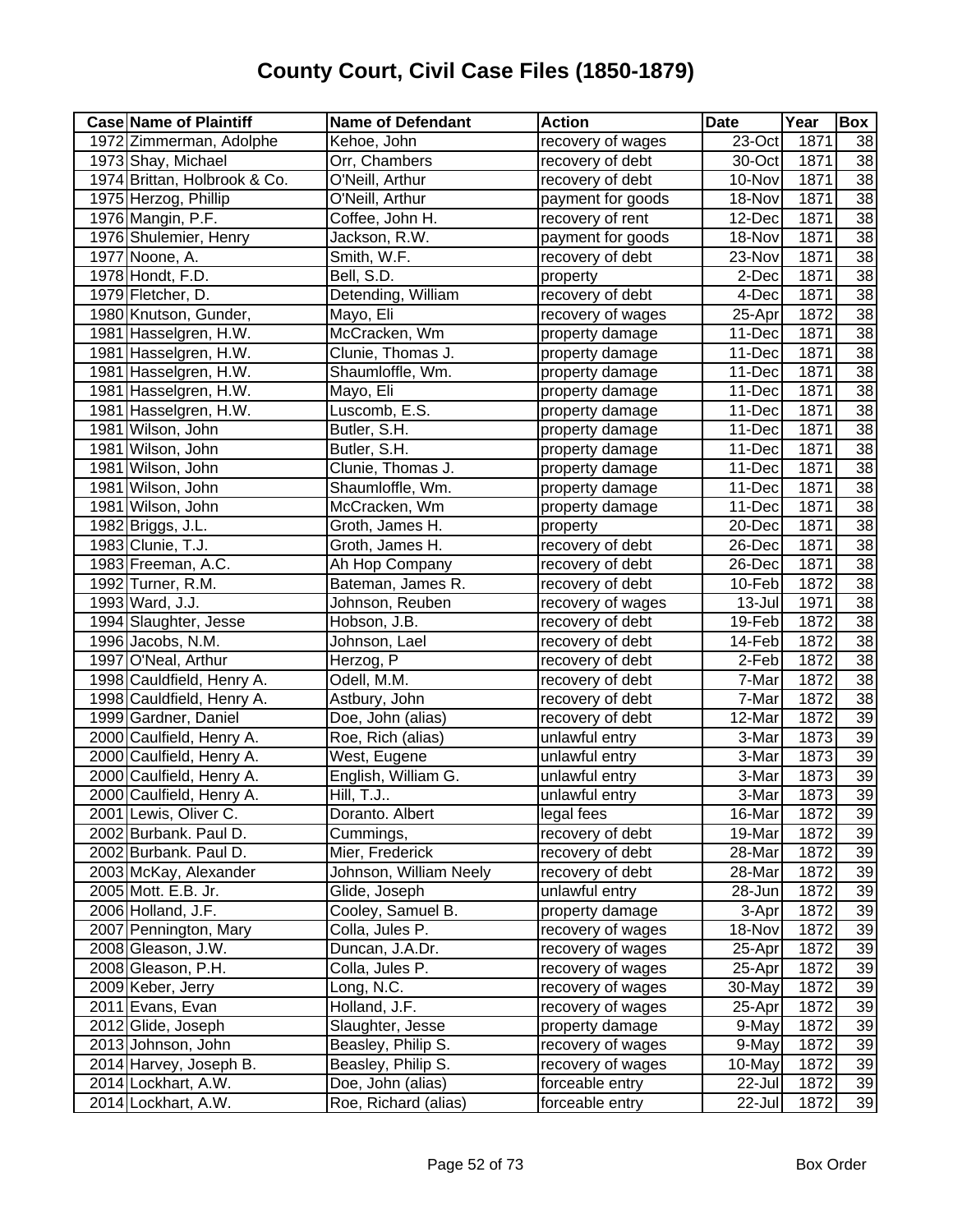| <b>Case Name of Plaintiff</b> | <b>Name of Defendant</b> | <b>Action</b>     | <b>Date</b>          | Year | Box             |
|-------------------------------|--------------------------|-------------------|----------------------|------|-----------------|
| 1972 Zimmerman, Adolphe       | Kehoe, John              | recovery of wages | 23-Oct               | 1871 | 38              |
| 1973 Shay, Michael            | Orr, Chambers            | recovery of debt  | 30-Oct               | 1871 | $\overline{38}$ |
| 1974 Brittan, Holbrook & Co.  | O'Neill, Arthur          | recovery of debt  | 10-Nov               | 1871 | $\overline{38}$ |
| 1975 Herzog, Phillip          | O'Neill, Arthur          | payment for goods | 18-Nov               | 1871 | $\overline{38}$ |
| 1976 Mangin, P.F.             | Coffee, John H.          | recovery of rent  | $\overline{1}$ 2-Dec | 1871 | 38              |
| 1976 Shulemier, Henry         | Jackson, R.W.            | payment for goods | 18-Nov               | 1871 | 38              |
| 1977 Noone, A.                | Smith, W.F.              | recovery of debt  | 23-Nov               | 1871 | 38              |
| 1978 Hondt, F.D.              | Bell, S.D.               | property          | 2-Dec                | 1871 | 38              |
| 1979 Fletcher, D.             | Detending, William       | recovery of debt  | 4-Dec                | 1871 | $\overline{38}$ |
| 1980 Knutson, Gunder,         | Mayo, Eli                | recovery of wages | 25-Apr               | 1872 | 38              |
| 1981 Hasselgren, H.W.         | McCracken, Wm            | property damage   | 11-Dec               | 1871 | $\overline{38}$ |
| 1981 Hasselgren, H.W.         | Clunie, Thomas J.        | property damage   | 11-Dec               | 1871 | $\overline{38}$ |
| 1981 Hasselgren, H.W.         | Shaumloffle, Wm.         | property damage   | 11-Dec               | 1871 | 38              |
| 1981 Hasselgren, H.W.         | Mayo, Eli                | property damage   | 11-Dec               | 1871 | $\overline{38}$ |
| 1981 Hasselgren, H.W.         | Luscomb, E.S.            | property damage   | 11-Dec               | 1871 | $\overline{38}$ |
| 1981 Wilson, John             | Butler, S.H.             | property damage   | 11-Dec               | 1871 | $\overline{38}$ |
| 1981 Wilson, John             | Butler, S.H.             | property damage   | 11-Dec               | 1871 | $\overline{38}$ |
| 1981 Wilson, John             | Clunie, Thomas J.        | property damage   | 11-Dec               | 1871 | $\overline{38}$ |
| 1981 Wilson, John             | Shaumloffle, Wm.         | property damage   | 11-Dec               | 1871 | 38              |
| 1981 Wilson, John             | McCracken, Wm            | property damage   | 11-Dec               | 1871 | 38              |
| 1982 Briggs, J.L.             | Groth, James H.          | property          | 20-Dec               | 1871 | $\overline{38}$ |
| 1983 Clunie, T.J.             | Groth, James H.          | recovery of debt  | 26-Dec               | 1871 | 38              |
| 1983 Freeman, A.C.            | Ah Hop Company           | recovery of debt  | 26-Dec               | 1871 | 38              |
| 1992 Turner, R.M.             | Bateman, James R.        | recovery of debt  | 10-Feb               | 1872 | $\overline{38}$ |
| 1993 Ward, J.J.               | Johnson, Reuben          | recovery of wages | 13-Jul               | 1971 | $\overline{38}$ |
| 1994 Slaughter, Jesse         | Hobson, J.B.             | recovery of debt  | 19-Feb               | 1872 | 38              |
| 1996 Jacobs, N.M.             | Johnson, Lael            | recovery of debt  | 14-Feb               | 1872 | $\overline{38}$ |
| 1997 O'Neal, Arthur           | Herzog, P                | recovery of debt  | 2-Feb                | 1872 | 38              |
| 1998 Cauldfield, Henry A.     | Odell, M.M.              | recovery of debt  | 7-Mar                | 1872 | 38              |
| 1998 Cauldfield, Henry A.     | Astbury, John            | recovery of debt  | 7-Mar                | 1872 | 38              |
| 1999 Gardner, Daniel          | Doe, John (alias)        | recovery of debt  | 12-Mar               | 1872 | 39              |
| 2000 Caulfield, Henry A.      | Roe, Rich (alias)        | unlawful entry    | 3-Mar                | 1873 | 39              |
| 2000 Caulfield, Henry A.      | West, Eugene             | unlawful entry    | 3-Mar                | 1873 | 39              |
| 2000 Caulfield, Henry A.      | English, William G.      | unlawful entry    | 3-Mar                | 1873 | 39              |
| 2000 Caulfield, Henry A.      | Hill, T.J                | unlawful entry    | 3-Mar                | 1873 | 39              |
| 2001 Lewis, Oliver C.         | Doranto. Albert          | legal fees        | 16-Mar               | 1872 | 39              |
| 2002 Burbank. Paul D.         | Cummings,                | recovery of debt  | 19-Mar               | 1872 | 39              |
| 2002 Burbank. Paul D.         | Mier, Frederick          | recovery of debt  | 28-Mar               | 1872 | 39              |
| 2003 McKay, Alexander         | Johnson, William Neely   | recovery of debt  | 28-Mar               | 1872 | 39              |
| 2005 Mott. E.B. Jr.           | Glide, Joseph            | unlawful entry    | 28-Jun               | 1872 | 39              |
| 2006 Holland, J.F.            | Cooley, Samuel B.        | property damage   | 3-Apr                | 1872 | 39              |
| 2007 Pennington, Mary         | Colla, Jules P.          | recovery of wages | 18-Nov               | 1872 | 39              |
| 2008 Gleason, J.W.            | Duncan, J.A.Dr.          | recovery of wages | 25-Apr               | 1872 | 39              |
| 2008 Gleason, P.H.            | Colla, Jules P.          | recovery of wages | 25-Apr               | 1872 | 39              |
| 2009 Keber, Jerry             | Long, N.C.               | recovery of wages | 30-May               | 1872 | 39              |
| 2011 Evans, Evan              | Holland, J.F.            | recovery of wages | 25-Apr               | 1872 | 39              |
| 2012 Glide, Joseph            | Slaughter, Jesse         | property damage   | 9-May                | 1872 | 39              |
| 2013 Johnson, John            | Beasley, Philip S.       | recovery of wages | 9-May                | 1872 | 39              |
| 2014 Harvey, Joseph B.        | Beasley, Philip S.       | recovery of wages | 10-May               | 1872 | 39              |
| 2014 Lockhart, A.W.           | Doe, John (alias)        | forceable entry   | 22-Jul               | 1872 | $\overline{39}$ |
| 2014 Lockhart, A.W.           | Roe, Richard (alias)     | forceable entry   | 22-Jul               | 1872 | $\overline{39}$ |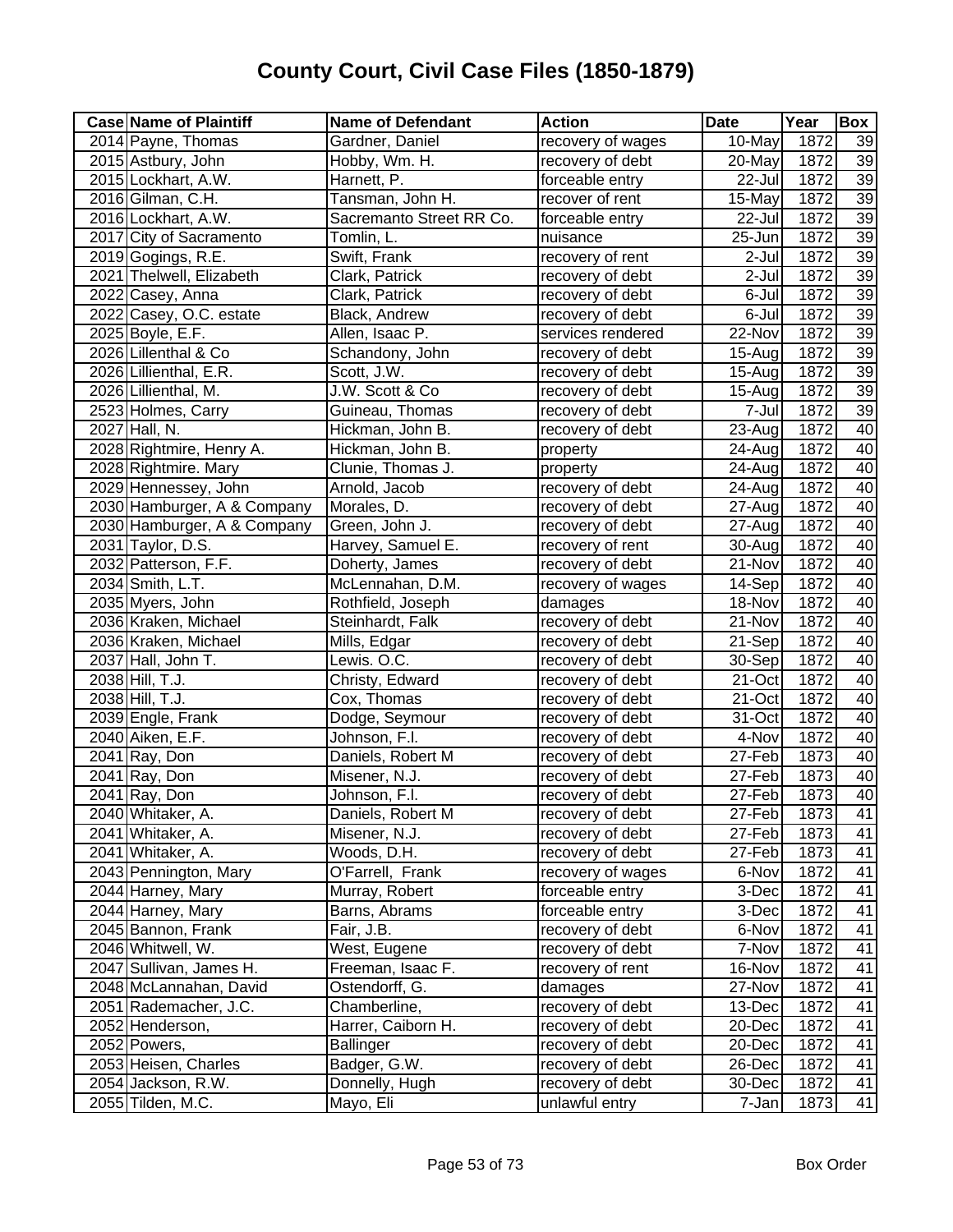| <b>Case Name of Plaintiff</b> | <b>Name of Defendant</b> | <b>Action</b>     | <b>Date</b> | Year | Box |
|-------------------------------|--------------------------|-------------------|-------------|------|-----|
| 2014 Payne, Thomas            | Gardner, Daniel          | recovery of wages | 10-May      | 1872 | 39  |
| 2015 Astbury, John            | Hobby, Wm. H.            | recovery of debt  | $20$ -May   | 1872 | 39  |
| 2015 Lockhart, A.W.           | Harnett, P.              | forceable entry   | 22-Jul      | 1872 | 39  |
| 2016 Gilman, C.H.             | Tansman, John H.         | recover of rent   | 15-May      | 1872 | 39  |
| 2016 Lockhart, A.W.           | Sacremanto Street RR Co. | forceable entry   | 22-Jul      | 1872 | 39  |
| 2017 City of Sacramento       | Tomlin, L.               | nuisance          | 25-Jun      | 1872 | 39  |
| 2019 Gogings, R.E.            | Swift, Frank             | recovery of rent  | 2-Jul       | 1872 | 39  |
| 2021 Thelwell, Elizabeth      | Clark, Patrick           | recovery of debt  | 2-Jul       | 1872 | 39  |
| 2022 Casey, Anna              | Clark, Patrick           | recovery of debt  | 6-Jul       | 1872 | 39  |
| 2022 Casey, O.C. estate       | <b>Black, Andrew</b>     | recovery of debt  | 6-Jul       | 1872 | 39  |
| 2025 Boyle, E.F.              | Allen, Isaac P.          | services rendered | 22-Nov      | 1872 | 39  |
| 2026 Lillenthal & Co          | Schandony, John          | recovery of debt  | $15 - Aug$  | 1872 | 39  |
| 2026 Lillienthal, E.R.        | Scott, J.W.              | recovery of debt  | 15-Aug      | 1872 | 39  |
| 2026 Lillienthal, M.          | J.W. Scott & Co          | recovery of debt  | $15 - Aug$  | 1872 | 39  |
| 2523 Holmes, Carry            | Guineau, Thomas          | recovery of debt  | 7-Jul       | 1872 | 39  |
| 2027 Hall, N.                 | Hickman, John B.         | recovery of debt  | 23-Aug      | 1872 | 40  |
| 2028 Rightmire, Henry A.      | Hickman, John B.         | property          | 24-Aug      | 1872 | 40  |
| 2028 Rightmire. Mary          | Clunie, Thomas J.        | property          | 24-Aug      | 1872 | 40  |
| 2029 Hennessey, John          | Arnold, Jacob            | recovery of debt  | 24-Aug      | 1872 | 40  |
| 2030 Hamburger, A & Company   | Morales, D.              | recovery of debt  | 27-Aug      | 1872 | 40  |
| 2030 Hamburger, A & Company   | Green, John J.           | recovery of debt  | 27-Aug      | 1872 | 40  |
| 2031 Taylor, D.S.             | Harvey, Samuel E.        | recovery of rent  | 30-Aug      | 1872 | 40  |
| 2032 Patterson, F.F.          | Doherty, James           | recovery of debt  | 21-Nov      | 1872 | 40  |
| 2034 Smith, L.T.              | McLennahan, D.M.         | recovery of wages | 14-Sep      | 1872 | 40  |
| 2035 Myers, John              | Rothfield, Joseph        | damages           | 18-Nov      | 1872 | 40  |
| 2036 Kraken, Michael          | Steinhardt, Falk         | recovery of debt  | 21-Nov      | 1872 | 40  |
| 2036 Kraken, Michael          | Mills, Edgar             | recovery of debt  | 21-Sep      | 1872 | 40  |
| 2037 Hall, John T.            | Lewis. O.C.              | recovery of debt  | 30-Sep      | 1872 | 40  |
| 2038 Hill, T.J.               | Christy, Edward          | recovery of debt  | 21-Oct      | 1872 | 40  |
| 2038 Hill, T.J.               | Cox, Thomas              | recovery of debt  | 21-Oct      | 1872 | 40  |
| 2039 Engle, Frank             | Dodge, Seymour           | recovery of debt  | 31-Oct      | 1872 | 40  |
| 2040 Aiken, E.F.              | Johnson, F.I.            | recovery of debt  | 4-Nov       | 1872 | 40  |
| 2041 Ray, Don                 | Daniels, Robert M        | recovery of debt  | 27-Feb      | 1873 | 40  |
| 2041 Ray, Don                 | Misener, N.J.            | recovery of debt  | 27-Feb      | 1873 | 40  |
| $2041$ Ray, Don               | Johnson, F.I.            | recovery of debt  | 27-Feb      | 1873 | 40  |
| 2040 Whitaker, A.             | Daniels, Robert M        | recovery of debt  | 27-Feb      | 1873 | 41  |
| 2041 Whitaker, A.             | Misener, N.J.            | recovery of debt  | 27-Feb      | 1873 | 41  |
| 2041 Whitaker, A.             | Woods, D.H.              | recovery of debt  | 27-Feb      | 1873 | 41  |
| 2043 Pennington, Mary         | O'Farrell, Frank         | recovery of wages | 6-Nov       | 1872 | 41  |
| 2044 Harney, Mary             | Murray, Robert           | forceable entry   | 3-Dec       | 1872 | 41  |
| 2044 Harney, Mary             | Barns, Abrams            | forceable entry   | 3-Dec       | 1872 | 41  |
| 2045 Bannon, Frank            | Fair, J.B.               | recovery of debt  | 6-Nov       | 1872 | 41  |
| 2046 Whitwell, W.             | West, Eugene             | recovery of debt  | 7-Nov       | 1872 | 41  |
| 2047 Sullivan, James H.       | Freeman, Isaac F.        | recovery of rent  | 16-Nov      | 1872 | 41  |
| 2048 McLannahan, David        | Ostendorff, G.           | damages           | 27-Nov      | 1872 | 41  |
| 2051 Rademacher, J.C.         | Chamberline,             | recovery of debt  | 13-Dec      | 1872 | 41  |
| 2052 Henderson,               | Harrer, Caiborn H.       | recovery of debt  | 20-Dec      | 1872 | 41  |
| 2052 Powers,                  | <b>Ballinger</b>         | recovery of debt  | 20-Dec      | 1872 | 41  |
| 2053 Heisen, Charles          | Badger, G.W.             | recovery of debt  | 26-Dec      | 1872 | 41  |
| 2054 Jackson, R.W.            | Donnelly, Hugh           | recovery of debt  | 30-Dec      | 1872 | 41  |
| 2055 Tilden, M.C.             | Mayo, Eli                | unlawful entry    | 7-Jan       | 1873 | 41  |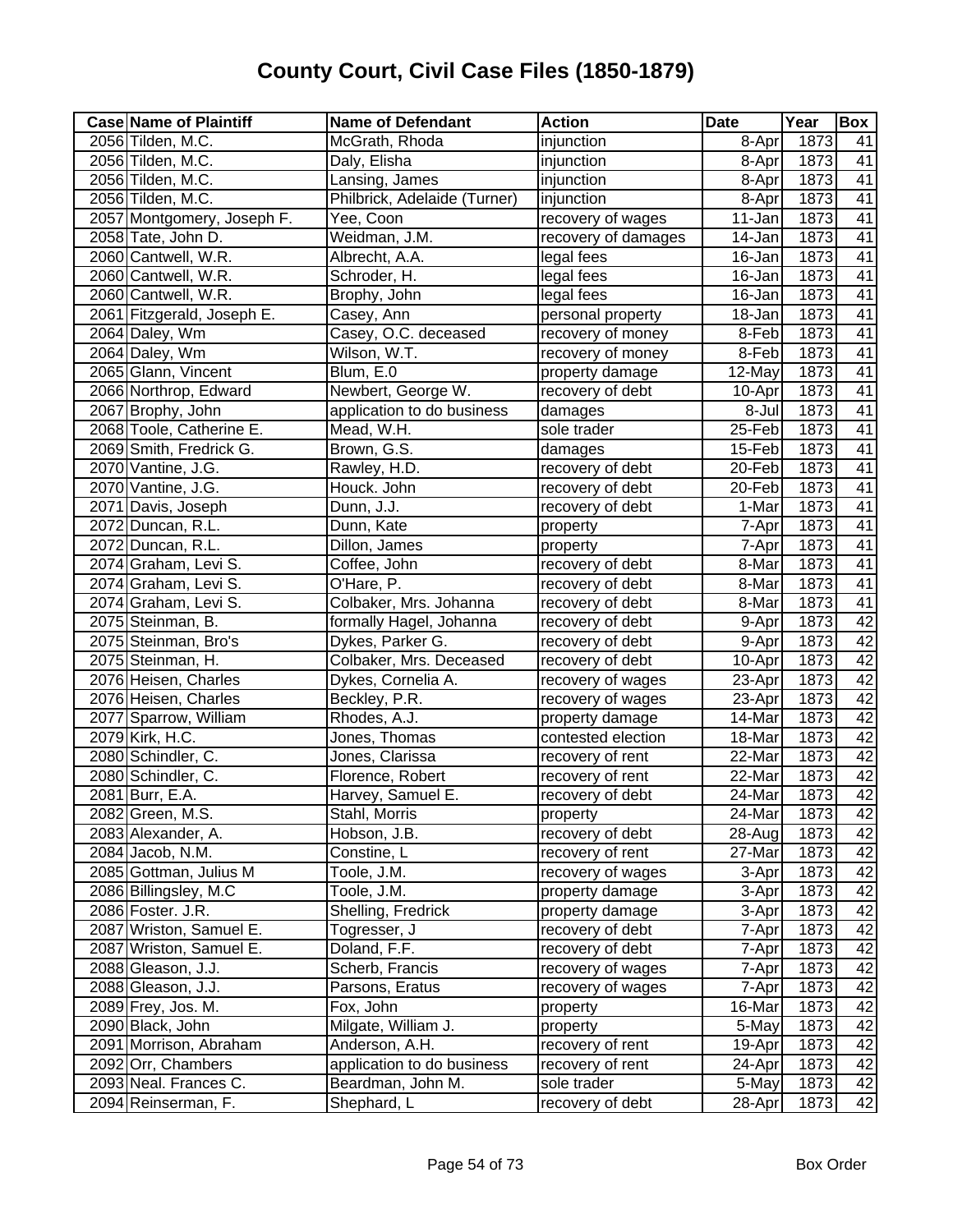| <b>Case Name of Plaintiff</b> | <b>Name of Defendant</b>     | <b>Action</b>       | <b>Date</b> | Year | Box             |
|-------------------------------|------------------------------|---------------------|-------------|------|-----------------|
| 2056 Tilden, M.C.             | McGrath, Rhoda               | injunction          | 8-Apr       | 1873 | 41              |
| 2056 Tilden, M.C.             | Daly, Elisha                 | injunction          | 8-Apr       | 1873 | 41              |
| 2056 Tilden, M.C.             | Lansing, James               | injunction          | 8-Apr       | 1873 | 41              |
| 2056 Tilden, M.C.             | Philbrick, Adelaide (Turner) | injunction          | 8-Apr       | 1873 | 41              |
| 2057 Montgomery, Joseph F.    | Yee, Coon                    | recovery of wages   | 11-Jan      | 1873 | 41              |
| 2058 Tate, John D.            | Weidman, J.M.                | recovery of damages | 14-Jan      | 1873 | $\overline{41}$ |
| 2060 Cantwell, W.R.           | Albrecht, A.A.               | legal fees          | 16-Jan      | 1873 | 41              |
| 2060 Cantwell, W.R.           | Schroder, H.                 | legal fees          | 16-Jan      | 1873 | $\overline{41}$ |
| 2060 Cantwell, W.R.           | Brophy, John                 | legal fees          | 16-Jan      | 1873 | 41              |
| 2061 Fitzgerald, Joseph E.    | Casey, Ann                   | personal property   | 18-Jan      | 1873 | 41              |
| 2064 Daley, Wm                | Casey, O.C. deceased         | recovery of money   | 8-Feb       | 1873 | 41              |
| 2064 Daley, Wm                | Wilson, W.T.                 | recovery of money   | 8-Feb       | 1873 | $\overline{41}$ |
| 2065 Glann, Vincent           | Blum, E.0                    | property damage     | 12-May      | 1873 | $\overline{41}$ |
| 2066 Northrop, Edward         | Newbert, George W.           | recovery of debt    | 10-Apr      | 1873 | $\overline{41}$ |
| 2067 Brophy, John             | application to do business   | damages             | 8-Jul       | 1873 | $\overline{41}$ |
| 2068 Toole, Catherine E.      | Mead, W.H.                   | sole trader         | 25-Feb      | 1873 | $\overline{41}$ |
| 2069 Smith, Fredrick G.       | Brown, G.S.                  | damages             | 15-Feb      | 1873 | $\overline{41}$ |
| 2070 Vantine, J.G.            | Rawley, H.D.                 | recovery of debt    | 20-Feb      | 1873 | $\overline{41}$ |
| 2070 Vantine, J.G.            | Houck. John                  | recovery of debt    | 20-Feb      | 1873 | $\overline{41}$ |
| 2071 Davis, Joseph            | Dunn, J.J.                   | recovery of debt    | 1-Mar       | 1873 | 41              |
| 2072 Duncan, R.L.             | Dunn, Kate                   | property            | 7-Apr       | 1873 | $\overline{41}$ |
| 2072 Duncan, R.L.             | Dillon, James                | property            | 7-Apr       | 1873 | $\overline{41}$ |
| 2074 Graham, Levi S.          | Coffee, John                 | recovery of debt    | 8-Mar       | 1873 | 41              |
| 2074 Graham, Levi S.          | O'Hare, P.                   | recovery of debt    | 8-Mar       | 1873 | $\overline{41}$ |
| 2074 Graham, Levi S.          | Colbaker, Mrs. Johanna       | recovery of debt    | 8-Mar       | 1873 | $\overline{41}$ |
| 2075 Steinman, B.             | formally Hagel, Johanna      | recovery of debt    | 9-Apr       | 1873 | 42              |
| 2075 Steinman, Bro's          | Dykes, Parker G.             | recovery of debt    | 9-Apr       | 1873 | 42              |
| 2075 Steinman, H.             | Colbaker, Mrs. Deceased      | recovery of debt    | $10-Apr$    | 1873 | 42              |
| 2076 Heisen, Charles          | Dykes, Cornelia A.           | recovery of wages   | 23-Apr      | 1873 | 42              |
| 2076 Heisen, Charles          | Beckley, P.R.                | recovery of wages   | 23-Apr      | 1873 | 42              |
| 2077 Sparrow, William         | Rhodes, A.J.                 | property damage     | 14-Mar      | 1873 | 42              |
| 2079 Kirk, H.C.               | Jones, Thomas                | contested election  | 18-Mar      | 1873 | 42              |
| 2080 Schindler, C.            | Jones, Clarissa              | recovery of rent    | 22-Mar      | 1873 | 42              |
| 2080 Schindler, C.            | Florence, Robert             | recovery of rent    | 22-Mar      | 1873 | 42              |
| 2081 Burr, E.A.               | Harvey, Samuel E.            | recovery of debt    | 24-Mar      | 1873 | 42              |
| 2082 Green, M.S.              | Stahl, Morris                | property            | 24-Mar      | 1873 | 42              |
| 2083 Alexander, A.            | Hobson, J.B.                 | recovery of debt    | 28-Aug      | 1873 | 42              |
| 2084 Jacob, N.M.              | Constine, L                  | recovery of rent    | 27-Mar      | 1873 | 42              |
| 2085 Gottman, Julius M        | Toole, J.M.                  | recovery of wages   | 3-Apr       | 1873 | 42              |
| 2086 Billingsley, M.C         | Toole, J.M.                  | property damage     | 3-Apr       | 1873 | 42              |
| 2086 Foster. J.R.             | Shelling, Fredrick           | property damage     | 3-Apr       | 1873 | 42              |
| 2087 Wriston, Samuel E.       | Togresser, J                 | recovery of debt    | 7-Apr       | 1873 | 42              |
| 2087 Wriston, Samuel E.       | Doland, F.F.                 | recovery of debt    | 7-Apr       | 1873 | 42              |
| 2088 Gleason, J.J.            | Scherb, Francis              | recovery of wages   | 7-Apr       | 1873 | 42              |
| 2088 Gleason, J.J.            | Parsons, Eratus              | recovery of wages   | 7-Apr       | 1873 | 42              |
| 2089 Frey, Jos. M.            | Fox, John                    | property            | 16-Mar      | 1873 | 42              |
| 2090 Black, John              | Milgate, William J.          | property            | 5-May       | 1873 | 42              |
| 2091 Morrison, Abraham        | Anderson, A.H.               | recovery of rent    | 19-Apr      | 1873 | 42              |
| 2092 Orr, Chambers            | application to do business   | recovery of rent    | 24-Apr      | 1873 | 42              |
| 2093 Neal. Frances C.         | Beardman, John M.            | sole trader         | 5-May       | 1873 | 42              |
| 2094 Reinserman, F.           | Shephard, L                  | recovery of debt    | 28-Apr      | 1873 | 42              |
|                               |                              |                     |             |      |                 |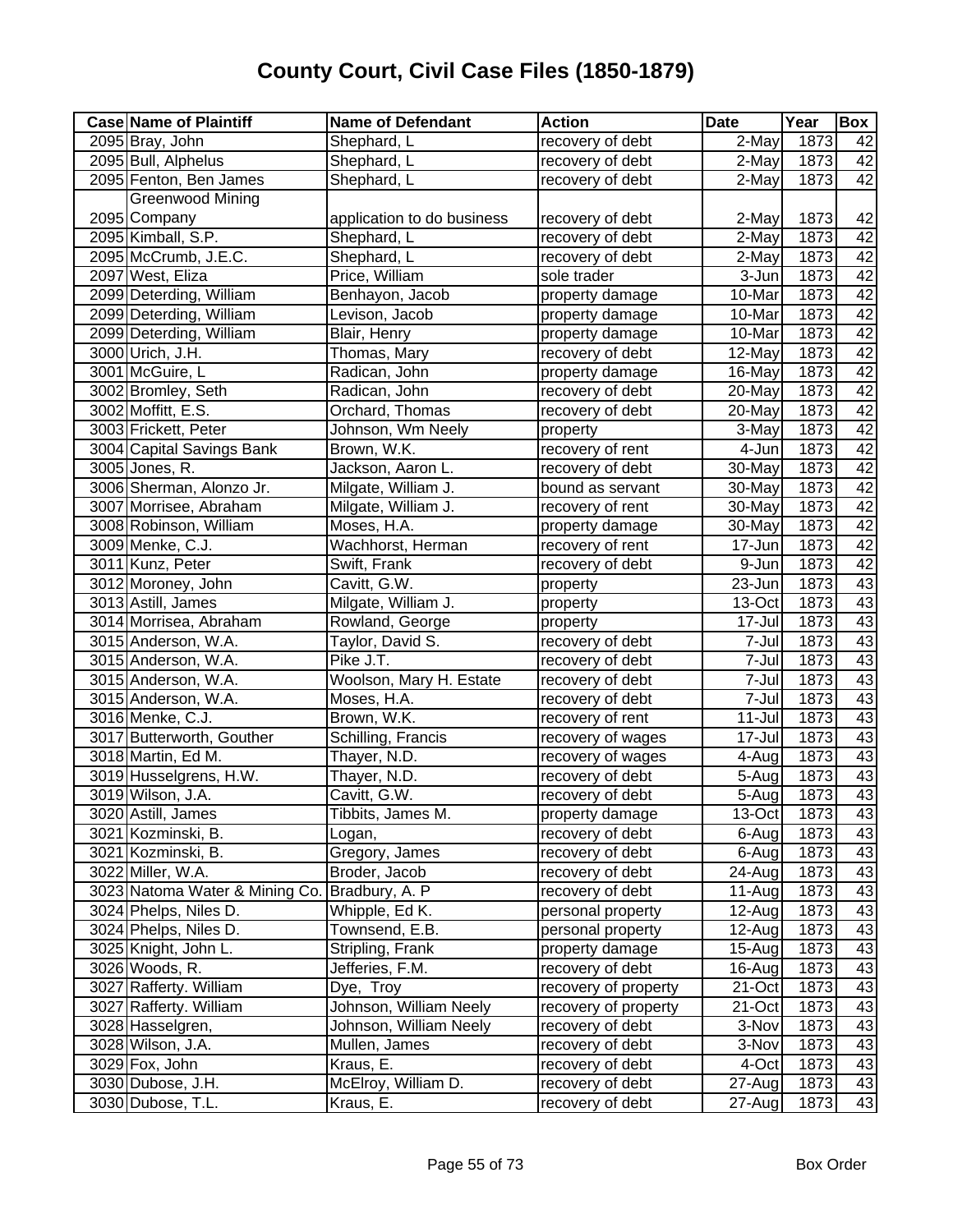| <b>Case Name of Plaintiff</b>  | <b>Name of Defendant</b>   | <b>Action</b>        | <b>Date</b> | Year              | Box |
|--------------------------------|----------------------------|----------------------|-------------|-------------------|-----|
| 2095 Bray, John                | Shephard, L                | recovery of debt     | 2-May       | 1873              | 42  |
| 2095 Bull, Alphelus            | Shephard, L                | recovery of debt     | $2$ -May    | 1873              | 42  |
| 2095 Fenton, Ben James         | Shephard, L                | recovery of debt     | $2$ -May    | 1873              | 42  |
| <b>Greenwood Mining</b>        |                            |                      |             |                   |     |
| 2095 Company                   | application to do business | recovery of debt     | 2-May       | 1873              | 42  |
| 2095 Kimball, S.P.             | Shephard, L                | recovery of debt     | $2$ -May    | 1873              | 42  |
| 2095 McCrumb, J.E.C.           | Shephard, L                | recovery of debt     | 2-May       | 1873              | 42  |
| 2097 West, Eliza               | Price, William             | sole trader          | 3-Jun       | 1873              | 42  |
| 2099 Deterding, William        | Benhayon, Jacob            | property damage      | 10-Mar      | 1873              | 42  |
| 2099 Deterding, William        | Levison, Jacob             | property damage      | 10-Mar      | 1873              | 42  |
| 2099 Deterding, William        | Blair, Henry               | property damage      | 10-Mar      | 1873              | 42  |
| 3000 Urich, J.H.               | Thomas, Mary               | recovery of debt     | 12-May      | 1873              | 42  |
| 3001 McGuire, L                | Radican, John              | property damage      | 16-May      | 1873              | 42  |
| 3002 Bromley, Seth             | Radican, John              | recovery of debt     | 20-May      | 1873              | 42  |
| 3002 Moffitt, E.S.             | Orchard, Thomas            | recovery of debt     | 20-May      | 1873              | 42  |
| 3003 Frickett, Peter           | Johnson, Wm Neely          | property             | 3-May       | 1873              | 42  |
| 3004 Capital Savings Bank      | Brown, W.K.                | recovery of rent     | 4-Jun       | 1873              | 42  |
| 3005 Jones, R.                 | Jackson, Aaron L.          | recovery of debt     | 30-May      | 1873              | 42  |
| 3006 Sherman, Alonzo Jr.       | Milgate, William J.        | bound as servant     | 30-May      | 1873              | 42  |
| 3007 Morrisee, Abraham         | Milgate, William J.        | recovery of rent     | 30-May      | 1873              | 42  |
| 3008 Robinson, William         | Moses, H.A.                | property damage      | 30-May      | 1873              | 42  |
| 3009 Menke, C.J.               | Wachhorst, Herman          | recovery of rent     | 17-Jun      | 1873              | 42  |
| 3011 Kunz, Peter               | Swift, Frank               | recovery of debt     | 9-Jun       | 1873              | 42  |
| 3012 Moroney, John             | Cavitt, G.W.               | property             | 23-Jun      | 1873              | 43  |
| 3013 Astill, James             | Milgate, William J.        | property             | 13-Oct      | $\overline{1873}$ | 43  |
| 3014 Morrisea, Abraham         | Rowland, George            | property             | 17-Jul      | 1873              | 43  |
| 3015 Anderson, W.A.            | Taylor, David S.           | recovery of debt     | 7-Jul       | 1873              | 43  |
| 3015 Anderson, W.A.            | Pike J.T.                  | recovery of debt     | 7-Jul       | 1873              | 43  |
| 3015 Anderson, W.A.            | Woolson, Mary H. Estate    | recovery of debt     | 7-Jul       | 1873              | 43  |
| 3015 Anderson, W.A.            | Moses, H.A.                | recovery of debt     | 7-Jul       | 1873              | 43  |
| 3016 Menke, C.J.               | Brown, W.K.                | recovery of rent     | $11 -$ Jul  | 1873              | 43  |
| 3017 Butterworth, Gouther      | Schilling, Francis         | recovery of wages    | 17-Jul      | 1873              | 43  |
| 3018 Martin, Ed M.             | Thayer, N.D.               | recovery of wages    | 4-Aug       | 1873              | 43  |
| 3019 Husselgrens, H.W.         | Thayer, N.D.               | recovery of debt     | 5-Aug       | 1873              | 43  |
| 3019 Wilson, J.A.              | Cavitt, G.W.               | recovery of debt     | 5-Augl      | 1873              | 43  |
| 3020 Astill, James             | Tibbits, James M.          | property damage      | 13-Oct      | 1873              | 43  |
| 3021 Kozminski, B.             | Logan,                     | recovery of debt     | 6-Aug       | 1873              | 43  |
| 3021 Kozminski, B.             | Gregory, James             | recovery of debt     | 6-Aug       | 1873              | 43  |
| 3022 Miller, W.A.              | Broder, Jacob              | recovery of debt     | 24-Aug      | 1873              | 43  |
| 3023 Natoma Water & Mining Co. | Bradbury, A. P             | recovery of debt     | $11-Au$ g   | 1873              | 43  |
| 3024 Phelps, Niles D.          | Whipple, Ed K.             | personal property    | 12-Aug      | 1873              | 43  |
| 3024 Phelps, Niles D.          | Townsend, E.B.             | personal property    | 12-Aug      | 1873              | 43  |
| 3025 Knight, John L.           | Stripling, Frank           | property damage      | 15-Aug      | 1873              | 43  |
| 3026 Woods, R.                 | Jefferies, F.M.            | recovery of debt     | 16-Aug      | 1873              | 43  |
| 3027 Rafferty. William         | Dye, Troy                  | recovery of property | 21-Oct      | 1873              | 43  |
| 3027 Rafferty. William         | Johnson, William Neely     | recovery of property | 21-Oct      | 1873              | 43  |
| 3028 Hasselgren,               | Johnson, William Neely     | recovery of debt     | 3-Nov       | 1873              | 43  |
| 3028 Wilson, J.A.              | Mullen, James              | recovery of debt     | 3-Nov       | 1873              | 43  |
| 3029 Fox, John                 | Kraus, E.                  | recovery of debt     | 4-Oct       | 1873              | 43  |
| 3030 Dubose, J.H.              | McElroy, William D.        | recovery of debt     | 27-Aug      | 1873              | 43  |
| 3030 Dubose, T.L.              | Kraus, E.                  | recovery of debt     | 27-Aug      | 1873              | 43  |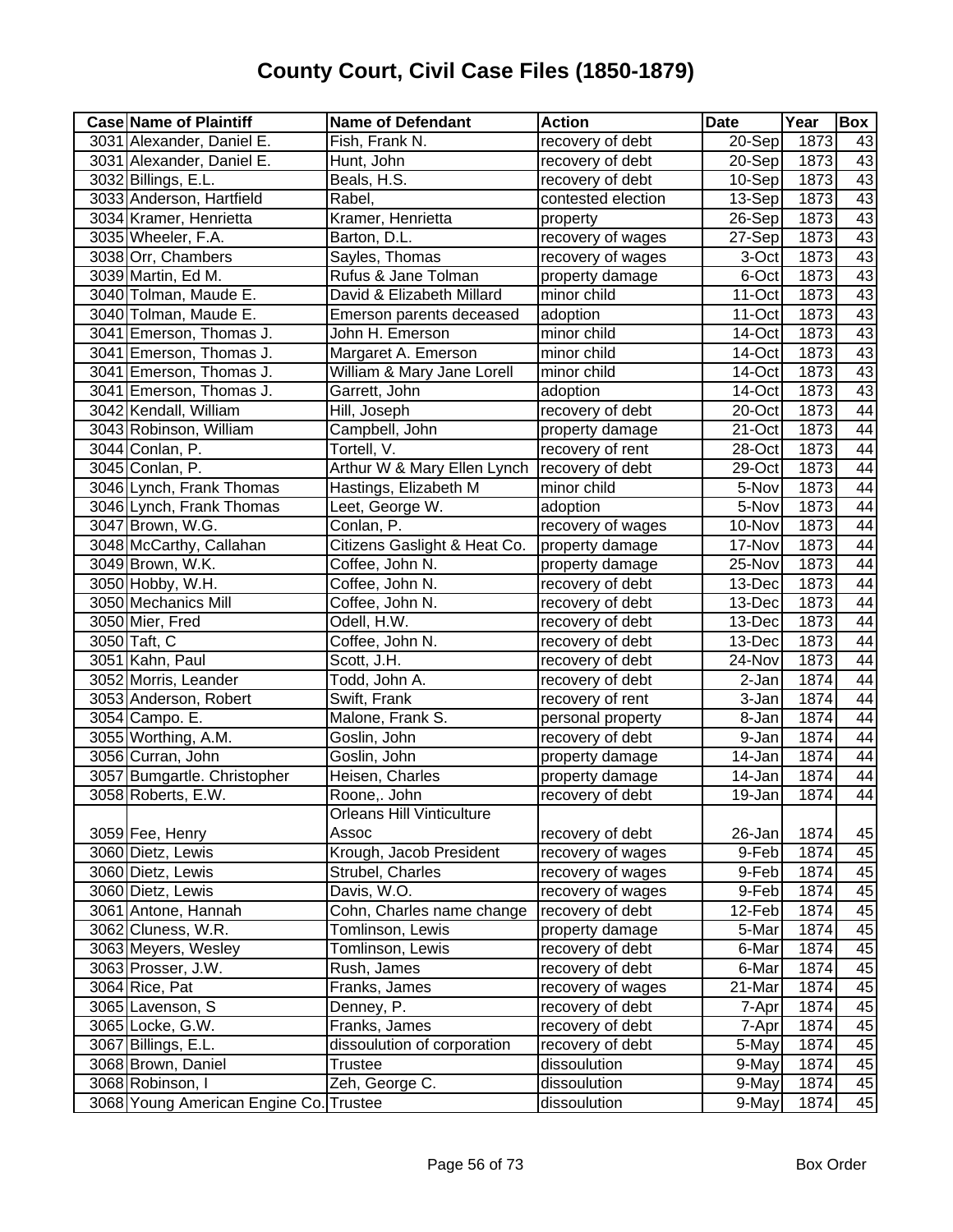| <b>Case Name of Plaintiff</b>          | <b>Name of Defendant</b>         | <b>Action</b>      | <b>Date</b> | Year              | <b>Box</b>      |
|----------------------------------------|----------------------------------|--------------------|-------------|-------------------|-----------------|
| 3031 Alexander, Daniel E.              | Fish, Frank N.                   | recovery of debt   | 20-Sep      | 1873              | 43              |
| 3031 Alexander, Daniel E.              | Hunt, John                       | recovery of debt   | 20-Sep      | 1873              | 43              |
| 3032 Billings, E.L.                    | Beals, H.S.                      | recovery of debt   | 10-Sep      | 1873              | 43              |
| 3033 Anderson, Hartfield               | Rabel,                           | contested election | 13-Sep      | 1873              | 43              |
| 3034 Kramer, Henrietta                 | Kramer, Henrietta                | property           | 26-Sep      | 1873              | 43              |
| 3035 Wheeler, F.A.                     | Barton, D.L.                     | recovery of wages  | 27-Sep      | 1873              | 43              |
| 3038 Orr, Chambers                     | Sayles, Thomas                   | recovery of wages  | 3-Oct       | 1873              | 43              |
| 3039 Martin, Ed M.                     | Rufus & Jane Tolman              | property damage    | 6-Oct       | 1873              | 43              |
| 3040 Tolman, Maude E.                  | David & Elizabeth Millard        | minor child        | 11-Oct      | 1873              | 43              |
| 3040 Tolman, Maude E.                  | Emerson parents deceased         | adoption           | 11-Oct      | 1873              | 43              |
| 3041 Emerson, Thomas J.                | John H. Emerson                  | minor child        | 14-Oct      | 1873              | 43              |
| 3041 Emerson, Thomas J.                | Margaret A. Emerson              | minor child        | 14-Oct      | 1873              | 43              |
| 3041 Emerson, Thomas J.                | William & Mary Jane Lorell       | minor child        | 14-Oct      | 1873              | 43              |
| 3041 Emerson, Thomas J.                | Garrett, John                    | adoption           | 14-Oct      | 1873              | 43              |
| 3042 Kendall, William                  | Hill, Joseph                     | recovery of debt   | 20-Oct      | 1873              | 44              |
| 3043 Robinson, William                 | Campbell, John                   | property damage    | 21-Oct      | 1873              | 44              |
| 3044 Conlan, P.                        | Tortell, V.                      | recovery of rent   | 28-Oct      | 1873              | 44              |
| 3045 Conlan, P.                        | Arthur W & Mary Ellen Lynch      | recovery of debt   | 29-Oct      | 1873              | 44              |
| 3046 Lynch, Frank Thomas               | Hastings, Elizabeth M            | minor child        | 5-Nov       | 1873              | 44              |
| 3046 Lynch, Frank Thomas               | Leet, George W.                  | adoption           | 5-Nov       | 1873              | $\overline{44}$ |
| 3047 Brown, W.G.                       | Conlan, P.                       | recovery of wages  | 10-Nov      | 1873              | 44              |
| 3048 McCarthy, Callahan                | Citizens Gaslight & Heat Co.     | property damage    | 17-Nov      | 1873              | $\overline{44}$ |
| 3049 Brown, W.K.                       | Coffee, John N.                  | property damage    | 25-Nov      | 1873              | 44              |
| 3050 Hobby, W.H.                       | Coffee, John N.                  | recovery of debt   | 13-Dec      | 1873              | 44              |
| 3050 Mechanics Mill                    | Coffee, John N.                  | recovery of debt   | 13-Dec      | $\overline{1873}$ | 44              |
| 3050 Mier, Fred                        | Odell, H.W.                      | recovery of debt   | 13-Dec      | 1873              | $\overline{44}$ |
| 3050 Taft, C                           | Coffee, John N.                  | recovery of debt   | 13-Dec      | 1873              | $\overline{44}$ |
| 3051 Kahn, Paul                        | Scott, J.H.                      | recovery of debt   | 24-Nov      | 1873              | 44              |
| 3052 Morris, Leander                   | Todd, John A.                    | recovery of debt   | 2-Jan       | 1874              | 44              |
| 3053 Anderson, Robert                  | Swift, Frank                     | recovery of rent   | 3-Jan       | 1874              | 44              |
| 3054 Campo. E.                         | Malone, Frank S.                 | personal property  | 8-Jan       | 1874              | 44              |
| 3055 Worthing, A.M.                    | Goslin, John                     | recovery of debt   | 9-Jan       | 1874              | 44              |
| 3056 Curran, John                      | Goslin, John                     | property damage    | 14-Jan      | 1874              | 44              |
| 3057 Bumgartle. Christopher            | Heisen, Charles                  | property damage    | 14-Jan      | 1874              | 44              |
| 3058 Roberts, E.W.                     | Roone,. John                     | recovery of debt   | 19-Jan      | 1874              | 44              |
|                                        | <b>Orleans Hill Vinticulture</b> |                    |             |                   |                 |
| 3059 Fee, Henry                        | Assoc                            | recovery of debt   | 26-Jan      | 1874              | 45              |
| 3060 Dietz, Lewis                      | Krough, Jacob President          | recovery of wages  | 9-Feb       | 1874              | 45              |
| 3060 Dietz, Lewis                      | Strubel, Charles                 | recovery of wages  | 9-Feb       | 1874              | 45              |
| 3060 Dietz, Lewis                      | Davis, W.O.                      | recovery of wages  | 9-Feb       | 1874              | 45              |
| 3061 Antone, Hannah                    | Cohn, Charles name change        | recovery of debt   | 12-Feb      | 1874              | 45              |
| 3062 Cluness, W.R.                     | Tomlinson, Lewis                 | property damage    | 5-Mar       | 1874              | 45              |
| 3063 Meyers, Wesley                    | Tomlinson, Lewis                 | recovery of debt   | 6-Mar       | 1874              | 45              |
| 3063 Prosser, J.W.                     | Rush, James                      | recovery of debt   | 6-Mar       | 1874              | 45              |
| 3064 Rice, Pat                         | Franks, James                    | recovery of wages  | 21-Mar      | 1874              | 45              |
| 3065 Lavenson, S                       | Denney, P.                       | recovery of debt   | 7-Apr       | 1874              | 45              |
| 3065 Locke, G.W.                       | Franks, James                    | recovery of debt   | 7-Apr       | 1874              | 45              |
| 3067 Billings, E.L.                    | dissoulution of corporation      | recovery of debt   | 5-May       | 1874              | 45              |
| 3068 Brown, Daniel                     | <b>Trustee</b>                   | dissoulution       | 9-May       | 1874              | 45              |
| 3068 Robinson, I                       | Zeh, George C.                   | dissoulution       | 9-May       | 1874              | 45              |
| 3068 Young American Engine Co. Trustee |                                  | dissoulution       | 9-May       | 1874              | 45              |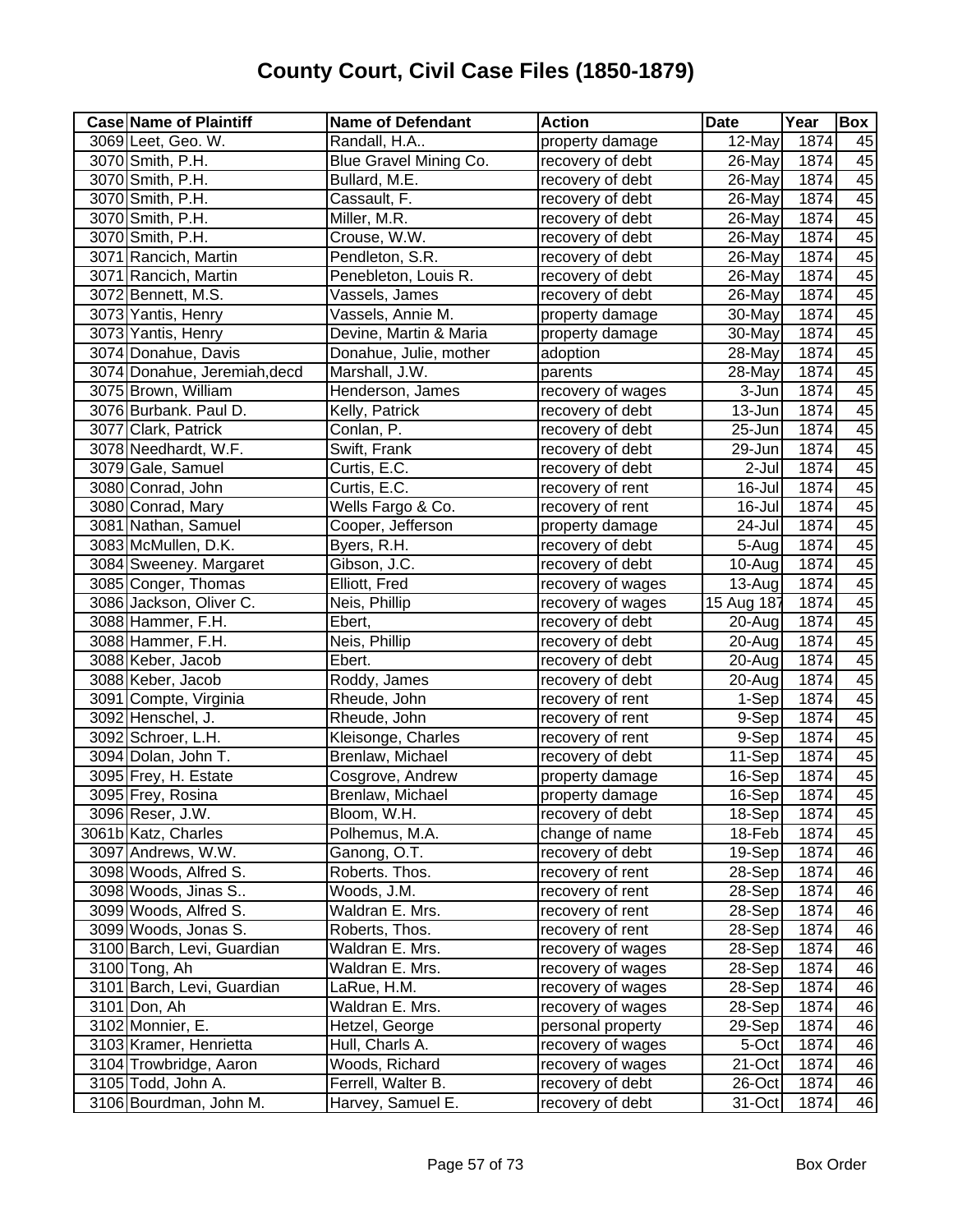| <b>Case Name of Plaintiff</b> | <b>Name of Defendant</b> | <b>Action</b>     | <b>Date</b>         | Year | <b>Box</b> |
|-------------------------------|--------------------------|-------------------|---------------------|------|------------|
| 3069 Leet, Geo. W.            | Randall, H.A             | property damage   | 12-May              | 1874 | 45         |
| 3070 Smith, P.H.              | Blue Gravel Mining Co.   | recovery of debt  | 26-May              | 1874 | 45         |
| 3070 Smith, P.H.              | Bullard, M.E.            | recovery of debt  | 26-May              | 1874 | 45         |
| 3070 Smith, P.H.              | Cassault, F.             | recovery of debt  | 26-May              | 1874 | 45         |
| 3070 Smith, P.H.              | Miller, M.R.             | recovery of debt  | 26-May              | 1874 | 45         |
| 3070 Smith, P.H.              | Crouse, W.W.             | recovery of debt  | 26-May              | 1874 | 45         |
| 3071 Rancich, Martin          | Pendleton, S.R.          | recovery of debt  | 26-May              | 1874 | 45         |
| 3071 Rancich, Martin          | Penebleton, Louis R.     | recovery of debt  | 26-May              | 1874 | 45         |
| 3072 Bennett, M.S.            | Vassels, James           | recovery of debt  | 26-May              | 1874 | 45         |
| 3073 Yantis, Henry            | Vassels, Annie M.        | property damage   | 30-May              | 1874 | 45         |
| 3073 Yantis, Henry            | Devine, Martin & Maria   | property damage   | 30-May              | 1874 | 45         |
| 3074 Donahue, Davis           | Donahue, Julie, mother   | adoption          | 28-May              | 1874 | 45         |
| 3074 Donahue, Jeremiah, decd  | Marshall, J.W.           | parents           | 28-May              | 1874 | 45         |
| 3075 Brown, William           | Henderson, James         | recovery of wages | 3-Jun               | 1874 | 45         |
| 3076 Burbank. Paul D.         | Kelly, Patrick           | recovery of debt  | 13-Jun              | 1874 | 45         |
| 3077 Clark, Patrick           | Conlan, P.               | recovery of debt  | 25-Jun              | 1874 | 45         |
| 3078 Needhardt, W.F.          | Swift, Frank             | recovery of debt  | 29-Jun              | 1874 | 45         |
| 3079 Gale, Samuel             | Curtis, E.C.             | recovery of debt  | 2-Jul               | 1874 | 45         |
| 3080 Conrad, John             | Curtis, E.C.             | recovery of rent  | 16-Jul              | 1874 | 45         |
| 3080 Conrad, Mary             | Wells Fargo & Co.        | recovery of rent  | 16-Jul              | 1874 | 45         |
| 3081 Nathan, Samuel           | Cooper, Jefferson        | property damage   | 24-Jul              | 1874 | 45         |
| 3083 McMullen, D.K.           | Byers, R.H.              | recovery of debt  | 5-Aug               | 1874 | 45         |
| 3084 Sweeney. Margaret        | Gibson, J.C.             | recovery of debt  | 10-Aug              | 1874 | 45         |
| 3085 Conger, Thomas           | Elliott, Fred            | recovery of wages | 13-Aug              | 1874 | 45         |
| 3086 Jackson, Oliver C.       | Neis, Phillip            | recovery of wages | 15 Aug 187          | 1874 | 45         |
| 3088 Hammer, F.H.             | Ebert,                   | recovery of debt  | 20-Aug              | 1874 | 45         |
| 3088 Hammer, F.H.             | Neis, Phillip            | recovery of debt  | 20-Aug              | 1874 | 45         |
| 3088 Keber, Jacob             | Ebert.                   | recovery of debt  | 20-Aug              | 1874 | 45         |
| 3088 Keber, Jacob             | Roddy, James             | recovery of debt  | 20-Aug              | 1874 | 45         |
| 3091 Compte, Virginia         | Rheude, John             | recovery of rent  | $\overline{1}$ -Sep | 1874 | 45         |
| 3092 Henschel, J.             | Rheude, John             | recovery of rent  | 9-Sep               | 1874 | 45         |
| 3092 Schroer, L.H.            | Kleisonge, Charles       | recovery of rent  | 9-Sep               | 1874 | 45         |
| 3094 Dolan, John T.           | Brenlaw, Michael         | recovery of debt  | 11-Sep              | 1874 | 45         |
| 3095 Frey, H. Estate          | Cosgrove, Andrew         | property damage   | 16-Sep              | 1874 | 45         |
| 3095 Frey, Rosina             | Brenlaw, Michael         | property damage   | 16-Sep              | 1874 | 45         |
| 3096 Reser, J.W.              | Bloom, W.H.              | recovery of debt  | 18-Sep              | 1874 | 45         |
| 3061b Katz, Charles           | Polhemus, M.A.           | change of name    | 18-Feb              | 1874 | 45         |
| 3097 Andrews, W.W.            | Ganong, O.T.             | recovery of debt  | 19-Sep              | 1874 | 46         |
| 3098 Woods, Alfred S.         | Roberts. Thos.           | recovery of rent  | 28-Sep              | 1874 | 46         |
| 3098 Woods, Jinas S           | Woods, J.M.              | recovery of rent  | 28-Sep              | 1874 | 46         |
| 3099 Woods, Alfred S.         | Waldran E. Mrs.          | recovery of rent  | 28-Sep              | 1874 | 46         |
| 3099 Woods, Jonas S.          | Roberts, Thos.           | recovery of rent  | 28-Sep              | 1874 | 46         |
| 3100 Barch, Levi, Guardian    | Waldran E. Mrs.          | recovery of wages | 28-Sep              | 1874 | 46         |
| 3100 Tong, Ah                 | Waldran E. Mrs.          | recovery of wages | 28-Sep              | 1874 | 46         |
| 3101 Barch, Levi, Guardian    | LaRue, H.M.              | recovery of wages | 28-Sep              | 1874 | 46         |
| 3101 Don, Ah                  | Waldran E. Mrs.          | recovery of wages | 28-Sep              | 1874 | 46         |
| 3102 Monnier, E.              | Hetzel, George           | personal property | 29-Sep              | 1874 | 46         |
| 3103 Kramer, Henrietta        | Hull, Charls A.          | recovery of wages | 5-Oct               | 1874 | 46         |
| 3104 Trowbridge, Aaron        | Woods, Richard           | recovery of wages | 21-Oct              | 1874 | 46         |
| 3105 Todd, John A.            | Ferrell, Walter B.       | recovery of debt  | 26-Oct              | 1874 | 46         |
| 3106 Bourdman, John M.        | Harvey, Samuel E.        | recovery of debt  | 31-Oct              | 1874 | 46         |
|                               |                          |                   |                     |      |            |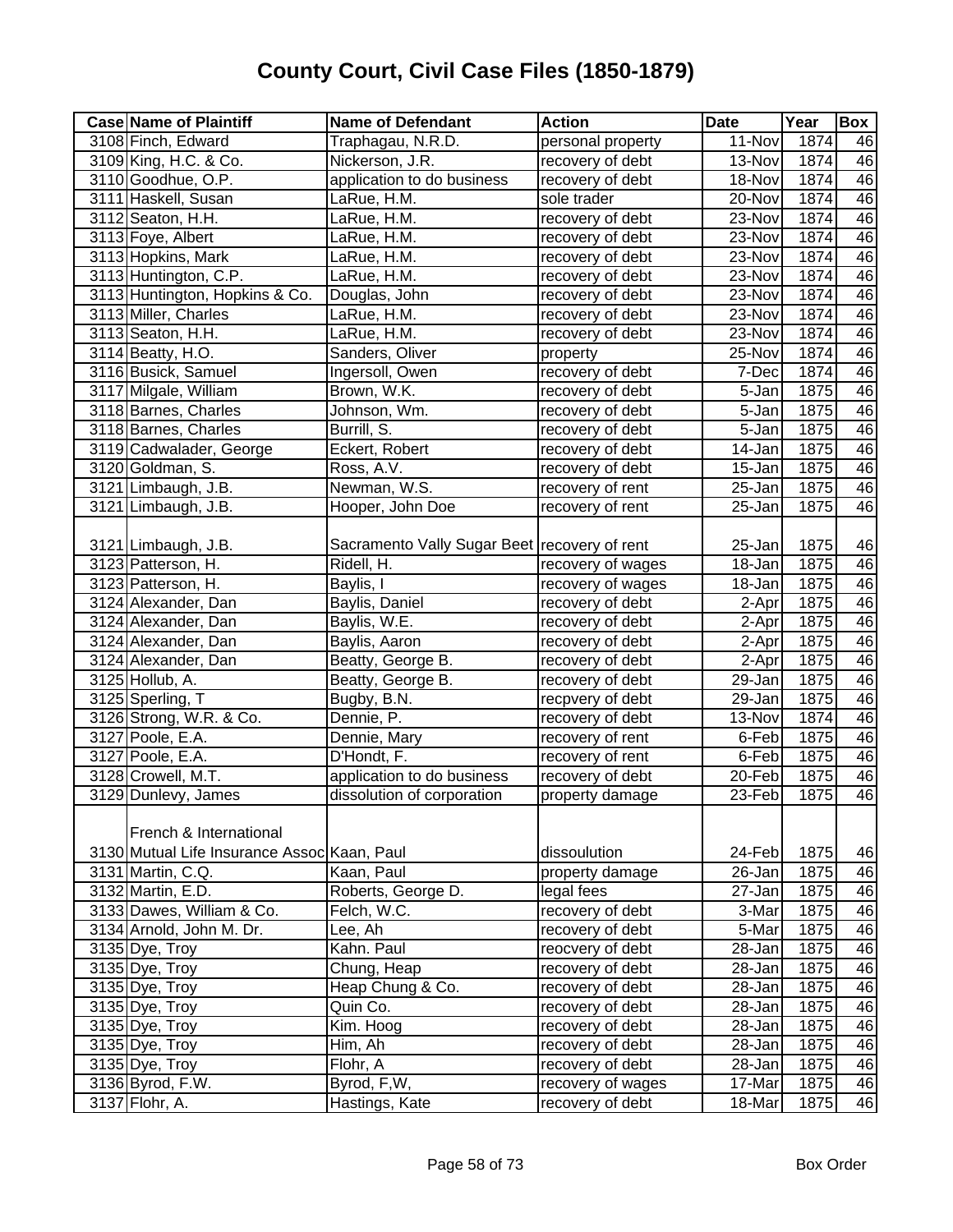| <b>Case Name of Plaintiff</b>               | <b>Name of Defendant</b>                     | <b>Action</b>     | <b>Date</b>          | Year             | Box |
|---------------------------------------------|----------------------------------------------|-------------------|----------------------|------------------|-----|
| 3108 Finch, Edward                          | Traphagau, N.R.D.                            | personal property | 11-Nov               | 1874             | 46  |
| 3109 King, H.C. & Co.                       | Nickerson, J.R.                              | recovery of debt  | 13-Nov               | 1874             | 46  |
| 3110 Goodhue, O.P.                          | application to do business                   | recovery of debt  | 18-Nov               | 1874             | 46  |
| 3111 Haskell, Susan                         | LaRue, H.M.                                  | sole trader       | 20-Nov               | 1874             | 46  |
| 3112 Seaton, H.H.                           | LaRue, H.M.                                  | recovery of debt  | $\overline{2}3$ -Nov | 1874             | 46  |
| 3113 Foye, Albert                           | LaRue, H.M.                                  | recovery of debt  | 23-Nov               | 1874             | 46  |
| 3113 Hopkins, Mark                          | LaRue, H.M.                                  | recovery of debt  | 23-Nov               | 1874             | 46  |
| 3113 Huntington, C.P.                       | LaRue, H.M.                                  | recovery of debt  | 23-Nov               | 1874             | 46  |
| 3113 Huntington, Hopkins & Co.              | Douglas, John                                | recovery of debt  | 23-Nov               | 1874             | 46  |
| 3113 Miller, Charles                        | LaRue, H.M.                                  | recovery of debt  | 23-Nov               | 1874             | 46  |
| 3113 Seaton, H.H.                           | LaRue, H.M.                                  | recovery of debt  | 23-Nov               | 1874             | 46  |
| 3114 Beatty, H.O.                           | Sanders, Oliver                              | property          | 25-Nov               | 1874             | 46  |
| 3116 Busick, Samuel                         | Ingersoll, Owen                              | recovery of debt  | 7-Dec                | 1874             | 46  |
| 3117 Milgale, William                       | Brown, W.K.                                  | recovery of debt  | 5-Jan                | 1875             | 46  |
| 3118 Barnes, Charles                        | Johnson, Wm.                                 | recovery of debt  | 5-Jan                | 1875             | 46  |
| 3118 Barnes, Charles                        | Burrill, S.                                  | recovery of debt  | 5-Jan                | 1875             | 46  |
| 3119 Cadwalader, George                     | Eckert, Robert                               | recovery of debt  | 14-Jan               | 1875             | 46  |
| 3120 Goldman, S.                            | Ross, A.V.                                   | recovery of debt  | 15-Jan               | 1875             | 46  |
| 3121 Limbaugh, J.B.                         | Newman, W.S.                                 | recovery of rent  | 25-Jan               | 1875             | 46  |
| 3121 Limbaugh, J.B.                         | Hooper, John Doe                             | recovery of rent  | 25-Jan               | 1875             | 46  |
|                                             |                                              |                   |                      |                  |     |
| 3121 Limbaugh, J.B.                         | Sacramento Vally Sugar Beet recovery of rent |                   | 25-Jan               | 1875             | 46  |
| 3123 Patterson, H.                          | Ridell, H.                                   | recovery of wages | 18-Jan               | 1875             | 46  |
| 3123 Patterson, H.                          | Baylis, I                                    | recovery of wages | 18-Jan               | 1875             | 46  |
| 3124 Alexander, Dan                         | Baylis, Daniel                               | recovery of debt  | 2-Apr                | 1875             | 46  |
| 3124 Alexander, Dan                         | Baylis, W.E.                                 | recovery of debt  | 2-Apr                | 1875             | 46  |
| 3124 Alexander, Dan                         | Baylis, Aaron                                | recovery of debt  | 2-Apr                | 1875             | 46  |
| 3124 Alexander, Dan                         | Beatty, George B.                            | recovery of debt  | 2-Apr                | 1875             | 46  |
| 3125 Hollub, A.                             | Beatty, George B.                            | recovery of debt  | 29-Jan               | 1875             | 46  |
| 3125 Sperling, T                            | Bugby, B.N.                                  | recpvery of debt  | 29-Jan               | 1875             | 46  |
| 3126 Strong, W.R. & Co.                     | Dennie, P.                                   | recovery of debt  | 13-Nov               | 1874             | 46  |
| 3127 Poole, E.A.                            | Dennie, Mary                                 | recovery of rent  | 6-Feb                | 1875             | 46  |
| 3127 Poole, E.A.                            | D'Hondt, F.                                  | recovery of rent  | 6-Feb                | 1875             | 46  |
| 3128 Crowell, M.T.                          | application to do business                   | recovery of debt  | 20-Feb               | 1875             | 46  |
| 3129 Dunlevy, James                         | dissolution of corporation                   | property damage   | 23-Feb               | 1875             | 46  |
|                                             |                                              |                   |                      |                  |     |
| French & International                      |                                              |                   |                      |                  |     |
| 3130 Mutual Life Insurance Assoc Kaan, Paul |                                              | dissoulution      | 24-Feb               | 1875             | 46  |
| 3131 Martin, C.Q.                           | Kaan, Paul                                   | property damage   | 26-Jan               | 1875             | 46  |
| 3132 Martin, E.D.                           | Roberts, George D.                           | legal fees        | 27-Jan               | 1875             | 46  |
| 3133 Dawes, William & Co.                   | Felch, W.C.                                  | recovery of debt  | 3-Mar                | $\frac{1}{1875}$ | 46  |
| 3134 Arnold, John M. Dr.                    | Lee, Ah                                      | recovery of debt  | 5-Mar                | 1875             | 46  |
| 3135 Dye, Troy                              | Kahn. Paul                                   | reocvery of debt  | 28-Jan               | 1875             | 46  |
| 3135 Dye, Troy                              | Chung, Heap                                  | recovery of debt  | 28-Jan               | 1875             | 46  |
| 3135 Dye, Troy                              | Heap Chung & Co.                             | recovery of debt  | 28-Jan               | 1875             | 46  |
| 3135 Dye, Troy                              | Quin Co.                                     | recovery of debt  | 28-Jan               | 1875             | 46  |
| 3135 Dye, Troy                              | Kim. Hoog                                    | recovery of debt  | 28-Jan               | 1875             | 46  |
| 3135 Dye, Troy                              | Him, Ah                                      | recovery of debt  | 28-Jan               | 1875             | 46  |
| 3135 Dye, Troy                              | Flohr, A                                     | recovery of debt  | 28-Jan               | 1875             | 46  |
| 3136 Byrod, F.W.                            | Byrod, F,W,                                  | recovery of wages | 17-Mar               | 1875             | 46  |
| 3137 Flohr, A.                              | Hastings, Kate                               | recovery of debt  | 18-Mar               | 1875             | 46  |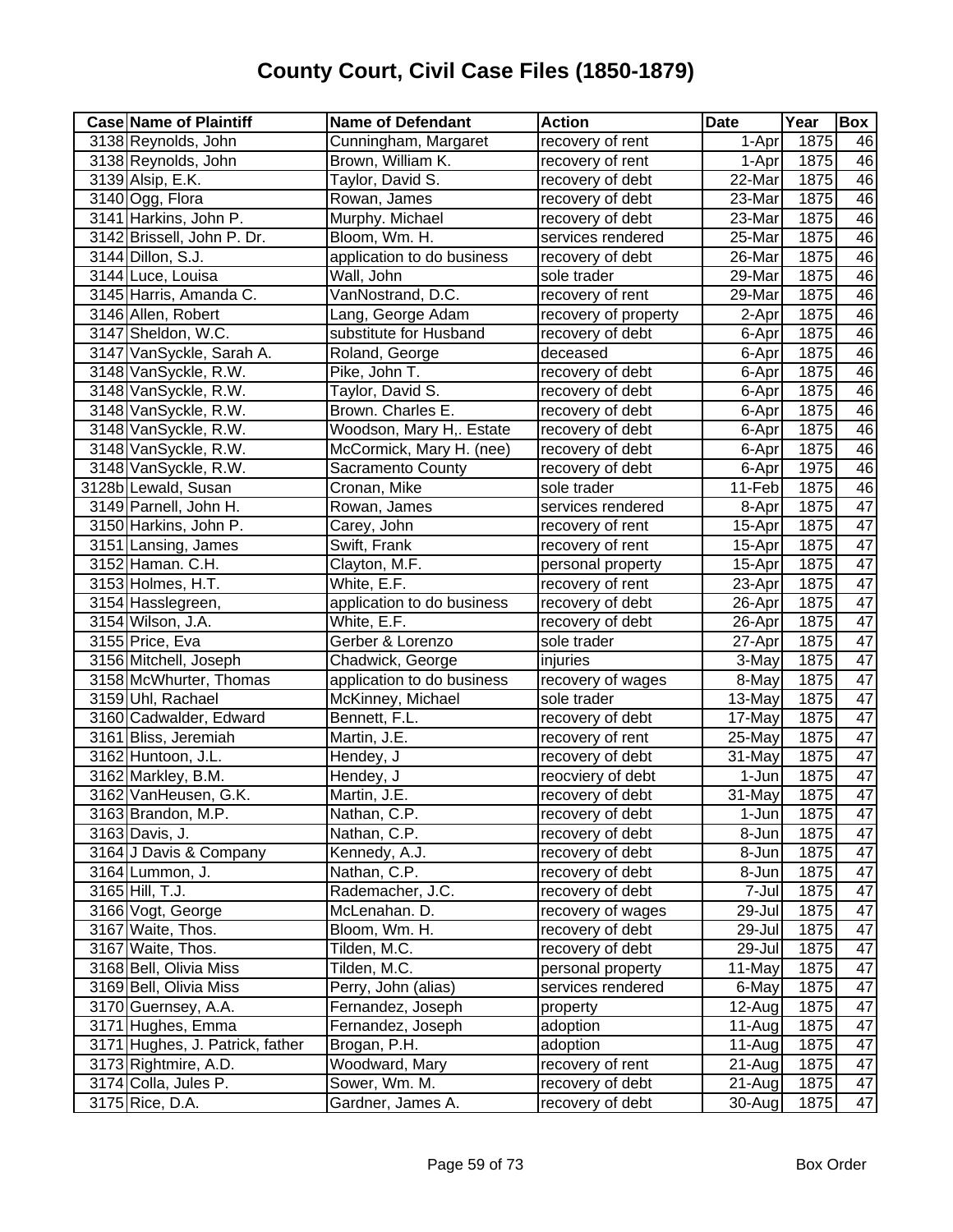| <b>Case Name of Plaintiff</b>   | <b>Name of Defendant</b>   | <b>Action</b>        | <b>Date</b>          | Year | Box             |
|---------------------------------|----------------------------|----------------------|----------------------|------|-----------------|
| 3138 Reynolds, John             | Cunningham, Margaret       | recovery of rent     | 1-Apr                | 1875 | 46              |
| 3138 Reynolds, John             | Brown, William K.          | recovery of rent     | 1-Apr                | 1875 | 46              |
| 3139 Alsip, E.K.                | Taylor, David S.           | recovery of debt     | $\overline{2}$ 2-Mar | 1875 | 46              |
| 3140 Ogg, Flora                 | Rowan, James               | recovery of debt     | 23-Mar               | 1875 | 46              |
| 3141 Harkins, John P.           | Murphy. Michael            | recovery of debt     | 23-Mar               | 1875 | 46              |
| 3142 Brissell, John P. Dr.      | Bloom, Wm. H.              | services rendered    | 25-Mar               | 1875 | 46              |
| 3144 Dillon, S.J.               | application to do business | recovery of debt     | 26-Mar               | 1875 | 46              |
| 3144 Luce, Louisa               | Wall, John                 | sole trader          | 29-Mar               | 1875 | 46              |
| 3145 Harris, Amanda C.          | VanNostrand, D.C.          | recovery of rent     | 29-Mar               | 1875 | 46              |
| 3146 Allen, Robert              | Lang, George Adam          | recovery of property | 2-Apr                | 1875 | 46              |
| 3147 Sheldon, W.C.              | substitute for Husband     | recovery of debt     | 6-Apr                | 1875 | 46              |
| 3147 VanSyckle, Sarah A.        | Roland, George             | deceased             | 6-Apr                | 1875 | 46              |
| 3148 VanSyckle, R.W.            | Pike, John T.              | recovery of debt     | 6-Apr                | 1875 | 46              |
| 3148 VanSyckle, R.W.            | Taylor, David S.           | recovery of debt     | 6-Apr                | 1875 | 46              |
| 3148 VanSyckle, R.W.            | Brown. Charles E.          | recovery of debt     | 6-Apr                | 1875 | 46              |
| 3148 VanSyckle, R.W.            | Woodson, Mary H,. Estate   | recovery of debt     | 6-Apr                | 1875 | 46              |
| 3148 VanSyckle, R.W.            | McCormick, Mary H. (nee)   | recovery of debt     | 6-Apr                | 1875 | 46              |
| 3148 VanSyckle, R.W.            | Sacramento County          | recovery of debt     | 6-Apr                | 1975 | 46              |
| 3128b Lewald, Susan             | Cronan, Mike               | sole trader          | 11-Feb               | 1875 | 46              |
| 3149 Parnell, John H.           | Rowan, James               | services rendered    | 8-Apr                | 1875 | $\overline{47}$ |
| 3150 Harkins, John P.           | Carey, John                | recovery of rent     | 15-Apr               | 1875 | $\overline{47}$ |
| 3151 Lansing, James             | Swift, Frank               | recovery of rent     | 15-Apr               | 1875 | 47              |
| 3152 Haman. C.H.                | Clayton, M.F.              | personal property    | 15-Apr               | 1875 | 47              |
| 3153 Holmes, H.T.               | White, E.F.                | recovery of rent     | 23-Apr               | 1875 | $\overline{47}$ |
| 3154 Hasslegreen,               | application to do business | recovery of debt     | 26-Apr               | 1875 | 47              |
| 3154 Wilson, J.A.               | White, E.F.                | recovery of debt     | 26-Apr               | 1875 | $\overline{47}$ |
| 3155 Price, Eva                 | Gerber & Lorenzo           | sole trader          | 27-Apr               | 1875 | $\overline{47}$ |
| 3156 Mitchell, Joseph           | Chadwick, George           | injuries             | 3-May                | 1875 | 47              |
| 3158 McWhurter, Thomas          | application to do business | recovery of wages    | 8-May                | 1875 | 47              |
| 3159 Uhl, Rachael               | McKinney, Michael          | sole trader          | 13-May               | 1875 | $\overline{47}$ |
| 3160 Cadwalder, Edward          | Bennett, F.L.              | recovery of debt     | 17-May               | 1875 | 47              |
| 3161 Bliss, Jeremiah            | Martin, J.E.               | recovery of rent     | 25-May               | 1875 | $\overline{47}$ |
| 3162 Huntoon, J.L.              | Hendey, J                  | recovery of debt     | 31-May               | 1875 | 47              |
| 3162 Markley, B.M.              | Hendey, J                  | reocviery of debt    | 1-Jun                | 1875 | $\overline{47}$ |
| 3162 VanHeusen, G.K.            | Martin, J.E.               | recovery of debt     | $\overline{31}$ -May | 1875 | $\overline{47}$ |
| 3163 Brandon, M.P.              | Nathan, C.P.               | recovery of debt     | 1-Jun                | 1875 | 47              |
| 3163 Davis, J.                  | Nathan, C.P.               | recovery of debt     | 8-Jun                | 1875 | 47              |
| 3164 J Davis & Company          | Kennedy, A.J.              | recovery of debt     | 8-Jun                | 1875 | 47              |
| 3164 Lummon, J.                 | Nathan, C.P.               | recovery of debt     | 8-Jun                | 1875 | 47              |
| 3165 Hill, T.J.                 | Rademacher, J.C.           | recovery of debt     | 7-Jul                | 1875 | 47              |
| 3166 Vogt, George               | McLenahan. D.              | recovery of wages    | 29-Jul               | 1875 | 47              |
| 3167 Waite, Thos.               | Bloom, Wm. H.              | recovery of debt     | 29-Jul               | 1875 | 47              |
| 3167 Waite, Thos.               | Tilden, M.C.               | recovery of debt     | 29-Jul               | 1875 | 47              |
| 3168 Bell, Olivia Miss          | Tilden, M.C.               | personal property    | 11-May               | 1875 | 47              |
| 3169 Bell, Olivia Miss          | Perry, John (alias)        | services rendered    | 6-May                | 1875 | $\overline{47}$ |
| 3170 Guernsey, A.A.             | Fernandez, Joseph          | property             | 12-Aug               | 1875 | $\overline{47}$ |
| 3171 Hughes, Emma               | Fernandez, Joseph          | adoption             | 11-Aug               | 1875 | $\overline{47}$ |
| 3171 Hughes, J. Patrick, father | Brogan, P.H.               | adoption             | 11-Aug               | 1875 | 47              |
| 3173 Rightmire, A.D.            | Woodward, Mary             | recovery of rent     | 21-Aug               | 1875 | $\overline{47}$ |
| 3174 Colla, Jules P.            | Sower, Wm. M.              | recovery of debt     | 21-Aug               | 1875 | 47              |
| 3175 Rice, D.A.                 | Gardner, James A.          | recovery of debt     | 30-Aug               | 1875 | $\overline{47}$ |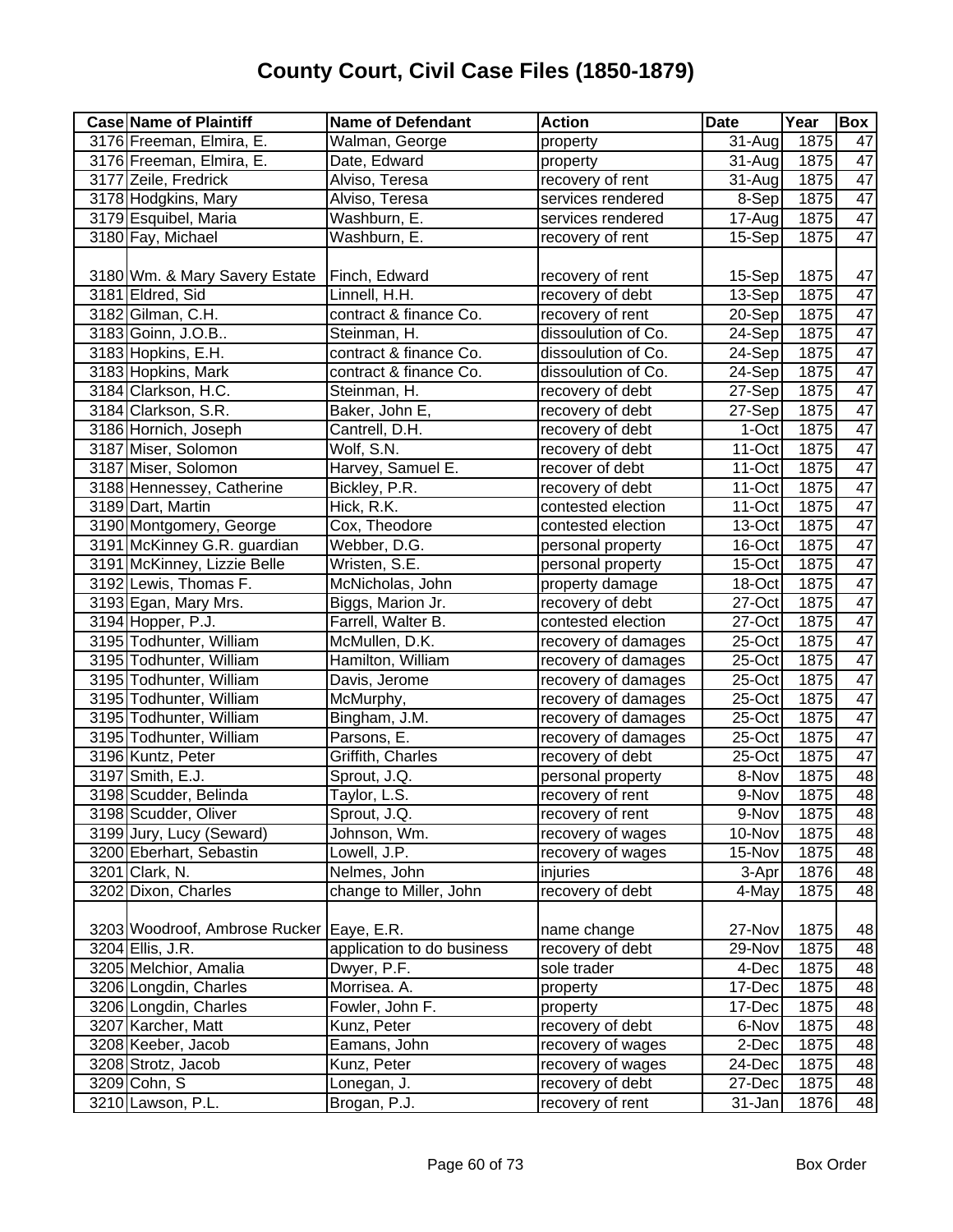| <b>Case Name of Plaintiff</b>            | <b>Name of Defendant</b>   | <b>Action</b>       | <b>Date</b> | Year | Box             |
|------------------------------------------|----------------------------|---------------------|-------------|------|-----------------|
| 3176 Freeman, Elmira, E.                 | Walman, George             | property            | 31-Aug      | 1875 | 47              |
| 3176 Freeman, Elmira, E.                 | Date, Edward               | property            | 31-Aug      | 1875 | 47              |
| 3177 Zeile, Fredrick                     | Alviso, Teresa             | recovery of rent    | 31-Aug      | 1875 | 47              |
| 3178 Hodgkins, Mary                      | Alviso, Teresa             | services rendered   | 8-Sep       | 1875 | 47              |
| 3179 Esquibel, Maria                     | Washburn, E.               | services rendered   | 17-Aug      | 1875 | 47              |
| 3180 Fay, Michael                        | Washburn, E.               | recovery of rent    | 15-Sep      | 1875 | 47              |
|                                          |                            |                     |             |      |                 |
| 3180 Wm. & Mary Savery Estate            | Finch, Edward              | recovery of rent    | 15-Sep      | 1875 | 47              |
| 3181 Eldred, Sid                         | Linnell, H.H.              | recovery of debt    | 13-Sep      | 1875 | $\overline{47}$ |
| 3182 Gilman, C.H.                        | contract & finance Co.     | recovery of rent    | 20-Sep      | 1875 | 47              |
| 3183 Goinn, J.O.B                        | Steinman, H.               | dissoulution of Co. | 24-Sep      | 1875 | 47              |
| 3183 Hopkins, E.H.                       | contract & finance Co.     | dissoulution of Co. | 24-Sep      | 1875 | 47              |
| 3183 Hopkins, Mark                       | contract & finance Co.     | dissoulution of Co. | 24-Sep      | 1875 | 47              |
| 3184 Clarkson, H.C.                      | Steinman, H.               | recovery of debt    | 27-Sep      | 1875 | 47              |
| 3184 Clarkson, S.R.                      | Baker, John E,             | recovery of debt    | 27-Sep      | 1875 | $\overline{47}$ |
| 3186 Hornich, Joseph                     | Cantrell, D.H.             | recovery of debt    | 1-Oct       | 1875 | 47              |
| 3187 Miser, Solomon                      | Wolf, S.N.                 | recovery of debt    | 11-Oct      | 1875 | 47              |
| 3187 Miser, Solomon                      | Harvey, Samuel E.          | recover of debt     | 11-Oct      | 1875 | 47              |
| 3188 Hennessey, Catherine                | Bickley, P.R.              | recovery of debt    | 11-Oct      | 1875 | 47              |
| 3189 Dart, Martin                        | Hick, R.K.                 | contested election  | 11-Oct      | 1875 | 47              |
| 3190 Montgomery, George                  | Cox, Theodore              | contested election  | 13-Oct      | 1875 | $\overline{47}$ |
| 3191 McKinney G.R. guardian              | Webber, D.G.               | personal property   | 16-Oct      | 1875 | $\overline{47}$ |
| 3191 McKinney, Lizzie Belle              | Wristen, S.E.              | personal property   | 15-Oct      | 1875 | 47              |
| 3192 Lewis, Thomas F.                    | McNicholas, John           | property damage     | 18-Oct      | 1875 | 47              |
| 3193 Egan, Mary Mrs.                     | Biggs, Marion Jr.          | recovery of debt    | 27-Oct      | 1875 | 47              |
| 3194 Hopper, P.J.                        | Farrell, Walter B.         | contested election  | 27-Oct      | 1875 | 47              |
| 3195 Todhunter, William                  | McMullen, D.K.             | recovery of damages | 25-Oct      | 1875 | 47              |
| 3195 Todhunter, William                  | Hamilton, William          | recovery of damages | 25-Oct      | 1875 | $\overline{47}$ |
| 3195 Todhunter, William                  | Davis, Jerome              | recovery of damages | 25-Oct      | 1875 | 47              |
| 3195 Todhunter, William                  | McMurphy,                  | recovery of damages | 25-Oct      | 1875 | 47              |
| 3195 Todhunter, William                  | Bingham, J.M.              | recovery of damages | 25-Oct      | 1875 | 47              |
| 3195 Todhunter, William                  | Parsons, E.                | recovery of damages | 25-Oct      | 1875 | 47              |
| 3196 Kuntz, Peter                        | Griffith, Charles          | recovery of debt    | 25-Oct      | 1875 | 47              |
| 3197 Smith, E.J.                         | Sprout, J.Q.               | personal property   | 8-Nov       | 1875 | 48              |
| 3198 Scudder, Belinda                    | Taylor, L.S.               | recovery of rent    | 9-Nov       | 1875 | 48              |
| 3198 Scudder, Oliver                     | Sprout, J.Q.               | recovery of rent    | 9-Nov       | 1875 | 48              |
| 3199 Jury, Lucy (Seward)                 | Johnson, Wm.               | recovery of wages   | 10-Nov      | 1875 | 48              |
| 3200 Eberhart, Sebastin                  | Lowell, J.P.               | recovery of wages   | 15-Nov      | 1875 | 48              |
| 3201 Clark, N.                           | Nelmes, John               | injuries            | 3-Apr       | 1876 | 48              |
| 3202 Dixon, Charles                      | change to Miller, John     | recovery of debt    | 4-May       | 1875 | 48              |
|                                          |                            |                     |             |      |                 |
| 3203 Woodroof, Ambrose Rucker Eaye, E.R. |                            | name change         | 27-Nov      | 1875 | 48              |
| 3204 Ellis, J.R.                         | application to do business | recovery of debt    | 29-Nov      | 1875 | 48              |
| 3205 Melchior, Amalia                    | Dwyer, P.F.                | sole trader         | 4-Dec       | 1875 | 48              |
| 3206 Longdin, Charles                    | Morrisea. A.               | property            | 17-Dec      | 1875 | 48              |
| 3206 Longdin, Charles                    | Fowler, John F.            | property            | 17-Dec      | 1875 | 48              |
| 3207 Karcher, Matt                       | Kunz, Peter                | recovery of debt    | 6-Nov       | 1875 | 48              |
| 3208 Keeber, Jacob                       | Eamans, John               | recovery of wages   | 2-Dec       | 1875 | 48              |
| 3208 Strotz, Jacob                       | Kunz, Peter                | recovery of wages   | 24-Dec      | 1875 | 48              |
| 3209 Cohn, S                             | Lonegan, J.                | recovery of debt    | 27-Dec      | 1875 | 48              |
| 3210 Lawson, P.L.                        | Brogan, P.J.               | recovery of rent    | 31-Jan      | 1876 | $\overline{48}$ |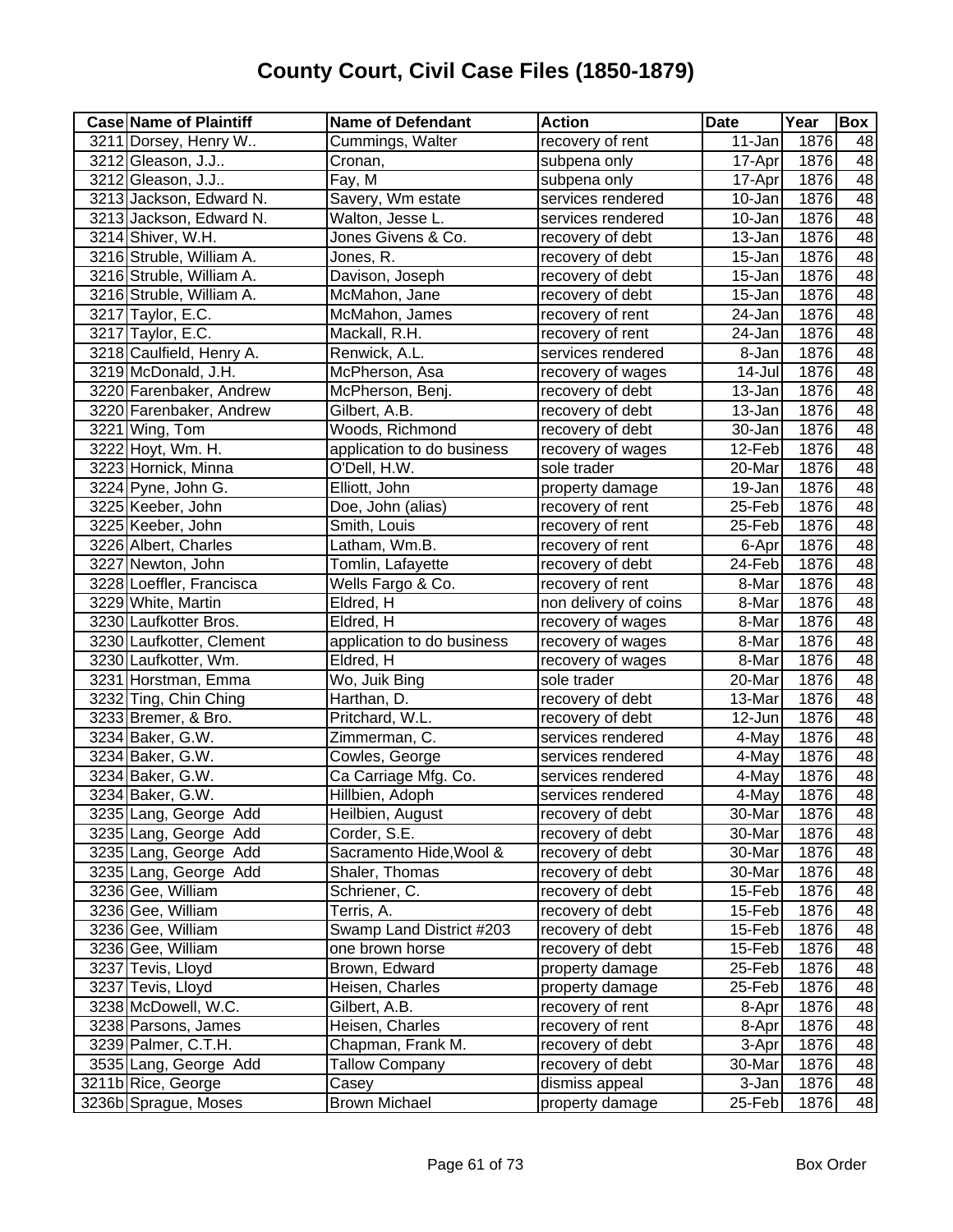| 3211 Dorsey, Henry W<br>48<br>1876<br>3212 Gleason, J.J<br>17-Apr<br>Cronan,<br>subpena only<br>48<br>3212 Gleason, J.J<br>Fay, M<br>1876<br>subpena only<br>17-Apr<br>48<br>Savery, Wm estate<br>3213 Jackson, Edward N.<br>1876<br>services rendered<br>10-Jan<br>48<br>1876<br>3213 Jackson, Edward N.<br>Walton, Jesse L.<br>10-Jan<br>services rendered<br>48<br>3214 Shiver, W.H.<br>Jones Givens & Co.<br>1876<br>$\overline{1}3$ -Jan<br>recovery of debt<br>48<br>3216 Struble, William A.<br>1876<br>Jones, R.<br>15-Jan<br>recovery of debt<br>48<br>3216 Struble, William A.<br>1876<br>Davison, Joseph<br>recovery of debt<br>15-Jan<br>48<br>3216 Struble, William A.<br>1876<br>McMahon, Jane<br>15-Jan<br>recovery of debt<br>48<br>3217 Taylor, E.C.<br>$24 - Jan$<br>1876<br>McMahon, James<br>recovery of rent<br>48<br>3217 Taylor, E.C.<br>1876<br>24-Jan<br>Mackall, R.H.<br>recovery of rent<br>48<br>3218 Caulfield, Henry A.<br>1876<br>Renwick, A.L.<br>services rendered<br>8-Jan<br>48<br>1876<br>3219 McDonald, J.H.<br>14-Jul<br>McPherson, Asa<br>recovery of wages<br>48<br>1876<br>3220 Farenbaker, Andrew<br>13-Jan<br>McPherson, Benj.<br>recovery of debt<br>48<br>1876<br>3220 Farenbaker, Andrew<br>13-Jan<br>Gilbert, A.B.<br>recovery of debt<br>48<br>Woods, Richmond<br>1876<br>3221 Wing, Tom<br>recovery of debt<br>30-Jan<br>48<br>1876<br>3222 Hoyt, Wm. H.<br>application to do business<br>12-Feb<br>recovery of wages<br>48<br>3223 Hornick, Minna<br>O'Dell, H.W.<br>sole trader<br>1876<br>20-Mar<br>48<br>3224 Pyne, John G.<br>1876<br>Elliott, John<br>19-Jan<br>property damage<br>48<br>1876<br>3225 Keeber, John<br>Doe, John (alias)<br>recovery of rent<br>25-Feb<br>48<br>1876<br>3225 Keeber, John<br>Smith, Louis<br>25-Feb<br>recovery of rent<br>48<br>Latham, Wm.B.<br>1876<br>3226 Albert, Charles<br>recovery of rent<br>6-Apr<br>48<br>3227 Newton, John<br>Tomlin, Lafayette<br>24-Feb<br>1876<br>recovery of debt<br>48<br>1876<br>3228 Loeffler, Francisca<br>Wells Fargo & Co.<br>recovery of rent<br>8-Mar<br>48<br>3229 White, Martin<br>non delivery of coins<br>1876<br>Eldred, H<br>8-Mar<br>48<br>1876<br>3230 Laufkotter Bros.<br>8-Mar<br>Eldred, H<br>recovery of wages<br>48<br>3230 Laufkotter, Clement<br>1876<br>application to do business<br>recovery of wages<br>8-Mar<br>48<br>3230 Laufkotter, Wm.<br>1876<br>Eldred, H<br>recovery of wages<br>8-Mar<br>48<br>1876<br>3231 Horstman, Emma<br>Wo, Juik Bing<br>sole trader<br>20-Mar<br>48<br>3232 Ting, Chin Ching<br>1876<br>Harthan, D.<br>13-Mar<br>recovery of debt<br>48<br>1876<br>3233 Bremer, & Bro.<br>Pritchard, W.L.<br>12-Jun<br>recovery of debt<br>48<br>1876<br>3234 Baker, G.W.<br>Zimmerman, C.<br>4-May<br>services rendered<br>48<br>1876<br>3234 Baker, G.W.<br>Cowles, George<br>4-May<br>services rendered<br>1876<br>48<br>3234 Baker, G.W.<br>Ca Carriage Mfg. Co.<br>services rendered<br>4-May<br>48<br>3234 Baker, G.W.<br>1876<br>Hillbien, Adoph<br>4-May<br>services rendered<br>3235 Lang, George Add<br>30-Mar<br>1876<br>Heilbien, August<br>recovery of debt<br>48<br>3235 Lang, George Add<br>Corder, S.E.<br>1876<br>recovery of debt<br>30-Mar<br>3235 Lang, George Add<br>Sacramento Hide, Wool &<br>1876<br>recovery of debt<br>30-Mar<br>48<br>3235 Lang, George Add<br>1876<br>48<br>Shaler, Thomas<br>recovery of debt<br>30-Mar<br>3236 Gee, William<br>Schriener, C.<br>1876<br>48<br>recovery of debt<br>15-Feb<br>$15-Feb$<br>1876<br>48<br>3236 Gee, William<br>Terris, A.<br>recovery of debt<br>Swamp Land District #203<br>1876<br>48<br>3236 Gee, William<br>recovery of debt<br>15-Feb<br>48<br>3236 Gee, William<br>1876<br>one brown horse<br>recovery of debt<br>15-Feb<br>48<br>1876<br>3237 Tevis, Lloyd<br>Brown, Edward<br>property damage<br>25-Feb<br>48<br>3237 Tevis, Lloyd<br>Heisen, Charles<br>1876<br>property damage<br>25-Feb<br>48<br>3238 McDowell, W.C.<br>1876<br>Gilbert, A.B.<br>recovery of rent<br>8-Apr | <b>Case Name of Plaintiff</b> | <b>Name of Defendant</b> | <b>Action</b>    | <b>Date</b> | Year | Box |
|----------------------------------------------------------------------------------------------------------------------------------------------------------------------------------------------------------------------------------------------------------------------------------------------------------------------------------------------------------------------------------------------------------------------------------------------------------------------------------------------------------------------------------------------------------------------------------------------------------------------------------------------------------------------------------------------------------------------------------------------------------------------------------------------------------------------------------------------------------------------------------------------------------------------------------------------------------------------------------------------------------------------------------------------------------------------------------------------------------------------------------------------------------------------------------------------------------------------------------------------------------------------------------------------------------------------------------------------------------------------------------------------------------------------------------------------------------------------------------------------------------------------------------------------------------------------------------------------------------------------------------------------------------------------------------------------------------------------------------------------------------------------------------------------------------------------------------------------------------------------------------------------------------------------------------------------------------------------------------------------------------------------------------------------------------------------------------------------------------------------------------------------------------------------------------------------------------------------------------------------------------------------------------------------------------------------------------------------------------------------------------------------------------------------------------------------------------------------------------------------------------------------------------------------------------------------------------------------------------------------------------------------------------------------------------------------------------------------------------------------------------------------------------------------------------------------------------------------------------------------------------------------------------------------------------------------------------------------------------------------------------------------------------------------------------------------------------------------------------------------------------------------------------------------------------------------------------------------------------------------------------------------------------------------------------------------------------------------------------------------------------------------------------------------------------------------------------------------------------------------------------------------------------------------------------------------------------------------------------------------------------------------------------------------------------------------------------------------------------------------------------------------------------------------------------------------------------------------------------------------------------------------------------------------------------------------------------------------------------------------------------------------------------|-------------------------------|--------------------------|------------------|-------------|------|-----|
| 48                                                                                                                                                                                                                                                                                                                                                                                                                                                                                                                                                                                                                                                                                                                                                                                                                                                                                                                                                                                                                                                                                                                                                                                                                                                                                                                                                                                                                                                                                                                                                                                                                                                                                                                                                                                                                                                                                                                                                                                                                                                                                                                                                                                                                                                                                                                                                                                                                                                                                                                                                                                                                                                                                                                                                                                                                                                                                                                                                                                                                                                                                                                                                                                                                                                                                                                                                                                                                                                                                                                                                                                                                                                                                                                                                                                                                                                                                                                                                                                                                               |                               | Cummings, Walter         | recovery of rent | 11-Jan      | 1876 | 48  |
|                                                                                                                                                                                                                                                                                                                                                                                                                                                                                                                                                                                                                                                                                                                                                                                                                                                                                                                                                                                                                                                                                                                                                                                                                                                                                                                                                                                                                                                                                                                                                                                                                                                                                                                                                                                                                                                                                                                                                                                                                                                                                                                                                                                                                                                                                                                                                                                                                                                                                                                                                                                                                                                                                                                                                                                                                                                                                                                                                                                                                                                                                                                                                                                                                                                                                                                                                                                                                                                                                                                                                                                                                                                                                                                                                                                                                                                                                                                                                                                                                                  |                               |                          |                  |             |      |     |
|                                                                                                                                                                                                                                                                                                                                                                                                                                                                                                                                                                                                                                                                                                                                                                                                                                                                                                                                                                                                                                                                                                                                                                                                                                                                                                                                                                                                                                                                                                                                                                                                                                                                                                                                                                                                                                                                                                                                                                                                                                                                                                                                                                                                                                                                                                                                                                                                                                                                                                                                                                                                                                                                                                                                                                                                                                                                                                                                                                                                                                                                                                                                                                                                                                                                                                                                                                                                                                                                                                                                                                                                                                                                                                                                                                                                                                                                                                                                                                                                                                  |                               |                          |                  |             |      |     |
|                                                                                                                                                                                                                                                                                                                                                                                                                                                                                                                                                                                                                                                                                                                                                                                                                                                                                                                                                                                                                                                                                                                                                                                                                                                                                                                                                                                                                                                                                                                                                                                                                                                                                                                                                                                                                                                                                                                                                                                                                                                                                                                                                                                                                                                                                                                                                                                                                                                                                                                                                                                                                                                                                                                                                                                                                                                                                                                                                                                                                                                                                                                                                                                                                                                                                                                                                                                                                                                                                                                                                                                                                                                                                                                                                                                                                                                                                                                                                                                                                                  |                               |                          |                  |             |      |     |
|                                                                                                                                                                                                                                                                                                                                                                                                                                                                                                                                                                                                                                                                                                                                                                                                                                                                                                                                                                                                                                                                                                                                                                                                                                                                                                                                                                                                                                                                                                                                                                                                                                                                                                                                                                                                                                                                                                                                                                                                                                                                                                                                                                                                                                                                                                                                                                                                                                                                                                                                                                                                                                                                                                                                                                                                                                                                                                                                                                                                                                                                                                                                                                                                                                                                                                                                                                                                                                                                                                                                                                                                                                                                                                                                                                                                                                                                                                                                                                                                                                  |                               |                          |                  |             |      |     |
|                                                                                                                                                                                                                                                                                                                                                                                                                                                                                                                                                                                                                                                                                                                                                                                                                                                                                                                                                                                                                                                                                                                                                                                                                                                                                                                                                                                                                                                                                                                                                                                                                                                                                                                                                                                                                                                                                                                                                                                                                                                                                                                                                                                                                                                                                                                                                                                                                                                                                                                                                                                                                                                                                                                                                                                                                                                                                                                                                                                                                                                                                                                                                                                                                                                                                                                                                                                                                                                                                                                                                                                                                                                                                                                                                                                                                                                                                                                                                                                                                                  |                               |                          |                  |             |      |     |
|                                                                                                                                                                                                                                                                                                                                                                                                                                                                                                                                                                                                                                                                                                                                                                                                                                                                                                                                                                                                                                                                                                                                                                                                                                                                                                                                                                                                                                                                                                                                                                                                                                                                                                                                                                                                                                                                                                                                                                                                                                                                                                                                                                                                                                                                                                                                                                                                                                                                                                                                                                                                                                                                                                                                                                                                                                                                                                                                                                                                                                                                                                                                                                                                                                                                                                                                                                                                                                                                                                                                                                                                                                                                                                                                                                                                                                                                                                                                                                                                                                  |                               |                          |                  |             |      |     |
|                                                                                                                                                                                                                                                                                                                                                                                                                                                                                                                                                                                                                                                                                                                                                                                                                                                                                                                                                                                                                                                                                                                                                                                                                                                                                                                                                                                                                                                                                                                                                                                                                                                                                                                                                                                                                                                                                                                                                                                                                                                                                                                                                                                                                                                                                                                                                                                                                                                                                                                                                                                                                                                                                                                                                                                                                                                                                                                                                                                                                                                                                                                                                                                                                                                                                                                                                                                                                                                                                                                                                                                                                                                                                                                                                                                                                                                                                                                                                                                                                                  |                               |                          |                  |             |      |     |
|                                                                                                                                                                                                                                                                                                                                                                                                                                                                                                                                                                                                                                                                                                                                                                                                                                                                                                                                                                                                                                                                                                                                                                                                                                                                                                                                                                                                                                                                                                                                                                                                                                                                                                                                                                                                                                                                                                                                                                                                                                                                                                                                                                                                                                                                                                                                                                                                                                                                                                                                                                                                                                                                                                                                                                                                                                                                                                                                                                                                                                                                                                                                                                                                                                                                                                                                                                                                                                                                                                                                                                                                                                                                                                                                                                                                                                                                                                                                                                                                                                  |                               |                          |                  |             |      |     |
|                                                                                                                                                                                                                                                                                                                                                                                                                                                                                                                                                                                                                                                                                                                                                                                                                                                                                                                                                                                                                                                                                                                                                                                                                                                                                                                                                                                                                                                                                                                                                                                                                                                                                                                                                                                                                                                                                                                                                                                                                                                                                                                                                                                                                                                                                                                                                                                                                                                                                                                                                                                                                                                                                                                                                                                                                                                                                                                                                                                                                                                                                                                                                                                                                                                                                                                                                                                                                                                                                                                                                                                                                                                                                                                                                                                                                                                                                                                                                                                                                                  |                               |                          |                  |             |      |     |
|                                                                                                                                                                                                                                                                                                                                                                                                                                                                                                                                                                                                                                                                                                                                                                                                                                                                                                                                                                                                                                                                                                                                                                                                                                                                                                                                                                                                                                                                                                                                                                                                                                                                                                                                                                                                                                                                                                                                                                                                                                                                                                                                                                                                                                                                                                                                                                                                                                                                                                                                                                                                                                                                                                                                                                                                                                                                                                                                                                                                                                                                                                                                                                                                                                                                                                                                                                                                                                                                                                                                                                                                                                                                                                                                                                                                                                                                                                                                                                                                                                  |                               |                          |                  |             |      |     |
|                                                                                                                                                                                                                                                                                                                                                                                                                                                                                                                                                                                                                                                                                                                                                                                                                                                                                                                                                                                                                                                                                                                                                                                                                                                                                                                                                                                                                                                                                                                                                                                                                                                                                                                                                                                                                                                                                                                                                                                                                                                                                                                                                                                                                                                                                                                                                                                                                                                                                                                                                                                                                                                                                                                                                                                                                                                                                                                                                                                                                                                                                                                                                                                                                                                                                                                                                                                                                                                                                                                                                                                                                                                                                                                                                                                                                                                                                                                                                                                                                                  |                               |                          |                  |             |      |     |
|                                                                                                                                                                                                                                                                                                                                                                                                                                                                                                                                                                                                                                                                                                                                                                                                                                                                                                                                                                                                                                                                                                                                                                                                                                                                                                                                                                                                                                                                                                                                                                                                                                                                                                                                                                                                                                                                                                                                                                                                                                                                                                                                                                                                                                                                                                                                                                                                                                                                                                                                                                                                                                                                                                                                                                                                                                                                                                                                                                                                                                                                                                                                                                                                                                                                                                                                                                                                                                                                                                                                                                                                                                                                                                                                                                                                                                                                                                                                                                                                                                  |                               |                          |                  |             |      |     |
|                                                                                                                                                                                                                                                                                                                                                                                                                                                                                                                                                                                                                                                                                                                                                                                                                                                                                                                                                                                                                                                                                                                                                                                                                                                                                                                                                                                                                                                                                                                                                                                                                                                                                                                                                                                                                                                                                                                                                                                                                                                                                                                                                                                                                                                                                                                                                                                                                                                                                                                                                                                                                                                                                                                                                                                                                                                                                                                                                                                                                                                                                                                                                                                                                                                                                                                                                                                                                                                                                                                                                                                                                                                                                                                                                                                                                                                                                                                                                                                                                                  |                               |                          |                  |             |      |     |
|                                                                                                                                                                                                                                                                                                                                                                                                                                                                                                                                                                                                                                                                                                                                                                                                                                                                                                                                                                                                                                                                                                                                                                                                                                                                                                                                                                                                                                                                                                                                                                                                                                                                                                                                                                                                                                                                                                                                                                                                                                                                                                                                                                                                                                                                                                                                                                                                                                                                                                                                                                                                                                                                                                                                                                                                                                                                                                                                                                                                                                                                                                                                                                                                                                                                                                                                                                                                                                                                                                                                                                                                                                                                                                                                                                                                                                                                                                                                                                                                                                  |                               |                          |                  |             |      |     |
|                                                                                                                                                                                                                                                                                                                                                                                                                                                                                                                                                                                                                                                                                                                                                                                                                                                                                                                                                                                                                                                                                                                                                                                                                                                                                                                                                                                                                                                                                                                                                                                                                                                                                                                                                                                                                                                                                                                                                                                                                                                                                                                                                                                                                                                                                                                                                                                                                                                                                                                                                                                                                                                                                                                                                                                                                                                                                                                                                                                                                                                                                                                                                                                                                                                                                                                                                                                                                                                                                                                                                                                                                                                                                                                                                                                                                                                                                                                                                                                                                                  |                               |                          |                  |             |      |     |
|                                                                                                                                                                                                                                                                                                                                                                                                                                                                                                                                                                                                                                                                                                                                                                                                                                                                                                                                                                                                                                                                                                                                                                                                                                                                                                                                                                                                                                                                                                                                                                                                                                                                                                                                                                                                                                                                                                                                                                                                                                                                                                                                                                                                                                                                                                                                                                                                                                                                                                                                                                                                                                                                                                                                                                                                                                                                                                                                                                                                                                                                                                                                                                                                                                                                                                                                                                                                                                                                                                                                                                                                                                                                                                                                                                                                                                                                                                                                                                                                                                  |                               |                          |                  |             |      |     |
|                                                                                                                                                                                                                                                                                                                                                                                                                                                                                                                                                                                                                                                                                                                                                                                                                                                                                                                                                                                                                                                                                                                                                                                                                                                                                                                                                                                                                                                                                                                                                                                                                                                                                                                                                                                                                                                                                                                                                                                                                                                                                                                                                                                                                                                                                                                                                                                                                                                                                                                                                                                                                                                                                                                                                                                                                                                                                                                                                                                                                                                                                                                                                                                                                                                                                                                                                                                                                                                                                                                                                                                                                                                                                                                                                                                                                                                                                                                                                                                                                                  |                               |                          |                  |             |      |     |
|                                                                                                                                                                                                                                                                                                                                                                                                                                                                                                                                                                                                                                                                                                                                                                                                                                                                                                                                                                                                                                                                                                                                                                                                                                                                                                                                                                                                                                                                                                                                                                                                                                                                                                                                                                                                                                                                                                                                                                                                                                                                                                                                                                                                                                                                                                                                                                                                                                                                                                                                                                                                                                                                                                                                                                                                                                                                                                                                                                                                                                                                                                                                                                                                                                                                                                                                                                                                                                                                                                                                                                                                                                                                                                                                                                                                                                                                                                                                                                                                                                  |                               |                          |                  |             |      |     |
|                                                                                                                                                                                                                                                                                                                                                                                                                                                                                                                                                                                                                                                                                                                                                                                                                                                                                                                                                                                                                                                                                                                                                                                                                                                                                                                                                                                                                                                                                                                                                                                                                                                                                                                                                                                                                                                                                                                                                                                                                                                                                                                                                                                                                                                                                                                                                                                                                                                                                                                                                                                                                                                                                                                                                                                                                                                                                                                                                                                                                                                                                                                                                                                                                                                                                                                                                                                                                                                                                                                                                                                                                                                                                                                                                                                                                                                                                                                                                                                                                                  |                               |                          |                  |             |      |     |
|                                                                                                                                                                                                                                                                                                                                                                                                                                                                                                                                                                                                                                                                                                                                                                                                                                                                                                                                                                                                                                                                                                                                                                                                                                                                                                                                                                                                                                                                                                                                                                                                                                                                                                                                                                                                                                                                                                                                                                                                                                                                                                                                                                                                                                                                                                                                                                                                                                                                                                                                                                                                                                                                                                                                                                                                                                                                                                                                                                                                                                                                                                                                                                                                                                                                                                                                                                                                                                                                                                                                                                                                                                                                                                                                                                                                                                                                                                                                                                                                                                  |                               |                          |                  |             |      |     |
|                                                                                                                                                                                                                                                                                                                                                                                                                                                                                                                                                                                                                                                                                                                                                                                                                                                                                                                                                                                                                                                                                                                                                                                                                                                                                                                                                                                                                                                                                                                                                                                                                                                                                                                                                                                                                                                                                                                                                                                                                                                                                                                                                                                                                                                                                                                                                                                                                                                                                                                                                                                                                                                                                                                                                                                                                                                                                                                                                                                                                                                                                                                                                                                                                                                                                                                                                                                                                                                                                                                                                                                                                                                                                                                                                                                                                                                                                                                                                                                                                                  |                               |                          |                  |             |      |     |
|                                                                                                                                                                                                                                                                                                                                                                                                                                                                                                                                                                                                                                                                                                                                                                                                                                                                                                                                                                                                                                                                                                                                                                                                                                                                                                                                                                                                                                                                                                                                                                                                                                                                                                                                                                                                                                                                                                                                                                                                                                                                                                                                                                                                                                                                                                                                                                                                                                                                                                                                                                                                                                                                                                                                                                                                                                                                                                                                                                                                                                                                                                                                                                                                                                                                                                                                                                                                                                                                                                                                                                                                                                                                                                                                                                                                                                                                                                                                                                                                                                  |                               |                          |                  |             |      |     |
|                                                                                                                                                                                                                                                                                                                                                                                                                                                                                                                                                                                                                                                                                                                                                                                                                                                                                                                                                                                                                                                                                                                                                                                                                                                                                                                                                                                                                                                                                                                                                                                                                                                                                                                                                                                                                                                                                                                                                                                                                                                                                                                                                                                                                                                                                                                                                                                                                                                                                                                                                                                                                                                                                                                                                                                                                                                                                                                                                                                                                                                                                                                                                                                                                                                                                                                                                                                                                                                                                                                                                                                                                                                                                                                                                                                                                                                                                                                                                                                                                                  |                               |                          |                  |             |      |     |
|                                                                                                                                                                                                                                                                                                                                                                                                                                                                                                                                                                                                                                                                                                                                                                                                                                                                                                                                                                                                                                                                                                                                                                                                                                                                                                                                                                                                                                                                                                                                                                                                                                                                                                                                                                                                                                                                                                                                                                                                                                                                                                                                                                                                                                                                                                                                                                                                                                                                                                                                                                                                                                                                                                                                                                                                                                                                                                                                                                                                                                                                                                                                                                                                                                                                                                                                                                                                                                                                                                                                                                                                                                                                                                                                                                                                                                                                                                                                                                                                                                  |                               |                          |                  |             |      |     |
|                                                                                                                                                                                                                                                                                                                                                                                                                                                                                                                                                                                                                                                                                                                                                                                                                                                                                                                                                                                                                                                                                                                                                                                                                                                                                                                                                                                                                                                                                                                                                                                                                                                                                                                                                                                                                                                                                                                                                                                                                                                                                                                                                                                                                                                                                                                                                                                                                                                                                                                                                                                                                                                                                                                                                                                                                                                                                                                                                                                                                                                                                                                                                                                                                                                                                                                                                                                                                                                                                                                                                                                                                                                                                                                                                                                                                                                                                                                                                                                                                                  |                               |                          |                  |             |      |     |
|                                                                                                                                                                                                                                                                                                                                                                                                                                                                                                                                                                                                                                                                                                                                                                                                                                                                                                                                                                                                                                                                                                                                                                                                                                                                                                                                                                                                                                                                                                                                                                                                                                                                                                                                                                                                                                                                                                                                                                                                                                                                                                                                                                                                                                                                                                                                                                                                                                                                                                                                                                                                                                                                                                                                                                                                                                                                                                                                                                                                                                                                                                                                                                                                                                                                                                                                                                                                                                                                                                                                                                                                                                                                                                                                                                                                                                                                                                                                                                                                                                  |                               |                          |                  |             |      |     |
|                                                                                                                                                                                                                                                                                                                                                                                                                                                                                                                                                                                                                                                                                                                                                                                                                                                                                                                                                                                                                                                                                                                                                                                                                                                                                                                                                                                                                                                                                                                                                                                                                                                                                                                                                                                                                                                                                                                                                                                                                                                                                                                                                                                                                                                                                                                                                                                                                                                                                                                                                                                                                                                                                                                                                                                                                                                                                                                                                                                                                                                                                                                                                                                                                                                                                                                                                                                                                                                                                                                                                                                                                                                                                                                                                                                                                                                                                                                                                                                                                                  |                               |                          |                  |             |      |     |
|                                                                                                                                                                                                                                                                                                                                                                                                                                                                                                                                                                                                                                                                                                                                                                                                                                                                                                                                                                                                                                                                                                                                                                                                                                                                                                                                                                                                                                                                                                                                                                                                                                                                                                                                                                                                                                                                                                                                                                                                                                                                                                                                                                                                                                                                                                                                                                                                                                                                                                                                                                                                                                                                                                                                                                                                                                                                                                                                                                                                                                                                                                                                                                                                                                                                                                                                                                                                                                                                                                                                                                                                                                                                                                                                                                                                                                                                                                                                                                                                                                  |                               |                          |                  |             |      |     |
|                                                                                                                                                                                                                                                                                                                                                                                                                                                                                                                                                                                                                                                                                                                                                                                                                                                                                                                                                                                                                                                                                                                                                                                                                                                                                                                                                                                                                                                                                                                                                                                                                                                                                                                                                                                                                                                                                                                                                                                                                                                                                                                                                                                                                                                                                                                                                                                                                                                                                                                                                                                                                                                                                                                                                                                                                                                                                                                                                                                                                                                                                                                                                                                                                                                                                                                                                                                                                                                                                                                                                                                                                                                                                                                                                                                                                                                                                                                                                                                                                                  |                               |                          |                  |             |      |     |
|                                                                                                                                                                                                                                                                                                                                                                                                                                                                                                                                                                                                                                                                                                                                                                                                                                                                                                                                                                                                                                                                                                                                                                                                                                                                                                                                                                                                                                                                                                                                                                                                                                                                                                                                                                                                                                                                                                                                                                                                                                                                                                                                                                                                                                                                                                                                                                                                                                                                                                                                                                                                                                                                                                                                                                                                                                                                                                                                                                                                                                                                                                                                                                                                                                                                                                                                                                                                                                                                                                                                                                                                                                                                                                                                                                                                                                                                                                                                                                                                                                  |                               |                          |                  |             |      |     |
|                                                                                                                                                                                                                                                                                                                                                                                                                                                                                                                                                                                                                                                                                                                                                                                                                                                                                                                                                                                                                                                                                                                                                                                                                                                                                                                                                                                                                                                                                                                                                                                                                                                                                                                                                                                                                                                                                                                                                                                                                                                                                                                                                                                                                                                                                                                                                                                                                                                                                                                                                                                                                                                                                                                                                                                                                                                                                                                                                                                                                                                                                                                                                                                                                                                                                                                                                                                                                                                                                                                                                                                                                                                                                                                                                                                                                                                                                                                                                                                                                                  |                               |                          |                  |             |      |     |
|                                                                                                                                                                                                                                                                                                                                                                                                                                                                                                                                                                                                                                                                                                                                                                                                                                                                                                                                                                                                                                                                                                                                                                                                                                                                                                                                                                                                                                                                                                                                                                                                                                                                                                                                                                                                                                                                                                                                                                                                                                                                                                                                                                                                                                                                                                                                                                                                                                                                                                                                                                                                                                                                                                                                                                                                                                                                                                                                                                                                                                                                                                                                                                                                                                                                                                                                                                                                                                                                                                                                                                                                                                                                                                                                                                                                                                                                                                                                                                                                                                  |                               |                          |                  |             |      |     |
|                                                                                                                                                                                                                                                                                                                                                                                                                                                                                                                                                                                                                                                                                                                                                                                                                                                                                                                                                                                                                                                                                                                                                                                                                                                                                                                                                                                                                                                                                                                                                                                                                                                                                                                                                                                                                                                                                                                                                                                                                                                                                                                                                                                                                                                                                                                                                                                                                                                                                                                                                                                                                                                                                                                                                                                                                                                                                                                                                                                                                                                                                                                                                                                                                                                                                                                                                                                                                                                                                                                                                                                                                                                                                                                                                                                                                                                                                                                                                                                                                                  |                               |                          |                  |             |      |     |
|                                                                                                                                                                                                                                                                                                                                                                                                                                                                                                                                                                                                                                                                                                                                                                                                                                                                                                                                                                                                                                                                                                                                                                                                                                                                                                                                                                                                                                                                                                                                                                                                                                                                                                                                                                                                                                                                                                                                                                                                                                                                                                                                                                                                                                                                                                                                                                                                                                                                                                                                                                                                                                                                                                                                                                                                                                                                                                                                                                                                                                                                                                                                                                                                                                                                                                                                                                                                                                                                                                                                                                                                                                                                                                                                                                                                                                                                                                                                                                                                                                  |                               |                          |                  |             |      |     |
|                                                                                                                                                                                                                                                                                                                                                                                                                                                                                                                                                                                                                                                                                                                                                                                                                                                                                                                                                                                                                                                                                                                                                                                                                                                                                                                                                                                                                                                                                                                                                                                                                                                                                                                                                                                                                                                                                                                                                                                                                                                                                                                                                                                                                                                                                                                                                                                                                                                                                                                                                                                                                                                                                                                                                                                                                                                                                                                                                                                                                                                                                                                                                                                                                                                                                                                                                                                                                                                                                                                                                                                                                                                                                                                                                                                                                                                                                                                                                                                                                                  |                               |                          |                  |             |      |     |
|                                                                                                                                                                                                                                                                                                                                                                                                                                                                                                                                                                                                                                                                                                                                                                                                                                                                                                                                                                                                                                                                                                                                                                                                                                                                                                                                                                                                                                                                                                                                                                                                                                                                                                                                                                                                                                                                                                                                                                                                                                                                                                                                                                                                                                                                                                                                                                                                                                                                                                                                                                                                                                                                                                                                                                                                                                                                                                                                                                                                                                                                                                                                                                                                                                                                                                                                                                                                                                                                                                                                                                                                                                                                                                                                                                                                                                                                                                                                                                                                                                  |                               |                          |                  |             |      |     |
|                                                                                                                                                                                                                                                                                                                                                                                                                                                                                                                                                                                                                                                                                                                                                                                                                                                                                                                                                                                                                                                                                                                                                                                                                                                                                                                                                                                                                                                                                                                                                                                                                                                                                                                                                                                                                                                                                                                                                                                                                                                                                                                                                                                                                                                                                                                                                                                                                                                                                                                                                                                                                                                                                                                                                                                                                                                                                                                                                                                                                                                                                                                                                                                                                                                                                                                                                                                                                                                                                                                                                                                                                                                                                                                                                                                                                                                                                                                                                                                                                                  |                               |                          |                  |             |      |     |
|                                                                                                                                                                                                                                                                                                                                                                                                                                                                                                                                                                                                                                                                                                                                                                                                                                                                                                                                                                                                                                                                                                                                                                                                                                                                                                                                                                                                                                                                                                                                                                                                                                                                                                                                                                                                                                                                                                                                                                                                                                                                                                                                                                                                                                                                                                                                                                                                                                                                                                                                                                                                                                                                                                                                                                                                                                                                                                                                                                                                                                                                                                                                                                                                                                                                                                                                                                                                                                                                                                                                                                                                                                                                                                                                                                                                                                                                                                                                                                                                                                  |                               |                          |                  |             |      |     |
|                                                                                                                                                                                                                                                                                                                                                                                                                                                                                                                                                                                                                                                                                                                                                                                                                                                                                                                                                                                                                                                                                                                                                                                                                                                                                                                                                                                                                                                                                                                                                                                                                                                                                                                                                                                                                                                                                                                                                                                                                                                                                                                                                                                                                                                                                                                                                                                                                                                                                                                                                                                                                                                                                                                                                                                                                                                                                                                                                                                                                                                                                                                                                                                                                                                                                                                                                                                                                                                                                                                                                                                                                                                                                                                                                                                                                                                                                                                                                                                                                                  |                               |                          |                  |             |      |     |
|                                                                                                                                                                                                                                                                                                                                                                                                                                                                                                                                                                                                                                                                                                                                                                                                                                                                                                                                                                                                                                                                                                                                                                                                                                                                                                                                                                                                                                                                                                                                                                                                                                                                                                                                                                                                                                                                                                                                                                                                                                                                                                                                                                                                                                                                                                                                                                                                                                                                                                                                                                                                                                                                                                                                                                                                                                                                                                                                                                                                                                                                                                                                                                                                                                                                                                                                                                                                                                                                                                                                                                                                                                                                                                                                                                                                                                                                                                                                                                                                                                  |                               |                          |                  |             |      |     |
|                                                                                                                                                                                                                                                                                                                                                                                                                                                                                                                                                                                                                                                                                                                                                                                                                                                                                                                                                                                                                                                                                                                                                                                                                                                                                                                                                                                                                                                                                                                                                                                                                                                                                                                                                                                                                                                                                                                                                                                                                                                                                                                                                                                                                                                                                                                                                                                                                                                                                                                                                                                                                                                                                                                                                                                                                                                                                                                                                                                                                                                                                                                                                                                                                                                                                                                                                                                                                                                                                                                                                                                                                                                                                                                                                                                                                                                                                                                                                                                                                                  |                               |                          |                  |             |      |     |
|                                                                                                                                                                                                                                                                                                                                                                                                                                                                                                                                                                                                                                                                                                                                                                                                                                                                                                                                                                                                                                                                                                                                                                                                                                                                                                                                                                                                                                                                                                                                                                                                                                                                                                                                                                                                                                                                                                                                                                                                                                                                                                                                                                                                                                                                                                                                                                                                                                                                                                                                                                                                                                                                                                                                                                                                                                                                                                                                                                                                                                                                                                                                                                                                                                                                                                                                                                                                                                                                                                                                                                                                                                                                                                                                                                                                                                                                                                                                                                                                                                  |                               |                          |                  |             |      |     |
|                                                                                                                                                                                                                                                                                                                                                                                                                                                                                                                                                                                                                                                                                                                                                                                                                                                                                                                                                                                                                                                                                                                                                                                                                                                                                                                                                                                                                                                                                                                                                                                                                                                                                                                                                                                                                                                                                                                                                                                                                                                                                                                                                                                                                                                                                                                                                                                                                                                                                                                                                                                                                                                                                                                                                                                                                                                                                                                                                                                                                                                                                                                                                                                                                                                                                                                                                                                                                                                                                                                                                                                                                                                                                                                                                                                                                                                                                                                                                                                                                                  |                               |                          |                  |             |      |     |
|                                                                                                                                                                                                                                                                                                                                                                                                                                                                                                                                                                                                                                                                                                                                                                                                                                                                                                                                                                                                                                                                                                                                                                                                                                                                                                                                                                                                                                                                                                                                                                                                                                                                                                                                                                                                                                                                                                                                                                                                                                                                                                                                                                                                                                                                                                                                                                                                                                                                                                                                                                                                                                                                                                                                                                                                                                                                                                                                                                                                                                                                                                                                                                                                                                                                                                                                                                                                                                                                                                                                                                                                                                                                                                                                                                                                                                                                                                                                                                                                                                  |                               |                          |                  |             |      |     |
|                                                                                                                                                                                                                                                                                                                                                                                                                                                                                                                                                                                                                                                                                                                                                                                                                                                                                                                                                                                                                                                                                                                                                                                                                                                                                                                                                                                                                                                                                                                                                                                                                                                                                                                                                                                                                                                                                                                                                                                                                                                                                                                                                                                                                                                                                                                                                                                                                                                                                                                                                                                                                                                                                                                                                                                                                                                                                                                                                                                                                                                                                                                                                                                                                                                                                                                                                                                                                                                                                                                                                                                                                                                                                                                                                                                                                                                                                                                                                                                                                                  |                               |                          |                  |             |      |     |
| $\overline{48}$<br>1876<br>3238 Parsons, James<br>Heisen, Charles<br>recovery of rent<br>8-Apr                                                                                                                                                                                                                                                                                                                                                                                                                                                                                                                                                                                                                                                                                                                                                                                                                                                                                                                                                                                                                                                                                                                                                                                                                                                                                                                                                                                                                                                                                                                                                                                                                                                                                                                                                                                                                                                                                                                                                                                                                                                                                                                                                                                                                                                                                                                                                                                                                                                                                                                                                                                                                                                                                                                                                                                                                                                                                                                                                                                                                                                                                                                                                                                                                                                                                                                                                                                                                                                                                                                                                                                                                                                                                                                                                                                                                                                                                                                                   |                               |                          |                  |             |      |     |
| 48<br>1876<br>3239 Palmer, C.T.H.<br>Chapman, Frank M.<br>recovery of debt<br>3-Apr                                                                                                                                                                                                                                                                                                                                                                                                                                                                                                                                                                                                                                                                                                                                                                                                                                                                                                                                                                                                                                                                                                                                                                                                                                                                                                                                                                                                                                                                                                                                                                                                                                                                                                                                                                                                                                                                                                                                                                                                                                                                                                                                                                                                                                                                                                                                                                                                                                                                                                                                                                                                                                                                                                                                                                                                                                                                                                                                                                                                                                                                                                                                                                                                                                                                                                                                                                                                                                                                                                                                                                                                                                                                                                                                                                                                                                                                                                                                              |                               |                          |                  |             |      |     |
| 48<br>1876<br>3535 Lang, George Add<br><b>Tallow Company</b><br>recovery of debt<br>30-Mar                                                                                                                                                                                                                                                                                                                                                                                                                                                                                                                                                                                                                                                                                                                                                                                                                                                                                                                                                                                                                                                                                                                                                                                                                                                                                                                                                                                                                                                                                                                                                                                                                                                                                                                                                                                                                                                                                                                                                                                                                                                                                                                                                                                                                                                                                                                                                                                                                                                                                                                                                                                                                                                                                                                                                                                                                                                                                                                                                                                                                                                                                                                                                                                                                                                                                                                                                                                                                                                                                                                                                                                                                                                                                                                                                                                                                                                                                                                                       |                               |                          |                  |             |      |     |
| 1876<br>48<br>3211b Rice, George<br>dismiss appeal<br>3-Jan<br>Casey                                                                                                                                                                                                                                                                                                                                                                                                                                                                                                                                                                                                                                                                                                                                                                                                                                                                                                                                                                                                                                                                                                                                                                                                                                                                                                                                                                                                                                                                                                                                                                                                                                                                                                                                                                                                                                                                                                                                                                                                                                                                                                                                                                                                                                                                                                                                                                                                                                                                                                                                                                                                                                                                                                                                                                                                                                                                                                                                                                                                                                                                                                                                                                                                                                                                                                                                                                                                                                                                                                                                                                                                                                                                                                                                                                                                                                                                                                                                                             |                               |                          |                  |             |      |     |
| <b>Brown Michael</b><br>48<br>3236b Sprague, Moses<br>property damage<br>25-Feb<br>1876                                                                                                                                                                                                                                                                                                                                                                                                                                                                                                                                                                                                                                                                                                                                                                                                                                                                                                                                                                                                                                                                                                                                                                                                                                                                                                                                                                                                                                                                                                                                                                                                                                                                                                                                                                                                                                                                                                                                                                                                                                                                                                                                                                                                                                                                                                                                                                                                                                                                                                                                                                                                                                                                                                                                                                                                                                                                                                                                                                                                                                                                                                                                                                                                                                                                                                                                                                                                                                                                                                                                                                                                                                                                                                                                                                                                                                                                                                                                          |                               |                          |                  |             |      |     |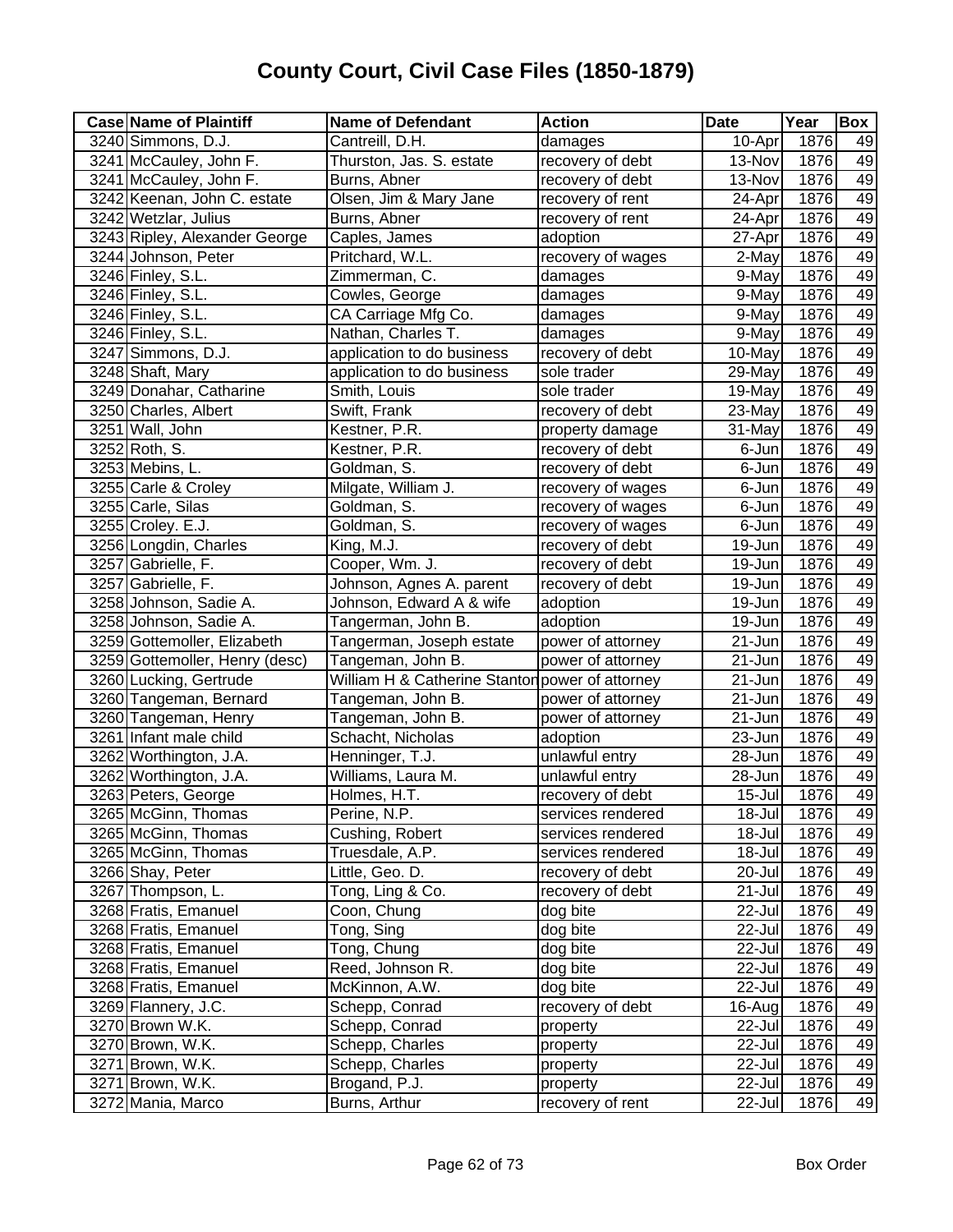| <b>Case Name of Plaintiff</b>  | <b>Name of Defendant</b>                        | <b>Action</b>     | <b>Date</b> | Year | <b>Box</b>      |
|--------------------------------|-------------------------------------------------|-------------------|-------------|------|-----------------|
| 3240 Simmons, D.J.             | Cantreill, D.H.                                 | damages           | 10-Apr      | 1876 | 49              |
| 3241 McCauley, John F.         | Thurston, Jas. S. estate                        | recovery of debt  | 13-Nov      | 1876 | 49              |
| 3241 McCauley, John F.         | Burns, Abner                                    | recovery of debt  | 13-Nov      | 1876 | 49              |
| 3242 Keenan, John C. estate    | Olsen, Jim & Mary Jane                          | recovery of rent  | $24-Apr$    | 1876 | 49              |
| 3242 Wetzlar, Julius           | Burns, Abner                                    | recovery of rent  | 24-Apr      | 1876 | 49              |
| 3243 Ripley, Alexander George  | Caples, James                                   | adoption          | 27-Apr      | 1876 | 49              |
| 3244 Johnson, Peter            | Pritchard, W.L.                                 | recovery of wages | 2-May       | 1876 | 49              |
| 3246 Finley, S.L.              | Zimmerman, C.                                   | damages           | 9-May       | 1876 | 49              |
| 3246 Finley, S.L.              | Cowles, George                                  | damages           | 9-May       | 1876 | 49              |
| 3246 Finley, S.L.              | CA Carriage Mfg Co.                             | damages           | 9-May       | 1876 | 49              |
| 3246 Finley, S.L.              | Nathan, Charles T.                              | damages           | 9-May       | 1876 | 49              |
| 3247 Simmons, D.J.             | application to do business                      | recovery of debt  | 10-May      | 1876 | 49              |
| 3248 Shaft, Mary               | application to do business                      | sole trader       | 29-May      | 1876 | 49              |
| 3249 Donahar, Catharine        | Smith, Louis                                    | sole trader       | 19-May      | 1876 | 49              |
| 3250 Charles, Albert           | Swift, Frank                                    | recovery of debt  | 23-May      | 1876 | 49              |
| 3251 Wall, John                | Kestner, P.R.                                   | property damage   | 31-May      | 1876 | 49              |
| 3252 Roth, S.                  | Kestner, P.R.                                   | recovery of debt  | 6-Jun       | 1876 | 49              |
| 3253 Mebins, L.                | Goldman, S.                                     | recovery of debt  | 6-Jun       | 1876 | 49              |
| 3255 Carle & Croley            | Milgate, William J.                             | recovery of wages | 6-Jun       | 1876 | 49              |
| 3255 Carle, Silas              | Goldman, S.                                     | recovery of wages | 6-Jun       | 1876 | 49              |
| 3255 Croley. E.J.              | Goldman, S.                                     | recovery of wages | 6-Jun       | 1876 | 49              |
| 3256 Longdin, Charles          | King, M.J.                                      | recovery of debt  | 19-Jun      | 1876 | 49              |
| 3257 Gabrielle, F.             | Cooper, Wm. J.                                  | recovery of debt  | 19-Jun      | 1876 | 49              |
| 3257 Gabrielle, F.             | Johnson, Agnes A. parent                        | recovery of debt  | 19-Jun      | 1876 | 49              |
| 3258 Johnson, Sadie A.         | Johnson, Edward A & wife                        | adoption          | 19-Jun      | 1876 | 49              |
| 3258 Johnson, Sadie A.         | Tangerman, John B.                              | adoption          | 19-Jun      | 1876 | 49              |
| 3259 Gottemoller, Elizabeth    | Tangerman, Joseph estate                        | power of attorney | 21-Jun      | 1876 | 49              |
| 3259 Gottemoller, Henry (desc) | Tangeman, John B.                               | power of attorney | 21-Jun      | 1876 | 49              |
| 3260 Lucking, Gertrude         | William H & Catherine Stantor power of attorney |                   | 21-Jun      | 1876 | 49              |
| 3260 Tangeman, Bernard         | Tangeman, John B.                               | power of attorney | 21-Jun      | 1876 | 49              |
| 3260 Tangeman, Henry           | Tangeman, John B.                               | power of attorney | 21-Jun      | 1876 | 49              |
| 3261 Infant male child         | Schacht, Nicholas                               | adoption          | 23-Jun      | 1876 | 49              |
| 3262 Worthington, J.A.         | Henninger, T.J.                                 | unlawful entry    | 28-Jun      | 1876 | 49              |
| 3262 Worthington, J.A.         | Williams, Laura M.                              | unlawful entry    | 28-Jun      | 1876 | 49              |
| 3263 Peters, George            | Holmes, H.T.                                    | recovery of debt  | 15-Jul      | 1876 | 49              |
| 3265 McGinn, Thomas            | Perine, N.P.                                    | services rendered | 18-Jul      | 1876 | 49              |
| 3265 McGinn, Thomas            | Cushing, Robert                                 | services rendered | 18-Jul      | 1876 | 49              |
| 3265 McGinn, Thomas            | Truesdale, A.P.                                 | services rendered | $18 -$ Jul  | 1876 | 49              |
| 3266 Shay, Peter               | Little, Geo. D.                                 | recovery of debt  | 20-Jul      | 1876 | 49              |
| 3267 Thompson, L.              | Tong, Ling & Co.                                | recovery of debt  | 21-Jul      | 1876 | 49              |
| 3268 Fratis, Emanuel           | Coon, Chung                                     | $dog$ bite        | 22-Jul      | 1876 | 49              |
| 3268 Fratis, Emanuel           | Tong, Sing                                      | dog bite          | 22-Jul      | 1876 | 49              |
| 3268 Fratis, Emanuel           | Tong, Chung                                     | dog bite          | 22-Jul      | 1876 | 49              |
| 3268 Fratis, Emanuel           | Reed, Johnson R.                                | dog bite          | 22-Jul      | 1876 | 49              |
| 3268 Fratis, Emanuel           | McKinnon, A.W.                                  | dog bite          | 22-Jul      | 1876 | 49              |
| 3269 Flannery, J.C.            | Schepp, Conrad                                  | recovery of debt  | 16-Aug      | 1876 | 49              |
| 3270 Brown W.K.                | Schepp, Conrad                                  | property          | 22-Jul      | 1876 | 49              |
| 3270 Brown, W.K.               | Schepp, Charles                                 | property          | 22-Jul      | 1876 | 49              |
| 3271 Brown, W.K.               | Schepp, Charles                                 | property          | 22-Jul      | 1876 | 49              |
| 3271 Brown, W.K.               | Brogand, P.J.                                   | property          | 22-Jul      | 1876 | 49              |
| 3272 Mania, Marco              | Burns, Arthur                                   | recovery of rent  | 22-Jul      | 1876 | $\overline{49}$ |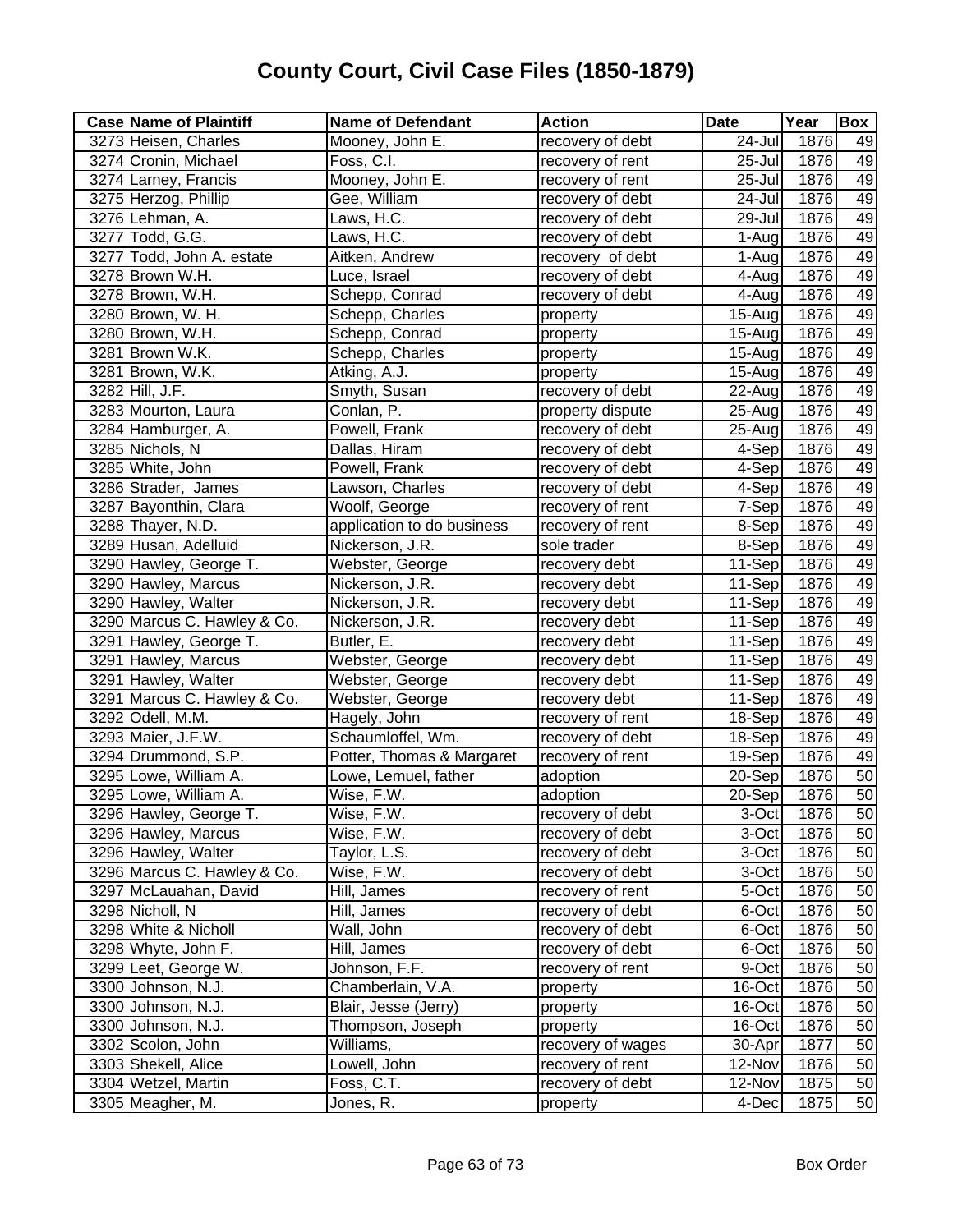| <b>Case Name of Plaintiff</b> | <b>Name of Defendant</b>   | <b>Action</b>     | <b>Date</b>          | Year | <b>Box</b> |
|-------------------------------|----------------------------|-------------------|----------------------|------|------------|
| 3273 Heisen, Charles          | Mooney, John E.            | recovery of debt  | 24-Jul               | 1876 | 49         |
| 3274 Cronin, Michael          | Foss, C.I.                 | recovery of rent  | $25 -$ Jul           | 1876 | 49         |
| 3274 Larney, Francis          | Mooney, John E.            | recovery of rent  | $25 -$ Jul           | 1876 | 49         |
| 3275 Herzog, Phillip          | Gee, William               | recovery of debt  | $\overline{2}$ 4-Jul | 1876 | 49         |
| 3276 Lehman, A.               | Laws, H.C.                 | recovery of debt  | 29-Jul               | 1876 | 49         |
| 3277 Todd, G.G.               | Laws, H.C.                 | recovery of debt  | 1-Aug                | 1876 | 49         |
| 3277 Todd, John A. estate     | Aitken, Andrew             | recovery of debt  | 1-Aug                | 1876 | 49         |
| 3278 Brown W.H.               | Luce, Israel               | recovery of debt  | 4-Aug                | 1876 | 49         |
| 3278 Brown, W.H.              | Schepp, Conrad             | recovery of debt  | 4-Aug                | 1876 | 49         |
| 3280 Brown, W. H.             | Schepp, Charles            | property          | 15-Aug               | 1876 | 49         |
| 3280 Brown, W.H.              | Schepp, Conrad             | property          | 15-Aug               | 1876 | 49         |
| 3281 Brown W.K.               | Schepp, Charles            | property          | 15-Aug               | 1876 | 49         |
| 3281 Brown, W.K.              | Atking, A.J.               | property          | $15 - Aug$           | 1876 | 49         |
| 3282 Hill, J.F.               | Smyth, Susan               | recovery of debt  | 22-Aug               | 1876 | 49         |
| 3283 Mourton, Laura           | Conlan, P.                 | property dispute  | 25-Aug               | 1876 | 49         |
| 3284 Hamburger, A.            | Powell, Frank              | recovery of debt  | 25-Aug               | 1876 | 49         |
| 3285 Nichols, N               | Dallas, Hiram              | recovery of debt  | 4-Sep                | 1876 | 49         |
| 3285 White, John              | Powell, Frank              | recovery of debt  | 4-Sep                | 1876 | 49         |
| 3286 Strader, James           | Lawson, Charles            | recovery of debt  | 4-Sep                | 1876 | 49         |
| 3287 Bayonthin, Clara         | Woolf, George              | recovery of rent  | 7-Sep                | 1876 | 49         |
| 3288 Thayer, N.D.             | application to do business | recovery of rent  | 8-Sep                | 1876 | 49         |
| 3289 Husan, Adelluid          | Nickerson, J.R.            | sole trader       | 8-Sep                | 1876 | 49         |
| 3290 Hawley, George T.        | Webster, George            | recovery debt     | 11-Sep               | 1876 | 49         |
| 3290 Hawley, Marcus           | Nickerson, J.R.            | recovery debt     | 11-Sep               | 1876 | 49         |
| 3290 Hawley, Walter           | Nickerson, J.R.            | recovery debt     | 11-Sep               | 1876 | 49         |
| 3290 Marcus C. Hawley & Co.   | Nickerson, J.R.            | recovery debt     | 11-Sep               | 1876 | 49         |
| 3291 Hawley, George T.        | Butler, E.                 | recovery debt     | 11-Sep               | 1876 | 49         |
| 3291 Hawley, Marcus           | Webster, George            | recovery debt     | 11-Sep               | 1876 | 49         |
| 3291 Hawley, Walter           | Webster, George            | recovery debt     | 11-Sep               | 1876 | 49         |
| 3291 Marcus C. Hawley & Co.   | Webster, George            | recovery debt     | $11-Sep$             | 1876 | 49         |
| 3292 Odell, M.M.              | Hagely, John               | recovery of rent  | 18-Sep               | 1876 | 49         |
| 3293 Maier, J.F.W.            | Schaumloffel, Wm.          | recovery of debt  | 18-Sep               | 1876 | 49         |
| 3294 Drummond, S.P.           | Potter, Thomas & Margaret  | recovery of rent  | 19-Sep               | 1876 | 49         |
| 3295 Lowe, William A.         | Lowe, Lemuel, father       | adoption          | 20-Sep               | 1876 | 50         |
| 3295 Lowe, William A.         | Wise, F.W.                 | adoption          | 20-Sep               | 1876 | 50         |
| 3296 Hawley, George T.        | Wise, F.W.                 | recovery of debt  | 3-Oct                | 1876 | 50         |
| 3296 Hawley, Marcus           | Wise, F.W.                 | recovery of debt  | 3-Oct                | 1876 | 50         |
| 3296 Hawley, Walter           | Taylor, L.S.               | recovery of debt  | 3-Oct                | 1876 | 50         |
| 3296 Marcus C. Hawley & Co.   | Wise, F.W.                 | recovery of debt  | 3-Oct                | 1876 | 50         |
| 3297 McLauahan, David         | Hill, James                | recovery of rent  | 5-Oct                | 1876 | 50         |
| 3298 Nicholl, N               | Hill, James                | recovery of debt  | 6-Oct                | 1876 | 50         |
| 3298 White & Nicholl          | Wall, John                 | recovery of debt  | 6-Oct                | 1876 | 50         |
| 3298 Whyte, John F.           | Hill, James                | recovery of debt  | 6-Oct                | 1876 | 50         |
| 3299 Leet, George W.          | Johnson, F.F.              | recovery of rent  | 9-Oct                | 1876 | 50         |
| 3300 Johnson, N.J.            | Chamberlain, V.A.          | property          | 16-Oct               | 1876 | 50         |
| 3300 Johnson, N.J.            | Blair, Jesse (Jerry)       | property          | 16-Oct               | 1876 | 50         |
| 3300 Johnson, N.J.            | Thompson, Joseph           | property          | 16-Oct               | 1876 | 50         |
| 3302 Scolon, John             | Williams,                  | recovery of wages | 30-Apr               | 1877 | 50         |
| 3303 Shekell, Alice           | Lowell, John               | recovery of rent  | 12-Nov               | 1876 | 50         |
| 3304 Wetzel, Martin           | Foss, C.T.                 | recovery of debt  | 12-Nov               | 1875 | 50         |
| 3305 Meagher, M.              | Jones, R.                  | property          | 4-Dec                | 1875 | 50         |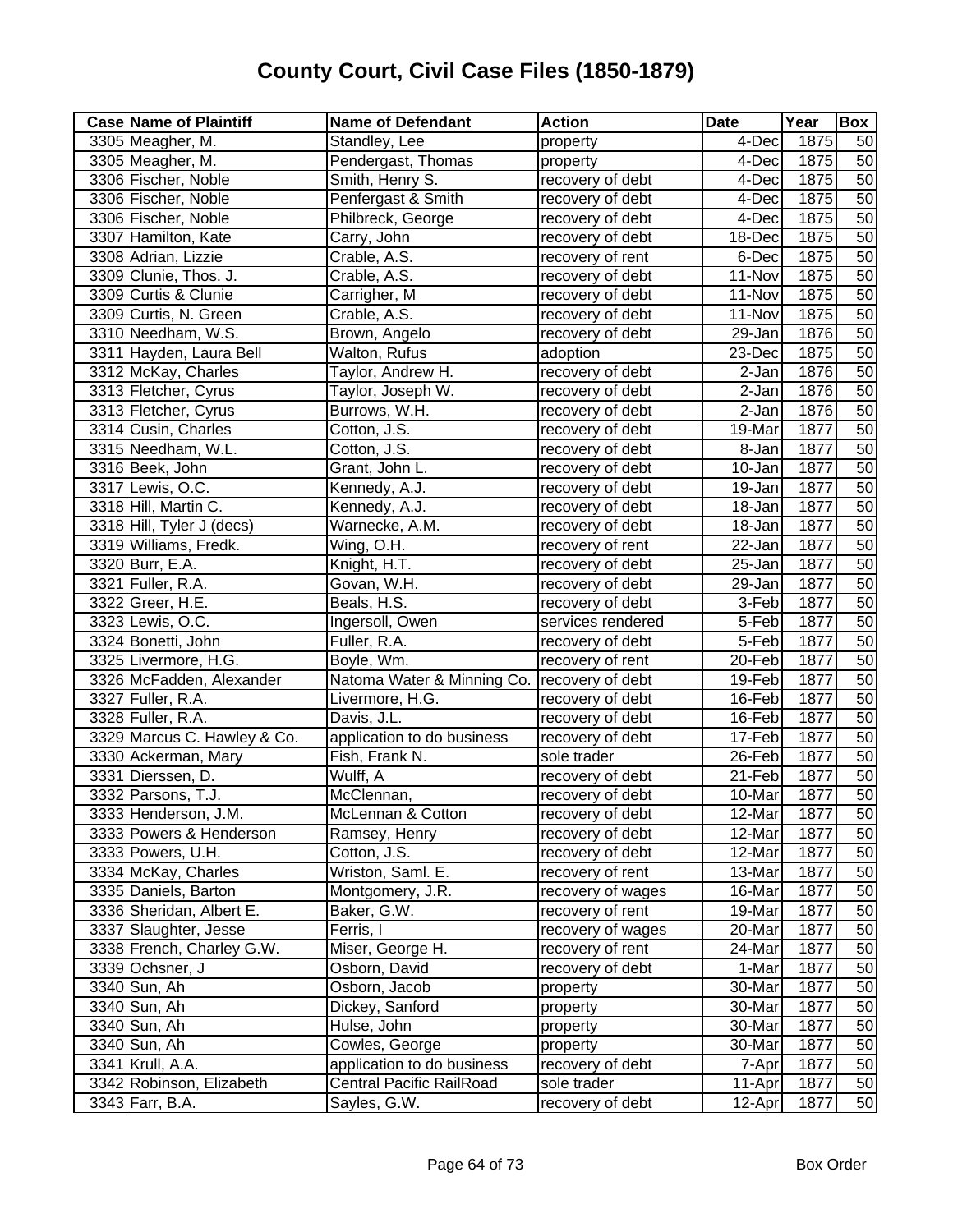| <b>Case Name of Plaintiff</b> | <b>Name of Defendant</b>   | <b>Action</b>     | <b>Date</b>          | Year              | Box             |
|-------------------------------|----------------------------|-------------------|----------------------|-------------------|-----------------|
| 3305 Meagher, M.              | Standley, Lee              | property          | 4-Dec                | 1875              | 50              |
| 3305 Meagher, M.              | Pendergast, Thomas         | property          | 4-Dec                | 1875              | 50              |
| 3306 Fischer, Noble           | Smith, Henry S.            | recovery of debt  | 4-Dec                | 1875              | 50              |
| 3306 Fischer, Noble           | Penfergast & Smith         | recovery of debt  | 4-Dec                | 1875              | 50              |
| 3306 Fischer, Noble           | Philbreck, George          | recovery of debt  | 4-Dec                | 1875              | 50              |
| 3307 Hamilton, Kate           | Carry, John                | recovery of debt  | 18-Dec               | 1875              | 50              |
| 3308 Adrian, Lizzie           | Crable, A.S.               | recovery of rent  | 6-Dec                | 1875              | 50              |
| 3309 Clunie, Thos. J.         | Crable, A.S.               | recovery of debt  | 11-Nov               | $\overline{1875}$ | 50              |
| 3309 Curtis & Clunie          | Carrigher, M               | recovery of debt  | 11-Nov               | 1875              | 50              |
| 3309 Curtis, N. Green         | Crable, A.S.               | recovery of debt  | 11-Nov               | 1875              | 50              |
| 3310 Needham, W.S.            | Brown, Angelo              | recovery of debt  | 29-Jan               | 1876              | 50              |
| 3311 Hayden, Laura Bell       | Walton, Rufus              | adoption          | 23-Dec               | 1875              | 50              |
| 3312 McKay, Charles           | Taylor, Andrew H.          | recovery of debt  | 2-Jan                | 1876              | 50              |
| 3313 Fletcher, Cyrus          | Taylor, Joseph W.          | recovery of debt  | 2-Jan                | 1876              | 50              |
| 3313 Fletcher, Cyrus          | Burrows, W.H.              | recovery of debt  | 2-Jan                | 1876              | 50              |
| 3314 Cusin, Charles           | Cotton, J.S.               | recovery of debt  | 19-Mar               | 1877              | 50              |
| 3315 Needham, W.L.            | Cotton, J.S.               | recovery of debt  | 8-Jan                | 1877              | 50              |
| 3316 Beek, John               | Grant, John L.             | recovery of debt  | 10-Jan               | 1877              | 50              |
| 3317 Lewis, O.C.              | Kennedy, A.J.              | recovery of debt  | 19-Jan               | 1877              | 50              |
| 3318 Hill, Martin C.          | Kennedy, A.J.              | recovery of debt  | 18-Jan               | 1877              | 50              |
| 3318 Hill, Tyler J (decs)     | Warnecke, A.M.             | recovery of debt  | 18-Jan               | 1877              | 50              |
| 3319 Williams, Fredk.         | Wing, O.H.                 | recovery of rent  | $\overline{2}$ 2-Jan | 1877              | 50              |
| 3320 Burr, E.A.               | Knight, H.T.               | recovery of debt  | 25-Jan               | 1877              | $\overline{50}$ |
| 3321 Fuller, R.A.             | Govan, W.H.                | recovery of debt  | 29-Jan               | 1877              | 50              |
| 3322 Greer, H.E.              | Beals, H.S.                | recovery of debt  | 3-Feb                | 1877              | 50              |
| 3323 Lewis, O.C.              | Ingersoll, Owen            | services rendered | 5-Feb                | 1877              | 50              |
| 3324 Bonetti, John            | Fuller, R.A.               | recovery of debt  | 5-Feb                | 1877              | 50              |
| 3325 Livermore, H.G.          | Boyle, Wm.                 | recovery of rent  | 20-Feb               | 1877              | 50              |
| 3326 McFadden, Alexander      | Natoma Water & Minning Co. | recovery of debt  | 19-Feb               | 1877              | 50              |
| 3327 Fuller, R.A.             | Livermore, H.G.            | recovery of debt  | 16-Feb               | 1877              | 50              |
| 3328 Fuller, R.A.             | Davis, J.L.                | recovery of debt  | 16-Feb               | 1877              | 50              |
| 3329 Marcus C. Hawley & Co.   | application to do business | recovery of debt  | 17-Feb               | 1877              | 50              |
| 3330 Ackerman, Mary           | Fish, Frank N.             | sole trader       | 26-Feb               | 1877              | 50              |
| 3331 Dierssen, D.             | Wulff, A                   | recovery of debt  | 21-Feb               | 1877              | 50              |
| 3332 Parsons, T.J.            | McClennan,                 | recovery of debt  | 10-Mar               | 1877              | 50              |
| 3333 Henderson, J.M.          | McLennan & Cotton          | recovery of debt  | 12-Mar               | 1877              | 50              |
| 3333 Powers & Henderson       | Ramsey, Henry              | recovery of debt  | 12-Mar               | 1877              | 50              |
| 3333 Powers, U.H.             | Cotton, J.S.               | recovery of debt  | 12-Mar               | 1877              | 50              |
| 3334 McKay, Charles           | Wriston, Saml. E.          | recovery of rent  | 13-Mar               | 1877              | 50              |
| 3335 Daniels, Barton          | Montgomery, J.R.           | recovery of wages | 16-Mar               | 1877              | 50              |
| 3336 Sheridan, Albert E.      | Baker, G.W.                | recovery of rent  | 19-Mar               | 1877              | 50              |
| 3337 Slaughter, Jesse         | Ferris, I                  | recovery of wages | 20-Mar               | 1877              | 50              |
| 3338 French, Charley G.W.     | Miser, George H.           | recovery of rent  | 24-Mar               | 1877              | 50              |
| 3339 Ochsner, J               | Osborn, David              | recovery of debt  | 1-Mar                | 1877              | 50              |
| 3340 Sun, Ah                  | Osborn, Jacob              | property          | 30-Mar               | 1877              | 50              |
| 3340 Sun, Ah                  | Dickey, Sanford            | property          | 30-Mar               | 1877              | 50              |
| 3340 Sun, Ah                  | Hulse, John                | property          | 30-Mar               | 1877              | 50              |
| 3340 Sun, Ah                  | Cowles, George             | property          | 30-Mar               | 1877              | 50              |
| 3341 Krull, A.A.              | application to do business | recovery of debt  | 7-Apr                | 1877              | 50              |
| 3342 Robinson, Elizabeth      | Central Pacific RailRoad   | sole trader       | 11-Apr               | 1877              | 50              |
| 3343 Farr, B.A.               | Sayles, G.W.               | recovery of debt  | 12-Apr               | 1877              | 50              |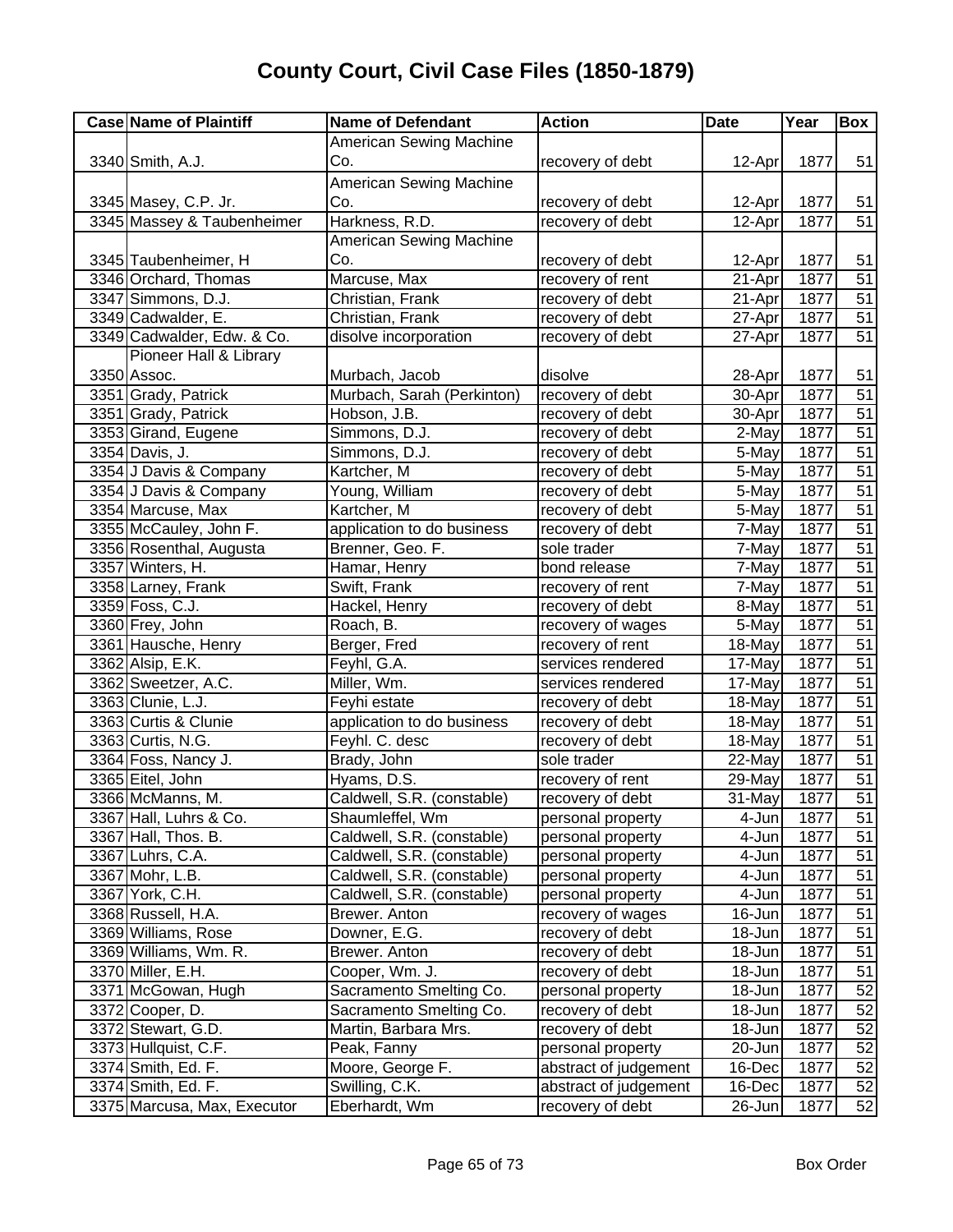| <b>Case Name of Plaintiff</b> | <b>Name of Defendant</b>       | <b>Action</b>         | <b>Date</b> | Year | Box             |
|-------------------------------|--------------------------------|-----------------------|-------------|------|-----------------|
|                               | American Sewing Machine        |                       |             |      |                 |
| 3340 Smith, A.J.              | Co.                            | recovery of debt      | 12-Apr      | 1877 | 51              |
|                               | <b>American Sewing Machine</b> |                       |             |      |                 |
| 3345 Masey, C.P. Jr.          | Co.                            | recovery of debt      | 12-Apr      | 1877 | 51              |
| 3345 Massey & Taubenheimer    | Harkness, R.D.                 | recovery of debt      | 12-Apr      | 1877 | $\overline{51}$ |
|                               | American Sewing Machine        |                       |             |      |                 |
| 3345 Taubenheimer, H          | Co.                            | recovery of debt      | 12-Apr      | 1877 | 51              |
| 3346 Orchard, Thomas          | Marcuse, Max                   | recovery of rent      | 21-Apr      | 1877 | $\overline{51}$ |
| 3347 Simmons, D.J.            | Christian, Frank               | recovery of debt      | 21-Apr      | 1877 | $\overline{51}$ |
| 3349 Cadwalder, E.            | Christian, Frank               | recovery of debt      | 27-Apr      | 1877 | 51              |
| 3349 Cadwalder, Edw. & Co.    | disolve incorporation          | recovery of debt      | 27-Apr      | 1877 | $\overline{51}$ |
| Pioneer Hall & Library        |                                |                       |             |      |                 |
| 3350 Assoc.                   | Murbach, Jacob                 | disolve               | 28-Apr      | 1877 | 51              |
| 3351 Grady, Patrick           | Murbach, Sarah (Perkinton)     | recovery of debt      | 30-Apr      | 1877 | 51              |
| 3351 Grady, Patrick           | Hobson, J.B.                   | recovery of debt      | 30-Apr      | 1877 | $\overline{51}$ |
| 3353 Girand, Eugene           | Simmons, D.J.                  | recovery of debt      | 2-May       | 1877 | $\overline{51}$ |
| 3354 Davis, J.                | Simmons, D.J.                  | recovery of debt      | 5-May       | 1877 | 51              |
| 3354 J Davis & Company        | Kartcher, M                    | recovery of debt      | 5-May       | 1877 | $\overline{51}$ |
| 3354 J Davis & Company        | Young, William                 | recovery of debt      | 5-May       | 1877 | 51              |
| 3354 Marcuse, Max             | Kartcher, M                    | recovery of debt      | 5-May       | 1877 | $\overline{51}$ |
| 3355 McCauley, John F.        | application to do business     | recovery of debt      | $7 - May$   | 1877 | 51              |
| 3356 Rosenthal, Augusta       | Brenner, Geo. F.               | sole trader           | 7-May       | 1877 | 51              |
| 3357 Winters, H.              | Hamar, Henry                   | bond release          | 7-May       | 1877 | 51              |
| 3358 Larney, Frank            | Swift, Frank                   | recovery of rent      | 7-May       | 1877 | 51              |
| 3359 Foss, C.J.               | Hackel, Henry                  | recovery of debt      | 8-May       | 1877 | $\overline{51}$ |
| 3360 Frey, John               | Roach, B.                      | recovery of wages     | 5-May       | 1877 | 51              |
| 3361 Hausche, Henry           | Berger, Fred                   | recovery of rent      | 18-May      | 1877 | 51              |
| 3362 Alsip, E.K.              | Feyhl, G.A.                    | services rendered     | 17-May      | 1877 | 51              |
| 3362 Sweetzer, A.C.           | Miller, Wm.                    | services rendered     | 17-May      | 1877 | $\overline{51}$ |
| 3363 Clunie, L.J.             | Feyhi estate                   | recovery of debt      | 18-May      | 1877 | $\overline{51}$ |
| 3363 Curtis & Clunie          | application to do business     | recovery of debt      | 18-May      | 1877 | $\overline{51}$ |
| 3363 Curtis, N.G.             | Feyhl. C. desc                 | recovery of debt      | 18-May      | 1877 | 51              |
| 3364 Foss, Nancy J.           | Brady, John                    | sole trader           | 22-May      | 1877 | 51              |
| 3365 Eitel, John              | Hyams, D.S.                    | recovery of rent      | 29-May      | 1877 | $\overline{51}$ |
| 3366 McManns, M.              | Caldwell, S.R. (constable)     | recovery of debt      | 31-May      | 1877 | 51              |
| 3367 Hall, Luhrs & Co.        | Shaumleffel, Wm                | personal property     | 4-Jun       | 1877 | 51              |
| 3367 Hall, Thos. B.           | Caldwell, S.R. (constable)     | personal property     | 4-Jun       | 1877 | 51              |
| 3367 Luhrs, C.A.              | Caldwell, S.R. (constable)     | personal property     | 4-Jun       | 1877 | 51              |
| 3367 Mohr, L.B.               | Caldwell, S.R. (constable)     | personal property     | 4-Jun       | 1877 | 51              |
| 3367 York, C.H.               | Caldwell, S.R. (constable)     | personal property     | 4-Jun       | 1877 | 51              |
| 3368 Russell, H.A.            | Brewer. Anton                  | recovery of wages     | 16-Jun      | 1877 | 51              |
| 3369 Williams, Rose           | Downer, E.G.                   | recovery of debt      | 18-Jun      | 1877 | 51              |
| 3369 Williams, Wm. R.         | Brewer. Anton                  | recovery of debt      | 18-Jun      | 1877 | 51              |
| 3370 Miller, E.H.             | Cooper, Wm. J.                 | recovery of debt      | 18-Jun      | 1877 | 51              |
| 3371 McGowan, Hugh            | Sacramento Smelting Co.        | personal property     | 18-Jun      | 1877 | 52              |
| 3372 Cooper, D.               | Sacramento Smelting Co.        | recovery of debt      | 18-Jun      | 1877 | 52              |
| 3372 Stewart, G.D.            | Martin, Barbara Mrs.           | recovery of debt      | $18 - Jun$  | 1877 | 52              |
| 3373 Hullquist, C.F.          | Peak, Fanny                    | personal property     | 20-Jun      | 1877 | 52              |
| 3374 Smith, Ed. F.            | Moore, George F.               | abstract of judgement | 16-Dec      | 1877 | 52              |
| 3374 Smith, Ed. F.            | Swilling, C.K.                 | abstract of judgement | 16-Dec      | 1877 | 52              |
| 3375 Marcusa, Max, Executor   | Eberhardt, Wm                  | recovery of debt      | 26-Jun      | 1877 | 52              |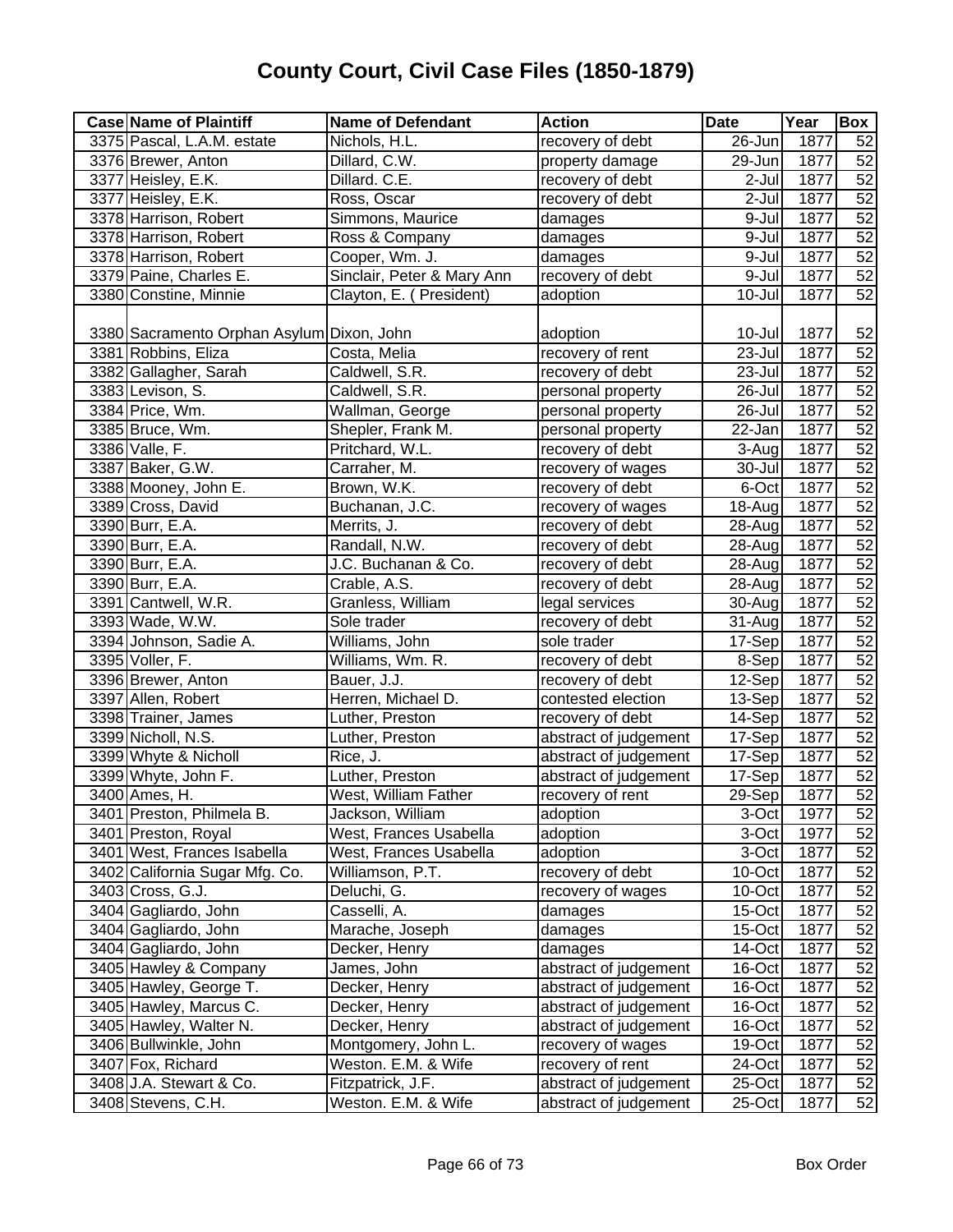| 3375 Pascal, L.A.M. estate<br>Nichols, H.L.<br>recovery of debt<br>26-Jun<br>1877<br>52<br>52<br>3376 Brewer, Anton<br>1877<br>Dillard, C.W.<br>property damage<br>29-Jun<br>52<br>3377 Heisley, E.K.<br>Dillard. C.E.<br>$2$ -Jul<br>1877<br>recovery of debt<br>52<br>3377 Heisley, E.K.<br>$2-Jul$<br>1877<br>Ross, Oscar<br>recovery of debt<br>52<br>1877<br>3378 Harrison, Robert<br>Simmons, Maurice<br>9-Jul<br>damages<br>52<br>3378 Harrison, Robert<br>1877<br>Ross & Company<br>9-Jul<br>damages<br>52<br>3378 Harrison, Robert<br>Cooper, Wm. J.<br>9-Jul<br>1877<br>damages<br>$\overline{52}$<br>recovery of debt<br>3379 Paine, Charles E.<br>Sinclair, Peter & Mary Ann<br>9-Jul<br>1877<br>52<br>3380 Constine, Minnie<br>10-Jul<br>1877<br>Clayton, E. ( President)<br>adoption<br>3380 Sacramento Orphan Asylum Dixon, John<br>10-Jul<br>1877<br>52<br>adoption<br>1877<br>3381 Robbins, Eliza<br>23-Jul<br>Costa, Melia<br>recovery of rent<br>52<br>3382 Gallagher, Sarah<br>23-Jul<br>1877<br>Caldwell, S.R.<br>recovery of debt<br>52<br>3383 Levison, S.<br>26-Jul<br>1877<br>Caldwell, S.R.<br>personal property<br>$\overline{52}$<br>3384 Price, Wm.<br>26-Jul<br>1877<br>Wallman, George<br>personal property<br>52<br>3385 Bruce, Wm.<br>Shepler, Frank M.<br>22-Jan<br>1877<br>personal property<br>52<br>3386 Valle, F.<br>1877<br>Pritchard, W.L.<br>3-Aug<br>recovery of debt<br>52<br>3387 Baker, G.W.<br>Carraher, M.<br>1877<br>30-Jul<br>recovery of wages<br>52<br>3388 Mooney, John E.<br>1877<br>Brown, W.K.<br>recovery of debt<br>6-Oct<br>52<br>1877<br>3389 Cross, David<br>Buchanan, J.C.<br>recovery of wages<br>18-Aug<br>52<br>3390 Burr, E.A.<br>Merrits, J.<br>1877<br>recovery of debt<br>28-Aug<br>52<br>3390 Burr, E.A.<br>Randall, N.W.<br>1877<br>recovery of debt<br>28-Aug<br>52<br>3390 Burr, E.A.<br>J.C. Buchanan & Co.<br>1877<br>recovery of debt<br>28-Aug<br>52<br>Crable, A.S.<br>1877<br>3390 Burr, E.A.<br>recovery of debt<br>28-Aug<br>52<br>3391 Cantwell, W.R.<br>Granless, William<br>1877<br>legal services<br>30-Aug<br>52<br>3393 Wade, W.W.<br>Sole trader<br>1877<br>recovery of debt<br>31-Aug<br>52<br>3394 Johnson, Sadie A.<br>Williams, John<br>sole trader<br>1877<br>17-Sep<br>52<br>3395 Voller, F.<br>8-Sep<br>1877<br>Williams, Wm. R.<br>recovery of debt<br>52<br>3396 Brewer, Anton<br>12-Sep<br>1877<br>Bauer, J.J.<br>recovery of debt<br>52<br>1877<br>3397 Allen, Robert<br>Herren, Michael D.<br>contested election<br>13-Sep<br>52<br>1877<br>3398 Trainer, James<br>Luther, Preston<br>14-Sep<br>recovery of debt<br>52<br>3399 Nicholl, N.S.<br>17-Sep<br>1877<br>abstract of judgement<br>Luther, Preston<br>52<br>3399 Whyte & Nicholl<br>1877<br>Rice, J.<br>abstract of judgement<br>17-Sep<br>52<br>3399 Whyte, John F.<br>Luther, Preston<br>1877<br>abstract of judgement<br>17-Sep<br>3400 Ames, H.<br>West, William Father<br>29-Sep<br>1877<br>recovery of rent<br>3401 Preston, Philmela B.<br>Jackson, William<br>adoption<br>3-Oct<br>1977<br>52<br>52<br>1977<br>3401 Preston, Royal<br>West, Frances Usabella<br>3-Oct<br>adoption<br>1877<br>52<br>3401 West, Frances Isabella<br>West, Frances Usabella<br>3-Oct<br>adoption<br>52<br>3402 California Sugar Mfg. Co.<br>recovery of debt<br>1877<br>Williamson, P.T.<br>10-Oct<br>52<br>1877<br>3403 Cross, G.J.<br>recovery of wages<br>Deluchi, G.<br>$10$ -Oct<br>52<br>3404 Gagliardo, John<br>1877<br>Casselli, A.<br>$15$ -Oct<br>damages<br>3404 Gagliardo, John<br>1877<br>52<br>Marache, Joseph<br>damages<br>$15$ -Oct<br>3404 Gagliardo, John<br>1877<br>52<br>Decker, Henry<br>14-Oct<br>damages<br>1877<br>52<br>3405 Hawley & Company<br>James, John<br>abstract of judgement<br>16-Oct<br>3405 Hawley, George T.<br>1877<br>52<br>Decker, Henry<br>16-Oct<br>abstract of judgement<br>3405 Hawley, Marcus C.<br>1877<br>52<br>Decker, Henry<br>abstract of judgement<br>16-Oct<br>3405 Hawley, Walter N.<br>52<br>Decker, Henry<br>abstract of judgement<br>16-Oct<br>1877<br>52<br>3406 Bullwinkle, John<br>Montgomery, John L.<br>19-Oct<br>1877<br>recovery of wages<br>52<br>Weston. E.M. & Wife<br>3407 Fox, Richard<br>24-Oct<br>1877<br>recovery of rent<br>52<br>3408 J.A. Stewart & Co.<br>Fitzpatrick, J.F.<br>abstract of judgement<br>25-Oct<br>1877 | <b>Case Name of Plaintiff</b> | <b>Name of Defendant</b> | <b>Action</b>         | <b>Date</b> | Year | Box             |
|-----------------------------------------------------------------------------------------------------------------------------------------------------------------------------------------------------------------------------------------------------------------------------------------------------------------------------------------------------------------------------------------------------------------------------------------------------------------------------------------------------------------------------------------------------------------------------------------------------------------------------------------------------------------------------------------------------------------------------------------------------------------------------------------------------------------------------------------------------------------------------------------------------------------------------------------------------------------------------------------------------------------------------------------------------------------------------------------------------------------------------------------------------------------------------------------------------------------------------------------------------------------------------------------------------------------------------------------------------------------------------------------------------------------------------------------------------------------------------------------------------------------------------------------------------------------------------------------------------------------------------------------------------------------------------------------------------------------------------------------------------------------------------------------------------------------------------------------------------------------------------------------------------------------------------------------------------------------------------------------------------------------------------------------------------------------------------------------------------------------------------------------------------------------------------------------------------------------------------------------------------------------------------------------------------------------------------------------------------------------------------------------------------------------------------------------------------------------------------------------------------------------------------------------------------------------------------------------------------------------------------------------------------------------------------------------------------------------------------------------------------------------------------------------------------------------------------------------------------------------------------------------------------------------------------------------------------------------------------------------------------------------------------------------------------------------------------------------------------------------------------------------------------------------------------------------------------------------------------------------------------------------------------------------------------------------------------------------------------------------------------------------------------------------------------------------------------------------------------------------------------------------------------------------------------------------------------------------------------------------------------------------------------------------------------------------------------------------------------------------------------------------------------------------------------------------------------------------------------------------------------------------------------------------------------------------------------------------------------------------------------------------------------------------------------------------------------------------------------------------------------------------------------------------------------------------------------------------------------------------------------------------------------------------------------------------------------------------------------|-------------------------------|--------------------------|-----------------------|-------------|------|-----------------|
| $\overline{52}$<br>52                                                                                                                                                                                                                                                                                                                                                                                                                                                                                                                                                                                                                                                                                                                                                                                                                                                                                                                                                                                                                                                                                                                                                                                                                                                                                                                                                                                                                                                                                                                                                                                                                                                                                                                                                                                                                                                                                                                                                                                                                                                                                                                                                                                                                                                                                                                                                                                                                                                                                                                                                                                                                                                                                                                                                                                                                                                                                                                                                                                                                                                                                                                                                                                                                                                                                                                                                                                                                                                                                                                                                                                                                                                                                                                                                                                                                                                                                                                                                                                                                                                                                                                                                                                                                                                                                                                               |                               |                          |                       |             |      |                 |
|                                                                                                                                                                                                                                                                                                                                                                                                                                                                                                                                                                                                                                                                                                                                                                                                                                                                                                                                                                                                                                                                                                                                                                                                                                                                                                                                                                                                                                                                                                                                                                                                                                                                                                                                                                                                                                                                                                                                                                                                                                                                                                                                                                                                                                                                                                                                                                                                                                                                                                                                                                                                                                                                                                                                                                                                                                                                                                                                                                                                                                                                                                                                                                                                                                                                                                                                                                                                                                                                                                                                                                                                                                                                                                                                                                                                                                                                                                                                                                                                                                                                                                                                                                                                                                                                                                                                                     |                               |                          |                       |             |      |                 |
|                                                                                                                                                                                                                                                                                                                                                                                                                                                                                                                                                                                                                                                                                                                                                                                                                                                                                                                                                                                                                                                                                                                                                                                                                                                                                                                                                                                                                                                                                                                                                                                                                                                                                                                                                                                                                                                                                                                                                                                                                                                                                                                                                                                                                                                                                                                                                                                                                                                                                                                                                                                                                                                                                                                                                                                                                                                                                                                                                                                                                                                                                                                                                                                                                                                                                                                                                                                                                                                                                                                                                                                                                                                                                                                                                                                                                                                                                                                                                                                                                                                                                                                                                                                                                                                                                                                                                     |                               |                          |                       |             |      |                 |
|                                                                                                                                                                                                                                                                                                                                                                                                                                                                                                                                                                                                                                                                                                                                                                                                                                                                                                                                                                                                                                                                                                                                                                                                                                                                                                                                                                                                                                                                                                                                                                                                                                                                                                                                                                                                                                                                                                                                                                                                                                                                                                                                                                                                                                                                                                                                                                                                                                                                                                                                                                                                                                                                                                                                                                                                                                                                                                                                                                                                                                                                                                                                                                                                                                                                                                                                                                                                                                                                                                                                                                                                                                                                                                                                                                                                                                                                                                                                                                                                                                                                                                                                                                                                                                                                                                                                                     |                               |                          |                       |             |      |                 |
|                                                                                                                                                                                                                                                                                                                                                                                                                                                                                                                                                                                                                                                                                                                                                                                                                                                                                                                                                                                                                                                                                                                                                                                                                                                                                                                                                                                                                                                                                                                                                                                                                                                                                                                                                                                                                                                                                                                                                                                                                                                                                                                                                                                                                                                                                                                                                                                                                                                                                                                                                                                                                                                                                                                                                                                                                                                                                                                                                                                                                                                                                                                                                                                                                                                                                                                                                                                                                                                                                                                                                                                                                                                                                                                                                                                                                                                                                                                                                                                                                                                                                                                                                                                                                                                                                                                                                     |                               |                          |                       |             |      |                 |
|                                                                                                                                                                                                                                                                                                                                                                                                                                                                                                                                                                                                                                                                                                                                                                                                                                                                                                                                                                                                                                                                                                                                                                                                                                                                                                                                                                                                                                                                                                                                                                                                                                                                                                                                                                                                                                                                                                                                                                                                                                                                                                                                                                                                                                                                                                                                                                                                                                                                                                                                                                                                                                                                                                                                                                                                                                                                                                                                                                                                                                                                                                                                                                                                                                                                                                                                                                                                                                                                                                                                                                                                                                                                                                                                                                                                                                                                                                                                                                                                                                                                                                                                                                                                                                                                                                                                                     |                               |                          |                       |             |      |                 |
|                                                                                                                                                                                                                                                                                                                                                                                                                                                                                                                                                                                                                                                                                                                                                                                                                                                                                                                                                                                                                                                                                                                                                                                                                                                                                                                                                                                                                                                                                                                                                                                                                                                                                                                                                                                                                                                                                                                                                                                                                                                                                                                                                                                                                                                                                                                                                                                                                                                                                                                                                                                                                                                                                                                                                                                                                                                                                                                                                                                                                                                                                                                                                                                                                                                                                                                                                                                                                                                                                                                                                                                                                                                                                                                                                                                                                                                                                                                                                                                                                                                                                                                                                                                                                                                                                                                                                     |                               |                          |                       |             |      |                 |
|                                                                                                                                                                                                                                                                                                                                                                                                                                                                                                                                                                                                                                                                                                                                                                                                                                                                                                                                                                                                                                                                                                                                                                                                                                                                                                                                                                                                                                                                                                                                                                                                                                                                                                                                                                                                                                                                                                                                                                                                                                                                                                                                                                                                                                                                                                                                                                                                                                                                                                                                                                                                                                                                                                                                                                                                                                                                                                                                                                                                                                                                                                                                                                                                                                                                                                                                                                                                                                                                                                                                                                                                                                                                                                                                                                                                                                                                                                                                                                                                                                                                                                                                                                                                                                                                                                                                                     |                               |                          |                       |             |      |                 |
|                                                                                                                                                                                                                                                                                                                                                                                                                                                                                                                                                                                                                                                                                                                                                                                                                                                                                                                                                                                                                                                                                                                                                                                                                                                                                                                                                                                                                                                                                                                                                                                                                                                                                                                                                                                                                                                                                                                                                                                                                                                                                                                                                                                                                                                                                                                                                                                                                                                                                                                                                                                                                                                                                                                                                                                                                                                                                                                                                                                                                                                                                                                                                                                                                                                                                                                                                                                                                                                                                                                                                                                                                                                                                                                                                                                                                                                                                                                                                                                                                                                                                                                                                                                                                                                                                                                                                     |                               |                          |                       |             |      |                 |
|                                                                                                                                                                                                                                                                                                                                                                                                                                                                                                                                                                                                                                                                                                                                                                                                                                                                                                                                                                                                                                                                                                                                                                                                                                                                                                                                                                                                                                                                                                                                                                                                                                                                                                                                                                                                                                                                                                                                                                                                                                                                                                                                                                                                                                                                                                                                                                                                                                                                                                                                                                                                                                                                                                                                                                                                                                                                                                                                                                                                                                                                                                                                                                                                                                                                                                                                                                                                                                                                                                                                                                                                                                                                                                                                                                                                                                                                                                                                                                                                                                                                                                                                                                                                                                                                                                                                                     |                               |                          |                       |             |      |                 |
|                                                                                                                                                                                                                                                                                                                                                                                                                                                                                                                                                                                                                                                                                                                                                                                                                                                                                                                                                                                                                                                                                                                                                                                                                                                                                                                                                                                                                                                                                                                                                                                                                                                                                                                                                                                                                                                                                                                                                                                                                                                                                                                                                                                                                                                                                                                                                                                                                                                                                                                                                                                                                                                                                                                                                                                                                                                                                                                                                                                                                                                                                                                                                                                                                                                                                                                                                                                                                                                                                                                                                                                                                                                                                                                                                                                                                                                                                                                                                                                                                                                                                                                                                                                                                                                                                                                                                     |                               |                          |                       |             |      |                 |
|                                                                                                                                                                                                                                                                                                                                                                                                                                                                                                                                                                                                                                                                                                                                                                                                                                                                                                                                                                                                                                                                                                                                                                                                                                                                                                                                                                                                                                                                                                                                                                                                                                                                                                                                                                                                                                                                                                                                                                                                                                                                                                                                                                                                                                                                                                                                                                                                                                                                                                                                                                                                                                                                                                                                                                                                                                                                                                                                                                                                                                                                                                                                                                                                                                                                                                                                                                                                                                                                                                                                                                                                                                                                                                                                                                                                                                                                                                                                                                                                                                                                                                                                                                                                                                                                                                                                                     |                               |                          |                       |             |      |                 |
|                                                                                                                                                                                                                                                                                                                                                                                                                                                                                                                                                                                                                                                                                                                                                                                                                                                                                                                                                                                                                                                                                                                                                                                                                                                                                                                                                                                                                                                                                                                                                                                                                                                                                                                                                                                                                                                                                                                                                                                                                                                                                                                                                                                                                                                                                                                                                                                                                                                                                                                                                                                                                                                                                                                                                                                                                                                                                                                                                                                                                                                                                                                                                                                                                                                                                                                                                                                                                                                                                                                                                                                                                                                                                                                                                                                                                                                                                                                                                                                                                                                                                                                                                                                                                                                                                                                                                     |                               |                          |                       |             |      |                 |
|                                                                                                                                                                                                                                                                                                                                                                                                                                                                                                                                                                                                                                                                                                                                                                                                                                                                                                                                                                                                                                                                                                                                                                                                                                                                                                                                                                                                                                                                                                                                                                                                                                                                                                                                                                                                                                                                                                                                                                                                                                                                                                                                                                                                                                                                                                                                                                                                                                                                                                                                                                                                                                                                                                                                                                                                                                                                                                                                                                                                                                                                                                                                                                                                                                                                                                                                                                                                                                                                                                                                                                                                                                                                                                                                                                                                                                                                                                                                                                                                                                                                                                                                                                                                                                                                                                                                                     |                               |                          |                       |             |      |                 |
|                                                                                                                                                                                                                                                                                                                                                                                                                                                                                                                                                                                                                                                                                                                                                                                                                                                                                                                                                                                                                                                                                                                                                                                                                                                                                                                                                                                                                                                                                                                                                                                                                                                                                                                                                                                                                                                                                                                                                                                                                                                                                                                                                                                                                                                                                                                                                                                                                                                                                                                                                                                                                                                                                                                                                                                                                                                                                                                                                                                                                                                                                                                                                                                                                                                                                                                                                                                                                                                                                                                                                                                                                                                                                                                                                                                                                                                                                                                                                                                                                                                                                                                                                                                                                                                                                                                                                     |                               |                          |                       |             |      |                 |
|                                                                                                                                                                                                                                                                                                                                                                                                                                                                                                                                                                                                                                                                                                                                                                                                                                                                                                                                                                                                                                                                                                                                                                                                                                                                                                                                                                                                                                                                                                                                                                                                                                                                                                                                                                                                                                                                                                                                                                                                                                                                                                                                                                                                                                                                                                                                                                                                                                                                                                                                                                                                                                                                                                                                                                                                                                                                                                                                                                                                                                                                                                                                                                                                                                                                                                                                                                                                                                                                                                                                                                                                                                                                                                                                                                                                                                                                                                                                                                                                                                                                                                                                                                                                                                                                                                                                                     |                               |                          |                       |             |      |                 |
|                                                                                                                                                                                                                                                                                                                                                                                                                                                                                                                                                                                                                                                                                                                                                                                                                                                                                                                                                                                                                                                                                                                                                                                                                                                                                                                                                                                                                                                                                                                                                                                                                                                                                                                                                                                                                                                                                                                                                                                                                                                                                                                                                                                                                                                                                                                                                                                                                                                                                                                                                                                                                                                                                                                                                                                                                                                                                                                                                                                                                                                                                                                                                                                                                                                                                                                                                                                                                                                                                                                                                                                                                                                                                                                                                                                                                                                                                                                                                                                                                                                                                                                                                                                                                                                                                                                                                     |                               |                          |                       |             |      |                 |
|                                                                                                                                                                                                                                                                                                                                                                                                                                                                                                                                                                                                                                                                                                                                                                                                                                                                                                                                                                                                                                                                                                                                                                                                                                                                                                                                                                                                                                                                                                                                                                                                                                                                                                                                                                                                                                                                                                                                                                                                                                                                                                                                                                                                                                                                                                                                                                                                                                                                                                                                                                                                                                                                                                                                                                                                                                                                                                                                                                                                                                                                                                                                                                                                                                                                                                                                                                                                                                                                                                                                                                                                                                                                                                                                                                                                                                                                                                                                                                                                                                                                                                                                                                                                                                                                                                                                                     |                               |                          |                       |             |      |                 |
|                                                                                                                                                                                                                                                                                                                                                                                                                                                                                                                                                                                                                                                                                                                                                                                                                                                                                                                                                                                                                                                                                                                                                                                                                                                                                                                                                                                                                                                                                                                                                                                                                                                                                                                                                                                                                                                                                                                                                                                                                                                                                                                                                                                                                                                                                                                                                                                                                                                                                                                                                                                                                                                                                                                                                                                                                                                                                                                                                                                                                                                                                                                                                                                                                                                                                                                                                                                                                                                                                                                                                                                                                                                                                                                                                                                                                                                                                                                                                                                                                                                                                                                                                                                                                                                                                                                                                     |                               |                          |                       |             |      |                 |
|                                                                                                                                                                                                                                                                                                                                                                                                                                                                                                                                                                                                                                                                                                                                                                                                                                                                                                                                                                                                                                                                                                                                                                                                                                                                                                                                                                                                                                                                                                                                                                                                                                                                                                                                                                                                                                                                                                                                                                                                                                                                                                                                                                                                                                                                                                                                                                                                                                                                                                                                                                                                                                                                                                                                                                                                                                                                                                                                                                                                                                                                                                                                                                                                                                                                                                                                                                                                                                                                                                                                                                                                                                                                                                                                                                                                                                                                                                                                                                                                                                                                                                                                                                                                                                                                                                                                                     |                               |                          |                       |             |      |                 |
|                                                                                                                                                                                                                                                                                                                                                                                                                                                                                                                                                                                                                                                                                                                                                                                                                                                                                                                                                                                                                                                                                                                                                                                                                                                                                                                                                                                                                                                                                                                                                                                                                                                                                                                                                                                                                                                                                                                                                                                                                                                                                                                                                                                                                                                                                                                                                                                                                                                                                                                                                                                                                                                                                                                                                                                                                                                                                                                                                                                                                                                                                                                                                                                                                                                                                                                                                                                                                                                                                                                                                                                                                                                                                                                                                                                                                                                                                                                                                                                                                                                                                                                                                                                                                                                                                                                                                     |                               |                          |                       |             |      |                 |
|                                                                                                                                                                                                                                                                                                                                                                                                                                                                                                                                                                                                                                                                                                                                                                                                                                                                                                                                                                                                                                                                                                                                                                                                                                                                                                                                                                                                                                                                                                                                                                                                                                                                                                                                                                                                                                                                                                                                                                                                                                                                                                                                                                                                                                                                                                                                                                                                                                                                                                                                                                                                                                                                                                                                                                                                                                                                                                                                                                                                                                                                                                                                                                                                                                                                                                                                                                                                                                                                                                                                                                                                                                                                                                                                                                                                                                                                                                                                                                                                                                                                                                                                                                                                                                                                                                                                                     |                               |                          |                       |             |      |                 |
|                                                                                                                                                                                                                                                                                                                                                                                                                                                                                                                                                                                                                                                                                                                                                                                                                                                                                                                                                                                                                                                                                                                                                                                                                                                                                                                                                                                                                                                                                                                                                                                                                                                                                                                                                                                                                                                                                                                                                                                                                                                                                                                                                                                                                                                                                                                                                                                                                                                                                                                                                                                                                                                                                                                                                                                                                                                                                                                                                                                                                                                                                                                                                                                                                                                                                                                                                                                                                                                                                                                                                                                                                                                                                                                                                                                                                                                                                                                                                                                                                                                                                                                                                                                                                                                                                                                                                     |                               |                          |                       |             |      |                 |
|                                                                                                                                                                                                                                                                                                                                                                                                                                                                                                                                                                                                                                                                                                                                                                                                                                                                                                                                                                                                                                                                                                                                                                                                                                                                                                                                                                                                                                                                                                                                                                                                                                                                                                                                                                                                                                                                                                                                                                                                                                                                                                                                                                                                                                                                                                                                                                                                                                                                                                                                                                                                                                                                                                                                                                                                                                                                                                                                                                                                                                                                                                                                                                                                                                                                                                                                                                                                                                                                                                                                                                                                                                                                                                                                                                                                                                                                                                                                                                                                                                                                                                                                                                                                                                                                                                                                                     |                               |                          |                       |             |      |                 |
|                                                                                                                                                                                                                                                                                                                                                                                                                                                                                                                                                                                                                                                                                                                                                                                                                                                                                                                                                                                                                                                                                                                                                                                                                                                                                                                                                                                                                                                                                                                                                                                                                                                                                                                                                                                                                                                                                                                                                                                                                                                                                                                                                                                                                                                                                                                                                                                                                                                                                                                                                                                                                                                                                                                                                                                                                                                                                                                                                                                                                                                                                                                                                                                                                                                                                                                                                                                                                                                                                                                                                                                                                                                                                                                                                                                                                                                                                                                                                                                                                                                                                                                                                                                                                                                                                                                                                     |                               |                          |                       |             |      |                 |
|                                                                                                                                                                                                                                                                                                                                                                                                                                                                                                                                                                                                                                                                                                                                                                                                                                                                                                                                                                                                                                                                                                                                                                                                                                                                                                                                                                                                                                                                                                                                                                                                                                                                                                                                                                                                                                                                                                                                                                                                                                                                                                                                                                                                                                                                                                                                                                                                                                                                                                                                                                                                                                                                                                                                                                                                                                                                                                                                                                                                                                                                                                                                                                                                                                                                                                                                                                                                                                                                                                                                                                                                                                                                                                                                                                                                                                                                                                                                                                                                                                                                                                                                                                                                                                                                                                                                                     |                               |                          |                       |             |      |                 |
|                                                                                                                                                                                                                                                                                                                                                                                                                                                                                                                                                                                                                                                                                                                                                                                                                                                                                                                                                                                                                                                                                                                                                                                                                                                                                                                                                                                                                                                                                                                                                                                                                                                                                                                                                                                                                                                                                                                                                                                                                                                                                                                                                                                                                                                                                                                                                                                                                                                                                                                                                                                                                                                                                                                                                                                                                                                                                                                                                                                                                                                                                                                                                                                                                                                                                                                                                                                                                                                                                                                                                                                                                                                                                                                                                                                                                                                                                                                                                                                                                                                                                                                                                                                                                                                                                                                                                     |                               |                          |                       |             |      |                 |
|                                                                                                                                                                                                                                                                                                                                                                                                                                                                                                                                                                                                                                                                                                                                                                                                                                                                                                                                                                                                                                                                                                                                                                                                                                                                                                                                                                                                                                                                                                                                                                                                                                                                                                                                                                                                                                                                                                                                                                                                                                                                                                                                                                                                                                                                                                                                                                                                                                                                                                                                                                                                                                                                                                                                                                                                                                                                                                                                                                                                                                                                                                                                                                                                                                                                                                                                                                                                                                                                                                                                                                                                                                                                                                                                                                                                                                                                                                                                                                                                                                                                                                                                                                                                                                                                                                                                                     |                               |                          |                       |             |      |                 |
|                                                                                                                                                                                                                                                                                                                                                                                                                                                                                                                                                                                                                                                                                                                                                                                                                                                                                                                                                                                                                                                                                                                                                                                                                                                                                                                                                                                                                                                                                                                                                                                                                                                                                                                                                                                                                                                                                                                                                                                                                                                                                                                                                                                                                                                                                                                                                                                                                                                                                                                                                                                                                                                                                                                                                                                                                                                                                                                                                                                                                                                                                                                                                                                                                                                                                                                                                                                                                                                                                                                                                                                                                                                                                                                                                                                                                                                                                                                                                                                                                                                                                                                                                                                                                                                                                                                                                     |                               |                          |                       |             |      |                 |
|                                                                                                                                                                                                                                                                                                                                                                                                                                                                                                                                                                                                                                                                                                                                                                                                                                                                                                                                                                                                                                                                                                                                                                                                                                                                                                                                                                                                                                                                                                                                                                                                                                                                                                                                                                                                                                                                                                                                                                                                                                                                                                                                                                                                                                                                                                                                                                                                                                                                                                                                                                                                                                                                                                                                                                                                                                                                                                                                                                                                                                                                                                                                                                                                                                                                                                                                                                                                                                                                                                                                                                                                                                                                                                                                                                                                                                                                                                                                                                                                                                                                                                                                                                                                                                                                                                                                                     |                               |                          |                       |             |      |                 |
|                                                                                                                                                                                                                                                                                                                                                                                                                                                                                                                                                                                                                                                                                                                                                                                                                                                                                                                                                                                                                                                                                                                                                                                                                                                                                                                                                                                                                                                                                                                                                                                                                                                                                                                                                                                                                                                                                                                                                                                                                                                                                                                                                                                                                                                                                                                                                                                                                                                                                                                                                                                                                                                                                                                                                                                                                                                                                                                                                                                                                                                                                                                                                                                                                                                                                                                                                                                                                                                                                                                                                                                                                                                                                                                                                                                                                                                                                                                                                                                                                                                                                                                                                                                                                                                                                                                                                     |                               |                          |                       |             |      |                 |
|                                                                                                                                                                                                                                                                                                                                                                                                                                                                                                                                                                                                                                                                                                                                                                                                                                                                                                                                                                                                                                                                                                                                                                                                                                                                                                                                                                                                                                                                                                                                                                                                                                                                                                                                                                                                                                                                                                                                                                                                                                                                                                                                                                                                                                                                                                                                                                                                                                                                                                                                                                                                                                                                                                                                                                                                                                                                                                                                                                                                                                                                                                                                                                                                                                                                                                                                                                                                                                                                                                                                                                                                                                                                                                                                                                                                                                                                                                                                                                                                                                                                                                                                                                                                                                                                                                                                                     |                               |                          |                       |             |      |                 |
|                                                                                                                                                                                                                                                                                                                                                                                                                                                                                                                                                                                                                                                                                                                                                                                                                                                                                                                                                                                                                                                                                                                                                                                                                                                                                                                                                                                                                                                                                                                                                                                                                                                                                                                                                                                                                                                                                                                                                                                                                                                                                                                                                                                                                                                                                                                                                                                                                                                                                                                                                                                                                                                                                                                                                                                                                                                                                                                                                                                                                                                                                                                                                                                                                                                                                                                                                                                                                                                                                                                                                                                                                                                                                                                                                                                                                                                                                                                                                                                                                                                                                                                                                                                                                                                                                                                                                     |                               |                          |                       |             |      |                 |
|                                                                                                                                                                                                                                                                                                                                                                                                                                                                                                                                                                                                                                                                                                                                                                                                                                                                                                                                                                                                                                                                                                                                                                                                                                                                                                                                                                                                                                                                                                                                                                                                                                                                                                                                                                                                                                                                                                                                                                                                                                                                                                                                                                                                                                                                                                                                                                                                                                                                                                                                                                                                                                                                                                                                                                                                                                                                                                                                                                                                                                                                                                                                                                                                                                                                                                                                                                                                                                                                                                                                                                                                                                                                                                                                                                                                                                                                                                                                                                                                                                                                                                                                                                                                                                                                                                                                                     |                               |                          |                       |             |      |                 |
|                                                                                                                                                                                                                                                                                                                                                                                                                                                                                                                                                                                                                                                                                                                                                                                                                                                                                                                                                                                                                                                                                                                                                                                                                                                                                                                                                                                                                                                                                                                                                                                                                                                                                                                                                                                                                                                                                                                                                                                                                                                                                                                                                                                                                                                                                                                                                                                                                                                                                                                                                                                                                                                                                                                                                                                                                                                                                                                                                                                                                                                                                                                                                                                                                                                                                                                                                                                                                                                                                                                                                                                                                                                                                                                                                                                                                                                                                                                                                                                                                                                                                                                                                                                                                                                                                                                                                     |                               |                          |                       |             |      |                 |
|                                                                                                                                                                                                                                                                                                                                                                                                                                                                                                                                                                                                                                                                                                                                                                                                                                                                                                                                                                                                                                                                                                                                                                                                                                                                                                                                                                                                                                                                                                                                                                                                                                                                                                                                                                                                                                                                                                                                                                                                                                                                                                                                                                                                                                                                                                                                                                                                                                                                                                                                                                                                                                                                                                                                                                                                                                                                                                                                                                                                                                                                                                                                                                                                                                                                                                                                                                                                                                                                                                                                                                                                                                                                                                                                                                                                                                                                                                                                                                                                                                                                                                                                                                                                                                                                                                                                                     |                               |                          |                       |             |      |                 |
|                                                                                                                                                                                                                                                                                                                                                                                                                                                                                                                                                                                                                                                                                                                                                                                                                                                                                                                                                                                                                                                                                                                                                                                                                                                                                                                                                                                                                                                                                                                                                                                                                                                                                                                                                                                                                                                                                                                                                                                                                                                                                                                                                                                                                                                                                                                                                                                                                                                                                                                                                                                                                                                                                                                                                                                                                                                                                                                                                                                                                                                                                                                                                                                                                                                                                                                                                                                                                                                                                                                                                                                                                                                                                                                                                                                                                                                                                                                                                                                                                                                                                                                                                                                                                                                                                                                                                     |                               |                          |                       |             |      |                 |
|                                                                                                                                                                                                                                                                                                                                                                                                                                                                                                                                                                                                                                                                                                                                                                                                                                                                                                                                                                                                                                                                                                                                                                                                                                                                                                                                                                                                                                                                                                                                                                                                                                                                                                                                                                                                                                                                                                                                                                                                                                                                                                                                                                                                                                                                                                                                                                                                                                                                                                                                                                                                                                                                                                                                                                                                                                                                                                                                                                                                                                                                                                                                                                                                                                                                                                                                                                                                                                                                                                                                                                                                                                                                                                                                                                                                                                                                                                                                                                                                                                                                                                                                                                                                                                                                                                                                                     |                               |                          |                       |             |      |                 |
|                                                                                                                                                                                                                                                                                                                                                                                                                                                                                                                                                                                                                                                                                                                                                                                                                                                                                                                                                                                                                                                                                                                                                                                                                                                                                                                                                                                                                                                                                                                                                                                                                                                                                                                                                                                                                                                                                                                                                                                                                                                                                                                                                                                                                                                                                                                                                                                                                                                                                                                                                                                                                                                                                                                                                                                                                                                                                                                                                                                                                                                                                                                                                                                                                                                                                                                                                                                                                                                                                                                                                                                                                                                                                                                                                                                                                                                                                                                                                                                                                                                                                                                                                                                                                                                                                                                                                     |                               |                          |                       |             |      |                 |
|                                                                                                                                                                                                                                                                                                                                                                                                                                                                                                                                                                                                                                                                                                                                                                                                                                                                                                                                                                                                                                                                                                                                                                                                                                                                                                                                                                                                                                                                                                                                                                                                                                                                                                                                                                                                                                                                                                                                                                                                                                                                                                                                                                                                                                                                                                                                                                                                                                                                                                                                                                                                                                                                                                                                                                                                                                                                                                                                                                                                                                                                                                                                                                                                                                                                                                                                                                                                                                                                                                                                                                                                                                                                                                                                                                                                                                                                                                                                                                                                                                                                                                                                                                                                                                                                                                                                                     |                               |                          |                       |             |      |                 |
|                                                                                                                                                                                                                                                                                                                                                                                                                                                                                                                                                                                                                                                                                                                                                                                                                                                                                                                                                                                                                                                                                                                                                                                                                                                                                                                                                                                                                                                                                                                                                                                                                                                                                                                                                                                                                                                                                                                                                                                                                                                                                                                                                                                                                                                                                                                                                                                                                                                                                                                                                                                                                                                                                                                                                                                                                                                                                                                                                                                                                                                                                                                                                                                                                                                                                                                                                                                                                                                                                                                                                                                                                                                                                                                                                                                                                                                                                                                                                                                                                                                                                                                                                                                                                                                                                                                                                     |                               |                          |                       |             |      |                 |
|                                                                                                                                                                                                                                                                                                                                                                                                                                                                                                                                                                                                                                                                                                                                                                                                                                                                                                                                                                                                                                                                                                                                                                                                                                                                                                                                                                                                                                                                                                                                                                                                                                                                                                                                                                                                                                                                                                                                                                                                                                                                                                                                                                                                                                                                                                                                                                                                                                                                                                                                                                                                                                                                                                                                                                                                                                                                                                                                                                                                                                                                                                                                                                                                                                                                                                                                                                                                                                                                                                                                                                                                                                                                                                                                                                                                                                                                                                                                                                                                                                                                                                                                                                                                                                                                                                                                                     |                               |                          |                       |             |      |                 |
|                                                                                                                                                                                                                                                                                                                                                                                                                                                                                                                                                                                                                                                                                                                                                                                                                                                                                                                                                                                                                                                                                                                                                                                                                                                                                                                                                                                                                                                                                                                                                                                                                                                                                                                                                                                                                                                                                                                                                                                                                                                                                                                                                                                                                                                                                                                                                                                                                                                                                                                                                                                                                                                                                                                                                                                                                                                                                                                                                                                                                                                                                                                                                                                                                                                                                                                                                                                                                                                                                                                                                                                                                                                                                                                                                                                                                                                                                                                                                                                                                                                                                                                                                                                                                                                                                                                                                     |                               |                          |                       |             |      |                 |
|                                                                                                                                                                                                                                                                                                                                                                                                                                                                                                                                                                                                                                                                                                                                                                                                                                                                                                                                                                                                                                                                                                                                                                                                                                                                                                                                                                                                                                                                                                                                                                                                                                                                                                                                                                                                                                                                                                                                                                                                                                                                                                                                                                                                                                                                                                                                                                                                                                                                                                                                                                                                                                                                                                                                                                                                                                                                                                                                                                                                                                                                                                                                                                                                                                                                                                                                                                                                                                                                                                                                                                                                                                                                                                                                                                                                                                                                                                                                                                                                                                                                                                                                                                                                                                                                                                                                                     |                               |                          |                       |             |      |                 |
|                                                                                                                                                                                                                                                                                                                                                                                                                                                                                                                                                                                                                                                                                                                                                                                                                                                                                                                                                                                                                                                                                                                                                                                                                                                                                                                                                                                                                                                                                                                                                                                                                                                                                                                                                                                                                                                                                                                                                                                                                                                                                                                                                                                                                                                                                                                                                                                                                                                                                                                                                                                                                                                                                                                                                                                                                                                                                                                                                                                                                                                                                                                                                                                                                                                                                                                                                                                                                                                                                                                                                                                                                                                                                                                                                                                                                                                                                                                                                                                                                                                                                                                                                                                                                                                                                                                                                     |                               |                          |                       |             |      |                 |
|                                                                                                                                                                                                                                                                                                                                                                                                                                                                                                                                                                                                                                                                                                                                                                                                                                                                                                                                                                                                                                                                                                                                                                                                                                                                                                                                                                                                                                                                                                                                                                                                                                                                                                                                                                                                                                                                                                                                                                                                                                                                                                                                                                                                                                                                                                                                                                                                                                                                                                                                                                                                                                                                                                                                                                                                                                                                                                                                                                                                                                                                                                                                                                                                                                                                                                                                                                                                                                                                                                                                                                                                                                                                                                                                                                                                                                                                                                                                                                                                                                                                                                                                                                                                                                                                                                                                                     |                               |                          |                       |             |      |                 |
|                                                                                                                                                                                                                                                                                                                                                                                                                                                                                                                                                                                                                                                                                                                                                                                                                                                                                                                                                                                                                                                                                                                                                                                                                                                                                                                                                                                                                                                                                                                                                                                                                                                                                                                                                                                                                                                                                                                                                                                                                                                                                                                                                                                                                                                                                                                                                                                                                                                                                                                                                                                                                                                                                                                                                                                                                                                                                                                                                                                                                                                                                                                                                                                                                                                                                                                                                                                                                                                                                                                                                                                                                                                                                                                                                                                                                                                                                                                                                                                                                                                                                                                                                                                                                                                                                                                                                     |                               |                          |                       |             |      |                 |
|                                                                                                                                                                                                                                                                                                                                                                                                                                                                                                                                                                                                                                                                                                                                                                                                                                                                                                                                                                                                                                                                                                                                                                                                                                                                                                                                                                                                                                                                                                                                                                                                                                                                                                                                                                                                                                                                                                                                                                                                                                                                                                                                                                                                                                                                                                                                                                                                                                                                                                                                                                                                                                                                                                                                                                                                                                                                                                                                                                                                                                                                                                                                                                                                                                                                                                                                                                                                                                                                                                                                                                                                                                                                                                                                                                                                                                                                                                                                                                                                                                                                                                                                                                                                                                                                                                                                                     |                               |                          |                       |             |      |                 |
|                                                                                                                                                                                                                                                                                                                                                                                                                                                                                                                                                                                                                                                                                                                                                                                                                                                                                                                                                                                                                                                                                                                                                                                                                                                                                                                                                                                                                                                                                                                                                                                                                                                                                                                                                                                                                                                                                                                                                                                                                                                                                                                                                                                                                                                                                                                                                                                                                                                                                                                                                                                                                                                                                                                                                                                                                                                                                                                                                                                                                                                                                                                                                                                                                                                                                                                                                                                                                                                                                                                                                                                                                                                                                                                                                                                                                                                                                                                                                                                                                                                                                                                                                                                                                                                                                                                                                     |                               |                          |                       |             |      |                 |
|                                                                                                                                                                                                                                                                                                                                                                                                                                                                                                                                                                                                                                                                                                                                                                                                                                                                                                                                                                                                                                                                                                                                                                                                                                                                                                                                                                                                                                                                                                                                                                                                                                                                                                                                                                                                                                                                                                                                                                                                                                                                                                                                                                                                                                                                                                                                                                                                                                                                                                                                                                                                                                                                                                                                                                                                                                                                                                                                                                                                                                                                                                                                                                                                                                                                                                                                                                                                                                                                                                                                                                                                                                                                                                                                                                                                                                                                                                                                                                                                                                                                                                                                                                                                                                                                                                                                                     | 3408 Stevens, C.H.            | Weston. E.M. & Wife      | abstract of judgement | $25$ -Oct   | 1877 | $\overline{5}2$ |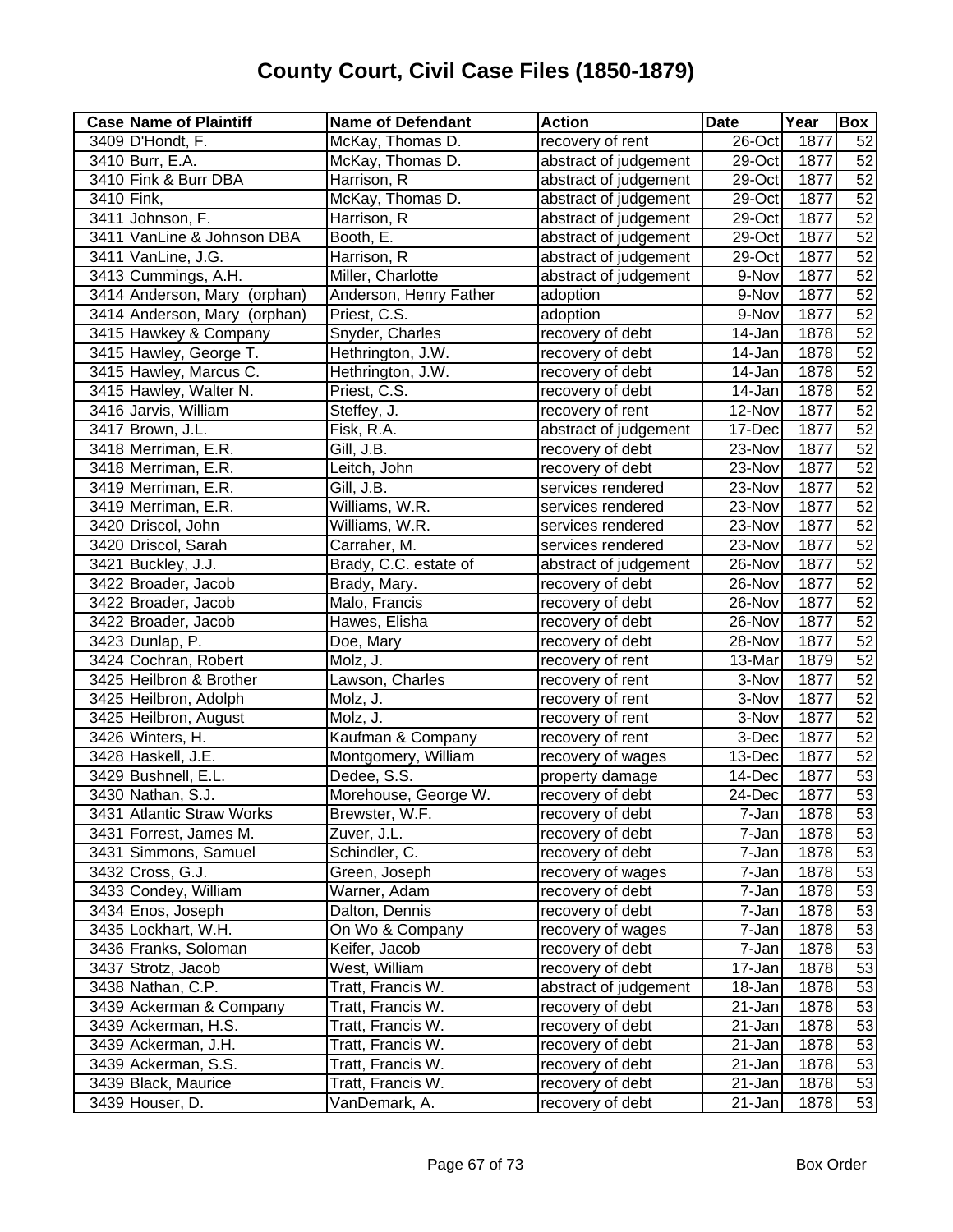| <b>Case Name of Plaintiff</b> | <b>Name of Defendant</b> | <b>Action</b>         | <b>Date</b> | Year              | Box |
|-------------------------------|--------------------------|-----------------------|-------------|-------------------|-----|
| 3409 D'Hondt, F.              | McKay, Thomas D.         | recovery of rent      | 26-Oct      | 1877              | 52  |
| 3410 Burr, E.A.               | McKay, Thomas D.         | abstract of judgement | 29-Oct      | 1877              | 52  |
| 3410 Fink & Burr DBA          | Harrison, R              | abstract of judgement | 29-Oct      | 1877              | 52  |
| 3410 Fink,                    | McKay, Thomas D.         | abstract of judgement | 29-Oct      | 1877              | 52  |
| 3411 Johnson, F.              | Harrison, R              | abstract of judgement | $29$ -Oct   | 1877              | 52  |
| 3411 VanLine & Johnson DBA    | Booth, E.                | abstract of judgement | 29-Oct      | 1877              | 52  |
| 3411 VanLine, J.G.            | Harrison, R              | abstract of judgement | 29-Oct      | 1877              | 52  |
| 3413 Cummings, A.H.           | Miller, Charlotte        | abstract of judgement | 9-Nov       | 1877              | 52  |
| 3414 Anderson, Mary (orphan)  | Anderson, Henry Father   | adoption              | 9-Nov       | 1877              | 52  |
| 3414 Anderson, Mary (orphan)  | Priest, C.S.             | adoption              | 9-Nov       | 1877              | 52  |
| 3415 Hawkey & Company         | Snyder, Charles          | recovery of debt      | 14-Jan      | 1878              | 52  |
| 3415 Hawley, George T.        | Hethrington, J.W.        | recovery of debt      | 14-Jan      | $\overline{1878}$ | 52  |
| 3415 Hawley, Marcus C.        | Hethrington, J.W.        | recovery of debt      | 14-Jan      | 1878              | 52  |
| 3415 Hawley, Walter N.        | Priest, C.S.             | recovery of debt      | 14-Jan      | 1878              | 52  |
| 3416 Jarvis, William          | Steffey, J.              | recovery of rent      | 12-Nov      | 1877              | 52  |
| 3417 Brown, J.L.              | Fisk, R.A.               | abstract of judgement | 17-Dec      | 1877              | 52  |
| 3418 Merriman, E.R.           | Gill, J.B.               | recovery of debt      | 23-Nov      | 1877              | 52  |
| 3418 Merriman, E.R.           | Leitch, John             | recovery of debt      | 23-Nov      | 1877              | 52  |
| 3419 Merriman, E.R.           | Gill, J.B.               | services rendered     | 23-Nov      | 1877              | 52  |
| 3419 Merriman, E.R.           | Williams, W.R.           | services rendered     | 23-Nov      | 1877              | 52  |
| 3420 Driscol, John            | Williams, W.R.           | services rendered     | 23-Nov      | 1877              | 52  |
| 3420 Driscol, Sarah           | Carraher, M.             | services rendered     | 23-Nov      | 1877              | 52  |
| 3421 Buckley, J.J.            | Brady, C.C. estate of    | abstract of judgement | 26-Nov      | 1877              | 52  |
| 3422 Broader, Jacob           | Brady, Mary.             | recovery of debt      | 26-Nov      | 1877              | 52  |
| 3422 Broader, Jacob           | Malo, Francis            | recovery of debt      | 26-Nov      | 1877              | 52  |
| 3422 Broader, Jacob           | Hawes, Elisha            | recovery of debt      | 26-Nov      | 1877              | 52  |
| 3423 Dunlap, P.               | Doe, Mary                | recovery of debt      | 28-Nov      | 1877              | 52  |
| 3424 Cochran, Robert          | Molz, J.                 | recovery of rent      | 13-Mar      | 1879              | 52  |
| 3425 Heilbron & Brother       | Lawson, Charles          | recovery of rent      | 3-Nov       | 1877              | 52  |
| 3425 Heilbron, Adolph         | Molz, J.                 | recovery of rent      | 3-Nov       | 1877              | 52  |
| 3425 Heilbron, August         | Molz, J.                 | recovery of rent      | 3-Nov       | 1877              | 52  |
| 3426 Winters, H.              | Kaufman & Company        | recovery of rent      | 3-Dec       | 1877              | 52  |
| 3428 Haskell, J.E.            | Montgomery, William      | recovery of wages     | 13-Dec      | 1877              | 52  |
| 3429 Bushnell, E.L.           | Dedee, S.S.              | property damage       | 14-Dec      | 1877              | 53  |
| 3430 Nathan, S.J.             | Morehouse, George W.     | recovery of debt      | 24-Dec      | 1877              | 53  |
| 3431 Atlantic Straw Works     | Brewster, W.F.           | recovery of debt      | 7-Jan       | 1878              | 53  |
| 3431 Forrest, James M.        | Zuver, J.L.              | recovery of debt      | 7-Jan       | 1878              | 53  |
| 3431 Simmons, Samuel          | Schindler, C.            | recovery of debt      | 7-Jan       | 1878              | 53  |
| 3432 Cross, G.J.              | Green, Joseph            | recovery of wages     | 7-Jan       | 1878              | 53  |
| 3433 Condey, William          | Warner, Adam             | recovery of debt      | 7-Jan       | 1878              | 53  |
| 3434 Enos, Joseph             | Dalton, Dennis           | recovery of debt      | 7-Jan       | 1878              | 53  |
| 3435 Lockhart, W.H.           | On Wo & Company          | recovery of wages     | 7-Jan       | 1878              | 53  |
| 3436 Franks, Soloman          | Keifer, Jacob            | recovery of debt      | 7-Jan       | 1878              | 53  |
| 3437 Strotz, Jacob            | West, William            | recovery of debt      | 17-Jan      | 1878              | 53  |
| 3438 Nathan, C.P.             | Tratt, Francis W.        | abstract of judgement | 18-Jan      | 1878              | 53  |
| 3439 Ackerman & Company       | Tratt, Francis W.        | recovery of debt      | 21-Jan      | 1878              | 53  |
| 3439 Ackerman, H.S.           | Tratt, Francis W.        | recovery of debt      | 21-Jan      | 1878              | 53  |
| 3439 Ackerman, J.H.           | Tratt, Francis W.        | recovery of debt      | 21-Jan      | 1878              | 53  |
| 3439 Ackerman, S.S.           | Tratt, Francis W.        | recovery of debt      | 21-Jan      | 1878              | 53  |
| 3439 Black, Maurice           | Tratt, Francis W.        | recovery of debt      | 21-Jan      | 1878              | 53  |
| 3439 Houser, D.               | VanDemark, A.            | recovery of debt      | 21-Jan      | 1878              | 53  |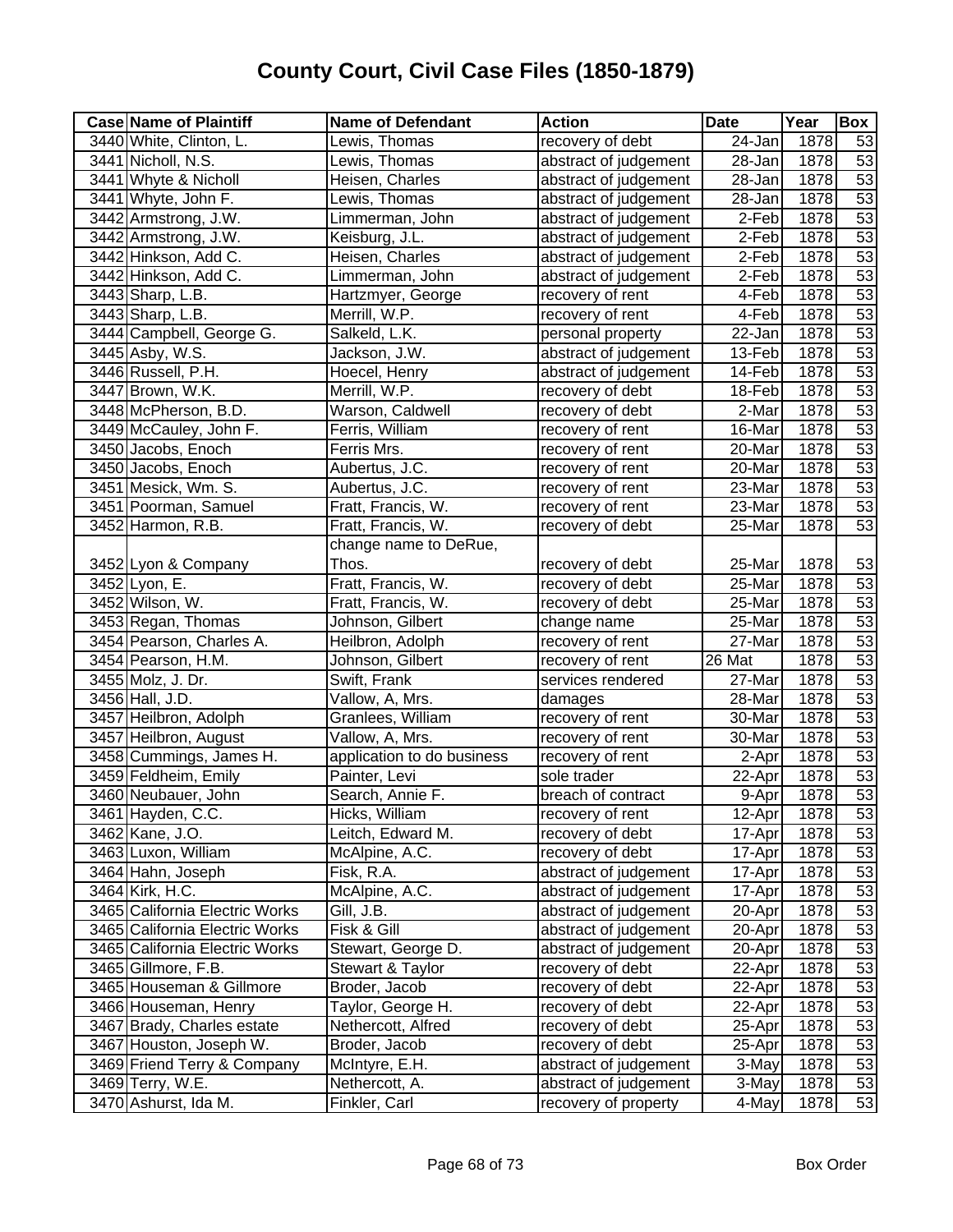| <b>Case Name of Plaintiff</b>  | <b>Name of Defendant</b>   | <b>Action</b>         | <b>Date</b> | Year | Box             |
|--------------------------------|----------------------------|-----------------------|-------------|------|-----------------|
| 3440 White, Clinton, L.        | Lewis, Thomas              | recovery of debt      | 24-Jan      | 1878 | 53              |
| 3441 Nicholl, N.S.             | Lewis, Thomas              | abstract of judgement | 28-Jan      | 1878 | 53              |
| 3441 Whyte & Nicholl           | Heisen, Charles            | abstract of judgement | 28-Jan      | 1878 | 53              |
| 3441 Whyte, John F.            | Lewis, Thomas              | abstract of judgement | 28-Jan      | 1878 | 53              |
| 3442 Armstrong, J.W.           | Limmerman, John            | abstract of judgement | 2-Feb       | 1878 | 53              |
| 3442 Armstrong, J.W.           | Keisburg, J.L.             | abstract of judgement | 2-Feb       | 1878 | 53              |
| 3442 Hinkson, Add C.           | Heisen, Charles            | abstract of judgement | 2-Feb       | 1878 | 53              |
| 3442 Hinkson, Add C.           | Limmerman, John            | abstract of judgement | 2-Feb       | 1878 | 53              |
| 3443 Sharp, L.B.               | Hartzmyer, George          | recovery of rent      | 4-Feb       | 1878 | 53              |
| 3443 Sharp, L.B.               | Merrill, W.P.              | recovery of rent      | 4-Feb       | 1878 | 53              |
| 3444 Campbell, George G.       | Salkeld, L.K.              | personal property     | $22$ -Jan   | 1878 | 53              |
| 3445 Asby, W.S.                | Jackson, J.W.              | abstract of judgement | 13-Feb      | 1878 | 53              |
| 3446 Russell, P.H.             | Hoecel, Henry              | abstract of judgement | 14-Feb      | 1878 | 53              |
| 3447 Brown, W.K.               | Merrill, W.P.              | recovery of debt      | 18-Feb      | 1878 | 53              |
| 3448 McPherson, B.D.           | Warson, Caldwell           | recovery of debt      | 2-Mar       | 1878 | 53              |
| 3449 McCauley, John F.         | Ferris, William            | recovery of rent      | 16-Mar      | 1878 | 53              |
| 3450 Jacobs, Enoch             | Ferris Mrs.                | recovery of rent      | 20-Mar      | 1878 | 53              |
| 3450 Jacobs, Enoch             | Aubertus, J.C.             | recovery of rent      | 20-Mar      | 1878 | 53              |
| 3451 Mesick, Wm. S.            | Aubertus, J.C.             | recovery of rent      | 23-Mar      | 1878 | 53              |
| 3451 Poorman, Samuel           | Fratt, Francis, W.         | recovery of rent      | 23-Mar      | 1878 | 53              |
| 3452 Harmon, R.B.              | Fratt, Francis, W.         | recovery of debt      | 25-Mar      | 1878 | $\overline{53}$ |
|                                | change name to DeRue,      |                       |             |      |                 |
| 3452 Lyon & Company            | Thos.                      | recovery of debt      | 25-Mar      | 1878 | 53              |
| 3452 Lyon, E.                  | Fratt, Francis, W.         | recovery of debt      | 25-Mar      | 1878 | 53              |
| 3452 Wilson, W.                | Fratt, Francis, W.         | recovery of debt      | 25-Mar      | 1878 | 53              |
| 3453 Regan, Thomas             | Johnson, Gilbert           | change name           | 25-Mar      | 1878 | 53              |
| 3454 Pearson, Charles A.       | Heilbron, Adolph           | recovery of rent      | 27-Mar      | 1878 | 53              |
| 3454 Pearson, H.M.             | Johnson, Gilbert           | recovery of rent      | 26 Mat      | 1878 | 53              |
| 3455 Molz, J. Dr.              | Swift, Frank               | services rendered     | 27-Mar      | 1878 | 53              |
| 3456 Hall, J.D.                | Vallow, A, Mrs.            | damages               | 28-Mar      | 1878 | 53              |
| 3457 Heilbron, Adolph          | Granlees, William          | recovery of rent      | 30-Mar      | 1878 | 53              |
| 3457 Heilbron, August          | Vallow, A, Mrs.            | recovery of rent      | 30-Mar      | 1878 | 53              |
| 3458 Cummings, James H.        | application to do business | recovery of rent      | 2-Apr       | 1878 | 53              |
| 3459 Feldheim, Emily           | Painter, Levi              | sole trader           | 22-Apr      | 1878 | 53              |
| 3460 Neubauer, John            | Search, Annie F.           | breach of contract    | 9-Apr       | 1878 | 53              |
| 3461 Hayden, C.C.              | Hicks, William             | recovery of rent      | 12-Apr      | 1878 | 53              |
| 3462 Kane, J.O.                | Leitch, Edward M.          | recovery of debt      | 17-Apr      | 1878 | 53              |
| 3463 Luxon, William            | McAlpine, A.C.             | recovery of debt      | 17-Apr      | 1878 | 53              |
| 3464 Hahn, Joseph              | Fisk, R.A.                 | abstract of judgement | 17-Apr      | 1878 | 53              |
| 3464 Kirk, H.C.                | McAlpine, A.C.             | abstract of judgement | 17-Apr      | 1878 | 53              |
| 3465 California Electric Works | Gill, J.B.                 | abstract of judgement | 20-Apr      | 1878 | 53              |
| 3465 California Electric Works | Fisk & Gill                | abstract of judgement | 20-Apr      | 1878 | 53              |
| 3465 California Electric Works | Stewart, George D.         | abstract of judgement | 20-Apr      | 1878 | 53              |
| 3465 Gillmore, F.B.            | Stewart & Taylor           | recovery of debt      | 22-Apr      | 1878 | 53              |
| 3465 Houseman & Gillmore       | Broder, Jacob              | recovery of debt      | 22-Apr      | 1878 | 53              |
| 3466 Houseman, Henry           | Taylor, George H.          | recovery of debt      | 22-Apr      | 1878 | 53              |
| 3467 Brady, Charles estate     | Nethercott, Alfred         | recovery of debt      | 25-Apr      | 1878 | 53              |
| 3467 Houston, Joseph W.        | Broder, Jacob              | recovery of debt      | 25-Apr      | 1878 | 53              |
| 3469 Friend Terry & Company    | McIntyre, E.H.             | abstract of judgement | 3-May       | 1878 | 53              |
| 3469 Terry, W.E.               | Nethercott, A.             | abstract of judgement | 3-May       | 1878 | 53              |
| 3470 Ashurst, Ida M.           | Finkler, Carl              | recovery of property  | 4-May       | 1878 | $\overline{53}$ |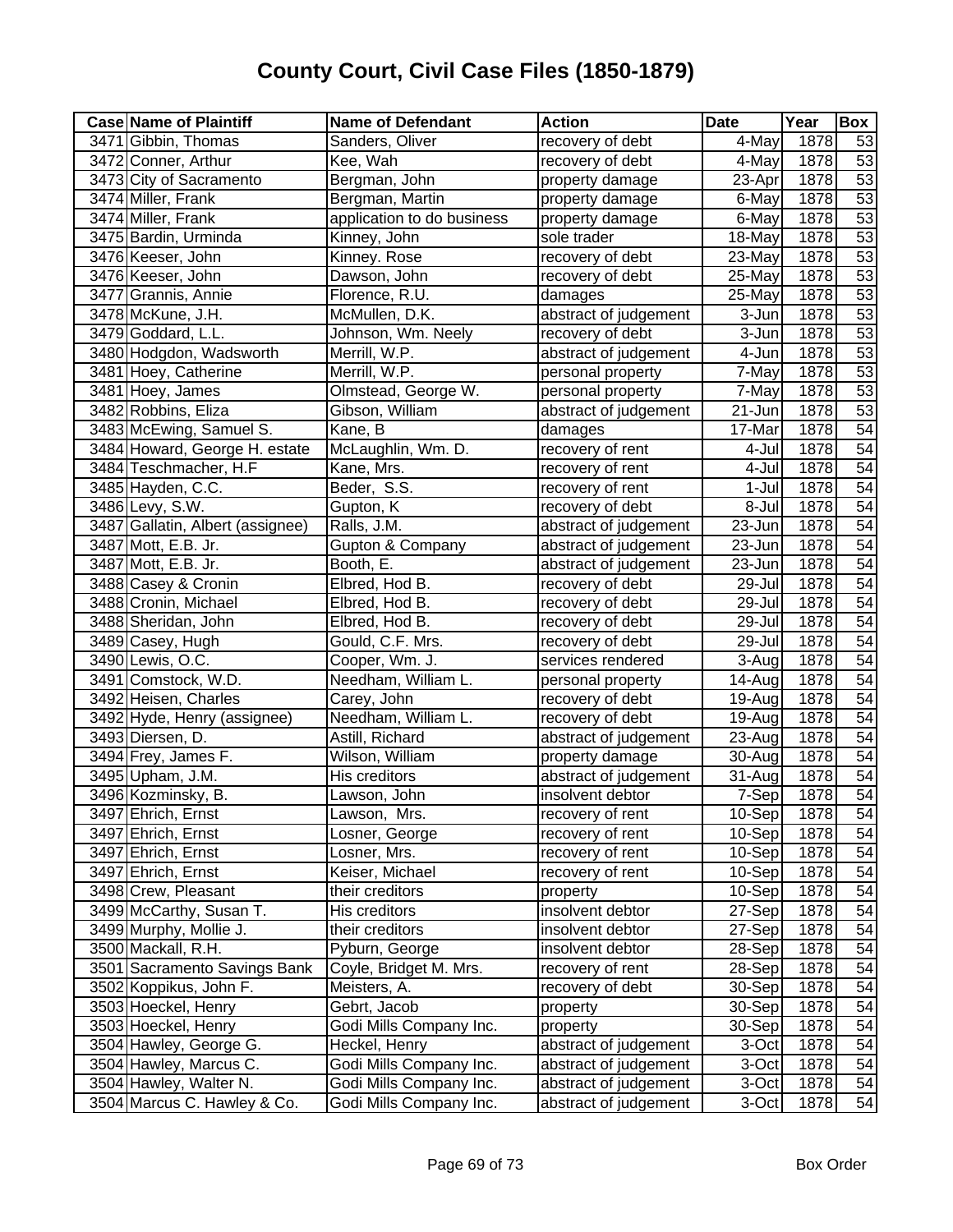| <b>Case Name of Plaintiff</b>    | <b>Name of Defendant</b>   | <b>Action</b>         | <b>Date</b> | Year | Box             |
|----------------------------------|----------------------------|-----------------------|-------------|------|-----------------|
| 3471 Gibbin, Thomas              | Sanders, Oliver            | recovery of debt      | 4-May       | 1878 | 53              |
| 3472 Conner, Arthur              | Kee, Wah                   | recovery of debt      | 4-May       | 1878 | 53              |
| 3473 City of Sacramento          | Bergman, John              | property damage       | 23-Apr      | 1878 | 53              |
| 3474 Miller, Frank               | Bergman, Martin            | property damage       | 6-May       | 1878 | 53              |
| 3474 Miller, Frank               | application to do business | property damage       | 6-May       | 1878 | 53              |
| 3475 Bardin, Urminda             | Kinney, John               | sole trader           | 18-May      | 1878 | 53              |
| 3476 Keeser, John                | Kinney. Rose               | recovery of debt      | 23-May      | 1878 | 53              |
| 3476 Keeser, John                | Dawson, John               | recovery of debt      | 25-May      | 1878 | 53              |
| 3477 Grannis, Annie              | Florence, R.U.             | damages               | 25-May      | 1878 | 53              |
| 3478 McKune, J.H.                | McMullen, D.K.             | abstract of judgement | 3-Jun       | 1878 | 53              |
| 3479 Goddard, L.L.               | Johnson, Wm. Neely         | recovery of debt      | 3-Jun       | 1878 | 53              |
| 3480 Hodgdon, Wadsworth          | Merrill, W.P.              | abstract of judgement | 4-Jun       | 1878 | 53              |
| 3481 Hoey, Catherine             | Merrill, W.P.              | personal property     | 7-May       | 1878 | 53              |
| 3481 Hoey, James                 | Olmstead, George W.        | personal property     | 7-May       | 1878 | 53              |
| 3482 Robbins, Eliza              | Gibson, William            | abstract of judgement | 21-Jun      | 1878 | 53              |
| 3483 McEwing, Samuel S.          | Kane, B                    | damages               | 17-Mar      | 1878 | 54              |
| 3484 Howard, George H. estate    | McLaughlin, Wm. D.         | recovery of rent      | 4-Jul       | 1878 | 54              |
| 3484 Teschmacher, H.F            | Kane, Mrs.                 | recovery of rent      | 4-Jul       | 1878 | 54              |
| 3485 Hayden, C.C.                | Beder, S.S.                | recovery of rent      | 1-Jul       | 1878 | 54              |
| 3486 Levy, S.W.                  | Gupton, K                  | recovery of debt      | 8-Jul       | 1878 | 54              |
| 3487 Gallatin, Albert (assignee) | Ralls, J.M.                | abstract of judgement | 23-Jun      | 1878 | $\overline{54}$ |
| 3487 Mott, E.B. Jr.              | Gupton & Company           | abstract of judgement | 23-Jun      | 1878 | $\overline{54}$ |
| 3487 Mott, E.B. Jr.              | Booth, E.                  | abstract of judgement | 23-Jun      | 1878 | 54              |
| 3488 Casey & Cronin              | Elbred, Hod B.             | recovery of debt      | 29-Jul      | 1878 | 54              |
| 3488 Cronin, Michael             | Elbred, Hod B.             | recovery of debt      | 29-Jul      | 1878 | 54              |
| 3488 Sheridan, John              | Elbred, Hod B.             | recovery of debt      | 29-Jul      | 1878 | 54              |
| 3489 Casey, Hugh                 | Gould, C.F. Mrs.           | recovery of debt      | 29-Jul      | 1878 | 54              |
| 3490 Lewis, O.C.                 | Cooper, Wm. J.             | services rendered     | 3-Aug       | 1878 | $\overline{54}$ |
| 3491 Comstock, W.D.              | Needham, William L.        | personal property     | 14-Aug      | 1878 | 54              |
| 3492 Heisen, Charles             | Carey, John                | recovery of debt      | 19-Aug      | 1878 | 54              |
| 3492 Hyde, Henry (assignee)      | Needham, William L.        | recovery of debt      | 19-Aug      | 1878 | 54              |
| 3493 Diersen, D.                 | Astill, Richard            | abstract of judgement | 23-Aug      | 1878 | 54              |
| 3494 Frey, James F.              | Wilson, William            | property damage       | 30-Aug      | 1878 | 54              |
| 3495 Upham, J.M.                 | His creditors              | abstract of judgement | 31-Aug      | 1878 | 54              |
| 3496 Kozminsky, B.               | Lawson, John               | insolvent debtor      | 7-Sep       | 1878 | 54              |
| 3497 Ehrich, Ernst               | Lawson, Mrs.               | recovery of rent      | 10-Sep      | 1878 | 54              |
| 3497 Ehrich, Ernst               | Losner, George             | recovery of rent      | 10-Sep      | 1878 | 54              |
| 3497 Ehrich, Ernst               | Losner, Mrs.               | recovery of rent      | 10-Sep      | 1878 | 54              |
| 3497 Ehrich, Ernst               | Keiser, Michael            | recovery of rent      | $10-Sep$    | 1878 | 54              |
| 3498 Crew, Pleasant              | their creditors            | property              | $10-Sep$    | 1878 | 54              |
| 3499 McCarthy, Susan T.          | His creditors              | insolvent debtor      | 27-Sep      | 1878 | 54              |
| 3499 Murphy, Mollie J.           | their creditors            | insolvent debtor      | 27-Sep      | 1878 | 54              |
| 3500 Mackall, R.H.               | Pyburn, George             | insolvent debtor      | 28-Sep      | 1878 | 54              |
| 3501 Sacramento Savings Bank     | Coyle, Bridget M. Mrs.     | recovery of rent      | 28-Sep      | 1878 | 54              |
| 3502 Koppikus, John F.           | Meisters, A.               | recovery of debt      | 30-Sep      | 1878 | 54              |
| 3503 Hoeckel, Henry              | Gebrt, Jacob               | property              | 30-Sep      | 1878 | 54              |
| 3503 Hoeckel, Henry              | Godi Mills Company Inc.    | property              | 30-Sep      | 1878 | 54              |
| 3504 Hawley, George G.           | Heckel, Henry              | abstract of judgement | 3-Oct       | 1878 | 54              |
| 3504 Hawley, Marcus C.           | Godi Mills Company Inc.    | abstract of judgement | 3-Oct       | 1878 | 54              |
| 3504 Hawley, Walter N.           | Godi Mills Company Inc.    | abstract of judgement | 3-Oct       | 1878 | 54              |
| 3504 Marcus C. Hawley & Co.      | Godi Mills Company Inc.    | abstract of judgement | 3-Oct       | 1878 | 54              |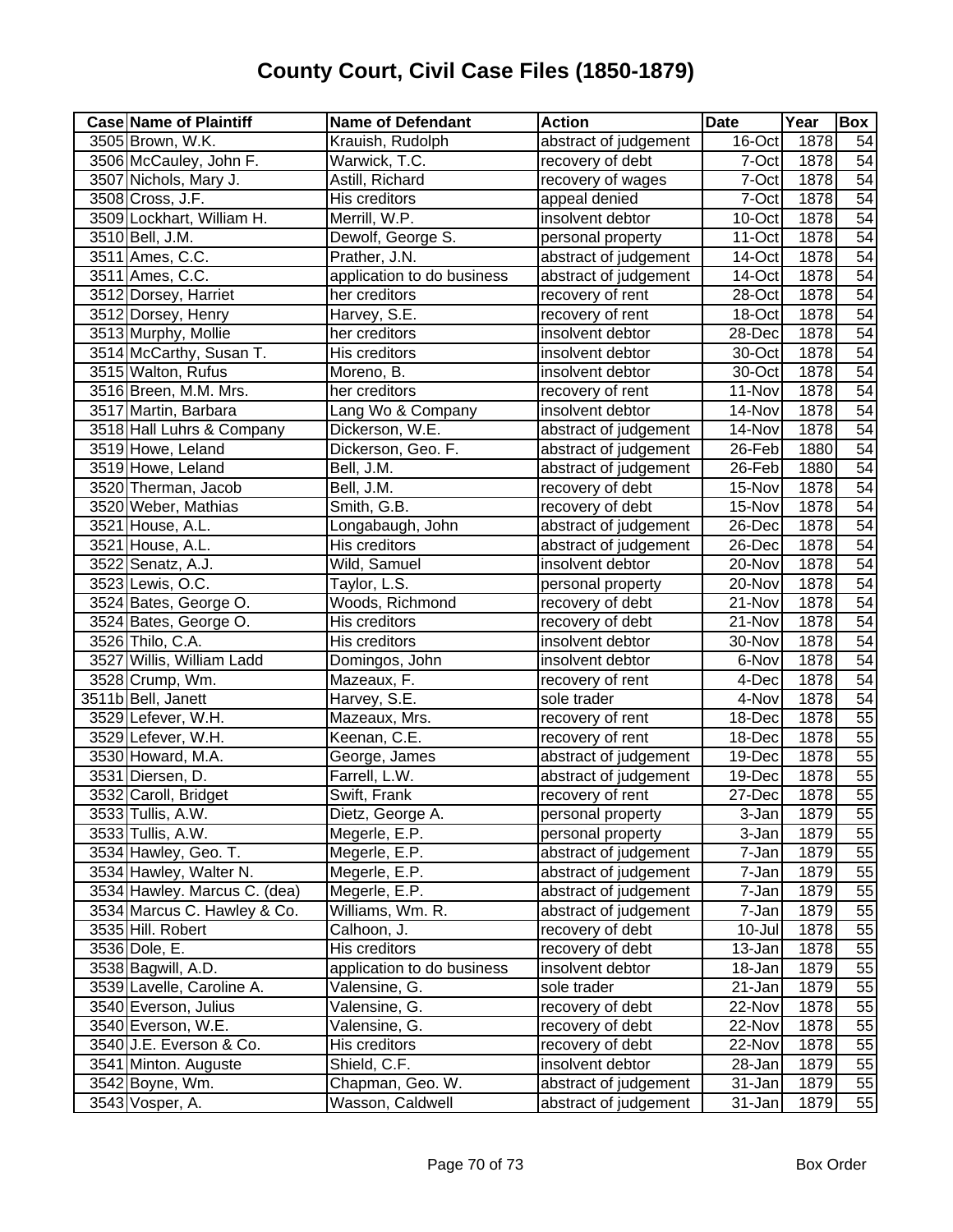| <b>Case Name of Plaintiff</b> | <b>Name of Defendant</b>   | <b>Action</b>         | <b>Date</b> | Year | <b>Box</b>      |
|-------------------------------|----------------------------|-----------------------|-------------|------|-----------------|
| 3505 Brown, W.K.              | Krauish, Rudolph           | abstract of judgement | 16-Oct      | 1878 | 54              |
| 3506 McCauley, John F.        | Warwick, T.C.              | recovery of debt      | 7-Oct       | 1878 | 54              |
| 3507 Nichols, Mary J.         | Astill, Richard            | recovery of wages     | 7-Oct       | 1878 | 54              |
| 3508 Cross, J.F.              | <b>His creditors</b>       | appeal denied         | 7-Oct       | 1878 | 54              |
| 3509 Lockhart, William H.     | Merrill, W.P.              | insolvent debtor      | 10-Oct      | 1878 | 54              |
| 3510 Bell, J.M.               | Dewolf, George S.          | personal property     | 11-Oct      | 1878 | 54              |
| 3511 Ames, C.C.               | Prather, J.N.              | abstract of judgement | 14-Oct      | 1878 | 54              |
| 3511 Ames, C.C.               | application to do business | abstract of judgement | 14-Oct      | 1878 | 54              |
| 3512 Dorsey, Harriet          | her creditors              | recovery of rent      | 28-Oct      | 1878 | 54              |
| 3512 Dorsey, Henry            | Harvey, S.E.               | recovery of rent      | 18-Oct      | 1878 | 54              |
| 3513 Murphy, Mollie           | her creditors              | insolvent debtor      | 28-Dec      | 1878 | 54              |
| 3514 McCarthy, Susan T.       | His creditors              | insolvent debtor      | 30-Oct      | 1878 | 54              |
| 3515 Walton, Rufus            | Moreno, B.                 | insolvent debtor      | 30-Oct      | 1878 | 54              |
| 3516 Breen, M.M. Mrs.         | her creditors              | recovery of rent      | 11-Nov      | 1878 | 54              |
| 3517 Martin, Barbara          | Lang Wo & Company          | insolvent debtor      | 14-Nov      | 1878 | 54              |
| 3518 Hall Luhrs & Company     | Dickerson, W.E.            | abstract of judgement | 14-Nov      | 1878 | 54              |
| 3519 Howe, Leland             | Dickerson, Geo. F.         | abstract of judgement | 26-Feb      | 1880 | 54              |
| 3519 Howe, Leland             | Bell, J.M.                 | abstract of judgement | 26-Feb      | 1880 | 54              |
| 3520 Therman, Jacob           | Bell, J.M.                 | recovery of debt      | 15-Nov      | 1878 | 54              |
| 3520 Weber, Mathias           | Smith, G.B.                | recovery of debt      | 15-Nov      | 1878 | 54              |
| 3521 House, A.L.              | Longabaugh, John           | abstract of judgement | 26-Dec      | 1878 | 54              |
| 3521 House, A.L.              | His creditors              | abstract of judgement | 26-Dec      | 1878 | 54              |
| 3522 Senatz, A.J.             | Wild, Samuel               | insolvent debtor      | 20-Nov      | 1878 | 54              |
| 3523 Lewis, O.C.              | Taylor, L.S.               | personal property     | 20-Nov      | 1878 | 54              |
| 3524 Bates, George O.         | Woods, Richmond            | recovery of debt      | 21-Nov      | 1878 | $\overline{54}$ |
| 3524 Bates, George O.         | His creditors              | recovery of debt      | 21-Nov      | 1878 | $\overline{54}$ |
| 3526 Thilo, C.A.              | His creditors              | insolvent debtor      | 30-Nov      | 1878 | $\overline{54}$ |
| 3527 Willis, William Ladd     | Domingos, John             | insolvent debtor      | 6-Nov       | 1878 | $\overline{54}$ |
| 3528 Crump, Wm.               | Mazeaux, F.                | recovery of rent      | 4-Dec       | 1878 | 54              |
| 3511b Bell, Janett            | Harvey, S.E.               | sole trader           | 4-Nov       | 1878 | $\overline{54}$ |
| 3529 Lefever, W.H.            | Mazeaux, Mrs.              | recovery of rent      | 18-Dec      | 1878 | 55              |
| 3529 Lefever, W.H.            | Keenan, C.E.               | recovery of rent      | 18-Dec      | 1878 | 55              |
| 3530 Howard, M.A.             | George, James              | abstract of judgement | 19-Dec      | 1878 | 55              |
| 3531 Diersen, D.              | Farrell, L.W.              | abstract of judgement | 19-Dec      | 1878 | 55              |
| 3532 Caroll, Bridget          | Swift, Frank               | recovery of rent      | 27-Dec      | 1878 | 55              |
| 3533 Tullis, A.W.             | Dietz, George A.           | personal property     | 3-Jan       | 1879 | 55              |
| 3533 Tullis, A.W.             | Megerle, E.P.              | personal property     | 3-Jan       | 1879 | 55              |
| 3534 Hawley, Geo. T.          | Megerle, E.P.              | abstract of judgement | 7-Jan       | 1879 | 55              |
| 3534 Hawley, Walter N.        | Megerle, E.P.              | abstract of judgement | 7-Jan       | 1879 | 55              |
| 3534 Hawley. Marcus C. (dea)  | Megerle, E.P.              | abstract of judgement | 7-Jan       | 1879 | 55              |
| 3534 Marcus C. Hawley & Co.   | Williams, Wm. R.           | abstract of judgement | 7-Jan       | 1879 | 55              |
| 3535 Hill. Robert             | Calhoon, J.                | recovery of debt      | $10 -$ Jul  | 1878 | 55              |
| 3536 Dole, E.                 | His creditors              | recovery of debt      | 13-Jan      | 1878 | 55              |
| 3538 Bagwill, A.D.            | application to do business | insolvent debtor      | 18-Jan      | 1879 | 55              |
| 3539 Lavelle, Caroline A.     | Valensine, G.              | sole trader           | 21-Jan      | 1879 | 55              |
| 3540 Everson, Julius          | Valensine, G.              | recovery of debt      | 22-Nov      | 1878 | 55              |
| 3540 Everson, W.E.            | Valensine, G.              | recovery of debt      | 22-Nov      | 1878 | 55              |
| 3540 J.E. Everson & Co.       | His creditors              | recovery of debt      | 22-Nov      | 1878 | 55              |
| 3541 Minton. Auguste          | Shield, C.F.               | insolvent debtor      | 28-Jan      | 1879 | 55              |
| 3542 Boyne, Wm.               | Chapman, Geo. W.           | abstract of judgement | 31-Jan      | 1879 | 55              |
| 3543 Vosper, A.               | Wasson, Caldwell           | abstract of judgement | 31-Jan      | 1879 | 55              |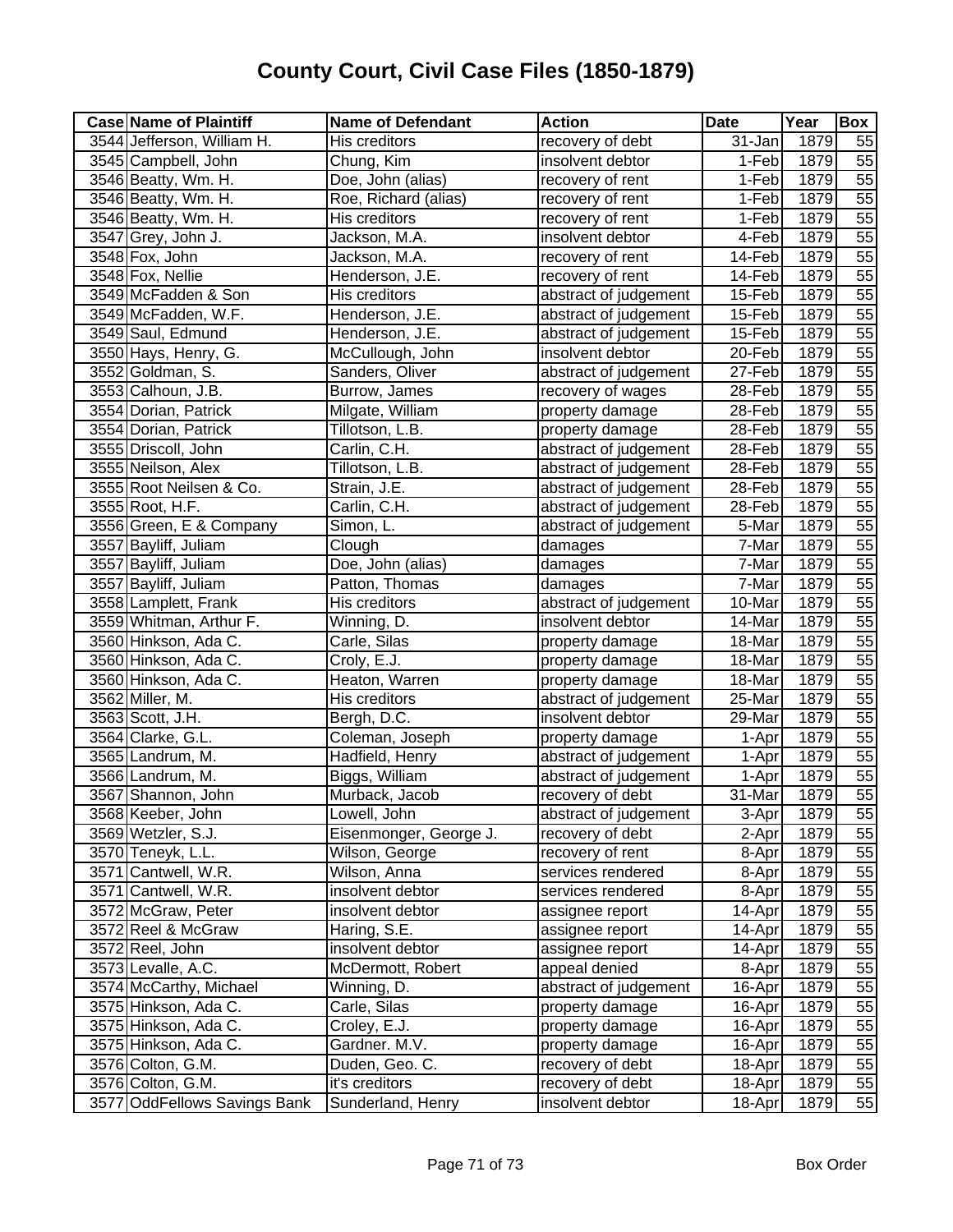| <b>Case Name of Plaintiff</b> | <b>Name of Defendant</b> | <b>Action</b>         | <b>Date</b> | Year | Box             |
|-------------------------------|--------------------------|-----------------------|-------------|------|-----------------|
| 3544 Jefferson, William H.    | His creditors            | recovery of debt      | 31-Jan      | 1879 | 55              |
| 3545 Campbell, John           | Chung, Kim               | insolvent debtor      | 1-Feb       | 1879 | 55              |
| 3546 Beatty, Wm. H.           | Doe, John (alias)        | recovery of rent      | 1-Feb       | 1879 | 55              |
| 3546 Beatty, Wm. H.           | Roe, Richard (alias)     | recovery of rent      | 1-Feb       | 1879 | $\overline{55}$ |
| 3546 Beatty, Wm. H.           | His creditors            | recovery of rent      | 1-Feb       | 1879 | 55              |
| 3547 Grey, John J.            | Jackson, M.A.            | insolvent debtor      | 4-Feb       | 1879 | 55              |
| 3548 Fox, John                | Jackson, M.A.            | recovery of rent      | 14-Feb      | 1879 | 55              |
| 3548 Fox, Nellie              | Henderson, J.E.          | recovery of rent      | 14-Feb      | 1879 | 55              |
| 3549 McFadden & Son           | His creditors            | abstract of judgement | 15-Feb      | 1879 | $\overline{55}$ |
| 3549 McFadden, W.F.           | Henderson, J.E.          | abstract of judgement | 15-Feb      | 1879 | 55              |
| 3549 Saul, Edmund             | Henderson, J.E.          | abstract of judgement | 15-Feb      | 1879 | 55              |
| 3550 Hays, Henry, G.          | McCullough, John         | insolvent debtor      | 20-Feb      | 1879 | 55              |
| 3552 Goldman, S.              | Sanders, Oliver          | abstract of judgement | 27-Feb      | 1879 | 55              |
| 3553 Calhoun, J.B.            | Burrow, James            | recovery of wages     | 28-Feb      | 1879 | 55              |
| 3554 Dorian, Patrick          | Milgate, William         | property damage       | 28-Feb      | 1879 | $\overline{55}$ |
| 3554 Dorian, Patrick          | Tillotson, L.B.          | property damage       | 28-Feb      | 1879 | 55              |
| 3555 Driscoll, John           | Carlin, C.H.             | abstract of judgement | 28-Feb      | 1879 | 55              |
| 3555 Neilson, Alex            | Tillotson, L.B.          | abstract of judgement | 28-Feb      | 1879 | 55              |
| 3555 Root Neilsen & Co.       | Strain, J.E.             | abstract of judgement | 28-Feb      | 1879 | 55              |
| 3555 Root, H.F.               | Carlin, C.H.             | abstract of judgement | 28-Feb      | 1879 | 55              |
| 3556 Green, E & Company       | Simon, L.                | abstract of judgement | 5-Mar       | 1879 | 55              |
| 3557 Bayliff, Juliam          | Clough                   | damages               | 7-Mar       | 1879 | 55              |
| 3557 Bayliff, Juliam          | Doe, John (alias)        | damages               | 7-Mar       | 1879 | 55              |
| 3557 Bayliff, Juliam          | Patton, Thomas           | damages               | 7-Mar       | 1879 | 55              |
| 3558 Lamplett, Frank          | His creditors            | abstract of judgement | 10-Mar      | 1879 | 55              |
| 3559 Whitman, Arthur F.       | Winning, D.              | insolvent debtor      | 14-Mar      | 1879 | 55              |
| 3560 Hinkson, Ada C.          | Carle, Silas             | property damage       | 18-Mar      | 1879 | 55              |
| 3560 Hinkson, Ada C.          | Croly, E.J.              | property damage       | 18-Mar      | 1879 | 55              |
| 3560 Hinkson, Ada C.          | Heaton, Warren           | property damage       | 18-Mar      | 1879 | 55              |
| 3562 Miller, M.               | His creditors            | abstract of judgement | 25-Mar      | 1879 | 55              |
| 3563 Scott, J.H.              | Bergh, D.C.              | insolvent debtor      | 29-Mar      | 1879 | 55              |
| 3564 Clarke, G.L.             | Coleman, Joseph          | property damage       | 1-Apr       | 1879 | 55              |
| 3565 Landrum, M.              | Hadfield, Henry          | abstract of judgement | 1-Apr       | 1879 | 55              |
| 3566 Landrum, M.              | Biggs, William           | abstract of judgement | 1-Apr       | 1879 | 55              |
| 3567 Shannon, John            | Murback, Jacob           | recovery of debt      | $31$ -Mar   | 1879 | $\overline{55}$ |
| 3568 Keeber, John             | Lowell, John             | abstract of judgement | 3-Apr       | 1879 | 55              |
| 3569 Wetzler, S.J.            | Eisenmonger, George J.   | recovery of debt      | 2-Apr       | 1879 | 55              |
| 3570 Teneyk, L.L.             | Wilson, George           | recovery of rent      | 8-Apr       | 1879 | 55              |
| 3571 Cantwell, W.R.           | Wilson, Anna             | services rendered     | 8-Apr       | 1879 | 55              |
| 3571 Cantwell, W.R.           | insolvent debtor         | services rendered     | 8-Apr       | 1879 | 55              |
| 3572 McGraw, Peter            | insolvent debtor         | assignee report       | 14-Apr      | 1879 | 55              |
| 3572 Reel & McGraw            | Haring, S.E.             | assignee report       | 14-Apr      | 1879 | 55              |
| 3572 Reel, John               | insolvent debtor         | assignee report       | 14-Apr      | 1879 | 55              |
| 3573 Levalle, A.C.            | McDermott, Robert        | appeal denied         | 8-Apr       | 1879 | 55              |
| 3574 McCarthy, Michael        | Winning, D.              | abstract of judgement | 16-Apr      | 1879 | 55              |
| 3575 Hinkson, Ada C.          | Carle, Silas             | property damage       | 16-Apr      | 1879 | 55              |
| 3575 Hinkson, Ada C.          | Croley, E.J.             | property damage       | 16-Apr      | 1879 | 55              |
| 3575 Hinkson, Ada C.          | Gardner. M.V.            | property damage       | 16-Apr      | 1879 | 55              |
| 3576 Colton, G.M.             | Duden, Geo. C.           | recovery of debt      | 18-Apr      | 1879 | $\overline{55}$ |
| 3576 Colton, G.M.             | it's creditors           | recovery of debt      | 18-Apr      | 1879 | 55              |
| 3577 OddFellows Savings Bank  | Sunderland, Henry        | insolvent debtor      | 18-Apr      | 1879 | 55              |
|                               |                          |                       |             |      |                 |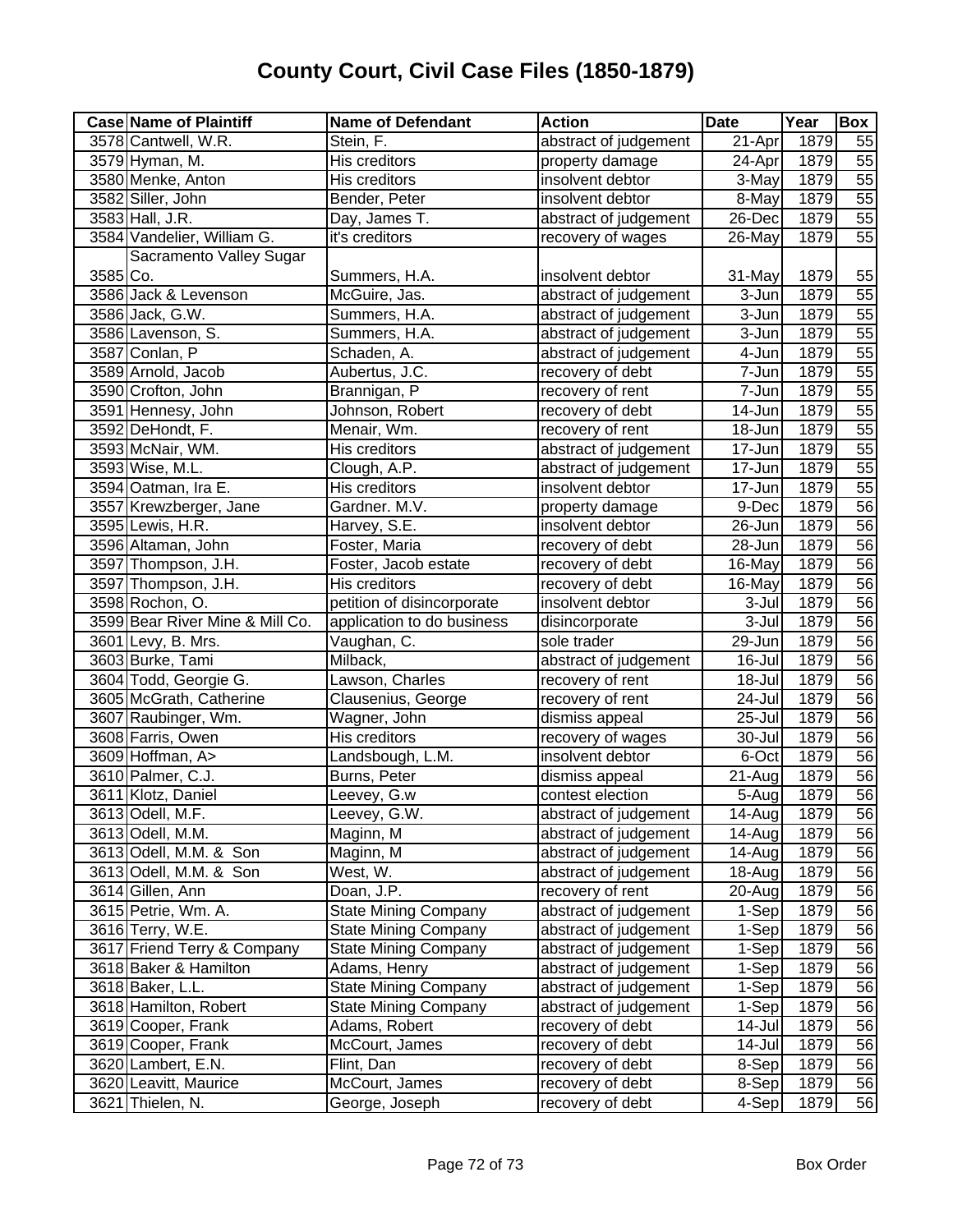| <b>Case Name of Plaintiff</b>   | <b>Name of Defendant</b>    | <b>Action</b>         | <b>Date</b> | Year | Box             |
|---------------------------------|-----------------------------|-----------------------|-------------|------|-----------------|
| 3578 Cantwell, W.R.             | Stein, F.                   | abstract of judgement | 21-Apr      | 1879 | 55              |
| 3579 Hyman, M.                  | <b>His creditors</b>        | property damage       | 24-Apr      | 1879 | $\overline{55}$ |
| 3580 Menke, Anton               | His creditors               | insolvent debtor      | $3-May$     | 1879 | 55              |
| 3582 Siller, John               | Bender, Peter               | insolvent debtor      | $8 - May$   | 1879 | 55              |
| 3583 Hall, J.R.                 | Day, James T.               | abstract of judgement | 26-Dec      | 1879 | $\overline{55}$ |
| 3584 Vandelier, William G.      | it's creditors              | recovery of wages     | $26$ -May   | 1879 | 55              |
| Sacramento Valley Sugar         |                             |                       |             |      |                 |
| 3585 Co.                        | Summers, H.A.               | insolvent debtor      | 31-May      | 1879 | 55              |
| 3586 Jack & Levenson            | McGuire, Jas.               | abstract of judgement | 3-Jun       | 1879 | 55              |
| 3586 Jack, G.W.                 | Summers, H.A.               | abstract of judgement | $3 - Jun$   | 1879 | 55              |
| 3586 Lavenson, S.               | Summers, H.A.               | abstract of judgement | 3-Jun       | 1879 | 55              |
| 3587 Conlan, P                  | Schaden, A.                 | abstract of judgement | 4-Jun       | 1879 | 55              |
| 3589 Arnold, Jacob              | Aubertus, J.C.              | recovery of debt      | 7-Jun       | 1879 | 55              |
| 3590 Crofton, John              | Brannigan, P                | recovery of rent      | 7-Jun       | 1879 | 55              |
| 3591 Hennesy, John              | Johnson, Robert             | recovery of debt      | 14-Jun      | 1879 | 55              |
| 3592 DeHondt, F.                | Menair, Wm.                 | recovery of rent      | 18-Jun      | 1879 | 55              |
| 3593 McNair, WM.                | His creditors               | abstract of judgement | 17-Jun      | 1879 | 55              |
| 3593 Wise, M.L.                 | Clough, A.P.                | abstract of judgement | 17-Jun      | 1879 | 55              |
| 3594 Oatman, Ira E.             | His creditors               | insolvent debtor      | 17-Jun      | 1879 | $\overline{55}$ |
| 3557 Krewzberger, Jane          | Gardner. M.V.               | property damage       | 9-Dec       | 1879 | $\overline{56}$ |
| 3595 Lewis, H.R.                | Harvey, S.E.                | insolvent debtor      | $26 - Jun$  | 1879 | 56              |
| 3596 Altaman, John              | Foster, Maria               | recovery of debt      | 28-Jun      | 1879 | 56              |
| 3597 Thompson, J.H.             | Foster, Jacob estate        | recovery of debt      | 16-May      | 1879 | 56              |
| 3597 Thompson, J.H.             | His creditors               | recovery of debt      | 16-May      | 1879 | 56              |
| 3598 Rochon, O.                 | petition of disincorporate  | insolvent debtor      | 3-Jul       | 1879 | 56              |
| 3599 Bear River Mine & Mill Co. | application to do business  | disincorporate        | 3-Jul       | 1879 | 56              |
| 3601 Levy, B. Mrs.              | Vaughan, C.                 | sole trader           | 29-Jun      | 1879 | 56              |
| 3603 Burke, Tami                | Milback,                    | abstract of judgement | 16-Jul      | 1879 | 56              |
| 3604 Todd, Georgie G.           | Lawson, Charles             | recovery of rent      | 18-Jul      | 1879 | 56              |
| 3605 McGrath, Catherine         | Clausenius, George          | recovery of rent      | 24-Jul      | 1879 | 56              |
| 3607 Raubinger, Wm.             | Wagner, John                | dismiss appeal        | 25-Jul      | 1879 | 56              |
| 3608 Farris, Owen               | His creditors               | recovery of wages     | 30-Jul      | 1879 | 56              |
| 3609 Hoffman, A>                | Landsbough, L.M.            | insolvent debtor      | 6-Oct       | 1879 | 56              |
| 3610 Palmer, C.J.               | Burns, Peter                | dismiss appeal        | 21-Aug      | 1879 | 56              |
| 3611 Klotz, Daniel              | Leevey, G.w                 | contest election      | 5-Aug       | 1879 | 56              |
| 3613 Odell, M.F.                | Leevey, G.W.                | abstract of judgement | 14-Aug      | 1879 | 56              |
| 3613 Odell, M.M.                | Maginn, M                   | abstract of judgement | 14-Aug      | 1879 | 56              |
| 3613 Odell, M.M. & Son          | Maginn, M                   | abstract of judgement | 14-Aug      | 1879 | 56              |
| 3613 Odell, M.M. & Son          | West, W.                    | abstract of judgement | 18-Aug      | 1879 | 56              |
| 3614 Gillen, Ann                | Doan, J.P.                  | recovery of rent      | 20-Aug      | 1879 | 56              |
| 3615 Petrie, Wm. A.             | <b>State Mining Company</b> | abstract of judgement | 1-Sep       | 1879 | 56              |
| 3616 Terry, W.E.                | <b>State Mining Company</b> | abstract of judgement | 1-Sep       | 1879 | 56              |
| 3617 Friend Terry & Company     | <b>State Mining Company</b> | abstract of judgement | 1-Sep       | 1879 | 56              |
| 3618 Baker & Hamilton           | Adams, Henry                | abstract of judgement | 1-Sep       | 1879 | 56              |
| 3618 Baker, L.L.                | <b>State Mining Company</b> | abstract of judgement | 1-Sep       | 1879 | 56              |
| 3618 Hamilton, Robert           | <b>State Mining Company</b> | abstract of judgement | 1-Sep       | 1879 | 56              |
| 3619 Cooper, Frank              | Adams, Robert               | recovery of debt      | 14-Jul      | 1879 | 56              |
| 3619 Cooper, Frank              | McCourt, James              | recovery of debt      | 14-Jul      | 1879 | 56              |
| 3620 Lambert, E.N.              | Flint, Dan                  | recovery of debt      | 8-Sep       | 1879 | 56              |
| 3620 Leavitt, Maurice           | McCourt, James              | recovery of debt      | 8-Sep       | 1879 | 56              |
| 3621 Thielen, N.                | George, Joseph              | recovery of debt      | 4-Sep       | 1879 | $\overline{56}$ |